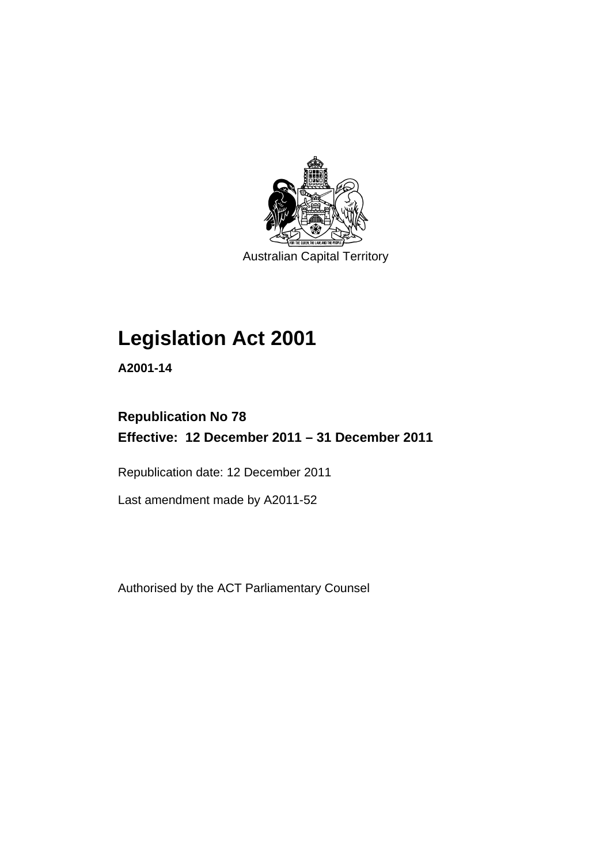

Australian Capital Territory

# **Legislation Act 2001**

**A2001-14** 

## **Republication No 78 Effective: 12 December 2011 – 31 December 2011**

Republication date: 12 December 2011

Last amendment made by A2011-52

Authorised by the ACT Parliamentary Counsel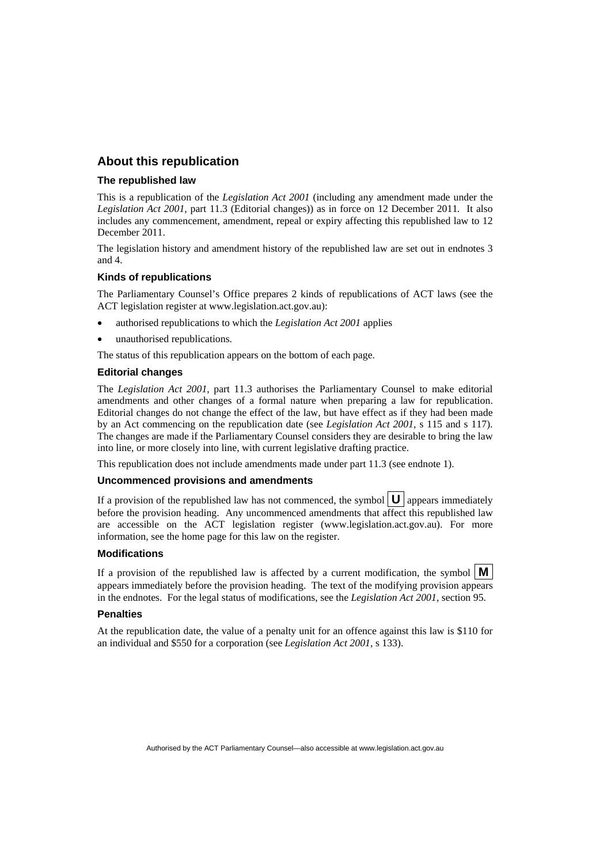## **About this republication**

#### **The republished law**

This is a republication of the *Legislation Act 2001* (including any amendment made under the *Legislation Act 2001*, part 11.3 (Editorial changes)) as in force on 12 December 2011*.* It also includes any commencement, amendment, repeal or expiry affecting this republished law to 12 December 2011.

The legislation history and amendment history of the republished law are set out in endnotes 3 and 4.

#### **Kinds of republications**

The Parliamentary Counsel's Office prepares 2 kinds of republications of ACT laws (see the ACT legislation register at www.legislation.act.gov.au):

- authorised republications to which the *Legislation Act 2001* applies
- unauthorised republications.

The status of this republication appears on the bottom of each page.

#### **Editorial changes**

The *Legislation Act 2001*, part 11.3 authorises the Parliamentary Counsel to make editorial amendments and other changes of a formal nature when preparing a law for republication. Editorial changes do not change the effect of the law, but have effect as if they had been made by an Act commencing on the republication date (see *Legislation Act 2001*, s 115 and s 117). The changes are made if the Parliamentary Counsel considers they are desirable to bring the law into line, or more closely into line, with current legislative drafting practice.

This republication does not include amendments made under part 11.3 (see endnote 1).

#### **Uncommenced provisions and amendments**

If a provision of the republished law has not commenced, the symbol  $\mathbf{U}$  appears immediately before the provision heading. Any uncommenced amendments that affect this republished law are accessible on the ACT legislation register (www.legislation.act.gov.au). For more information, see the home page for this law on the register.

#### **Modifications**

If a provision of the republished law is affected by a current modification, the symbol  $\mathbf{M}$ appears immediately before the provision heading. The text of the modifying provision appears in the endnotes. For the legal status of modifications, see the *Legislation Act 2001*, section 95.

#### **Penalties**

At the republication date, the value of a penalty unit for an offence against this law is \$110 for an individual and \$550 for a corporation (see *Legislation Act 2001*, s 133).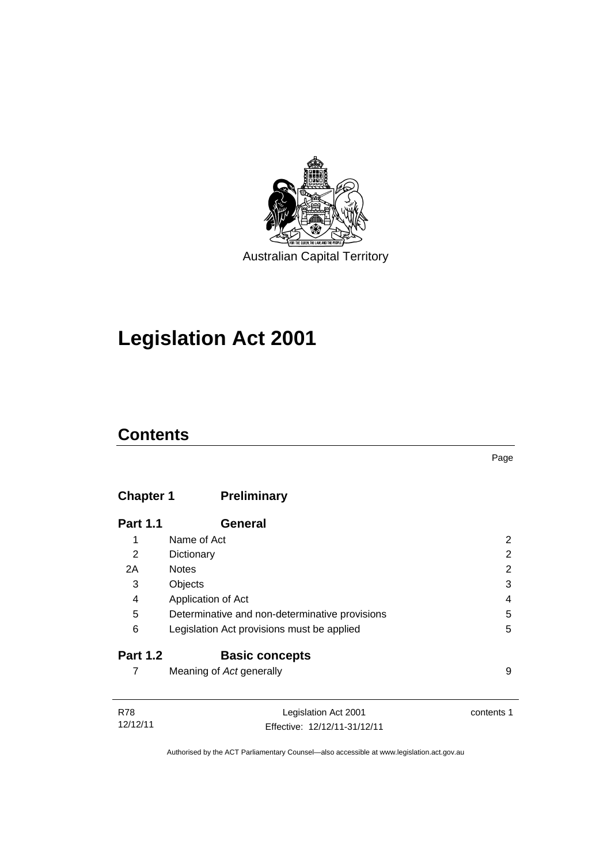

# **Legislation Act 2001**

## **Contents**

## **Chapter 1 [Preliminary](#page-17-0)**

| <b>Part 1.1</b> | <b>General</b>                                 |   |
|-----------------|------------------------------------------------|---|
| 1               | Name of Act                                    | 2 |
| 2               | Dictionary                                     | 2 |
| 2A              | <b>Notes</b>                                   | 2 |
| 3               | Objects                                        | 3 |
| 4               | Application of Act                             | 4 |
| 5               | Determinative and non-determinative provisions | 5 |
| 6               | Legislation Act provisions must be applied     | 5 |
| <b>Part 1.2</b> | <b>Basic concepts</b>                          |   |
|                 | Meaning of Act generally                       | 9 |

| R78      | Legislation Act 2001         | contents 1 |
|----------|------------------------------|------------|
| 12/12/11 | Effective: 12/12/11-31/12/11 |            |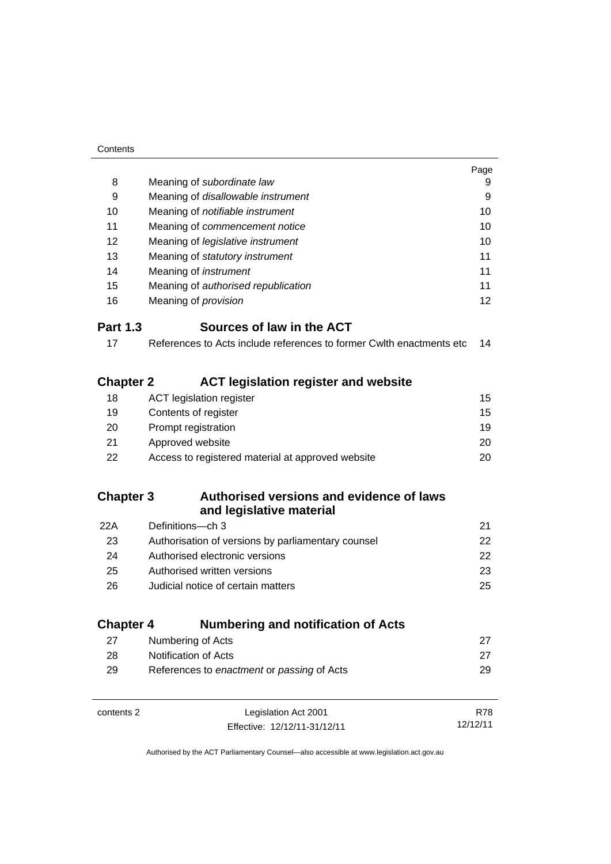| Contents         |                                                                      |          |
|------------------|----------------------------------------------------------------------|----------|
|                  |                                                                      | Page     |
| 8                | Meaning of subordinate law                                           | 9        |
| 9                | Meaning of disallowable instrument                                   | 9        |
| 10               | Meaning of notifiable instrument                                     | 10       |
| 11               | Meaning of commencement notice                                       | 10       |
| 12               | Meaning of legislative instrument                                    | 10       |
| 13               | Meaning of statutory instrument                                      | 11       |
| 14               | Meaning of <i>instrument</i>                                         | 11       |
| 15               | Meaning of authorised republication                                  | 11       |
| 16               | Meaning of <i>provision</i>                                          | 12       |
| <b>Part 1.3</b>  | Sources of law in the ACT                                            |          |
| 17               | References to Acts include references to former Cwlth enactments etc | 14       |
|                  |                                                                      |          |
| <b>Chapter 2</b> | <b>ACT legislation register and website</b>                          |          |
| 18               | <b>ACT</b> legislation register                                      | 15       |
| 19               | Contents of register                                                 | 15       |
| 20               | Prompt registration                                                  | 19       |
| 21               | Approved website                                                     | 20       |
| 22               | Access to registered material at approved website                    | 20       |
|                  |                                                                      |          |
| <b>Chapter 3</b> | Authorised versions and evidence of laws                             |          |
|                  | and legislative material                                             |          |
| 22A              | Definitions-ch 3                                                     | 21       |
| 23               | Authorisation of versions by parliamentary counsel                   | 22       |
| 24               | Authorised electronic versions                                       | 22       |
| 25               | Authorised written versions                                          | 23       |
| 26               | Judicial notice of certain matters                                   | 25       |
|                  |                                                                      |          |
| <b>Chapter 4</b> | <b>Numbering and notification of Acts</b>                            |          |
| 27               | Numbering of Acts                                                    | 27       |
| 28               | Notification of Acts                                                 | 27       |
| 29               | References to enactment or passing of Acts                           | 29       |
|                  |                                                                      |          |
| contents 2       | Legislation Act 2001                                                 | R78      |
|                  | Effective: 12/12/11-31/12/11                                         | 12/12/11 |
|                  |                                                                      |          |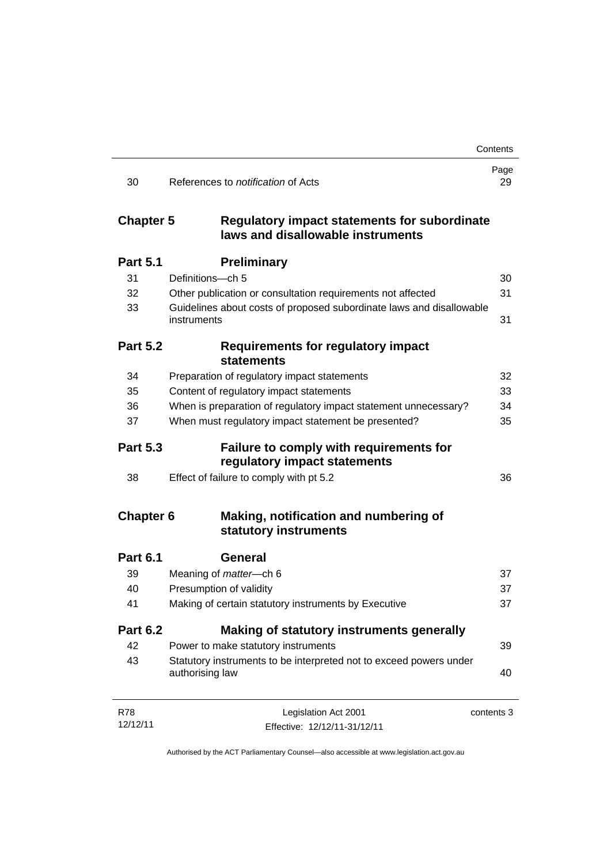|                  |                                                                                          | Contents   |
|------------------|------------------------------------------------------------------------------------------|------------|
| 30               | References to <i>notification</i> of Acts                                                | Page<br>29 |
| <b>Chapter 5</b> | <b>Regulatory impact statements for subordinate</b><br>laws and disallowable instruments |            |
| <b>Part 5.1</b>  | <b>Preliminary</b>                                                                       |            |
| 31               | Definitions-ch 5                                                                         | 30         |
| 32               | Other publication or consultation requirements not affected                              | 31         |
| 33               | Guidelines about costs of proposed subordinate laws and disallowable<br>instruments      | 31         |
| <b>Part 5.2</b>  | <b>Requirements for regulatory impact</b><br><b>statements</b>                           |            |
| 34               | Preparation of regulatory impact statements                                              | 32         |
| 35               | Content of regulatory impact statements                                                  | 33         |
| 36               | When is preparation of regulatory impact statement unnecessary?                          | 34         |
| 37               | When must regulatory impact statement be presented?                                      | 35         |
| <b>Part 5.3</b>  | <b>Failure to comply with requirements for</b><br>regulatory impact statements           |            |
| 38               | Effect of failure to comply with pt 5.2                                                  | 36         |
| <b>Chapter 6</b> | Making, notification and numbering of<br>statutory instruments                           |            |
| <b>Part 6.1</b>  | General                                                                                  |            |
| 39               | Meaning of matter-ch 6                                                                   | 37         |
| 40               | Presumption of validity                                                                  | 37         |
| 41               | Making of certain statutory instruments by Executive                                     | 37         |
| <b>Part 6.2</b>  | Making of statutory instruments generally                                                |            |
| 42               | Power to make statutory instruments                                                      | 39         |
| 43               | Statutory instruments to be interpreted not to exceed powers under<br>authorising law    | 40         |
| <b>R78</b>       | Legislation Act 2001                                                                     | contents 3 |
| 12/12/11         | Effective: 12/12/11-31/12/11                                                             |            |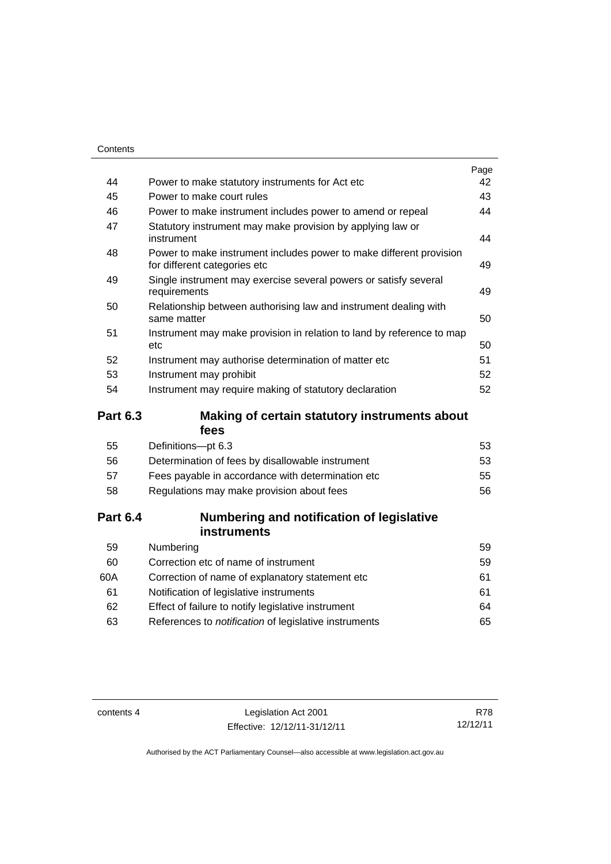| Contents        |                                                                                                     |      |
|-----------------|-----------------------------------------------------------------------------------------------------|------|
|                 |                                                                                                     | Page |
| 44              | Power to make statutory instruments for Act etc                                                     | 42   |
| 45              | Power to make court rules                                                                           | 43   |
| 46              | Power to make instrument includes power to amend or repeal                                          | 44   |
| 47              | Statutory instrument may make provision by applying law or<br>instrument                            | 44   |
| 48              | Power to make instrument includes power to make different provision<br>for different categories etc | 49   |
| 49              | Single instrument may exercise several powers or satisfy several<br>requirements                    | 49   |
| 50              | Relationship between authorising law and instrument dealing with<br>same matter                     | 50   |
| 51              | Instrument may make provision in relation to land by reference to map<br>etc                        | 50   |
| 52              | Instrument may authorise determination of matter etc                                                | 51   |
| 53              | Instrument may prohibit                                                                             | 52   |
| 54              | Instrument may require making of statutory declaration                                              | 52   |
| <b>Part 6.3</b> | Making of certain statutory instruments about                                                       |      |
|                 | fees                                                                                                |      |
| 55              | Definitions-pt 6.3                                                                                  | 53   |
| 56              | Determination of fees by disallowable instrument                                                    | 53   |
| 57              | Fees payable in accordance with determination etc                                                   | 55   |
| 58              | Regulations may make provision about fees                                                           | 56   |
| <b>Part 6.4</b> | Numbering and notification of legislative<br><b>instruments</b>                                     |      |

| Numbering                                             | 59 |
|-------------------------------------------------------|----|
| Correction etc of name of instrument                  | 59 |
| Correction of name of explanatory statement etc.      | 61 |
| Notification of legislative instruments               | 61 |
| Effect of failure to notify legislative instrument    | 64 |
| References to notification of legislative instruments | 65 |
|                                                       |    |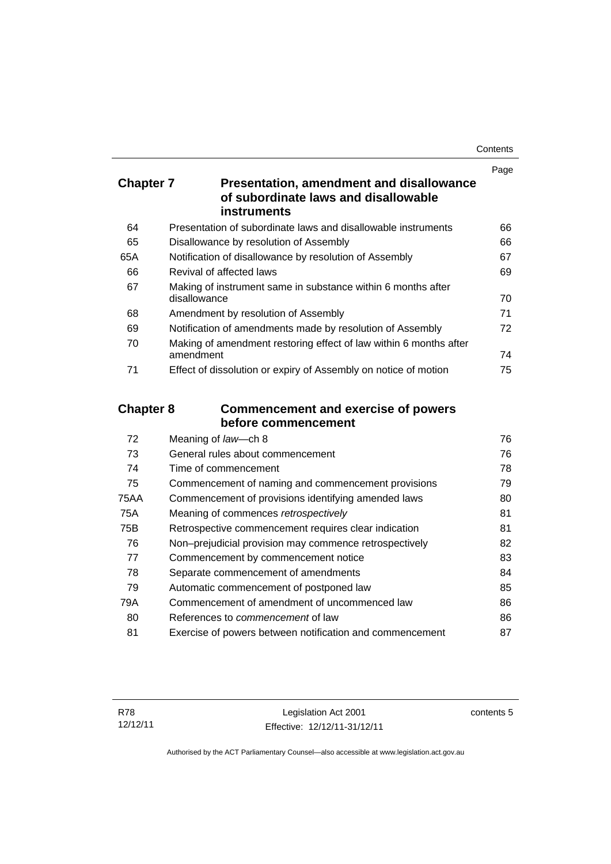| Contents |
|----------|
|----------|

|                  |                                                                                                        | Page |
|------------------|--------------------------------------------------------------------------------------------------------|------|
| <b>Chapter 7</b> | Presentation, amendment and disallowance<br>of subordinate laws and disallowable<br><b>instruments</b> |      |
| 64               | Presentation of subordinate laws and disallowable instruments                                          | 66   |
| 65               | Disallowance by resolution of Assembly                                                                 | 66   |
| 65A              | Notification of disallowance by resolution of Assembly                                                 | 67   |
| 66               | Revival of affected laws                                                                               | 69   |
| 67               | Making of instrument same in substance within 6 months after<br>disallowance                           | 70   |
| 68               | Amendment by resolution of Assembly                                                                    | 71   |
| 69               | Notification of amendments made by resolution of Assembly                                              | 72   |
| 70               | Making of amendment restoring effect of law within 6 months after<br>amendment                         | 74   |
| 71               | Effect of dissolution or expiry of Assembly on notice of motion                                        | 75   |
| <b>Chapter 8</b> | <b>Commencement and exercise of powers</b>                                                             |      |
|                  | before commencement                                                                                    |      |
| 72               | Meaning of law-ch 8                                                                                    | 76   |
| 73               | General rules about commencement                                                                       | 76   |
| 74               | Time of commencement                                                                                   | 78   |
| 75               | Commencement of naming and commencement provisions                                                     | 79   |
| <b>75AA</b>      | Commencement of provisions identifying amended laws                                                    | 80   |
| 75A              | Meaning of commences retrospectively                                                                   | 81   |
| 75B              | Retrospective commencement requires clear indication                                                   | 81   |
| 76               | Non-prejudicial provision may commence retrospectively                                                 | 82   |
| 77               | Commencement by commencement notice                                                                    | 83   |
| 78               | Separate commencement of amendments                                                                    | 84   |
| 79               | Automatic commencement of postponed law                                                                | 85   |

80 References to *commencement* [of law 86](#page-101-1) 81 [Exercise of powers between notification and commencement 87](#page-102-0)

79A [Commencement of amendment of uncommenced law 86](#page-101-0)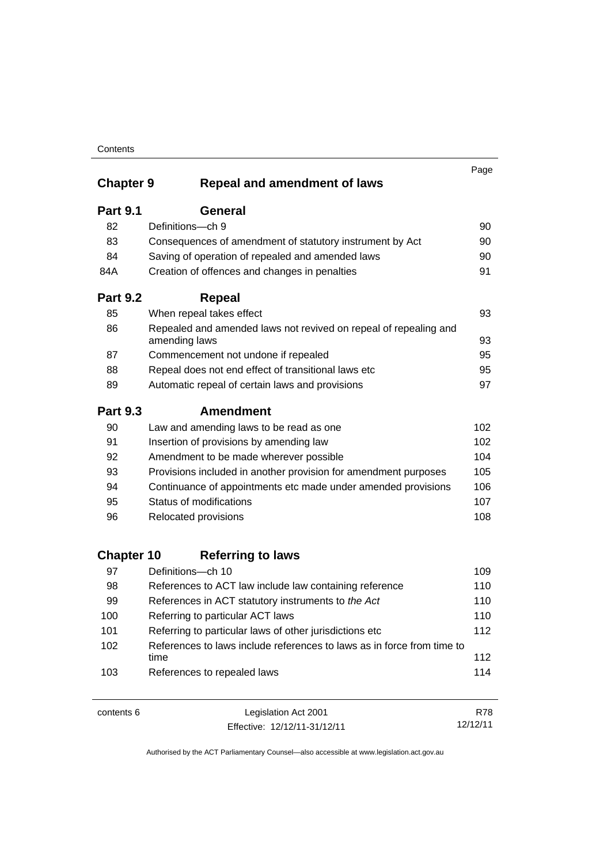|                         |                                                                                                                                   | Page       |
|-------------------------|-----------------------------------------------------------------------------------------------------------------------------------|------------|
| <b>Chapter 9</b>        | <b>Repeal and amendment of laws</b>                                                                                               |            |
| <b>Part 9.1</b>         | <b>General</b>                                                                                                                    |            |
| 82                      | Definitions-ch 9                                                                                                                  | 90         |
| 83                      | Consequences of amendment of statutory instrument by Act                                                                          | 90         |
| 84                      | Saving of operation of repealed and amended laws                                                                                  | 90         |
| 84A                     | Creation of offences and changes in penalties                                                                                     | 91         |
| <b>Part 9.2</b>         | <b>Repeal</b>                                                                                                                     |            |
| 85                      | When repeal takes effect                                                                                                          | 93         |
| 86                      | Repealed and amended laws not revived on repeal of repealing and<br>amending laws                                                 | 93         |
| 87                      | Commencement not undone if repealed                                                                                               | 95         |
| 88                      | Repeal does not end effect of transitional laws etc                                                                               | 95         |
| 89                      | Automatic repeal of certain laws and provisions                                                                                   | 97         |
| <b>Part 9.3</b>         | Amendment                                                                                                                         |            |
| 90                      | Law and amending laws to be read as one                                                                                           | 102        |
| 91                      | Insertion of provisions by amending law                                                                                           | 102        |
| 92                      | Amendment to be made wherever possible                                                                                            | 104        |
| 93                      | Provisions included in another provision for amendment purposes                                                                   | 105        |
| 94                      | Continuance of appointments etc made under amended provisions                                                                     | 106        |
| 95                      | Status of modifications                                                                                                           | 107        |
| 96                      | Relocated provisions                                                                                                              | 108        |
|                         |                                                                                                                                   |            |
| <b>Chapter 10</b><br>97 | <b>Referring to laws</b>                                                                                                          |            |
|                         | Definitions-ch 10                                                                                                                 | 109        |
| 98                      | References to ACT law include law containing reference                                                                            | 110<br>110 |
| 99<br>100               | References in ACT statutory instruments to the Act                                                                                | 110        |
| 101                     | Referring to particular ACT laws                                                                                                  | 112        |
| 102                     | Referring to particular laws of other jurisdictions etc<br>References to laws include references to laws as in force from time to |            |
|                         | time                                                                                                                              | 112        |
| 103                     | References to repealed laws                                                                                                       | 114        |

| contents 6 | Legislation Act 2001         | R78      |
|------------|------------------------------|----------|
|            | Effective: 12/12/11-31/12/11 | 12/12/11 |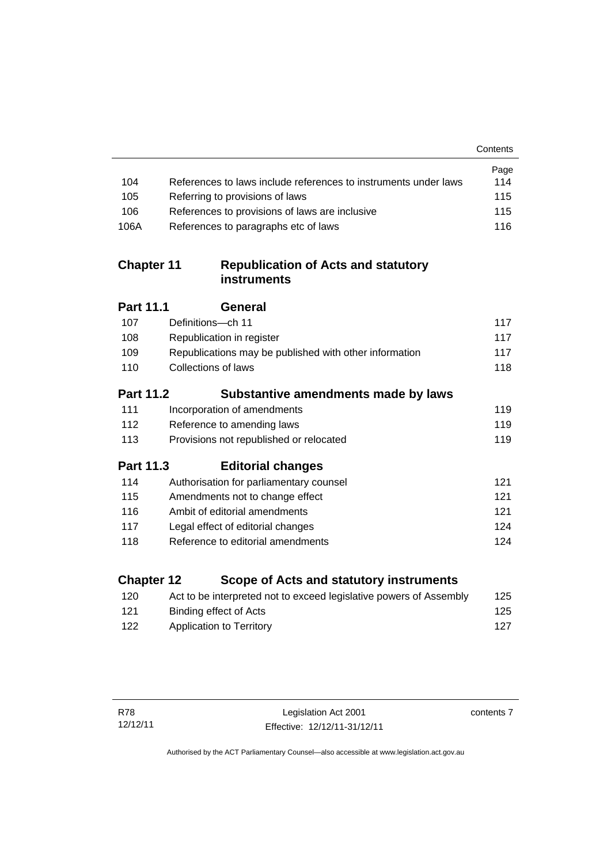|                   |                                                                    | Contents |
|-------------------|--------------------------------------------------------------------|----------|
|                   |                                                                    | Page     |
| 104               | References to laws include references to instruments under laws    | 114      |
| 105               | Referring to provisions of laws                                    | 115      |
| 106               | References to provisions of laws are inclusive                     | 115      |
| 106A              | References to paragraphs etc of laws                               | 116      |
| <b>Chapter 11</b> | <b>Republication of Acts and statutory</b><br>instruments          |          |
| <b>Part 11.1</b>  | General                                                            |          |
| 107               | Definitions-ch 11                                                  | 117      |
| 108               | Republication in register                                          | 117      |
| 109               | Republications may be published with other information             | 117      |
| 110               | Collections of laws                                                | 118      |
| <b>Part 11.2</b>  | Substantive amendments made by laws                                |          |
| 111               | Incorporation of amendments                                        | 119      |
| 112               | Reference to amending laws                                         | 119      |
| 113               | Provisions not republished or relocated                            | 119      |
| Part 11.3         | <b>Editorial changes</b>                                           |          |
| 114               | Authorisation for parliamentary counsel                            | 121      |
| 115               | Amendments not to change effect                                    | 121      |
| 116               | Ambit of editorial amendments                                      | 121      |
| 117               | Legal effect of editorial changes                                  | 124      |
| 118               | Reference to editorial amendments                                  | 124      |
| <b>Chapter 12</b> | Scope of Acts and statutory instruments                            |          |
| 120               | Act to be interpreted not to exceed legislative powers of Assembly | 125      |

121 Binding effect of Acts 122 Application to Territory **127** 

contents 7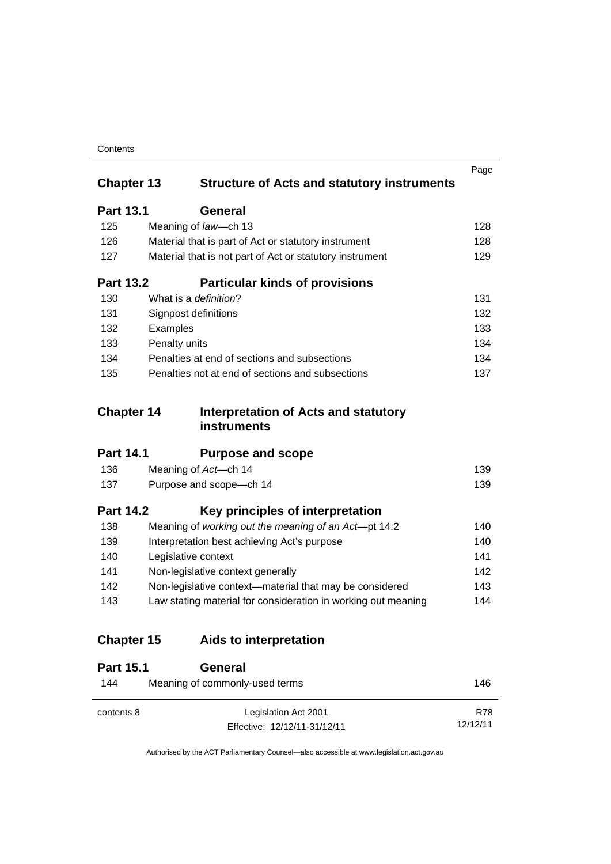| Contents |
|----------|
|----------|

| <b>Chapter 13</b> |               | <b>Structure of Acts and statutory instruments</b>            | Page |
|-------------------|---------------|---------------------------------------------------------------|------|
| <b>Part 13.1</b>  |               | General                                                       |      |
| 125               |               | Meaning of law-ch 13                                          | 128  |
| 126               |               | Material that is part of Act or statutory instrument          | 128  |
| 127               |               | Material that is not part of Act or statutory instrument      | 129  |
| <b>Part 13.2</b>  |               | <b>Particular kinds of provisions</b>                         |      |
| 130               |               | What is a <i>definition</i> ?                                 | 131  |
| 131               |               | Signpost definitions                                          | 132  |
| 132               | Examples      |                                                               | 133  |
| 133               | Penalty units |                                                               | 134  |
| 134               |               | Penalties at end of sections and subsections                  | 134  |
| 135               |               | Penalties not at end of sections and subsections              | 137  |
| <b>Chapter 14</b> |               | Interpretation of Acts and statutory<br><b>instruments</b>    |      |
| <b>Part 14.1</b>  |               | <b>Purpose and scope</b>                                      |      |
| 136               |               | Meaning of Act-ch 14                                          | 139  |
| 137               |               | Purpose and scope-ch 14                                       | 139  |
| <b>Part 14.2</b>  |               | Key principles of interpretation                              |      |
| 138               |               | Meaning of working out the meaning of an Act-pt 14.2          | 140  |
| 139               |               | Interpretation best achieving Act's purpose                   | 140  |
| 140               |               | Legislative context                                           | 141  |
| 141               |               | Non-legislative context generally                             | 142  |
| 142               |               | Non-legislative context-material that may be considered       | 143  |
| 143               |               | Law stating material for consideration in working out meaning | 144  |
| <b>Chapter 15</b> |               | Aids to interpretation                                        |      |
| <b>Part 15.1</b>  |               | <b>General</b>                                                |      |
| 144               |               | Meaning of commonly-used terms                                | 146  |

R78 12/12/11

Effective: 12/12/11-31/12/11

contents 8 Legislation Act 2001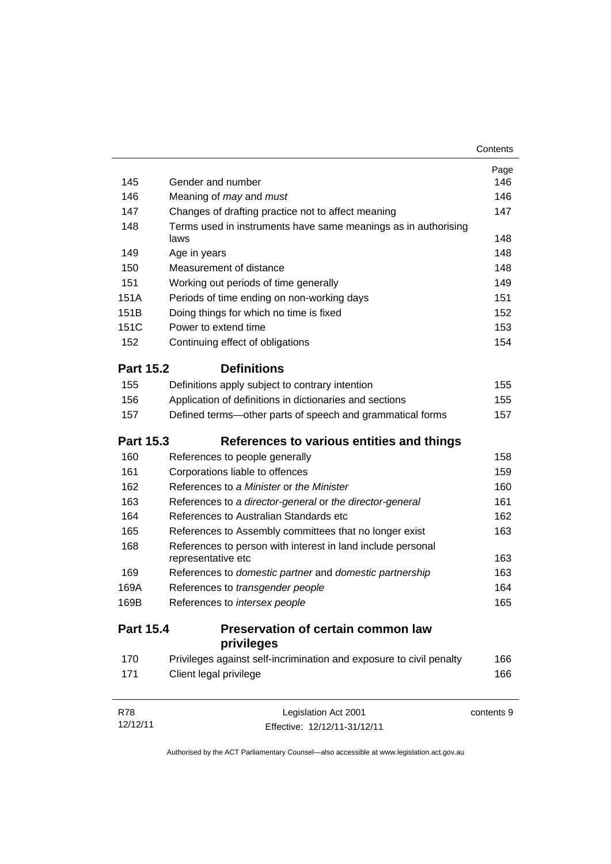|                  |                                                                        | Contents   |
|------------------|------------------------------------------------------------------------|------------|
|                  |                                                                        | Page       |
| 145              | Gender and number                                                      | 146        |
| 146              | Meaning of may and must                                                | 146        |
| 147              | Changes of drafting practice not to affect meaning                     | 147        |
| 148              | Terms used in instruments have same meanings as in authorising<br>laws | 148        |
| 149              | Age in years                                                           | 148        |
| 150              | Measurement of distance                                                | 148        |
| 151              | Working out periods of time generally                                  | 149        |
| 151A             | Periods of time ending on non-working days                             | 151        |
| 151B             | Doing things for which no time is fixed                                | 152        |
| 151C             | Power to extend time                                                   | 153        |
| 152              | Continuing effect of obligations                                       | 154        |
| <b>Part 15.2</b> | <b>Definitions</b>                                                     |            |
| 155              | Definitions apply subject to contrary intention                        | 155        |
| 156              | Application of definitions in dictionaries and sections                | 155        |
| 157              | Defined terms—other parts of speech and grammatical forms              | 157        |
| <b>Part 15.3</b> | References to various entities and things                              |            |
| 160              | References to people generally                                         | 158        |
| 161              | Corporations liable to offences                                        | 159        |
| 162              | References to a Minister or the Minister                               | 160        |
| 163              | References to a director-general or the director-general               | 161        |
| 164              | References to Australian Standards etc                                 | 162        |
| 165              | References to Assembly committees that no longer exist                 | 163        |
| 168              | References to person with interest in land include personal            |            |
|                  | representative etc                                                     | 163        |
| 169              | References to domestic partner and domestic partnership                | 163        |
| 169A             | References to transgender people                                       | 164        |
| 169B             | References to intersex people                                          | 165        |
| <b>Part 15.4</b> | Preservation of certain common law<br>privileges                       |            |
| 170              | Privileges against self-incrimination and exposure to civil penalty    | 166        |
| 171              | Client legal privilege                                                 | 166        |
| <b>R78</b>       | Legislation Act 2001                                                   | contents 9 |

Effective: 12/12/11-31/12/11

12/12/11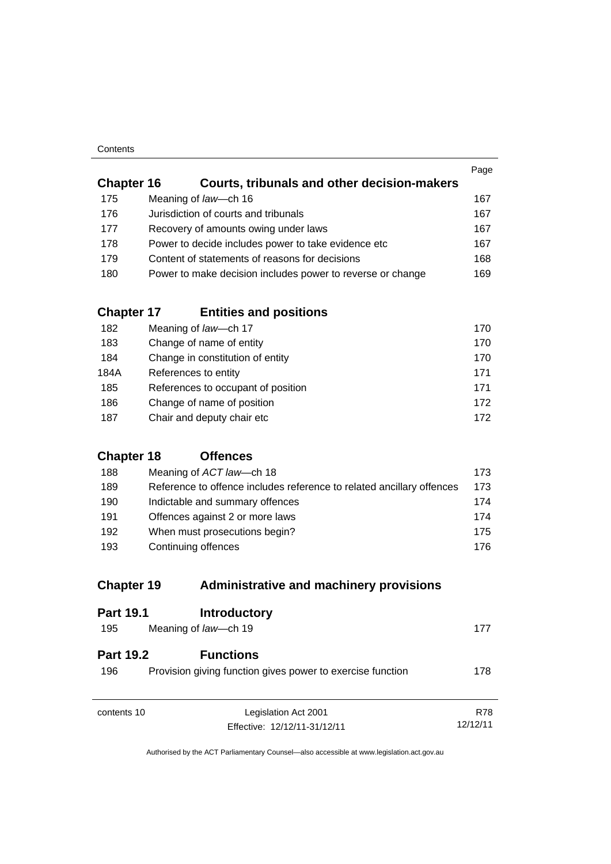| Contents |
|----------|
|----------|

| <b>Chapter 16</b> | <b>Courts, tribunals and other decision-makers</b>         | Page |
|-------------------|------------------------------------------------------------|------|
| 175               | Meaning of law—ch 16                                       | 167  |
| 176               | Jurisdiction of courts and tribunals                       | 167  |
| 177               | Recovery of amounts owing under laws                       | 167  |
| 178               | Power to decide includes power to take evidence etc        | 167  |
| 179               | Content of statements of reasons for decisions             | 168  |
| 180               | Power to make decision includes power to reverse or change | 169  |
|                   |                                                            |      |

## **Chapter 17 [Entities and positions](#page-185-0)**

| 182  | Meaning of law-ch 17               | 170 |
|------|------------------------------------|-----|
| 183  | Change of name of entity           | 170 |
| 184  | Change in constitution of entity   | 170 |
| 184A | References to entity               | 171 |
| 185  | References to occupant of position | 171 |
| 186  | Change of name of position         | 172 |
| 187  | Chair and deputy chair etc         | 172 |

## **[Chapter 18](#page-188-0) Offences**

| 188 | Meaning of ACT law—ch 18                                              | 173  |
|-----|-----------------------------------------------------------------------|------|
| 189 | Reference to offence includes reference to related ancillary offences | 173  |
| 190 | Indictable and summary offences                                       | 174  |
| 191 | Offences against 2 or more laws                                       | 174  |
| 192 | When must prosecutions begin?                                         | 175  |
| 193 | Continuing offences                                                   | 176. |

## **Chapter 19 [Administrative and machinery provisions](#page-192-0)**

| <b>Part 19.1</b>        | <b>Introductory</b>                                                            |                        |
|-------------------------|--------------------------------------------------------------------------------|------------------------|
| 195                     | Meaning of law-ch 19                                                           | 177                    |
| <b>Part 19.2</b><br>196 | <b>Functions</b><br>Provision giving function gives power to exercise function | 178                    |
| contents 10             | Legislation Act 2001<br>Effective: 12/12/11-31/12/11                           | <b>R78</b><br>12/12/11 |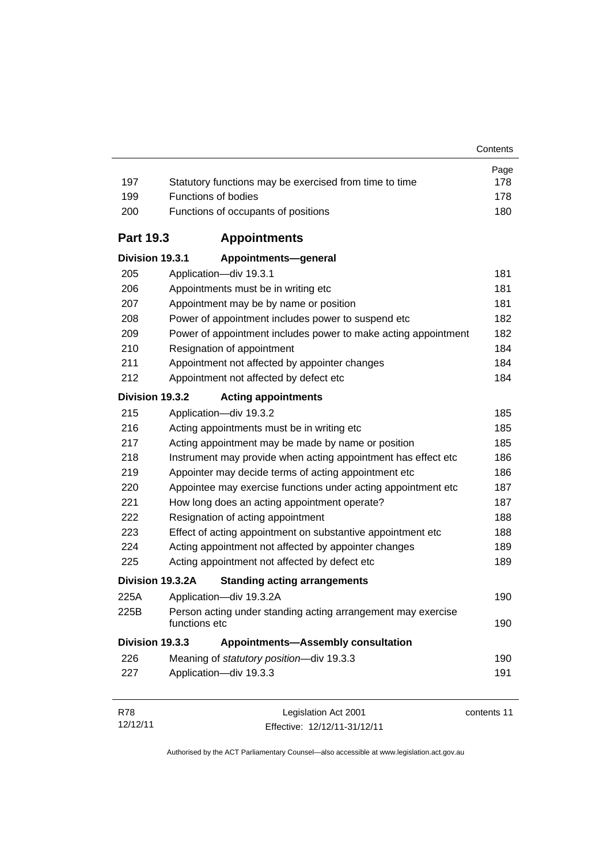| 197              | Statutory functions may be exercised from time to time                        | Page<br>178 |
|------------------|-------------------------------------------------------------------------------|-------------|
| 199              | <b>Functions of bodies</b>                                                    | 178         |
| 200              | Functions of occupants of positions                                           | 180         |
| <b>Part 19.3</b> | <b>Appointments</b>                                                           |             |
| Division 19.3.1  | Appointments-general                                                          |             |
| 205              | Application-div 19.3.1                                                        | 181         |
| 206              | Appointments must be in writing etc                                           | 181         |
| 207              | Appointment may be by name or position                                        | 181         |
| 208              | Power of appointment includes power to suspend etc                            | 182         |
| 209              | Power of appointment includes power to make acting appointment                | 182         |
| 210              | Resignation of appointment                                                    | 184         |
| 211              | Appointment not affected by appointer changes                                 | 184         |
| 212              | Appointment not affected by defect etc                                        | 184         |
| Division 19.3.2  | <b>Acting appointments</b>                                                    |             |
| 215              | Application-div 19.3.2                                                        | 185         |
| 216              | Acting appointments must be in writing etc                                    | 185         |
| 217              | Acting appointment may be made by name or position                            | 185         |
| 218              | Instrument may provide when acting appointment has effect etc                 | 186         |
| 219              | Appointer may decide terms of acting appointment etc                          | 186         |
| 220              | Appointee may exercise functions under acting appointment etc                 | 187         |
| 221              | How long does an acting appointment operate?                                  | 187         |
| 222              | Resignation of acting appointment                                             | 188         |
| 223              | Effect of acting appointment on substantive appointment etc                   | 188         |
| 224              | Acting appointment not affected by appointer changes                          | 189         |
| 225              | Acting appointment not affected by defect etc                                 | 189         |
|                  | Division 19.3.2A<br><b>Standing acting arrangements</b>                       |             |
| 225A             | Application-div 19.3.2A                                                       | 190         |
| 225B             | Person acting under standing acting arrangement may exercise<br>functions etc | 190         |
| Division 19.3.3  | <b>Appointments-Assembly consultation</b>                                     |             |
| 226              | Meaning of statutory position-div 19.3.3                                      | 190         |
| 227              | Application-div 19.3.3                                                        | 191         |
| R78              | Legislation Act 2001                                                          | contents 11 |

12/12/11 Effective: 12/12/11-31/12/11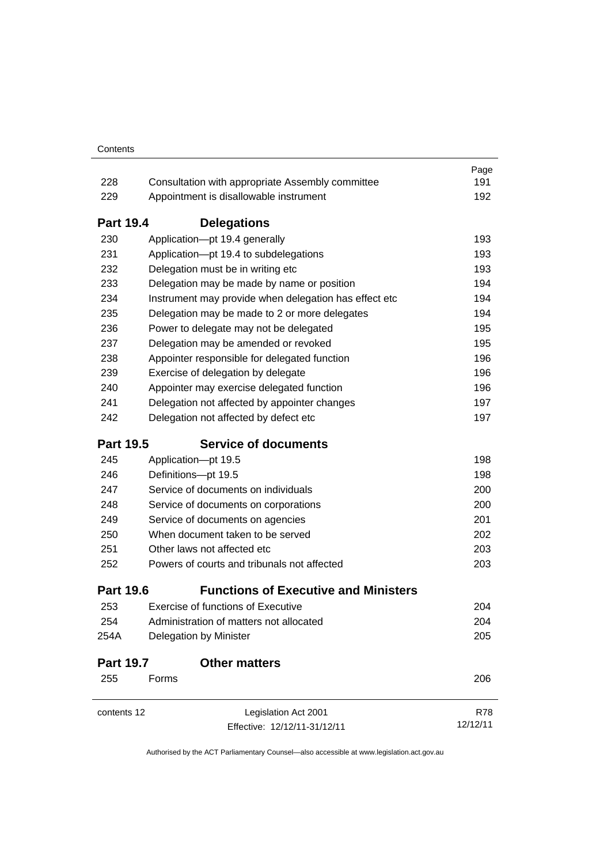|                  |                                                       | Page       |
|------------------|-------------------------------------------------------|------------|
| 228              | Consultation with appropriate Assembly committee      | 191        |
| 229              | Appointment is disallowable instrument                | 192        |
| <b>Part 19.4</b> | <b>Delegations</b>                                    |            |
| 230              | Application-pt 19.4 generally                         | 193        |
| 231              | Application-pt 19.4 to subdelegations                 | 193        |
| 232              | Delegation must be in writing etc                     | 193        |
| 233              | Delegation may be made by name or position            | 194        |
| 234              | Instrument may provide when delegation has effect etc | 194        |
| 235              | Delegation may be made to 2 or more delegates         | 194        |
| 236              | Power to delegate may not be delegated                | 195        |
| 237              | Delegation may be amended or revoked                  | 195        |
| 238              | Appointer responsible for delegated function          | 196        |
| 239              | Exercise of delegation by delegate                    | 196        |
| 240              | Appointer may exercise delegated function             | 196        |
| 241              | Delegation not affected by appointer changes          | 197        |
| 242              | Delegation not affected by defect etc                 | 197        |
| <b>Part 19.5</b> | <b>Service of documents</b>                           |            |
| 245              | Application-pt 19.5                                   | 198        |
| 246              | Definitions-pt 19.5                                   | 198        |
| 247              | Service of documents on individuals                   | 200        |
| 248              | Service of documents on corporations                  | 200        |
| 249              | Service of documents on agencies                      | 201        |
| 250              | When document taken to be served                      | 202        |
| 251              | Other laws not affected etc                           | 203        |
| 252              | Powers of courts and tribunals not affected           | 203        |
| <b>Part 19.6</b> | <b>Functions of Executive and Ministers</b>           |            |
| 253              | <b>Exercise of functions of Executive</b>             | 204        |
| 254              | Administration of matters not allocated               | 204        |
| 254A             | Delegation by Minister                                | 205        |
| <b>Part 19.7</b> | <b>Other matters</b>                                  |            |
| 255              | Forms                                                 | 206        |
| contents 12      | Legislation Act 2001                                  | <b>R78</b> |
|                  | Effective: 12/12/11-31/12/11                          | 12/12/11   |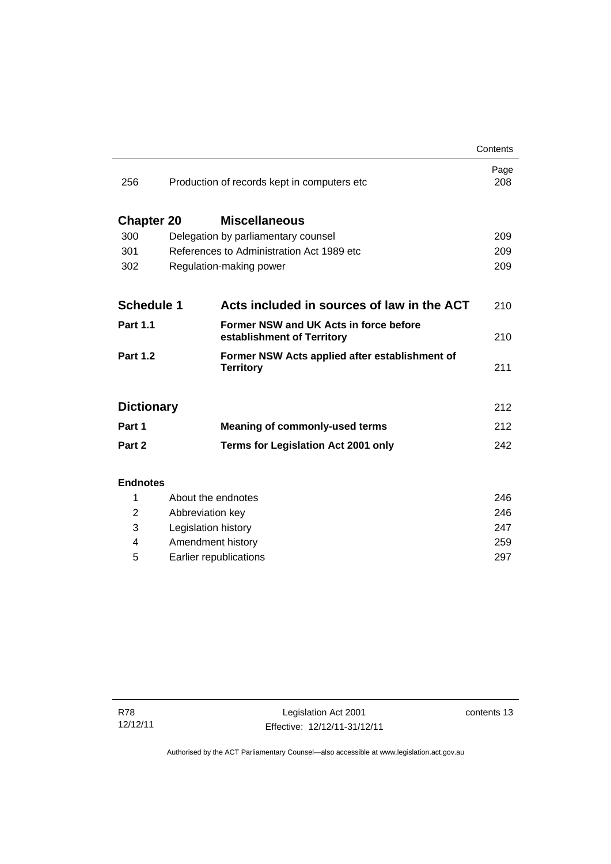|                   |                                              |                                                                      | Contents    |
|-------------------|----------------------------------------------|----------------------------------------------------------------------|-------------|
| 256               | Production of records kept in computers etc. |                                                                      | Page<br>208 |
| <b>Chapter 20</b> |                                              | <b>Miscellaneous</b>                                                 |             |
| 300               | Delegation by parliamentary counsel          |                                                                      | 209         |
| 301               | References to Administration Act 1989 etc.   |                                                                      | 209         |
| 302               | Regulation-making power                      |                                                                      | 209         |
|                   |                                              |                                                                      |             |
| <b>Schedule 1</b> |                                              | Acts included in sources of law in the ACT                           | 210         |
| <b>Part 1.1</b>   |                                              | Former NSW and UK Acts in force before<br>establishment of Territory | 210         |
| <b>Part 1.2</b>   |                                              | Former NSW Acts applied after establishment of<br><b>Territory</b>   | 211         |
| <b>Dictionary</b> |                                              |                                                                      | 212         |
| Part 1            |                                              | <b>Meaning of commonly-used terms</b>                                | 212         |
| Part 2            |                                              | <b>Terms for Legislation Act 2001 only</b>                           | 242         |
| <b>Endnotes</b>   |                                              |                                                                      |             |
| 1                 | About the endnotes                           |                                                                      | 246         |
| 2                 | Abbreviation key                             |                                                                      | 246         |
| 3                 | Legislation history                          |                                                                      | 247         |
| 4                 | Amendment history                            |                                                                      | 259         |

5 [Earlier republications 297](#page-312-0)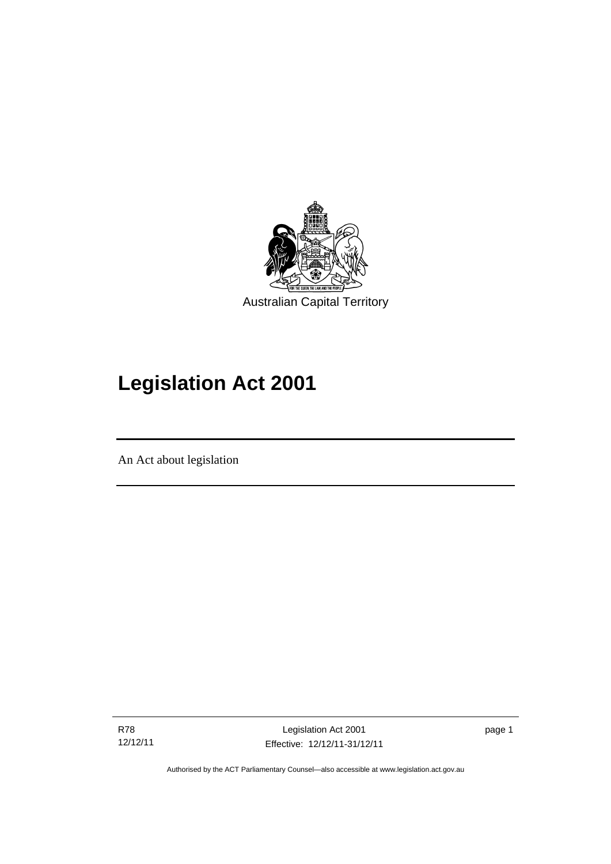

# **Legislation Act 2001**

An Act about legislation

R78 12/12/11

Ī

Legislation Act 2001 Effective: 12/12/11-31/12/11 page 1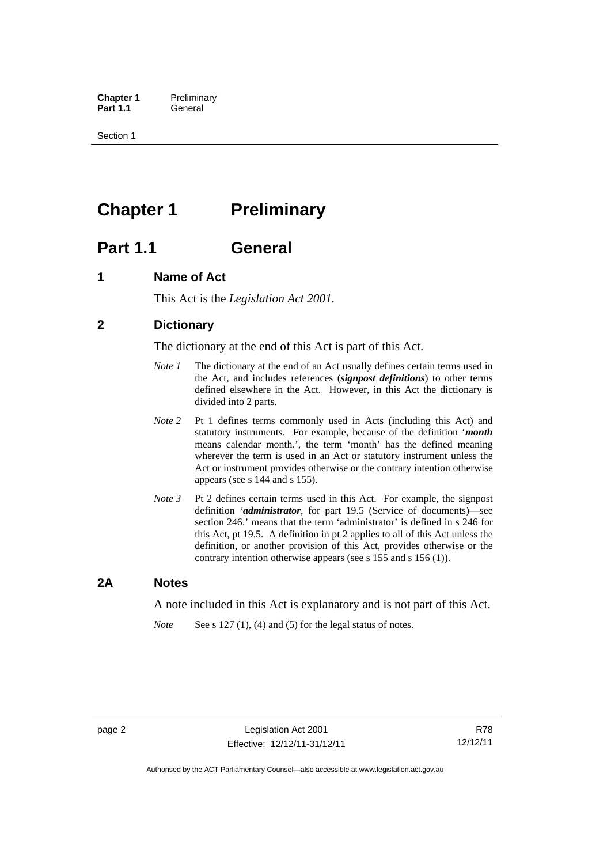**Chapter 1** Preliminary<br>**Part 1.1** General General

Section 1

## <span id="page-17-0"></span>**Chapter 1** Preliminary

## <span id="page-17-1"></span>**Part 1.1 General**

## <span id="page-17-2"></span>**1 Name of Act**

This Act is the *Legislation Act 2001.* 

## <span id="page-17-3"></span>**2 Dictionary**

The dictionary at the end of this Act is part of this Act.

- *Note 1* The dictionary at the end of an Act usually defines certain terms used in the Act, and includes references (*signpost definitions*) to other terms defined elsewhere in the Act. However, in this Act the dictionary is divided into 2 parts.
- *Note 2* Pt 1 defines terms commonly used in Acts (including this Act) and statutory instruments. For example, because of the definition '*month* means calendar month.', the term 'month' has the defined meaning wherever the term is used in an Act or statutory instrument unless the Act or instrument provides otherwise or the contrary intention otherwise appears (see s 144 and s 155).
- *Note 3* Pt 2 defines certain terms used in this Act. For example, the signpost definition '*administrator*, for part 19.5 (Service of documents)—see section 246.' means that the term 'administrator' is defined in s 246 for this Act, pt 19.5. A definition in pt 2 applies to all of this Act unless the definition, or another provision of this Act, provides otherwise or the contrary intention otherwise appears (see s 155 and s 156 (1)).

### <span id="page-17-4"></span>**2A Notes**

A note included in this Act is explanatory and is not part of this Act.

*Note* See s 127 (1), (4) and (5) for the legal status of notes.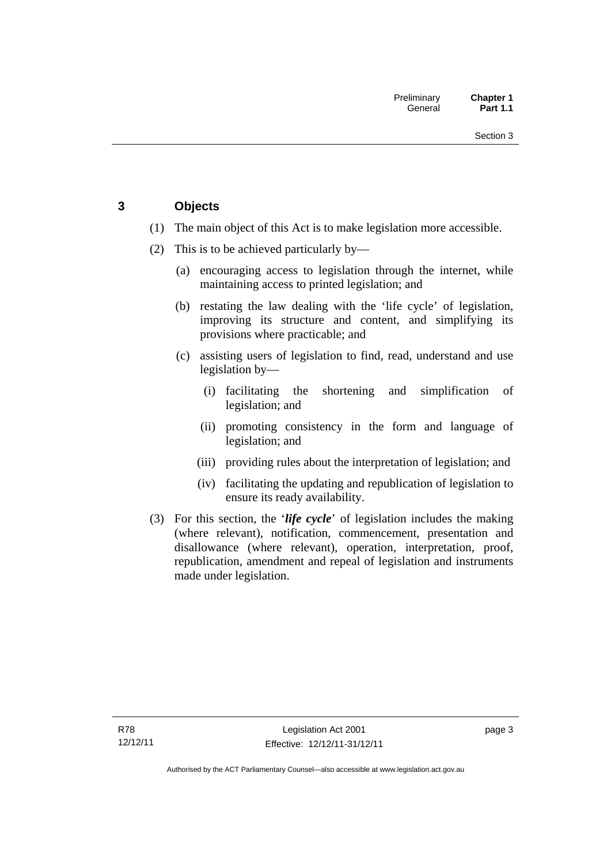## <span id="page-18-0"></span>**3 Objects**

- (1) The main object of this Act is to make legislation more accessible.
- (2) This is to be achieved particularly by—
	- (a) encouraging access to legislation through the internet, while maintaining access to printed legislation; and
	- (b) restating the law dealing with the 'life cycle' of legislation, improving its structure and content, and simplifying its provisions where practicable; and
	- (c) assisting users of legislation to find, read, understand and use legislation by—
		- (i) facilitating the shortening and simplification of legislation; and
		- (ii) promoting consistency in the form and language of legislation; and
		- (iii) providing rules about the interpretation of legislation; and
		- (iv) facilitating the updating and republication of legislation to ensure its ready availability.
- (3) For this section, the '*life cycle*' of legislation includes the making (where relevant), notification, commencement, presentation and disallowance (where relevant), operation, interpretation, proof, republication, amendment and repeal of legislation and instruments made under legislation.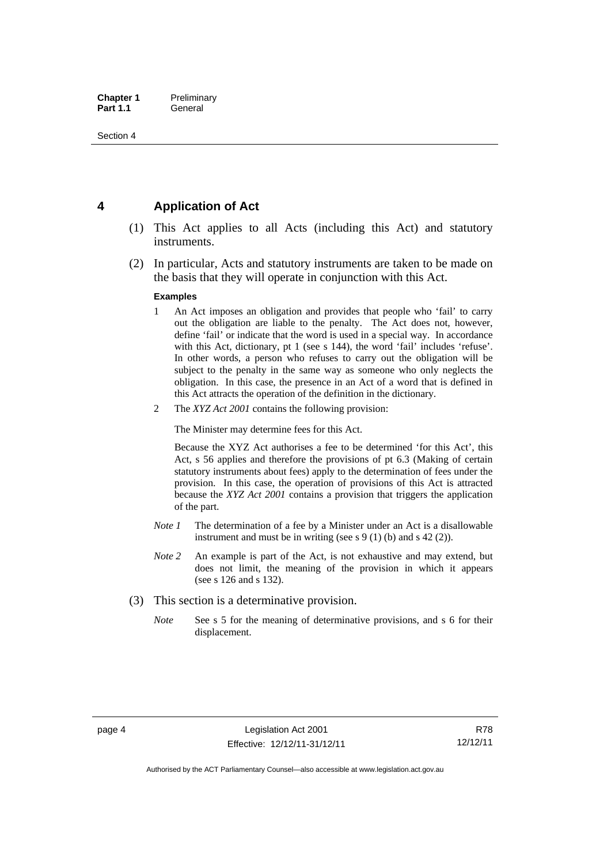## <span id="page-19-0"></span>**4 Application of Act**

- (1) This Act applies to all Acts (including this Act) and statutory instruments.
- (2) In particular, Acts and statutory instruments are taken to be made on the basis that they will operate in conjunction with this Act.

#### **Examples**

- 1 An Act imposes an obligation and provides that people who 'fail' to carry out the obligation are liable to the penalty. The Act does not, however, define 'fail' or indicate that the word is used in a special way. In accordance with this Act, dictionary, pt 1 (see s 144), the word 'fail' includes 'refuse'. In other words, a person who refuses to carry out the obligation will be subject to the penalty in the same way as someone who only neglects the obligation. In this case, the presence in an Act of a word that is defined in this Act attracts the operation of the definition in the dictionary.
- 2 The *XYZ Act 2001* contains the following provision:

The Minister may determine fees for this Act.

Because the XYZ Act authorises a fee to be determined 'for this Act', this Act, s 56 applies and therefore the provisions of pt 6.3 (Making of certain statutory instruments about fees) apply to the determination of fees under the provision. In this case, the operation of provisions of this Act is attracted because the *XYZ Act 2001* contains a provision that triggers the application of the part.

- *Note 1* The determination of a fee by a Minister under an Act is a disallowable instrument and must be in writing (see s 9 (1) (b) and s 42 (2)).
- *Note 2* An example is part of the Act, is not exhaustive and may extend, but does not limit, the meaning of the provision in which it appears (see s 126 and s 132).
- (3) This section is a determinative provision.
	- *Note* See s 5 for the meaning of determinative provisions, and s 6 for their displacement.

R78 12/12/11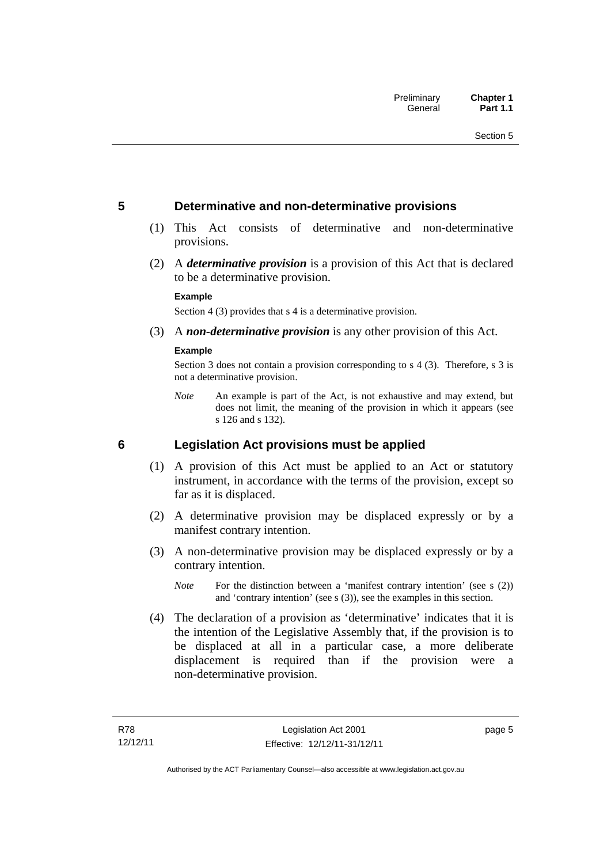### <span id="page-20-0"></span>**5 Determinative and non-determinative provisions**

- (1) This Act consists of determinative and non-determinative provisions.
- (2) A *determinative provision* is a provision of this Act that is declared to be a determinative provision.

#### **Example**

Section 4 (3) provides that s 4 is a determinative provision.

(3) A *non-determinative provision* is any other provision of this Act.

#### **Example**

Section 3 does not contain a provision corresponding to s 4 (3). Therefore, s 3 is not a determinative provision.

*Note* An example is part of the Act, is not exhaustive and may extend, but does not limit, the meaning of the provision in which it appears (see s 126 and s 132).

### <span id="page-20-1"></span>**6 Legislation Act provisions must be applied**

- (1) A provision of this Act must be applied to an Act or statutory instrument, in accordance with the terms of the provision, except so far as it is displaced.
- (2) A determinative provision may be displaced expressly or by a manifest contrary intention.
- (3) A non-determinative provision may be displaced expressly or by a contrary intention.
	- *Note* For the distinction between a 'manifest contrary intention' (see s (2)) and 'contrary intention' (see s (3)), see the examples in this section.
- (4) The declaration of a provision as 'determinative' indicates that it is the intention of the Legislative Assembly that, if the provision is to be displaced at all in a particular case, a more deliberate displacement is required than if the provision were a non-determinative provision.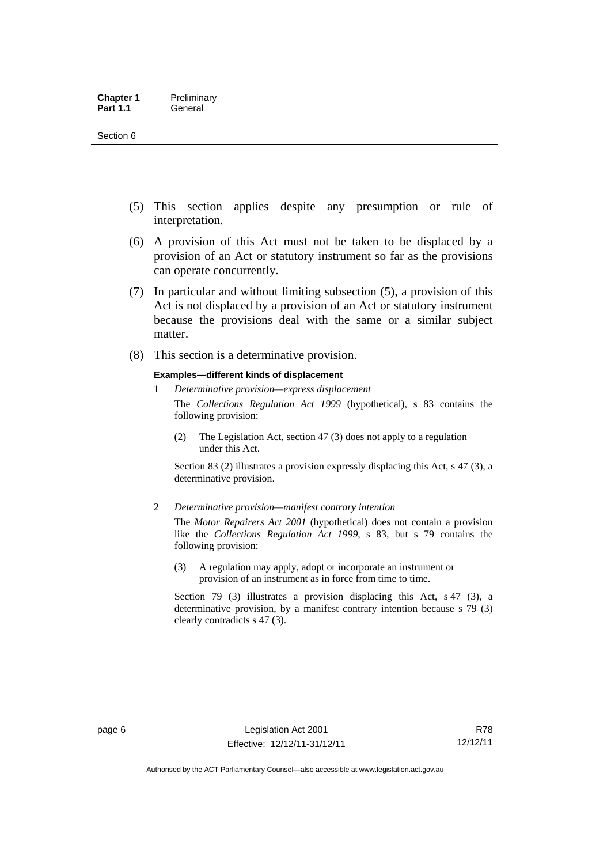- (5) This section applies despite any presumption or rule of interpretation.
- (6) A provision of this Act must not be taken to be displaced by a provision of an Act or statutory instrument so far as the provisions can operate concurrently.
- (7) In particular and without limiting subsection (5), a provision of this Act is not displaced by a provision of an Act or statutory instrument because the provisions deal with the same or a similar subject matter.
- (8) This section is a determinative provision.

#### **Examples—different kinds of displacement**

- 1 *Determinative provision—express displacement* The *Collections Regulation Act 1999* (hypothetical), s 83 contains the following provision:
	- (2) The Legislation Act, section 47 (3) does not apply to a regulation under this Act.

Section 83 (2) illustrates a provision expressly displacing this Act, s 47 (3), a determinative provision.

2 *Determinative provision—manifest contrary intention*

The *Motor Repairers Act 2001* (hypothetical) does not contain a provision like the *Collections Regulation Act 1999*, s 83, but s 79 contains the following provision:

(3) A regulation may apply, adopt or incorporate an instrument or provision of an instrument as in force from time to time.

Section 79 (3) illustrates a provision displacing this Act, s 47 (3), a determinative provision, by a manifest contrary intention because s 79 (3) clearly contradicts s 47 (3).

R78 12/12/11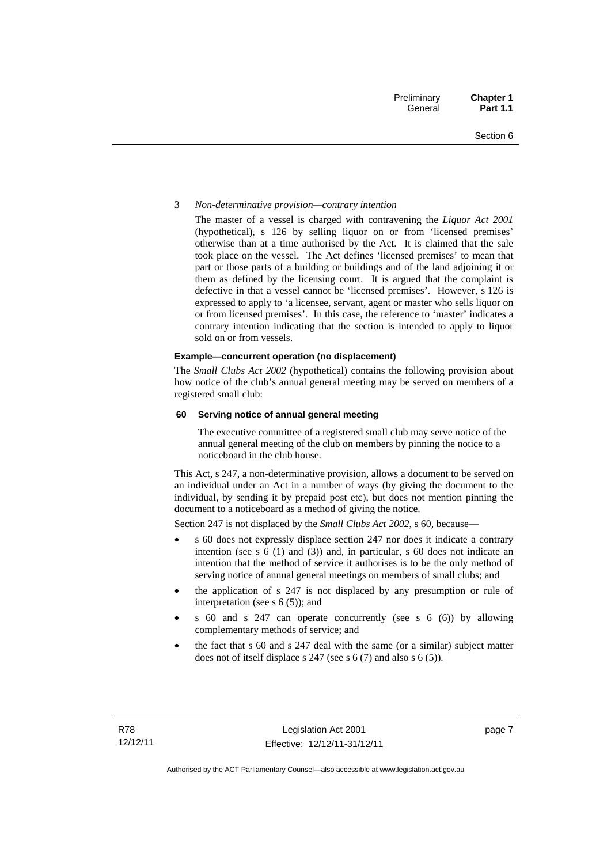#### 3 *Non-determinative provision—contrary intention*

The master of a vessel is charged with contravening the *Liquor Act 2001* (hypothetical), s 126 by selling liquor on or from 'licensed premises' otherwise than at a time authorised by the Act. It is claimed that the sale took place on the vessel. The Act defines 'licensed premises' to mean that part or those parts of a building or buildings and of the land adjoining it or them as defined by the licensing court. It is argued that the complaint is defective in that a vessel cannot be 'licensed premises'. However, s 126 is expressed to apply to 'a licensee, servant, agent or master who sells liquor on or from licensed premises'. In this case, the reference to 'master' indicates a contrary intention indicating that the section is intended to apply to liquor sold on or from vessels.

#### **Example—concurrent operation (no displacement)**

The *Small Clubs Act 2002* (hypothetical) contains the following provision about how notice of the club's annual general meeting may be served on members of a registered small club:

#### **60 Serving notice of annual general meeting**

The executive committee of a registered small club may serve notice of the annual general meeting of the club on members by pinning the notice to a noticeboard in the club house.

This Act, s 247, a non-determinative provision, allows a document to be served on an individual under an Act in a number of ways (by giving the document to the individual, by sending it by prepaid post etc), but does not mention pinning the document to a noticeboard as a method of giving the notice.

Section 247 is not displaced by the *Small Clubs Act 2002*, s 60, because—

- s 60 does not expressly displace section 247 nor does it indicate a contrary intention (see s 6 (1) and (3)) and, in particular, s 60 does not indicate an intention that the method of service it authorises is to be the only method of serving notice of annual general meetings on members of small clubs; and
- the application of s 247 is not displaced by any presumption or rule of interpretation (see s 6 (5)); and
- s 60 and s 247 can operate concurrently (see s 6 (6)) by allowing complementary methods of service; and
- the fact that s 60 and s 247 deal with the same (or a similar) subject matter does not of itself displace s 247 (see s 6 (7) and also s 6 (5)).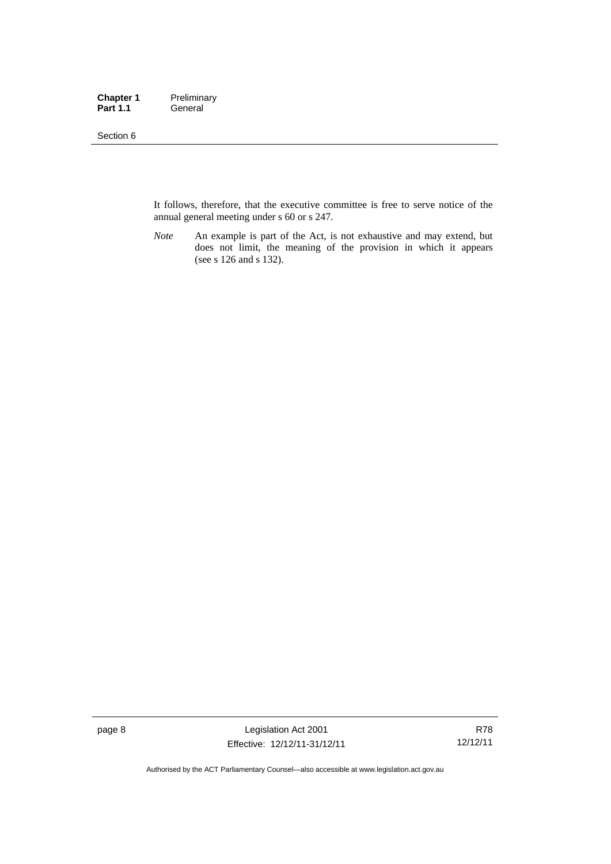#### Section 6

It follows, therefore, that the executive committee is free to serve notice of the annual general meeting under s 60 or s 247.

*Note* An example is part of the Act, is not exhaustive and may extend, but does not limit, the meaning of the provision in which it appears (see s 126 and s 132).

page 8 Legislation Act 2001 Effective: 12/12/11-31/12/11

R78 12/12/11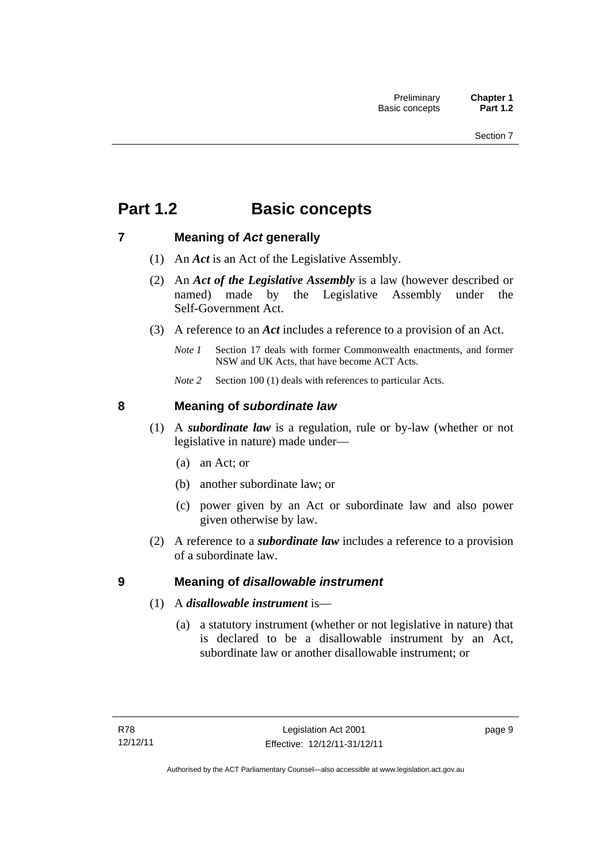## <span id="page-24-0"></span>**Part 1.2 Basic concepts**

## <span id="page-24-1"></span>**7 Meaning of** *Act* **generally**

- (1) An *Act* is an Act of the Legislative Assembly.
- (2) An *Act of the Legislative Assembly* is a law (however described or named) made by the Legislative Assembly under the Self-Government Act.
- (3) A reference to an *Act* includes a reference to a provision of an Act.
	- *Note 1* Section 17 deals with former Commonwealth enactments, and former NSW and UK Acts, that have become ACT Acts.
	- *Note 2* Section 100 (1) deals with references to particular Acts.

## <span id="page-24-2"></span>**8 Meaning of** *subordinate law*

- (1) A *subordinate law* is a regulation, rule or by-law (whether or not legislative in nature) made under—
	- (a) an Act; or
	- (b) another subordinate law; or
	- (c) power given by an Act or subordinate law and also power given otherwise by law.
- (2) A reference to a *subordinate law* includes a reference to a provision of a subordinate law.

## <span id="page-24-3"></span>**9 Meaning of** *disallowable instrument*

- (1) A *disallowable instrument* is—
	- (a) a statutory instrument (whether or not legislative in nature) that is declared to be a disallowable instrument by an Act, subordinate law or another disallowable instrument; or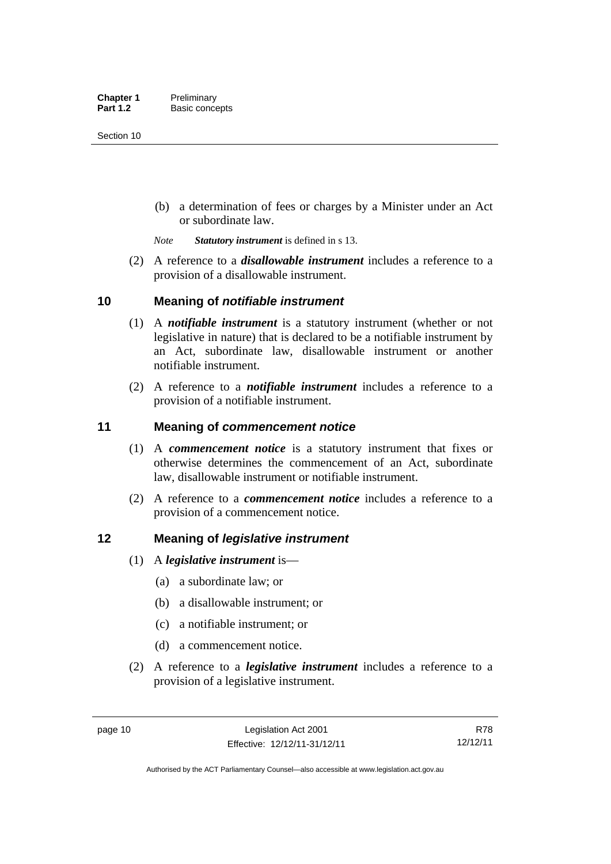(b) a determination of fees or charges by a Minister under an Act or subordinate law.

*Note Statutory instrument* is defined in s 13.

 (2) A reference to a *disallowable instrument* includes a reference to a provision of a disallowable instrument.

### <span id="page-25-0"></span>**10 Meaning of** *notifiable instrument*

- (1) A *notifiable instrument* is a statutory instrument (whether or not legislative in nature) that is declared to be a notifiable instrument by an Act, subordinate law, disallowable instrument or another notifiable instrument.
- (2) A reference to a *notifiable instrument* includes a reference to a provision of a notifiable instrument.

### <span id="page-25-1"></span>**11 Meaning of** *commencement notice*

- (1) A *commencement notice* is a statutory instrument that fixes or otherwise determines the commencement of an Act, subordinate law, disallowable instrument or notifiable instrument.
- (2) A reference to a *commencement notice* includes a reference to a provision of a commencement notice.

### <span id="page-25-2"></span>**12 Meaning of** *legislative instrument*

- (1) A *legislative instrument* is—
	- (a) a subordinate law; or
	- (b) a disallowable instrument; or
	- (c) a notifiable instrument; or
	- (d) a commencement notice.
- (2) A reference to a *legislative instrument* includes a reference to a provision of a legislative instrument.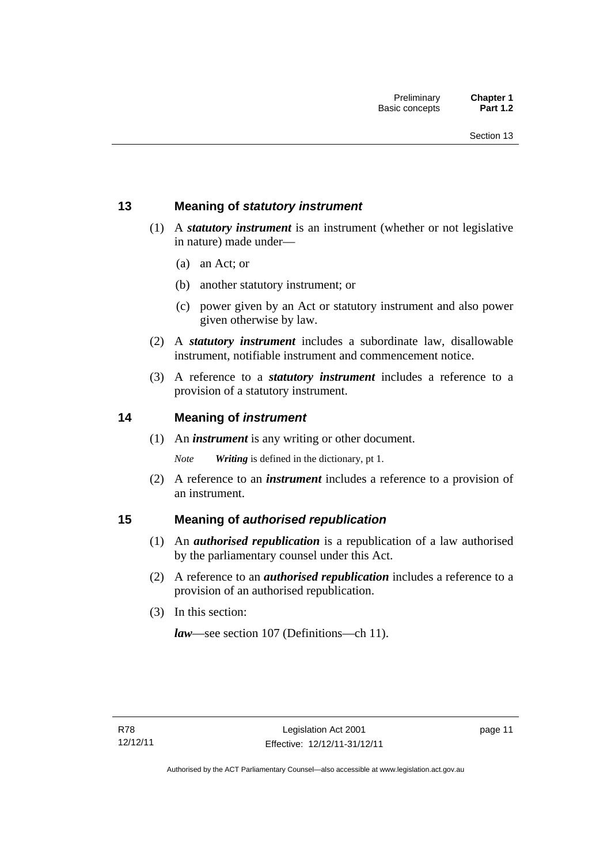## <span id="page-26-0"></span>**13 Meaning of** *statutory instrument*

- (1) A *statutory instrument* is an instrument (whether or not legislative in nature) made under—
	- (a) an Act; or
	- (b) another statutory instrument; or
	- (c) power given by an Act or statutory instrument and also power given otherwise by law.
- (2) A *statutory instrument* includes a subordinate law, disallowable instrument, notifiable instrument and commencement notice.
- (3) A reference to a *statutory instrument* includes a reference to a provision of a statutory instrument.

### <span id="page-26-1"></span>**14 Meaning of** *instrument*

(1) An *instrument* is any writing or other document.

*Note Writing* is defined in the dictionary, pt 1.

 (2) A reference to an *instrument* includes a reference to a provision of an instrument.

### <span id="page-26-2"></span>**15 Meaning of** *authorised republication*

- (1) An *authorised republication* is a republication of a law authorised by the parliamentary counsel under this Act.
- (2) A reference to an *authorised republication* includes a reference to a provision of an authorised republication.
- (3) In this section:

*law*—see section 107 (Definitions—ch 11).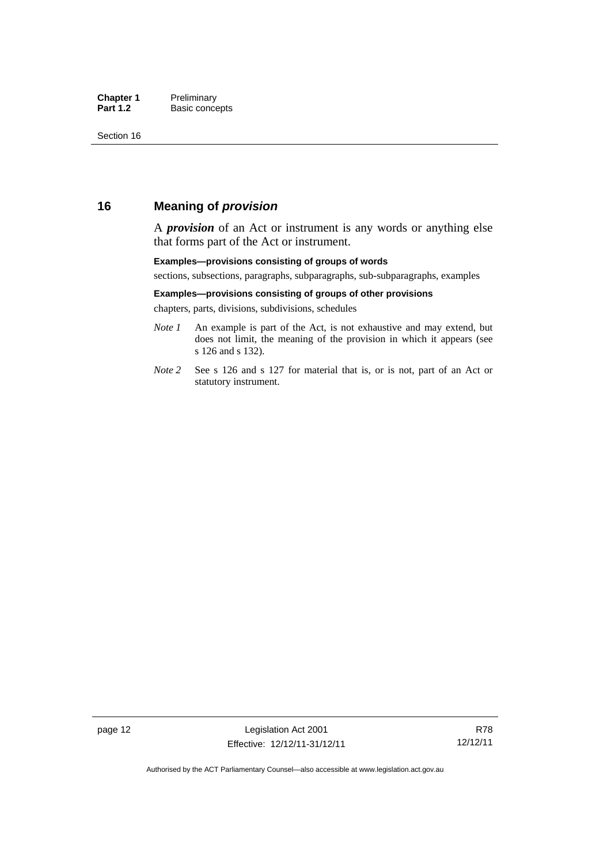### <span id="page-27-0"></span>**16 Meaning of** *provision*

A *provision* of an Act or instrument is any words or anything else that forms part of the Act or instrument.

#### **Examples—provisions consisting of groups of words**

sections, subsections, paragraphs, subparagraphs, sub-subparagraphs, examples

#### **Examples—provisions consisting of groups of other provisions**

chapters, parts, divisions, subdivisions, schedules

- *Note 1* An example is part of the Act, is not exhaustive and may extend, but does not limit, the meaning of the provision in which it appears (see s 126 and s 132).
- *Note 2* See s 126 and s 127 for material that is, or is not, part of an Act or statutory instrument.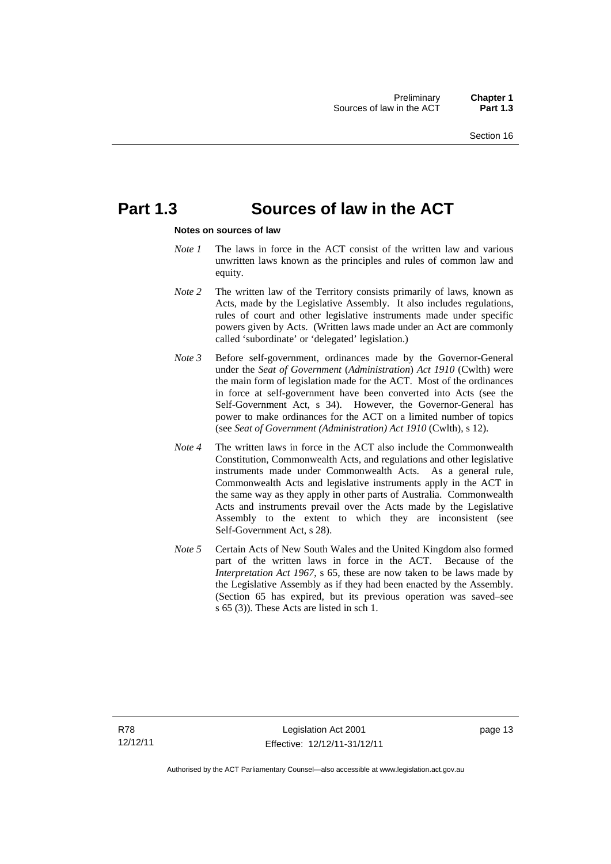## <span id="page-28-0"></span>**Part 1.3 Sources of law in the ACT**

#### **Notes on sources of law**

- *Note 1* The laws in force in the ACT consist of the written law and various unwritten laws known as the principles and rules of common law and equity.
- *Note* 2 The written law of the Territory consists primarily of laws, known as Acts, made by the Legislative Assembly. It also includes regulations, rules of court and other legislative instruments made under specific powers given by Acts. (Written laws made under an Act are commonly called 'subordinate' or 'delegated' legislation.)
- *Note 3* Before self-government, ordinances made by the Governor-General under the *Seat of Government* (*Administration*) *Act 1910* (Cwlth) were the main form of legislation made for the ACT. Most of the ordinances in force at self-government have been converted into Acts (see the Self-Government Act, s 34). However, the Governor-General has power to make ordinances for the ACT on a limited number of topics (see *Seat of Government (Administration) Act 1910* (Cwlth), s 12).
- *Note 4* The written laws in force in the ACT also include the Commonwealth Constitution, Commonwealth Acts, and regulations and other legislative instruments made under Commonwealth Acts. As a general rule, Commonwealth Acts and legislative instruments apply in the ACT in the same way as they apply in other parts of Australia. Commonwealth Acts and instruments prevail over the Acts made by the Legislative Assembly to the extent to which they are inconsistent (see Self-Government Act, s 28).
- *Note 5* Certain Acts of New South Wales and the United Kingdom also formed part of the written laws in force in the ACT. Because of the *Interpretation Act 1967*, s 65, these are now taken to be laws made by the Legislative Assembly as if they had been enacted by the Assembly. (Section 65 has expired, but its previous operation was saved–see s 65 (3)). These Acts are listed in sch 1.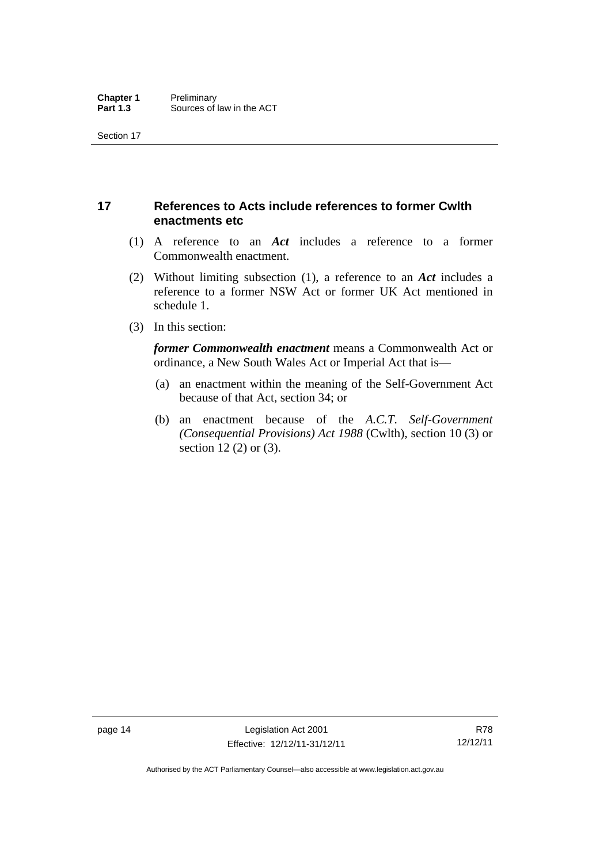## <span id="page-29-0"></span>**17 References to Acts include references to former Cwlth enactments etc**

- (1) A reference to an *Act* includes a reference to a former Commonwealth enactment.
- (2) Without limiting subsection (1), a reference to an *Act* includes a reference to a former NSW Act or former UK Act mentioned in schedule 1.
- (3) In this section:

*former Commonwealth enactment* means a Commonwealth Act or ordinance, a New South Wales Act or Imperial Act that is—

- (a) an enactment within the meaning of the Self-Government Act because of that Act, section 34; or
- (b) an enactment because of the *A.C.T*. *Self-Government (Consequential Provisions) Act 1988* (Cwlth), section 10 (3) or section 12 (2) or (3).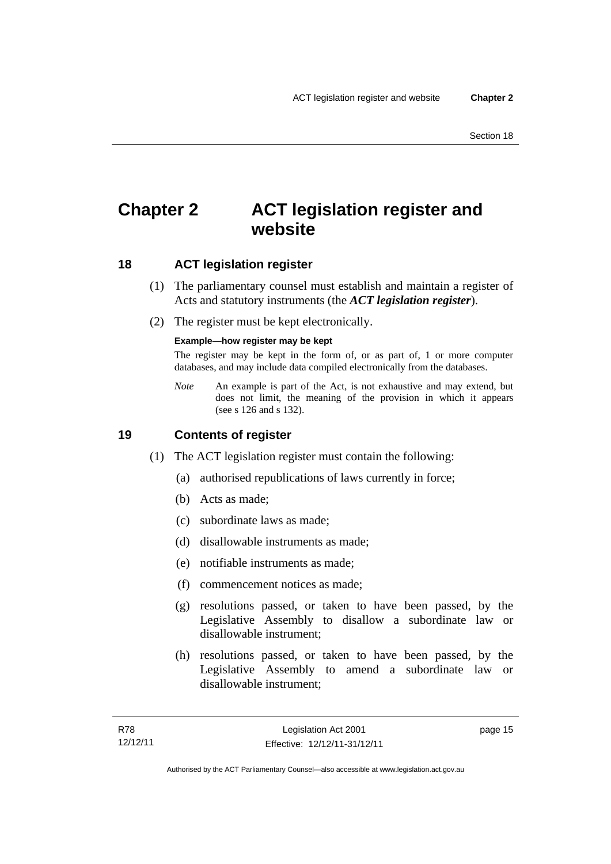## <span id="page-30-0"></span>**Chapter 2 ACT legislation register and website**

## <span id="page-30-1"></span>**18 ACT legislation register**

- (1) The parliamentary counsel must establish and maintain a register of Acts and statutory instruments (the *ACT legislation register*).
- (2) The register must be kept electronically.

#### **Example—how register may be kept**

The register may be kept in the form of, or as part of, 1 or more computer databases, and may include data compiled electronically from the databases.

*Note* An example is part of the Act, is not exhaustive and may extend, but does not limit, the meaning of the provision in which it appears (see s 126 and s 132).

### <span id="page-30-2"></span>**19 Contents of register**

- (1) The ACT legislation register must contain the following:
	- (a) authorised republications of laws currently in force;
	- (b) Acts as made;
	- (c) subordinate laws as made;
	- (d) disallowable instruments as made;
	- (e) notifiable instruments as made;
	- (f) commencement notices as made;
	- (g) resolutions passed, or taken to have been passed, by the Legislative Assembly to disallow a subordinate law or disallowable instrument;
	- (h) resolutions passed, or taken to have been passed, by the Legislative Assembly to amend a subordinate law or disallowable instrument;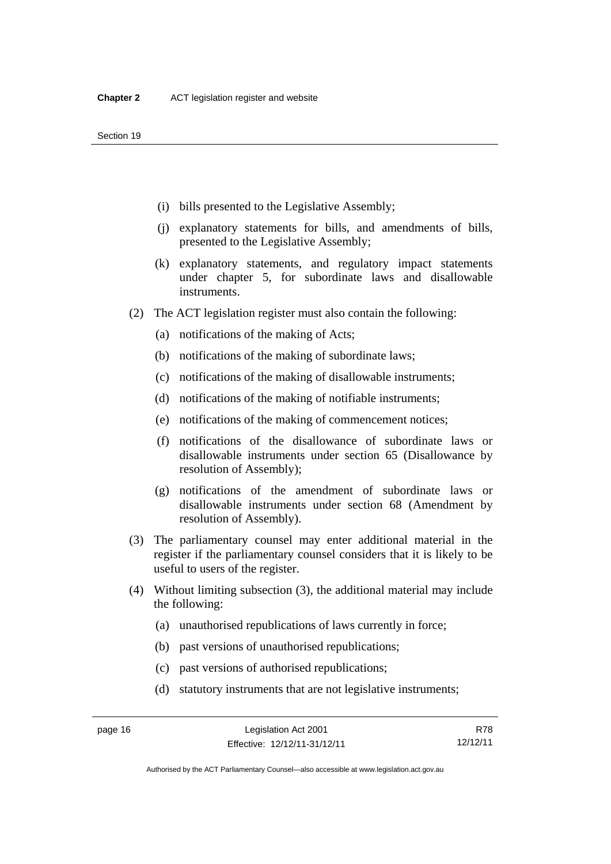- (i) bills presented to the Legislative Assembly;
- (j) explanatory statements for bills, and amendments of bills, presented to the Legislative Assembly;
- (k) explanatory statements, and regulatory impact statements under chapter 5, for subordinate laws and disallowable instruments.
- (2) The ACT legislation register must also contain the following:
	- (a) notifications of the making of Acts;
	- (b) notifications of the making of subordinate laws;
	- (c) notifications of the making of disallowable instruments;
	- (d) notifications of the making of notifiable instruments;
	- (e) notifications of the making of commencement notices;
	- (f) notifications of the disallowance of subordinate laws or disallowable instruments under section 65 (Disallowance by resolution of Assembly);
	- (g) notifications of the amendment of subordinate laws or disallowable instruments under section 68 (Amendment by resolution of Assembly).
- (3) The parliamentary counsel may enter additional material in the register if the parliamentary counsel considers that it is likely to be useful to users of the register.
- (4) Without limiting subsection (3), the additional material may include the following:
	- (a) unauthorised republications of laws currently in force;
	- (b) past versions of unauthorised republications;
	- (c) past versions of authorised republications;
	- (d) statutory instruments that are not legislative instruments;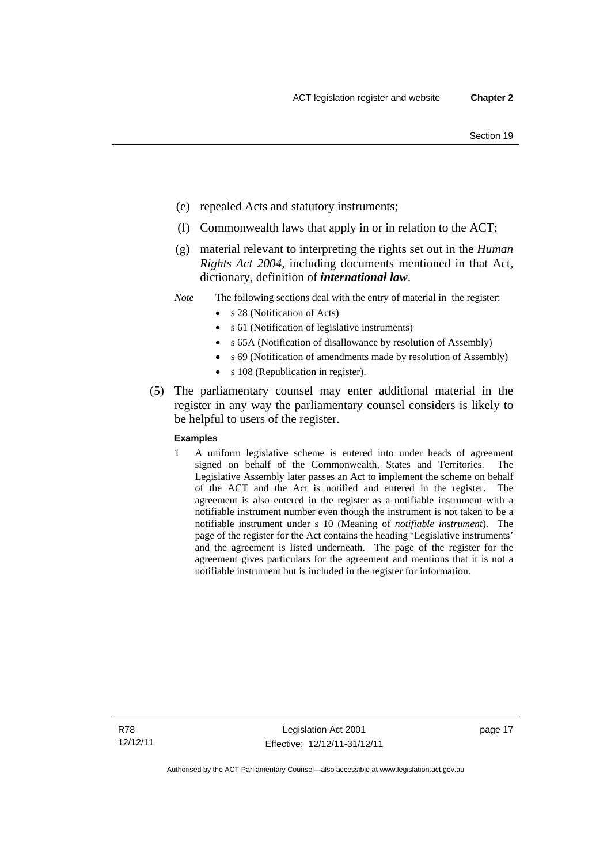- (e) repealed Acts and statutory instruments;
- (f) Commonwealth laws that apply in or in relation to the ACT;
- (g) material relevant to interpreting the rights set out in the *Human Rights Act 2004*, including documents mentioned in that Act, dictionary, definition of *international law*.
- *Note* The following sections deal with the entry of material in the register:
	- s 28 (Notification of Acts)
	- s 61 (Notification of legislative instruments)
	- s 65A (Notification of disallowance by resolution of Assembly)
	- s 69 (Notification of amendments made by resolution of Assembly)
		- s 108 (Republication in register).
- (5) The parliamentary counsel may enter additional material in the register in any way the parliamentary counsel considers is likely to be helpful to users of the register.

#### **Examples**

1 A uniform legislative scheme is entered into under heads of agreement signed on behalf of the Commonwealth, States and Territories. The Legislative Assembly later passes an Act to implement the scheme on behalf of the ACT and the Act is notified and entered in the register. The agreement is also entered in the register as a notifiable instrument with a notifiable instrument number even though the instrument is not taken to be a notifiable instrument under s 10 (Meaning of *notifiable instrument*). The page of the register for the Act contains the heading 'Legislative instruments' and the agreement is listed underneath. The page of the register for the agreement gives particulars for the agreement and mentions that it is not a notifiable instrument but is included in the register for information.

R78 12/12/11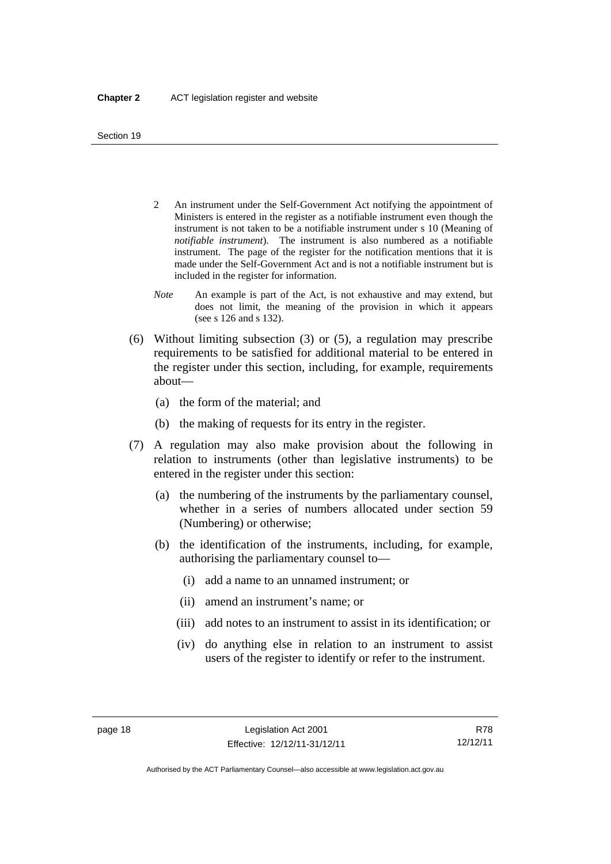- 2 An instrument under the Self-Government Act notifying the appointment of Ministers is entered in the register as a notifiable instrument even though the instrument is not taken to be a notifiable instrument under s 10 (Meaning of *notifiable instrument*). The instrument is also numbered as a notifiable instrument. The page of the register for the notification mentions that it is made under the Self-Government Act and is not a notifiable instrument but is included in the register for information.
- *Note* An example is part of the Act, is not exhaustive and may extend, but does not limit, the meaning of the provision in which it appears (see s 126 and s 132).
- (6) Without limiting subsection (3) or (5), a regulation may prescribe requirements to be satisfied for additional material to be entered in the register under this section, including, for example, requirements about—
	- (a) the form of the material; and
	- (b) the making of requests for its entry in the register.
- (7) A regulation may also make provision about the following in relation to instruments (other than legislative instruments) to be entered in the register under this section:
	- (a) the numbering of the instruments by the parliamentary counsel, whether in a series of numbers allocated under section 59 (Numbering) or otherwise;
	- (b) the identification of the instruments, including, for example, authorising the parliamentary counsel to—
		- (i) add a name to an unnamed instrument; or
		- (ii) amend an instrument's name; or
		- (iii) add notes to an instrument to assist in its identification; or
		- (iv) do anything else in relation to an instrument to assist users of the register to identify or refer to the instrument.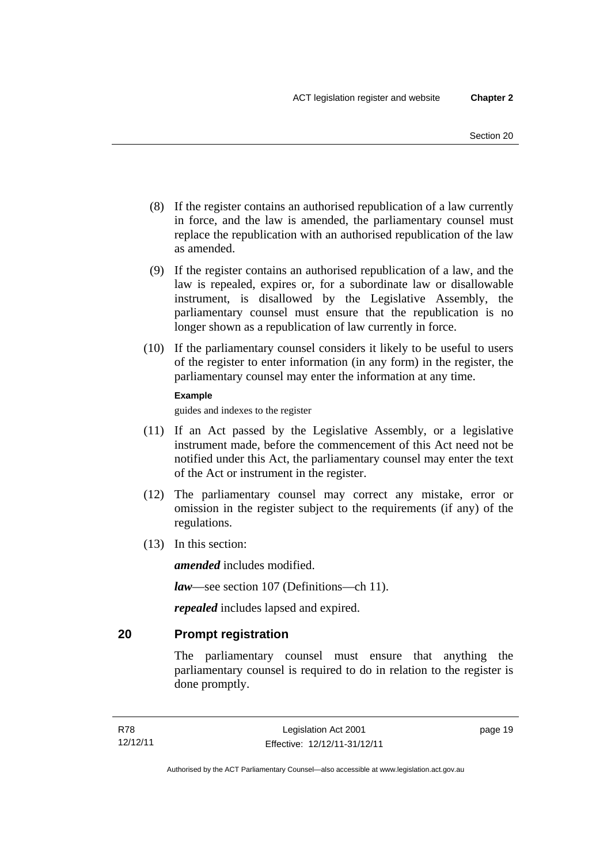- (8) If the register contains an authorised republication of a law currently in force, and the law is amended, the parliamentary counsel must replace the republication with an authorised republication of the law as amended.
- (9) If the register contains an authorised republication of a law, and the law is repealed, expires or, for a subordinate law or disallowable instrument, is disallowed by the Legislative Assembly, the parliamentary counsel must ensure that the republication is no longer shown as a republication of law currently in force.
- (10) If the parliamentary counsel considers it likely to be useful to users of the register to enter information (in any form) in the register, the parliamentary counsel may enter the information at any time.

#### **Example**

guides and indexes to the register

- (11) If an Act passed by the Legislative Assembly, or a legislative instrument made, before the commencement of this Act need not be notified under this Act, the parliamentary counsel may enter the text of the Act or instrument in the register.
- (12) The parliamentary counsel may correct any mistake, error or omission in the register subject to the requirements (if any) of the regulations.
- (13) In this section:

*amended* includes modified.

*law*—see section 107 (Definitions—ch 11).

*repealed* includes lapsed and expired.

## <span id="page-34-0"></span>**20 Prompt registration**

The parliamentary counsel must ensure that anything the parliamentary counsel is required to do in relation to the register is done promptly.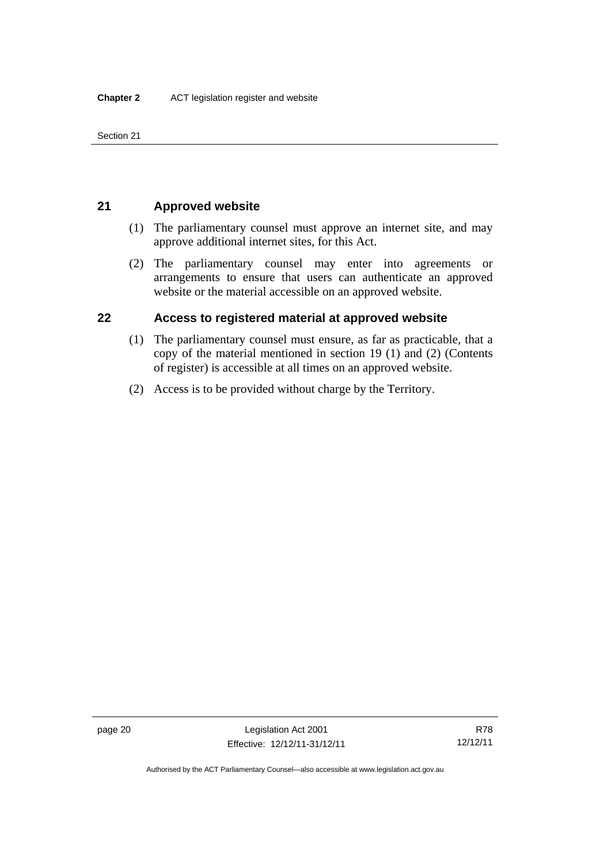Section 21

## <span id="page-35-0"></span>**21 Approved website**

- (1) The parliamentary counsel must approve an internet site, and may approve additional internet sites, for this Act.
- (2) The parliamentary counsel may enter into agreements or arrangements to ensure that users can authenticate an approved website or the material accessible on an approved website.

## <span id="page-35-1"></span>**22 Access to registered material at approved website**

- (1) The parliamentary counsel must ensure, as far as practicable, that a copy of the material mentioned in section 19 (1) and (2) (Contents of register) is accessible at all times on an approved website.
- (2) Access is to be provided without charge by the Territory.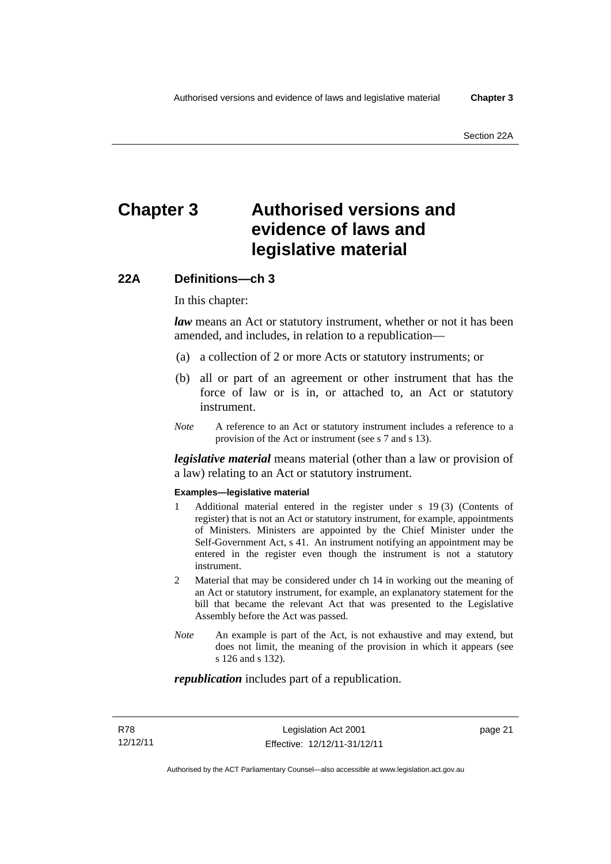# **Chapter 3 Authorised versions and evidence of laws and legislative material**

# **22A Definitions—ch 3**

In this chapter:

*law* means an Act or statutory instrument, whether or not it has been amended, and includes, in relation to a republication—

- (a) a collection of 2 or more Acts or statutory instruments; or
- (b) all or part of an agreement or other instrument that has the force of law or is in, or attached to, an Act or statutory instrument.
- *Note* A reference to an Act or statutory instrument includes a reference to a provision of the Act or instrument (see s 7 and s 13).

*legislative material* means material (other than a law or provision of a law) relating to an Act or statutory instrument.

#### **Examples—legislative material**

- 1 Additional material entered in the register under s 19 (3) (Contents of register) that is not an Act or statutory instrument, for example, appointments of Ministers. Ministers are appointed by the Chief Minister under the Self-Government Act, s 41. An instrument notifying an appointment may be entered in the register even though the instrument is not a statutory instrument.
- 2 Material that may be considered under ch 14 in working out the meaning of an Act or statutory instrument, for example, an explanatory statement for the bill that became the relevant Act that was presented to the Legislative Assembly before the Act was passed.
- *Note* An example is part of the Act, is not exhaustive and may extend, but does not limit, the meaning of the provision in which it appears (see s 126 and s 132).

#### *republication* includes part of a republication.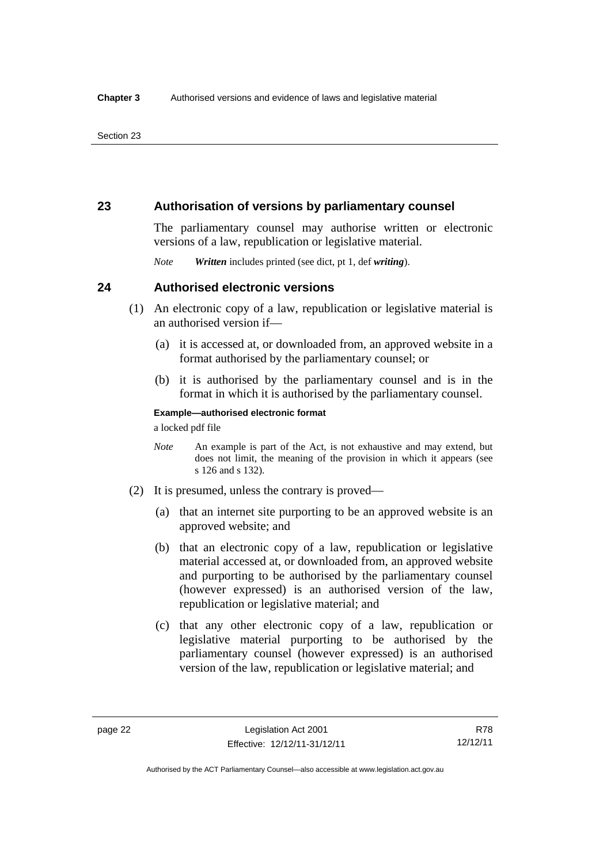## **23 Authorisation of versions by parliamentary counsel**

The parliamentary counsel may authorise written or electronic versions of a law, republication or legislative material.

*Note Written* includes printed (see dict, pt 1, def *writing*).

## **24 Authorised electronic versions**

- (1) An electronic copy of a law, republication or legislative material is an authorised version if—
	- (a) it is accessed at, or downloaded from, an approved website in a format authorised by the parliamentary counsel; or
	- (b) it is authorised by the parliamentary counsel and is in the format in which it is authorised by the parliamentary counsel.

**Example—authorised electronic format**  a locked pdf file

*Note* An example is part of the Act, is not exhaustive and may extend, but does not limit, the meaning of the provision in which it appears (see s 126 and s 132).

- (2) It is presumed, unless the contrary is proved—
	- (a) that an internet site purporting to be an approved website is an approved website; and
	- (b) that an electronic copy of a law, republication or legislative material accessed at, or downloaded from, an approved website and purporting to be authorised by the parliamentary counsel (however expressed) is an authorised version of the law, republication or legislative material; and
	- (c) that any other electronic copy of a law, republication or legislative material purporting to be authorised by the parliamentary counsel (however expressed) is an authorised version of the law, republication or legislative material; and

R78 12/12/11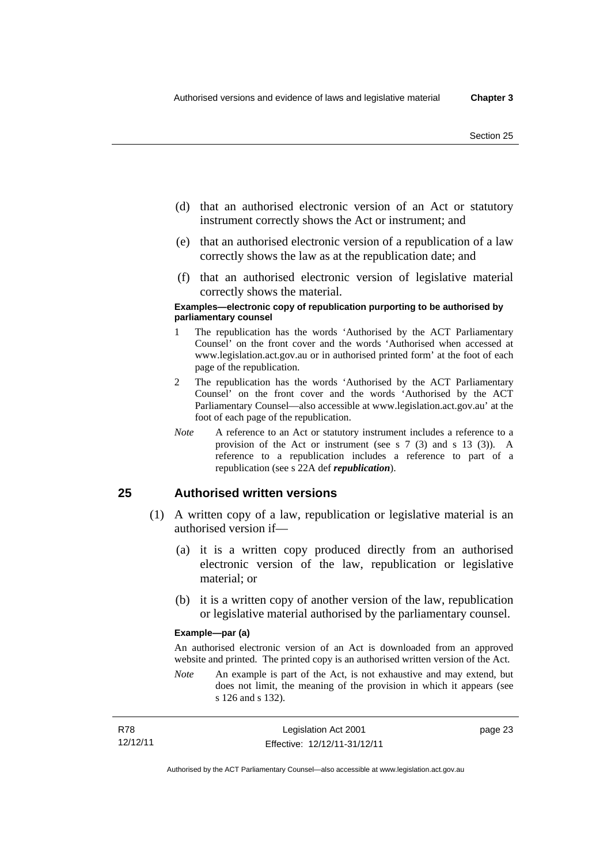page 23

- (d) that an authorised electronic version of an Act or statutory instrument correctly shows the Act or instrument; and
- (e) that an authorised electronic version of a republication of a law correctly shows the law as at the republication date; and
- (f) that an authorised electronic version of legislative material correctly shows the material.

#### **Examples—electronic copy of republication purporting to be authorised by parliamentary counsel**

- 1 The republication has the words 'Authorised by the ACT Parliamentary Counsel' on the front cover and the words 'Authorised when accessed at www.legislation.act.gov.au or in authorised printed form' at the foot of each page of the republication.
- 2 The republication has the words 'Authorised by the ACT Parliamentary Counsel' on the front cover and the words 'Authorised by the ACT Parliamentary Counsel—also accessible at www.legislation.act.gov.au' at the foot of each page of the republication.
- *Note* A reference to an Act or statutory instrument includes a reference to a provision of the Act or instrument (see s 7 (3) and s 13 (3)). A reference to a republication includes a reference to part of a republication (see s 22A def *republication*).

## **25 Authorised written versions**

- (1) A written copy of a law, republication or legislative material is an authorised version if—
	- (a) it is a written copy produced directly from an authorised electronic version of the law, republication or legislative material; or
	- (b) it is a written copy of another version of the law, republication or legislative material authorised by the parliamentary counsel.

#### **Example—par (a)**

An authorised electronic version of an Act is downloaded from an approved website and printed. The printed copy is an authorised written version of the Act.

*Note* An example is part of the Act, is not exhaustive and may extend, but does not limit, the meaning of the provision in which it appears (see s 126 and s 132).

| R78      | Legislation Act 2001         |
|----------|------------------------------|
| 12/12/11 | Effective: 12/12/11-31/12/11 |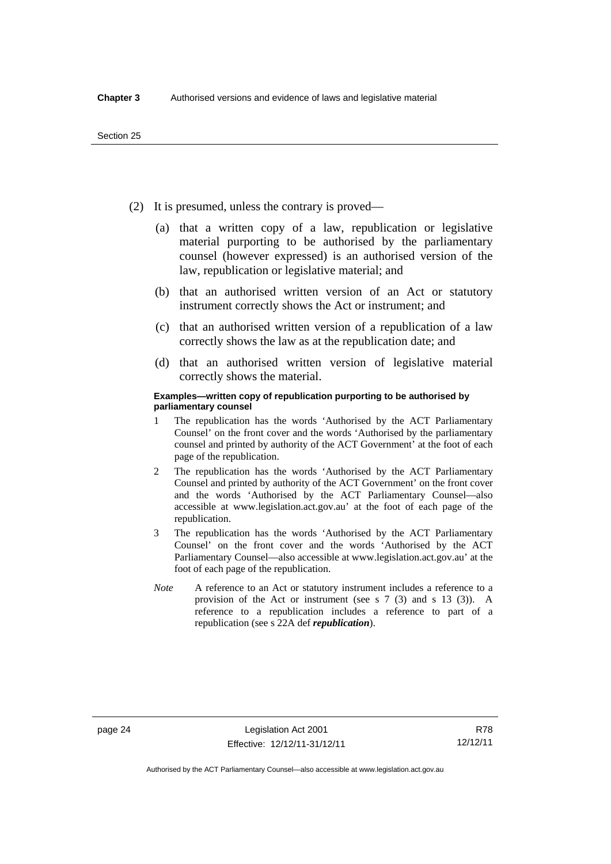- (2) It is presumed, unless the contrary is proved—
	- (a) that a written copy of a law, republication or legislative material purporting to be authorised by the parliamentary counsel (however expressed) is an authorised version of the law, republication or legislative material; and
	- (b) that an authorised written version of an Act or statutory instrument correctly shows the Act or instrument; and
	- (c) that an authorised written version of a republication of a law correctly shows the law as at the republication date; and
	- (d) that an authorised written version of legislative material correctly shows the material.

#### **Examples—written copy of republication purporting to be authorised by parliamentary counsel**

- 1 The republication has the words 'Authorised by the ACT Parliamentary Counsel' on the front cover and the words 'Authorised by the parliamentary counsel and printed by authority of the ACT Government' at the foot of each page of the republication.
- 2 The republication has the words 'Authorised by the ACT Parliamentary Counsel and printed by authority of the ACT Government' on the front cover and the words 'Authorised by the ACT Parliamentary Counsel—also accessible at www.legislation.act.gov.au' at the foot of each page of the republication.
- 3 The republication has the words 'Authorised by the ACT Parliamentary Counsel' on the front cover and the words 'Authorised by the ACT Parliamentary Counsel—also accessible at www.legislation.act.gov.au' at the foot of each page of the republication.
- *Note* A reference to an Act or statutory instrument includes a reference to a provision of the Act or instrument (see s 7 (3) and s 13 (3)). A reference to a republication includes a reference to part of a republication (see s 22A def *republication*).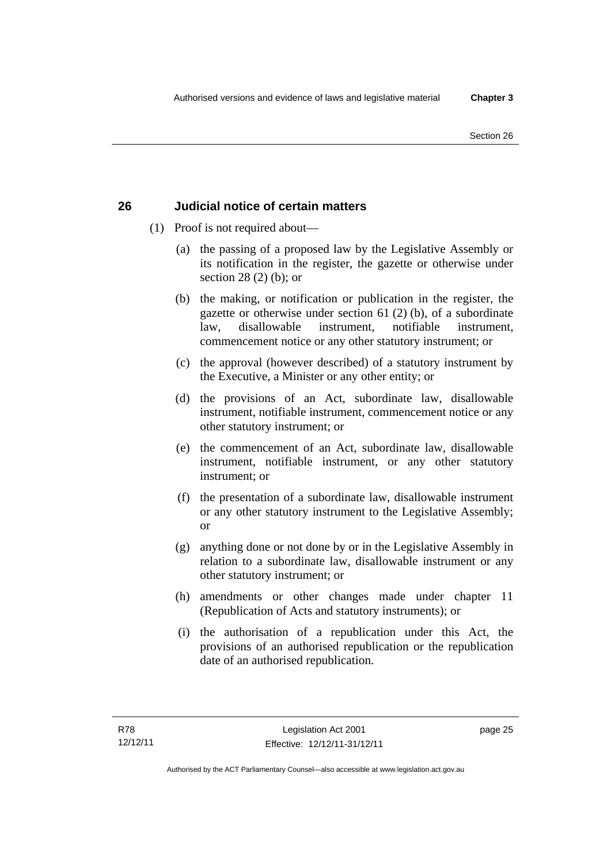# **26 Judicial notice of certain matters**

- (1) Proof is not required about—
	- (a) the passing of a proposed law by the Legislative Assembly or its notification in the register, the gazette or otherwise under section 28 (2) (b); or
	- (b) the making, or notification or publication in the register, the gazette or otherwise under section 61 (2) (b), of a subordinate law, disallowable instrument, notifiable instrument, commencement notice or any other statutory instrument; or
	- (c) the approval (however described) of a statutory instrument by the Executive, a Minister or any other entity; or
	- (d) the provisions of an Act, subordinate law, disallowable instrument, notifiable instrument, commencement notice or any other statutory instrument; or
	- (e) the commencement of an Act, subordinate law, disallowable instrument, notifiable instrument, or any other statutory instrument; or
	- (f) the presentation of a subordinate law, disallowable instrument or any other statutory instrument to the Legislative Assembly; or
	- (g) anything done or not done by or in the Legislative Assembly in relation to a subordinate law, disallowable instrument or any other statutory instrument; or
	- (h) amendments or other changes made under chapter 11 (Republication of Acts and statutory instruments); or
	- (i) the authorisation of a republication under this Act, the provisions of an authorised republication or the republication date of an authorised republication.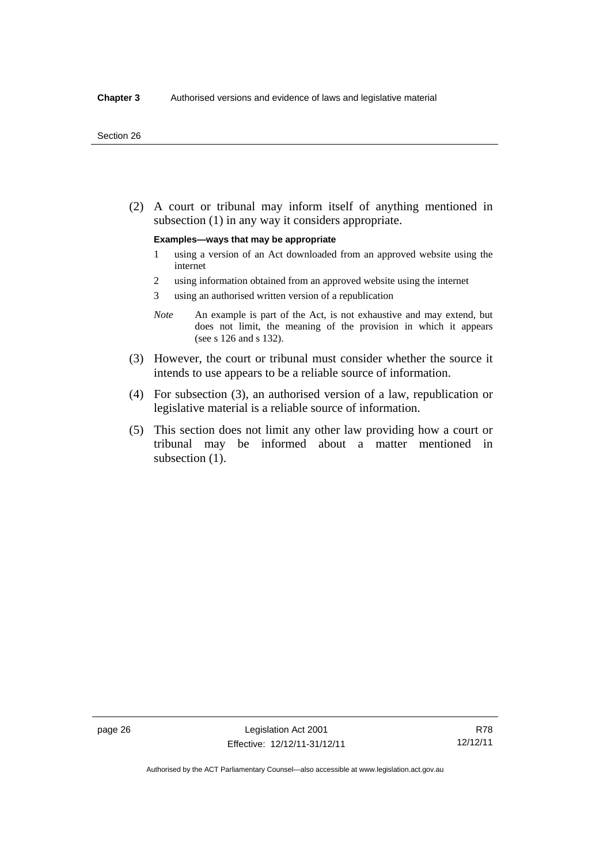(2) A court or tribunal may inform itself of anything mentioned in subsection (1) in any way it considers appropriate.

#### **Examples—ways that may be appropriate**

- 1 using a version of an Act downloaded from an approved website using the internet
- 2 using information obtained from an approved website using the internet
- 3 using an authorised written version of a republication
- *Note* An example is part of the Act, is not exhaustive and may extend, but does not limit, the meaning of the provision in which it appears (see s 126 and s 132).
- (3) However, the court or tribunal must consider whether the source it intends to use appears to be a reliable source of information.
- (4) For subsection (3), an authorised version of a law, republication or legislative material is a reliable source of information.
- (5) This section does not limit any other law providing how a court or tribunal may be informed about a matter mentioned in subsection  $(1)$ .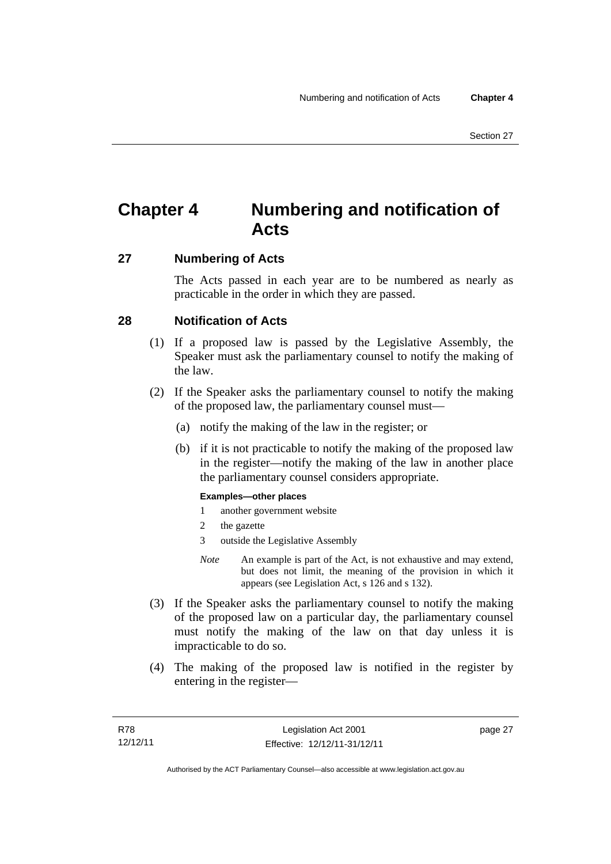# **Chapter 4 Numbering and notification of Acts**

# **27 Numbering of Acts**

The Acts passed in each year are to be numbered as nearly as practicable in the order in which they are passed.

# **28 Notification of Acts**

- (1) If a proposed law is passed by the Legislative Assembly, the Speaker must ask the parliamentary counsel to notify the making of the law.
- (2) If the Speaker asks the parliamentary counsel to notify the making of the proposed law, the parliamentary counsel must—
	- (a) notify the making of the law in the register; or
	- (b) if it is not practicable to notify the making of the proposed law in the register—notify the making of the law in another place the parliamentary counsel considers appropriate.

#### **Examples—other places**

- 1 another government website
- 2 the gazette
- 3 outside the Legislative Assembly
- *Note* An example is part of the Act, is not exhaustive and may extend, but does not limit, the meaning of the provision in which it appears (see Legislation Act, s 126 and s 132).
- (3) If the Speaker asks the parliamentary counsel to notify the making of the proposed law on a particular day, the parliamentary counsel must notify the making of the law on that day unless it is impracticable to do so.
- (4) The making of the proposed law is notified in the register by entering in the register—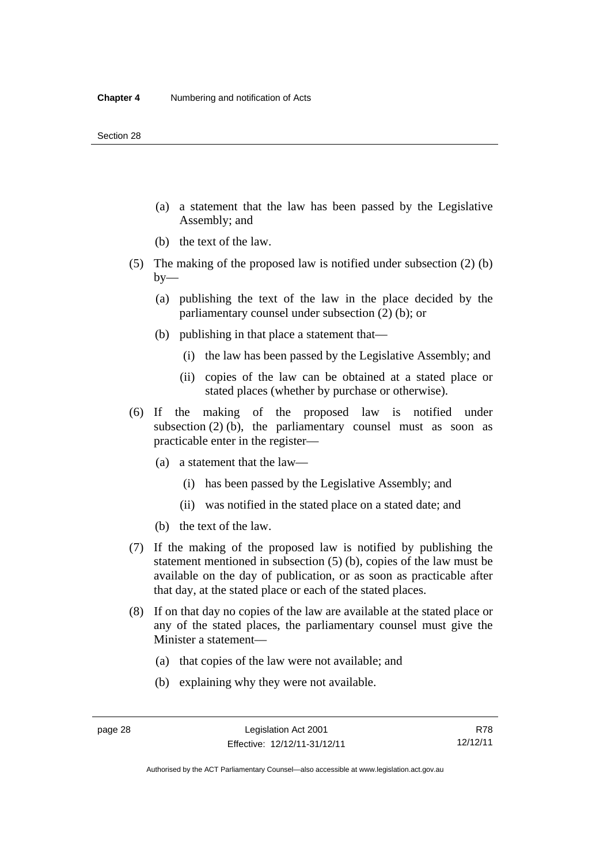- (a) a statement that the law has been passed by the Legislative Assembly; and
- (b) the text of the law.
- (5) The making of the proposed law is notified under subsection (2) (b)  $by-$ 
	- (a) publishing the text of the law in the place decided by the parliamentary counsel under subsection (2) (b); or
	- (b) publishing in that place a statement that—
		- (i) the law has been passed by the Legislative Assembly; and
		- (ii) copies of the law can be obtained at a stated place or stated places (whether by purchase or otherwise).
- (6) If the making of the proposed law is notified under subsection  $(2)$  (b), the parliamentary counsel must as soon as practicable enter in the register—
	- (a) a statement that the law—
		- (i) has been passed by the Legislative Assembly; and
		- (ii) was notified in the stated place on a stated date; and
	- (b) the text of the law.
- (7) If the making of the proposed law is notified by publishing the statement mentioned in subsection (5) (b), copies of the law must be available on the day of publication, or as soon as practicable after that day, at the stated place or each of the stated places.
- (8) If on that day no copies of the law are available at the stated place or any of the stated places, the parliamentary counsel must give the Minister a statement—
	- (a) that copies of the law were not available; and
	- (b) explaining why they were not available.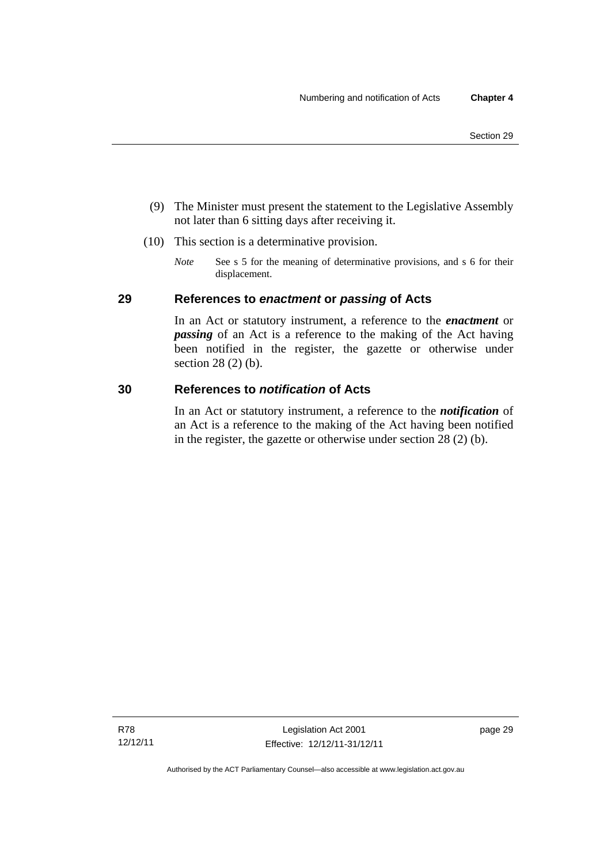- (9) The Minister must present the statement to the Legislative Assembly not later than 6 sitting days after receiving it.
- (10) This section is a determinative provision.
	- *Note* See s 5 for the meaning of determinative provisions, and s 6 for their displacement.

# **29 References to** *enactment* **or** *passing* **of Acts**

In an Act or statutory instrument, a reference to the *enactment* or *passing* of an Act is a reference to the making of the Act having been notified in the register, the gazette or otherwise under section 28 (2) (b).

## **30 References to** *notification* **of Acts**

In an Act or statutory instrument, a reference to the *notification* of an Act is a reference to the making of the Act having been notified in the register, the gazette or otherwise under section 28 (2) (b).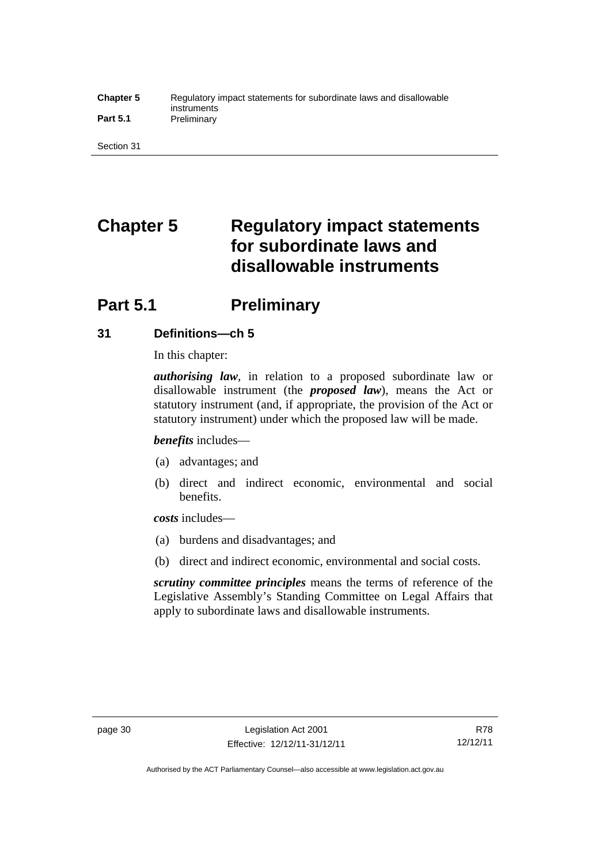#### **Chapter 5** Regulatory impact statements for subordinate laws and disallowable instruments Part 5.1 **Preliminary**

Section 31

# **Chapter 5 Regulatory impact statements for subordinate laws and disallowable instruments**

# **Part 5.1** Preliminary

# **31 Definitions—ch 5**

In this chapter:

*authorising law*, in relation to a proposed subordinate law or disallowable instrument (the *proposed law*), means the Act or statutory instrument (and, if appropriate, the provision of the Act or statutory instrument) under which the proposed law will be made.

*benefits* includes—

- (a) advantages; and
- (b) direct and indirect economic, environmental and social benefits.

*costs* includes—

- (a) burdens and disadvantages; and
- (b) direct and indirect economic, environmental and social costs.

*scrutiny committee principles* means the terms of reference of the Legislative Assembly's Standing Committee on Legal Affairs that apply to subordinate laws and disallowable instruments.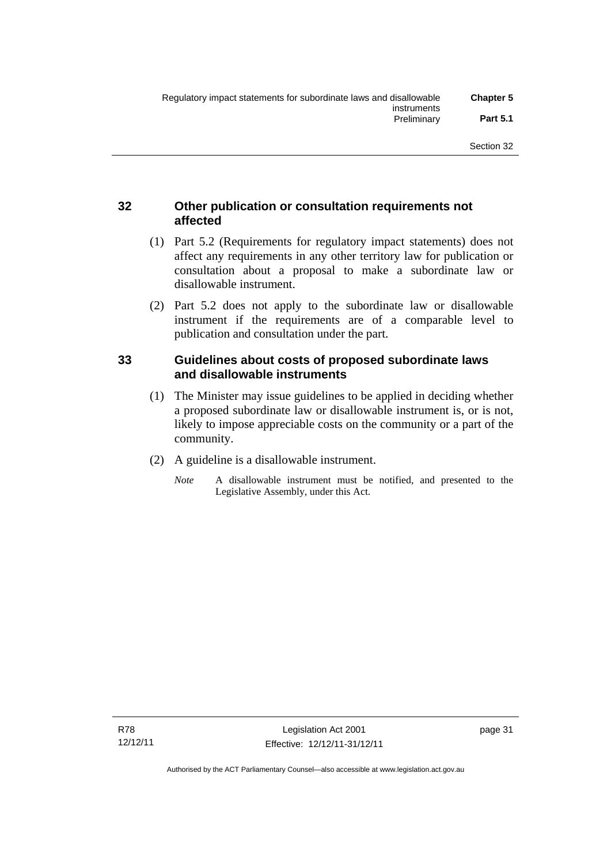# **32 Other publication or consultation requirements not affected**

- (1) Part 5.2 (Requirements for regulatory impact statements) does not affect any requirements in any other territory law for publication or consultation about a proposal to make a subordinate law or disallowable instrument.
- (2) Part 5.2 does not apply to the subordinate law or disallowable instrument if the requirements are of a comparable level to publication and consultation under the part.

## **33 Guidelines about costs of proposed subordinate laws and disallowable instruments**

- (1) The Minister may issue guidelines to be applied in deciding whether a proposed subordinate law or disallowable instrument is, or is not, likely to impose appreciable costs on the community or a part of the community.
- (2) A guideline is a disallowable instrument.
	- *Note* A disallowable instrument must be notified, and presented to the Legislative Assembly, under this Act.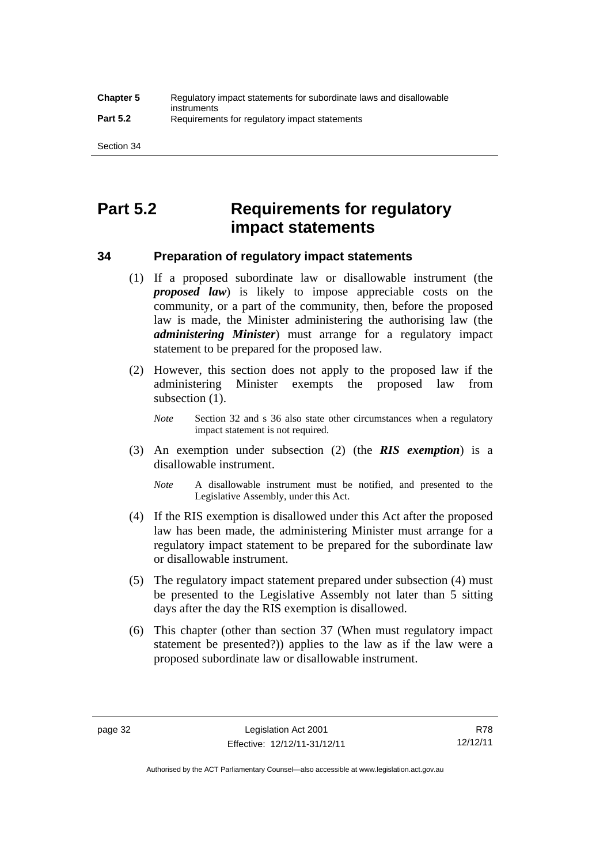# **Part 5.2 Requirements for regulatory impact statements**

## **34 Preparation of regulatory impact statements**

- (1) If a proposed subordinate law or disallowable instrument (the *proposed law*) is likely to impose appreciable costs on the community, or a part of the community, then, before the proposed law is made, the Minister administering the authorising law (the *administering Minister*) must arrange for a regulatory impact statement to be prepared for the proposed law.
- (2) However, this section does not apply to the proposed law if the administering Minister exempts the proposed law from subsection  $(1)$ .

*Note* Section 32 and s 36 also state other circumstances when a regulatory impact statement is not required.

- (3) An exemption under subsection (2) (the *RIS exemption*) is a disallowable instrument.
	- *Note* A disallowable instrument must be notified, and presented to the Legislative Assembly, under this Act.
- (4) If the RIS exemption is disallowed under this Act after the proposed law has been made, the administering Minister must arrange for a regulatory impact statement to be prepared for the subordinate law or disallowable instrument.
- (5) The regulatory impact statement prepared under subsection (4) must be presented to the Legislative Assembly not later than 5 sitting days after the day the RIS exemption is disallowed.
- (6) This chapter (other than section 37 (When must regulatory impact statement be presented?)) applies to the law as if the law were a proposed subordinate law or disallowable instrument.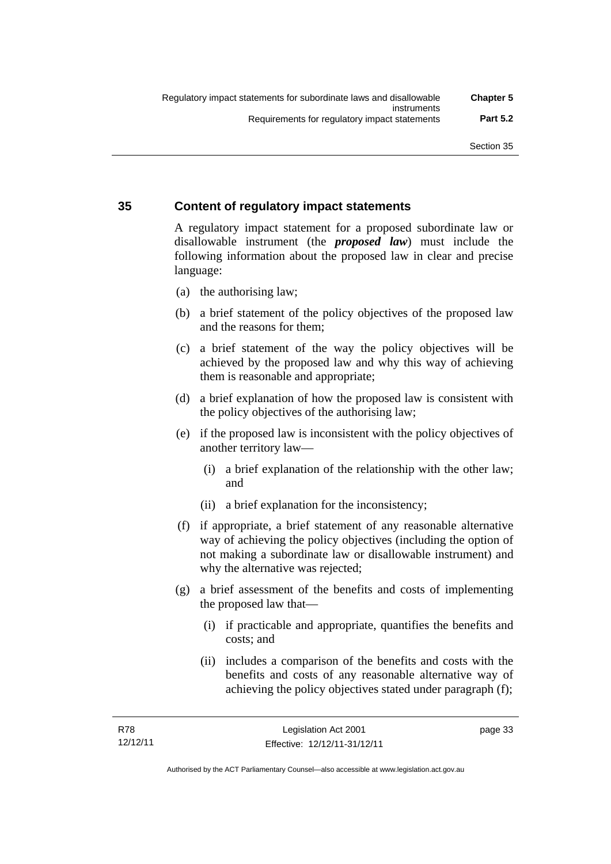# **35 Content of regulatory impact statements**

A regulatory impact statement for a proposed subordinate law or disallowable instrument (the *proposed law*) must include the following information about the proposed law in clear and precise language:

- (a) the authorising law;
- (b) a brief statement of the policy objectives of the proposed law and the reasons for them;
- (c) a brief statement of the way the policy objectives will be achieved by the proposed law and why this way of achieving them is reasonable and appropriate;
- (d) a brief explanation of how the proposed law is consistent with the policy objectives of the authorising law;
- (e) if the proposed law is inconsistent with the policy objectives of another territory law—
	- (i) a brief explanation of the relationship with the other law; and
	- (ii) a brief explanation for the inconsistency;
- (f) if appropriate, a brief statement of any reasonable alternative way of achieving the policy objectives (including the option of not making a subordinate law or disallowable instrument) and why the alternative was rejected;
- (g) a brief assessment of the benefits and costs of implementing the proposed law that—
	- (i) if practicable and appropriate, quantifies the benefits and costs; and
	- (ii) includes a comparison of the benefits and costs with the benefits and costs of any reasonable alternative way of achieving the policy objectives stated under paragraph (f);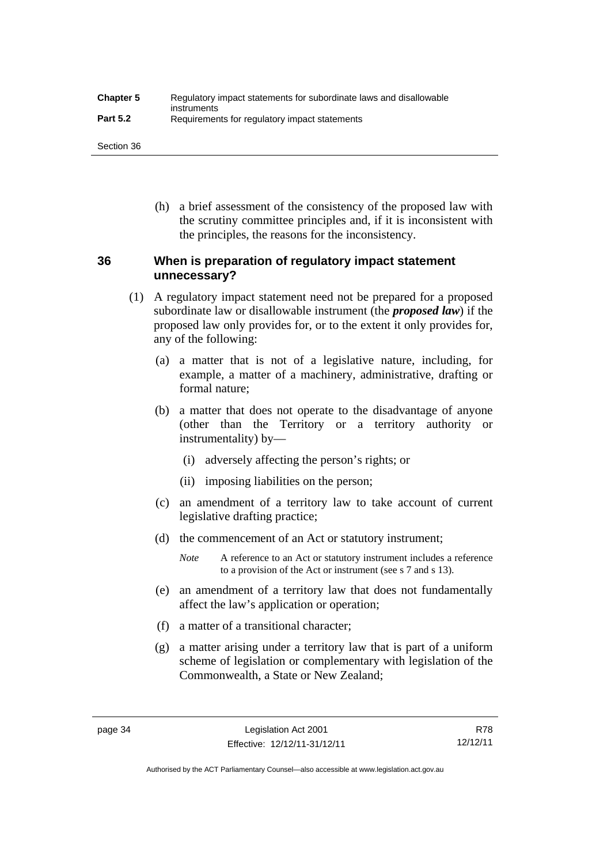| <b>Chapter 5</b> | Regulatory impact statements for subordinate laws and disallowable |
|------------------|--------------------------------------------------------------------|
| <b>Part 5.2</b>  | instruments<br>Requirements for regulatory impact statements       |

Section 36

 (h) a brief assessment of the consistency of the proposed law with the scrutiny committee principles and, if it is inconsistent with the principles, the reasons for the inconsistency.

# **36 When is preparation of regulatory impact statement unnecessary?**

- (1) A regulatory impact statement need not be prepared for a proposed subordinate law or disallowable instrument (the *proposed law*) if the proposed law only provides for, or to the extent it only provides for, any of the following:
	- (a) a matter that is not of a legislative nature, including, for example, a matter of a machinery, administrative, drafting or formal nature;
	- (b) a matter that does not operate to the disadvantage of anyone (other than the Territory or a territory authority or instrumentality) by—
		- (i) adversely affecting the person's rights; or
		- (ii) imposing liabilities on the person;
	- (c) an amendment of a territory law to take account of current legislative drafting practice;
	- (d) the commencement of an Act or statutory instrument;
		- *Note* A reference to an Act or statutory instrument includes a reference to a provision of the Act or instrument (see s 7 and s 13).
	- (e) an amendment of a territory law that does not fundamentally affect the law's application or operation;
	- (f) a matter of a transitional character;
	- (g) a matter arising under a territory law that is part of a uniform scheme of legislation or complementary with legislation of the Commonwealth, a State or New Zealand;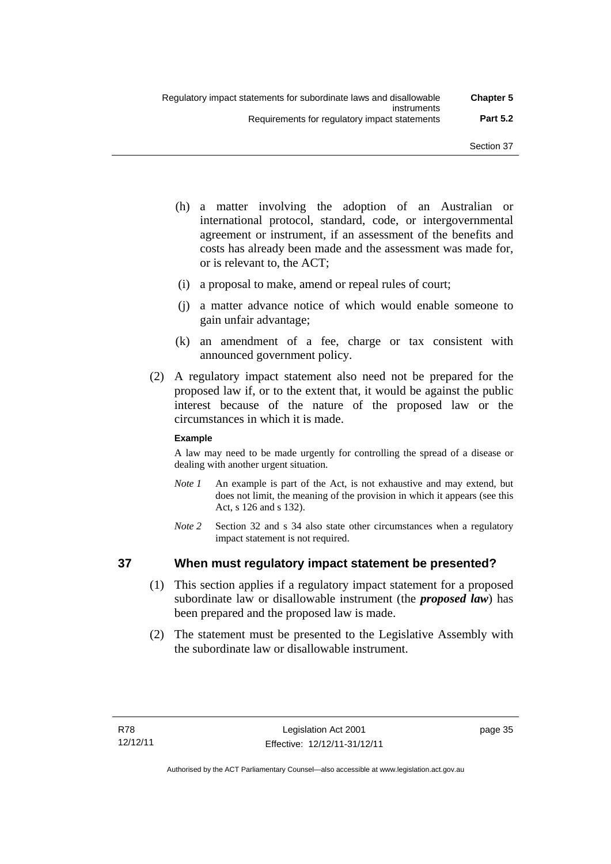- (h) a matter involving the adoption of an Australian or international protocol, standard, code, or intergovernmental agreement or instrument, if an assessment of the benefits and costs has already been made and the assessment was made for, or is relevant to, the ACT;
- (i) a proposal to make, amend or repeal rules of court;
- (j) a matter advance notice of which would enable someone to gain unfair advantage;
- (k) an amendment of a fee, charge or tax consistent with announced government policy.
- (2) A regulatory impact statement also need not be prepared for the proposed law if, or to the extent that, it would be against the public interest because of the nature of the proposed law or the circumstances in which it is made.

#### **Example**

A law may need to be made urgently for controlling the spread of a disease or dealing with another urgent situation.

- *Note 1* An example is part of the Act, is not exhaustive and may extend, but does not limit, the meaning of the provision in which it appears (see this Act, s 126 and s 132).
- *Note* 2 Section 32 and s 34 also state other circumstances when a regulatory impact statement is not required.

## **37 When must regulatory impact statement be presented?**

- (1) This section applies if a regulatory impact statement for a proposed subordinate law or disallowable instrument (the *proposed law*) has been prepared and the proposed law is made.
- (2) The statement must be presented to the Legislative Assembly with the subordinate law or disallowable instrument.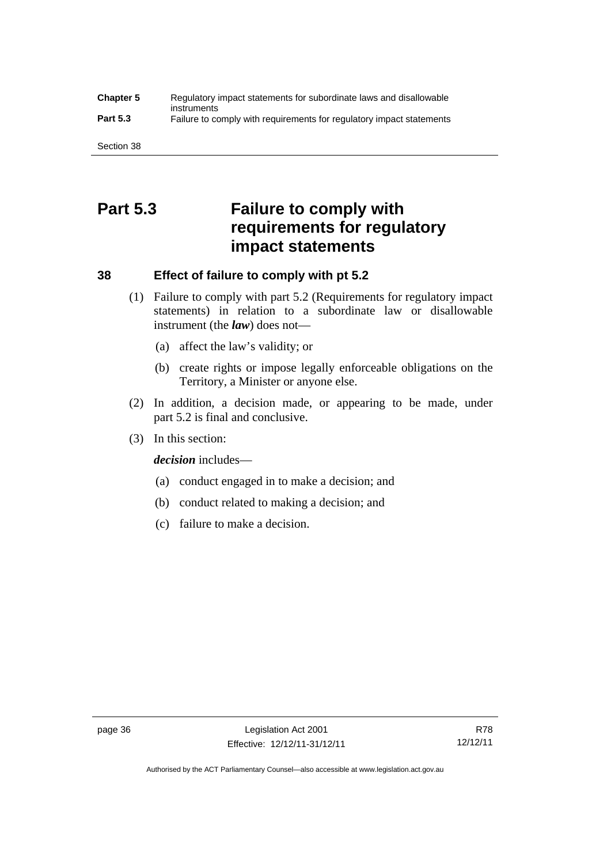#### **Chapter 5** Regulatory impact statements for subordinate laws and disallowable instruments **Part 5.3** Failure to comply with requirements for regulatory impact statements

Section 38

# **Part 5.3 Failure to comply with requirements for regulatory impact statements**

# **38 Effect of failure to comply with pt 5.2**

- (1) Failure to comply with part 5.2 (Requirements for regulatory impact statements) in relation to a subordinate law or disallowable instrument (the *law*) does not—
	- (a) affect the law's validity; or
	- (b) create rights or impose legally enforceable obligations on the Territory, a Minister or anyone else.
- (2) In addition, a decision made, or appearing to be made, under part 5.2 is final and conclusive.
- (3) In this section:

*decision* includes—

- (a) conduct engaged in to make a decision; and
- (b) conduct related to making a decision; and
- (c) failure to make a decision.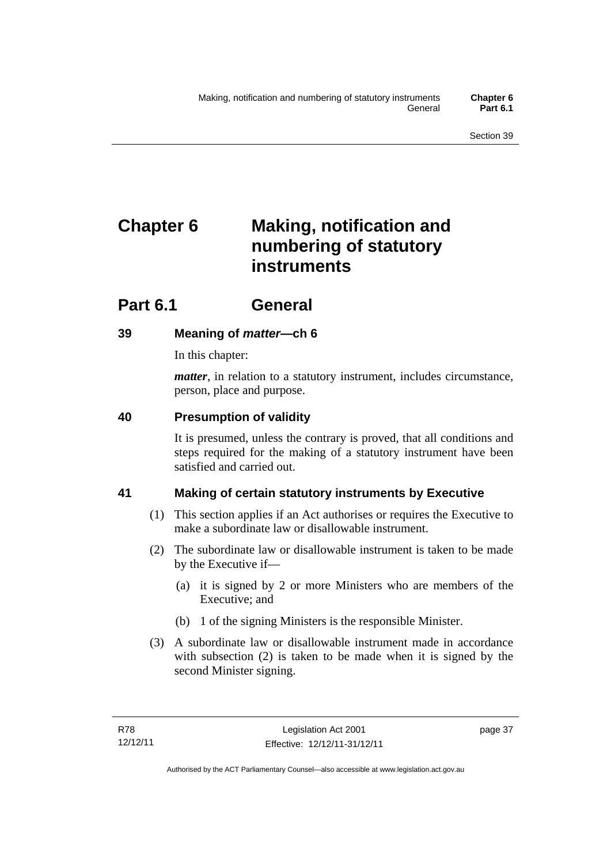# **Chapter 6 Making, notification and numbering of statutory instruments**

# **Part 6.1 General**

# **39 Meaning of** *matter***—ch 6**

In this chapter:

*matter*, in relation to a statutory instrument, includes circumstance, person, place and purpose.

# **40 Presumption of validity**

It is presumed, unless the contrary is proved, that all conditions and steps required for the making of a statutory instrument have been satisfied and carried out.

# **41 Making of certain statutory instruments by Executive**

- (1) This section applies if an Act authorises or requires the Executive to make a subordinate law or disallowable instrument.
- (2) The subordinate law or disallowable instrument is taken to be made by the Executive if—
	- (a) it is signed by 2 or more Ministers who are members of the Executive; and
	- (b) 1 of the signing Ministers is the responsible Minister.
- (3) A subordinate law or disallowable instrument made in accordance with subsection (2) is taken to be made when it is signed by the second Minister signing.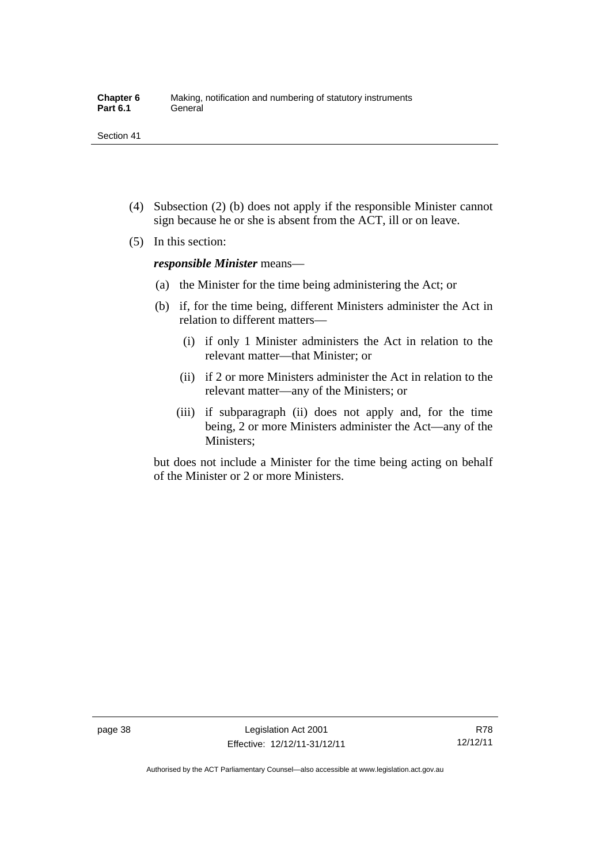- (4) Subsection (2) (b) does not apply if the responsible Minister cannot sign because he or she is absent from the ACT, ill or on leave.
- (5) In this section:

*responsible Minister* means—

- (a) the Minister for the time being administering the Act; or
- (b) if, for the time being, different Ministers administer the Act in relation to different matters—
	- (i) if only 1 Minister administers the Act in relation to the relevant matter—that Minister; or
	- (ii) if 2 or more Ministers administer the Act in relation to the relevant matter—any of the Ministers; or
	- (iii) if subparagraph (ii) does not apply and, for the time being, 2 or more Ministers administer the Act—any of the Ministers;

but does not include a Minister for the time being acting on behalf of the Minister or 2 or more Ministers.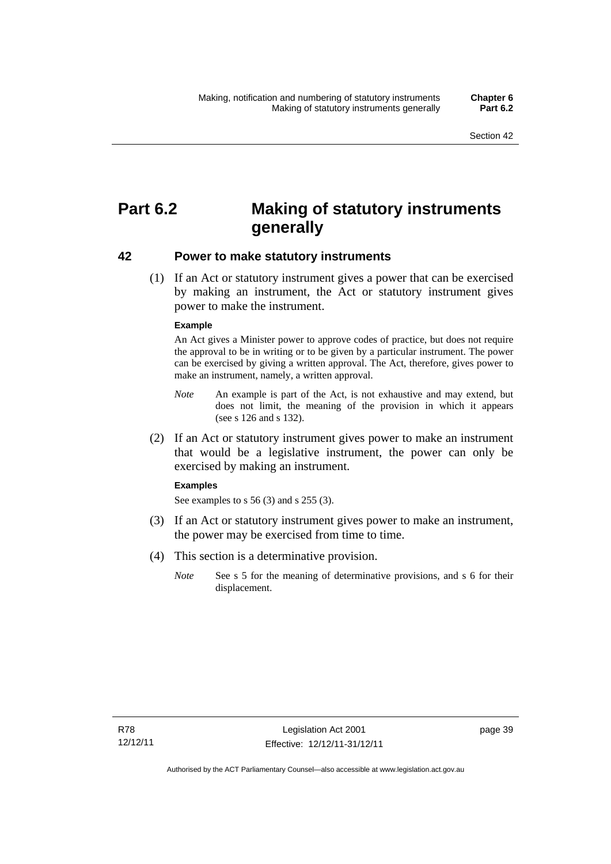# **Part 6.2 Making of statutory instruments generally**

### **42 Power to make statutory instruments**

 (1) If an Act or statutory instrument gives a power that can be exercised by making an instrument, the Act or statutory instrument gives power to make the instrument.

#### **Example**

An Act gives a Minister power to approve codes of practice, but does not require the approval to be in writing or to be given by a particular instrument. The power can be exercised by giving a written approval. The Act, therefore, gives power to make an instrument, namely, a written approval.

- *Note* An example is part of the Act, is not exhaustive and may extend, but does not limit, the meaning of the provision in which it appears (see s 126 and s 132).
- (2) If an Act or statutory instrument gives power to make an instrument that would be a legislative instrument, the power can only be exercised by making an instrument.

#### **Examples**

See examples to s 56 (3) and s 255 (3).

- (3) If an Act or statutory instrument gives power to make an instrument, the power may be exercised from time to time.
- (4) This section is a determinative provision.
	- *Note* See s 5 for the meaning of determinative provisions, and s 6 for their displacement.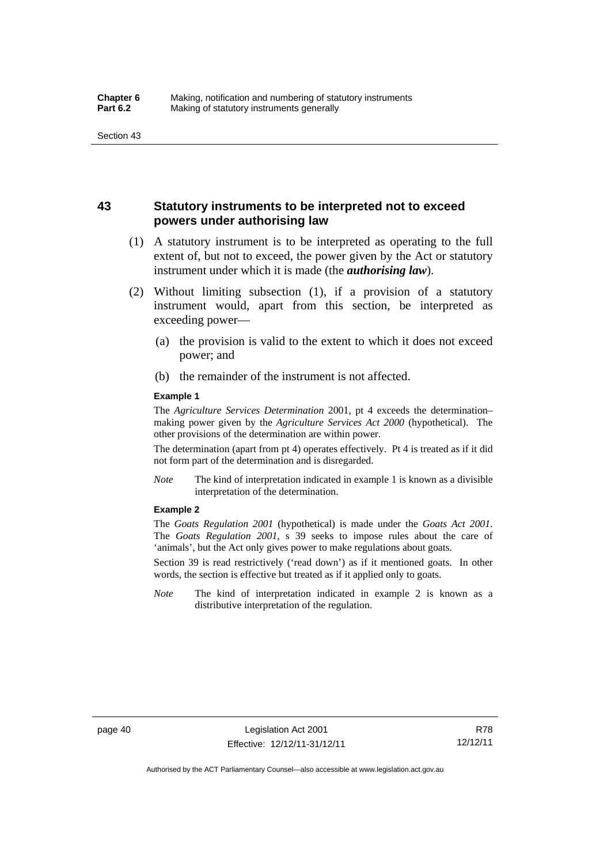# **43 Statutory instruments to be interpreted not to exceed powers under authorising law**

- (1) A statutory instrument is to be interpreted as operating to the full extent of, but not to exceed, the power given by the Act or statutory instrument under which it is made (the *authorising law*).
- (2) Without limiting subsection (1), if a provision of a statutory instrument would, apart from this section, be interpreted as exceeding power—
	- (a) the provision is valid to the extent to which it does not exceed power; and
	- (b) the remainder of the instrument is not affected.

#### **Example 1**

The *Agriculture Services Determination* 2001, pt 4 exceeds the determination– making power given by the *Agriculture Services Act 2000* (hypothetical). The other provisions of the determination are within power.

The determination (apart from pt 4) operates effectively. Pt 4 is treated as if it did not form part of the determination and is disregarded.

*Note* The kind of interpretation indicated in example 1 is known as a divisible interpretation of the determination.

#### **Example 2**

The *Goats Regulation 2001* (hypothetical) is made under the *Goats Act 2001*. The *Goats Regulation 2001*, s 39 seeks to impose rules about the care of 'animals', but the Act only gives power to make regulations about goats.

Section 39 is read restrictively ('read down') as if it mentioned goats. In other words, the section is effective but treated as if it applied only to goats.

*Note* The kind of interpretation indicated in example 2 is known as a distributive interpretation of the regulation.

R78 12/12/11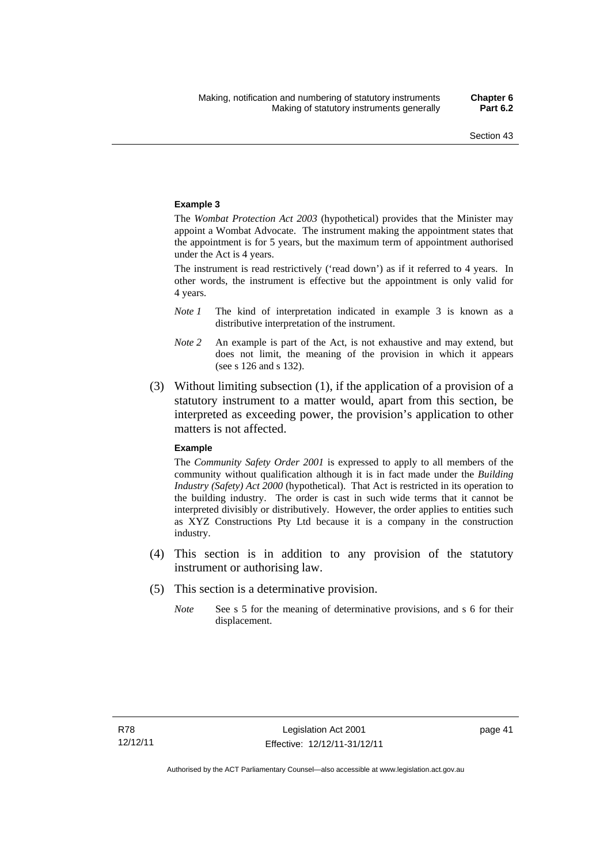#### **Example 3**

The *Wombat Protection Act 2003* (hypothetical) provides that the Minister may appoint a Wombat Advocate. The instrument making the appointment states that the appointment is for 5 years, but the maximum term of appointment authorised under the Act is 4 years.

The instrument is read restrictively ('read down') as if it referred to 4 years. In other words, the instrument is effective but the appointment is only valid for 4 years.

- *Note 1* The kind of interpretation indicated in example 3 is known as a distributive interpretation of the instrument.
- *Note 2* An example is part of the Act, is not exhaustive and may extend, but does not limit, the meaning of the provision in which it appears (see s 126 and s 132).
- (3) Without limiting subsection (1), if the application of a provision of a statutory instrument to a matter would, apart from this section, be interpreted as exceeding power, the provision's application to other matters is not affected.

#### **Example**

The *Community Safety Order 2001* is expressed to apply to all members of the community without qualification although it is in fact made under the *Building Industry (Safety) Act 2000* (hypothetical). That Act is restricted in its operation to the building industry. The order is cast in such wide terms that it cannot be interpreted divisibly or distributively. However, the order applies to entities such as XYZ Constructions Pty Ltd because it is a company in the construction industry.

- (4) This section is in addition to any provision of the statutory instrument or authorising law.
- (5) This section is a determinative provision.
	- *Note* See s 5 for the meaning of determinative provisions, and s 6 for their displacement.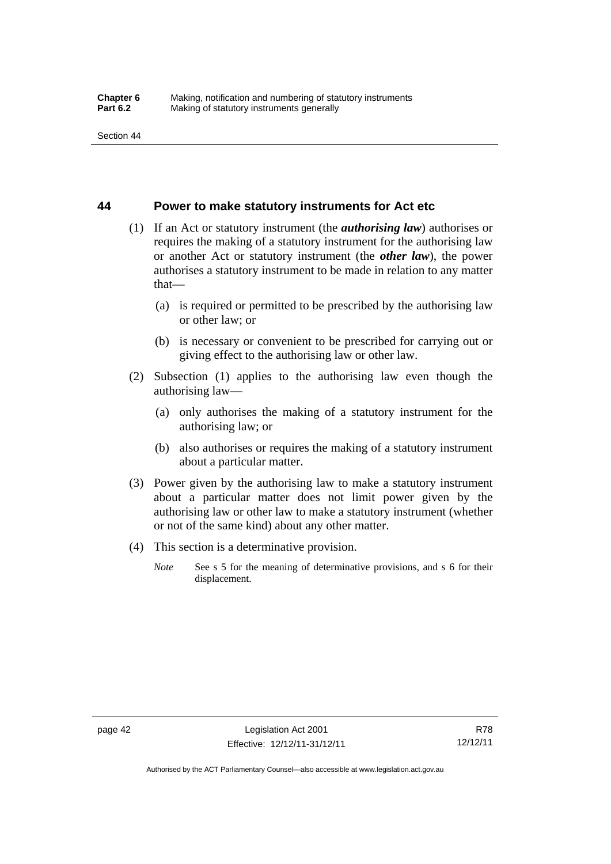#### **44 Power to make statutory instruments for Act etc**

- (1) If an Act or statutory instrument (the *authorising law*) authorises or requires the making of a statutory instrument for the authorising law or another Act or statutory instrument (the *other law*), the power authorises a statutory instrument to be made in relation to any matter that—
	- (a) is required or permitted to be prescribed by the authorising law or other law; or
	- (b) is necessary or convenient to be prescribed for carrying out or giving effect to the authorising law or other law.
- (2) Subsection (1) applies to the authorising law even though the authorising law—
	- (a) only authorises the making of a statutory instrument for the authorising law; or
	- (b) also authorises or requires the making of a statutory instrument about a particular matter.
- (3) Power given by the authorising law to make a statutory instrument about a particular matter does not limit power given by the authorising law or other law to make a statutory instrument (whether or not of the same kind) about any other matter.
- (4) This section is a determinative provision.
	- *Note* See s 5 for the meaning of determinative provisions, and s 6 for their displacement.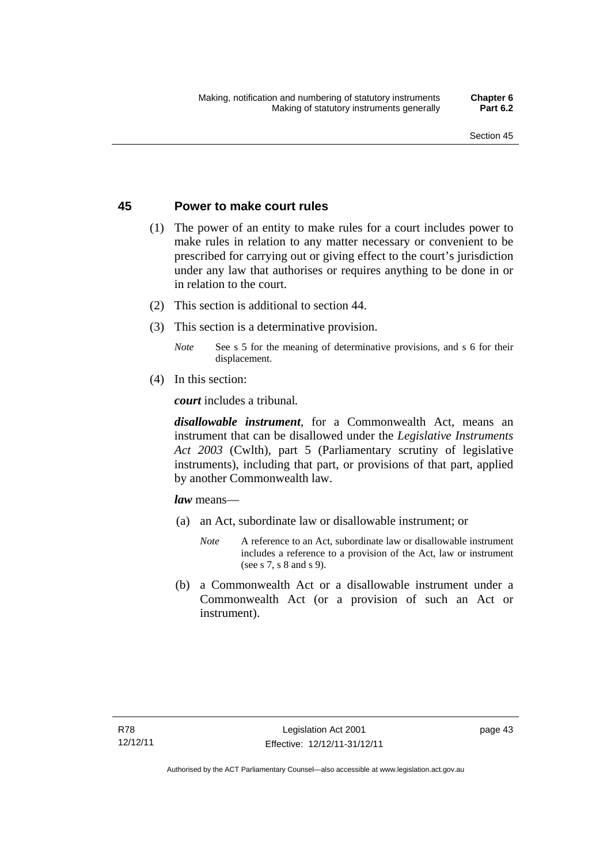## **45 Power to make court rules**

- (1) The power of an entity to make rules for a court includes power to make rules in relation to any matter necessary or convenient to be prescribed for carrying out or giving effect to the court's jurisdiction under any law that authorises or requires anything to be done in or in relation to the court.
- (2) This section is additional to section 44.
- (3) This section is a determinative provision.
	- *Note* See s 5 for the meaning of determinative provisions, and s 6 for their displacement.
- (4) In this section:

*court* includes a tribunal*.*

*disallowable instrument*, for a Commonwealth Act, means an instrument that can be disallowed under the *Legislative Instruments Act 2003* (Cwlth), part 5 (Parliamentary scrutiny of legislative instruments), including that part, or provisions of that part, applied by another Commonwealth law.

*law* means—

- (a) an Act, subordinate law or disallowable instrument; or
	- *Note* A reference to an Act, subordinate law or disallowable instrument includes a reference to a provision of the Act, law or instrument (see s 7, s 8 and s 9).
- (b) a Commonwealth Act or a disallowable instrument under a Commonwealth Act (or a provision of such an Act or instrument).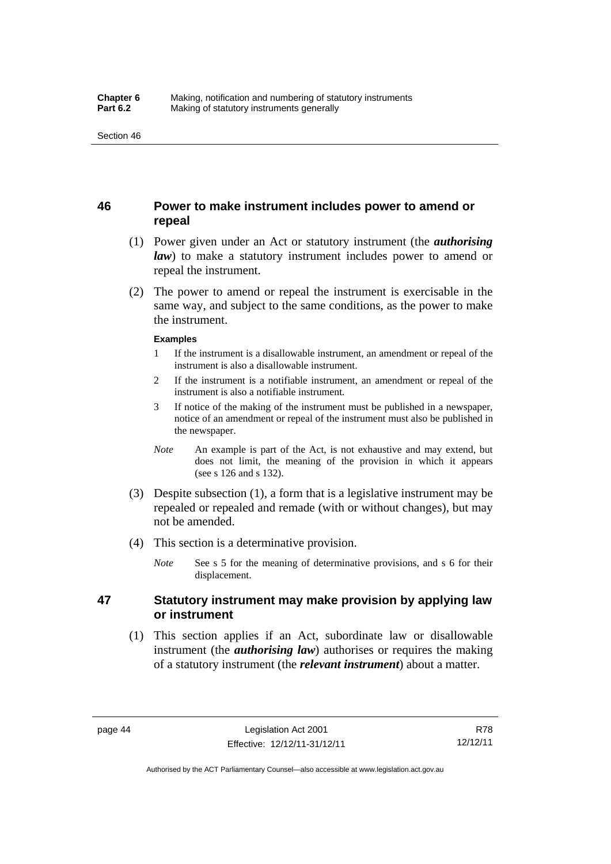# **46 Power to make instrument includes power to amend or repeal**

- (1) Power given under an Act or statutory instrument (the *authorising law*) to make a statutory instrument includes power to amend or repeal the instrument.
- (2) The power to amend or repeal the instrument is exercisable in the same way, and subject to the same conditions, as the power to make the instrument.

#### **Examples**

- 1 If the instrument is a disallowable instrument, an amendment or repeal of the instrument is also a disallowable instrument.
- 2 If the instrument is a notifiable instrument, an amendment or repeal of the instrument is also a notifiable instrument.
- 3 If notice of the making of the instrument must be published in a newspaper, notice of an amendment or repeal of the instrument must also be published in the newspaper.
- *Note* An example is part of the Act, is not exhaustive and may extend, but does not limit, the meaning of the provision in which it appears (see s 126 and s 132).
- (3) Despite subsection (1), a form that is a legislative instrument may be repealed or repealed and remade (with or without changes), but may not be amended.
- (4) This section is a determinative provision.
	- *Note* See s 5 for the meaning of determinative provisions, and s 6 for their displacement.

# **47 Statutory instrument may make provision by applying law or instrument**

 (1) This section applies if an Act, subordinate law or disallowable instrument (the *authorising law*) authorises or requires the making of a statutory instrument (the *relevant instrument*) about a matter.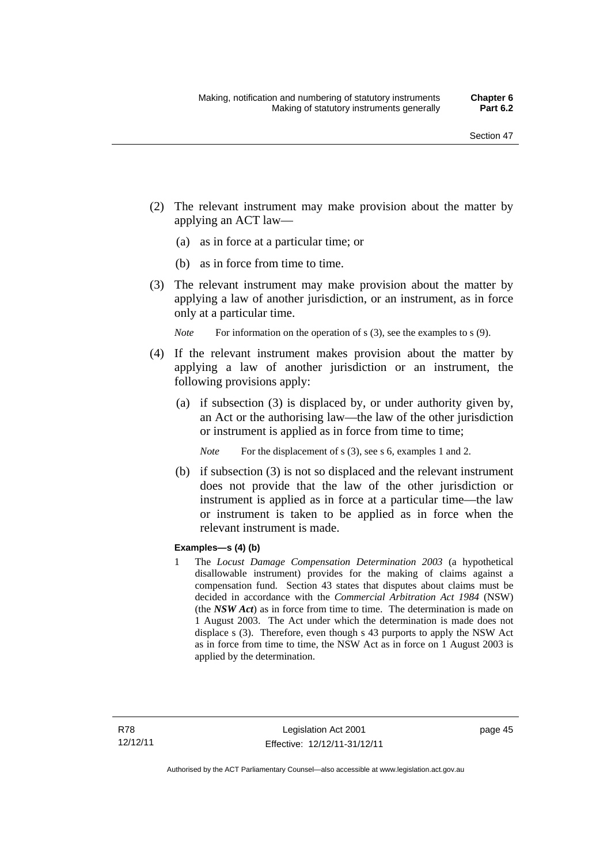- (2) The relevant instrument may make provision about the matter by applying an ACT law—
	- (a) as in force at a particular time; or
	- (b) as in force from time to time.
- (3) The relevant instrument may make provision about the matter by applying a law of another jurisdiction, or an instrument, as in force only at a particular time.

*Note* For information on the operation of s (3), see the examples to s (9).

- (4) If the relevant instrument makes provision about the matter by applying a law of another jurisdiction or an instrument, the following provisions apply:
	- (a) if subsection (3) is displaced by, or under authority given by, an Act or the authorising law—the law of the other jurisdiction or instrument is applied as in force from time to time;
		- *Note* For the displacement of s (3), see s 6, examples 1 and 2.
	- (b) if subsection (3) is not so displaced and the relevant instrument does not provide that the law of the other jurisdiction or instrument is applied as in force at a particular time—the law or instrument is taken to be applied as in force when the relevant instrument is made.

#### **Examples—s (4) (b)**

1 The *Locust Damage Compensation Determination 2003* (a hypothetical disallowable instrument) provides for the making of claims against a compensation fund. Section 43 states that disputes about claims must be decided in accordance with the *Commercial Arbitration Act 1984* (NSW) (the *NSW Act*) as in force from time to time. The determination is made on 1 August 2003. The Act under which the determination is made does not displace s (3). Therefore, even though s 43 purports to apply the NSW Act as in force from time to time, the NSW Act as in force on 1 August 2003 is applied by the determination.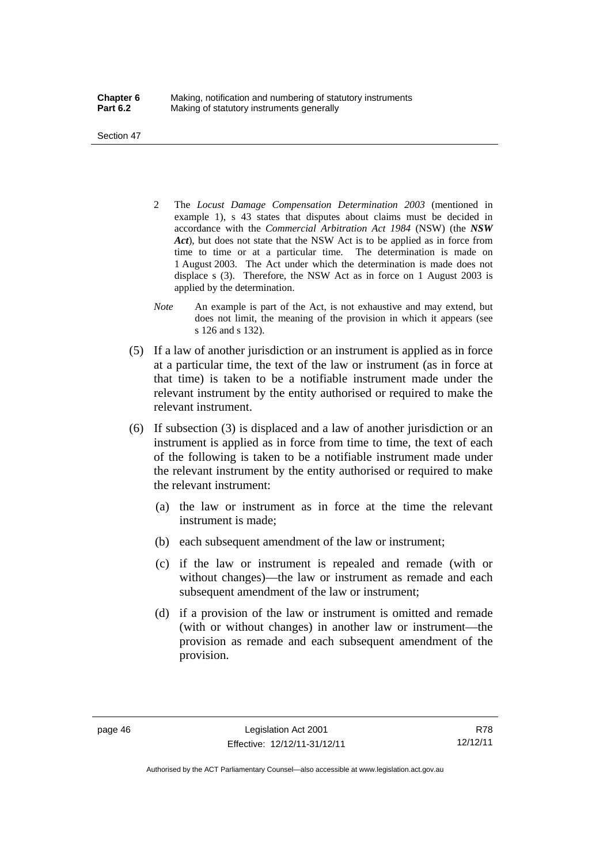Section 47

- 2 The *Locust Damage Compensation Determination 2003* (mentioned in example 1), s 43 states that disputes about claims must be decided in accordance with the *Commercial Arbitration Act 1984* (NSW) (the *NSW Act*), but does not state that the NSW Act is to be applied as in force from time to time or at a particular time. The determination is made on 1 August 2003. The Act under which the determination is made does not displace s (3). Therefore, the NSW Act as in force on 1 August 2003 is applied by the determination.
- *Note* An example is part of the Act, is not exhaustive and may extend, but does not limit, the meaning of the provision in which it appears (see s 126 and s 132).
- (5) If a law of another jurisdiction or an instrument is applied as in force at a particular time, the text of the law or instrument (as in force at that time) is taken to be a notifiable instrument made under the relevant instrument by the entity authorised or required to make the relevant instrument.
- (6) If subsection (3) is displaced and a law of another jurisdiction or an instrument is applied as in force from time to time, the text of each of the following is taken to be a notifiable instrument made under the relevant instrument by the entity authorised or required to make the relevant instrument:
	- (a) the law or instrument as in force at the time the relevant instrument is made;
	- (b) each subsequent amendment of the law or instrument;
	- (c) if the law or instrument is repealed and remade (with or without changes)—the law or instrument as remade and each subsequent amendment of the law or instrument;
	- (d) if a provision of the law or instrument is omitted and remade (with or without changes) in another law or instrument—the provision as remade and each subsequent amendment of the provision.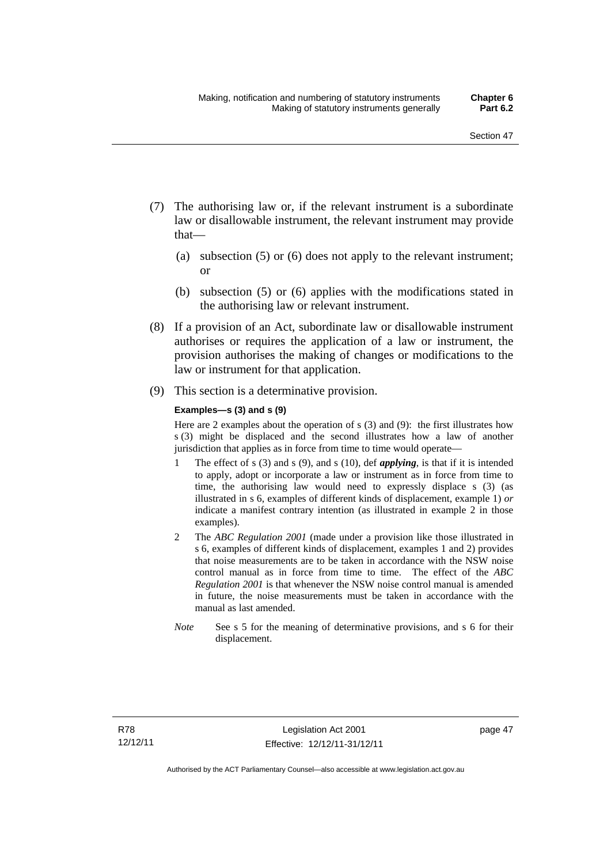- (7) The authorising law or, if the relevant instrument is a subordinate law or disallowable instrument, the relevant instrument may provide that—
	- (a) subsection (5) or (6) does not apply to the relevant instrument; or
	- (b) subsection (5) or (6) applies with the modifications stated in the authorising law or relevant instrument.
- (8) If a provision of an Act, subordinate law or disallowable instrument authorises or requires the application of a law or instrument, the provision authorises the making of changes or modifications to the law or instrument for that application.
- (9) This section is a determinative provision.

#### **Examples—s (3) and s (9)**

Here are 2 examples about the operation of s (3) and (9): the first illustrates how s (3) might be displaced and the second illustrates how a law of another jurisdiction that applies as in force from time to time would operate—

- 1 The effect of s (3) and s (9), and s (10), def *applying*, is that if it is intended to apply, adopt or incorporate a law or instrument as in force from time to time, the authorising law would need to expressly displace s (3) (as illustrated in s 6, examples of different kinds of displacement, example 1) *or* indicate a manifest contrary intention (as illustrated in example 2 in those examples).
- 2 The *ABC Regulation 2001* (made under a provision like those illustrated in s 6, examples of different kinds of displacement, examples 1 and 2) provides that noise measurements are to be taken in accordance with the NSW noise control manual as in force from time to time. The effect of the *ABC Regulation 2001* is that whenever the NSW noise control manual is amended in future, the noise measurements must be taken in accordance with the manual as last amended.
- *Note* See s 5 for the meaning of determinative provisions, and s 6 for their displacement.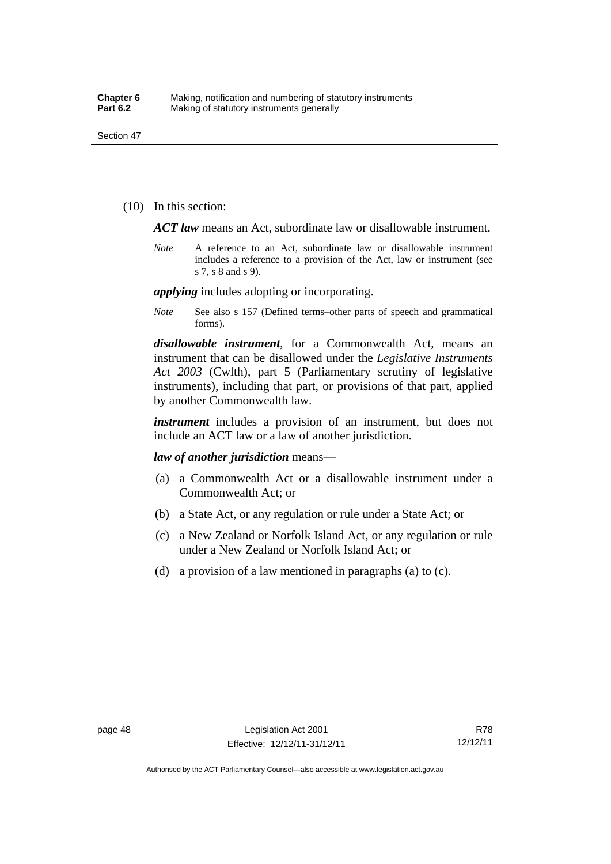(10) In this section:

*ACT law* means an Act, subordinate law or disallowable instrument.

*Note* A reference to an Act, subordinate law or disallowable instrument includes a reference to a provision of the Act, law or instrument (see s 7, s 8 and s 9).

*applying* includes adopting or incorporating.

*Note* See also s 157 (Defined terms–other parts of speech and grammatical forms).

*disallowable instrument*, for a Commonwealth Act, means an instrument that can be disallowed under the *Legislative Instruments Act 2003* (Cwlth), part 5 (Parliamentary scrutiny of legislative instruments), including that part, or provisions of that part, applied by another Commonwealth law.

*instrument* includes a provision of an instrument, but does not include an ACT law or a law of another jurisdiction.

*law of another jurisdiction* means—

- (a) a Commonwealth Act or a disallowable instrument under a Commonwealth Act; or
- (b) a State Act, or any regulation or rule under a State Act; or
- (c) a New Zealand or Norfolk Island Act, or any regulation or rule under a New Zealand or Norfolk Island Act; or
- (d) a provision of a law mentioned in paragraphs (a) to (c).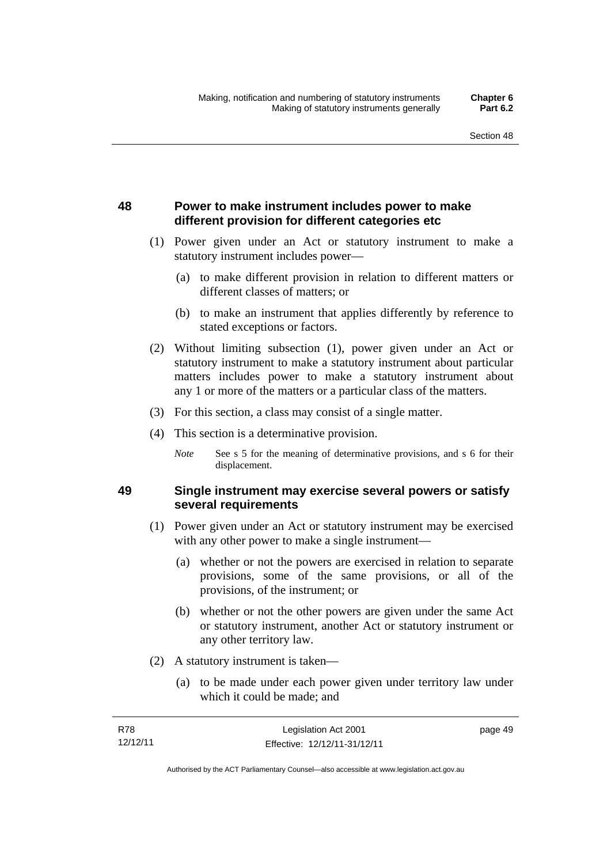# **48 Power to make instrument includes power to make different provision for different categories etc**

- (1) Power given under an Act or statutory instrument to make a statutory instrument includes power—
	- (a) to make different provision in relation to different matters or different classes of matters; or
	- (b) to make an instrument that applies differently by reference to stated exceptions or factors.
- (2) Without limiting subsection (1), power given under an Act or statutory instrument to make a statutory instrument about particular matters includes power to make a statutory instrument about any 1 or more of the matters or a particular class of the matters.
- (3) For this section, a class may consist of a single matter.
- (4) This section is a determinative provision.
	- *Note* See s 5 for the meaning of determinative provisions, and s 6 for their displacement.

# **49 Single instrument may exercise several powers or satisfy several requirements**

- (1) Power given under an Act or statutory instrument may be exercised with any other power to make a single instrument—
	- (a) whether or not the powers are exercised in relation to separate provisions, some of the same provisions, or all of the provisions, of the instrument; or
	- (b) whether or not the other powers are given under the same Act or statutory instrument, another Act or statutory instrument or any other territory law.
- (2) A statutory instrument is taken—
	- (a) to be made under each power given under territory law under which it could be made; and

| R78      | Legislation Act 2001         | page 49 |
|----------|------------------------------|---------|
| 12/12/11 | Effective: 12/12/11-31/12/11 |         |

Authorised by the ACT Parliamentary Counsel—also accessible at www.legislation.act.gov.au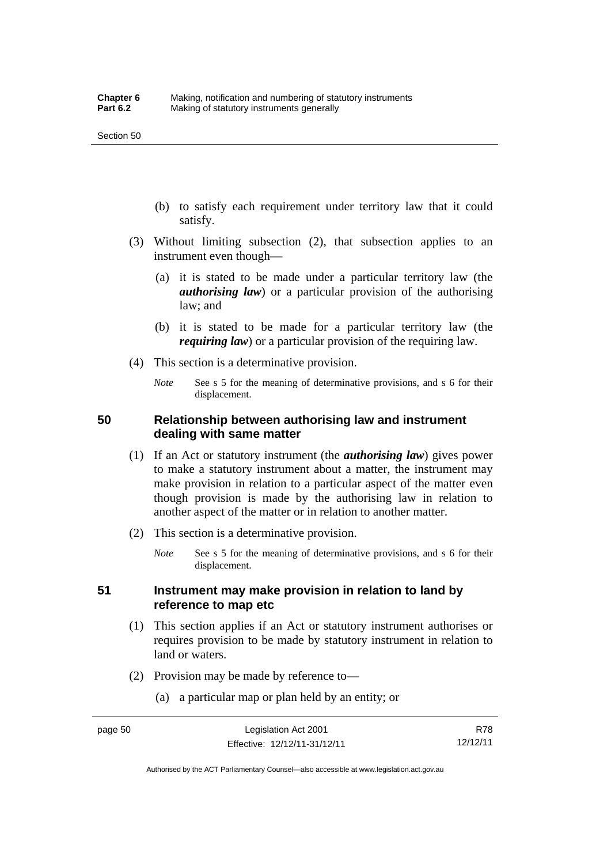- (b) to satisfy each requirement under territory law that it could satisfy.
- (3) Without limiting subsection (2), that subsection applies to an instrument even though—
	- (a) it is stated to be made under a particular territory law (the *authorising law*) or a particular provision of the authorising law; and
	- (b) it is stated to be made for a particular territory law (the *requiring law*) or a particular provision of the requiring law.
- (4) This section is a determinative provision.
	- *Note* See s 5 for the meaning of determinative provisions, and s 6 for their displacement.

## **50 Relationship between authorising law and instrument dealing with same matter**

- (1) If an Act or statutory instrument (the *authorising law*) gives power to make a statutory instrument about a matter, the instrument may make provision in relation to a particular aspect of the matter even though provision is made by the authorising law in relation to another aspect of the matter or in relation to another matter.
- (2) This section is a determinative provision.
	- *Note* See s 5 for the meaning of determinative provisions, and s 6 for their displacement.

## **51 Instrument may make provision in relation to land by reference to map etc**

- (1) This section applies if an Act or statutory instrument authorises or requires provision to be made by statutory instrument in relation to land or waters.
- (2) Provision may be made by reference to—
	- (a) a particular map or plan held by an entity; or

R78 12/12/11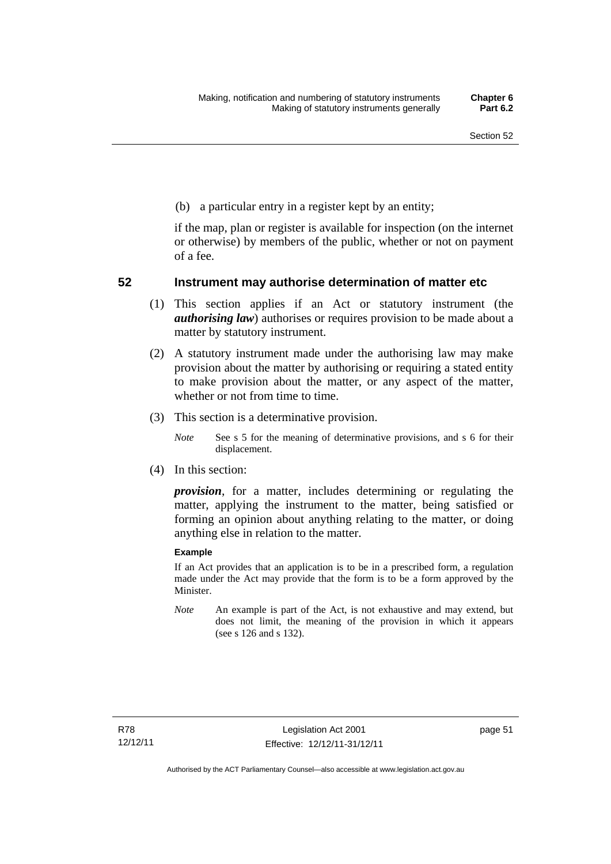(b) a particular entry in a register kept by an entity;

if the map, plan or register is available for inspection (on the internet or otherwise) by members of the public, whether or not on payment of a fee.

### **52 Instrument may authorise determination of matter etc**

- (1) This section applies if an Act or statutory instrument (the *authorising law*) authorises or requires provision to be made about a matter by statutory instrument.
- (2) A statutory instrument made under the authorising law may make provision about the matter by authorising or requiring a stated entity to make provision about the matter, or any aspect of the matter, whether or not from time to time.
- (3) This section is a determinative provision.
	- *Note* See s 5 for the meaning of determinative provisions, and s 6 for their displacement.
- (4) In this section:

*provision*, for a matter, includes determining or regulating the matter, applying the instrument to the matter, being satisfied or forming an opinion about anything relating to the matter, or doing anything else in relation to the matter.

#### **Example**

If an Act provides that an application is to be in a prescribed form, a regulation made under the Act may provide that the form is to be a form approved by the Minister.

*Note* An example is part of the Act, is not exhaustive and may extend, but does not limit, the meaning of the provision in which it appears (see s 126 and s 132).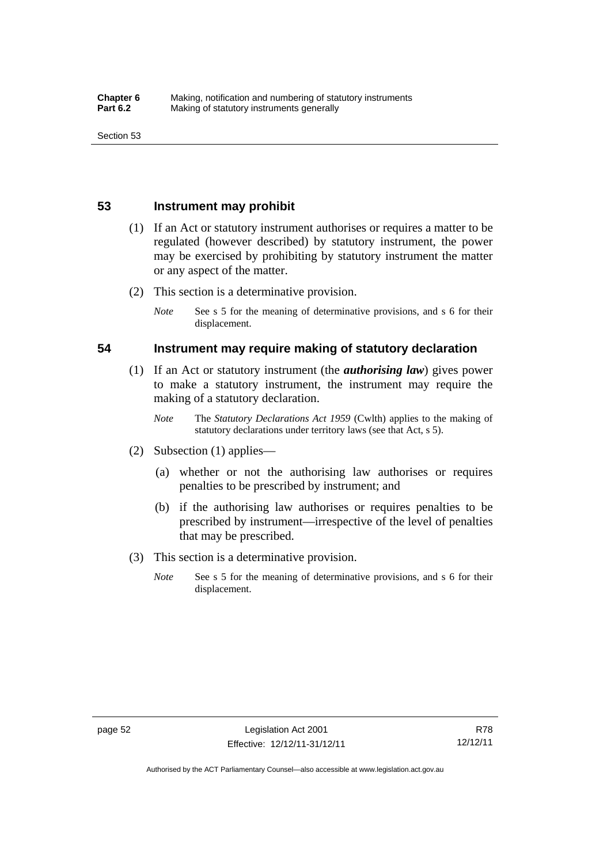## **53 Instrument may prohibit**

- (1) If an Act or statutory instrument authorises or requires a matter to be regulated (however described) by statutory instrument, the power may be exercised by prohibiting by statutory instrument the matter or any aspect of the matter.
- (2) This section is a determinative provision.
	- *Note* See s 5 for the meaning of determinative provisions, and s 6 for their displacement.

#### **54 Instrument may require making of statutory declaration**

- (1) If an Act or statutory instrument (the *authorising law*) gives power to make a statutory instrument, the instrument may require the making of a statutory declaration.
	- *Note* The *Statutory Declarations Act 1959* (Cwlth) applies to the making of statutory declarations under territory laws (see that Act, s 5).
- (2) Subsection (1) applies—
	- (a) whether or not the authorising law authorises or requires penalties to be prescribed by instrument; and
	- (b) if the authorising law authorises or requires penalties to be prescribed by instrument—irrespective of the level of penalties that may be prescribed.
- (3) This section is a determinative provision.
	- *Note* See s 5 for the meaning of determinative provisions, and s 6 for their displacement.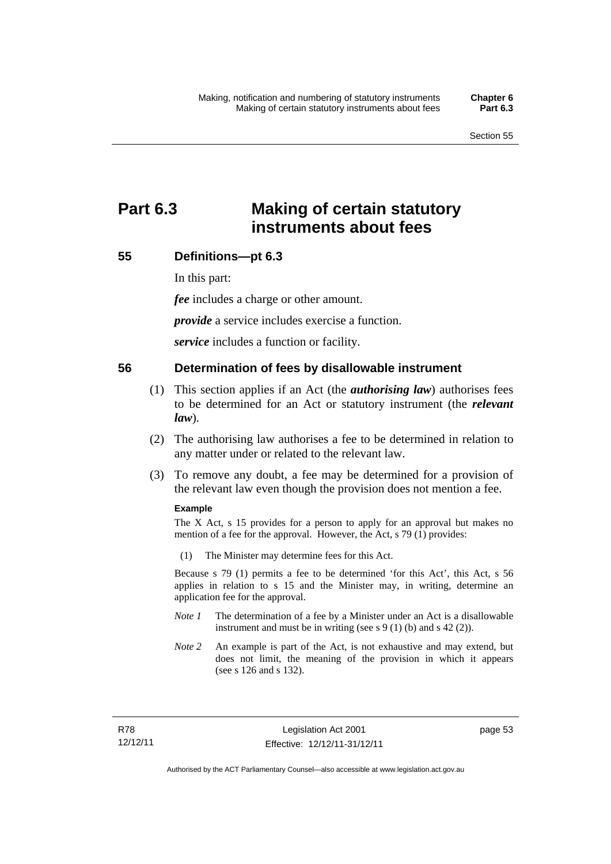# **Part 6.3 Making of certain statutory instruments about fees**

# **55 Definitions—pt 6.3**

In this part:

*fee* includes a charge or other amount.

*provide* a service includes exercise a function.

*service* includes a function or facility.

#### **56 Determination of fees by disallowable instrument**

- (1) This section applies if an Act (the *authorising law*) authorises fees to be determined for an Act or statutory instrument (the *relevant law*).
- (2) The authorising law authorises a fee to be determined in relation to any matter under or related to the relevant law.
- (3) To remove any doubt, a fee may be determined for a provision of the relevant law even though the provision does not mention a fee.

#### **Example**

The X Act, s 15 provides for a person to apply for an approval but makes no mention of a fee for the approval. However, the Act, s 79 (1) provides:

(1) The Minister may determine fees for this Act.

Because s 79 (1) permits a fee to be determined 'for this Act', this Act, s 56 applies in relation to s 15 and the Minister may, in writing, determine an application fee for the approval.

- *Note 1* The determination of a fee by a Minister under an Act is a disallowable instrument and must be in writing (see s 9 (1) (b) and s 42 (2)).
- *Note 2* An example is part of the Act, is not exhaustive and may extend, but does not limit, the meaning of the provision in which it appears (see s 126 and s 132).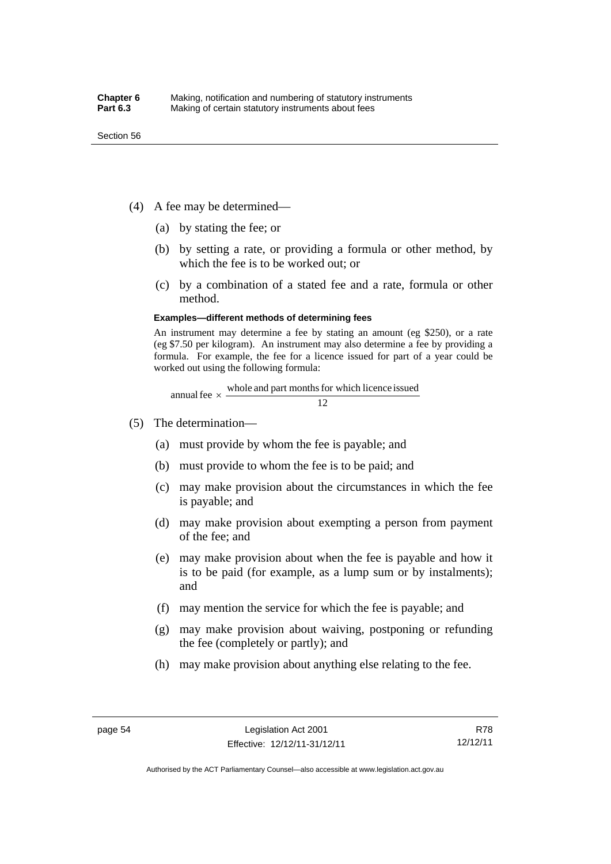- (4) A fee may be determined—
	- (a) by stating the fee; or
	- (b) by setting a rate, or providing a formula or other method, by which the fee is to be worked out; or
	- (c) by a combination of a stated fee and a rate, formula or other method.

#### **Examples—different methods of determining fees**

An instrument may determine a fee by stating an amount (eg \$250), or a rate (eg \$7.50 per kilogram). An instrument may also determine a fee by providing a formula. For example, the fee for a licence issued for part of a year could be worked out using the following formula:

annual fee  $\times$  whole and part months for which licence issued  $\frac{12}{\sqrt{12}}$ 

- (5) The determination—
	- (a) must provide by whom the fee is payable; and
	- (b) must provide to whom the fee is to be paid; and
	- (c) may make provision about the circumstances in which the fee is payable; and
	- (d) may make provision about exempting a person from payment of the fee; and
	- (e) may make provision about when the fee is payable and how it is to be paid (for example, as a lump sum or by instalments); and
	- (f) may mention the service for which the fee is payable; and
	- (g) may make provision about waiving, postponing or refunding the fee (completely or partly); and
	- (h) may make provision about anything else relating to the fee.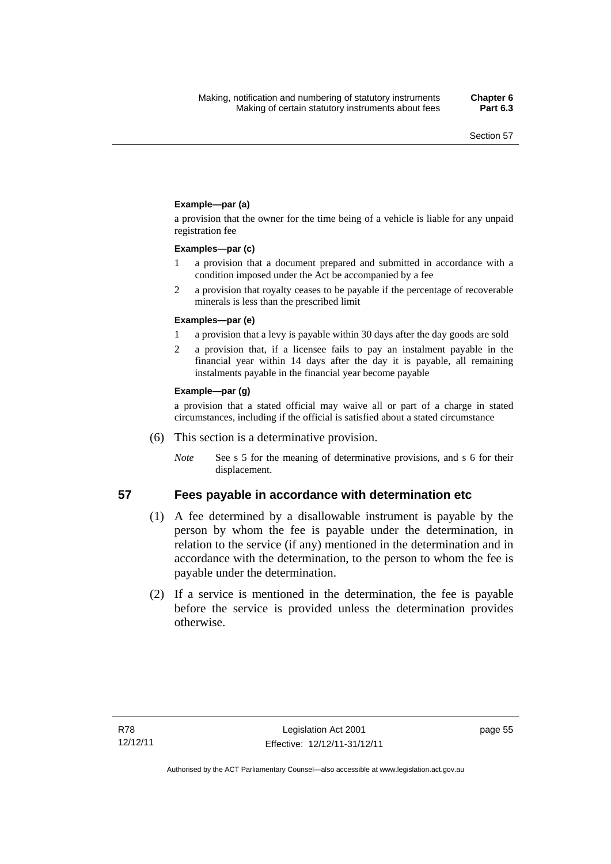#### **Example—par (a)**

a provision that the owner for the time being of a vehicle is liable for any unpaid registration fee

#### **Examples—par (c)**

- 1 a provision that a document prepared and submitted in accordance with a condition imposed under the Act be accompanied by a fee
- 2 a provision that royalty ceases to be payable if the percentage of recoverable minerals is less than the prescribed limit

#### **Examples—par (e)**

- 1 a provision that a levy is payable within 30 days after the day goods are sold
- 2 a provision that, if a licensee fails to pay an instalment payable in the financial year within 14 days after the day it is payable, all remaining instalments payable in the financial year become payable

#### **Example—par (g)**

a provision that a stated official may waive all or part of a charge in stated circumstances, including if the official is satisfied about a stated circumstance

- (6) This section is a determinative provision.
	- *Note* See s 5 for the meaning of determinative provisions, and s 6 for their displacement.

#### **57 Fees payable in accordance with determination etc**

- (1) A fee determined by a disallowable instrument is payable by the
- person by whom the fee is payable under the determination, in relation to the service (if any) mentioned in the determination and in accordance with the determination, to the person to whom the fee is payable under the determination.
- (2) If a service is mentioned in the determination, the fee is payable before the service is provided unless the determination provides otherwise.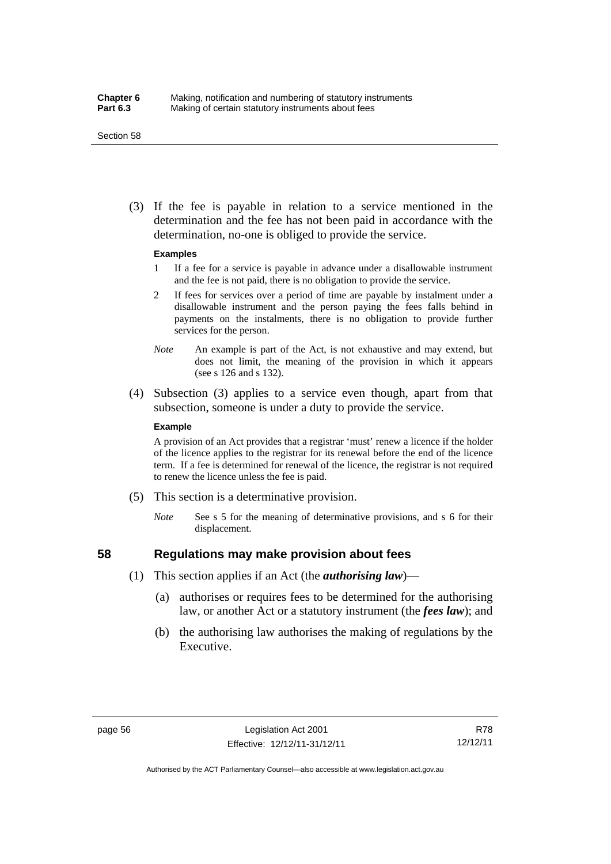#### Section 58

 (3) If the fee is payable in relation to a service mentioned in the determination and the fee has not been paid in accordance with the determination, no-one is obliged to provide the service.

#### **Examples**

- 1 If a fee for a service is payable in advance under a disallowable instrument and the fee is not paid, there is no obligation to provide the service.
- 2 If fees for services over a period of time are payable by instalment under a disallowable instrument and the person paying the fees falls behind in payments on the instalments, there is no obligation to provide further services for the person.
- *Note* An example is part of the Act, is not exhaustive and may extend, but does not limit, the meaning of the provision in which it appears (see s 126 and s 132).
- (4) Subsection (3) applies to a service even though, apart from that subsection, someone is under a duty to provide the service.

#### **Example**

A provision of an Act provides that a registrar 'must' renew a licence if the holder of the licence applies to the registrar for its renewal before the end of the licence term. If a fee is determined for renewal of the licence, the registrar is not required to renew the licence unless the fee is paid.

- (5) This section is a determinative provision.
	- *Note* See s 5 for the meaning of determinative provisions, and s 6 for their displacement.

# **58 Regulations may make provision about fees**

- (1) This section applies if an Act (the *authorising law*)—
	- (a) authorises or requires fees to be determined for the authorising law, or another Act or a statutory instrument (the *fees law*); and
	- (b) the authorising law authorises the making of regulations by the Executive.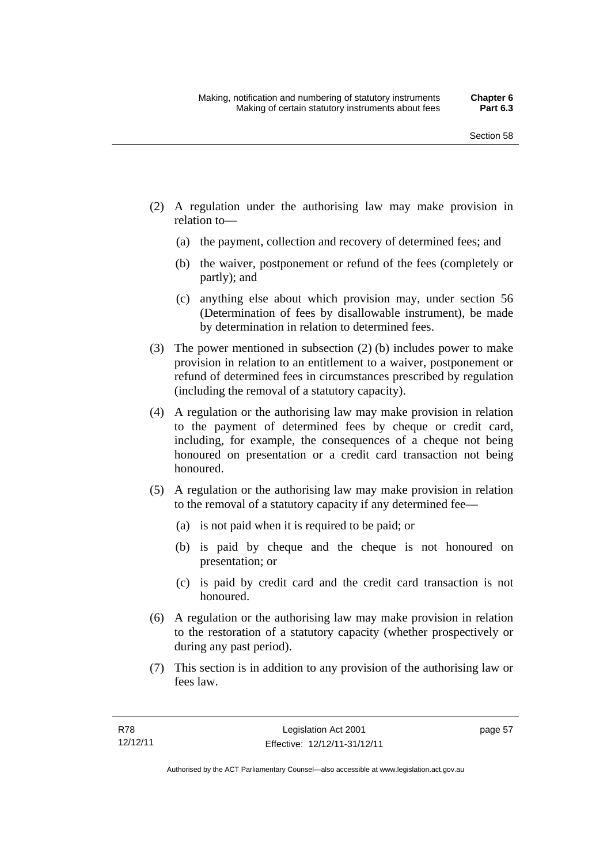- (2) A regulation under the authorising law may make provision in relation to—
	- (a) the payment, collection and recovery of determined fees; and
	- (b) the waiver, postponement or refund of the fees (completely or partly); and
	- (c) anything else about which provision may, under section 56 (Determination of fees by disallowable instrument), be made by determination in relation to determined fees.
- (3) The power mentioned in subsection (2) (b) includes power to make provision in relation to an entitlement to a waiver, postponement or refund of determined fees in circumstances prescribed by regulation (including the removal of a statutory capacity).
- (4) A regulation or the authorising law may make provision in relation to the payment of determined fees by cheque or credit card, including, for example, the consequences of a cheque not being honoured on presentation or a credit card transaction not being honoured.
- (5) A regulation or the authorising law may make provision in relation to the removal of a statutory capacity if any determined fee—
	- (a) is not paid when it is required to be paid; or
	- (b) is paid by cheque and the cheque is not honoured on presentation; or
	- (c) is paid by credit card and the credit card transaction is not honoured.
- (6) A regulation or the authorising law may make provision in relation to the restoration of a statutory capacity (whether prospectively or during any past period).
- (7) This section is in addition to any provision of the authorising law or fees law.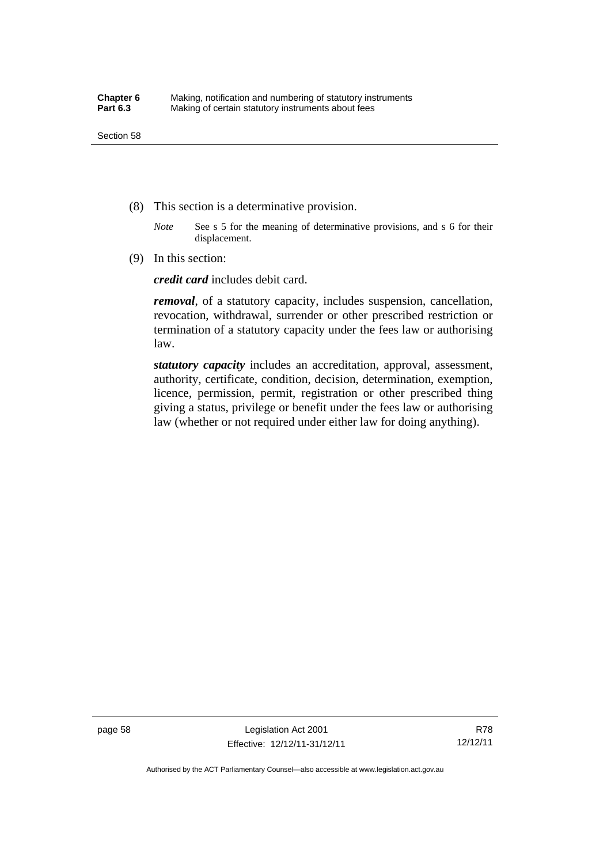- (8) This section is a determinative provision.
	- *Note* See s 5 for the meaning of determinative provisions, and s 6 for their displacement.
- (9) In this section:

*credit card* includes debit card.

*removal*, of a statutory capacity, includes suspension, cancellation, revocation, withdrawal, surrender or other prescribed restriction or termination of a statutory capacity under the fees law or authorising law.

*statutory capacity* includes an accreditation, approval, assessment, authority, certificate, condition, decision, determination, exemption, licence, permission, permit, registration or other prescribed thing giving a status, privilege or benefit under the fees law or authorising law (whether or not required under either law for doing anything).

R78 12/12/11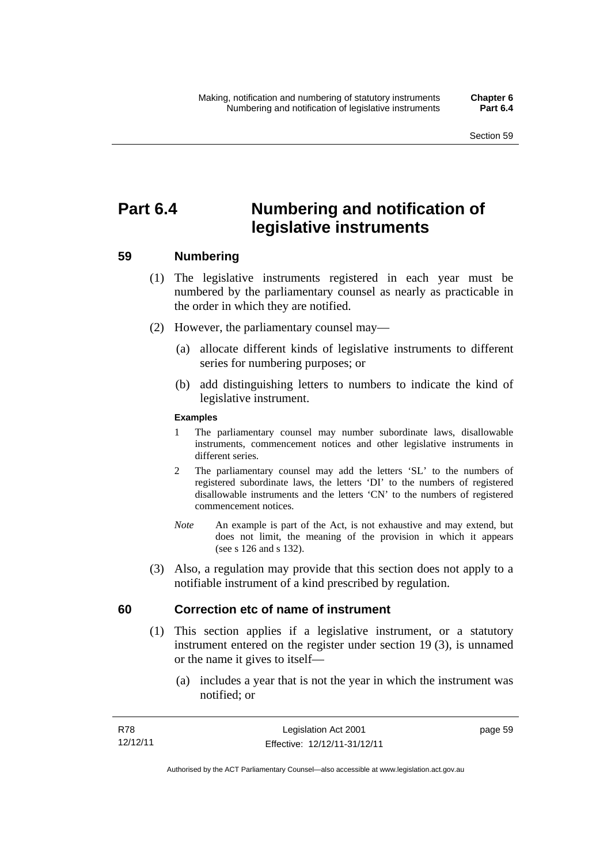# **Part 6.4 Numbering and notification of legislative instruments**

## **59 Numbering**

- (1) The legislative instruments registered in each year must be numbered by the parliamentary counsel as nearly as practicable in the order in which they are notified.
- (2) However, the parliamentary counsel may—
	- (a) allocate different kinds of legislative instruments to different series for numbering purposes; or
	- (b) add distinguishing letters to numbers to indicate the kind of legislative instrument.

## **Examples**

- 1 The parliamentary counsel may number subordinate laws, disallowable instruments, commencement notices and other legislative instruments in different series.
- 2 The parliamentary counsel may add the letters 'SL' to the numbers of registered subordinate laws, the letters 'DI' to the numbers of registered disallowable instruments and the letters 'CN' to the numbers of registered commencement notices.
- *Note* An example is part of the Act, is not exhaustive and may extend, but does not limit, the meaning of the provision in which it appears (see s 126 and s 132).
- (3) Also, a regulation may provide that this section does not apply to a notifiable instrument of a kind prescribed by regulation.

## **60 Correction etc of name of instrument**

- (1) This section applies if a legislative instrument, or a statutory instrument entered on the register under section 19 (3), is unnamed or the name it gives to itself—
	- (a) includes a year that is not the year in which the instrument was notified; or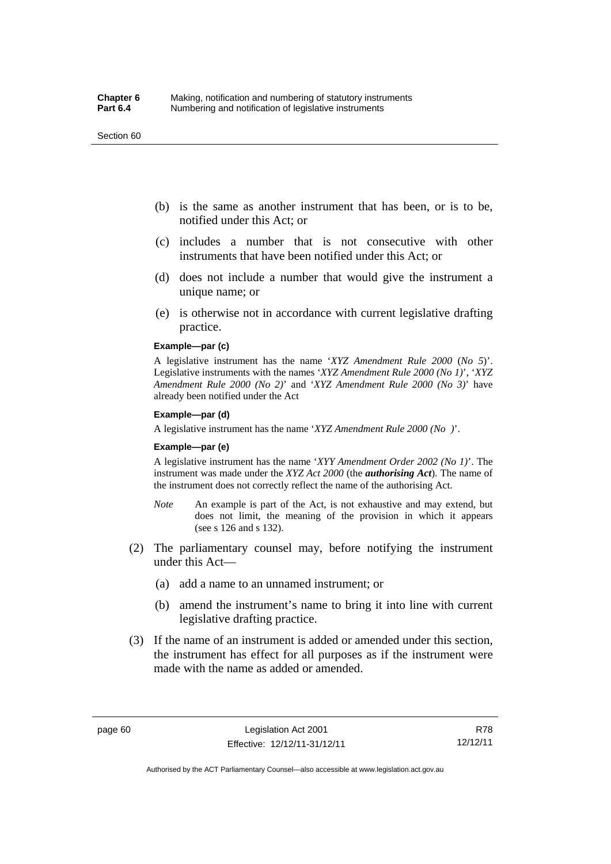#### Section 60

- (b) is the same as another instrument that has been, or is to be, notified under this Act; or
- (c) includes a number that is not consecutive with other instruments that have been notified under this Act; or
- (d) does not include a number that would give the instrument a unique name; or
- (e) is otherwise not in accordance with current legislative drafting practice.

## **Example—par (c)**

A legislative instrument has the name '*XYZ Amendment Rule 2000* (*No 5*)'. Legislative instruments with the names '*XYZ Amendment Rule 2000 (No 1)*', '*XYZ Amendment Rule 2000 (No 2)*' and '*XYZ Amendment Rule 2000 (No 3)*' have already been notified under the Act

#### **Example—par (d)**

A legislative instrument has the name '*XYZ Amendment Rule 2000 (No )*'.

#### **Example—par (e)**

A legislative instrument has the name '*XYY Amendment Order 2002 (No 1)*'. The instrument was made under the *XYZ Act 2000* (the *authorising Act*). The name of the instrument does not correctly reflect the name of the authorising Act.

- *Note* An example is part of the Act, is not exhaustive and may extend, but does not limit, the meaning of the provision in which it appears (see s 126 and s 132).
- (2) The parliamentary counsel may, before notifying the instrument under this Act—
	- (a) add a name to an unnamed instrument; or
	- (b) amend the instrument's name to bring it into line with current legislative drafting practice.
- (3) If the name of an instrument is added or amended under this section, the instrument has effect for all purposes as if the instrument were made with the name as added or amended.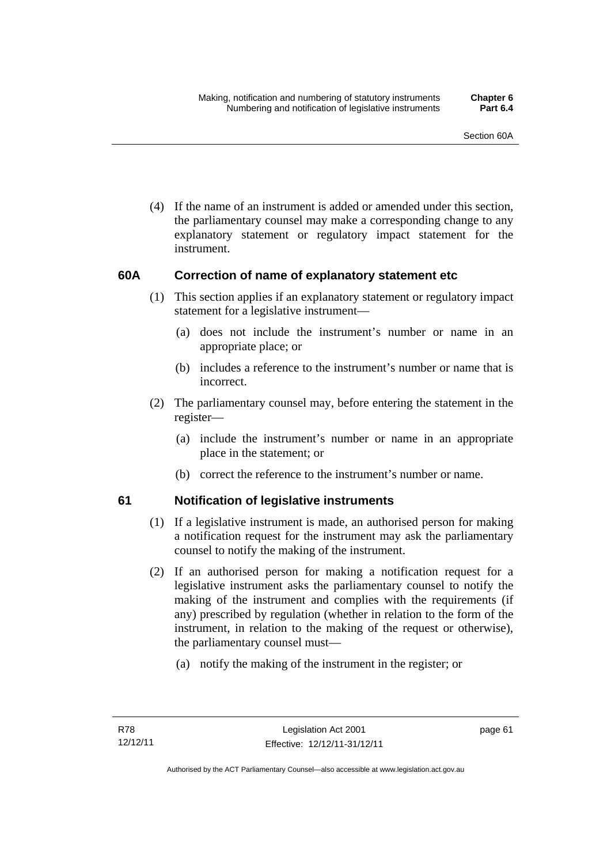(4) If the name of an instrument is added or amended under this section, the parliamentary counsel may make a corresponding change to any explanatory statement or regulatory impact statement for the instrument.

## **60A Correction of name of explanatory statement etc**

- (1) This section applies if an explanatory statement or regulatory impact statement for a legislative instrument—
	- (a) does not include the instrument's number or name in an appropriate place; or
	- (b) includes a reference to the instrument's number or name that is incorrect.
- (2) The parliamentary counsel may, before entering the statement in the register—
	- (a) include the instrument's number or name in an appropriate place in the statement; or
	- (b) correct the reference to the instrument's number or name.

## **61 Notification of legislative instruments**

- (1) If a legislative instrument is made, an authorised person for making a notification request for the instrument may ask the parliamentary counsel to notify the making of the instrument.
- (2) If an authorised person for making a notification request for a legislative instrument asks the parliamentary counsel to notify the making of the instrument and complies with the requirements (if any) prescribed by regulation (whether in relation to the form of the instrument, in relation to the making of the request or otherwise), the parliamentary counsel must—
	- (a) notify the making of the instrument in the register; or

page 61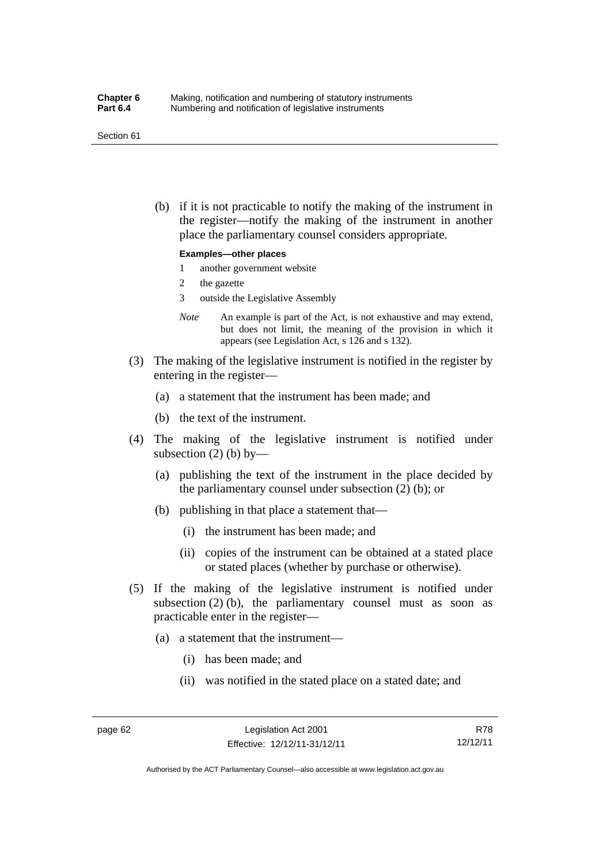#### Section 61

 (b) if it is not practicable to notify the making of the instrument in the register—notify the making of the instrument in another place the parliamentary counsel considers appropriate.

### **Examples—other places**

- 1 another government website
- 2 the gazette
- 3 outside the Legislative Assembly
- *Note* An example is part of the Act, is not exhaustive and may extend, but does not limit, the meaning of the provision in which it appears (see Legislation Act, s 126 and s 132).
- (3) The making of the legislative instrument is notified in the register by entering in the register—
	- (a) a statement that the instrument has been made; and
	- (b) the text of the instrument.
- (4) The making of the legislative instrument is notified under subsection  $(2)$  (b) by—
	- (a) publishing the text of the instrument in the place decided by the parliamentary counsel under subsection (2) (b); or
	- (b) publishing in that place a statement that—
		- (i) the instrument has been made; and
		- (ii) copies of the instrument can be obtained at a stated place or stated places (whether by purchase or otherwise).
- (5) If the making of the legislative instrument is notified under subsection  $(2)$  (b), the parliamentary counsel must as soon as practicable enter in the register—
	- (a) a statement that the instrument—
		- (i) has been made; and
		- (ii) was notified in the stated place on a stated date; and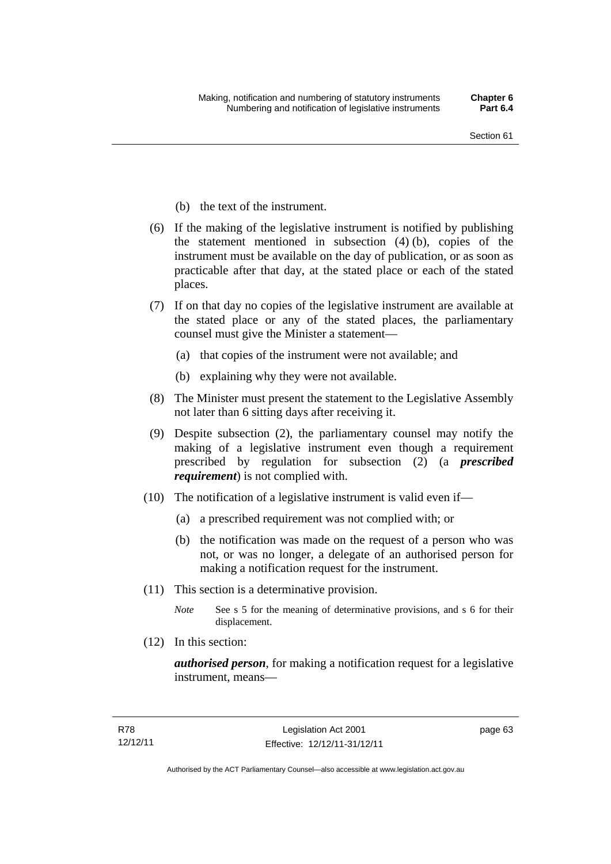- (b) the text of the instrument.
- (6) If the making of the legislative instrument is notified by publishing the statement mentioned in subsection (4) (b), copies of the instrument must be available on the day of publication, or as soon as practicable after that day, at the stated place or each of the stated places.
- (7) If on that day no copies of the legislative instrument are available at the stated place or any of the stated places, the parliamentary counsel must give the Minister a statement—
	- (a) that copies of the instrument were not available; and
	- (b) explaining why they were not available.
- (8) The Minister must present the statement to the Legislative Assembly not later than 6 sitting days after receiving it.
- (9) Despite subsection (2), the parliamentary counsel may notify the making of a legislative instrument even though a requirement prescribed by regulation for subsection (2) (a *prescribed requirement*) is not complied with.
- (10) The notification of a legislative instrument is valid even if—
	- (a) a prescribed requirement was not complied with; or
	- (b) the notification was made on the request of a person who was not, or was no longer, a delegate of an authorised person for making a notification request for the instrument.
- (11) This section is a determinative provision.
	- *Note* See s 5 for the meaning of determinative provisions, and s 6 for their displacement.
- (12) In this section:

*authorised person*, for making a notification request for a legislative instrument, means—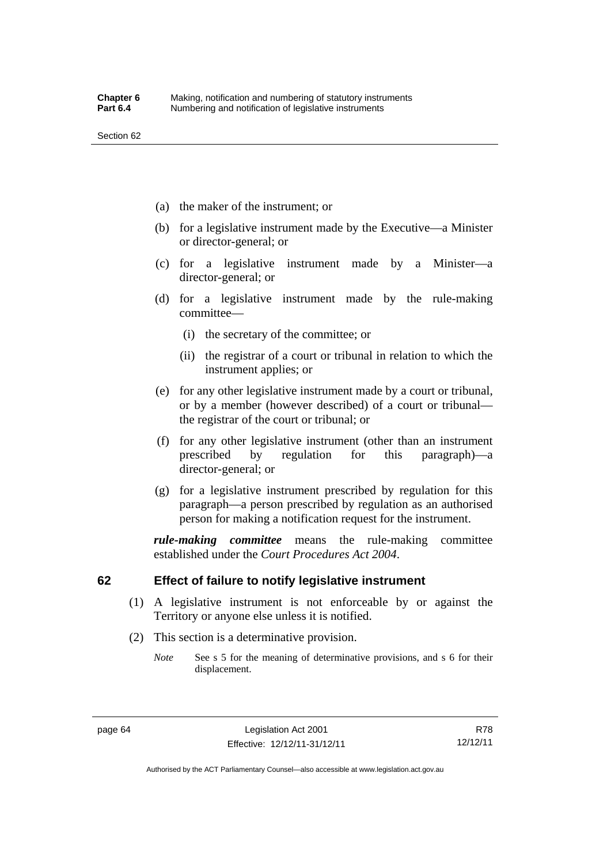- (a) the maker of the instrument; or
- (b) for a legislative instrument made by the Executive—a Minister or director-general; or
- (c) for a legislative instrument made by a Minister—a director-general; or
- (d) for a legislative instrument made by the rule-making committee—
	- (i) the secretary of the committee; or
	- (ii) the registrar of a court or tribunal in relation to which the instrument applies; or
- (e) for any other legislative instrument made by a court or tribunal, or by a member (however described) of a court or tribunal the registrar of the court or tribunal; or
- (f) for any other legislative instrument (other than an instrument prescribed by regulation for this paragraph)—a director-general; or
- (g) for a legislative instrument prescribed by regulation for this paragraph—a person prescribed by regulation as an authorised person for making a notification request for the instrument.

*rule-making committee* means the rule-making committee established under the *Court Procedures Act 2004*.

## **62 Effect of failure to notify legislative instrument**

- (1) A legislative instrument is not enforceable by or against the Territory or anyone else unless it is notified.
- (2) This section is a determinative provision.
	- *Note* See s 5 for the meaning of determinative provisions, and s 6 for their displacement.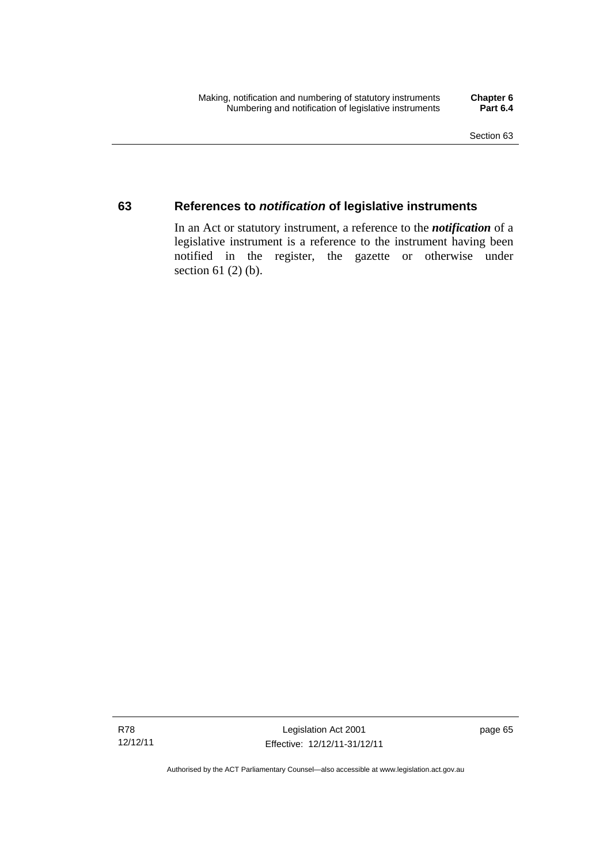## **63 References to** *notification* **of legislative instruments**

In an Act or statutory instrument, a reference to the *notification* of a legislative instrument is a reference to the instrument having been notified in the register, the gazette or otherwise under section  $61$  (2) (b).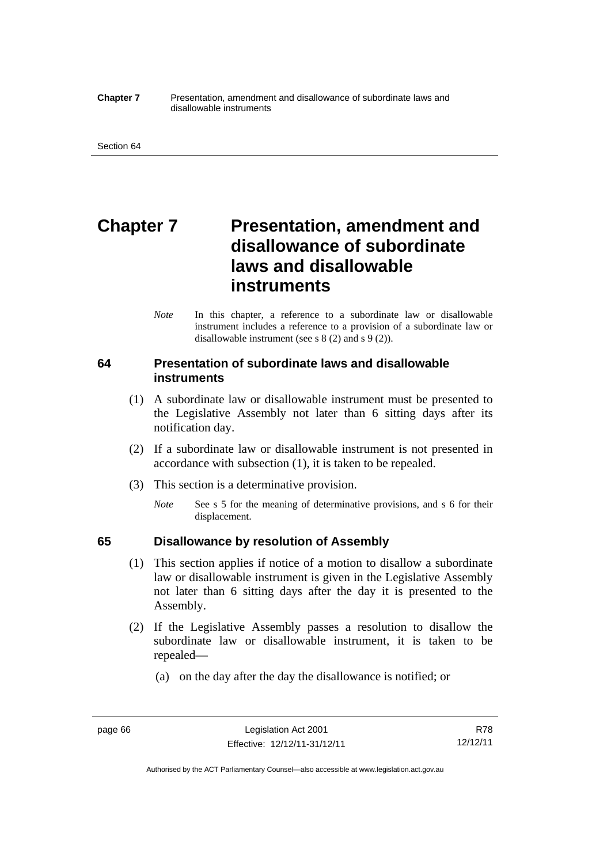#### **Chapter 7** Presentation, amendment and disallowance of subordinate laws and disallowable instruments

# **Chapter 7** Presentation, amendment and **disallowance of subordinate laws and disallowable instruments**

*Note* In this chapter, a reference to a subordinate law or disallowable instrument includes a reference to a provision of a subordinate law or disallowable instrument (see s 8 (2) and s 9 (2)).

## **64 Presentation of subordinate laws and disallowable instruments**

- (1) A subordinate law or disallowable instrument must be presented to the Legislative Assembly not later than 6 sitting days after its notification day.
- (2) If a subordinate law or disallowable instrument is not presented in accordance with subsection (1), it is taken to be repealed.
- (3) This section is a determinative provision.
	- *Note* See s 5 for the meaning of determinative provisions, and s 6 for their displacement.

## **65 Disallowance by resolution of Assembly**

- (1) This section applies if notice of a motion to disallow a subordinate law or disallowable instrument is given in the Legislative Assembly not later than 6 sitting days after the day it is presented to the Assembly.
- (2) If the Legislative Assembly passes a resolution to disallow the subordinate law or disallowable instrument, it is taken to be repealed—
	- (a) on the day after the day the disallowance is notified; or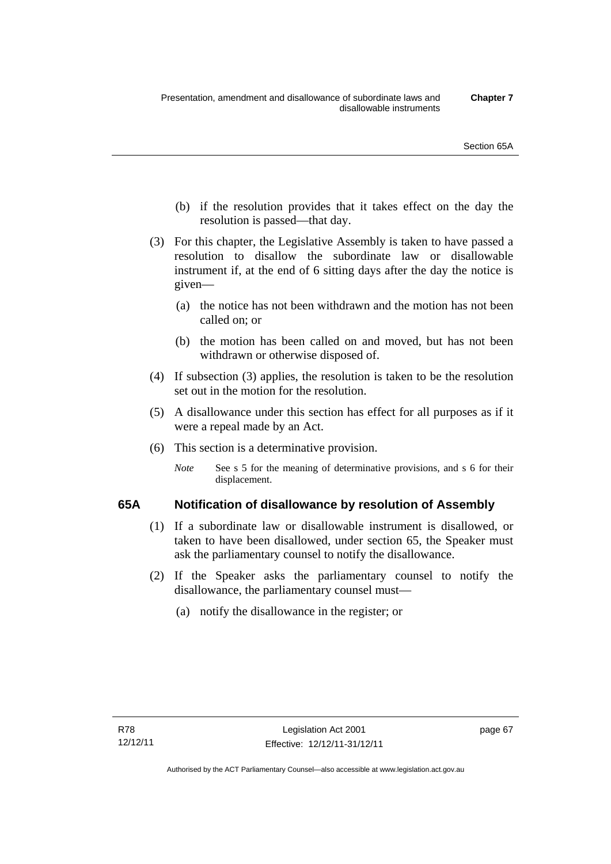- (b) if the resolution provides that it takes effect on the day the resolution is passed—that day.
- (3) For this chapter, the Legislative Assembly is taken to have passed a resolution to disallow the subordinate law or disallowable instrument if, at the end of 6 sitting days after the day the notice is given—
	- (a) the notice has not been withdrawn and the motion has not been called on; or
	- (b) the motion has been called on and moved, but has not been withdrawn or otherwise disposed of.
- (4) If subsection (3) applies, the resolution is taken to be the resolution set out in the motion for the resolution.
- (5) A disallowance under this section has effect for all purposes as if it were a repeal made by an Act.
- (6) This section is a determinative provision.
	- *Note* See s 5 for the meaning of determinative provisions, and s 6 for their displacement.

## **65A Notification of disallowance by resolution of Assembly**

- (1) If a subordinate law or disallowable instrument is disallowed, or taken to have been disallowed, under section 65, the Speaker must ask the parliamentary counsel to notify the disallowance.
- (2) If the Speaker asks the parliamentary counsel to notify the disallowance, the parliamentary counsel must—
	- (a) notify the disallowance in the register; or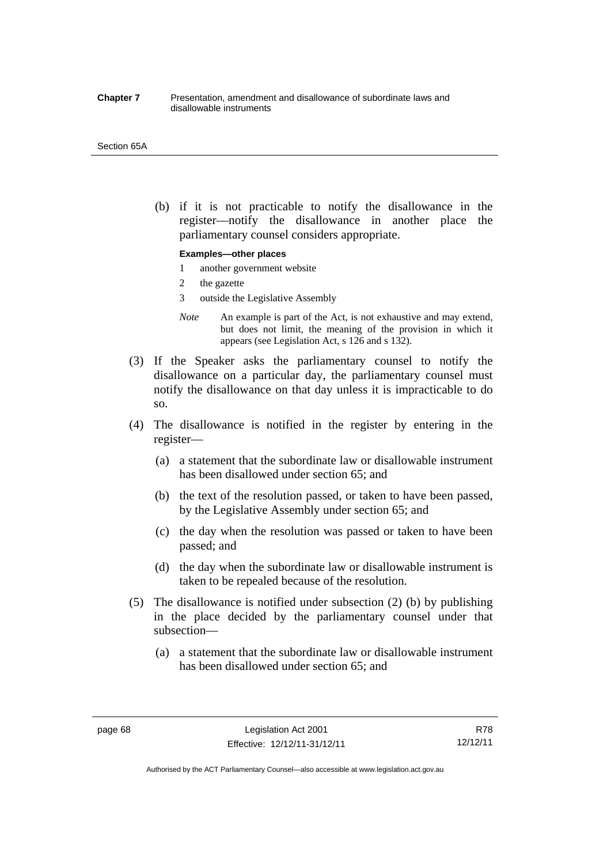#### **Chapter 7** Presentation, amendment and disallowance of subordinate laws and disallowable instruments

#### Section 65A

 (b) if it is not practicable to notify the disallowance in the register—notify the disallowance in another place the parliamentary counsel considers appropriate.

### **Examples—other places**

- 1 another government website
- 2 the gazette
- 3 outside the Legislative Assembly
- *Note* An example is part of the Act, is not exhaustive and may extend, but does not limit, the meaning of the provision in which it appears (see Legislation Act, s 126 and s 132).
- (3) If the Speaker asks the parliamentary counsel to notify the disallowance on a particular day, the parliamentary counsel must notify the disallowance on that day unless it is impracticable to do so.
- (4) The disallowance is notified in the register by entering in the register—
	- (a) a statement that the subordinate law or disallowable instrument has been disallowed under section 65; and
	- (b) the text of the resolution passed, or taken to have been passed, by the Legislative Assembly under section 65; and
	- (c) the day when the resolution was passed or taken to have been passed; and
	- (d) the day when the subordinate law or disallowable instrument is taken to be repealed because of the resolution.
- (5) The disallowance is notified under subsection (2) (b) by publishing in the place decided by the parliamentary counsel under that subsection—
	- (a) a statement that the subordinate law or disallowable instrument has been disallowed under section 65; and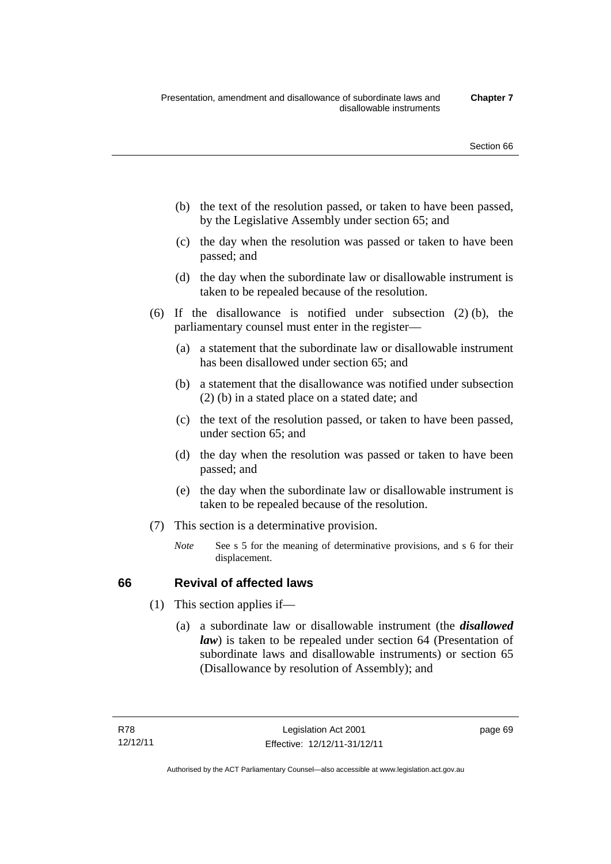- (b) the text of the resolution passed, or taken to have been passed, by the Legislative Assembly under section 65; and
- (c) the day when the resolution was passed or taken to have been passed; and
- (d) the day when the subordinate law or disallowable instrument is taken to be repealed because of the resolution.
- (6) If the disallowance is notified under subsection (2) (b), the parliamentary counsel must enter in the register—
	- (a) a statement that the subordinate law or disallowable instrument has been disallowed under section 65; and
	- (b) a statement that the disallowance was notified under subsection (2) (b) in a stated place on a stated date; and
	- (c) the text of the resolution passed, or taken to have been passed, under section 65; and
	- (d) the day when the resolution was passed or taken to have been passed; and
	- (e) the day when the subordinate law or disallowable instrument is taken to be repealed because of the resolution.
- (7) This section is a determinative provision.
	- *Note* See s 5 for the meaning of determinative provisions, and s 6 for their displacement.

## **66 Revival of affected laws**

- (1) This section applies if—
	- (a) a subordinate law or disallowable instrument (the *disallowed law*) is taken to be repealed under section 64 (Presentation of subordinate laws and disallowable instruments) or section 65 (Disallowance by resolution of Assembly); and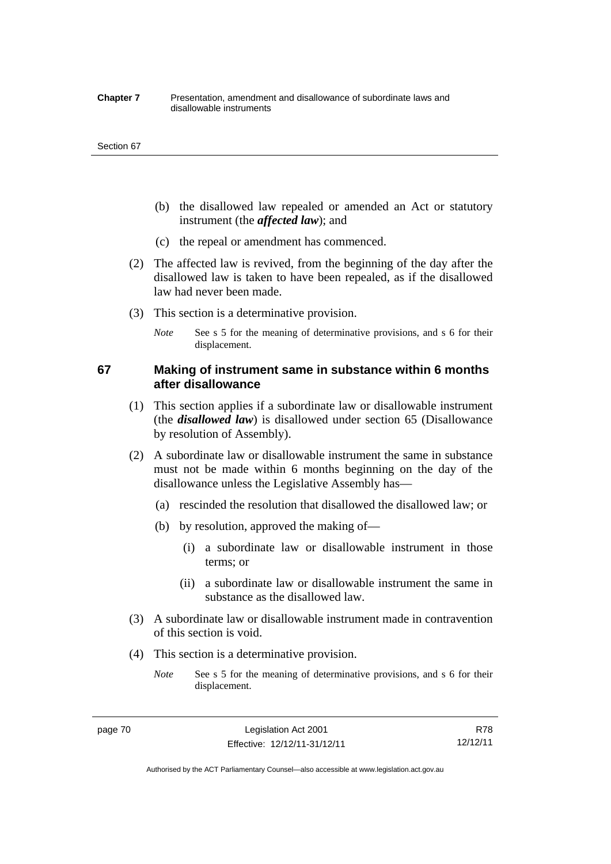#### **Chapter 7** Presentation, amendment and disallowance of subordinate laws and disallowable instruments

#### Section 67

- (b) the disallowed law repealed or amended an Act or statutory instrument (the *affected law*); and
- (c) the repeal or amendment has commenced.
- (2) The affected law is revived, from the beginning of the day after the disallowed law is taken to have been repealed, as if the disallowed law had never been made.
- (3) This section is a determinative provision.
	- *Note* See s 5 for the meaning of determinative provisions, and s 6 for their displacement.

## **67 Making of instrument same in substance within 6 months after disallowance**

- (1) This section applies if a subordinate law or disallowable instrument (the *disallowed law*) is disallowed under section 65 (Disallowance by resolution of Assembly).
- (2) A subordinate law or disallowable instrument the same in substance must not be made within 6 months beginning on the day of the disallowance unless the Legislative Assembly has—
	- (a) rescinded the resolution that disallowed the disallowed law; or
	- (b) by resolution, approved the making of—
		- (i) a subordinate law or disallowable instrument in those terms; or
		- (ii) a subordinate law or disallowable instrument the same in substance as the disallowed law.
- (3) A subordinate law or disallowable instrument made in contravention of this section is void.
- (4) This section is a determinative provision.
	- *Note* See s 5 for the meaning of determinative provisions, and s 6 for their displacement.

R78 12/12/11

Authorised by the ACT Parliamentary Counsel—also accessible at www.legislation.act.gov.au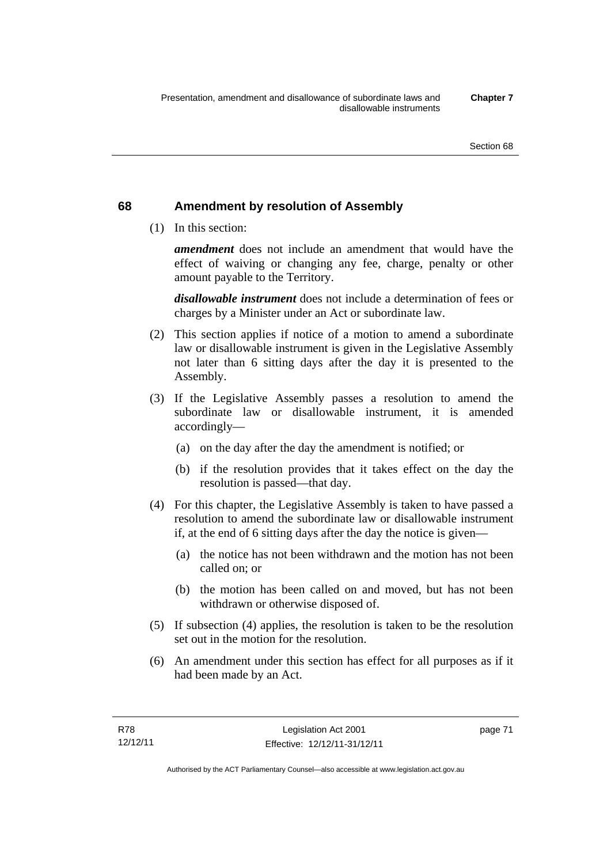## **68 Amendment by resolution of Assembly**

(1) In this section:

*amendment* does not include an amendment that would have the effect of waiving or changing any fee, charge, penalty or other amount payable to the Territory.

*disallowable instrument* does not include a determination of fees or charges by a Minister under an Act or subordinate law.

- (2) This section applies if notice of a motion to amend a subordinate law or disallowable instrument is given in the Legislative Assembly not later than 6 sitting days after the day it is presented to the Assembly.
- (3) If the Legislative Assembly passes a resolution to amend the subordinate law or disallowable instrument, it is amended accordingly—
	- (a) on the day after the day the amendment is notified; or
	- (b) if the resolution provides that it takes effect on the day the resolution is passed—that day.
- (4) For this chapter, the Legislative Assembly is taken to have passed a resolution to amend the subordinate law or disallowable instrument if, at the end of 6 sitting days after the day the notice is given—
	- (a) the notice has not been withdrawn and the motion has not been called on; or
	- (b) the motion has been called on and moved, but has not been withdrawn or otherwise disposed of.
- (5) If subsection (4) applies, the resolution is taken to be the resolution set out in the motion for the resolution.
- (6) An amendment under this section has effect for all purposes as if it had been made by an Act.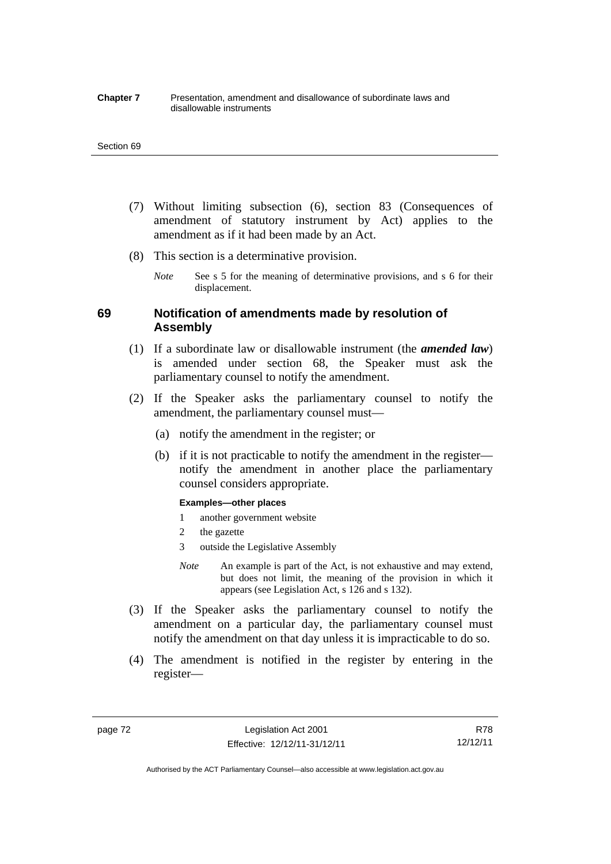#### **Chapter 7** Presentation, amendment and disallowance of subordinate laws and disallowable instruments

#### Section 69

- (7) Without limiting subsection (6), section 83 (Consequences of amendment of statutory instrument by Act) applies to the amendment as if it had been made by an Act.
- (8) This section is a determinative provision.
	- *Note* See s 5 for the meaning of determinative provisions, and s 6 for their displacement.

## **69 Notification of amendments made by resolution of Assembly**

- (1) If a subordinate law or disallowable instrument (the *amended law*) is amended under section 68, the Speaker must ask the parliamentary counsel to notify the amendment.
- (2) If the Speaker asks the parliamentary counsel to notify the amendment, the parliamentary counsel must—
	- (a) notify the amendment in the register; or
	- (b) if it is not practicable to notify the amendment in the register notify the amendment in another place the parliamentary counsel considers appropriate.

#### **Examples—other places**

- 1 another government website
- 2 the gazette
- 3 outside the Legislative Assembly
- *Note* An example is part of the Act, is not exhaustive and may extend, but does not limit, the meaning of the provision in which it appears (see Legislation Act, s 126 and s 132).
- (3) If the Speaker asks the parliamentary counsel to notify the amendment on a particular day, the parliamentary counsel must notify the amendment on that day unless it is impracticable to do so.
- (4) The amendment is notified in the register by entering in the register—

page 72 Legislation Act 2001 Effective: 12/12/11-31/12/11

R78 12/12/11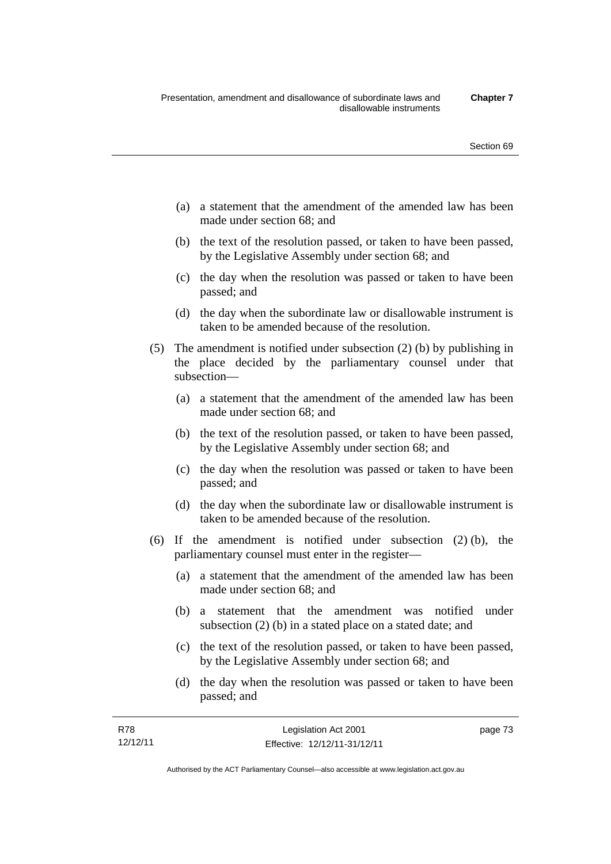- (a) a statement that the amendment of the amended law has been made under section 68; and
- (b) the text of the resolution passed, or taken to have been passed, by the Legislative Assembly under section 68; and
- (c) the day when the resolution was passed or taken to have been passed; and
- (d) the day when the subordinate law or disallowable instrument is taken to be amended because of the resolution.
- (5) The amendment is notified under subsection (2) (b) by publishing in the place decided by the parliamentary counsel under that subsection—
	- (a) a statement that the amendment of the amended law has been made under section 68; and
	- (b) the text of the resolution passed, or taken to have been passed, by the Legislative Assembly under section 68; and
	- (c) the day when the resolution was passed or taken to have been passed; and
	- (d) the day when the subordinate law or disallowable instrument is taken to be amended because of the resolution.
- (6) If the amendment is notified under subsection (2) (b), the parliamentary counsel must enter in the register—
	- (a) a statement that the amendment of the amended law has been made under section 68; and
	- (b) a statement that the amendment was notified under subsection (2) (b) in a stated place on a stated date; and
	- (c) the text of the resolution passed, or taken to have been passed, by the Legislative Assembly under section 68; and
	- (d) the day when the resolution was passed or taken to have been passed; and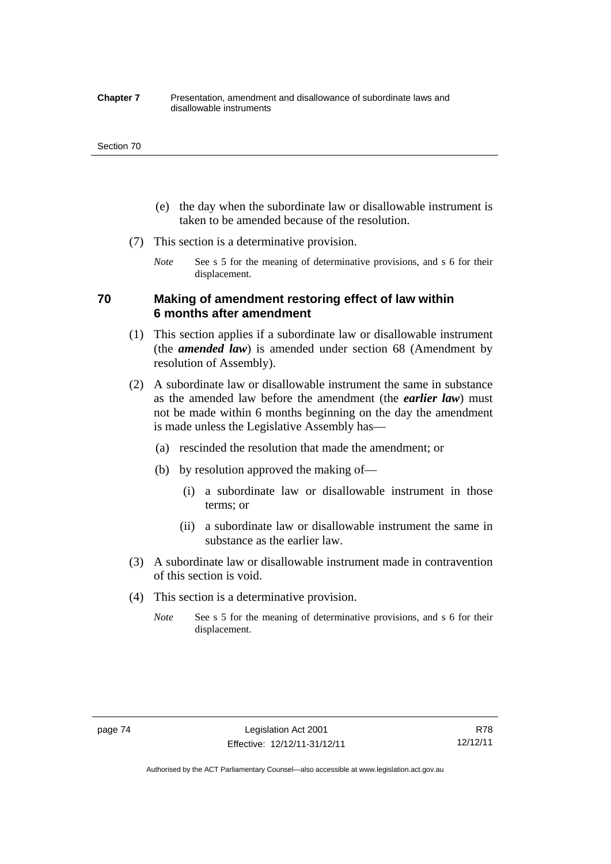#### **Chapter 7** Presentation, amendment and disallowance of subordinate laws and disallowable instruments

#### Section 70

- (e) the day when the subordinate law or disallowable instrument is taken to be amended because of the resolution.
- (7) This section is a determinative provision.
	- *Note* See s 5 for the meaning of determinative provisions, and s 6 for their displacement.

## **70 Making of amendment restoring effect of law within 6 months after amendment**

- (1) This section applies if a subordinate law or disallowable instrument (the *amended law*) is amended under section 68 (Amendment by resolution of Assembly).
- (2) A subordinate law or disallowable instrument the same in substance as the amended law before the amendment (the *earlier law*) must not be made within 6 months beginning on the day the amendment is made unless the Legislative Assembly has—
	- (a) rescinded the resolution that made the amendment; or
	- (b) by resolution approved the making of—
		- (i) a subordinate law or disallowable instrument in those terms; or
		- (ii) a subordinate law or disallowable instrument the same in substance as the earlier law.
- (3) A subordinate law or disallowable instrument made in contravention of this section is void.
- (4) This section is a determinative provision.
	- *Note* See s 5 for the meaning of determinative provisions, and s 6 for their displacement.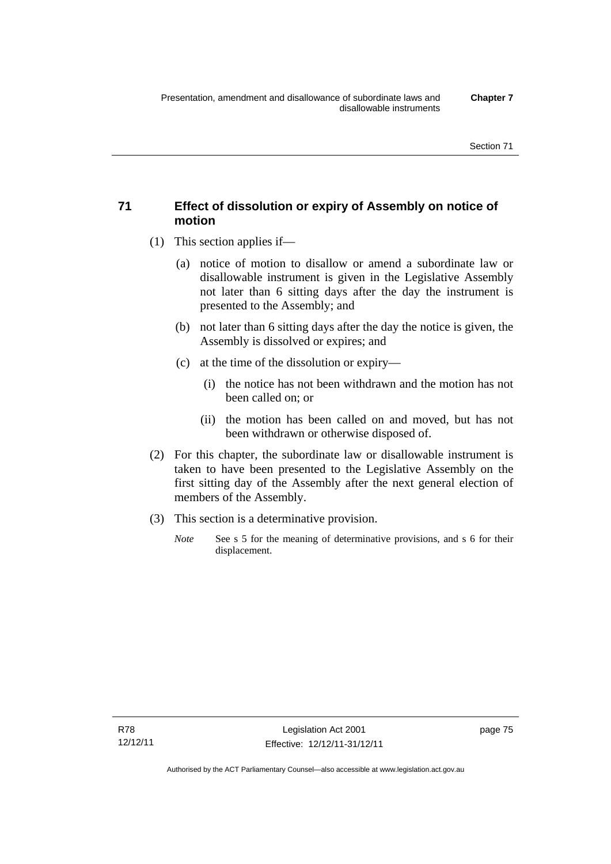## **71 Effect of dissolution or expiry of Assembly on notice of motion**

- (1) This section applies if—
	- (a) notice of motion to disallow or amend a subordinate law or disallowable instrument is given in the Legislative Assembly not later than 6 sitting days after the day the instrument is presented to the Assembly; and
	- (b) not later than 6 sitting days after the day the notice is given, the Assembly is dissolved or expires; and
	- (c) at the time of the dissolution or expiry—
		- (i) the notice has not been withdrawn and the motion has not been called on; or
		- (ii) the motion has been called on and moved, but has not been withdrawn or otherwise disposed of.
- (2) For this chapter, the subordinate law or disallowable instrument is taken to have been presented to the Legislative Assembly on the first sitting day of the Assembly after the next general election of members of the Assembly.
- (3) This section is a determinative provision.
	- *Note* See s 5 for the meaning of determinative provisions, and s 6 for their displacement.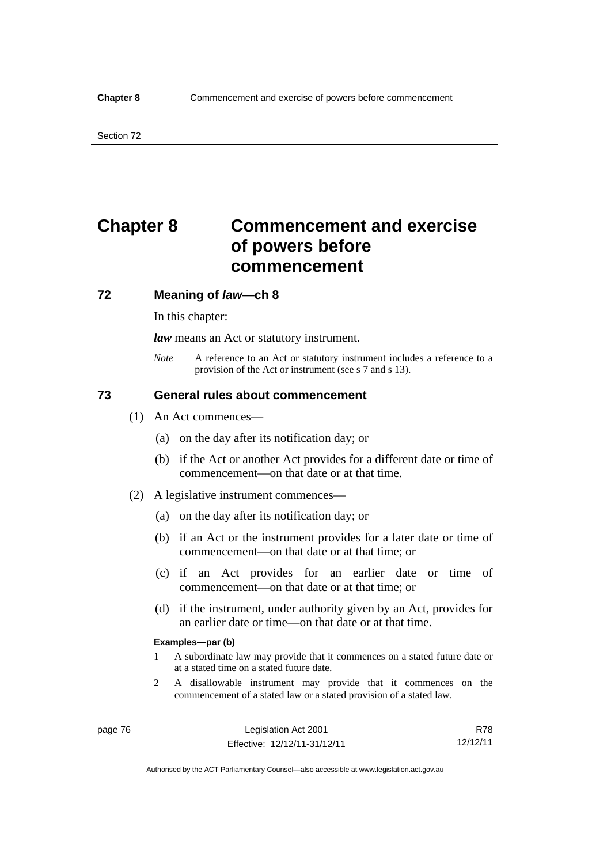# **Chapter 8 Commencement and exercise of powers before commencement**

### **72 Meaning of** *law***—ch 8**

In this chapter:

*law* means an Act or statutory instrument.

*Note* A reference to an Act or statutory instrument includes a reference to a provision of the Act or instrument (see s 7 and s 13).

## **73 General rules about commencement**

- (1) An Act commences—
	- (a) on the day after its notification day; or
	- (b) if the Act or another Act provides for a different date or time of commencement—on that date or at that time.
- (2) A legislative instrument commences—
	- (a) on the day after its notification day; or
	- (b) if an Act or the instrument provides for a later date or time of commencement—on that date or at that time; or
	- (c) if an Act provides for an earlier date or time of commencement—on that date or at that time; or
	- (d) if the instrument, under authority given by an Act, provides for an earlier date or time—on that date or at that time.

#### **Examples—par (b)**

- 1 A subordinate law may provide that it commences on a stated future date or at a stated time on a stated future date.
- 2 A disallowable instrument may provide that it commences on the commencement of a stated law or a stated provision of a stated law.

R78 12/12/11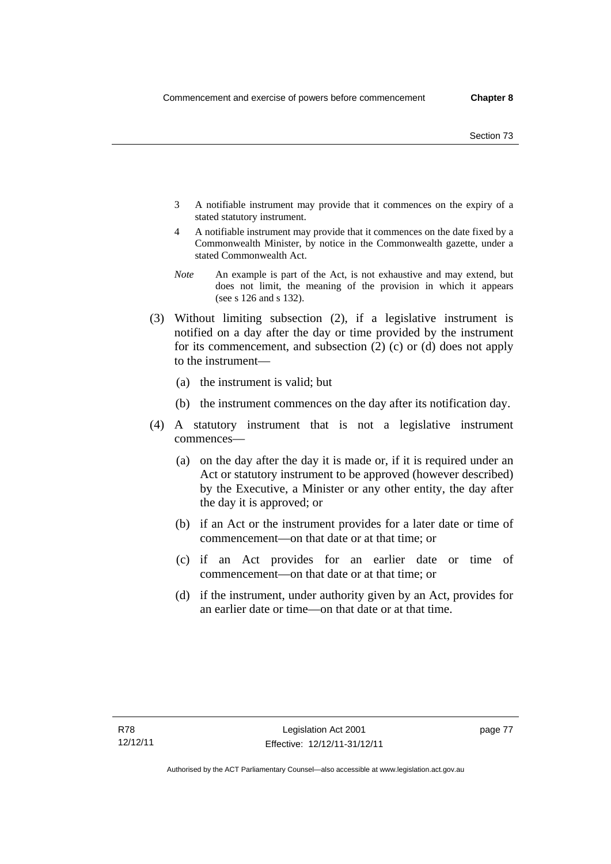- 3 A notifiable instrument may provide that it commences on the expiry of a stated statutory instrument.
- 4 A notifiable instrument may provide that it commences on the date fixed by a Commonwealth Minister, by notice in the Commonwealth gazette, under a stated Commonwealth Act.
- *Note* An example is part of the Act, is not exhaustive and may extend, but does not limit, the meaning of the provision in which it appears (see s 126 and s 132).
- (3) Without limiting subsection (2), if a legislative instrument is notified on a day after the day or time provided by the instrument for its commencement, and subsection (2) (c) or (d) does not apply to the instrument—
	- (a) the instrument is valid; but
	- (b) the instrument commences on the day after its notification day.
- (4) A statutory instrument that is not a legislative instrument commences—
	- (a) on the day after the day it is made or, if it is required under an Act or statutory instrument to be approved (however described) by the Executive, a Minister or any other entity, the day after the day it is approved; or
	- (b) if an Act or the instrument provides for a later date or time of commencement—on that date or at that time; or
	- (c) if an Act provides for an earlier date or time of commencement—on that date or at that time; or
	- (d) if the instrument, under authority given by an Act, provides for an earlier date or time—on that date or at that time.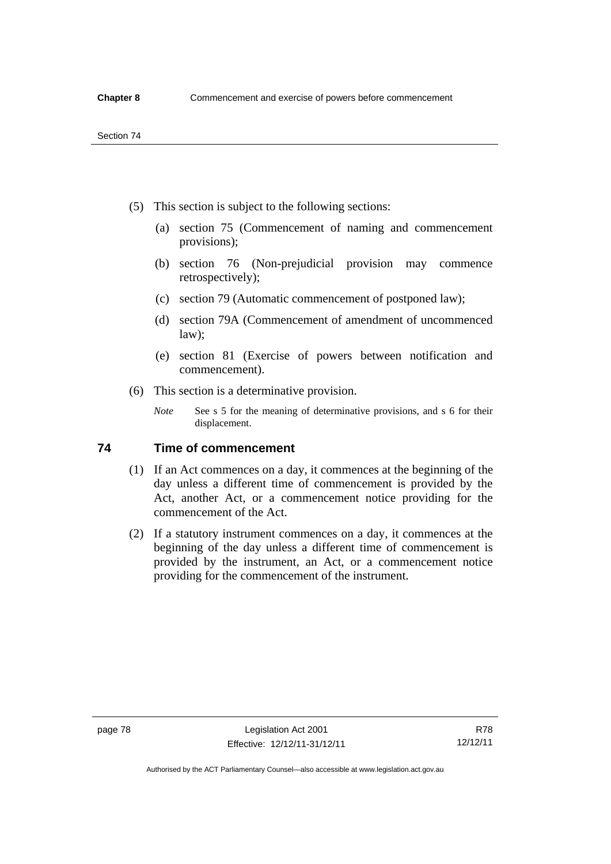- (5) This section is subject to the following sections:
	- (a) section 75 (Commencement of naming and commencement provisions);
	- (b) section 76 (Non-prejudicial provision may commence retrospectively);
	- (c) section 79 (Automatic commencement of postponed law);
	- (d) section 79A (Commencement of amendment of uncommenced law);
	- (e) section 81 (Exercise of powers between notification and commencement).
- (6) This section is a determinative provision.
	- *Note* See s 5 for the meaning of determinative provisions, and s 6 for their displacement.

## **74 Time of commencement**

- (1) If an Act commences on a day, it commences at the beginning of the day unless a different time of commencement is provided by the Act, another Act, or a commencement notice providing for the commencement of the Act.
- (2) If a statutory instrument commences on a day, it commences at the beginning of the day unless a different time of commencement is provided by the instrument, an Act, or a commencement notice providing for the commencement of the instrument.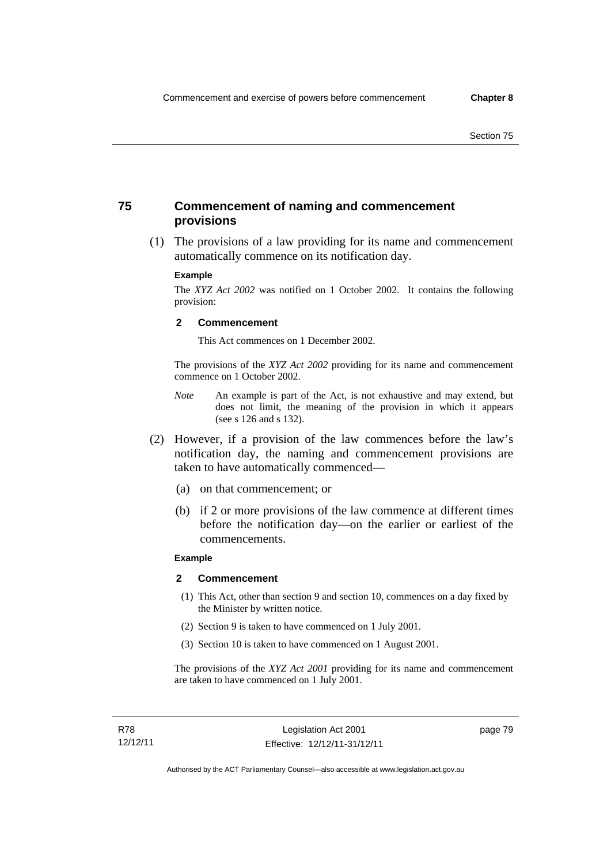## **75 Commencement of naming and commencement provisions**

 (1) The provisions of a law providing for its name and commencement automatically commence on its notification day.

#### **Example**

The *XYZ Act 2002* was notified on 1 October 2002. It contains the following provision:

#### **2 Commencement**

This Act commences on 1 December 2002.

The provisions of the *XYZ Act 2002* providing for its name and commencement commence on 1 October 2002.

- *Note* An example is part of the Act, is not exhaustive and may extend, but does not limit, the meaning of the provision in which it appears (see s 126 and s 132).
- (2) However, if a provision of the law commences before the law's notification day, the naming and commencement provisions are taken to have automatically commenced—
	- (a) on that commencement; or
	- (b) if 2 or more provisions of the law commence at different times before the notification day—on the earlier or earliest of the commencements.

### **Example**

#### **2 Commencement**

- (1) This Act, other than section 9 and section 10, commences on a day fixed by the Minister by written notice.
- (2) Section 9 is taken to have commenced on 1 July 2001.
- (3) Section 10 is taken to have commenced on 1 August 2001.

The provisions of the *XYZ Act 2001* providing for its name and commencement are taken to have commenced on 1 July 2001.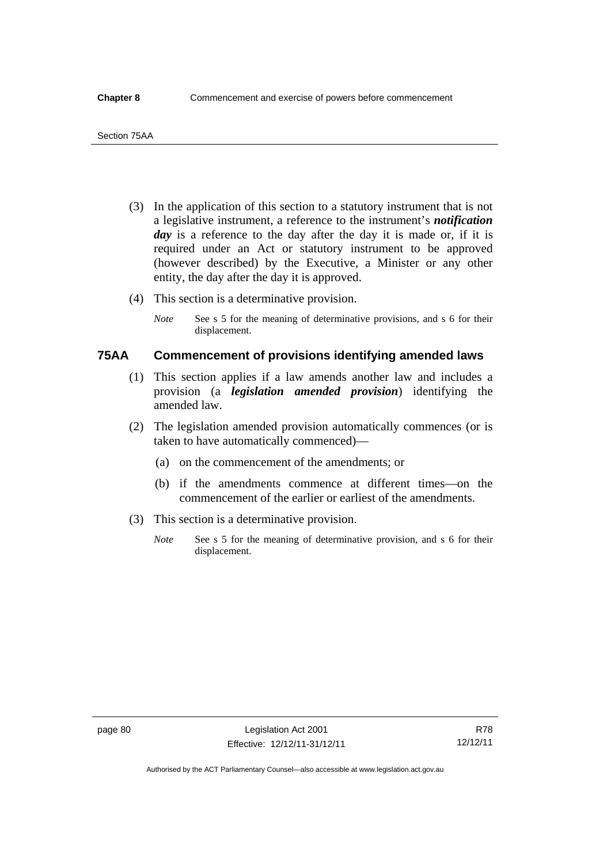- (3) In the application of this section to a statutory instrument that is not a legislative instrument, a reference to the instrument's *notification*  day is a reference to the day after the day it is made or, if it is required under an Act or statutory instrument to be approved (however described) by the Executive, a Minister or any other entity, the day after the day it is approved.
- (4) This section is a determinative provision.
	- *Note* See s 5 for the meaning of determinative provisions, and s 6 for their displacement.

## **75AA Commencement of provisions identifying amended laws**

- (1) This section applies if a law amends another law and includes a provision (a *legislation amended provision*) identifying the amended law.
- (2) The legislation amended provision automatically commences (or is taken to have automatically commenced)—
	- (a) on the commencement of the amendments; or
	- (b) if the amendments commence at different times—on the commencement of the earlier or earliest of the amendments.
- (3) This section is a determinative provision.
	- *Note* See s 5 for the meaning of determinative provision, and s 6 for their displacement.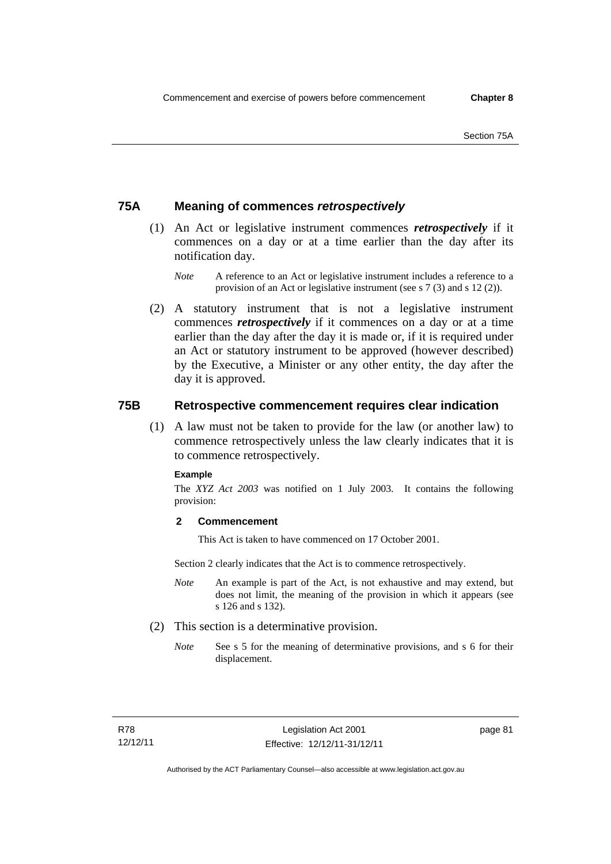## **75A Meaning of commences** *retrospectively*

- (1) An Act or legislative instrument commences *retrospectively* if it commences on a day or at a time earlier than the day after its notification day.
	- *Note* A reference to an Act or legislative instrument includes a reference to a provision of an Act or legislative instrument (see s 7 (3) and s 12 (2)).
- (2) A statutory instrument that is not a legislative instrument commences *retrospectively* if it commences on a day or at a time earlier than the day after the day it is made or, if it is required under an Act or statutory instrument to be approved (however described) by the Executive, a Minister or any other entity, the day after the day it is approved.

## **75B Retrospective commencement requires clear indication**

(1) A law must not be taken to provide for the law (or another law) to commence retrospectively unless the law clearly indicates that it is to commence retrospectively.

#### **Example**

The *XYZ Act 2003* was notified on 1 July 2003. It contains the following provision:

### **2 Commencement**

This Act is taken to have commenced on 17 October 2001.

Section 2 clearly indicates that the Act is to commence retrospectively.

- *Note* An example is part of the Act, is not exhaustive and may extend, but does not limit, the meaning of the provision in which it appears (see s 126 and s 132).
- (2) This section is a determinative provision.
	- *Note* See s 5 for the meaning of determinative provisions, and s 6 for their displacement.

page 81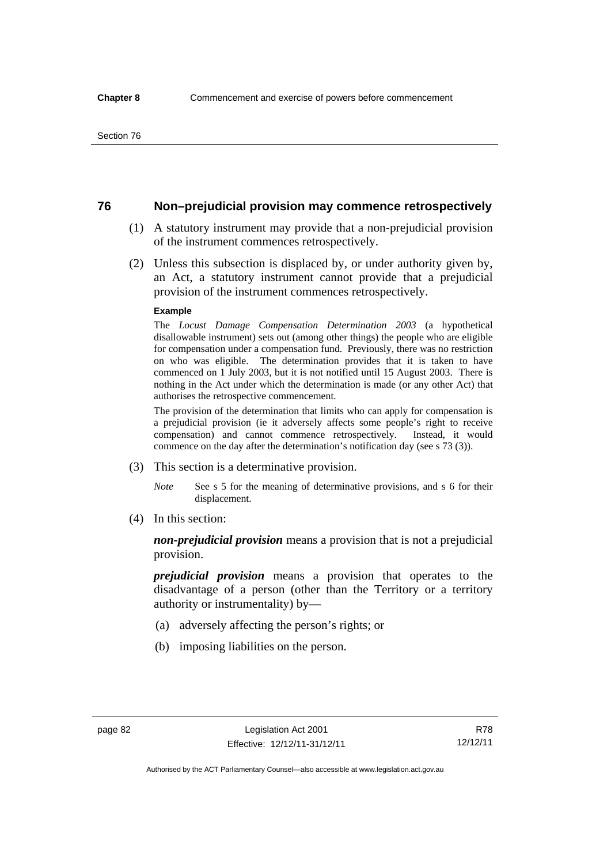## **76 Non–prejudicial provision may commence retrospectively**

- (1) A statutory instrument may provide that a non-prejudicial provision of the instrument commences retrospectively.
- (2) Unless this subsection is displaced by, or under authority given by, an Act, a statutory instrument cannot provide that a prejudicial provision of the instrument commences retrospectively.

#### **Example**

The *Locust Damage Compensation Determination 2003* (a hypothetical disallowable instrument) sets out (among other things) the people who are eligible for compensation under a compensation fund. Previously, there was no restriction on who was eligible. The determination provides that it is taken to have commenced on 1 July 2003, but it is not notified until 15 August 2003. There is nothing in the Act under which the determination is made (or any other Act) that authorises the retrospective commencement.

The provision of the determination that limits who can apply for compensation is a prejudicial provision (ie it adversely affects some people's right to receive compensation) and cannot commence retrospectively. Instead, it would commence on the day after the determination's notification day (see s 73 (3)).

- (3) This section is a determinative provision.
	- *Note* See s 5 for the meaning of determinative provisions, and s 6 for their displacement.
- (4) In this section:

*non-prejudicial provision* means a provision that is not a prejudicial provision.

*prejudicial provision* means a provision that operates to the disadvantage of a person (other than the Territory or a territory authority or instrumentality) by—

- (a) adversely affecting the person's rights; or
- (b) imposing liabilities on the person.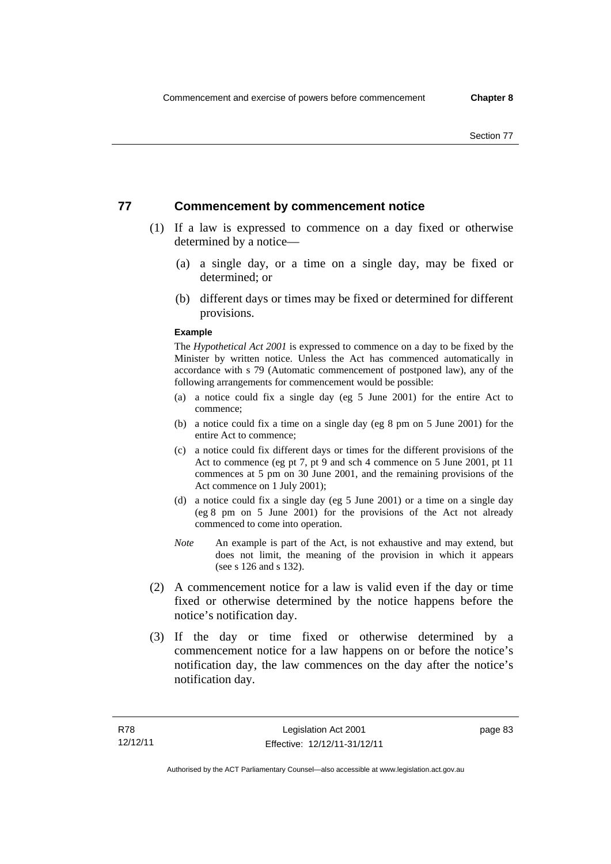## **77 Commencement by commencement notice**

- (1) If a law is expressed to commence on a day fixed or otherwise determined by a notice—
	- (a) a single day, or a time on a single day, may be fixed or determined; or
	- (b) different days or times may be fixed or determined for different provisions.

### **Example**

The *Hypothetical Act 2001* is expressed to commence on a day to be fixed by the Minister by written notice. Unless the Act has commenced automatically in accordance with s 79 (Automatic commencement of postponed law), any of the following arrangements for commencement would be possible:

- (a) a notice could fix a single day (eg 5 June 2001) for the entire Act to commence;
- (b) a notice could fix a time on a single day (eg 8 pm on 5 June 2001) for the entire Act to commence;
- (c) a notice could fix different days or times for the different provisions of the Act to commence (eg pt 7, pt 9 and sch 4 commence on 5 June 2001, pt 11 commences at 5 pm on 30 June 2001, and the remaining provisions of the Act commence on 1 July 2001);
- (d) a notice could fix a single day (eg 5 June 2001) or a time on a single day (eg 8 pm on 5 June 2001) for the provisions of the Act not already commenced to come into operation.
- *Note* An example is part of the Act, is not exhaustive and may extend, but does not limit, the meaning of the provision in which it appears (see s 126 and s 132).
- (2) A commencement notice for a law is valid even if the day or time fixed or otherwise determined by the notice happens before the notice's notification day.
- (3) If the day or time fixed or otherwise determined by a commencement notice for a law happens on or before the notice's notification day, the law commences on the day after the notice's notification day.

page 83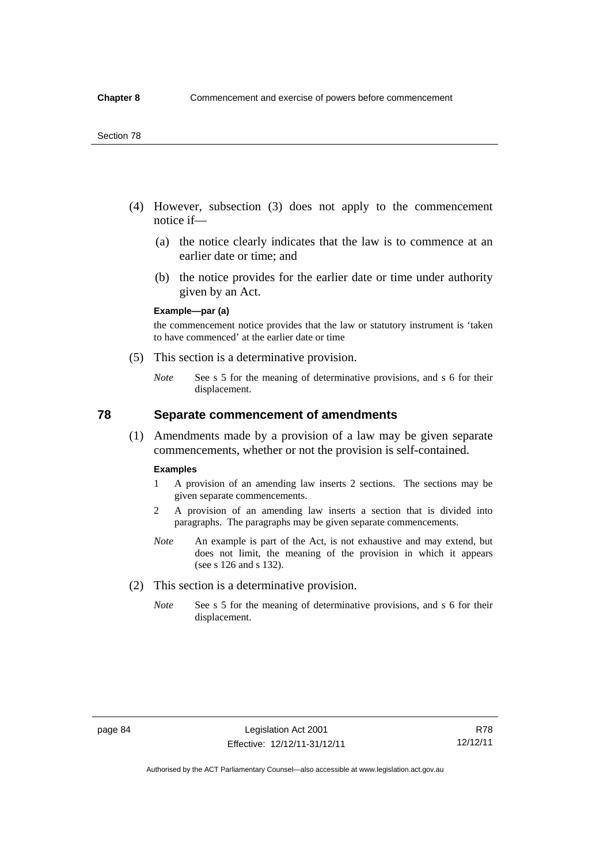- (4) However, subsection (3) does not apply to the commencement notice if—
	- (a) the notice clearly indicates that the law is to commence at an earlier date or time; and
	- (b) the notice provides for the earlier date or time under authority given by an Act.

### **Example—par (a)**

the commencement notice provides that the law or statutory instrument is 'taken to have commenced' at the earlier date or time

- (5) This section is a determinative provision.
	- *Note* See s 5 for the meaning of determinative provisions, and s 6 for their displacement.

## **78 Separate commencement of amendments**

 (1) Amendments made by a provision of a law may be given separate commencements, whether or not the provision is self-contained.

#### **Examples**

- 1 A provision of an amending law inserts 2 sections. The sections may be given separate commencements.
- 2 A provision of an amending law inserts a section that is divided into paragraphs. The paragraphs may be given separate commencements.
- *Note* An example is part of the Act, is not exhaustive and may extend, but does not limit, the meaning of the provision in which it appears (see s 126 and s 132).
- (2) This section is a determinative provision.
	- *Note* See s 5 for the meaning of determinative provisions, and s 6 for their displacement.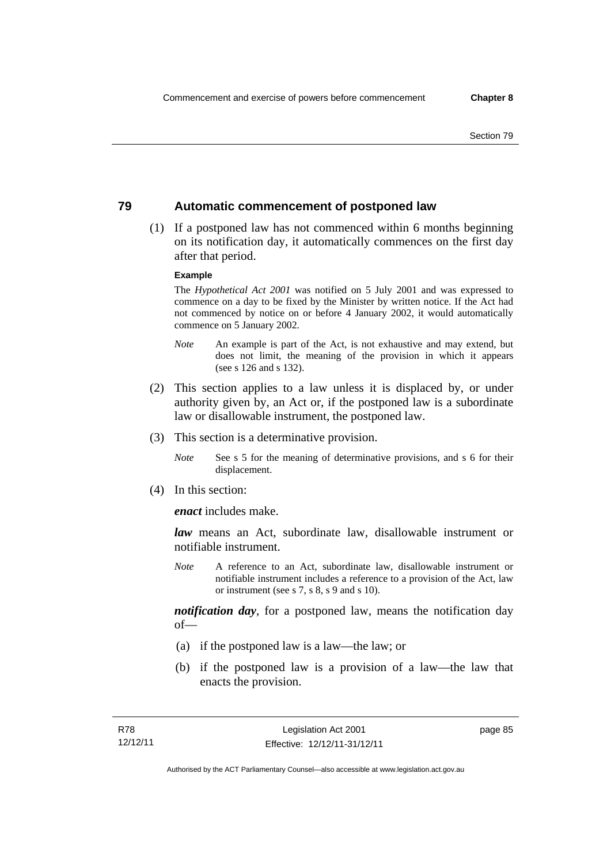## **79 Automatic commencement of postponed law**

 (1) If a postponed law has not commenced within 6 months beginning on its notification day, it automatically commences on the first day after that period.

### **Example**

The *Hypothetical Act 2001* was notified on 5 July 2001 and was expressed to commence on a day to be fixed by the Minister by written notice. If the Act had not commenced by notice on or before 4 January 2002, it would automatically commence on 5 January 2002.

- *Note* An example is part of the Act, is not exhaustive and may extend, but does not limit, the meaning of the provision in which it appears (see s 126 and s 132).
- (2) This section applies to a law unless it is displaced by, or under authority given by, an Act or, if the postponed law is a subordinate law or disallowable instrument, the postponed law.
- (3) This section is a determinative provision.
	- *Note* See s 5 for the meaning of determinative provisions, and s 6 for their displacement.
- (4) In this section:

*enact* includes make.

*law* means an Act, subordinate law, disallowable instrument or notifiable instrument.

*Note* A reference to an Act, subordinate law, disallowable instrument or notifiable instrument includes a reference to a provision of the Act, law or instrument (see s 7, s 8, s 9 and s 10).

*notification day*, for a postponed law, means the notification day  $of$ 

- (a) if the postponed law is a law—the law; or
- (b) if the postponed law is a provision of a law—the law that enacts the provision.

page 85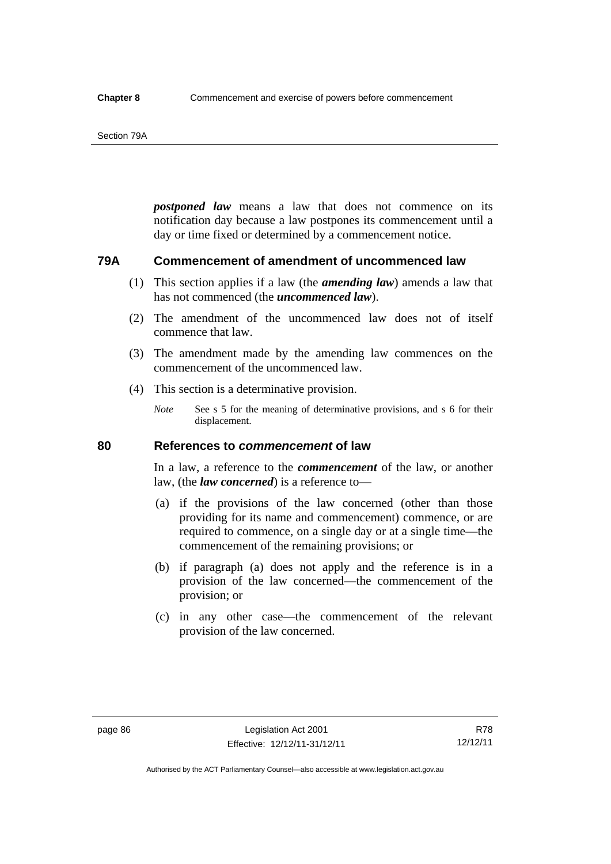#### Section 79A

*postponed law* means a law that does not commence on its notification day because a law postpones its commencement until a day or time fixed or determined by a commencement notice.

## **79A Commencement of amendment of uncommenced law**

- (1) This section applies if a law (the *amending law*) amends a law that has not commenced (the *uncommenced law*).
- (2) The amendment of the uncommenced law does not of itself commence that law.
- (3) The amendment made by the amending law commences on the commencement of the uncommenced law.
- (4) This section is a determinative provision.
	- *Note* See s 5 for the meaning of determinative provisions, and s 6 for their displacement.

## **80 References to** *commencement* **of law**

In a law, a reference to the *commencement* of the law, or another law, (the *law concerned*) is a reference to—

- (a) if the provisions of the law concerned (other than those providing for its name and commencement) commence, or are required to commence, on a single day or at a single time—the commencement of the remaining provisions; or
- (b) if paragraph (a) does not apply and the reference is in a provision of the law concerned—the commencement of the provision; or
- (c) in any other case—the commencement of the relevant provision of the law concerned.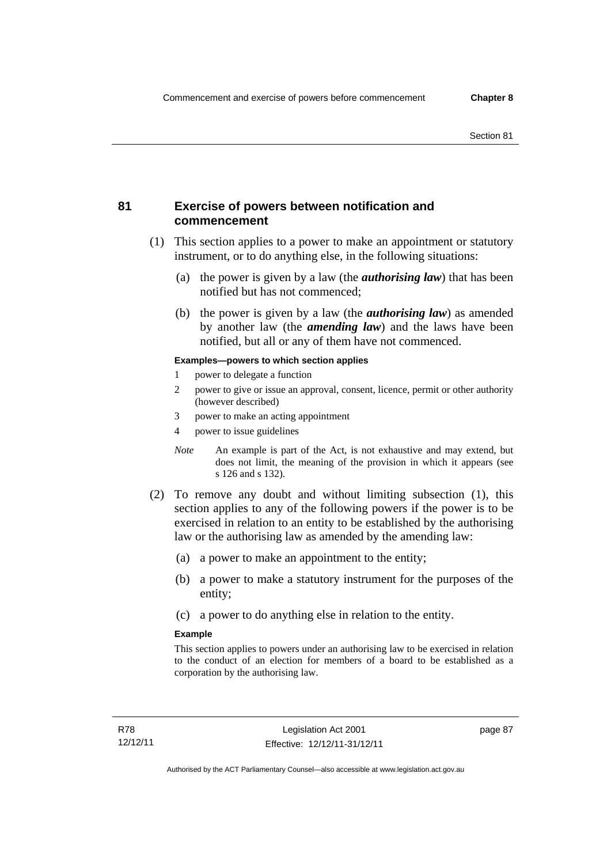## **81 Exercise of powers between notification and commencement**

- (1) This section applies to a power to make an appointment or statutory instrument, or to do anything else, in the following situations:
	- (a) the power is given by a law (the *authorising law*) that has been notified but has not commenced;
	- (b) the power is given by a law (the *authorising law*) as amended by another law (the *amending law*) and the laws have been notified, but all or any of them have not commenced.

### **Examples—powers to which section applies**

- 1 power to delegate a function
- 2 power to give or issue an approval, consent, licence, permit or other authority (however described)
- 3 power to make an acting appointment
- 4 power to issue guidelines
- *Note* An example is part of the Act, is not exhaustive and may extend, but does not limit, the meaning of the provision in which it appears (see s 126 and s 132).
- (2) To remove any doubt and without limiting subsection (1), this section applies to any of the following powers if the power is to be exercised in relation to an entity to be established by the authorising law or the authorising law as amended by the amending law:
	- (a) a power to make an appointment to the entity;
	- (b) a power to make a statutory instrument for the purposes of the entity;
	- (c) a power to do anything else in relation to the entity.

### **Example**

This section applies to powers under an authorising law to be exercised in relation to the conduct of an election for members of a board to be established as a corporation by the authorising law.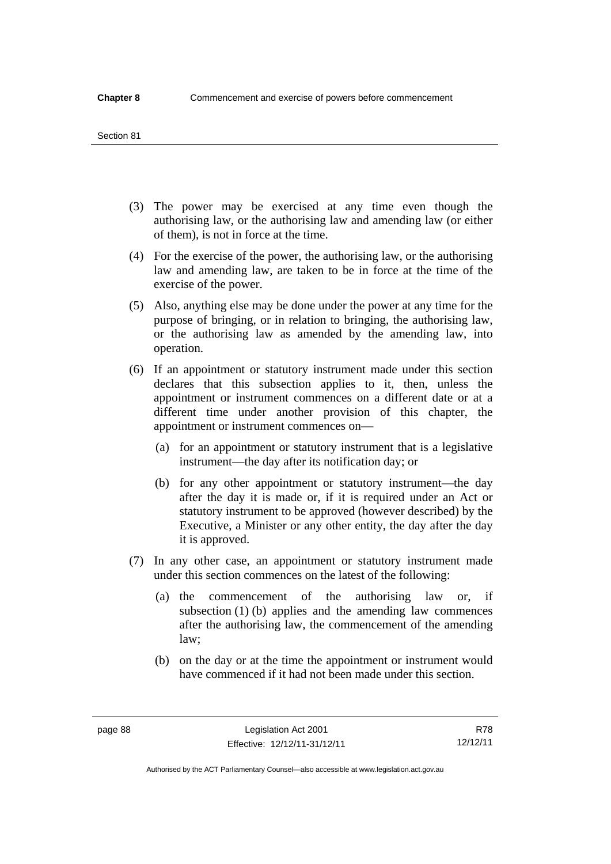#### Section 81

- (3) The power may be exercised at any time even though the authorising law, or the authorising law and amending law (or either of them), is not in force at the time.
- (4) For the exercise of the power, the authorising law, or the authorising law and amending law, are taken to be in force at the time of the exercise of the power.
- (5) Also, anything else may be done under the power at any time for the purpose of bringing, or in relation to bringing, the authorising law, or the authorising law as amended by the amending law, into operation.
- (6) If an appointment or statutory instrument made under this section declares that this subsection applies to it, then, unless the appointment or instrument commences on a different date or at a different time under another provision of this chapter, the appointment or instrument commences on—
	- (a) for an appointment or statutory instrument that is a legislative instrument—the day after its notification day; or
	- (b) for any other appointment or statutory instrument—the day after the day it is made or, if it is required under an Act or statutory instrument to be approved (however described) by the Executive, a Minister or any other entity, the day after the day it is approved.
- (7) In any other case, an appointment or statutory instrument made under this section commences on the latest of the following:
	- (a) the commencement of the authorising law or, if subsection (1) (b) applies and the amending law commences after the authorising law, the commencement of the amending law;
	- (b) on the day or at the time the appointment or instrument would have commenced if it had not been made under this section.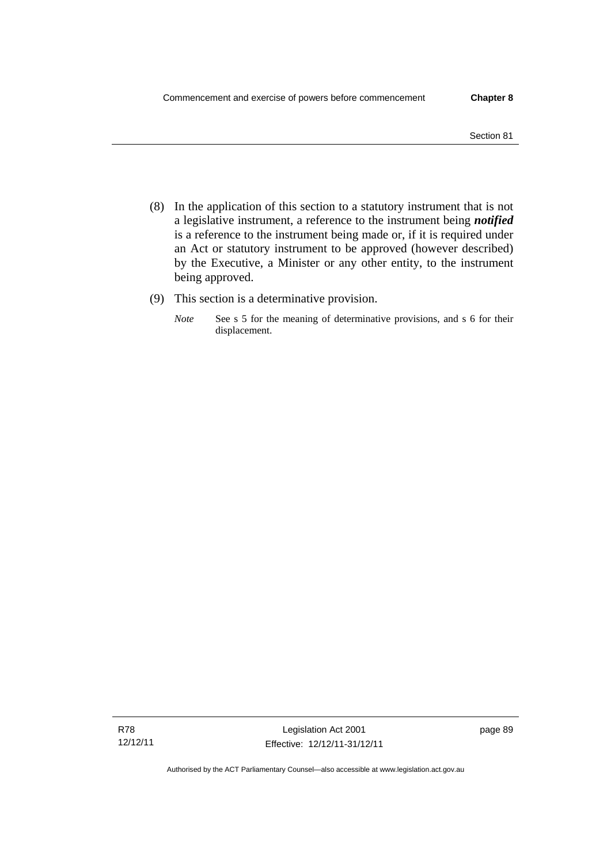- (8) In the application of this section to a statutory instrument that is not a legislative instrument, a reference to the instrument being *notified*  is a reference to the instrument being made or, if it is required under an Act or statutory instrument to be approved (however described) by the Executive, a Minister or any other entity, to the instrument being approved.
- (9) This section is a determinative provision.
	- *Note* See s 5 for the meaning of determinative provisions, and s 6 for their displacement.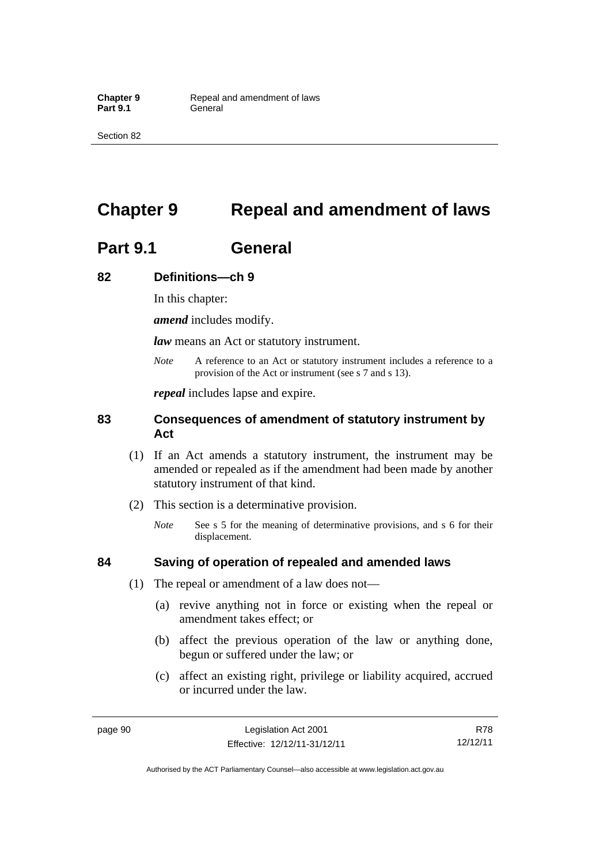Section 82

# **Chapter 9 Repeal and amendment of laws**

# **Part 9.1 General**

## **82 Definitions—ch 9**

In this chapter:

*amend* includes modify.

*law* means an Act or statutory instrument.

*Note* A reference to an Act or statutory instrument includes a reference to a provision of the Act or instrument (see s 7 and s 13).

*repeal* includes lapse and expire.

## **83 Consequences of amendment of statutory instrument by Act**

- (1) If an Act amends a statutory instrument, the instrument may be amended or repealed as if the amendment had been made by another statutory instrument of that kind.
- (2) This section is a determinative provision.
	- *Note* See s 5 for the meaning of determinative provisions, and s 6 for their displacement.

## **84 Saving of operation of repealed and amended laws**

- (1) The repeal or amendment of a law does not—
	- (a) revive anything not in force or existing when the repeal or amendment takes effect; or
	- (b) affect the previous operation of the law or anything done, begun or suffered under the law; or
	- (c) affect an existing right, privilege or liability acquired, accrued or incurred under the law.

R78 12/12/11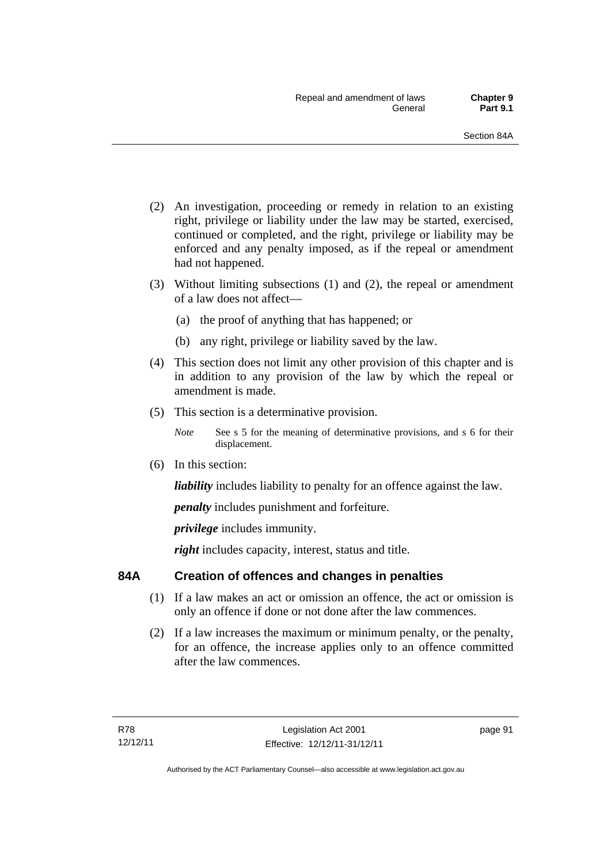- (2) An investigation, proceeding or remedy in relation to an existing right, privilege or liability under the law may be started, exercised, continued or completed, and the right, privilege or liability may be enforced and any penalty imposed, as if the repeal or amendment had not happened.
- (3) Without limiting subsections (1) and (2), the repeal or amendment of a law does not affect—
	- (a) the proof of anything that has happened; or
	- (b) any right, privilege or liability saved by the law.
- (4) This section does not limit any other provision of this chapter and is in addition to any provision of the law by which the repeal or amendment is made.
- (5) This section is a determinative provision.
	- *Note* See s 5 for the meaning of determinative provisions, and s 6 for their displacement.
- (6) In this section:

*liability* includes liability to penalty for an offence against the law.

*penalty* includes punishment and forfeiture.

*privilege* includes immunity.

right includes capacity, interest, status and title.

## **84A Creation of offences and changes in penalties**

- (1) If a law makes an act or omission an offence, the act or omission is only an offence if done or not done after the law commences.
- (2) If a law increases the maximum or minimum penalty, or the penalty, for an offence, the increase applies only to an offence committed after the law commences.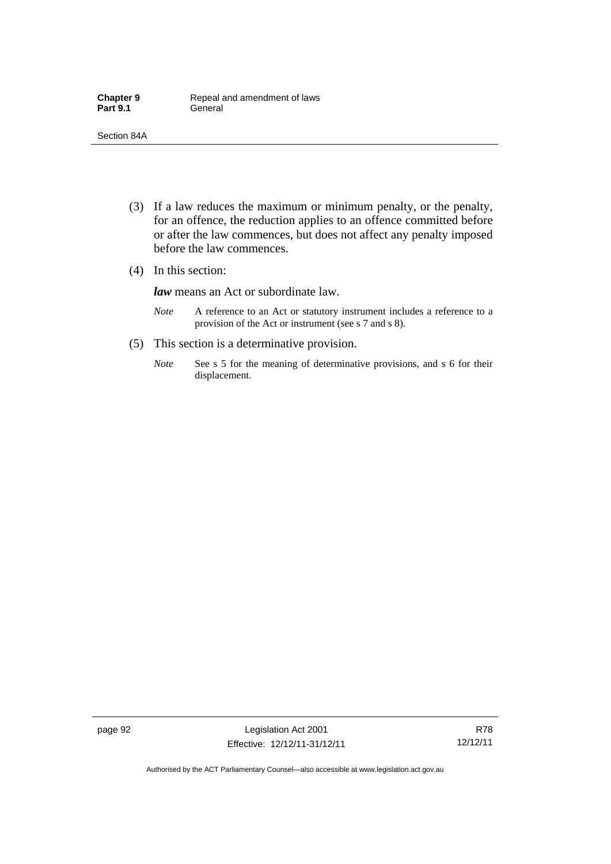- (3) If a law reduces the maximum or minimum penalty, or the penalty, for an offence, the reduction applies to an offence committed before or after the law commences, but does not affect any penalty imposed before the law commences.
- (4) In this section:

*law* means an Act or subordinate law.

- *Note* A reference to an Act or statutory instrument includes a reference to a provision of the Act or instrument (see s 7 and s 8).
- (5) This section is a determinative provision.
	- *Note* See s 5 for the meaning of determinative provisions, and s 6 for their displacement.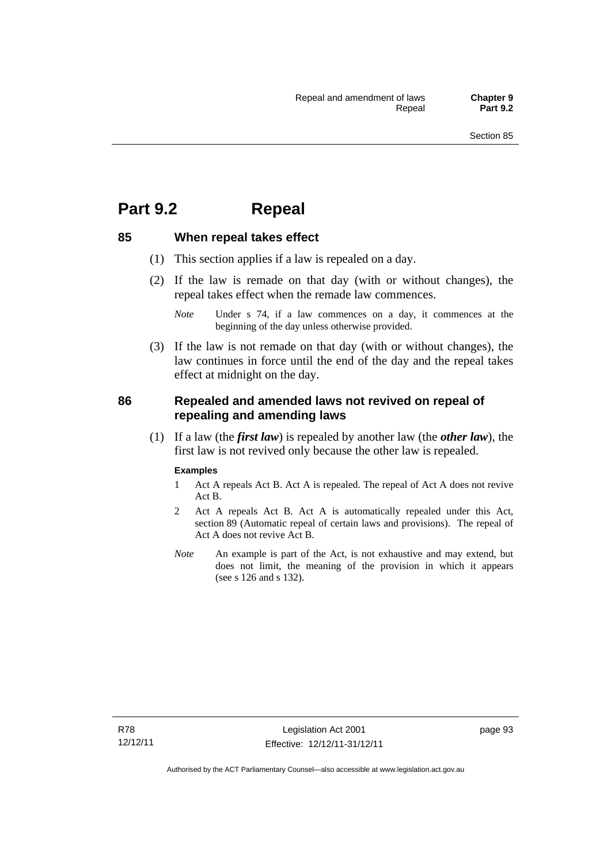## **Part 9.2 Repeal**

## **85 When repeal takes effect**

- (1) This section applies if a law is repealed on a day.
- (2) If the law is remade on that day (with or without changes), the repeal takes effect when the remade law commences.

 (3) If the law is not remade on that day (with or without changes), the law continues in force until the end of the day and the repeal takes effect at midnight on the day.

## **86 Repealed and amended laws not revived on repeal of repealing and amending laws**

 (1) If a law (the *first law*) is repealed by another law (the *other law*), the first law is not revived only because the other law is repealed.

#### **Examples**

- 1 Act A repeals Act B. Act A is repealed. The repeal of Act A does not revive Act B.
- 2 Act A repeals Act B. Act A is automatically repealed under this Act, section 89 (Automatic repeal of certain laws and provisions). The repeal of Act A does not revive Act B.
- *Note* An example is part of the Act, is not exhaustive and may extend, but does not limit, the meaning of the provision in which it appears (see s 126 and s 132).

*Note* Under s 74, if a law commences on a day, it commences at the beginning of the day unless otherwise provided.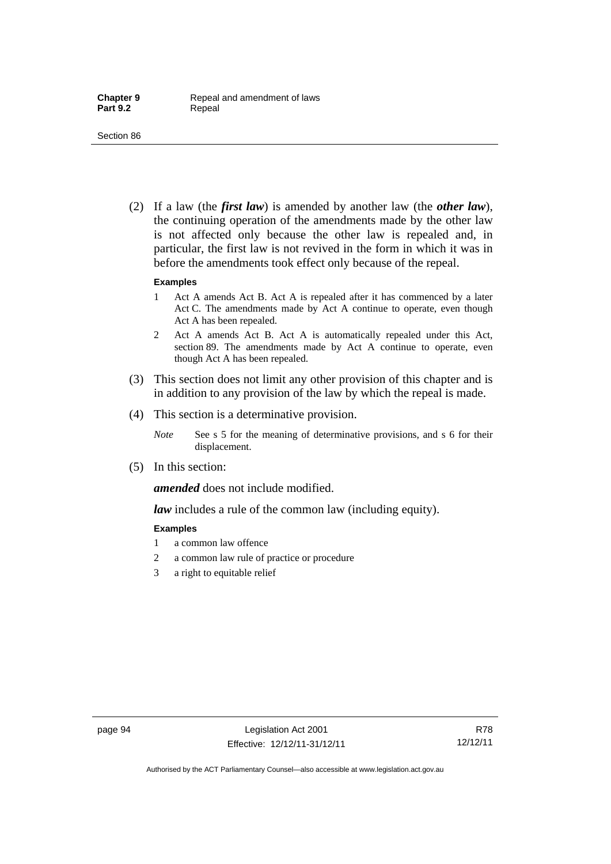(2) If a law (the *first law*) is amended by another law (the *other law*), the continuing operation of the amendments made by the other law is not affected only because the other law is repealed and, in particular, the first law is not revived in the form in which it was in before the amendments took effect only because of the repeal.

#### **Examples**

- 1 Act A amends Act B. Act A is repealed after it has commenced by a later Act C. The amendments made by Act A continue to operate, even though Act A has been repealed.
- 2 Act A amends Act B. Act A is automatically repealed under this Act, section 89. The amendments made by Act A continue to operate, even though Act A has been repealed.
- (3) This section does not limit any other provision of this chapter and is in addition to any provision of the law by which the repeal is made.
- (4) This section is a determinative provision.
	- *Note* See s 5 for the meaning of determinative provisions, and s 6 for their displacement.
- (5) In this section:

*amended* does not include modified.

*law* includes a rule of the common law (including equity).

#### **Examples**

- 1 a common law offence
- 2 a common law rule of practice or procedure
- 3 a right to equitable relief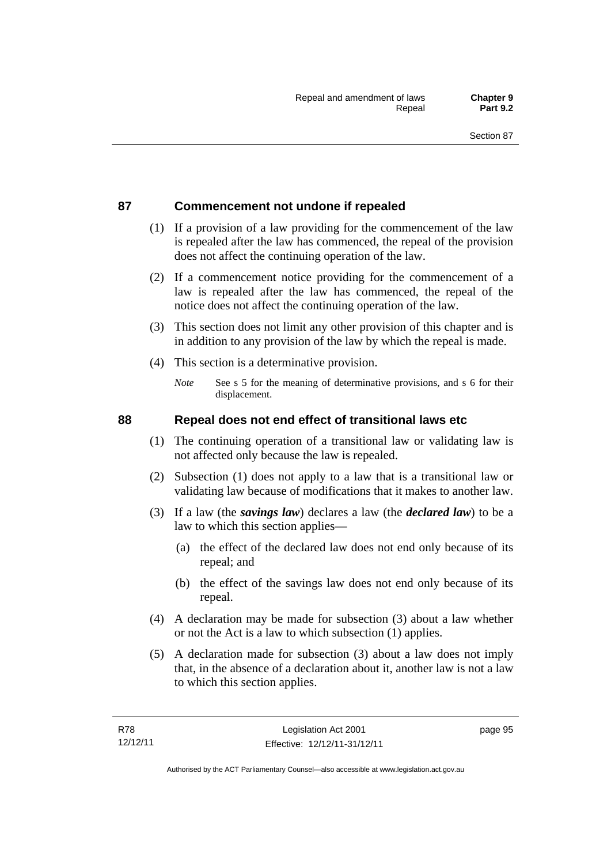## **87 Commencement not undone if repealed**

- (1) If a provision of a law providing for the commencement of the law is repealed after the law has commenced, the repeal of the provision does not affect the continuing operation of the law.
- (2) If a commencement notice providing for the commencement of a law is repealed after the law has commenced, the repeal of the notice does not affect the continuing operation of the law.
- (3) This section does not limit any other provision of this chapter and is in addition to any provision of the law by which the repeal is made.
- (4) This section is a determinative provision.
	- *Note* See s 5 for the meaning of determinative provisions, and s 6 for their displacement.

## **88 Repeal does not end effect of transitional laws etc**

- (1) The continuing operation of a transitional law or validating law is not affected only because the law is repealed.
- (2) Subsection (1) does not apply to a law that is a transitional law or validating law because of modifications that it makes to another law.
- (3) If a law (the *savings law*) declares a law (the *declared law*) to be a law to which this section applies—
	- (a) the effect of the declared law does not end only because of its repeal; and
	- (b) the effect of the savings law does not end only because of its repeal.
- (4) A declaration may be made for subsection (3) about a law whether or not the Act is a law to which subsection (1) applies.
- (5) A declaration made for subsection (3) about a law does not imply that, in the absence of a declaration about it, another law is not a law to which this section applies.

page 95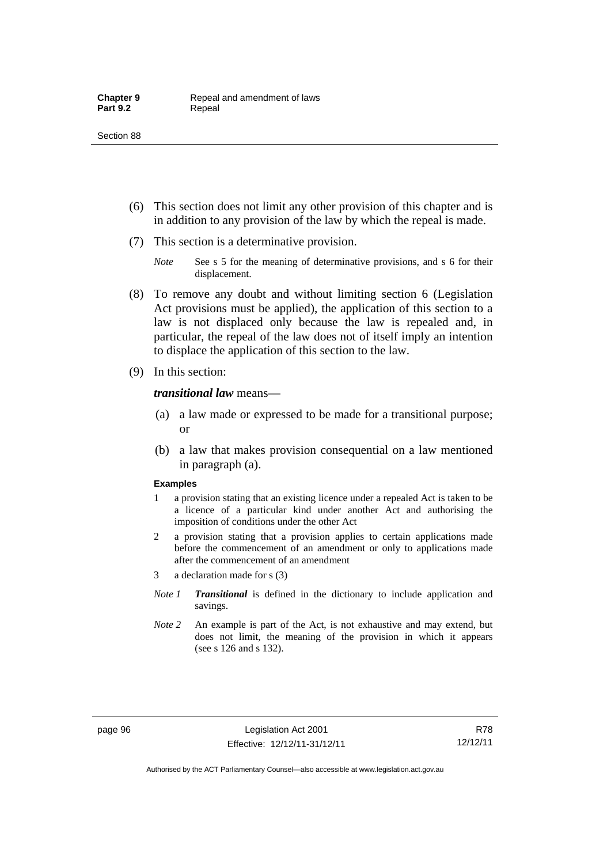- (6) This section does not limit any other provision of this chapter and is in addition to any provision of the law by which the repeal is made.
- (7) This section is a determinative provision.
	- *Note* See s 5 for the meaning of determinative provisions, and s 6 for their displacement.
- (8) To remove any doubt and without limiting section 6 (Legislation Act provisions must be applied), the application of this section to a law is not displaced only because the law is repealed and, in particular, the repeal of the law does not of itself imply an intention to displace the application of this section to the law.
- (9) In this section:

#### *transitional law* means—

- (a) a law made or expressed to be made for a transitional purpose; or
- (b) a law that makes provision consequential on a law mentioned in paragraph (a).

#### **Examples**

- 1 a provision stating that an existing licence under a repealed Act is taken to be a licence of a particular kind under another Act and authorising the imposition of conditions under the other Act
- 2 a provision stating that a provision applies to certain applications made before the commencement of an amendment or only to applications made after the commencement of an amendment
- 3 a declaration made for s (3)
- *Note 1 Transitional* is defined in the dictionary to include application and savings.
- *Note 2* An example is part of the Act, is not exhaustive and may extend, but does not limit, the meaning of the provision in which it appears (see s 126 and s 132).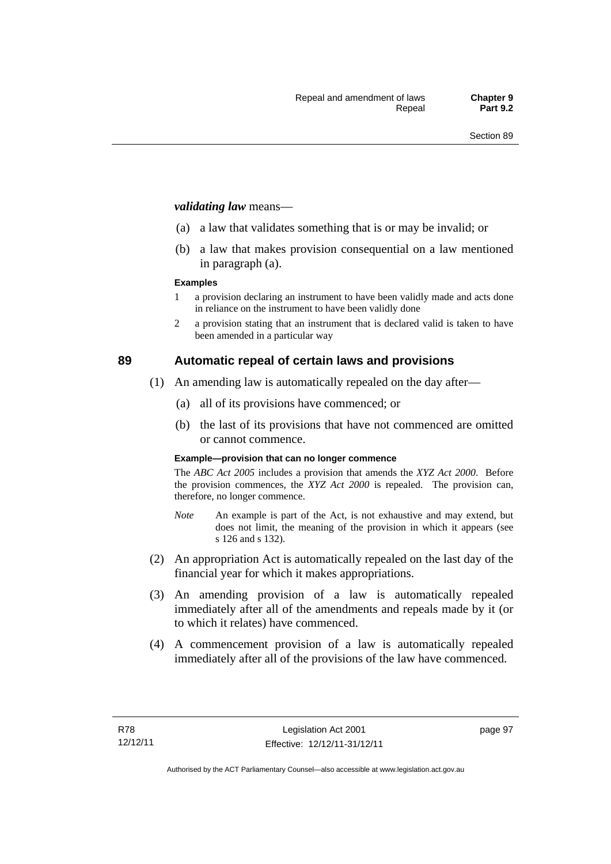#### *validating law* means—

- (a) a law that validates something that is or may be invalid; or
- (b) a law that makes provision consequential on a law mentioned in paragraph (a).

#### **Examples**

- 1 a provision declaring an instrument to have been validly made and acts done in reliance on the instrument to have been validly done
- 2 a provision stating that an instrument that is declared valid is taken to have been amended in a particular way

## **89 Automatic repeal of certain laws and provisions**

- (1) An amending law is automatically repealed on the day after—
	- (a) all of its provisions have commenced; or
	- (b) the last of its provisions that have not commenced are omitted or cannot commence.

#### **Example—provision that can no longer commence**

The *ABC Act 2005* includes a provision that amends the *XYZ Act 2000*. Before the provision commences, the *XYZ Act 2000* is repealed. The provision can, therefore, no longer commence.

- *Note* An example is part of the Act, is not exhaustive and may extend, but does not limit, the meaning of the provision in which it appears (see s 126 and s 132).
- (2) An appropriation Act is automatically repealed on the last day of the financial year for which it makes appropriations.
- (3) An amending provision of a law is automatically repealed immediately after all of the amendments and repeals made by it (or to which it relates) have commenced.
- (4) A commencement provision of a law is automatically repealed immediately after all of the provisions of the law have commenced.

page 97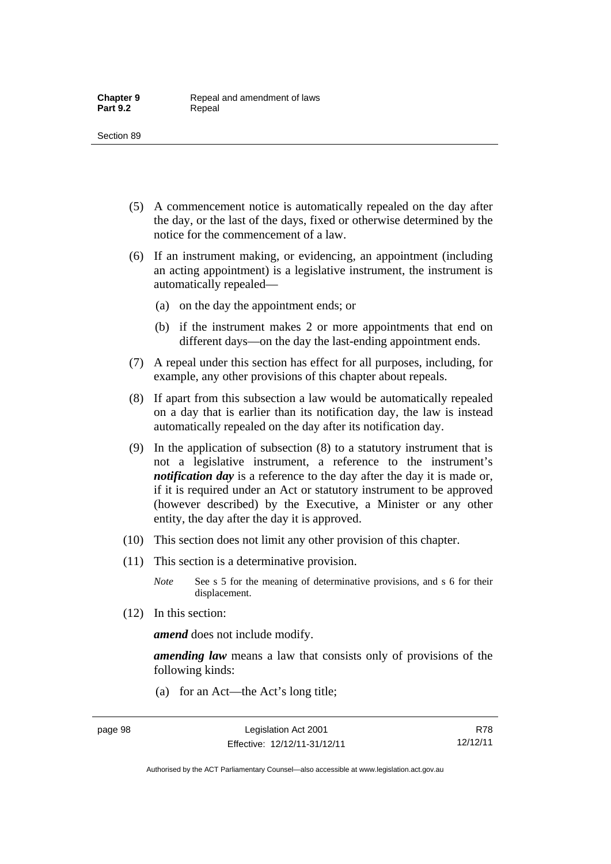- (5) A commencement notice is automatically repealed on the day after the day, or the last of the days, fixed or otherwise determined by the notice for the commencement of a law.
- (6) If an instrument making, or evidencing, an appointment (including an acting appointment) is a legislative instrument, the instrument is automatically repealed—
	- (a) on the day the appointment ends; or
	- (b) if the instrument makes 2 or more appointments that end on different days—on the day the last-ending appointment ends.
- (7) A repeal under this section has effect for all purposes, including, for example, any other provisions of this chapter about repeals.
- (8) If apart from this subsection a law would be automatically repealed on a day that is earlier than its notification day, the law is instead automatically repealed on the day after its notification day.
- (9) In the application of subsection (8) to a statutory instrument that is not a legislative instrument, a reference to the instrument's *notification day* is a reference to the day after the day it is made or, if it is required under an Act or statutory instrument to be approved (however described) by the Executive, a Minister or any other entity, the day after the day it is approved.
- (10) This section does not limit any other provision of this chapter.
- (11) This section is a determinative provision.
	- *Note* See s 5 for the meaning of determinative provisions, and s 6 for their displacement.
- (12) In this section:

*amend* does not include modify.

*amending law* means a law that consists only of provisions of the following kinds:

(a) for an Act—the Act's long title;

R78 12/12/11

Authorised by the ACT Parliamentary Counsel—also accessible at www.legislation.act.gov.au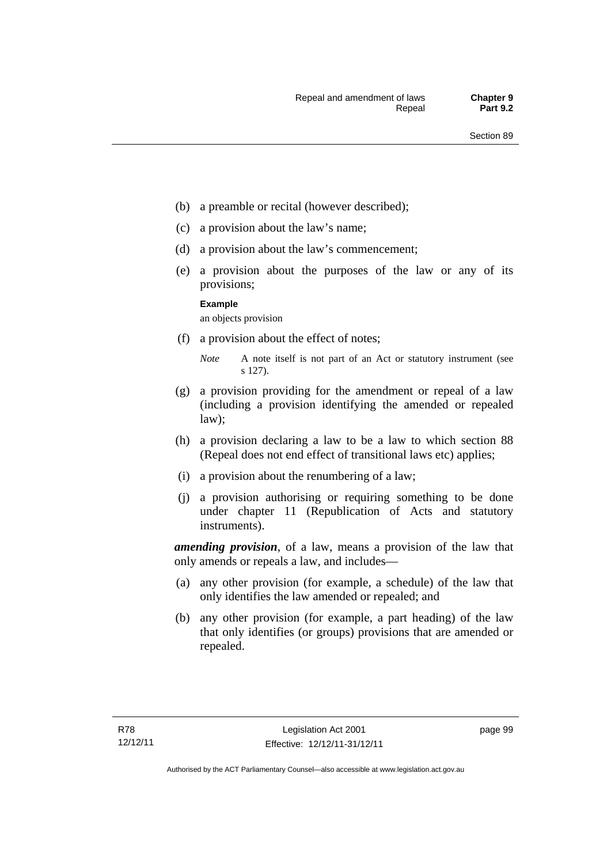- (b) a preamble or recital (however described);
- (c) a provision about the law's name;
- (d) a provision about the law's commencement;
- (e) a provision about the purposes of the law or any of its provisions;

#### **Example**

an objects provision

(f) a provision about the effect of notes;

- (g) a provision providing for the amendment or repeal of a law (including a provision identifying the amended or repealed law);
- (h) a provision declaring a law to be a law to which section 88 (Repeal does not end effect of transitional laws etc) applies;
- (i) a provision about the renumbering of a law;
- (j) a provision authorising or requiring something to be done under chapter 11 (Republication of Acts and statutory instruments).

*amending provision*, of a law, means a provision of the law that only amends or repeals a law, and includes—

- (a) any other provision (for example, a schedule) of the law that only identifies the law amended or repealed; and
- (b) any other provision (for example, a part heading) of the law that only identifies (or groups) provisions that are amended or repealed.

*Note* A note itself is not part of an Act or statutory instrument (see s 127).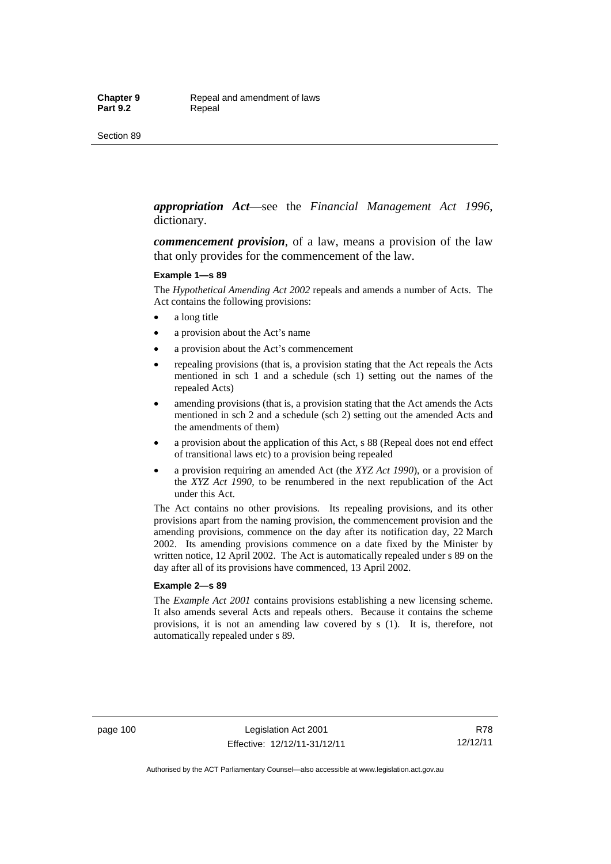*appropriation Act*—see the *Financial Management Act 1996*, dictionary.

*commencement provision*, of a law, means a provision of the law that only provides for the commencement of the law.

#### **Example 1—s 89**

The *Hypothetical Amending Act 2002* repeals and amends a number of Acts. The Act contains the following provisions:

- a long title
- a provision about the Act's name
- a provision about the Act's commencement
- repealing provisions (that is, a provision stating that the Act repeals the Acts mentioned in sch 1 and a schedule (sch 1) setting out the names of the repealed Acts)
- amending provisions (that is, a provision stating that the Act amends the Acts mentioned in sch 2 and a schedule (sch 2) setting out the amended Acts and the amendments of them)
- a provision about the application of this Act, s 88 (Repeal does not end effect of transitional laws etc) to a provision being repealed
- a provision requiring an amended Act (the *XYZ Act 1990*), or a provision of the *XYZ Act 1990*, to be renumbered in the next republication of the Act under this Act.

The Act contains no other provisions. Its repealing provisions, and its other provisions apart from the naming provision, the commencement provision and the amending provisions, commence on the day after its notification day, 22 March 2002. Its amending provisions commence on a date fixed by the Minister by written notice, 12 April 2002. The Act is automatically repealed under s 89 on the day after all of its provisions have commenced, 13 April 2002.

#### **Example 2—s 89**

The *Example Act 2001* contains provisions establishing a new licensing scheme. It also amends several Acts and repeals others. Because it contains the scheme provisions, it is not an amending law covered by s (1). It is, therefore, not automatically repealed under s 89.

page 100 Legislation Act 2001 Effective: 12/12/11-31/12/11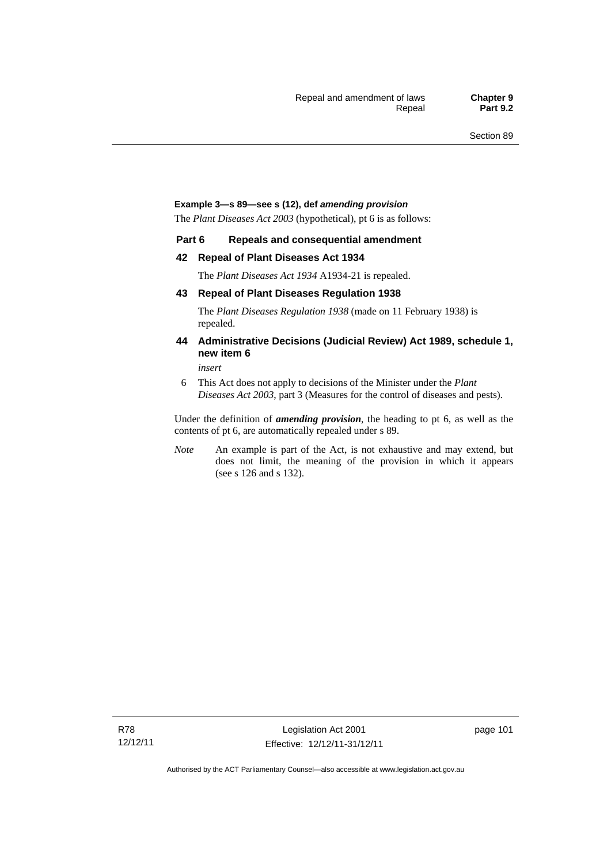#### **Example 3—s 89—see s (12), def** *amending provision*

The *Plant Diseases Act 2003* (hypothetical), pt 6 is as follows:

#### **Part 6 Repeals and consequential amendment**

#### **42 Repeal of Plant Diseases Act 1934**

The *Plant Diseases Act 1934* A1934-21 is repealed.

#### **43 Repeal of Plant Diseases Regulation 1938**

The *Plant Diseases Regulation 1938* (made on 11 February 1938) is repealed.

#### **44 Administrative Decisions (Judicial Review) Act 1989, schedule 1, new item 6**

*insert* 

6 This Act does not apply to decisions of the Minister under the *Plant Diseases Act 2003*, part 3 (Measures for the control of diseases and pests).

Under the definition of *amending provision*, the heading to pt 6, as well as the contents of pt 6, are automatically repealed under s 89.

*Note* An example is part of the Act, is not exhaustive and may extend, but does not limit, the meaning of the provision in which it appears (see s 126 and s 132).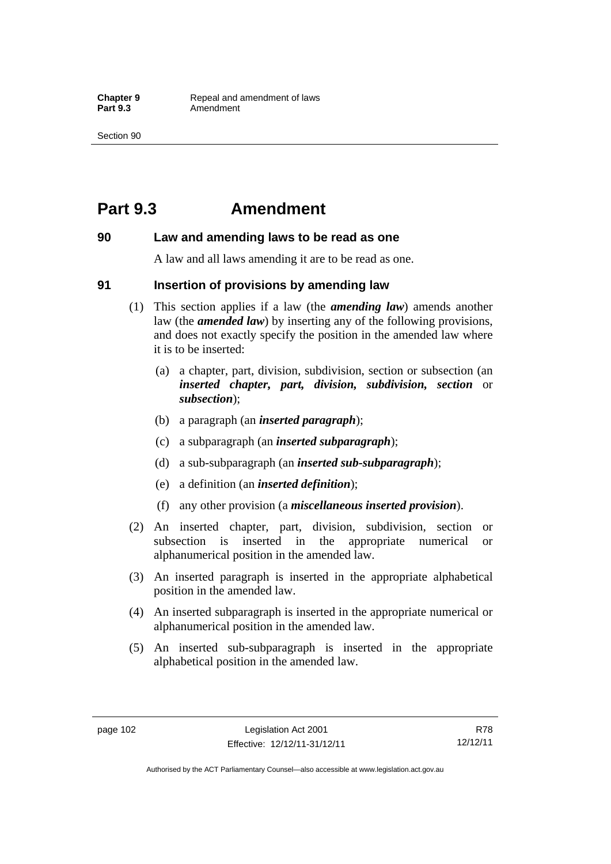## **Part 9.3 Amendment**

#### **90 Law and amending laws to be read as one**

A law and all laws amending it are to be read as one.

#### **91 Insertion of provisions by amending law**

- (1) This section applies if a law (the *amending law*) amends another law (the *amended law*) by inserting any of the following provisions, and does not exactly specify the position in the amended law where it is to be inserted:
	- (a) a chapter, part, division, subdivision, section or subsection (an *inserted chapter, part, division, subdivision, section* or *subsection*);
	- (b) a paragraph (an *inserted paragraph*);
	- (c) a subparagraph (an *inserted subparagraph*);
	- (d) a sub-subparagraph (an *inserted sub-subparagraph*);
	- (e) a definition (an *inserted definition*);
	- (f) any other provision (a *miscellaneous inserted provision*).
- (2) An inserted chapter, part, division, subdivision, section or subsection is inserted in the appropriate numerical or alphanumerical position in the amended law.
- (3) An inserted paragraph is inserted in the appropriate alphabetical position in the amended law.
- (4) An inserted subparagraph is inserted in the appropriate numerical or alphanumerical position in the amended law.
- (5) An inserted sub-subparagraph is inserted in the appropriate alphabetical position in the amended law.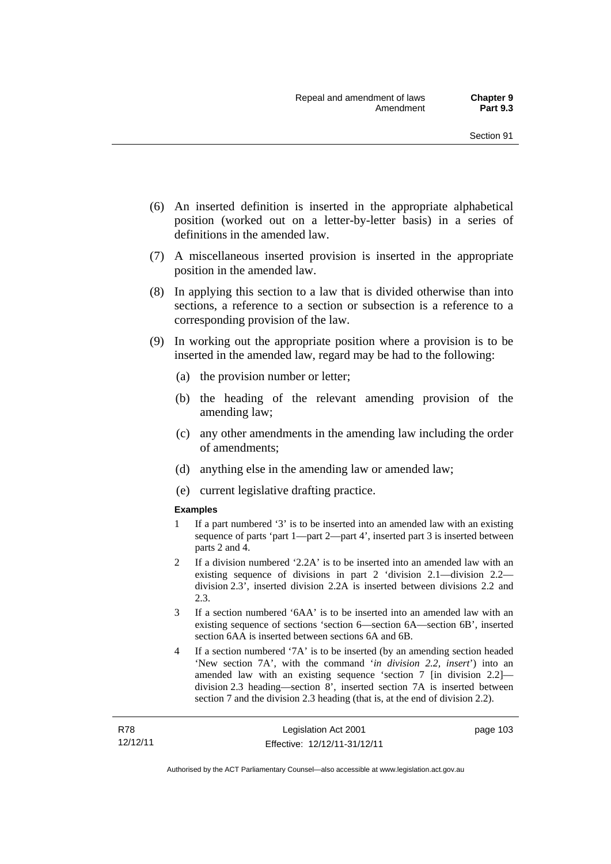- (6) An inserted definition is inserted in the appropriate alphabetical position (worked out on a letter-by-letter basis) in a series of definitions in the amended law.
- (7) A miscellaneous inserted provision is inserted in the appropriate position in the amended law.
- (8) In applying this section to a law that is divided otherwise than into sections, a reference to a section or subsection is a reference to a corresponding provision of the law.
- (9) In working out the appropriate position where a provision is to be inserted in the amended law, regard may be had to the following:
	- (a) the provision number or letter;
	- (b) the heading of the relevant amending provision of the amending law;
	- (c) any other amendments in the amending law including the order of amendments;
	- (d) anything else in the amending law or amended law;
	- (e) current legislative drafting practice.

#### **Examples**

- 1 If a part numbered '3' is to be inserted into an amended law with an existing sequence of parts 'part 1—part 2—part 4', inserted part 3 is inserted between parts 2 and 4.
- 2 If a division numbered '2.2A' is to be inserted into an amended law with an existing sequence of divisions in part 2 'division 2.1—division 2.2 division 2.3', inserted division 2.2A is inserted between divisions 2.2 and 2.3.
- 3 If a section numbered '6AA' is to be inserted into an amended law with an existing sequence of sections 'section 6—section 6A—section 6B', inserted section 6AA is inserted between sections 6A and 6B.
- 4 If a section numbered '7A' is to be inserted (by an amending section headed 'New section 7A', with the command '*in division 2.2, insert*') into an amended law with an existing sequence 'section 7 [in division 2.2] division 2.3 heading—section 8', inserted section 7A is inserted between section 7 and the division 2.3 heading (that is, at the end of division 2.2).

page 103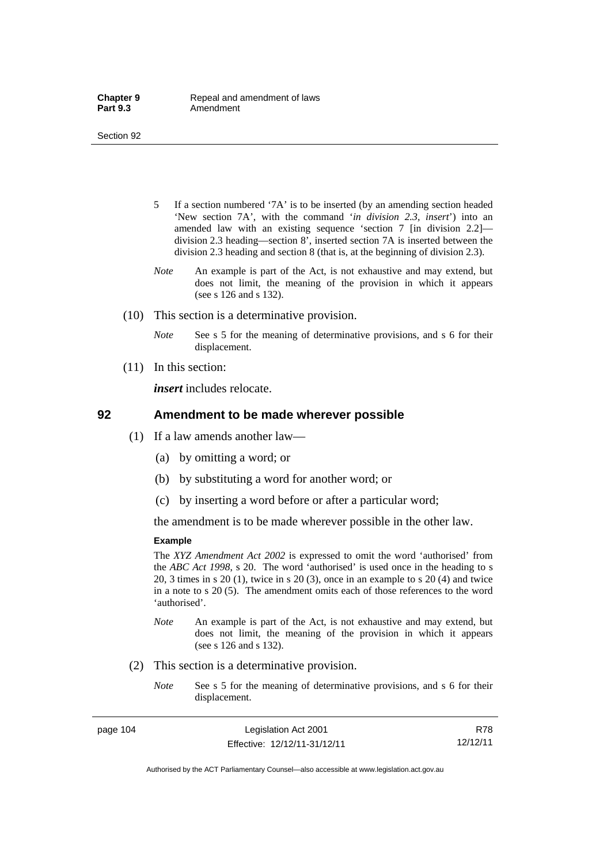- 5 If a section numbered '7A' is to be inserted (by an amending section headed 'New section 7A', with the command '*in division 2.3, insert*') into an amended law with an existing sequence 'section 7 [in division 2.2] division 2.3 heading—section 8', inserted section 7A is inserted between the division 2.3 heading and section 8 (that is, at the beginning of division 2.3).
- *Note* An example is part of the Act, is not exhaustive and may extend, but does not limit, the meaning of the provision in which it appears (see s 126 and s 132).
- (10) This section is a determinative provision.
	- *Note* See s 5 for the meaning of determinative provisions, and s 6 for their displacement.
- (11) In this section:

*insert* includes relocate.

#### **92 Amendment to be made wherever possible**

- (1) If a law amends another law—
	- (a) by omitting a word; or
	- (b) by substituting a word for another word; or
	- (c) by inserting a word before or after a particular word;

the amendment is to be made wherever possible in the other law.

#### **Example**

The *XYZ Amendment Act 2002* is expressed to omit the word 'authorised' from the *ABC Act 1998*, s 20. The word 'authorised' is used once in the heading to s 20, 3 times in s 20 (1), twice in s 20 (3), once in an example to s 20 (4) and twice in a note to s 20 (5). The amendment omits each of those references to the word 'authorised'.

- *Note* An example is part of the Act, is not exhaustive and may extend, but does not limit, the meaning of the provision in which it appears (see s 126 and s 132).
- (2) This section is a determinative provision.
	- *Note* See s 5 for the meaning of determinative provisions, and s 6 for their displacement.

page 104 Legislation Act 2001 Effective: 12/12/11-31/12/11

R78 12/12/11

Authorised by the ACT Parliamentary Counsel—also accessible at www.legislation.act.gov.au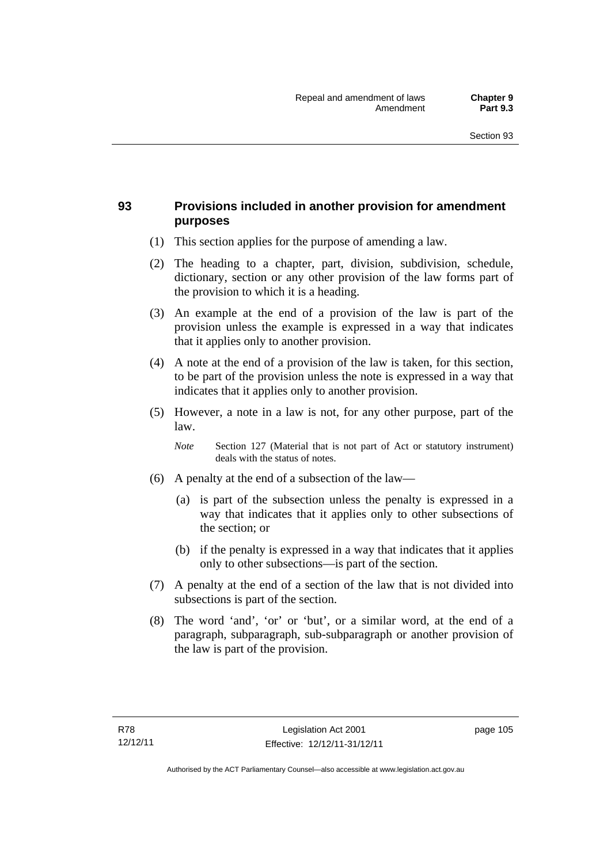## **93 Provisions included in another provision for amendment purposes**

- (1) This section applies for the purpose of amending a law.
- (2) The heading to a chapter, part, division, subdivision, schedule, dictionary, section or any other provision of the law forms part of the provision to which it is a heading.
- (3) An example at the end of a provision of the law is part of the provision unless the example is expressed in a way that indicates that it applies only to another provision.
- (4) A note at the end of a provision of the law is taken, for this section, to be part of the provision unless the note is expressed in a way that indicates that it applies only to another provision.
- (5) However, a note in a law is not, for any other purpose, part of the law.

*Note* Section 127 (Material that is not part of Act or statutory instrument) deals with the status of notes.

- (6) A penalty at the end of a subsection of the law—
	- (a) is part of the subsection unless the penalty is expressed in a way that indicates that it applies only to other subsections of the section; or
	- (b) if the penalty is expressed in a way that indicates that it applies only to other subsections—is part of the section.
- (7) A penalty at the end of a section of the law that is not divided into subsections is part of the section.
- (8) The word 'and', 'or' or 'but', or a similar word, at the end of a paragraph, subparagraph, sub-subparagraph or another provision of the law is part of the provision.

page 105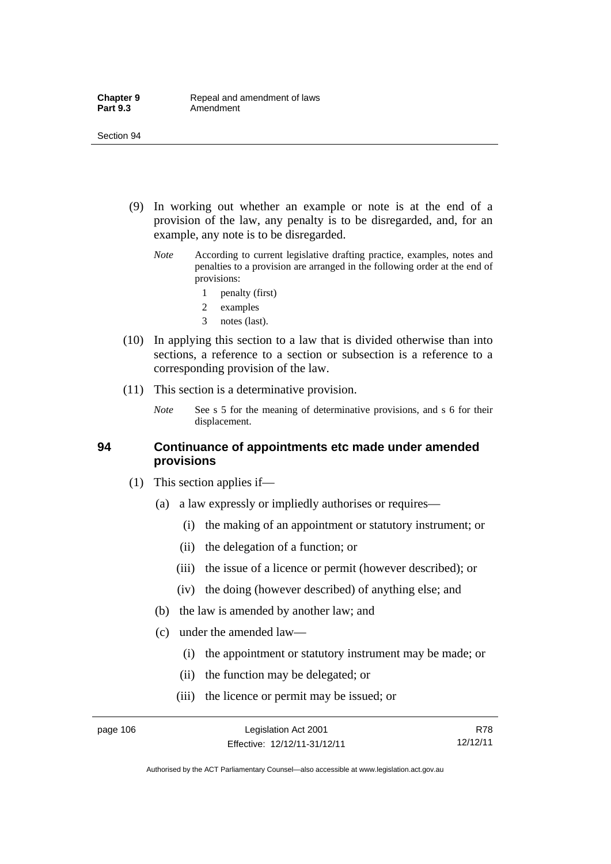- (9) In working out whether an example or note is at the end of a provision of the law, any penalty is to be disregarded, and, for an example, any note is to be disregarded.
	- *Note* According to current legislative drafting practice, examples, notes and penalties to a provision are arranged in the following order at the end of provisions:
		- 1 penalty (first)
		- 2 examples
		- 3 notes (last).
- (10) In applying this section to a law that is divided otherwise than into sections, a reference to a section or subsection is a reference to a corresponding provision of the law.
- (11) This section is a determinative provision.
	- *Note* See s 5 for the meaning of determinative provisions, and s 6 for their displacement.

### **94 Continuance of appointments etc made under amended provisions**

- (1) This section applies if—
	- (a) a law expressly or impliedly authorises or requires—
		- (i) the making of an appointment or statutory instrument; or
		- (ii) the delegation of a function; or
		- (iii) the issue of a licence or permit (however described); or
		- (iv) the doing (however described) of anything else; and
	- (b) the law is amended by another law; and
	- (c) under the amended law—
		- (i) the appointment or statutory instrument may be made; or
		- (ii) the function may be delegated; or
		- (iii) the licence or permit may be issued; or

R78 12/12/11

Authorised by the ACT Parliamentary Counsel—also accessible at www.legislation.act.gov.au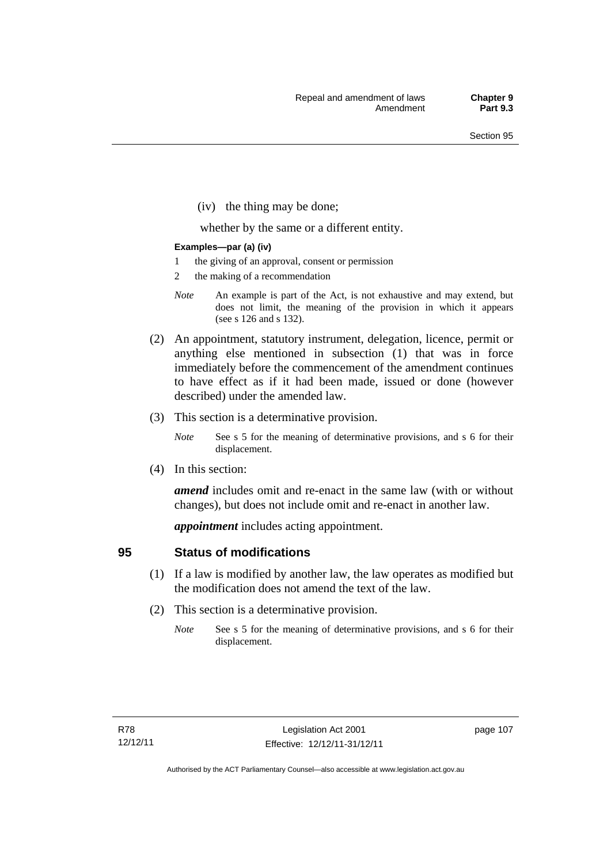(iv) the thing may be done;

whether by the same or a different entity.

#### **Examples—par (a) (iv)**

- 1 the giving of an approval, consent or permission
- 2 the making of a recommendation
- *Note* An example is part of the Act, is not exhaustive and may extend, but does not limit, the meaning of the provision in which it appears (see s 126 and s 132).
- (2) An appointment, statutory instrument, delegation, licence, permit or anything else mentioned in subsection (1) that was in force immediately before the commencement of the amendment continues to have effect as if it had been made, issued or done (however described) under the amended law.
- (3) This section is a determinative provision.
	- *Note* See s 5 for the meaning of determinative provisions, and s 6 for their displacement.
- (4) In this section:

*amend* includes omit and re-enact in the same law (with or without changes), but does not include omit and re-enact in another law.

*appointment* includes acting appointment.

## **95 Status of modifications**

- (1) If a law is modified by another law, the law operates as modified but the modification does not amend the text of the law.
- (2) This section is a determinative provision.
	- *Note* See s 5 for the meaning of determinative provisions, and s 6 for their displacement.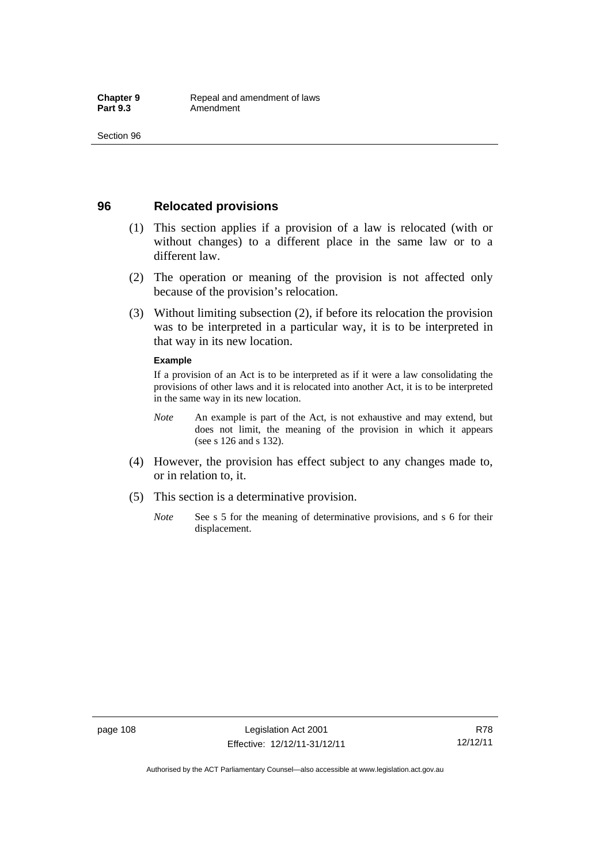## **96 Relocated provisions**

- (1) This section applies if a provision of a law is relocated (with or without changes) to a different place in the same law or to a different law.
- (2) The operation or meaning of the provision is not affected only because of the provision's relocation.
- (3) Without limiting subsection (2), if before its relocation the provision was to be interpreted in a particular way, it is to be interpreted in that way in its new location.

#### **Example**

If a provision of an Act is to be interpreted as if it were a law consolidating the provisions of other laws and it is relocated into another Act, it is to be interpreted in the same way in its new location.

- *Note* An example is part of the Act, is not exhaustive and may extend, but does not limit, the meaning of the provision in which it appears (see s 126 and s 132).
- (4) However, the provision has effect subject to any changes made to, or in relation to, it.
- (5) This section is a determinative provision.
	- *Note* See s 5 for the meaning of determinative provisions, and s 6 for their displacement.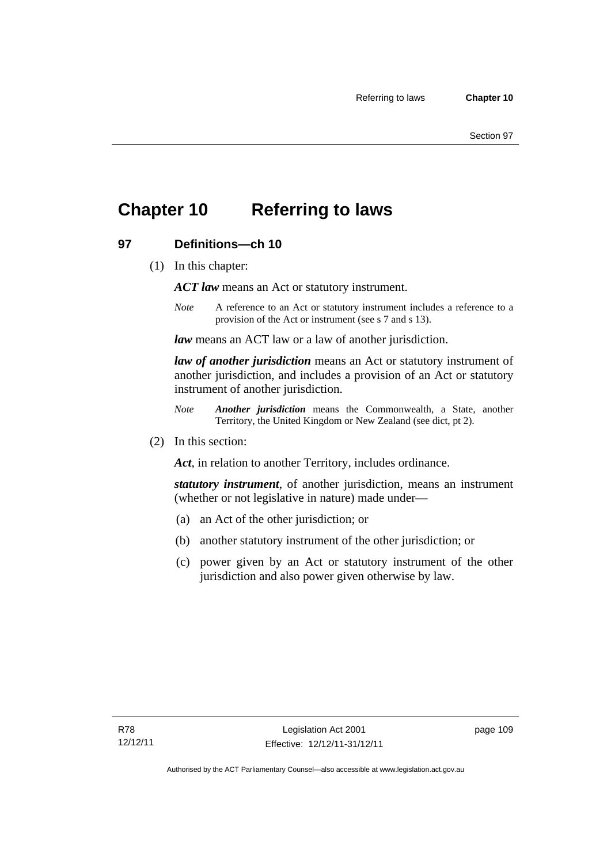## **Chapter 10 Referring to laws**

## **97 Definitions—ch 10**

(1) In this chapter:

*ACT law* means an Act or statutory instrument.

*Note* A reference to an Act or statutory instrument includes a reference to a provision of the Act or instrument (see s 7 and s 13).

*law* means an ACT law or a law of another jurisdiction.

*law of another jurisdiction* means an Act or statutory instrument of another jurisdiction, and includes a provision of an Act or statutory instrument of another jurisdiction.

- *Note Another jurisdiction* means the Commonwealth, a State, another Territory, the United Kingdom or New Zealand (see dict, pt 2).
- (2) In this section:

*Act*, in relation to another Territory, includes ordinance.

*statutory instrument*, of another jurisdiction, means an instrument (whether or not legislative in nature) made under—

- (a) an Act of the other jurisdiction; or
- (b) another statutory instrument of the other jurisdiction; or
- (c) power given by an Act or statutory instrument of the other jurisdiction and also power given otherwise by law.

page 109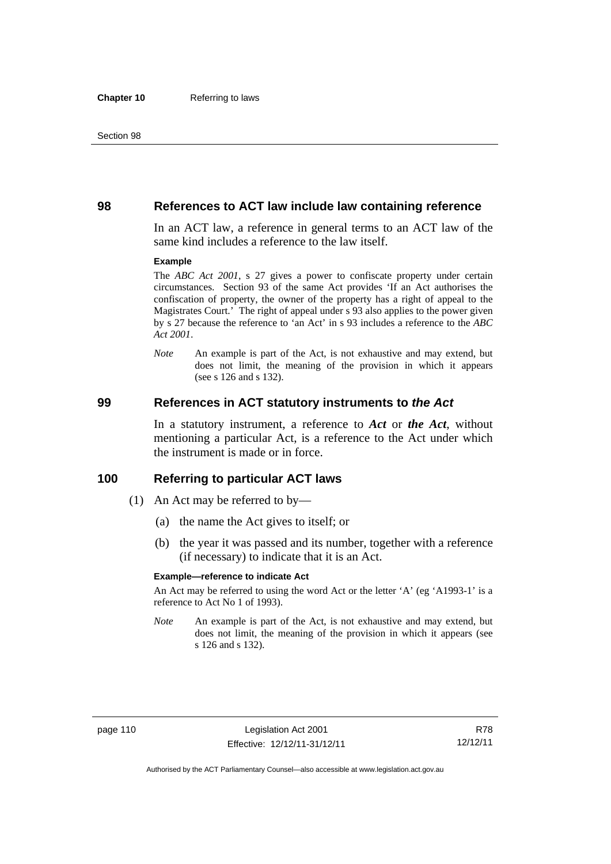#### **98 References to ACT law include law containing reference**

In an ACT law, a reference in general terms to an ACT law of the same kind includes a reference to the law itself.

#### **Example**

The *ABC Act 2001*, s 27 gives a power to confiscate property under certain circumstances. Section 93 of the same Act provides 'If an Act authorises the confiscation of property, the owner of the property has a right of appeal to the Magistrates Court.' The right of appeal under s 93 also applies to the power given by s 27 because the reference to 'an Act' in s 93 includes a reference to the *ABC Act 2001*.

*Note* An example is part of the Act, is not exhaustive and may extend, but does not limit, the meaning of the provision in which it appears (see s 126 and s 132).

#### **99 References in ACT statutory instruments to** *the Act*

In a statutory instrument, a reference to *Act* or *the Act*, without mentioning a particular Act, is a reference to the Act under which the instrument is made or in force.

#### **100 Referring to particular ACT laws**

- (1) An Act may be referred to by—
	- (a) the name the Act gives to itself; or
	- (b) the year it was passed and its number, together with a reference (if necessary) to indicate that it is an Act.

#### **Example—reference to indicate Act**

An Act may be referred to using the word Act or the letter 'A' (eg 'A1993-1' is a reference to Act No 1 of 1993).

*Note* An example is part of the Act, is not exhaustive and may extend, but does not limit, the meaning of the provision in which it appears (see s 126 and s 132).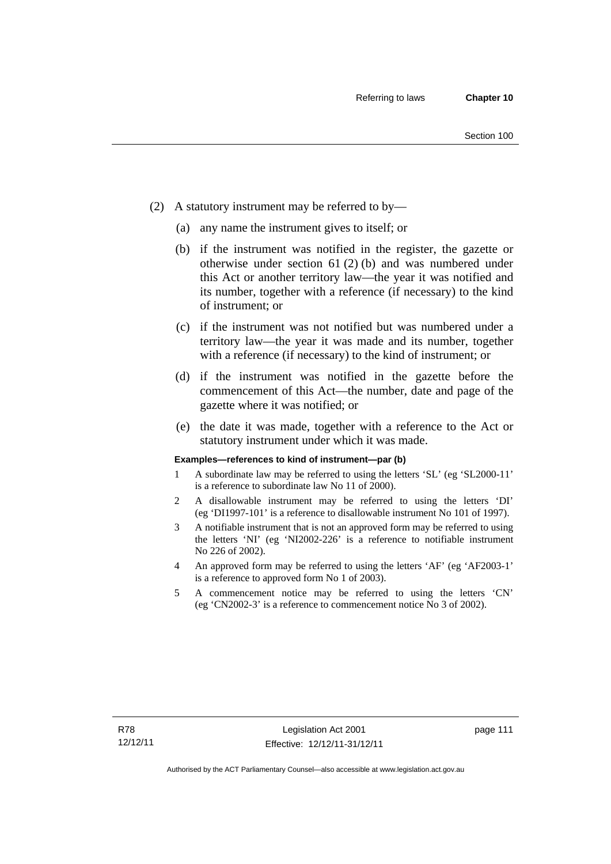- (2) A statutory instrument may be referred to by—
	- (a) any name the instrument gives to itself; or
	- (b) if the instrument was notified in the register, the gazette or otherwise under section 61 (2) (b) and was numbered under this Act or another territory law—the year it was notified and its number, together with a reference (if necessary) to the kind of instrument; or
	- (c) if the instrument was not notified but was numbered under a territory law—the year it was made and its number, together with a reference (if necessary) to the kind of instrument; or
	- (d) if the instrument was notified in the gazette before the commencement of this Act—the number, date and page of the gazette where it was notified; or
	- (e) the date it was made, together with a reference to the Act or statutory instrument under which it was made.

#### **Examples—references to kind of instrument—par (b)**

- 1 A subordinate law may be referred to using the letters 'SL' (eg 'SL2000-11' is a reference to subordinate law No 11 of 2000).
- 2 A disallowable instrument may be referred to using the letters 'DI' (eg 'DI1997-101' is a reference to disallowable instrument No 101 of 1997).
- 3 A notifiable instrument that is not an approved form may be referred to using the letters 'NI' (eg 'NI2002-226' is a reference to notifiable instrument No 226 of 2002).
- 4 An approved form may be referred to using the letters 'AF' (eg 'AF2003-1' is a reference to approved form No 1 of 2003).
- 5 A commencement notice may be referred to using the letters 'CN' (eg 'CN2002-3' is a reference to commencement notice No 3 of 2002).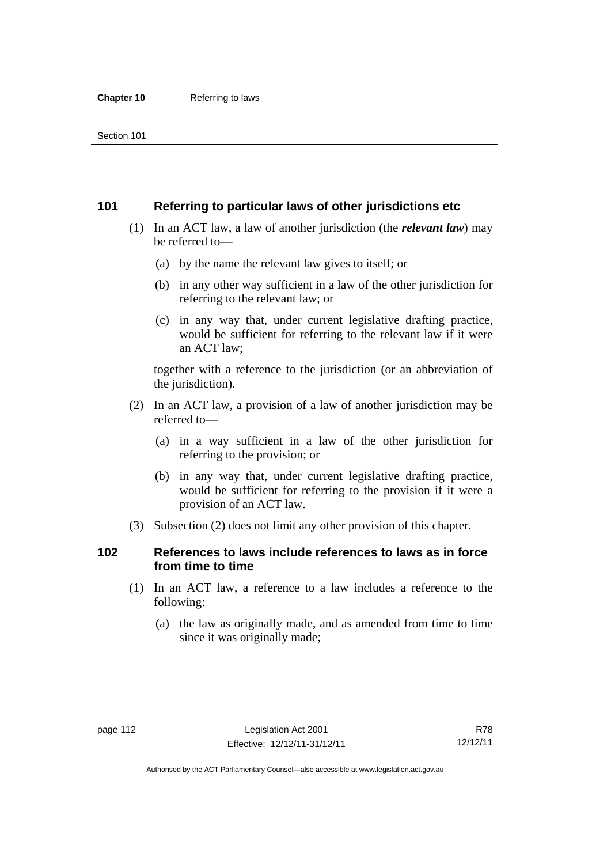## **101 Referring to particular laws of other jurisdictions etc**

- (1) In an ACT law, a law of another jurisdiction (the *relevant law*) may be referred to—
	- (a) by the name the relevant law gives to itself; or
	- (b) in any other way sufficient in a law of the other jurisdiction for referring to the relevant law; or
	- (c) in any way that, under current legislative drafting practice, would be sufficient for referring to the relevant law if it were an ACT law;

together with a reference to the jurisdiction (or an abbreviation of the jurisdiction).

- (2) In an ACT law, a provision of a law of another jurisdiction may be referred to—
	- (a) in a way sufficient in a law of the other jurisdiction for referring to the provision; or
	- (b) in any way that, under current legislative drafting practice, would be sufficient for referring to the provision if it were a provision of an ACT law.
- (3) Subsection (2) does not limit any other provision of this chapter.

## **102 References to laws include references to laws as in force from time to time**

- (1) In an ACT law, a reference to a law includes a reference to the following:
	- (a) the law as originally made, and as amended from time to time since it was originally made;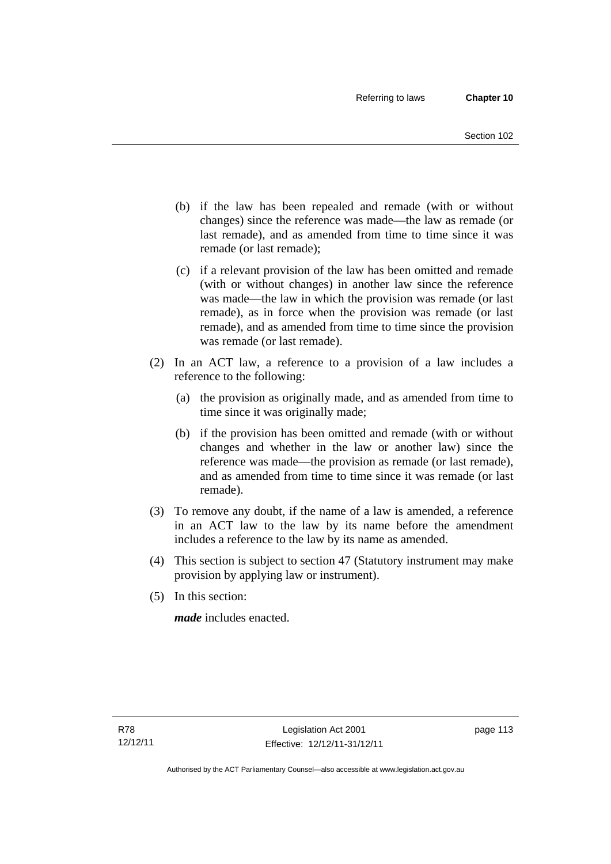- (b) if the law has been repealed and remade (with or without changes) since the reference was made—the law as remade (or last remade), and as amended from time to time since it was remade (or last remade);
- (c) if a relevant provision of the law has been omitted and remade (with or without changes) in another law since the reference was made—the law in which the provision was remade (or last remade), as in force when the provision was remade (or last remade), and as amended from time to time since the provision was remade (or last remade).
- (2) In an ACT law, a reference to a provision of a law includes a reference to the following:
	- (a) the provision as originally made, and as amended from time to time since it was originally made;
	- (b) if the provision has been omitted and remade (with or without changes and whether in the law or another law) since the reference was made—the provision as remade (or last remade), and as amended from time to time since it was remade (or last remade).
- (3) To remove any doubt, if the name of a law is amended, a reference in an ACT law to the law by its name before the amendment includes a reference to the law by its name as amended.
- (4) This section is subject to section 47 (Statutory instrument may make provision by applying law or instrument).
- (5) In this section:

*made* includes enacted.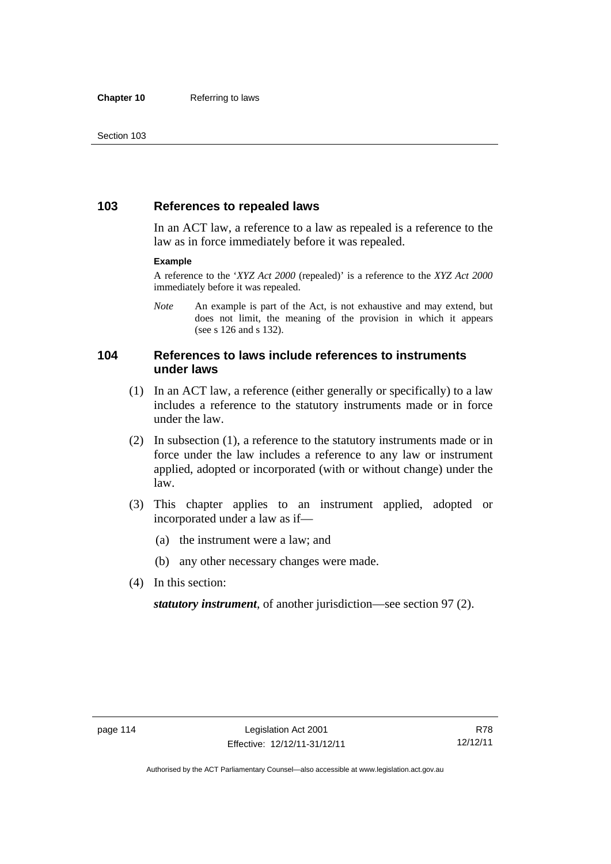## **103 References to repealed laws**

In an ACT law, a reference to a law as repealed is a reference to the law as in force immediately before it was repealed.

#### **Example**

A reference to the '*XYZ Act 2000* (repealed)' is a reference to the *XYZ Act 2000* immediately before it was repealed.

*Note* An example is part of the Act, is not exhaustive and may extend, but does not limit, the meaning of the provision in which it appears (see s 126 and s 132).

## **104 References to laws include references to instruments under laws**

- (1) In an ACT law, a reference (either generally or specifically) to a law includes a reference to the statutory instruments made or in force under the law.
- (2) In subsection (1), a reference to the statutory instruments made or in force under the law includes a reference to any law or instrument applied, adopted or incorporated (with or without change) under the law.
- (3) This chapter applies to an instrument applied, adopted or incorporated under a law as if—
	- (a) the instrument were a law; and
	- (b) any other necessary changes were made.
- (4) In this section:

*statutory instrument*, of another jurisdiction—see section 97 (2).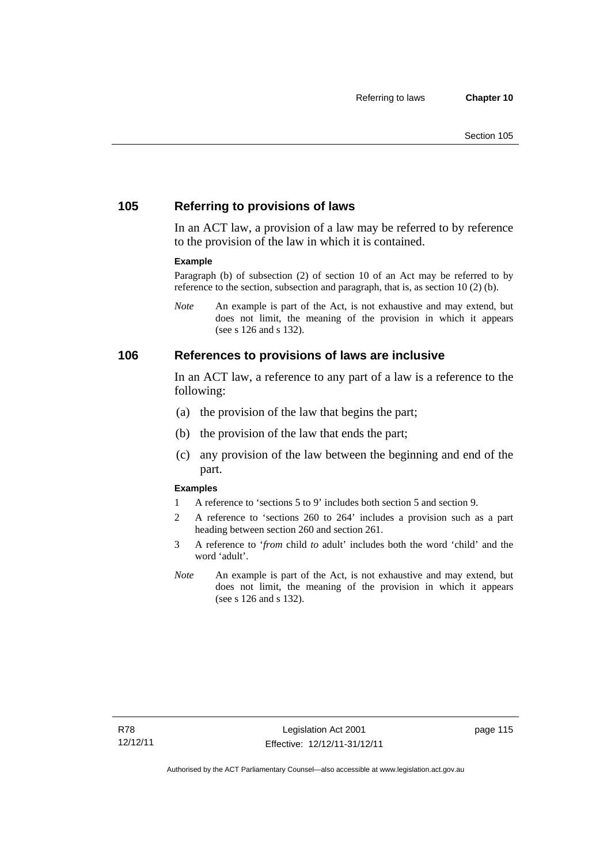## **105 Referring to provisions of laws**

In an ACT law, a provision of a law may be referred to by reference to the provision of the law in which it is contained.

#### **Example**

Paragraph (b) of subsection (2) of section 10 of an Act may be referred to by reference to the section, subsection and paragraph, that is, as section 10 (2) (b).

*Note* An example is part of the Act, is not exhaustive and may extend, but does not limit, the meaning of the provision in which it appears (see s 126 and s 132).

#### **106 References to provisions of laws are inclusive**

In an ACT law, a reference to any part of a law is a reference to the following:

- (a) the provision of the law that begins the part;
- (b) the provision of the law that ends the part;
- (c) any provision of the law between the beginning and end of the part.

#### **Examples**

- 1 A reference to 'sections 5 to 9' includes both section 5 and section 9.
- 2 A reference to 'sections 260 to 264' includes a provision such as a part heading between section 260 and section 261.
- 3 A reference to '*from* child *to* adult' includes both the word 'child' and the word 'adult'.
- *Note* An example is part of the Act, is not exhaustive and may extend, but does not limit, the meaning of the provision in which it appears (see s 126 and s 132).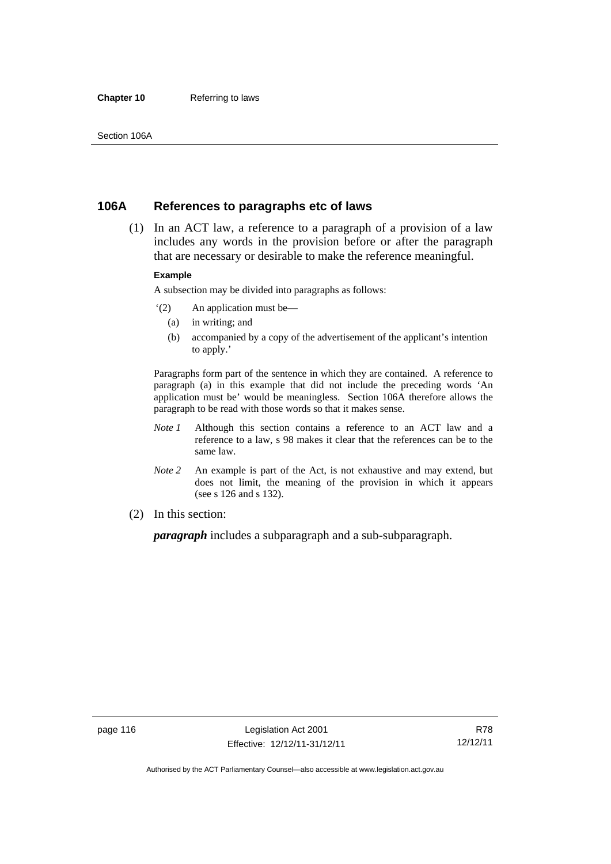#### **Chapter 10** Referring to laws

### **106A References to paragraphs etc of laws**

 (1) In an ACT law, a reference to a paragraph of a provision of a law includes any words in the provision before or after the paragraph that are necessary or desirable to make the reference meaningful.

#### **Example**

A subsection may be divided into paragraphs as follows:

- '(2) An application must be—
	- (a) in writing; and
	- (b) accompanied by a copy of the advertisement of the applicant's intention to apply.'

Paragraphs form part of the sentence in which they are contained. A reference to paragraph (a) in this example that did not include the preceding words 'An application must be' would be meaningless. Section 106A therefore allows the paragraph to be read with those words so that it makes sense.

- *Note 1* Although this section contains a reference to an ACT law and a reference to a law, s 98 makes it clear that the references can be to the same law.
- *Note 2* An example is part of the Act, is not exhaustive and may extend, but does not limit, the meaning of the provision in which it appears (see s 126 and s 132).
- (2) In this section:

*paragraph* includes a subparagraph and a sub-subparagraph.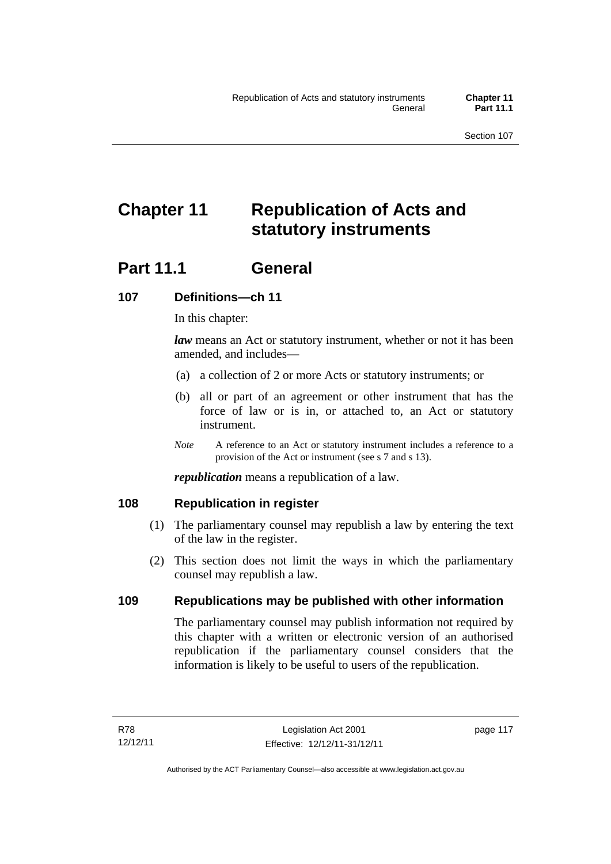# **Chapter 11 Republication of Acts and statutory instruments**

## Part 11.1 General

## **107 Definitions—ch 11**

In this chapter:

*law* means an Act or statutory instrument, whether or not it has been amended, and includes—

- (a) a collection of 2 or more Acts or statutory instruments; or
- (b) all or part of an agreement or other instrument that has the force of law or is in, or attached to, an Act or statutory instrument.
- *Note* A reference to an Act or statutory instrument includes a reference to a provision of the Act or instrument (see s 7 and s 13).

*republication* means a republication of a law.

## **108 Republication in register**

- (1) The parliamentary counsel may republish a law by entering the text of the law in the register.
- (2) This section does not limit the ways in which the parliamentary counsel may republish a law.

## **109 Republications may be published with other information**

The parliamentary counsel may publish information not required by this chapter with a written or electronic version of an authorised republication if the parliamentary counsel considers that the information is likely to be useful to users of the republication.

page 117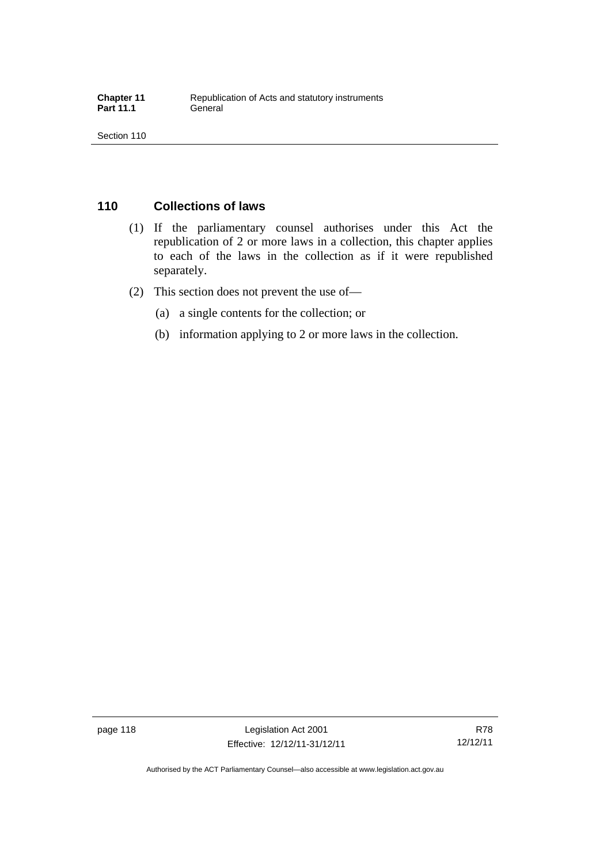## **110 Collections of laws**

- (1) If the parliamentary counsel authorises under this Act the republication of 2 or more laws in a collection, this chapter applies to each of the laws in the collection as if it were republished separately.
- (2) This section does not prevent the use of—
	- (a) a single contents for the collection; or
	- (b) information applying to 2 or more laws in the collection.

Authorised by the ACT Parliamentary Counsel—also accessible at www.legislation.act.gov.au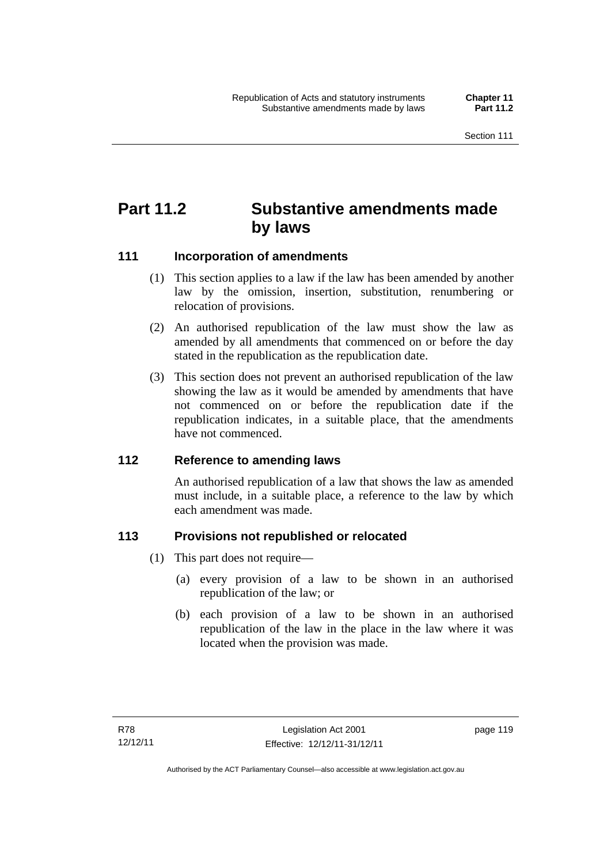## **Part 11.2 Substantive amendments made by laws**

## **111 Incorporation of amendments**

- (1) This section applies to a law if the law has been amended by another law by the omission, insertion, substitution, renumbering or relocation of provisions.
- (2) An authorised republication of the law must show the law as amended by all amendments that commenced on or before the day stated in the republication as the republication date.
- (3) This section does not prevent an authorised republication of the law showing the law as it would be amended by amendments that have not commenced on or before the republication date if the republication indicates, in a suitable place, that the amendments have not commenced.

## **112 Reference to amending laws**

An authorised republication of a law that shows the law as amended must include, in a suitable place, a reference to the law by which each amendment was made.

## **113 Provisions not republished or relocated**

- (1) This part does not require—
	- (a) every provision of a law to be shown in an authorised republication of the law; or
	- (b) each provision of a law to be shown in an authorised republication of the law in the place in the law where it was located when the provision was made.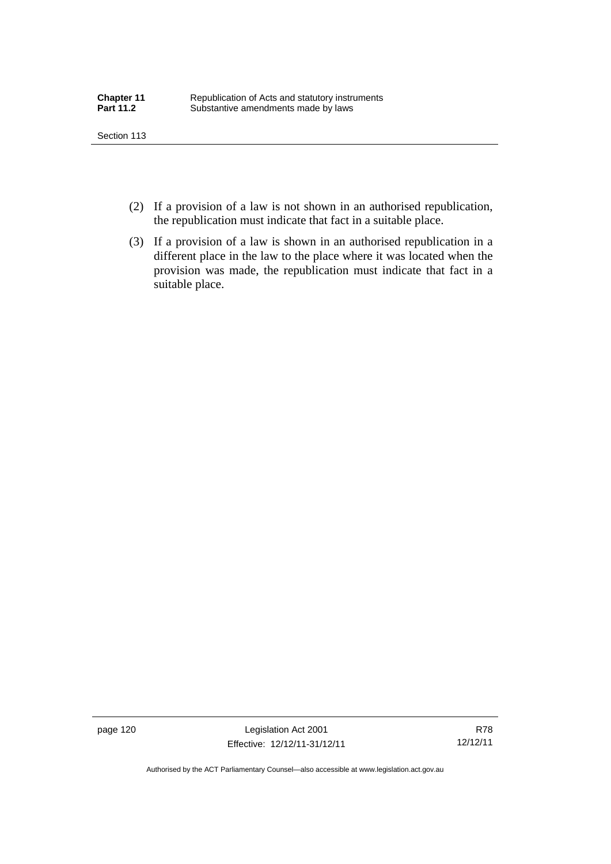- (2) If a provision of a law is not shown in an authorised republication, the republication must indicate that fact in a suitable place.
- (3) If a provision of a law is shown in an authorised republication in a different place in the law to the place where it was located when the provision was made, the republication must indicate that fact in a suitable place.

page 120 Legislation Act 2001 Effective: 12/12/11-31/12/11

R78 12/12/11

Authorised by the ACT Parliamentary Counsel—also accessible at www.legislation.act.gov.au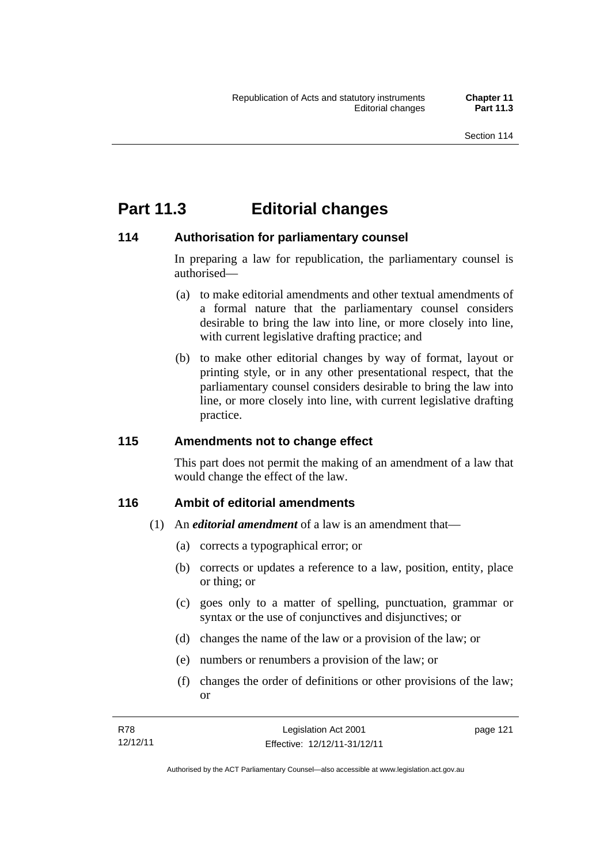## **Part 11.3 Editorial changes**

## **114 Authorisation for parliamentary counsel**

In preparing a law for republication, the parliamentary counsel is authorised—

- (a) to make editorial amendments and other textual amendments of a formal nature that the parliamentary counsel considers desirable to bring the law into line, or more closely into line, with current legislative drafting practice; and
- (b) to make other editorial changes by way of format, layout or printing style, or in any other presentational respect, that the parliamentary counsel considers desirable to bring the law into line, or more closely into line, with current legislative drafting practice.

## **115 Amendments not to change effect**

This part does not permit the making of an amendment of a law that would change the effect of the law.

## **116 Ambit of editorial amendments**

- (1) An *editorial amendment* of a law is an amendment that—
	- (a) corrects a typographical error; or
	- (b) corrects or updates a reference to a law, position, entity, place or thing; or
	- (c) goes only to a matter of spelling, punctuation, grammar or syntax or the use of conjunctives and disjunctives; or
	- (d) changes the name of the law or a provision of the law; or
	- (e) numbers or renumbers a provision of the law; or
	- (f) changes the order of definitions or other provisions of the law; or

| R78      | Legislation Act 2001         | page 121 |
|----------|------------------------------|----------|
| 12/12/11 | Effective: 12/12/11-31/12/11 |          |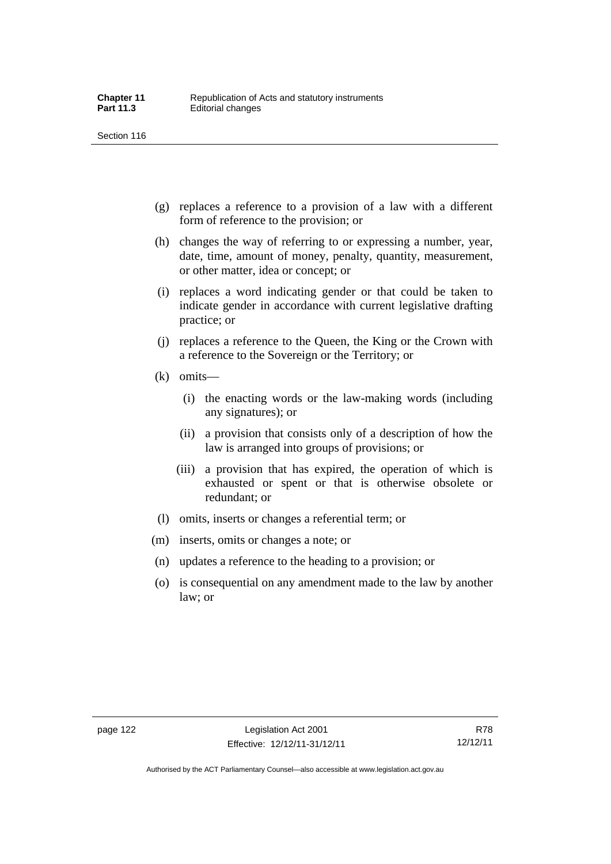- (g) replaces a reference to a provision of a law with a different form of reference to the provision; or
- (h) changes the way of referring to or expressing a number, year, date, time, amount of money, penalty, quantity, measurement, or other matter, idea or concept; or
- (i) replaces a word indicating gender or that could be taken to indicate gender in accordance with current legislative drafting practice; or
- (j) replaces a reference to the Queen, the King or the Crown with a reference to the Sovereign or the Territory; or
- (k) omits—
	- (i) the enacting words or the law-making words (including any signatures); or
	- (ii) a provision that consists only of a description of how the law is arranged into groups of provisions; or
	- (iii) a provision that has expired, the operation of which is exhausted or spent or that is otherwise obsolete or redundant; or
- (l) omits, inserts or changes a referential term; or
- (m) inserts, omits or changes a note; or
- (n) updates a reference to the heading to a provision; or
- (o) is consequential on any amendment made to the law by another law; or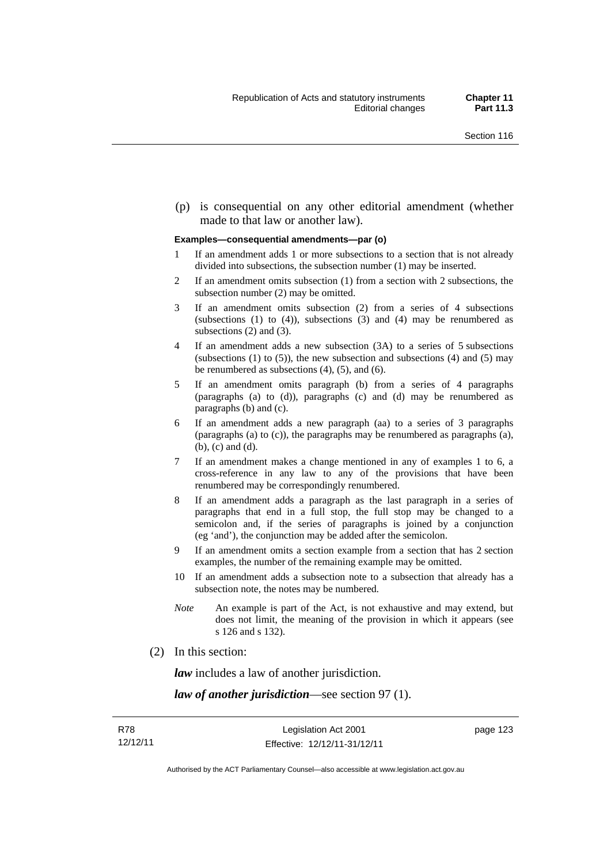(p) is consequential on any other editorial amendment (whether made to that law or another law).

#### **Examples—consequential amendments—par (o)**

- 1 If an amendment adds 1 or more subsections to a section that is not already divided into subsections, the subsection number (1) may be inserted.
- 2 If an amendment omits subsection (1) from a section with 2 subsections, the subsection number (2) may be omitted.
- 3 If an amendment omits subsection (2) from a series of 4 subsections (subsections  $(1)$  to  $(4)$ ), subsections  $(3)$  and  $(4)$  may be renumbered as subsections (2) and (3).
- 4 If an amendment adds a new subsection (3A) to a series of 5 subsections (subsections  $(1)$  to  $(5)$ ), the new subsection and subsections  $(4)$  and  $(5)$  may be renumbered as subsections (4), (5), and (6).
- 5 If an amendment omits paragraph (b) from a series of 4 paragraphs (paragraphs (a) to (d)), paragraphs (c) and (d) may be renumbered as paragraphs (b) and (c).
- 6 If an amendment adds a new paragraph (aa) to a series of 3 paragraphs (paragraphs (a) to (c)), the paragraphs may be renumbered as paragraphs (a), (b), (c) and (d).
- 7 If an amendment makes a change mentioned in any of examples 1 to 6, a cross-reference in any law to any of the provisions that have been renumbered may be correspondingly renumbered.
- 8 If an amendment adds a paragraph as the last paragraph in a series of paragraphs that end in a full stop, the full stop may be changed to a semicolon and, if the series of paragraphs is joined by a conjunction (eg 'and'), the conjunction may be added after the semicolon.
- 9 If an amendment omits a section example from a section that has 2 section examples, the number of the remaining example may be omitted.
- 10 If an amendment adds a subsection note to a subsection that already has a subsection note, the notes may be numbered.
- *Note* An example is part of the Act, is not exhaustive and may extend, but does not limit, the meaning of the provision in which it appears (see s 126 and s 132).
- (2) In this section:

*law* includes a law of another jurisdiction.

*law of another jurisdiction*—see section 97 (1).

page 123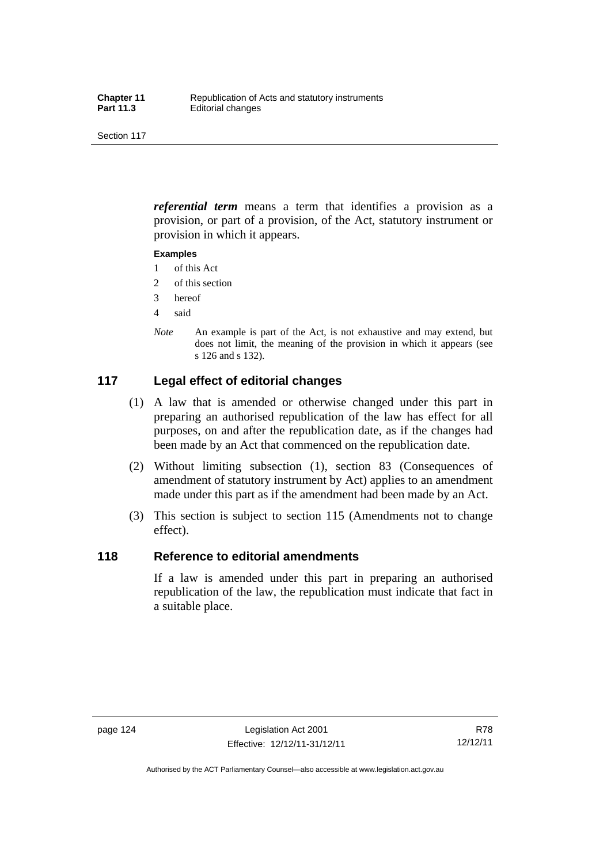*referential term* means a term that identifies a provision as a provision, or part of a provision, of the Act, statutory instrument or provision in which it appears.

#### **Examples**

- 1 of this Act
- 2 of this section
- 3 hereof
- 4 said
- *Note* An example is part of the Act, is not exhaustive and may extend, but does not limit, the meaning of the provision in which it appears (see s 126 and s 132).

## **117 Legal effect of editorial changes**

- (1) A law that is amended or otherwise changed under this part in preparing an authorised republication of the law has effect for all purposes, on and after the republication date, as if the changes had been made by an Act that commenced on the republication date.
- (2) Without limiting subsection (1), section 83 (Consequences of amendment of statutory instrument by Act) applies to an amendment made under this part as if the amendment had been made by an Act.
- (3) This section is subject to section 115 (Amendments not to change effect).

## **118 Reference to editorial amendments**

If a law is amended under this part in preparing an authorised republication of the law, the republication must indicate that fact in a suitable place.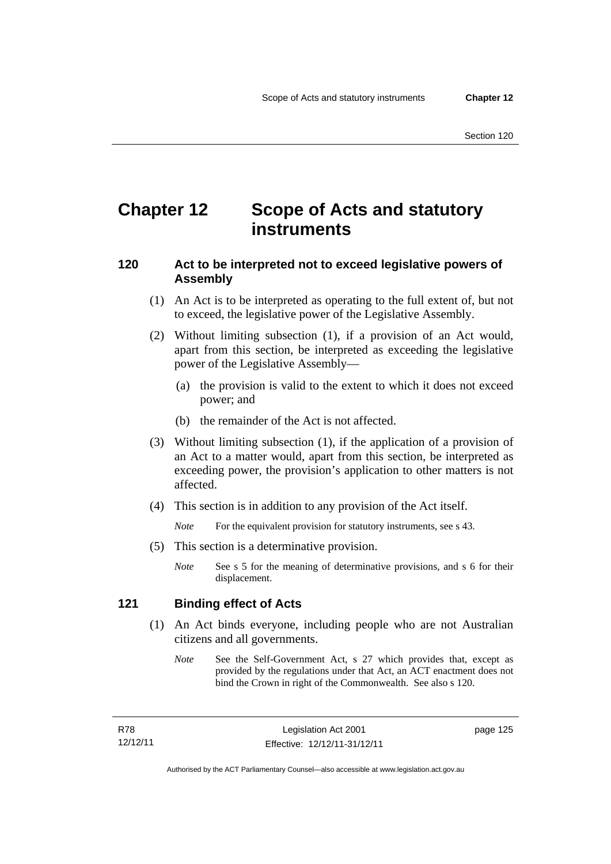## **Chapter 12 Scope of Acts and statutory instruments**

## **120 Act to be interpreted not to exceed legislative powers of Assembly**

- (1) An Act is to be interpreted as operating to the full extent of, but not to exceed, the legislative power of the Legislative Assembly.
- (2) Without limiting subsection (1), if a provision of an Act would, apart from this section, be interpreted as exceeding the legislative power of the Legislative Assembly—
	- (a) the provision is valid to the extent to which it does not exceed power; and
	- (b) the remainder of the Act is not affected.
- (3) Without limiting subsection (1), if the application of a provision of an Act to a matter would, apart from this section, be interpreted as exceeding power, the provision's application to other matters is not affected.
- (4) This section is in addition to any provision of the Act itself.

*Note* For the equivalent provision for statutory instruments, see s 43.

- (5) This section is a determinative provision.
	- *Note* See s 5 for the meaning of determinative provisions, and s 6 for their displacement.

### **121 Binding effect of Acts**

- (1) An Act binds everyone, including people who are not Australian citizens and all governments.
	- *Note* See the Self-Government Act, s 27 which provides that, except as provided by the regulations under that Act, an ACT enactment does not bind the Crown in right of the Commonwealth. See also s 120.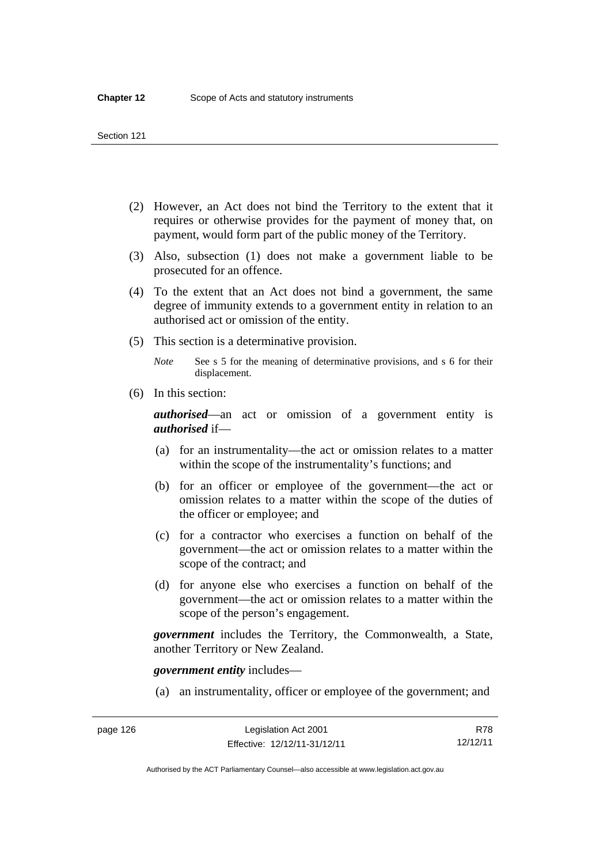- (2) However, an Act does not bind the Territory to the extent that it requires or otherwise provides for the payment of money that, on payment, would form part of the public money of the Territory.
- (3) Also, subsection (1) does not make a government liable to be prosecuted for an offence.
- (4) To the extent that an Act does not bind a government, the same degree of immunity extends to a government entity in relation to an authorised act or omission of the entity.
- (5) This section is a determinative provision.

*Note* See s 5 for the meaning of determinative provisions, and s 6 for their displacement.

(6) In this section:

*authorised*—an act or omission of a government entity is *authorised* if—

- (a) for an instrumentality—the act or omission relates to a matter within the scope of the instrumentality's functions; and
- (b) for an officer or employee of the government—the act or omission relates to a matter within the scope of the duties of the officer or employee; and
- (c) for a contractor who exercises a function on behalf of the government—the act or omission relates to a matter within the scope of the contract; and
- (d) for anyone else who exercises a function on behalf of the government—the act or omission relates to a matter within the scope of the person's engagement.

*government* includes the Territory, the Commonwealth, a State, another Territory or New Zealand.

*government entity* includes—

(a) an instrumentality, officer or employee of the government; and

Authorised by the ACT Parliamentary Counsel—also accessible at www.legislation.act.gov.au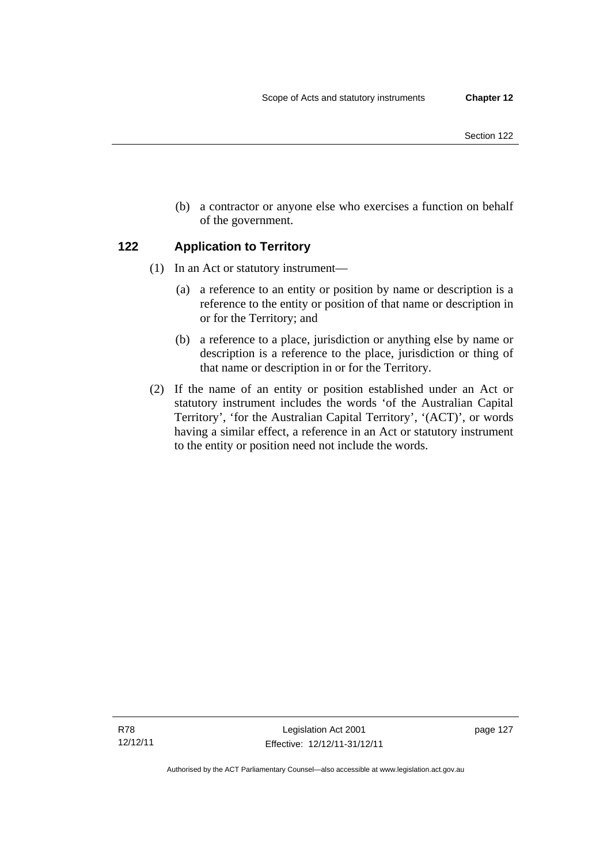- Section 122
- (b) a contractor or anyone else who exercises a function on behalf of the government.

## **122 Application to Territory**

- (1) In an Act or statutory instrument—
	- (a) a reference to an entity or position by name or description is a reference to the entity or position of that name or description in or for the Territory; and
	- (b) a reference to a place, jurisdiction or anything else by name or description is a reference to the place, jurisdiction or thing of that name or description in or for the Territory.
- (2) If the name of an entity or position established under an Act or statutory instrument includes the words 'of the Australian Capital Territory', 'for the Australian Capital Territory', '(ACT)', or words having a similar effect, a reference in an Act or statutory instrument to the entity or position need not include the words.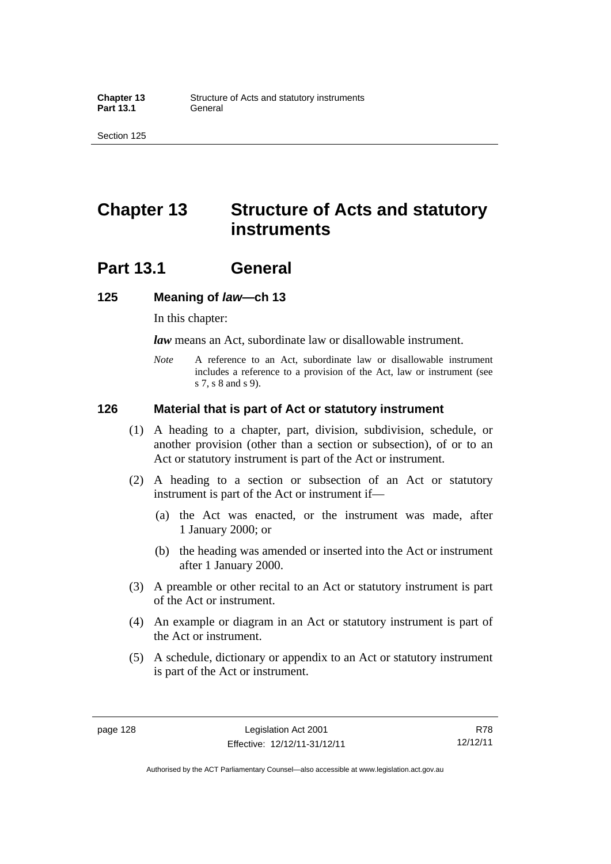## **Chapter 13 Structure of Acts and statutory instruments**

## **Part 13.1 General**

#### **125 Meaning of** *law***—ch 13**

In this chapter:

*law* means an Act, subordinate law or disallowable instrument.

*Note* A reference to an Act, subordinate law or disallowable instrument includes a reference to a provision of the Act, law or instrument (see s 7, s 8 and s 9).

#### **126 Material that is part of Act or statutory instrument**

- (1) A heading to a chapter, part, division, subdivision, schedule, or another provision (other than a section or subsection), of or to an Act or statutory instrument is part of the Act or instrument.
- (2) A heading to a section or subsection of an Act or statutory instrument is part of the Act or instrument if—
	- (a) the Act was enacted, or the instrument was made, after 1 January 2000; or
	- (b) the heading was amended or inserted into the Act or instrument after 1 January 2000.
- (3) A preamble or other recital to an Act or statutory instrument is part of the Act or instrument.
- (4) An example or diagram in an Act or statutory instrument is part of the Act or instrument.
- (5) A schedule, dictionary or appendix to an Act or statutory instrument is part of the Act or instrument.

Authorised by the ACT Parliamentary Counsel—also accessible at www.legislation.act.gov.au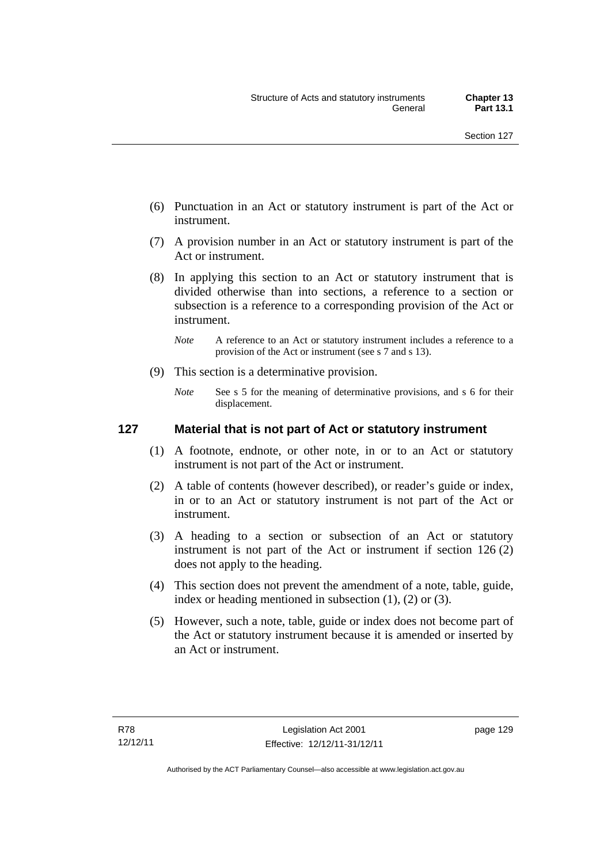- (6) Punctuation in an Act or statutory instrument is part of the Act or instrument.
- (7) A provision number in an Act or statutory instrument is part of the Act or instrument.
- (8) In applying this section to an Act or statutory instrument that is divided otherwise than into sections, a reference to a section or subsection is a reference to a corresponding provision of the Act or instrument.
	- *Note* A reference to an Act or statutory instrument includes a reference to a provision of the Act or instrument (see s 7 and s 13).
- (9) This section is a determinative provision.
	- *Note* See s 5 for the meaning of determinative provisions, and s 6 for their displacement.

## **127 Material that is not part of Act or statutory instrument**

- (1) A footnote, endnote, or other note, in or to an Act or statutory instrument is not part of the Act or instrument.
- (2) A table of contents (however described), or reader's guide or index, in or to an Act or statutory instrument is not part of the Act or instrument.
- (3) A heading to a section or subsection of an Act or statutory instrument is not part of the Act or instrument if section 126 (2) does not apply to the heading.
- (4) This section does not prevent the amendment of a note, table, guide, index or heading mentioned in subsection (1), (2) or (3).
- (5) However, such a note, table, guide or index does not become part of the Act or statutory instrument because it is amended or inserted by an Act or instrument.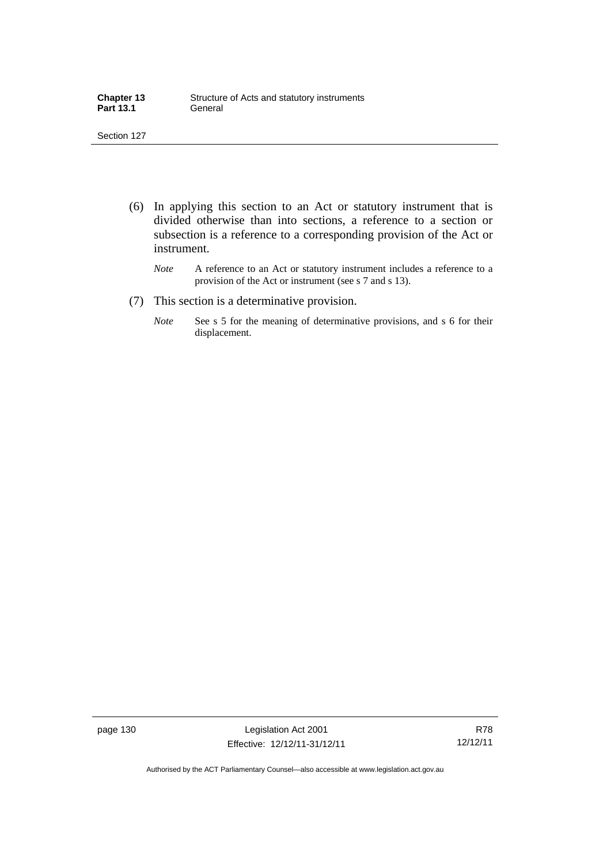| <b>Chapter 13</b> | Structure of Acts and statutory instruments |
|-------------------|---------------------------------------------|
| <b>Part 13.1</b>  | General                                     |

- (6) In applying this section to an Act or statutory instrument that is divided otherwise than into sections, a reference to a section or subsection is a reference to a corresponding provision of the Act or instrument.
	- *Note* A reference to an Act or statutory instrument includes a reference to a provision of the Act or instrument (see s 7 and s 13).
- (7) This section is a determinative provision.
	- *Note* See s 5 for the meaning of determinative provisions, and s 6 for their displacement.

page 130 Legislation Act 2001 Effective: 12/12/11-31/12/11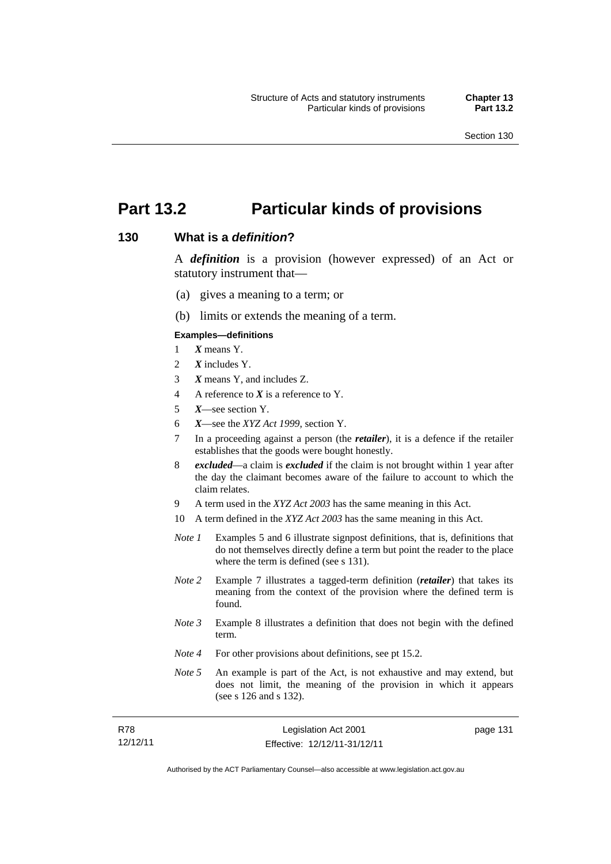page 131

# **Part 13.2 Particular kinds of provisions**

#### **130 What is a** *definition***?**

A *definition* is a provision (however expressed) of an Act or statutory instrument that—

- (a) gives a meaning to a term; or
- (b) limits or extends the meaning of a term.

#### **Examples—definitions**

- 1 *X* means Y.
- 2 *X* includes Y.
- 3 *X* means Y, and includes Z.
- 4 A reference to *X* is a reference to Y.
- 5 *X*—see section Y.
- 6 *X*—see the *XYZ Act 1999*, section Y.
- 7 In a proceeding against a person (the *retailer*), it is a defence if the retailer establishes that the goods were bought honestly.
- 8 *excluded*—a claim is *excluded* if the claim is not brought within 1 year after the day the claimant becomes aware of the failure to account to which the claim relates.
- 9 A term used in the *XYZ Act 2003* has the same meaning in this Act.
- 10 A term defined in the *XYZ Act 2003* has the same meaning in this Act.
- *Note 1* Examples 5 and 6 illustrate signpost definitions, that is, definitions that do not themselves directly define a term but point the reader to the place where the term is defined (see s 131).
- *Note 2* Example 7 illustrates a tagged-term definition (*retailer*) that takes its meaning from the context of the provision where the defined term is found.
- *Note 3* Example 8 illustrates a definition that does not begin with the defined term.
- *Note 4* For other provisions about definitions, see pt 15.2.
- *Note* 5 An example is part of the Act, is not exhaustive and may extend, but does not limit, the meaning of the provision in which it appears (see s 126 and s 132).

| R78      | Legislation Act 2001         |  |
|----------|------------------------------|--|
| 12/12/11 | Effective: 12/12/11-31/12/11 |  |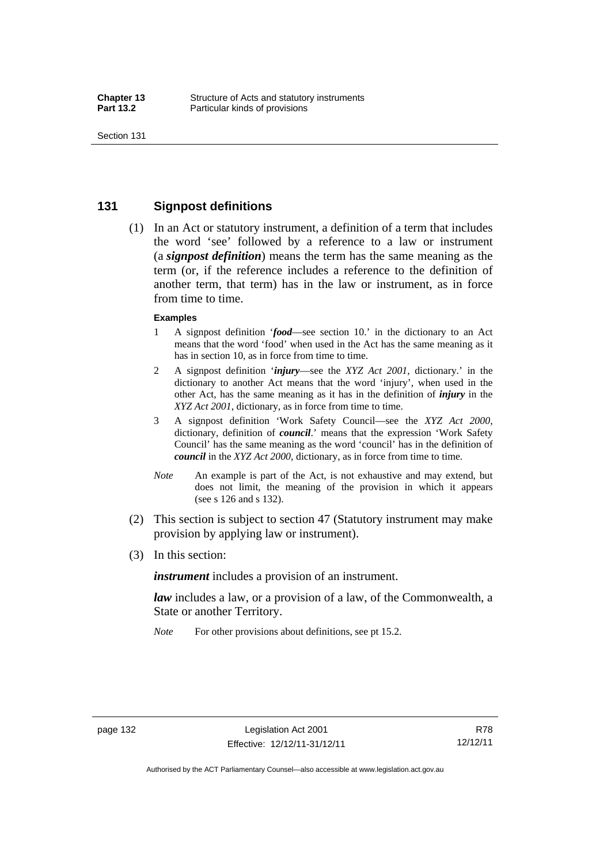## **131 Signpost definitions**

 (1) In an Act or statutory instrument, a definition of a term that includes the word 'see' followed by a reference to a law or instrument (a *signpost definition*) means the term has the same meaning as the term (or, if the reference includes a reference to the definition of another term, that term) has in the law or instrument, as in force from time to time.

#### **Examples**

- 1 A signpost definition '*food*—see section 10.' in the dictionary to an Act means that the word 'food' when used in the Act has the same meaning as it has in section 10, as in force from time to time.
- 2 A signpost definition '*injury*—see the *XYZ Act 2001*, dictionary.' in the dictionary to another Act means that the word 'injury', when used in the other Act, has the same meaning as it has in the definition of *injury* in the *XYZ Act 2001*, dictionary, as in force from time to time.
- 3 A signpost definition 'Work Safety Council—see the *XYZ Act 2000*, dictionary, definition of *council*.' means that the expression 'Work Safety Council' has the same meaning as the word 'council' has in the definition of *council* in the *XYZ Act 2000*, dictionary, as in force from time to time.
- *Note* An example is part of the Act, is not exhaustive and may extend, but does not limit, the meaning of the provision in which it appears (see s 126 and s 132).
- (2) This section is subject to section 47 (Statutory instrument may make provision by applying law or instrument).
- (3) In this section:

*instrument* includes a provision of an instrument.

*law* includes a law, or a provision of a law, of the Commonwealth, a State or another Territory.

*Note* For other provisions about definitions, see pt 15.2.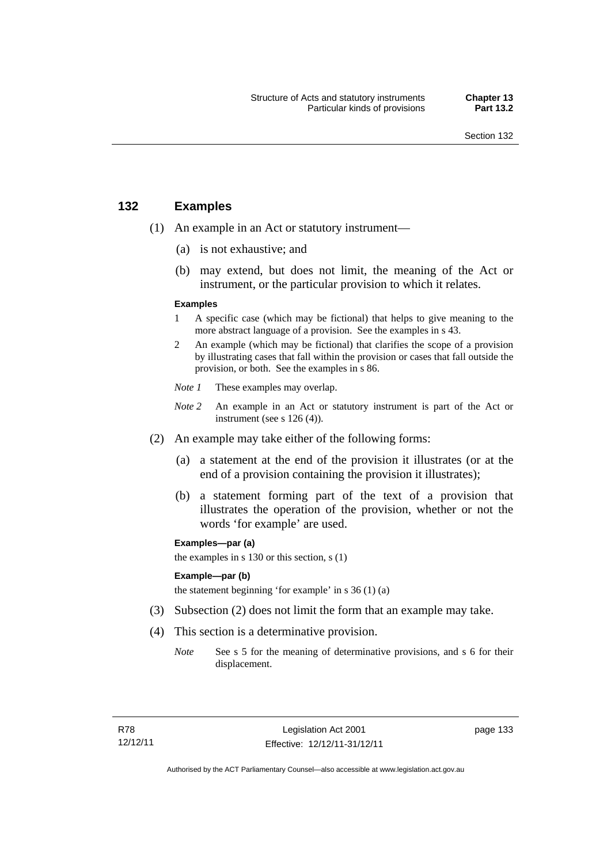## **132 Examples**

- (1) An example in an Act or statutory instrument—
	- (a) is not exhaustive; and
	- (b) may extend, but does not limit, the meaning of the Act or instrument, or the particular provision to which it relates.

#### **Examples**

- 1 A specific case (which may be fictional) that helps to give meaning to the more abstract language of a provision. See the examples in s 43.
- 2 An example (which may be fictional) that clarifies the scope of a provision by illustrating cases that fall within the provision or cases that fall outside the provision, or both. See the examples in s 86.
- *Note 1* These examples may overlap.
- *Note* 2 An example in an Act or statutory instrument is part of the Act or instrument (see s 126 (4)).
- (2) An example may take either of the following forms:
	- (a) a statement at the end of the provision it illustrates (or at the end of a provision containing the provision it illustrates);
	- (b) a statement forming part of the text of a provision that illustrates the operation of the provision, whether or not the words 'for example' are used.

**Examples—par (a)** 

the examples in s 130 or this section, s (1)

#### **Example—par (b)**

the statement beginning 'for example' in s 36 (1) (a)

- (3) Subsection (2) does not limit the form that an example may take.
- (4) This section is a determinative provision.
	- *Note* See s 5 for the meaning of determinative provisions, and s 6 for their displacement.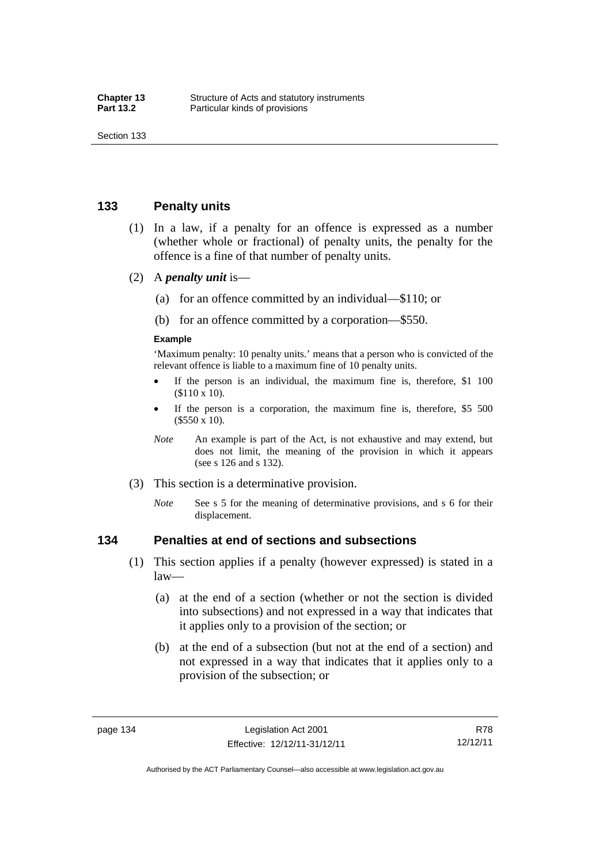## **133 Penalty units**

- (1) In a law, if a penalty for an offence is expressed as a number (whether whole or fractional) of penalty units, the penalty for the offence is a fine of that number of penalty units.
- (2) A *penalty unit* is—
	- (a) for an offence committed by an individual—\$110; or
	- (b) for an offence committed by a corporation—\$550.

#### **Example**

'Maximum penalty: 10 penalty units.' means that a person who is convicted of the relevant offence is liable to a maximum fine of 10 penalty units.

- If the person is an individual, the maximum fine is, therefore, \$1 100 (\$110 x 10).
- If the person is a corporation, the maximum fine is, therefore, \$5 500 (\$550 x 10).
- *Note* An example is part of the Act, is not exhaustive and may extend, but does not limit, the meaning of the provision in which it appears (see s 126 and s 132).
- (3) This section is a determinative provision.
	- *Note* See s 5 for the meaning of determinative provisions, and s 6 for their displacement.

#### **134 Penalties at end of sections and subsections**

- (1) This section applies if a penalty (however expressed) is stated in a law—
	- (a) at the end of a section (whether or not the section is divided into subsections) and not expressed in a way that indicates that it applies only to a provision of the section; or
	- (b) at the end of a subsection (but not at the end of a section) and not expressed in a way that indicates that it applies only to a provision of the subsection; or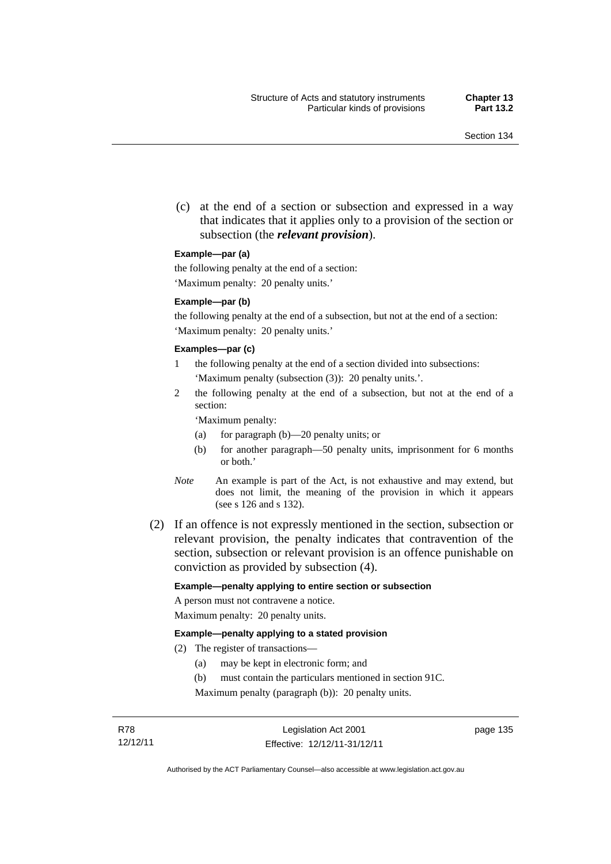(c) at the end of a section or subsection and expressed in a way that indicates that it applies only to a provision of the section or subsection (the *relevant provision*).

#### **Example—par (a)**

the following penalty at the end of a section:

'Maximum penalty: 20 penalty units.'

#### **Example—par (b)**

the following penalty at the end of a subsection, but not at the end of a section: 'Maximum penalty: 20 penalty units.'

#### **Examples—par (c)**

- 1 the following penalty at the end of a section divided into subsections: 'Maximum penalty (subsection (3)): 20 penalty units.'.
- 2 the following penalty at the end of a subsection, but not at the end of a section:

'Maximum penalty:

- (a) for paragraph (b)—20 penalty units; or
- (b) for another paragraph—50 penalty units, imprisonment for 6 months or both.'
- *Note* An example is part of the Act, is not exhaustive and may extend, but does not limit, the meaning of the provision in which it appears (see s 126 and s 132).
- (2) If an offence is not expressly mentioned in the section, subsection or relevant provision, the penalty indicates that contravention of the section, subsection or relevant provision is an offence punishable on conviction as provided by subsection (4).

#### **Example—penalty applying to entire section or subsection**

A person must not contravene a notice. Maximum penalty: 20 penalty units.

#### **Example—penalty applying to a stated provision**

- (2) The register of transactions—
	- (a) may be kept in electronic form; and
	- (b) must contain the particulars mentioned in section 91C.

Maximum penalty (paragraph (b)): 20 penalty units.

page 135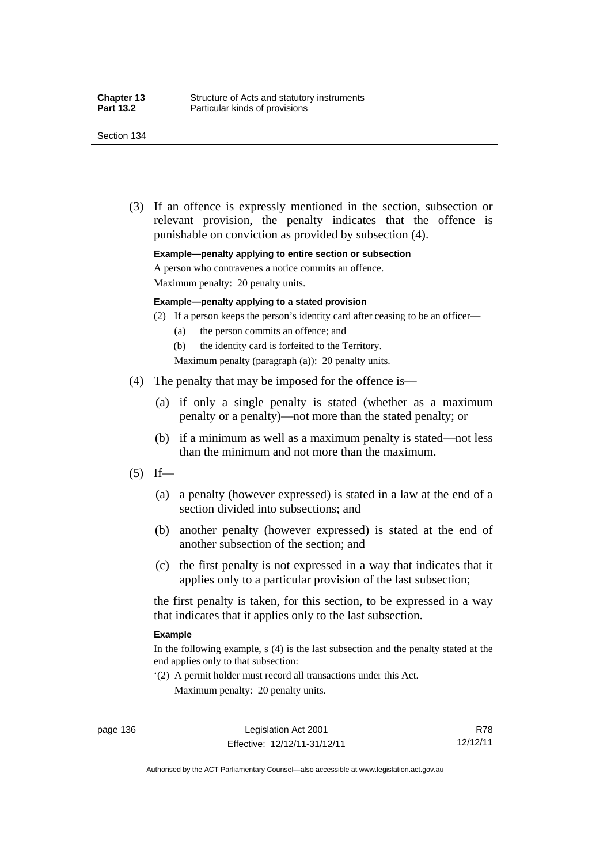(3) If an offence is expressly mentioned in the section, subsection or relevant provision, the penalty indicates that the offence is punishable on conviction as provided by subsection (4).

**Example—penalty applying to entire section or subsection** 

A person who contravenes a notice commits an offence.

Maximum penalty: 20 penalty units.

#### **Example—penalty applying to a stated provision**

- (2) If a person keeps the person's identity card after ceasing to be an officer—
	- (a) the person commits an offence; and
	- (b) the identity card is forfeited to the Territory.
	- Maximum penalty (paragraph (a)): 20 penalty units.
- (4) The penalty that may be imposed for the offence is—
	- (a) if only a single penalty is stated (whether as a maximum penalty or a penalty)—not more than the stated penalty; or
	- (b) if a minimum as well as a maximum penalty is stated—not less than the minimum and not more than the maximum.
- $(5)$  If—
	- (a) a penalty (however expressed) is stated in a law at the end of a section divided into subsections; and
	- (b) another penalty (however expressed) is stated at the end of another subsection of the section; and
	- (c) the first penalty is not expressed in a way that indicates that it applies only to a particular provision of the last subsection;

the first penalty is taken, for this section, to be expressed in a way that indicates that it applies only to the last subsection.

#### **Example**

In the following example, s (4) is the last subsection and the penalty stated at the end applies only to that subsection:

'(2) A permit holder must record all transactions under this Act. Maximum penalty: 20 penalty units.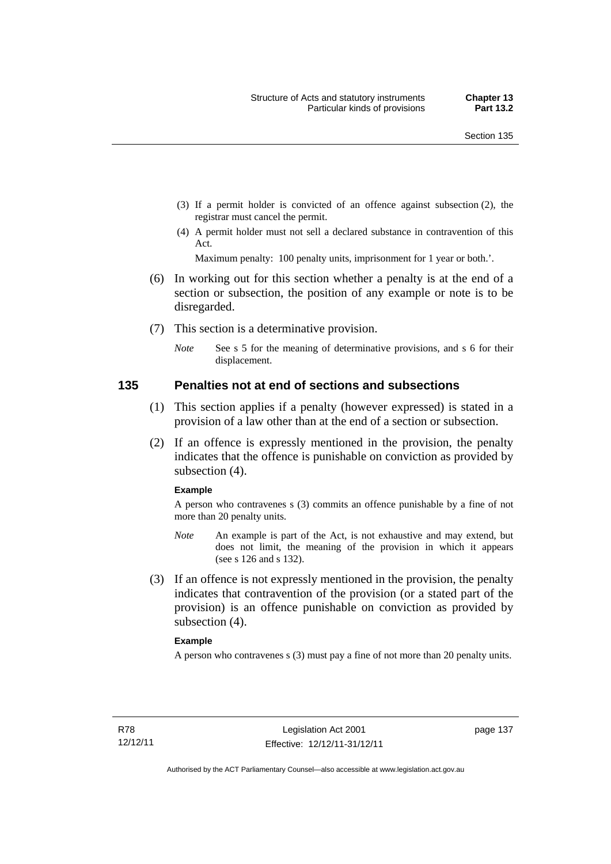- (3) If a permit holder is convicted of an offence against subsection (2), the registrar must cancel the permit.
- (4) A permit holder must not sell a declared substance in contravention of this Act.

Maximum penalty: 100 penalty units, imprisonment for 1 year or both.'.

- (6) In working out for this section whether a penalty is at the end of a section or subsection, the position of any example or note is to be disregarded.
- (7) This section is a determinative provision.
	- *Note* See s 5 for the meaning of determinative provisions, and s 6 for their displacement.

#### **135 Penalties not at end of sections and subsections**

- (1) This section applies if a penalty (however expressed) is stated in a provision of a law other than at the end of a section or subsection.
- (2) If an offence is expressly mentioned in the provision, the penalty indicates that the offence is punishable on conviction as provided by subsection (4).

#### **Example**

A person who contravenes s (3) commits an offence punishable by a fine of not more than 20 penalty units.

- *Note* An example is part of the Act, is not exhaustive and may extend, but does not limit, the meaning of the provision in which it appears (see s 126 and s 132).
- (3) If an offence is not expressly mentioned in the provision, the penalty indicates that contravention of the provision (or a stated part of the provision) is an offence punishable on conviction as provided by subsection (4).

#### **Example**

A person who contravenes s (3) must pay a fine of not more than 20 penalty units.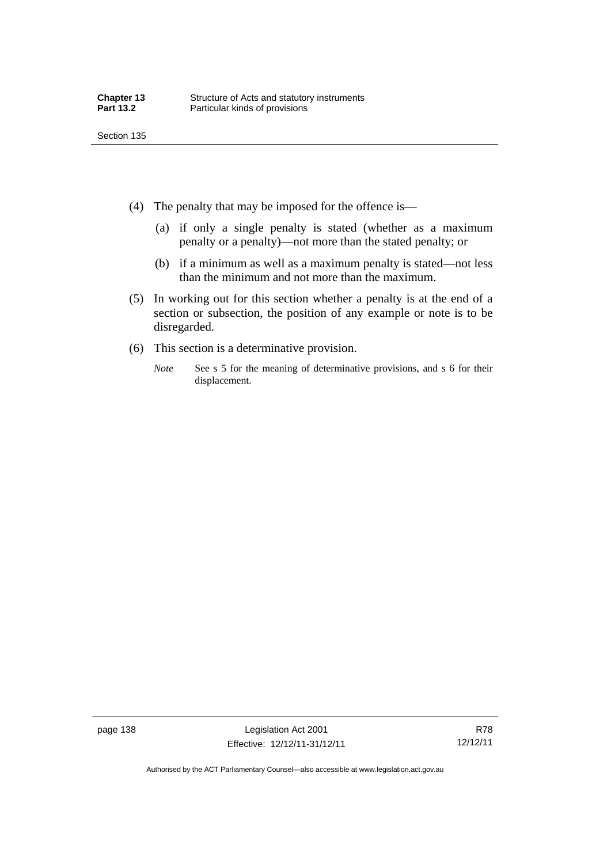- 
- (4) The penalty that may be imposed for the offence is—
	- (a) if only a single penalty is stated (whether as a maximum penalty or a penalty)—not more than the stated penalty; or
	- (b) if a minimum as well as a maximum penalty is stated—not less than the minimum and not more than the maximum.
- (5) In working out for this section whether a penalty is at the end of a section or subsection, the position of any example or note is to be disregarded.
- (6) This section is a determinative provision.
	- *Note* See s 5 for the meaning of determinative provisions, and s 6 for their displacement.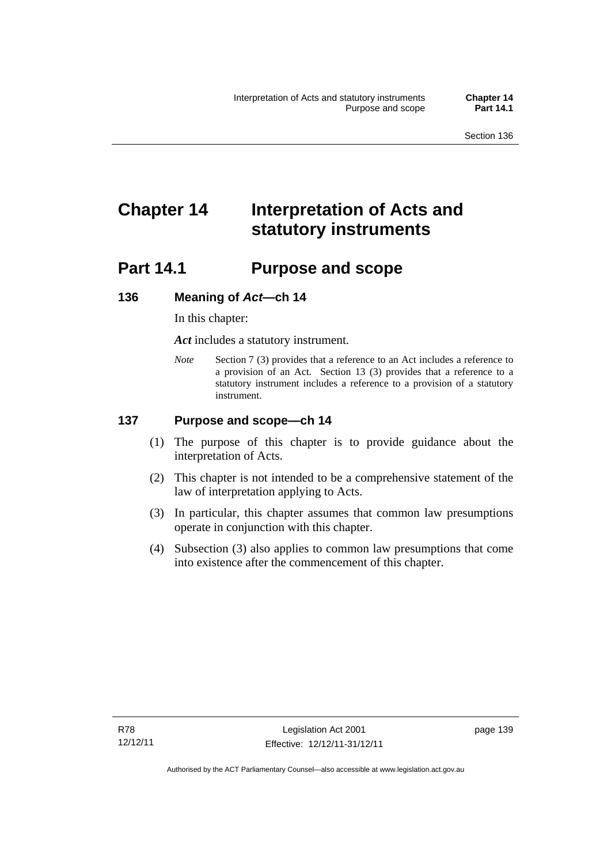# **Chapter 14 Interpretation of Acts and statutory instruments**

# **Part 14.1 Purpose and scope**

## **136 Meaning of** *Act***—ch 14**

In this chapter:

*Act* includes a statutory instrument.

*Note* Section 7 (3) provides that a reference to an Act includes a reference to a provision of an Act. Section 13 (3) provides that a reference to a statutory instrument includes a reference to a provision of a statutory instrument.

## **137 Purpose and scope—ch 14**

- (1) The purpose of this chapter is to provide guidance about the interpretation of Acts.
- (2) This chapter is not intended to be a comprehensive statement of the law of interpretation applying to Acts.
- (3) In particular, this chapter assumes that common law presumptions operate in conjunction with this chapter.
- (4) Subsection (3) also applies to common law presumptions that come into existence after the commencement of this chapter.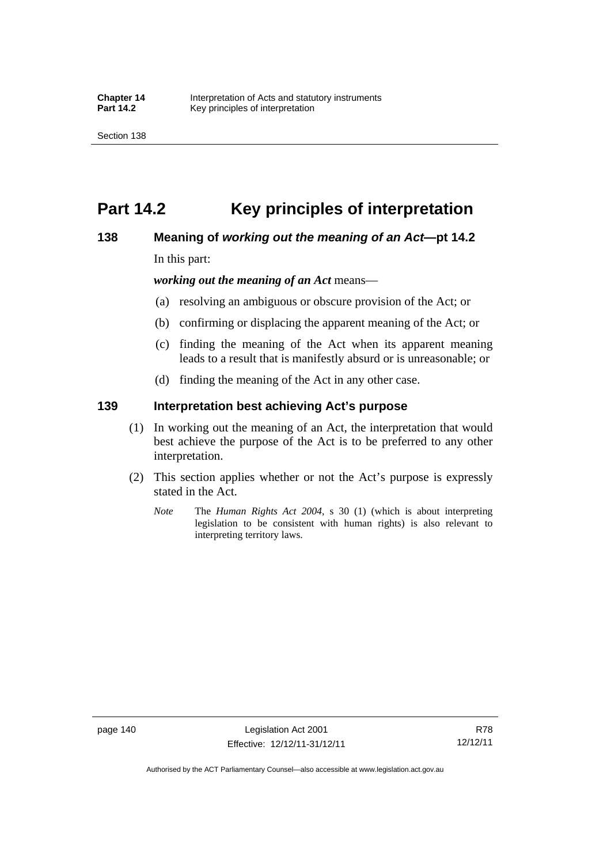# **Part 14.2 Key principles of interpretation**

## **138 Meaning of** *working out the meaning of an Act***—pt 14.2**

In this part:

*working out the meaning of an Act* means—

- (a) resolving an ambiguous or obscure provision of the Act; or
- (b) confirming or displacing the apparent meaning of the Act; or
- (c) finding the meaning of the Act when its apparent meaning leads to a result that is manifestly absurd or is unreasonable; or
- (d) finding the meaning of the Act in any other case.

## **139 Interpretation best achieving Act's purpose**

- (1) In working out the meaning of an Act, the interpretation that would best achieve the purpose of the Act is to be preferred to any other interpretation.
- (2) This section applies whether or not the Act's purpose is expressly stated in the Act.
	- *Note* The *Human Rights Act 2004*, s 30 (1) (which is about interpreting legislation to be consistent with human rights) is also relevant to interpreting territory laws.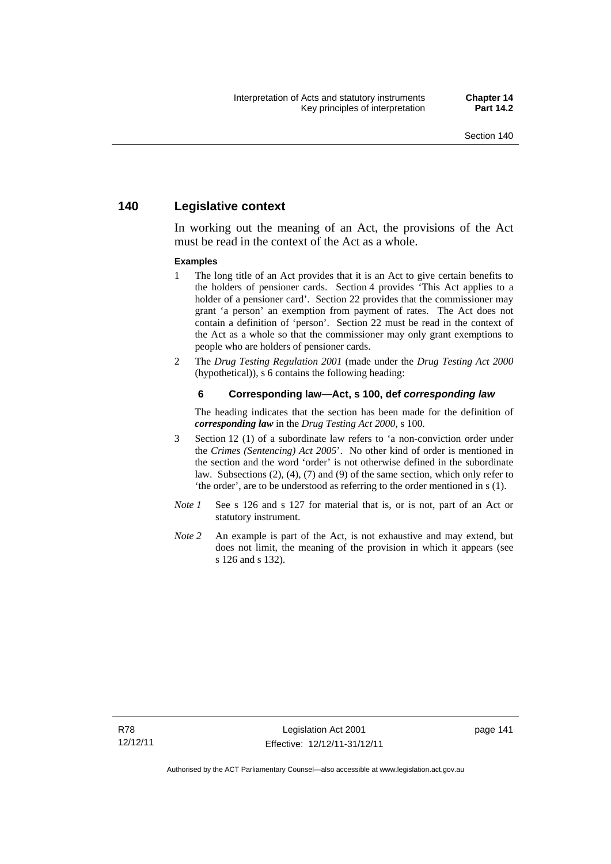## **140 Legislative context**

In working out the meaning of an Act, the provisions of the Act must be read in the context of the Act as a whole.

#### **Examples**

- 1 The long title of an Act provides that it is an Act to give certain benefits to the holders of pensioner cards. Section 4 provides 'This Act applies to a holder of a pensioner card'. Section 22 provides that the commissioner may grant 'a person' an exemption from payment of rates. The Act does not contain a definition of 'person'. Section 22 must be read in the context of the Act as a whole so that the commissioner may only grant exemptions to people who are holders of pensioner cards.
- 2 The *Drug Testing Regulation 2001* (made under the *Drug Testing Act 2000* (hypothetical)), s 6 contains the following heading:

#### **6 Corresponding law—Act, s 100, def** *corresponding law*

The heading indicates that the section has been made for the definition of *corresponding law* in the *Drug Testing Act 2000*, s 100.

- 3 Section 12 (1) of a subordinate law refers to 'a non-conviction order under the *Crimes (Sentencing) Act 2005*'. No other kind of order is mentioned in the section and the word 'order' is not otherwise defined in the subordinate law. Subsections (2), (4), (7) and (9) of the same section, which only refer to 'the order', are to be understood as referring to the order mentioned in s (1).
- *Note 1* See s 126 and s 127 for material that is, or is not, part of an Act or statutory instrument.
- *Note* 2 An example is part of the Act, is not exhaustive and may extend, but does not limit, the meaning of the provision in which it appears (see s 126 and s 132).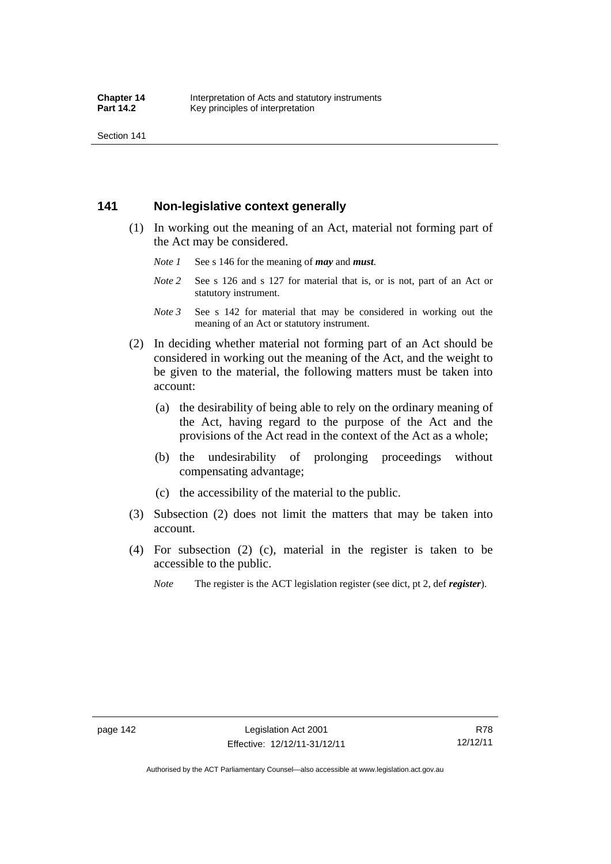Section 141

## **141 Non-legislative context generally**

- (1) In working out the meaning of an Act, material not forming part of the Act may be considered.
	- *Note 1* See s 146 for the meaning of *may* and *must*.
	- *Note* 2 See s 126 and s 127 for material that is, or is not, part of an Act or statutory instrument.
	- *Note 3* See s 142 for material that may be considered in working out the meaning of an Act or statutory instrument.
- (2) In deciding whether material not forming part of an Act should be considered in working out the meaning of the Act, and the weight to be given to the material, the following matters must be taken into account:
	- (a) the desirability of being able to rely on the ordinary meaning of the Act, having regard to the purpose of the Act and the provisions of the Act read in the context of the Act as a whole;
	- (b) the undesirability of prolonging proceedings without compensating advantage;
	- (c) the accessibility of the material to the public.
- (3) Subsection (2) does not limit the matters that may be taken into account.
- (4) For subsection (2) (c), material in the register is taken to be accessible to the public.
	- *Note* The register is the ACT legislation register (see dict, pt 2, def *register*).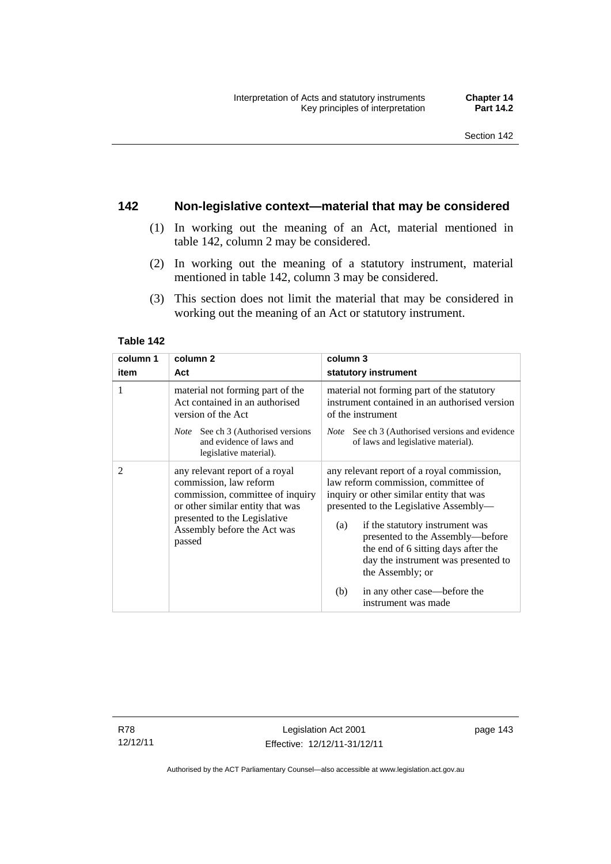## **142 Non-legislative context—material that may be considered**

- (1) In working out the meaning of an Act, material mentioned in table 142, column 2 may be considered.
- (2) In working out the meaning of a statutory instrument, material mentioned in table 142, column 3 may be considered.
- (3) This section does not limit the material that may be considered in working out the meaning of an Act or statutory instrument.

#### **Table 142**

| column 1       | column <sub>2</sub>                                                                                                                                                                                       | column 3                                                                                                                                                                                                                                                                                                                                                                                                              |
|----------------|-----------------------------------------------------------------------------------------------------------------------------------------------------------------------------------------------------------|-----------------------------------------------------------------------------------------------------------------------------------------------------------------------------------------------------------------------------------------------------------------------------------------------------------------------------------------------------------------------------------------------------------------------|
| item           | Act                                                                                                                                                                                                       | statutory instrument                                                                                                                                                                                                                                                                                                                                                                                                  |
| 1              | material not forming part of the<br>Act contained in an authorised<br>version of the Act                                                                                                                  | material not forming part of the statutory<br>instrument contained in an authorised version<br>of the instrument                                                                                                                                                                                                                                                                                                      |
|                | <i>Note</i> See ch 3 (Authorised versions<br>and evidence of laws and<br>legislative material).                                                                                                           | <i>Note</i> See ch 3 (Authorised versions and evidence<br>of laws and legislative material).                                                                                                                                                                                                                                                                                                                          |
| $\overline{2}$ | any relevant report of a royal<br>commission, law reform<br>commission, committee of inquiry<br>or other similar entity that was<br>presented to the Legislative<br>Assembly before the Act was<br>passed | any relevant report of a royal commission,<br>law reform commission, committee of<br>inquiry or other similar entity that was<br>presented to the Legislative Assembly—<br>if the statutory instrument was<br>(a)<br>presented to the Assembly—before<br>the end of 6 sitting days after the<br>day the instrument was presented to<br>the Assembly; or<br>in any other case—before the<br>(b)<br>instrument was made |

R78 12/12/11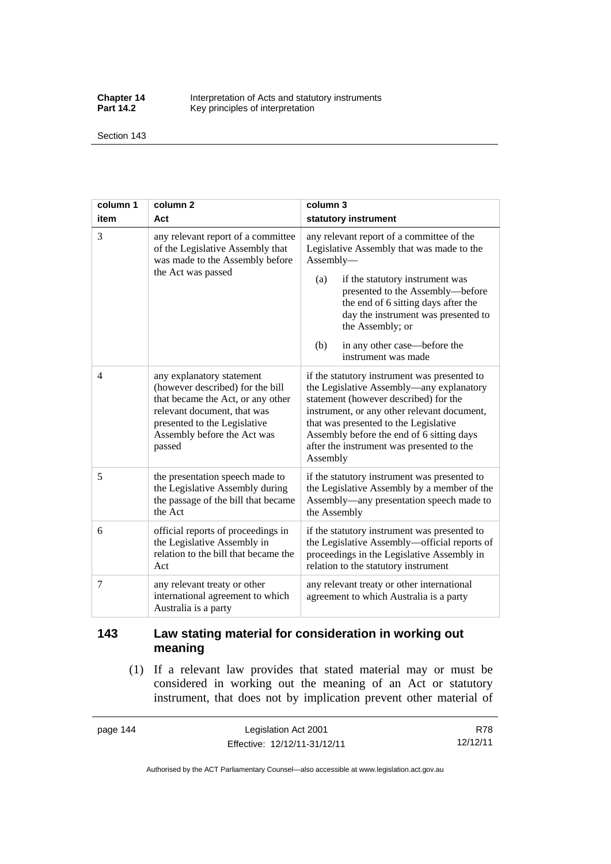**Chapter 14** Interpretation of Acts and statutory instruments<br>**Part 14.2** Key principles of interpretation Key principles of interpretation

Section 143

| column 1       | column <sub>2</sub>                                                                                                                                                                                        | column 3                                                                                                                                                                                                                                                                                                                                          |
|----------------|------------------------------------------------------------------------------------------------------------------------------------------------------------------------------------------------------------|---------------------------------------------------------------------------------------------------------------------------------------------------------------------------------------------------------------------------------------------------------------------------------------------------------------------------------------------------|
| item           | Act                                                                                                                                                                                                        | statutory instrument                                                                                                                                                                                                                                                                                                                              |
| $\overline{3}$ | any relevant report of a committee<br>of the Legislative Assembly that<br>was made to the Assembly before<br>the Act was passed                                                                            | any relevant report of a committee of the<br>Legislative Assembly that was made to the<br>Assembly-<br>if the statutory instrument was<br>(a)<br>presented to the Assembly-before<br>the end of 6 sitting days after the<br>day the instrument was presented to<br>the Assembly; or<br>in any other case—before the<br>(b)<br>instrument was made |
| $\overline{4}$ | any explanatory statement<br>(however described) for the bill<br>that became the Act, or any other<br>relevant document, that was<br>presented to the Legislative<br>Assembly before the Act was<br>passed | if the statutory instrument was presented to<br>the Legislative Assembly—any explanatory<br>statement (however described) for the<br>instrument, or any other relevant document,<br>that was presented to the Legislative<br>Assembly before the end of 6 sitting days<br>after the instrument was presented to the<br>Assembly                   |
| 5              | the presentation speech made to<br>the Legislative Assembly during<br>the passage of the bill that became<br>the Act                                                                                       | if the statutory instrument was presented to<br>the Legislative Assembly by a member of the<br>Assembly—any presentation speech made to<br>the Assembly                                                                                                                                                                                           |
| 6              | official reports of proceedings in<br>the Legislative Assembly in<br>relation to the bill that became the<br>Act                                                                                           | if the statutory instrument was presented to<br>the Legislative Assembly-official reports of<br>proceedings in the Legislative Assembly in<br>relation to the statutory instrument                                                                                                                                                                |
| 7              | any relevant treaty or other<br>international agreement to which<br>Australia is a party                                                                                                                   | any relevant treaty or other international<br>agreement to which Australia is a party                                                                                                                                                                                                                                                             |

## **143 Law stating material for consideration in working out meaning**

 (1) If a relevant law provides that stated material may or must be considered in working out the meaning of an Act or statutory instrument, that does not by implication prevent other material of

page 144 Legislation Act 2001 Effective: 12/12/11-31/12/11

R78 12/12/11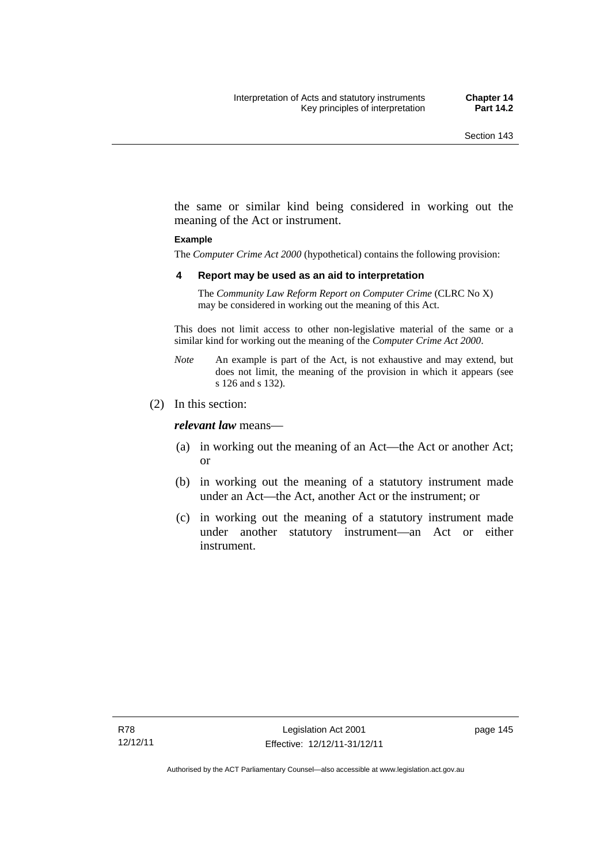the same or similar kind being considered in working out the meaning of the Act or instrument.

#### **Example**

The *Computer Crime Act 2000* (hypothetical) contains the following provision:

#### **4 Report may be used as an aid to interpretation**

The *Community Law Reform Report on Computer Crime* (CLRC No X) may be considered in working out the meaning of this Act.

This does not limit access to other non-legislative material of the same or a similar kind for working out the meaning of the *Computer Crime Act 2000*.

- *Note* An example is part of the Act, is not exhaustive and may extend, but does not limit, the meaning of the provision in which it appears (see s 126 and s 132).
- (2) In this section:

*relevant law* means—

- (a) in working out the meaning of an Act—the Act or another Act; or
- (b) in working out the meaning of a statutory instrument made under an Act—the Act, another Act or the instrument; or
- (c) in working out the meaning of a statutory instrument made under another statutory instrument—an Act or either instrument.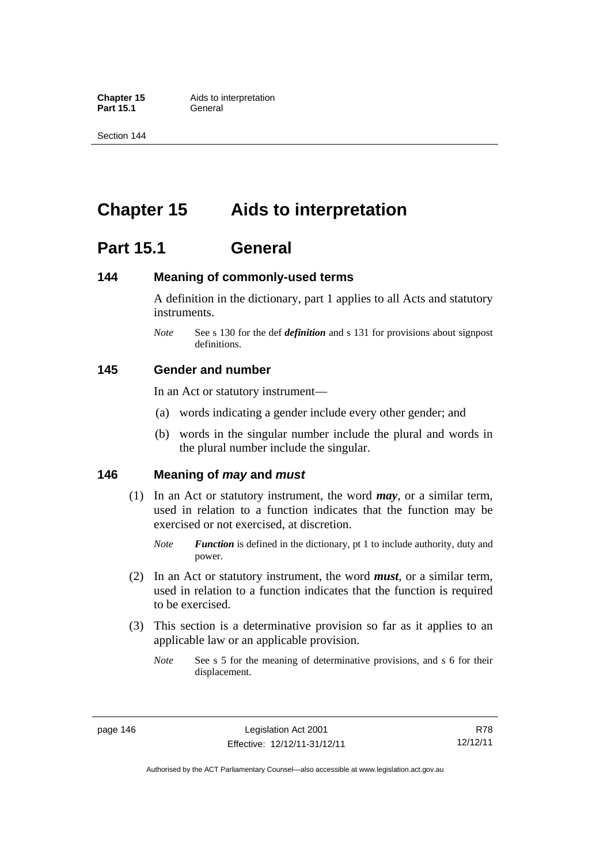**Part 15.1** 

Section 144

# **Chapter 15 Aids to interpretation**

# **Part 15.1 General**

## **144 Meaning of commonly-used terms**

A definition in the dictionary, part 1 applies to all Acts and statutory instruments.

*Note* See s 130 for the def *definition* and s 131 for provisions about signpost definitions.

## **145 Gender and number**

In an Act or statutory instrument—

- (a) words indicating a gender include every other gender; and
- (b) words in the singular number include the plural and words in the plural number include the singular.

## **146 Meaning of** *may* **and** *must*

- (1) In an Act or statutory instrument, the word *may*, or a similar term, used in relation to a function indicates that the function may be exercised or not exercised, at discretion.
	- *Note Function* is defined in the dictionary, pt 1 to include authority, duty and power.
- (2) In an Act or statutory instrument, the word *must*, or a similar term, used in relation to a function indicates that the function is required to be exercised.
- (3) This section is a determinative provision so far as it applies to an applicable law or an applicable provision.
	- *Note* See s 5 for the meaning of determinative provisions, and s 6 for their displacement.

R78 12/12/11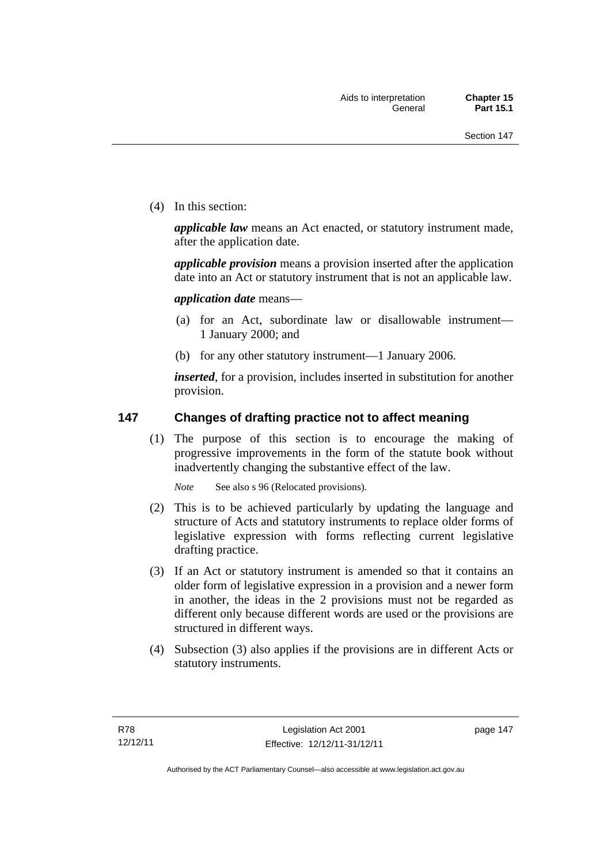(4) In this section:

*applicable law* means an Act enacted, or statutory instrument made, after the application date.

*applicable provision* means a provision inserted after the application date into an Act or statutory instrument that is not an applicable law.

*application date* means—

- (a) for an Act, subordinate law or disallowable instrument— 1 January 2000; and
- (b) for any other statutory instrument—1 January 2006.

*inserted*, for a provision, includes inserted in substitution for another provision.

## **147 Changes of drafting practice not to affect meaning**

(1) The purpose of this section is to encourage the making of progressive improvements in the form of the statute book without inadvertently changing the substantive effect of the law.

*Note* See also s 96 (Relocated provisions).

- (2) This is to be achieved particularly by updating the language and structure of Acts and statutory instruments to replace older forms of legislative expression with forms reflecting current legislative drafting practice.
- (3) If an Act or statutory instrument is amended so that it contains an older form of legislative expression in a provision and a newer form in another, the ideas in the 2 provisions must not be regarded as different only because different words are used or the provisions are structured in different ways.
- (4) Subsection (3) also applies if the provisions are in different Acts or statutory instruments.

page 147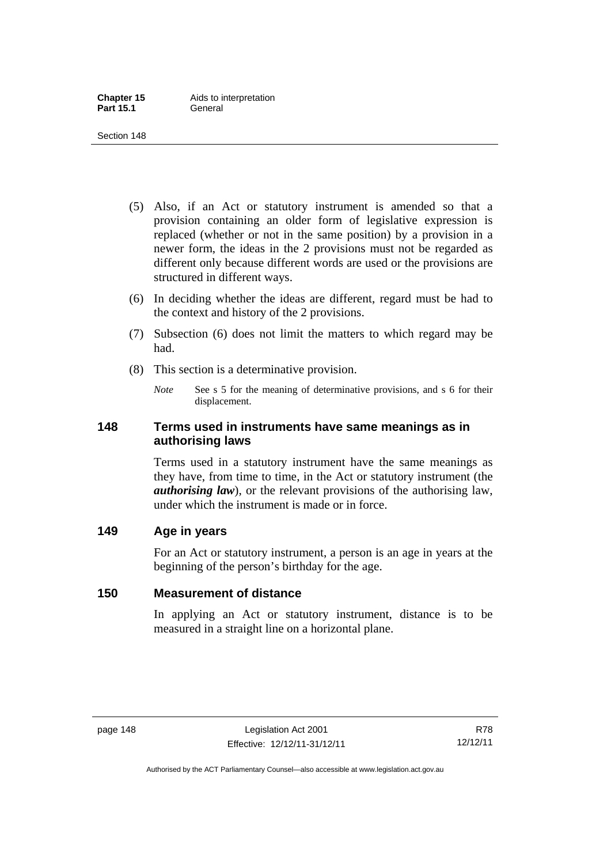- (5) Also, if an Act or statutory instrument is amended so that a provision containing an older form of legislative expression is replaced (whether or not in the same position) by a provision in a newer form, the ideas in the 2 provisions must not be regarded as different only because different words are used or the provisions are structured in different ways.
- (6) In deciding whether the ideas are different, regard must be had to the context and history of the 2 provisions.
- (7) Subsection (6) does not limit the matters to which regard may be had.
- (8) This section is a determinative provision.
	- *Note* See s 5 for the meaning of determinative provisions, and s 6 for their displacement.

## **148 Terms used in instruments have same meanings as in authorising laws**

Terms used in a statutory instrument have the same meanings as they have, from time to time, in the Act or statutory instrument (the *authorising law*), or the relevant provisions of the authorising law, under which the instrument is made or in force.

## **149 Age in years**

For an Act or statutory instrument, a person is an age in years at the beginning of the person's birthday for the age.

## **150 Measurement of distance**

In applying an Act or statutory instrument, distance is to be measured in a straight line on a horizontal plane.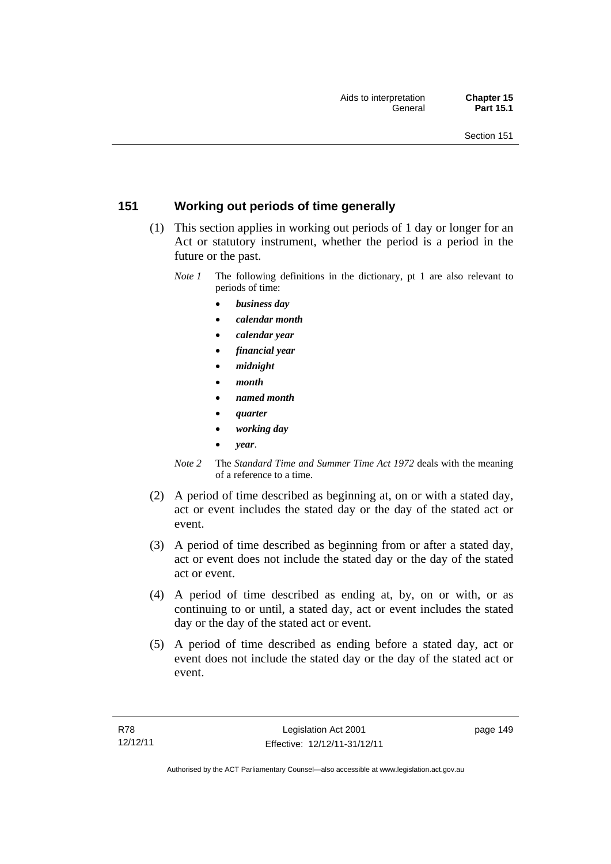## **151 Working out periods of time generally**

- (1) This section applies in working out periods of 1 day or longer for an Act or statutory instrument, whether the period is a period in the future or the past.
	- *Note 1* The following definitions in the dictionary, pt 1 are also relevant to periods of time:
		- *business day*
		- *calendar month*
		- *calendar year*
		- *financial year*
		- *midnight*
		- *month*
		- *named month*
		- *quarter*
		- *working day*
		- *year*.
	- *Note 2* The *Standard Time and Summer Time Act 1972* deals with the meaning of a reference to a time.
- (2) A period of time described as beginning at, on or with a stated day, act or event includes the stated day or the day of the stated act or event.
- (3) A period of time described as beginning from or after a stated day, act or event does not include the stated day or the day of the stated act or event.
- (4) A period of time described as ending at, by, on or with, or as continuing to or until, a stated day, act or event includes the stated day or the day of the stated act or event.
- (5) A period of time described as ending before a stated day, act or event does not include the stated day or the day of the stated act or event.

page 149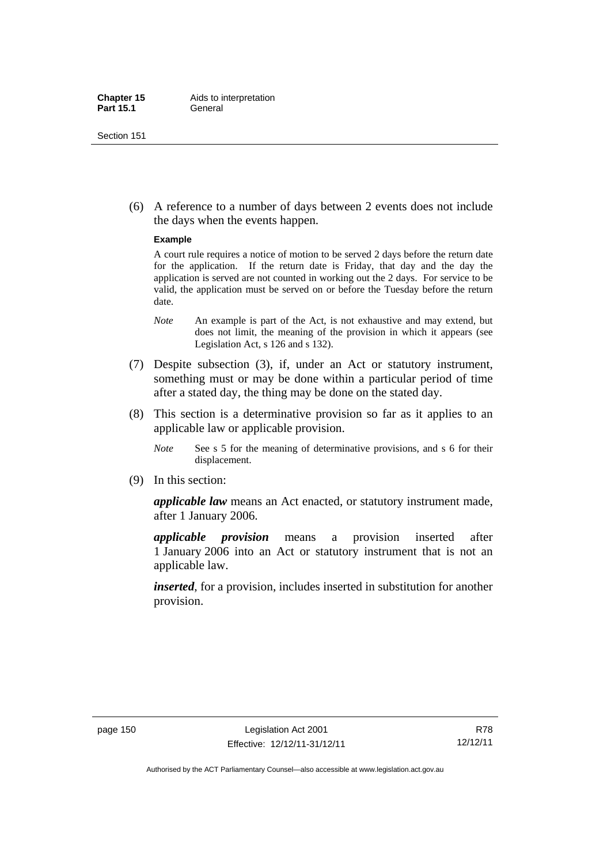(6) A reference to a number of days between 2 events does not include the days when the events happen.

#### **Example**

A court rule requires a notice of motion to be served 2 days before the return date for the application. If the return date is Friday, that day and the day the application is served are not counted in working out the 2 days. For service to be valid, the application must be served on or before the Tuesday before the return date.

- *Note* An example is part of the Act, is not exhaustive and may extend, but does not limit, the meaning of the provision in which it appears (see Legislation Act, s 126 and s 132).
- (7) Despite subsection (3), if, under an Act or statutory instrument, something must or may be done within a particular period of time after a stated day, the thing may be done on the stated day.
- (8) This section is a determinative provision so far as it applies to an applicable law or applicable provision.
	- *Note* See s 5 for the meaning of determinative provisions, and s 6 for their displacement.
- (9) In this section:

*applicable law* means an Act enacted, or statutory instrument made, after 1 January 2006.

*applicable provision* means a provision inserted after 1 January 2006 into an Act or statutory instrument that is not an applicable law.

*inserted*, for a provision, includes inserted in substitution for another provision.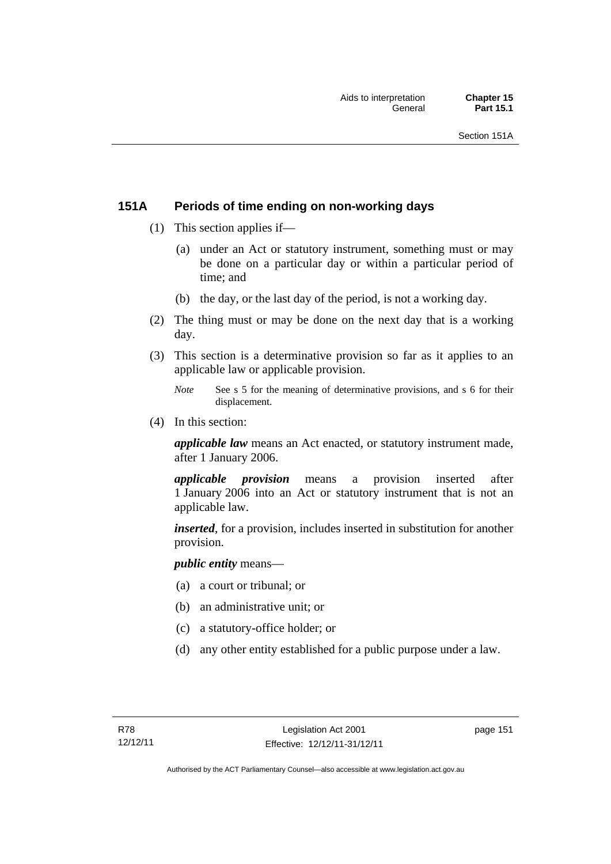## **151A Periods of time ending on non-working days**

- (1) This section applies if—
	- (a) under an Act or statutory instrument, something must or may be done on a particular day or within a particular period of time; and
	- (b) the day, or the last day of the period, is not a working day.
- (2) The thing must or may be done on the next day that is a working day.
- (3) This section is a determinative provision so far as it applies to an applicable law or applicable provision.
	- *Note* See s 5 for the meaning of determinative provisions, and s 6 for their displacement.
- (4) In this section:

*applicable law* means an Act enacted, or statutory instrument made, after 1 January 2006.

*applicable provision* means a provision inserted after 1 January 2006 into an Act or statutory instrument that is not an applicable law.

*inserted*, for a provision, includes inserted in substitution for another provision.

*public entity* means—

- (a) a court or tribunal; or
- (b) an administrative unit; or
- (c) a statutory-office holder; or
- (d) any other entity established for a public purpose under a law.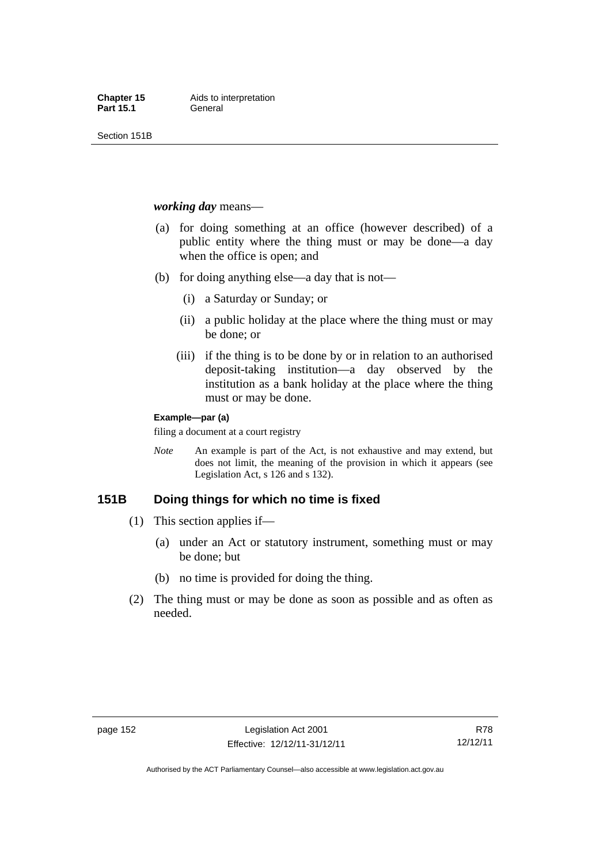Section 151B

#### *working day* means—

- (a) for doing something at an office (however described) of a public entity where the thing must or may be done—a day when the office is open; and
- (b) for doing anything else—a day that is not—
	- (i) a Saturday or Sunday; or
	- (ii) a public holiday at the place where the thing must or may be done; or
	- (iii) if the thing is to be done by or in relation to an authorised deposit-taking institution—a day observed by the institution as a bank holiday at the place where the thing must or may be done.

#### **Example—par (a)**

filing a document at a court registry

*Note* An example is part of the Act, is not exhaustive and may extend, but does not limit, the meaning of the provision in which it appears (see Legislation Act, s 126 and s 132).

## **151B Doing things for which no time is fixed**

- (1) This section applies if—
	- (a) under an Act or statutory instrument, something must or may be done; but
	- (b) no time is provided for doing the thing.
- (2) The thing must or may be done as soon as possible and as often as needed.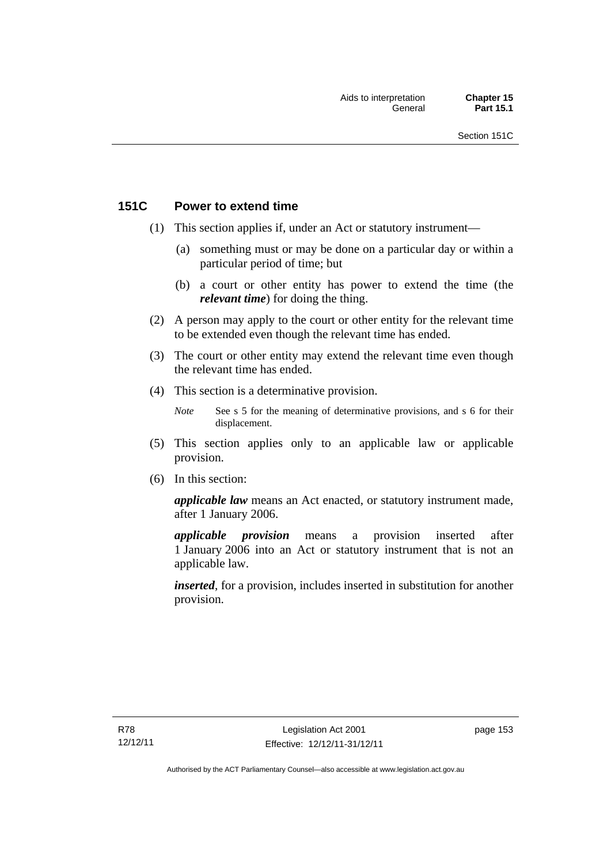## **151C Power to extend time**

- (1) This section applies if, under an Act or statutory instrument—
	- (a) something must or may be done on a particular day or within a particular period of time; but
	- (b) a court or other entity has power to extend the time (the *relevant time*) for doing the thing.
- (2) A person may apply to the court or other entity for the relevant time to be extended even though the relevant time has ended.
- (3) The court or other entity may extend the relevant time even though the relevant time has ended.
- (4) This section is a determinative provision.
	- *Note* See s 5 for the meaning of determinative provisions, and s 6 for their displacement.
- (5) This section applies only to an applicable law or applicable provision.
- (6) In this section:

*applicable law* means an Act enacted, or statutory instrument made, after 1 January 2006.

*applicable provision* means a provision inserted after 1 January 2006 into an Act or statutory instrument that is not an applicable law.

*inserted*, for a provision, includes inserted in substitution for another provision.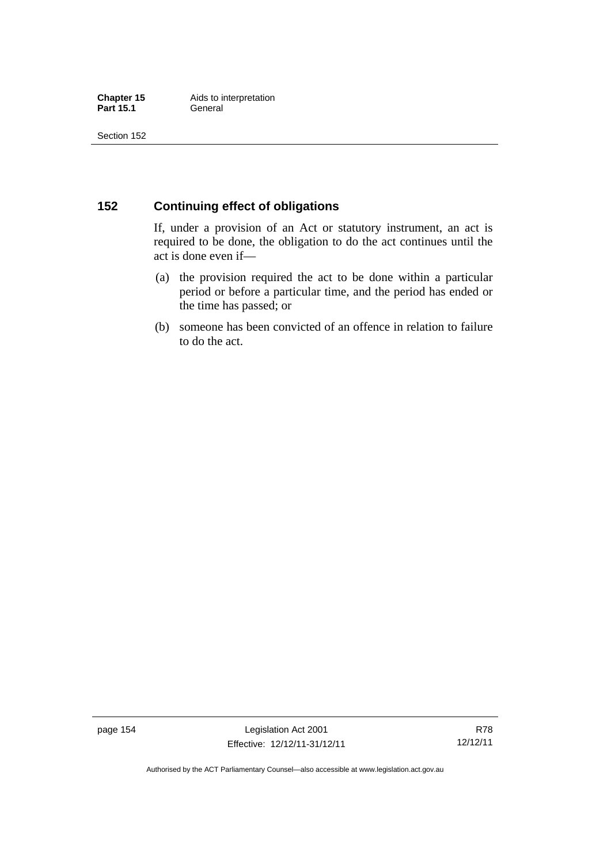## **152 Continuing effect of obligations**

If, under a provision of an Act or statutory instrument, an act is required to be done, the obligation to do the act continues until the act is done even if—

- (a) the provision required the act to be done within a particular period or before a particular time, and the period has ended or the time has passed; or
- (b) someone has been convicted of an offence in relation to failure to do the act.

page 154 Legislation Act 2001 Effective: 12/12/11-31/12/11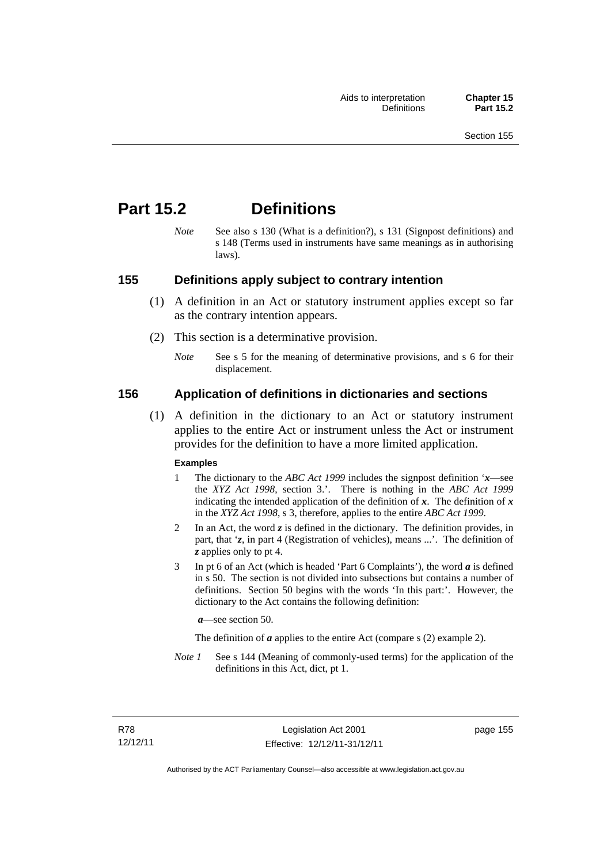# **Part 15.2 Definitions**

*Note* See also s 130 (What is a definition?), s 131 (Signpost definitions) and s 148 (Terms used in instruments have same meanings as in authorising laws).

## **155 Definitions apply subject to contrary intention**

- (1) A definition in an Act or statutory instrument applies except so far as the contrary intention appears.
- (2) This section is a determinative provision.
	- *Note* See s 5 for the meaning of determinative provisions, and s 6 for their displacement.

## **156 Application of definitions in dictionaries and sections**

 (1) A definition in the dictionary to an Act or statutory instrument applies to the entire Act or instrument unless the Act or instrument provides for the definition to have a more limited application.

#### **Examples**

- 1 The dictionary to the *ABC Act 1999* includes the signpost definition '*x*—see the *XYZ Act 1998*, section 3.'. There is nothing in the *ABC Act 1999* indicating the intended application of the definition of  $x$ . The definition of  $x$ in the *XYZ Act 1998*, s 3, therefore, applies to the entire *ABC Act 1999*.
- 2 In an Act, the word *z* is defined in the dictionary. The definition provides, in part, that '*z*, in part 4 (Registration of vehicles), means ...'. The definition of *z* applies only to pt 4.
- 3 In pt 6 of an Act (which is headed 'Part 6 Complaints'), the word *a* is defined in s 50. The section is not divided into subsections but contains a number of definitions. Section 50 begins with the words 'In this part:'. However, the dictionary to the Act contains the following definition:

*a*—see section 50.

The definition of *a* applies to the entire Act (compare s (2) example 2).

*Note 1* See s 144 (Meaning of commonly-used terms) for the application of the definitions in this Act, dict, pt 1.

page 155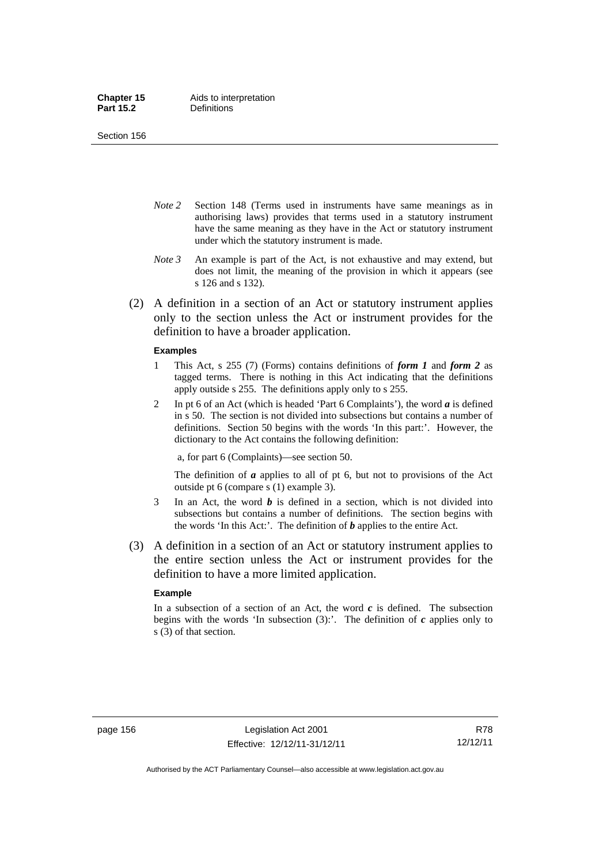Section 156

- *Note 2* Section 148 (Terms used in instruments have same meanings as in authorising laws) provides that terms used in a statutory instrument have the same meaning as they have in the Act or statutory instrument under which the statutory instrument is made.
- *Note 3* An example is part of the Act, is not exhaustive and may extend, but does not limit, the meaning of the provision in which it appears (see s 126 and s 132).
- (2) A definition in a section of an Act or statutory instrument applies only to the section unless the Act or instrument provides for the definition to have a broader application.

#### **Examples**

- 1 This Act, s 255 (7) (Forms) contains definitions of *form 1* and *form 2* as tagged terms. There is nothing in this Act indicating that the definitions apply outside s 255. The definitions apply only to s 255.
- 2 In pt 6 of an Act (which is headed 'Part 6 Complaints'), the word *a* is defined in s 50. The section is not divided into subsections but contains a number of definitions. Section 50 begins with the words 'In this part:'. However, the dictionary to the Act contains the following definition:

a, for part 6 (Complaints)—see section 50.

The definition of *a* applies to all of pt 6, but not to provisions of the Act outside pt 6 (compare s (1) example 3).

- 3 In an Act, the word *b* is defined in a section, which is not divided into subsections but contains a number of definitions. The section begins with the words 'In this Act:'. The definition of *b* applies to the entire Act.
- (3) A definition in a section of an Act or statutory instrument applies to the entire section unless the Act or instrument provides for the definition to have a more limited application.

#### **Example**

In a subsection of a section of an Act, the word *c* is defined. The subsection begins with the words 'In subsection  $(3)$ :'. The definition of  $c$  applies only to s (3) of that section.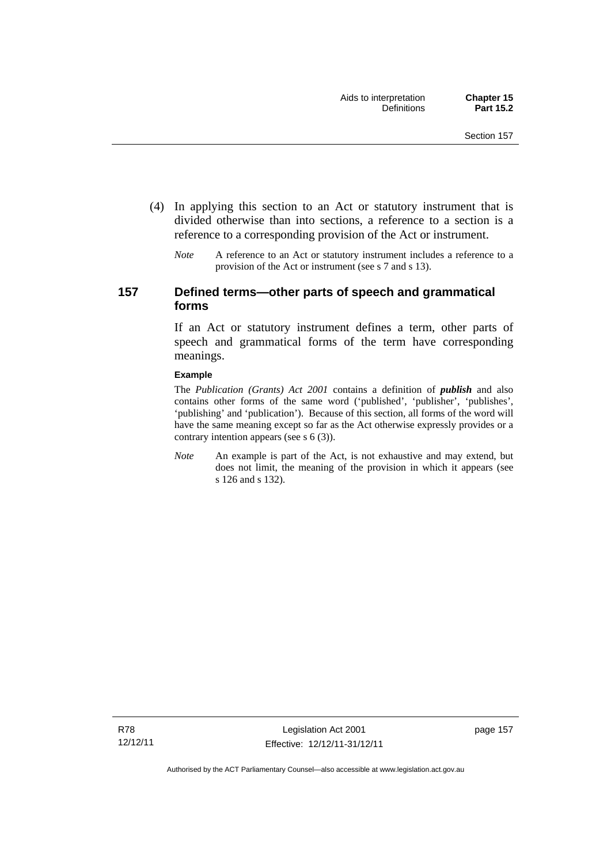- (4) In applying this section to an Act or statutory instrument that is divided otherwise than into sections, a reference to a section is a reference to a corresponding provision of the Act or instrument.
	- *Note* A reference to an Act or statutory instrument includes a reference to a provision of the Act or instrument (see s 7 and s 13).

## **157 Defined terms—other parts of speech and grammatical forms**

If an Act or statutory instrument defines a term, other parts of speech and grammatical forms of the term have corresponding meanings.

#### **Example**

The *Publication (Grants) Act 2001* contains a definition of *publish* and also contains other forms of the same word ('published', 'publisher', 'publishes', 'publishing' and 'publication'). Because of this section, all forms of the word will have the same meaning except so far as the Act otherwise expressly provides or a contrary intention appears (see s 6 (3)).

*Note* An example is part of the Act, is not exhaustive and may extend, but does not limit, the meaning of the provision in which it appears (see s 126 and s 132).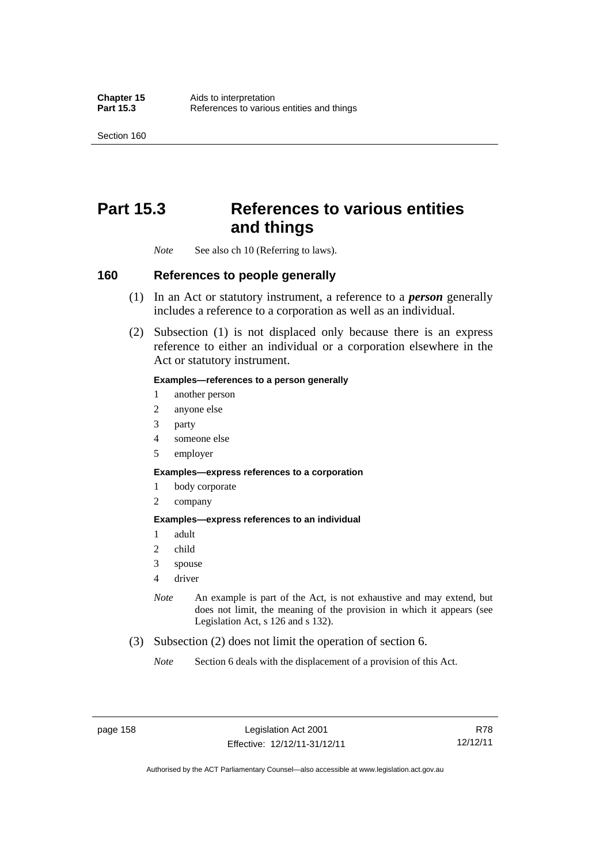Section 160

# **Part 15.3 References to various entities and things**

*Note* See also ch 10 (Referring to laws).

## **160 References to people generally**

- (1) In an Act or statutory instrument, a reference to a *person* generally includes a reference to a corporation as well as an individual.
- (2) Subsection (1) is not displaced only because there is an express reference to either an individual or a corporation elsewhere in the Act or statutory instrument.

#### **Examples—references to a person generally**

- 1 another person
- 2 anyone else
- 3 party
- 4 someone else
- 5 employer

#### **Examples—express references to a corporation**

- 1 body corporate
- 2 company

#### **Examples—express references to an individual**

- 1 adult
- 2 child
- 3 spouse
- 4 driver
- *Note* An example is part of the Act, is not exhaustive and may extend, but does not limit, the meaning of the provision in which it appears (see Legislation Act, s 126 and s 132).
- (3) Subsection (2) does not limit the operation of section 6.
	- *Note* Section 6 deals with the displacement of a provision of this Act.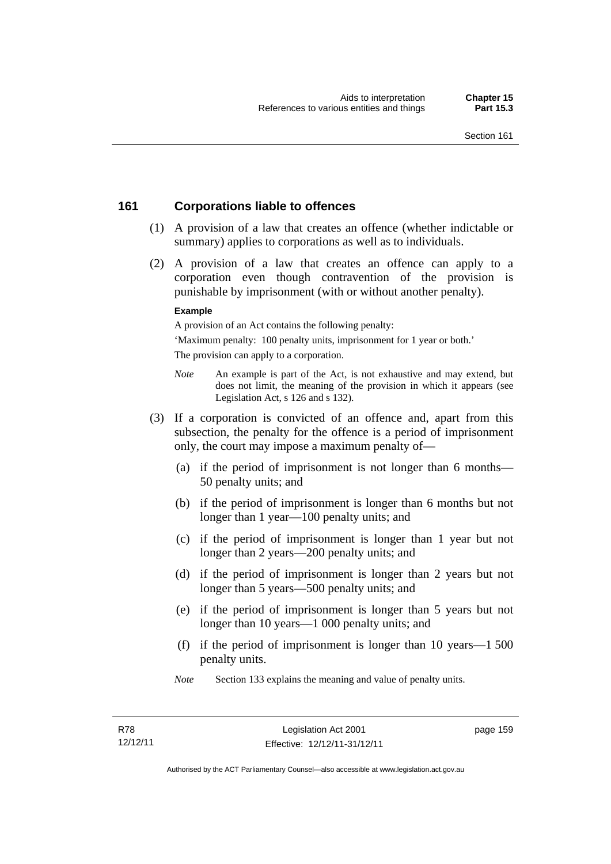## **161 Corporations liable to offences**

- (1) A provision of a law that creates an offence (whether indictable or summary) applies to corporations as well as to individuals.
- (2) A provision of a law that creates an offence can apply to a corporation even though contravention of the provision is punishable by imprisonment (with or without another penalty).

#### **Example**

A provision of an Act contains the following penalty:

'Maximum penalty: 100 penalty units, imprisonment for 1 year or both.' The provision can apply to a corporation.

- *Note* An example is part of the Act, is not exhaustive and may extend, but does not limit, the meaning of the provision in which it appears (see Legislation Act, s 126 and s 132).
- (3) If a corporation is convicted of an offence and, apart from this subsection, the penalty for the offence is a period of imprisonment only, the court may impose a maximum penalty of—
	- (a) if the period of imprisonment is not longer than 6 months— 50 penalty units; and
	- (b) if the period of imprisonment is longer than 6 months but not longer than 1 year—100 penalty units; and
	- (c) if the period of imprisonment is longer than 1 year but not longer than 2 years—200 penalty units; and
	- (d) if the period of imprisonment is longer than 2 years but not longer than 5 years—500 penalty units; and
	- (e) if the period of imprisonment is longer than 5 years but not longer than 10 years—1 000 penalty units; and
	- (f) if the period of imprisonment is longer than 10 years—1 500 penalty units.
	- *Note* Section 133 explains the meaning and value of penalty units.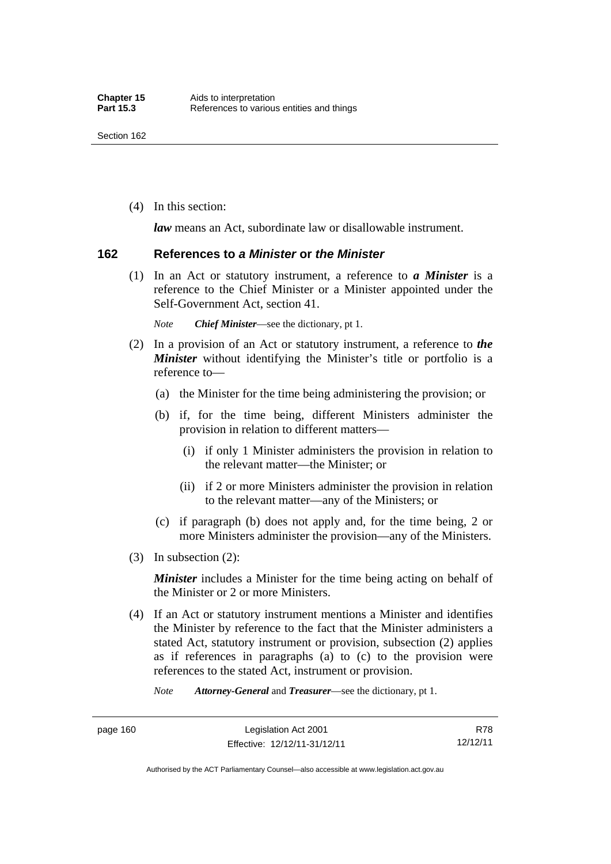(4) In this section:

*law* means an Act, subordinate law or disallowable instrument.

#### **162 References to** *a Minister* **or** *the Minister*

 (1) In an Act or statutory instrument, a reference to *a Minister* is a reference to the Chief Minister or a Minister appointed under the Self-Government Act, section 41.

*Note Chief Minister*—see the dictionary, pt 1.

- (2) In a provision of an Act or statutory instrument, a reference to *the Minister* without identifying the Minister's title or portfolio is a reference to—
	- (a) the Minister for the time being administering the provision; or
	- (b) if, for the time being, different Ministers administer the provision in relation to different matters—
		- (i) if only 1 Minister administers the provision in relation to the relevant matter—the Minister; or
		- (ii) if 2 or more Ministers administer the provision in relation to the relevant matter—any of the Ministers; or
	- (c) if paragraph (b) does not apply and, for the time being, 2 or more Ministers administer the provision—any of the Ministers.
- (3) In subsection (2):

*Minister* includes a Minister for the time being acting on behalf of the Minister or 2 or more Ministers.

 (4) If an Act or statutory instrument mentions a Minister and identifies the Minister by reference to the fact that the Minister administers a stated Act, statutory instrument or provision, subsection (2) applies as if references in paragraphs (a) to (c) to the provision were references to the stated Act, instrument or provision.

*Note Attorney-General* and *Treasurer*—see the dictionary, pt 1.

R78 12/12/11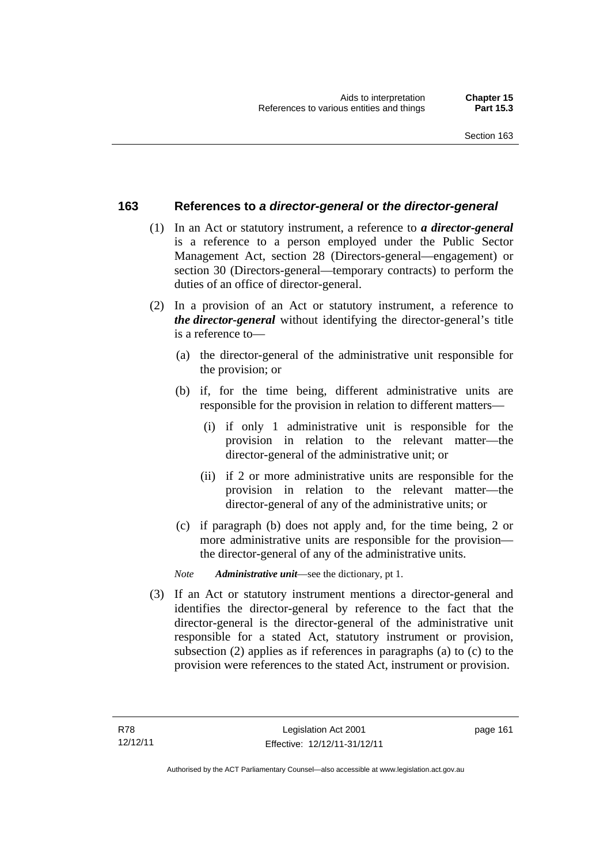## **163 References to** *a director-general* **or** *the director-general*

- (1) In an Act or statutory instrument, a reference to *a director-general* is a reference to a person employed under the Public Sector Management Act, section 28 (Directors-general—engagement) or section 30 (Directors-general—temporary contracts) to perform the duties of an office of director-general.
- (2) In a provision of an Act or statutory instrument, a reference to *the director-general* without identifying the director-general's title is a reference to—
	- (a) the director-general of the administrative unit responsible for the provision; or
	- (b) if, for the time being, different administrative units are responsible for the provision in relation to different matters—
		- (i) if only 1 administrative unit is responsible for the provision in relation to the relevant matter—the director-general of the administrative unit; or
		- (ii) if 2 or more administrative units are responsible for the provision in relation to the relevant matter—the director-general of any of the administrative units; or
	- (c) if paragraph (b) does not apply and, for the time being, 2 or more administrative units are responsible for the provision the director-general of any of the administrative units.

*Note Administrative unit*—see the dictionary, pt 1.

 (3) If an Act or statutory instrument mentions a director-general and identifies the director-general by reference to the fact that the director-general is the director-general of the administrative unit responsible for a stated Act, statutory instrument or provision, subsection (2) applies as if references in paragraphs (a) to (c) to the provision were references to the stated Act, instrument or provision.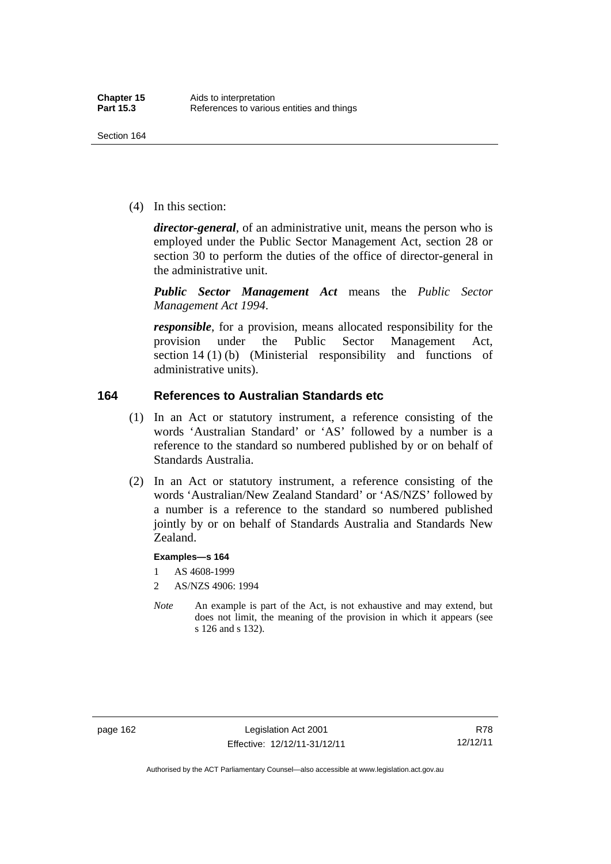(4) In this section:

*director-general*, of an administrative unit, means the person who is employed under the Public Sector Management Act, section 28 or section 30 to perform the duties of the office of director-general in the administrative unit.

*Public Sector Management Act* means the *Public Sector Management Act 1994*.

*responsible*, for a provision, means allocated responsibility for the provision under the Public Sector Management Act, section 14 (1) (b) (Ministerial responsibility and functions of administrative units).

## **164 References to Australian Standards etc**

- (1) In an Act or statutory instrument, a reference consisting of the words 'Australian Standard' or 'AS' followed by a number is a reference to the standard so numbered published by or on behalf of Standards Australia.
- (2) In an Act or statutory instrument, a reference consisting of the words 'Australian/New Zealand Standard' or 'AS/NZS' followed by a number is a reference to the standard so numbered published jointly by or on behalf of Standards Australia and Standards New Zealand.

#### **Examples—s 164**

- 1 AS 4608-1999
- 2 AS/NZS 4906: 1994
- *Note* An example is part of the Act, is not exhaustive and may extend, but does not limit, the meaning of the provision in which it appears (see s 126 and s 132).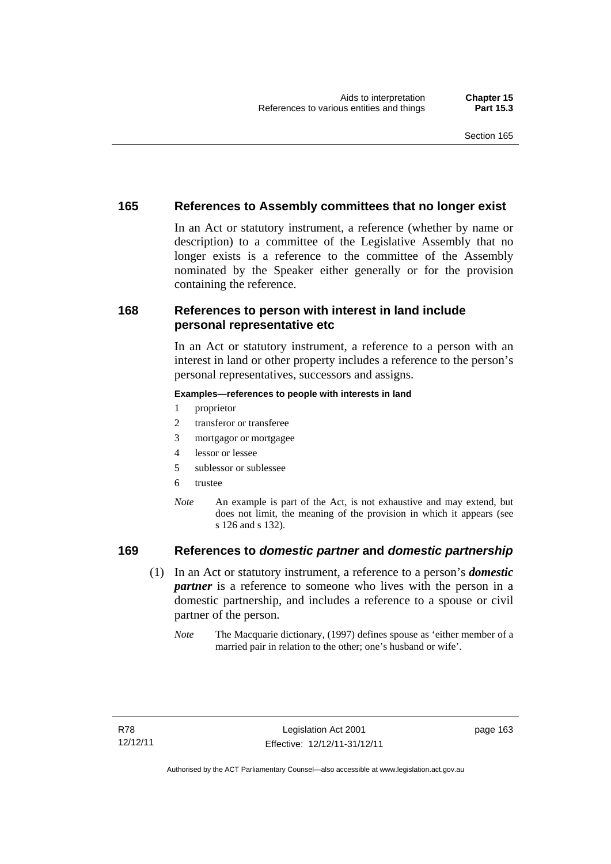## **165 References to Assembly committees that no longer exist**

In an Act or statutory instrument, a reference (whether by name or description) to a committee of the Legislative Assembly that no longer exists is a reference to the committee of the Assembly nominated by the Speaker either generally or for the provision containing the reference.

## **168 References to person with interest in land include personal representative etc**

In an Act or statutory instrument, a reference to a person with an interest in land or other property includes a reference to the person's personal representatives, successors and assigns.

#### **Examples—references to people with interests in land**

- 1 proprietor
- 2 transferor or transferee
- 3 mortgagor or mortgagee
- 4 lessor or lessee
- 5 sublessor or sublessee
- 6 trustee
- *Note* An example is part of the Act, is not exhaustive and may extend, but does not limit, the meaning of the provision in which it appears (see s 126 and s 132).

## **169 References to** *domestic partner* **and** *domestic partnership*

- (1) In an Act or statutory instrument, a reference to a person's *domestic partner* is a reference to someone who lives with the person in a domestic partnership, and includes a reference to a spouse or civil partner of the person.
	- *Note* The Macquarie dictionary, (1997) defines spouse as 'either member of a married pair in relation to the other; one's husband or wife'.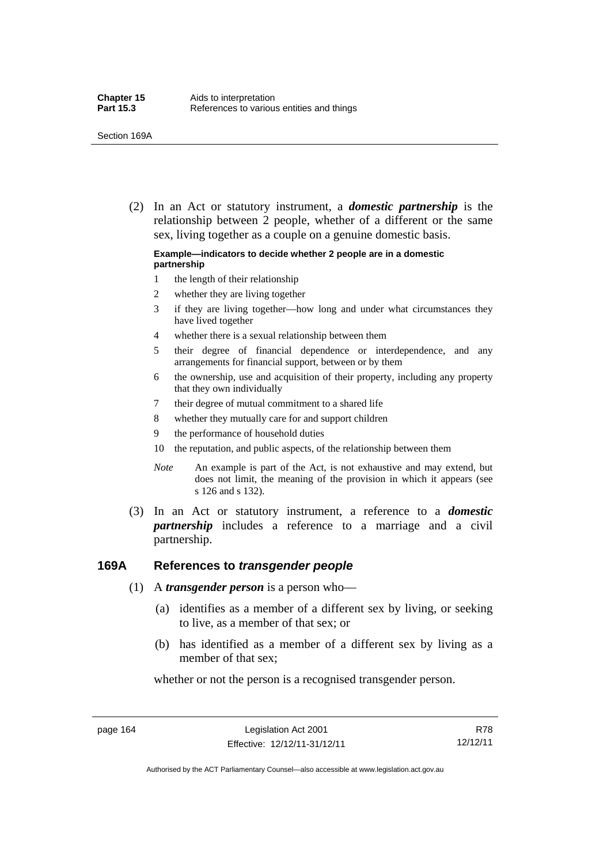(2) In an Act or statutory instrument, a *domestic partnership* is the relationship between 2 people, whether of a different or the same sex, living together as a couple on a genuine domestic basis.

#### **Example—indicators to decide whether 2 people are in a domestic partnership**

- 1 the length of their relationship
- 2 whether they are living together
- 3 if they are living together—how long and under what circumstances they have lived together
- 4 whether there is a sexual relationship between them
- 5 their degree of financial dependence or interdependence, and any arrangements for financial support, between or by them
- 6 the ownership, use and acquisition of their property, including any property that they own individually
- 7 their degree of mutual commitment to a shared life
- 8 whether they mutually care for and support children
- 9 the performance of household duties
- 10 the reputation, and public aspects, of the relationship between them
- *Note* An example is part of the Act, is not exhaustive and may extend, but does not limit, the meaning of the provision in which it appears (see s 126 and s 132).
- (3) In an Act or statutory instrument, a reference to a *domestic partnership* includes a reference to a marriage and a civil partnership.

#### **169A References to** *transgender people*

- (1) A *transgender person* is a person who—
	- (a) identifies as a member of a different sex by living, or seeking to live, as a member of that sex; or
	- (b) has identified as a member of a different sex by living as a member of that sex;

whether or not the person is a recognised transgender person.

page 164 Legislation Act 2001 Effective: 12/12/11-31/12/11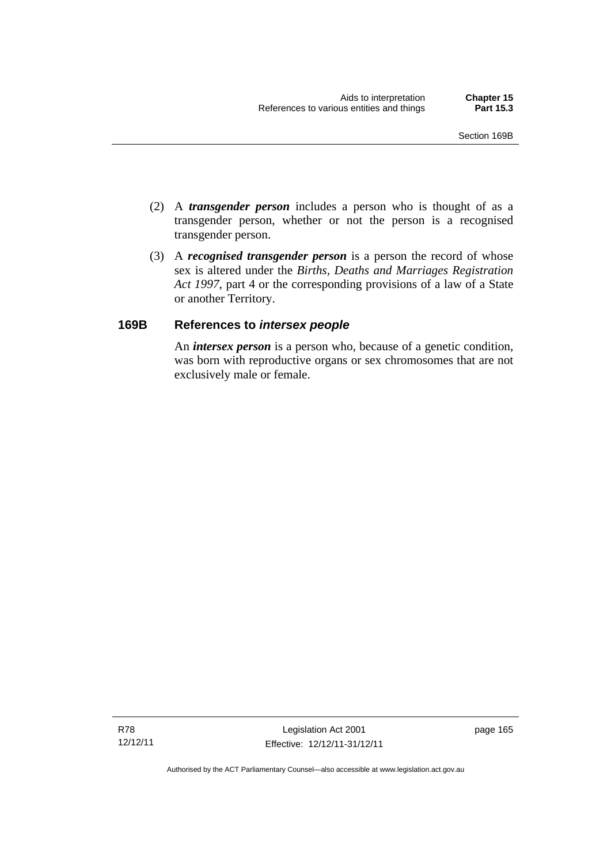- (2) A *transgender person* includes a person who is thought of as a transgender person, whether or not the person is a recognised transgender person.
- (3) A *recognised transgender person* is a person the record of whose sex is altered under the *Births, Deaths and Marriages Registration Act 1997*, part 4 or the corresponding provisions of a law of a State or another Territory.

## **169B References to** *intersex people*

An *intersex person* is a person who, because of a genetic condition, was born with reproductive organs or sex chromosomes that are not exclusively male or female.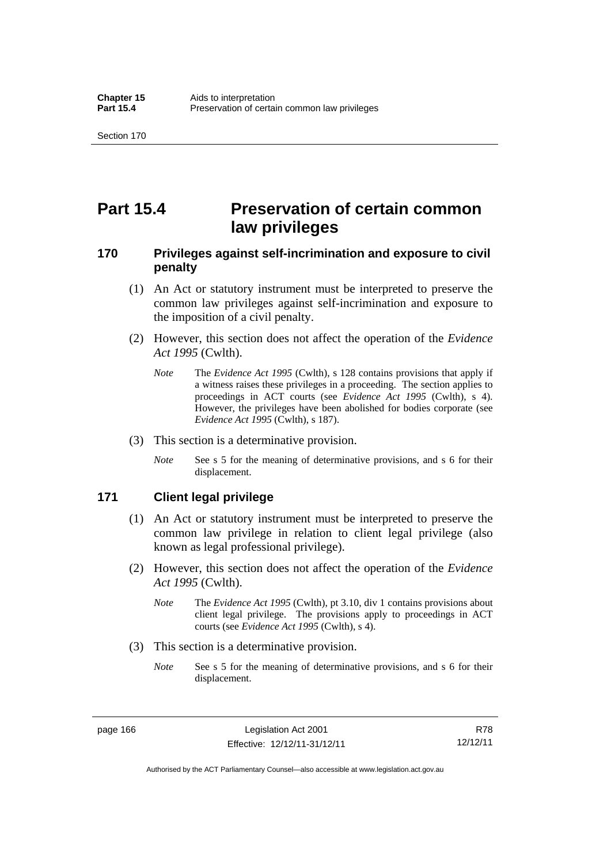# **Part 15.4 Preservation of certain common law privileges**

## **170 Privileges against self-incrimination and exposure to civil penalty**

- (1) An Act or statutory instrument must be interpreted to preserve the common law privileges against self-incrimination and exposure to the imposition of a civil penalty.
- (2) However, this section does not affect the operation of the *Evidence Act 1995* (Cwlth).
	- *Note* The *Evidence Act 1995* (Cwlth), s 128 contains provisions that apply if a witness raises these privileges in a proceeding. The section applies to proceedings in ACT courts (see *Evidence Act 1995* (Cwlth), s 4). However, the privileges have been abolished for bodies corporate (see *Evidence Act 1995* (Cwlth), s 187).
- (3) This section is a determinative provision.
	- *Note* See s 5 for the meaning of determinative provisions, and s 6 for their displacement.

## **171 Client legal privilege**

- (1) An Act or statutory instrument must be interpreted to preserve the common law privilege in relation to client legal privilege (also known as legal professional privilege).
- (2) However, this section does not affect the operation of the *Evidence Act 1995* (Cwlth).
	- *Note* The *Evidence Act 1995* (Cwlth), pt 3.10, div 1 contains provisions about client legal privilege. The provisions apply to proceedings in ACT courts (see *Evidence Act 1995* (Cwlth), s 4).
- (3) This section is a determinative provision.
	- *Note* See s 5 for the meaning of determinative provisions, and s 6 for their displacement.

page 166 Legislation Act 2001 Effective: 12/12/11-31/12/11

R78 12/12/11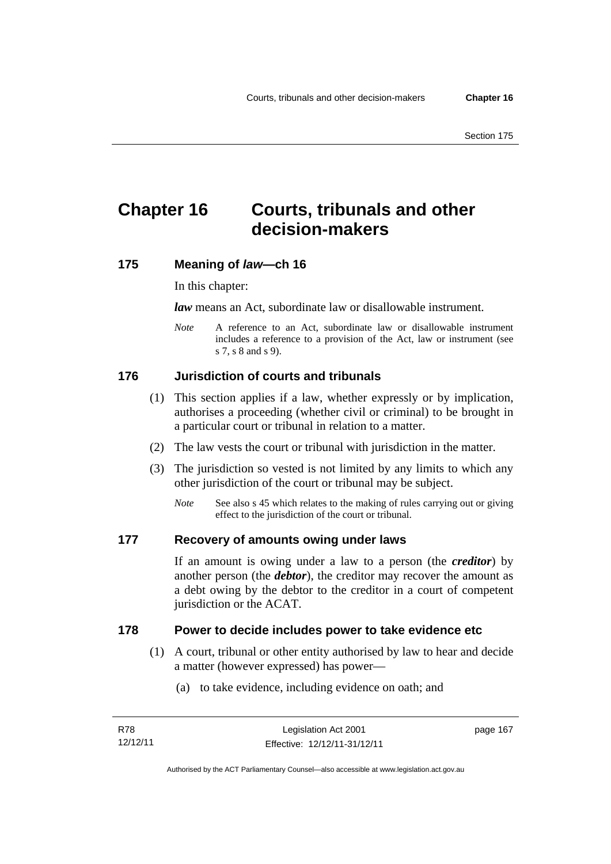# **Chapter 16 Courts, tribunals and other decision-makers**

## **175 Meaning of** *law***—ch 16**

In this chapter:

*law* means an Act, subordinate law or disallowable instrument.

*Note* A reference to an Act, subordinate law or disallowable instrument includes a reference to a provision of the Act, law or instrument (see s 7, s 8 and s 9).

## **176 Jurisdiction of courts and tribunals**

- (1) This section applies if a law, whether expressly or by implication, authorises a proceeding (whether civil or criminal) to be brought in a particular court or tribunal in relation to a matter.
- (2) The law vests the court or tribunal with jurisdiction in the matter.
- (3) The jurisdiction so vested is not limited by any limits to which any other jurisdiction of the court or tribunal may be subject.
	- *Note* See also s 45 which relates to the making of rules carrying out or giving effect to the jurisdiction of the court or tribunal.

### **177 Recovery of amounts owing under laws**

If an amount is owing under a law to a person (the *creditor*) by another person (the *debtor*), the creditor may recover the amount as a debt owing by the debtor to the creditor in a court of competent jurisdiction or the ACAT.

### **178 Power to decide includes power to take evidence etc**

- (1) A court, tribunal or other entity authorised by law to hear and decide a matter (however expressed) has power—
	- (a) to take evidence, including evidence on oath; and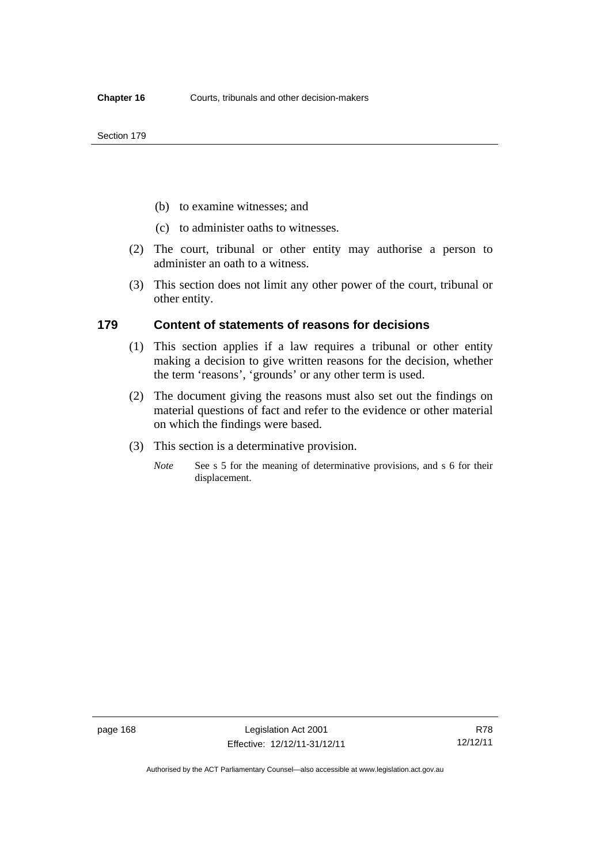- (b) to examine witnesses; and
- (c) to administer oaths to witnesses.
- (2) The court, tribunal or other entity may authorise a person to administer an oath to a witness.
- (3) This section does not limit any other power of the court, tribunal or other entity.

### **179 Content of statements of reasons for decisions**

- (1) This section applies if a law requires a tribunal or other entity making a decision to give written reasons for the decision, whether the term 'reasons', 'grounds' or any other term is used.
- (2) The document giving the reasons must also set out the findings on material questions of fact and refer to the evidence or other material on which the findings were based.
- (3) This section is a determinative provision.
	- *Note* See s 5 for the meaning of determinative provisions, and s 6 for their displacement.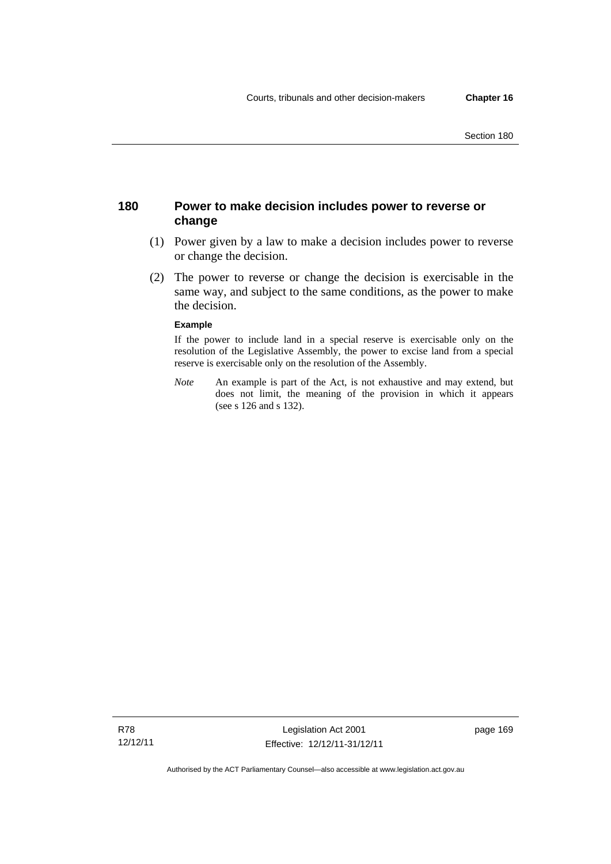## **180 Power to make decision includes power to reverse or change**

- (1) Power given by a law to make a decision includes power to reverse or change the decision.
- (2) The power to reverse or change the decision is exercisable in the same way, and subject to the same conditions, as the power to make the decision.

#### **Example**

If the power to include land in a special reserve is exercisable only on the resolution of the Legislative Assembly, the power to excise land from a special reserve is exercisable only on the resolution of the Assembly.

*Note* An example is part of the Act, is not exhaustive and may extend, but does not limit, the meaning of the provision in which it appears (see s 126 and s 132).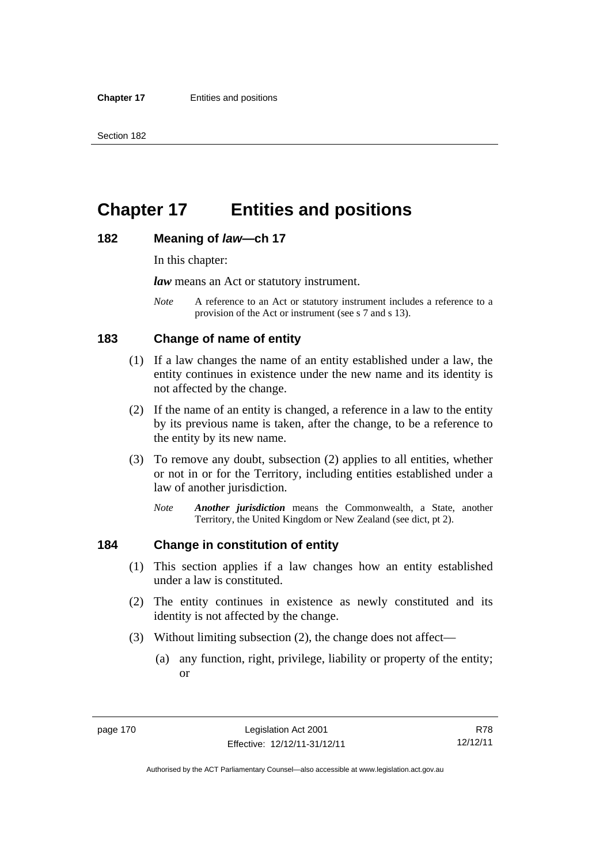# **Chapter 17 Entities and positions**

### **182 Meaning of** *law***—ch 17**

In this chapter:

*law* means an Act or statutory instrument.

*Note* A reference to an Act or statutory instrument includes a reference to a provision of the Act or instrument (see s 7 and s 13).

## **183 Change of name of entity**

- (1) If a law changes the name of an entity established under a law, the entity continues in existence under the new name and its identity is not affected by the change.
- (2) If the name of an entity is changed, a reference in a law to the entity by its previous name is taken, after the change, to be a reference to the entity by its new name.
- (3) To remove any doubt, subsection (2) applies to all entities, whether or not in or for the Territory, including entities established under a law of another jurisdiction.
	- *Note Another jurisdiction* means the Commonwealth, a State, another Territory, the United Kingdom or New Zealand (see dict, pt 2).

## **184 Change in constitution of entity**

- (1) This section applies if a law changes how an entity established under a law is constituted.
- (2) The entity continues in existence as newly constituted and its identity is not affected by the change.
- (3) Without limiting subsection (2), the change does not affect—
	- (a) any function, right, privilege, liability or property of the entity; or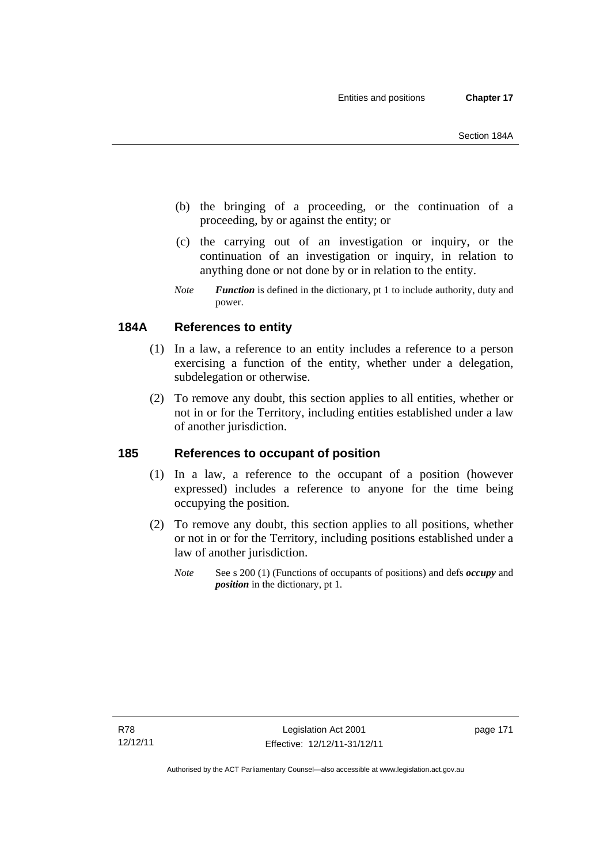- (b) the bringing of a proceeding, or the continuation of a proceeding, by or against the entity; or
- (c) the carrying out of an investigation or inquiry, or the continuation of an investigation or inquiry, in relation to anything done or not done by or in relation to the entity.
- *Note Function* is defined in the dictionary, pt 1 to include authority, duty and power.

# **184A References to entity**

- (1) In a law, a reference to an entity includes a reference to a person exercising a function of the entity, whether under a delegation, subdelegation or otherwise.
- (2) To remove any doubt, this section applies to all entities, whether or not in or for the Territory, including entities established under a law of another jurisdiction.

## **185 References to occupant of position**

- (1) In a law, a reference to the occupant of a position (however expressed) includes a reference to anyone for the time being occupying the position.
- (2) To remove any doubt, this section applies to all positions, whether or not in or for the Territory, including positions established under a law of another jurisdiction.
	- *Note* See s 200 (1) (Functions of occupants of positions) and defs *occupy* and *position* in the dictionary, pt 1.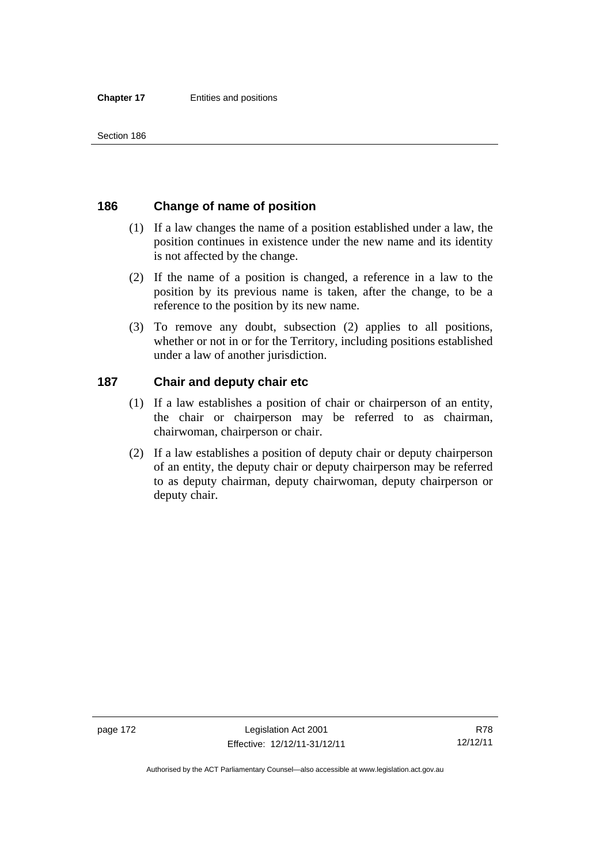## **186 Change of name of position**

- (1) If a law changes the name of a position established under a law, the position continues in existence under the new name and its identity is not affected by the change.
- (2) If the name of a position is changed, a reference in a law to the position by its previous name is taken, after the change, to be a reference to the position by its new name.
- (3) To remove any doubt, subsection (2) applies to all positions, whether or not in or for the Territory, including positions established under a law of another jurisdiction.

## **187 Chair and deputy chair etc**

- (1) If a law establishes a position of chair or chairperson of an entity, the chair or chairperson may be referred to as chairman, chairwoman, chairperson or chair.
- (2) If a law establishes a position of deputy chair or deputy chairperson of an entity, the deputy chair or deputy chairperson may be referred to as deputy chairman, deputy chairwoman, deputy chairperson or deputy chair.

Authorised by the ACT Parliamentary Counsel—also accessible at www.legislation.act.gov.au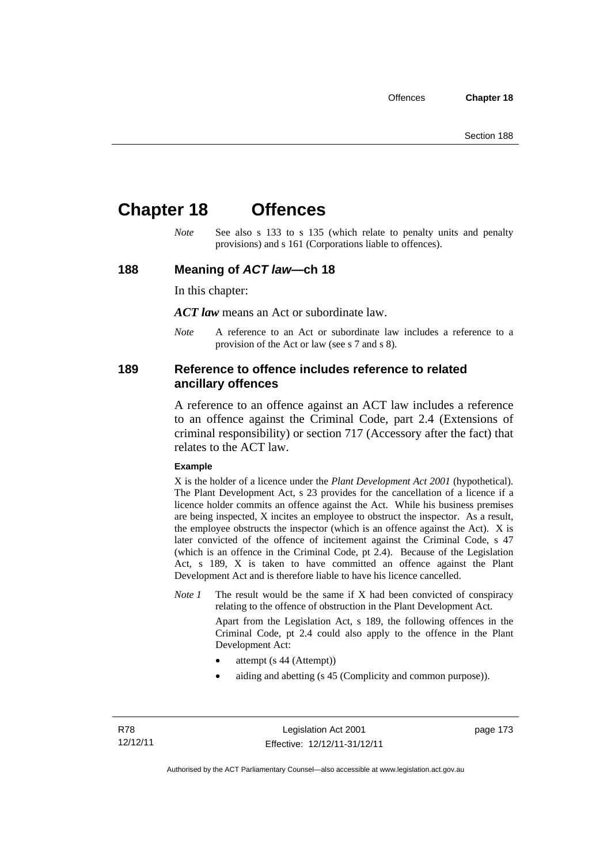# **Chapter 18 Offences**

*Note* See also s 133 to s 135 (which relate to penalty units and penalty provisions) and s 161 (Corporations liable to offences).

### **188 Meaning of** *ACT law***—ch 18**

In this chapter:

*ACT law* means an Act or subordinate law.

*Note* A reference to an Act or subordinate law includes a reference to a provision of the Act or law (see s 7 and s 8).

### **189 Reference to offence includes reference to related ancillary offences**

A reference to an offence against an ACT law includes a reference to an offence against the Criminal Code, part 2.4 (Extensions of criminal responsibility) or section 717 (Accessory after the fact) that relates to the ACT law.

#### **Example**

X is the holder of a licence under the *Plant Development Act 2001* (hypothetical). The Plant Development Act, s 23 provides for the cancellation of a licence if a licence holder commits an offence against the Act. While his business premises are being inspected, X incites an employee to obstruct the inspector. As a result, the employee obstructs the inspector (which is an offence against the Act). X is later convicted of the offence of incitement against the Criminal Code, s 47 (which is an offence in the Criminal Code, pt 2.4). Because of the Legislation Act, s 189, X is taken to have committed an offence against the Plant Development Act and is therefore liable to have his licence cancelled.

*Note 1* The result would be the same if X had been convicted of conspiracy relating to the offence of obstruction in the Plant Development Act.

> Apart from the Legislation Act, s 189, the following offences in the Criminal Code, pt 2.4 could also apply to the offence in the Plant Development Act:

- attempt (s 44 (Attempt))
- aiding and abetting (s 45 (Complicity and common purpose)).

page 173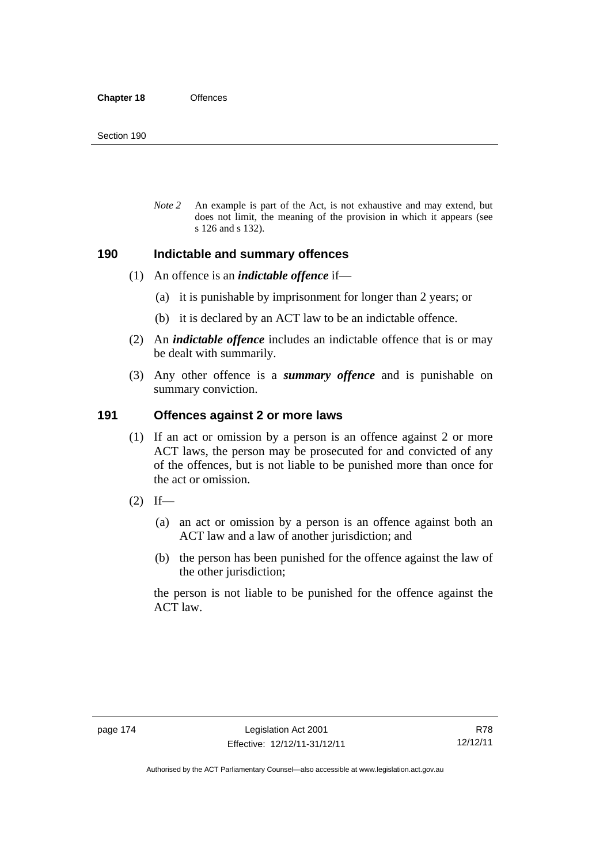*Note 2* An example is part of the Act, is not exhaustive and may extend, but does not limit, the meaning of the provision in which it appears (see s 126 and s 132).

### **190 Indictable and summary offences**

- (1) An offence is an *indictable offence* if—
	- (a) it is punishable by imprisonment for longer than 2 years; or
	- (b) it is declared by an ACT law to be an indictable offence.
- (2) An *indictable offence* includes an indictable offence that is or may be dealt with summarily.
- (3) Any other offence is a *summary offence* and is punishable on summary conviction.

## **191 Offences against 2 or more laws**

- (1) If an act or omission by a person is an offence against 2 or more ACT laws, the person may be prosecuted for and convicted of any of the offences, but is not liable to be punished more than once for the act or omission.
- $(2)$  If—
	- (a) an act or omission by a person is an offence against both an ACT law and a law of another jurisdiction; and
	- (b) the person has been punished for the offence against the law of the other jurisdiction;

the person is not liable to be punished for the offence against the ACT law.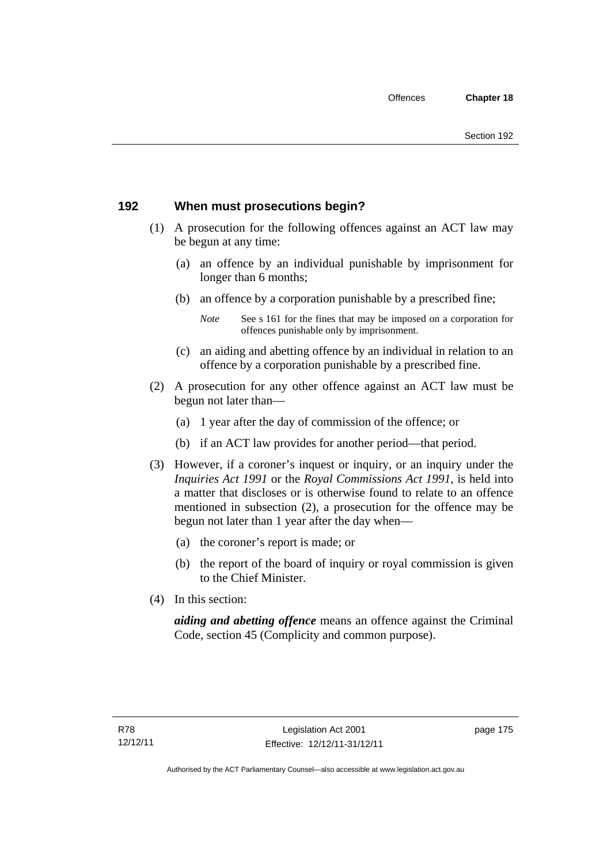## **192 When must prosecutions begin?**

- (1) A prosecution for the following offences against an ACT law may be begun at any time:
	- (a) an offence by an individual punishable by imprisonment for longer than 6 months;
	- (b) an offence by a corporation punishable by a prescribed fine;
		- *Note* See s 161 for the fines that may be imposed on a corporation for offences punishable only by imprisonment.
	- (c) an aiding and abetting offence by an individual in relation to an offence by a corporation punishable by a prescribed fine.
- (2) A prosecution for any other offence against an ACT law must be begun not later than—
	- (a) 1 year after the day of commission of the offence; or
	- (b) if an ACT law provides for another period—that period.
- (3) However, if a coroner's inquest or inquiry, or an inquiry under the *Inquiries Act 1991* or the *Royal Commissions Act 1991*, is held into a matter that discloses or is otherwise found to relate to an offence mentioned in subsection (2), a prosecution for the offence may be begun not later than 1 year after the day when—
	- (a) the coroner's report is made; or
	- (b) the report of the board of inquiry or royal commission is given to the Chief Minister.
- (4) In this section:

*aiding and abetting offence* means an offence against the Criminal Code, section 45 (Complicity and common purpose).

page 175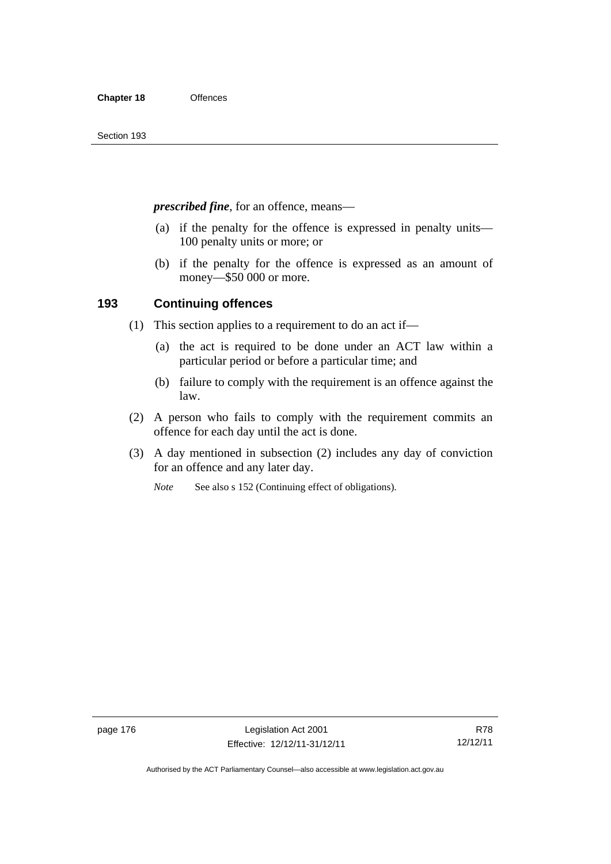*prescribed fine*, for an offence, means—

- (a) if the penalty for the offence is expressed in penalty units— 100 penalty units or more; or
- (b) if the penalty for the offence is expressed as an amount of money—\$50 000 or more.

## **193 Continuing offences**

- (1) This section applies to a requirement to do an act if—
	- (a) the act is required to be done under an ACT law within a particular period or before a particular time; and
	- (b) failure to comply with the requirement is an offence against the law.
- (2) A person who fails to comply with the requirement commits an offence for each day until the act is done.
- (3) A day mentioned in subsection (2) includes any day of conviction for an offence and any later day.

*Note* See also s 152 (Continuing effect of obligations).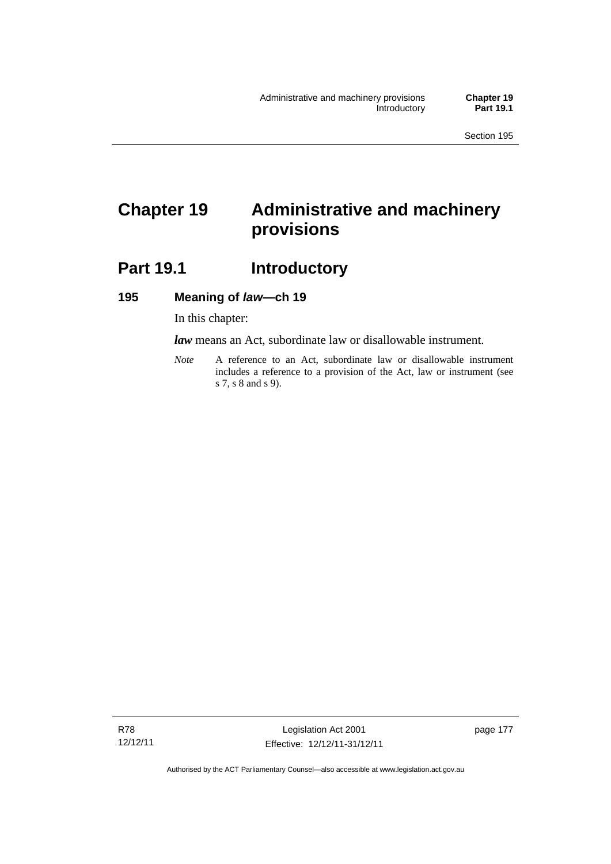# **Chapter 19 Administrative and machinery provisions**

# **Part 19.1 Introductory**

## **195 Meaning of** *law***—ch 19**

In this chapter:

*law* means an Act, subordinate law or disallowable instrument.

*Note* A reference to an Act, subordinate law or disallowable instrument includes a reference to a provision of the Act, law or instrument (see s 7, s 8 and s 9).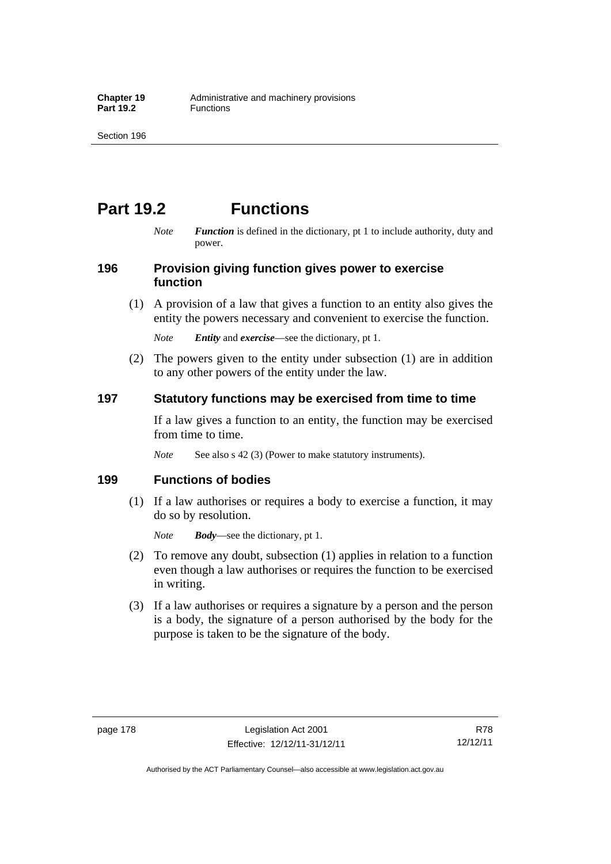# **Part 19.2 Functions**

*Note Function* is defined in the dictionary, pt 1 to include authority, duty and power.

## **196 Provision giving function gives power to exercise function**

 (1) A provision of a law that gives a function to an entity also gives the entity the powers necessary and convenient to exercise the function.

*Note Entity* and *exercise*—see the dictionary, pt 1.

 (2) The powers given to the entity under subsection (1) are in addition to any other powers of the entity under the law.

## **197 Statutory functions may be exercised from time to time**

If a law gives a function to an entity, the function may be exercised from time to time.

*Note* See also s 42 (3) (Power to make statutory instruments).

## **199 Functions of bodies**

 (1) If a law authorises or requires a body to exercise a function, it may do so by resolution.

*Note Body*—see the dictionary, pt 1.

- (2) To remove any doubt, subsection (1) applies in relation to a function even though a law authorises or requires the function to be exercised in writing.
- (3) If a law authorises or requires a signature by a person and the person is a body, the signature of a person authorised by the body for the purpose is taken to be the signature of the body.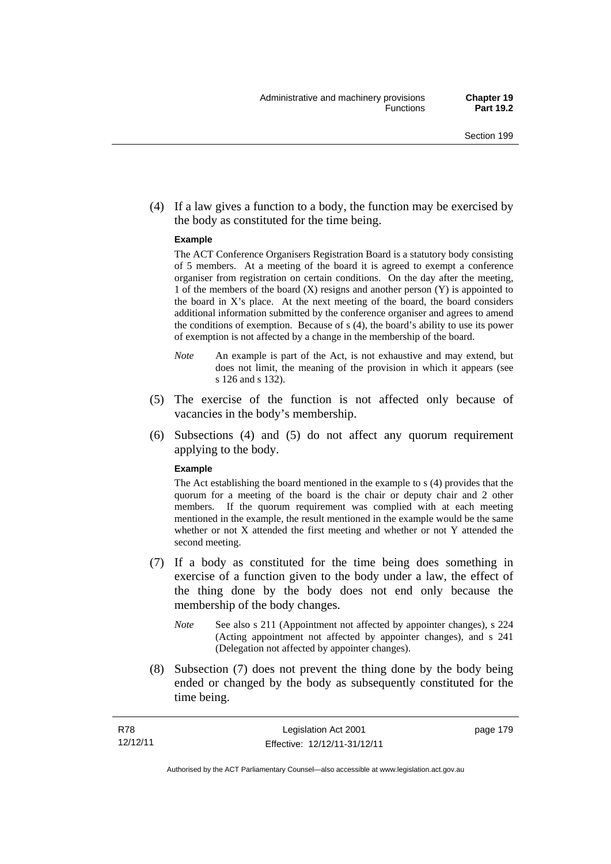(4) If a law gives a function to a body, the function may be exercised by the body as constituted for the time being.

#### **Example**

The ACT Conference Organisers Registration Board is a statutory body consisting of 5 members. At a meeting of the board it is agreed to exempt a conference organiser from registration on certain conditions. On the day after the meeting, 1 of the members of the board (X) resigns and another person (Y) is appointed to the board in  $X$ 's place. At the next meeting of the board, the board considers additional information submitted by the conference organiser and agrees to amend the conditions of exemption. Because of s (4), the board's ability to use its power of exemption is not affected by a change in the membership of the board.

- *Note* An example is part of the Act, is not exhaustive and may extend, but does not limit, the meaning of the provision in which it appears (see s 126 and s 132).
- (5) The exercise of the function is not affected only because of vacancies in the body's membership.
- (6) Subsections (4) and (5) do not affect any quorum requirement applying to the body.

#### **Example**

The Act establishing the board mentioned in the example to s (4) provides that the quorum for a meeting of the board is the chair or deputy chair and 2 other members. If the quorum requirement was complied with at each meeting mentioned in the example, the result mentioned in the example would be the same whether or not X attended the first meeting and whether or not Y attended the second meeting.

- (7) If a body as constituted for the time being does something in exercise of a function given to the body under a law, the effect of the thing done by the body does not end only because the membership of the body changes.
	- *Note* See also s 211 (Appointment not affected by appointer changes), s 224 (Acting appointment not affected by appointer changes), and s 241 (Delegation not affected by appointer changes).
- (8) Subsection (7) does not prevent the thing done by the body being ended or changed by the body as subsequently constituted for the time being.

page 179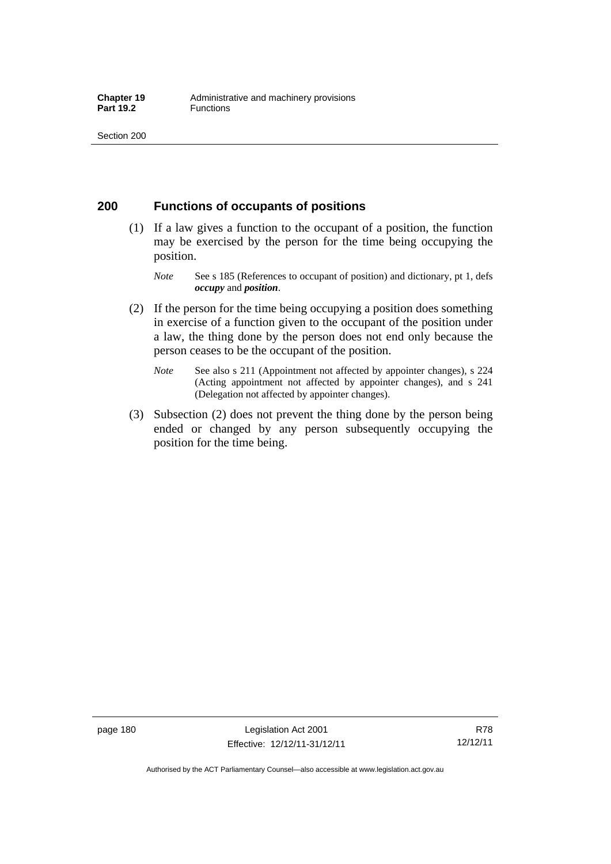## **200 Functions of occupants of positions**

- (1) If a law gives a function to the occupant of a position, the function may be exercised by the person for the time being occupying the position.
	- *Note* See s 185 (References to occupant of position) and dictionary, pt 1, defs *occupy* and *position*.
- (2) If the person for the time being occupying a position does something in exercise of a function given to the occupant of the position under a law, the thing done by the person does not end only because the person ceases to be the occupant of the position.
	- *Note* See also s 211 (Appointment not affected by appointer changes), s 224 (Acting appointment not affected by appointer changes), and s 241 (Delegation not affected by appointer changes).
- (3) Subsection (2) does not prevent the thing done by the person being ended or changed by any person subsequently occupying the position for the time being.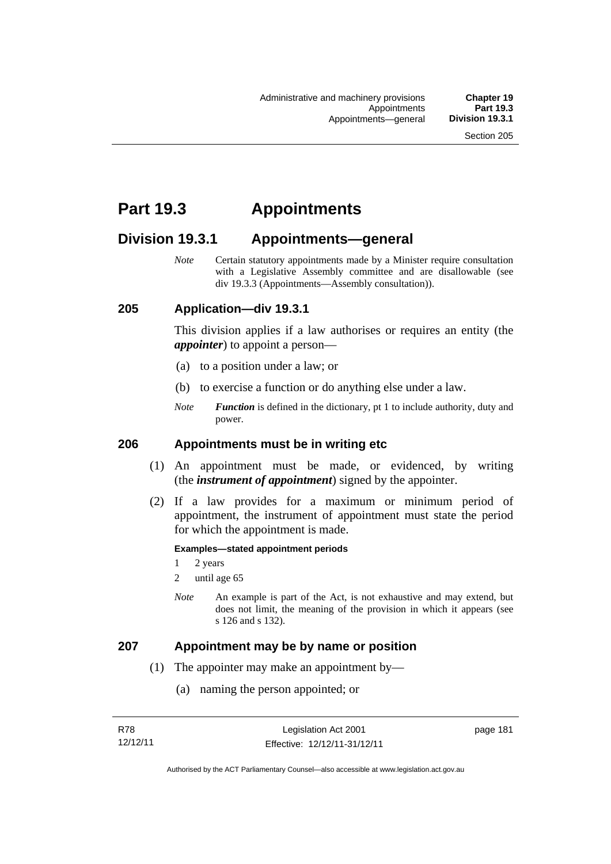# **Part 19.3 Appointments**

# **Division 19.3.1 Appointments—general**

*Note* Certain statutory appointments made by a Minister require consultation with a Legislative Assembly committee and are disallowable (see div 19.3.3 (Appointments—Assembly consultation)).

## **205 Application—div 19.3.1**

This division applies if a law authorises or requires an entity (the *appointer*) to appoint a person—

- (a) to a position under a law; or
- (b) to exercise a function or do anything else under a law.
- *Note Function* is defined in the dictionary, pt 1 to include authority, duty and power.

## **206 Appointments must be in writing etc**

- (1) An appointment must be made, or evidenced, by writing (the *instrument of appointment*) signed by the appointer.
- (2) If a law provides for a maximum or minimum period of appointment, the instrument of appointment must state the period for which the appointment is made.

#### **Examples—stated appointment periods**

- 1 2 years
- 2 until age 65
- *Note* An example is part of the Act, is not exhaustive and may extend, but does not limit, the meaning of the provision in which it appears (see s 126 and s 132).

## **207 Appointment may be by name or position**

- (1) The appointer may make an appointment by—
	- (a) naming the person appointed; or

page 181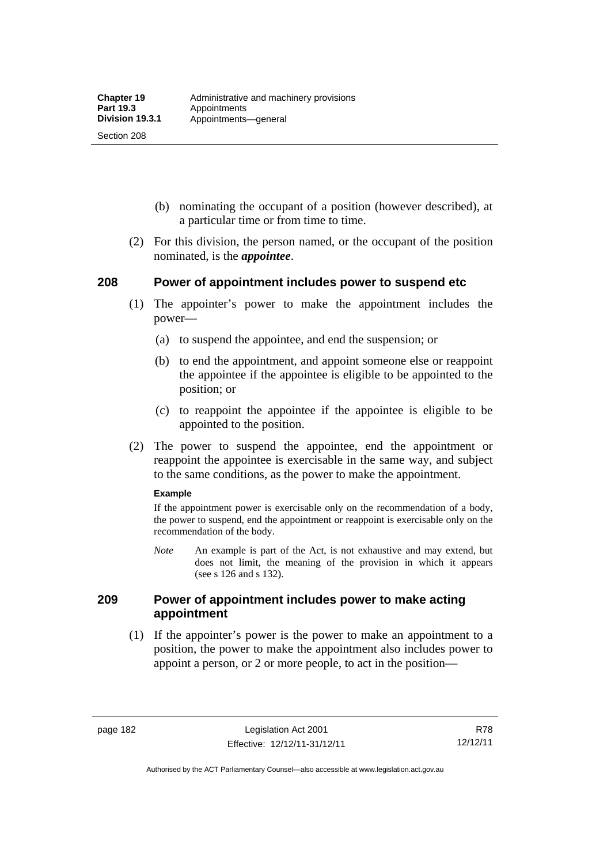Section 208

- (b) nominating the occupant of a position (however described), at a particular time or from time to time.
- (2) For this division, the person named, or the occupant of the position nominated, is the *appointee*.

## **208 Power of appointment includes power to suspend etc**

- (1) The appointer's power to make the appointment includes the power—
	- (a) to suspend the appointee, and end the suspension; or
	- (b) to end the appointment, and appoint someone else or reappoint the appointee if the appointee is eligible to be appointed to the position; or
	- (c) to reappoint the appointee if the appointee is eligible to be appointed to the position.
- (2) The power to suspend the appointee, end the appointment or reappoint the appointee is exercisable in the same way, and subject to the same conditions, as the power to make the appointment.

#### **Example**

If the appointment power is exercisable only on the recommendation of a body, the power to suspend, end the appointment or reappoint is exercisable only on the recommendation of the body.

*Note* An example is part of the Act, is not exhaustive and may extend, but does not limit, the meaning of the provision in which it appears (see s 126 and s 132).

## **209 Power of appointment includes power to make acting appointment**

 (1) If the appointer's power is the power to make an appointment to a position, the power to make the appointment also includes power to appoint a person, or 2 or more people, to act in the position—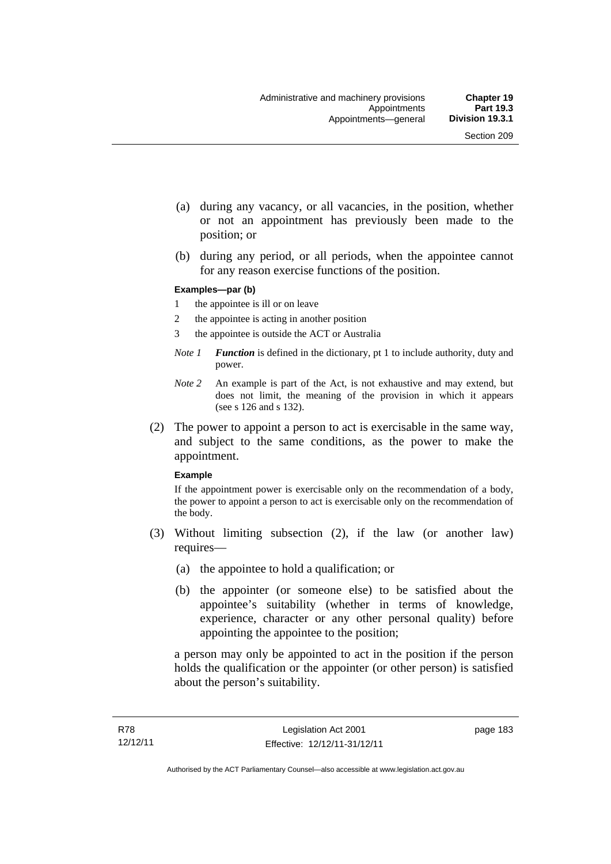- (a) during any vacancy, or all vacancies, in the position, whether or not an appointment has previously been made to the position; or
- (b) during any period, or all periods, when the appointee cannot for any reason exercise functions of the position.

#### **Examples—par (b)**

- 1 the appointee is ill or on leave
- 2 the appointee is acting in another position
- 3 the appointee is outside the ACT or Australia
- *Note 1 Function* is defined in the dictionary, pt 1 to include authority, duty and power.
- *Note 2* An example is part of the Act, is not exhaustive and may extend, but does not limit, the meaning of the provision in which it appears (see s 126 and s 132).
- (2) The power to appoint a person to act is exercisable in the same way, and subject to the same conditions, as the power to make the appointment.

#### **Example**

If the appointment power is exercisable only on the recommendation of a body, the power to appoint a person to act is exercisable only on the recommendation of the body.

- (3) Without limiting subsection (2), if the law (or another law) requires—
	- (a) the appointee to hold a qualification; or
	- (b) the appointer (or someone else) to be satisfied about the appointee's suitability (whether in terms of knowledge, experience, character or any other personal quality) before appointing the appointee to the position;

a person may only be appointed to act in the position if the person holds the qualification or the appointer (or other person) is satisfied about the person's suitability.

page 183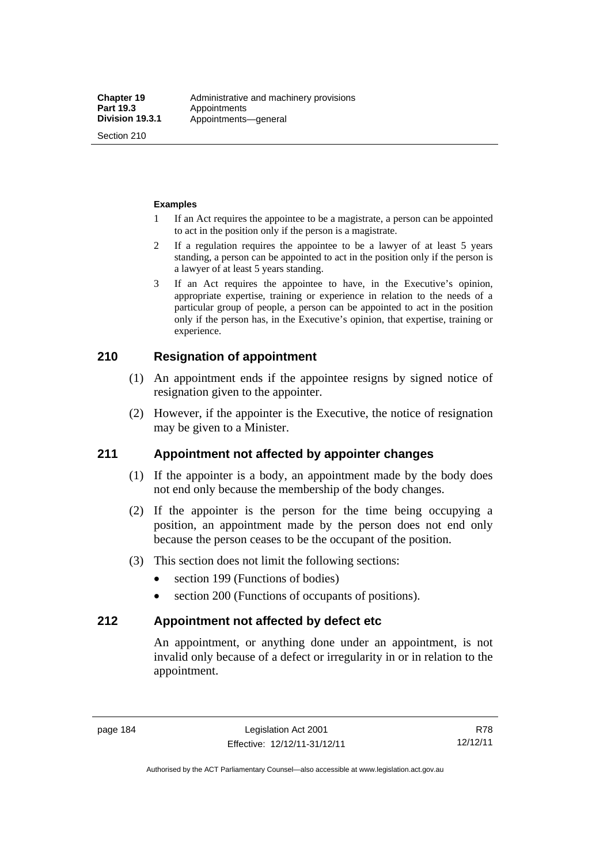Section 210

#### **Examples**

- 1 If an Act requires the appointee to be a magistrate, a person can be appointed to act in the position only if the person is a magistrate.
- 2 If a regulation requires the appointee to be a lawyer of at least 5 years standing, a person can be appointed to act in the position only if the person is a lawyer of at least 5 years standing.
- 3 If an Act requires the appointee to have, in the Executive's opinion, appropriate expertise, training or experience in relation to the needs of a particular group of people, a person can be appointed to act in the position only if the person has, in the Executive's opinion, that expertise, training or experience.

## **210 Resignation of appointment**

- (1) An appointment ends if the appointee resigns by signed notice of resignation given to the appointer.
- (2) However, if the appointer is the Executive, the notice of resignation may be given to a Minister.

## **211 Appointment not affected by appointer changes**

- (1) If the appointer is a body, an appointment made by the body does not end only because the membership of the body changes.
- (2) If the appointer is the person for the time being occupying a position, an appointment made by the person does not end only because the person ceases to be the occupant of the position.
- (3) This section does not limit the following sections:
	- section 199 (Functions of bodies)
	- section 200 (Functions of occupants of positions).

## **212 Appointment not affected by defect etc**

An appointment, or anything done under an appointment, is not invalid only because of a defect or irregularity in or in relation to the appointment.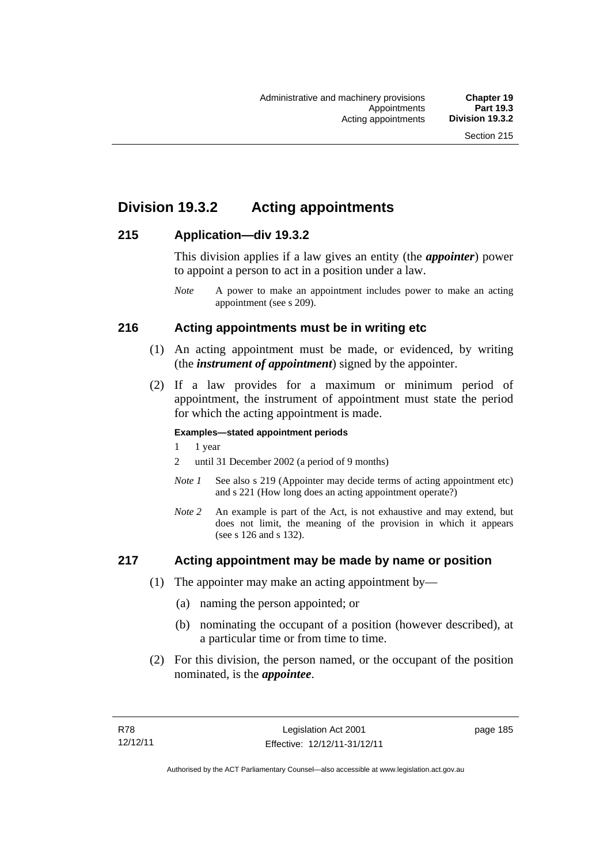# **Division 19.3.2 Acting appointments**

## **215 Application—div 19.3.2**

This division applies if a law gives an entity (the *appointer*) power to appoint a person to act in a position under a law.

## **216 Acting appointments must be in writing etc**

- (1) An acting appointment must be made, or evidenced, by writing (the *instrument of appointment*) signed by the appointer.
- (2) If a law provides for a maximum or minimum period of appointment, the instrument of appointment must state the period for which the acting appointment is made.

### **Examples—stated appointment periods**

- 1 1 year
- 2 until 31 December 2002 (a period of 9 months)
- *Note 1* See also s 219 (Appointer may decide terms of acting appointment etc) and s 221 (How long does an acting appointment operate?)
- *Note 2* An example is part of the Act, is not exhaustive and may extend, but does not limit, the meaning of the provision in which it appears (see s 126 and s 132).

## **217 Acting appointment may be made by name or position**

- (1) The appointer may make an acting appointment by—
	- (a) naming the person appointed; or
	- (b) nominating the occupant of a position (however described), at a particular time or from time to time.
- (2) For this division, the person named, or the occupant of the position nominated, is the *appointee*.

*Note* A power to make an appointment includes power to make an acting appointment (see s 209).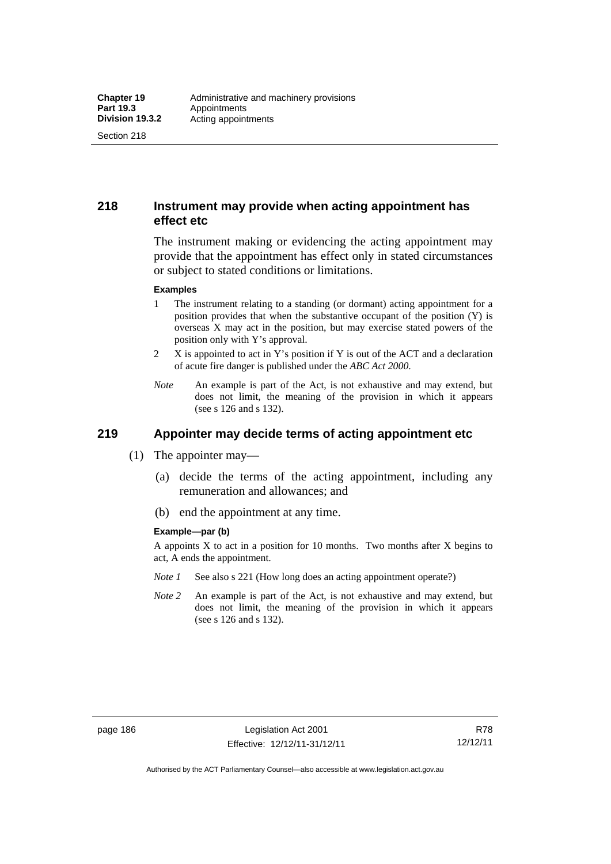Section 218

## **218 Instrument may provide when acting appointment has effect etc**

The instrument making or evidencing the acting appointment may provide that the appointment has effect only in stated circumstances or subject to stated conditions or limitations.

#### **Examples**

- 1 The instrument relating to a standing (or dormant) acting appointment for a position provides that when the substantive occupant of the position (Y) is overseas X may act in the position, but may exercise stated powers of the position only with Y's approval.
- 2 X is appointed to act in Y's position if Y is out of the ACT and a declaration of acute fire danger is published under the *ABC Act 2000*.
- *Note* An example is part of the Act, is not exhaustive and may extend, but does not limit, the meaning of the provision in which it appears (see s 126 and s 132).

# **219 Appointer may decide terms of acting appointment etc**

- (1) The appointer may—
	- (a) decide the terms of the acting appointment, including any remuneration and allowances; and
	- (b) end the appointment at any time.

#### **Example—par (b)**

A appoints X to act in a position for 10 months. Two months after X begins to act, A ends the appointment.

- *Note 1* See also s 221 (How long does an acting appointment operate?)
- *Note 2* An example is part of the Act, is not exhaustive and may extend, but does not limit, the meaning of the provision in which it appears (see s 126 and s 132).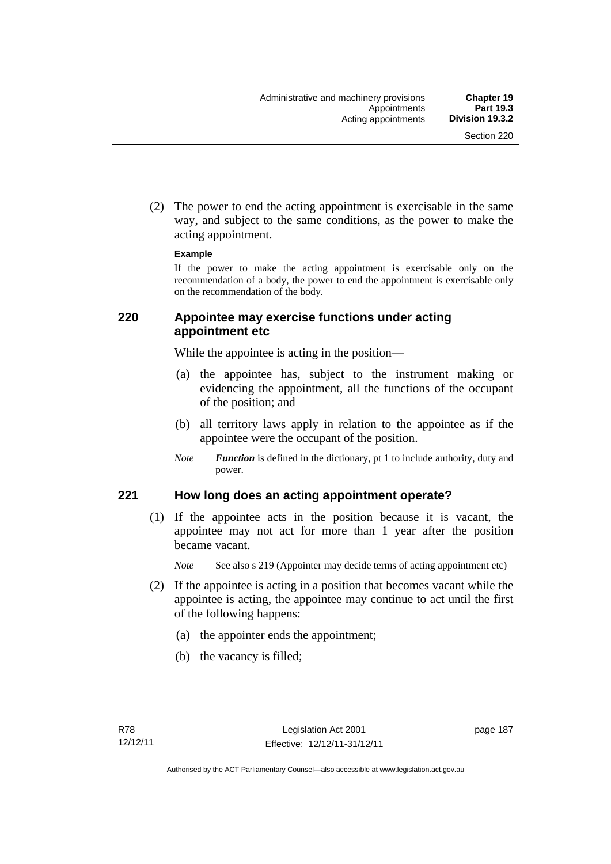(2) The power to end the acting appointment is exercisable in the same way, and subject to the same conditions, as the power to make the acting appointment.

#### **Example**

If the power to make the acting appointment is exercisable only on the recommendation of a body, the power to end the appointment is exercisable only on the recommendation of the body.

## **220 Appointee may exercise functions under acting appointment etc**

While the appointee is acting in the position—

- (a) the appointee has, subject to the instrument making or evidencing the appointment, all the functions of the occupant of the position; and
- (b) all territory laws apply in relation to the appointee as if the appointee were the occupant of the position.
- *Note Function* is defined in the dictionary, pt 1 to include authority, duty and power.

## **221 How long does an acting appointment operate?**

 (1) If the appointee acts in the position because it is vacant, the appointee may not act for more than 1 year after the position became vacant.

*Note* See also s 219 (Appointer may decide terms of acting appointment etc)

- (2) If the appointee is acting in a position that becomes vacant while the appointee is acting, the appointee may continue to act until the first of the following happens:
	- (a) the appointer ends the appointment;
	- (b) the vacancy is filled;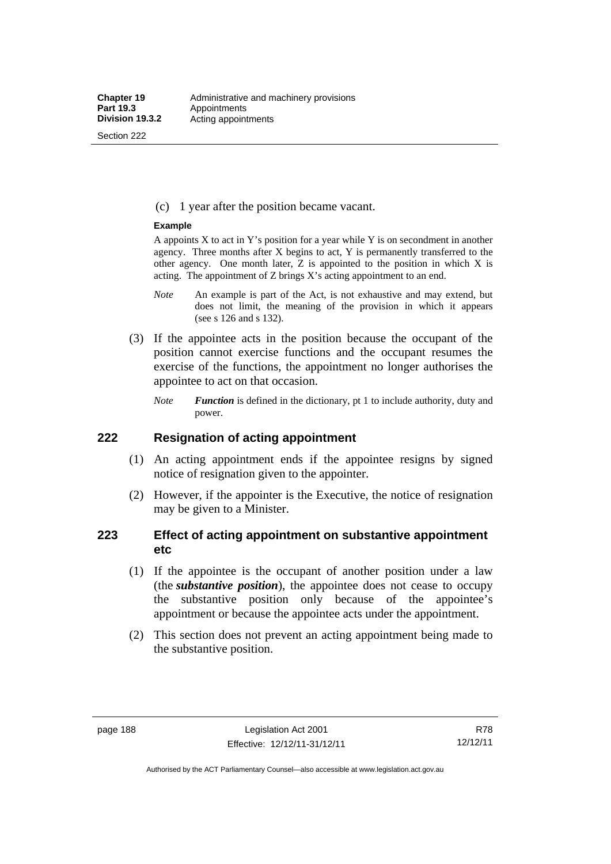Section 222

(c) 1 year after the position became vacant.

#### **Example**

A appoints  $X$  to act in Y's position for a year while Y is on secondment in another agency. Three months after X begins to act, Y is permanently transferred to the other agency. One month later,  $Z$  is appointed to the position in which  $X$  is acting. The appointment of Z brings X's acting appointment to an end.

- *Note* An example is part of the Act, is not exhaustive and may extend, but does not limit, the meaning of the provision in which it appears (see s 126 and s 132).
- (3) If the appointee acts in the position because the occupant of the position cannot exercise functions and the occupant resumes the exercise of the functions, the appointment no longer authorises the appointee to act on that occasion.
	- *Note Function* is defined in the dictionary, pt 1 to include authority, duty and power.

## **222 Resignation of acting appointment**

- (1) An acting appointment ends if the appointee resigns by signed notice of resignation given to the appointer.
- (2) However, if the appointer is the Executive, the notice of resignation may be given to a Minister.

## **223 Effect of acting appointment on substantive appointment etc**

- (1) If the appointee is the occupant of another position under a law (the *substantive position*), the appointee does not cease to occupy the substantive position only because of the appointee's appointment or because the appointee acts under the appointment.
- (2) This section does not prevent an acting appointment being made to the substantive position.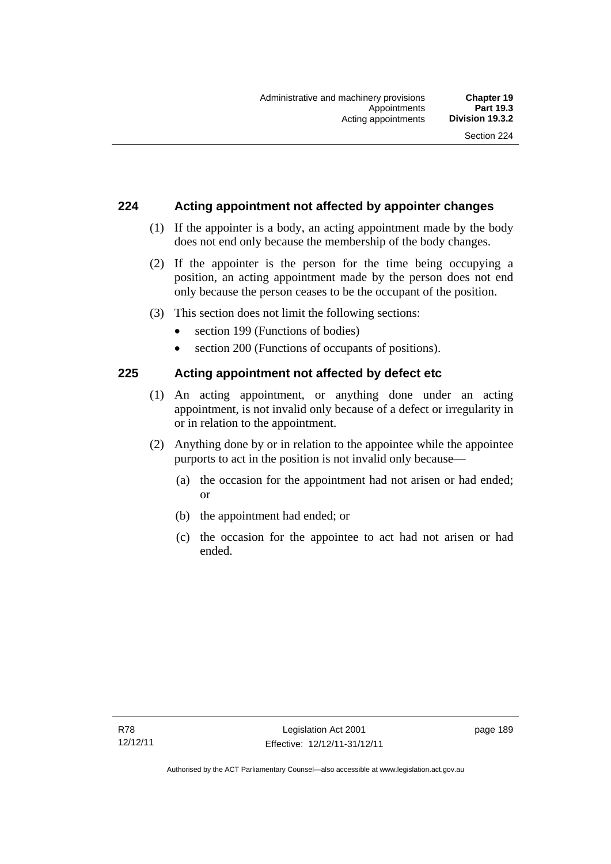## **224 Acting appointment not affected by appointer changes**

- (1) If the appointer is a body, an acting appointment made by the body does not end only because the membership of the body changes.
- (2) If the appointer is the person for the time being occupying a position, an acting appointment made by the person does not end only because the person ceases to be the occupant of the position.
- (3) This section does not limit the following sections:
	- section 199 (Functions of bodies)
	- section 200 (Functions of occupants of positions).

## **225 Acting appointment not affected by defect etc**

- (1) An acting appointment, or anything done under an acting appointment, is not invalid only because of a defect or irregularity in or in relation to the appointment.
- (2) Anything done by or in relation to the appointee while the appointee purports to act in the position is not invalid only because—
	- (a) the occasion for the appointment had not arisen or had ended; or
	- (b) the appointment had ended; or
	- (c) the occasion for the appointee to act had not arisen or had ended.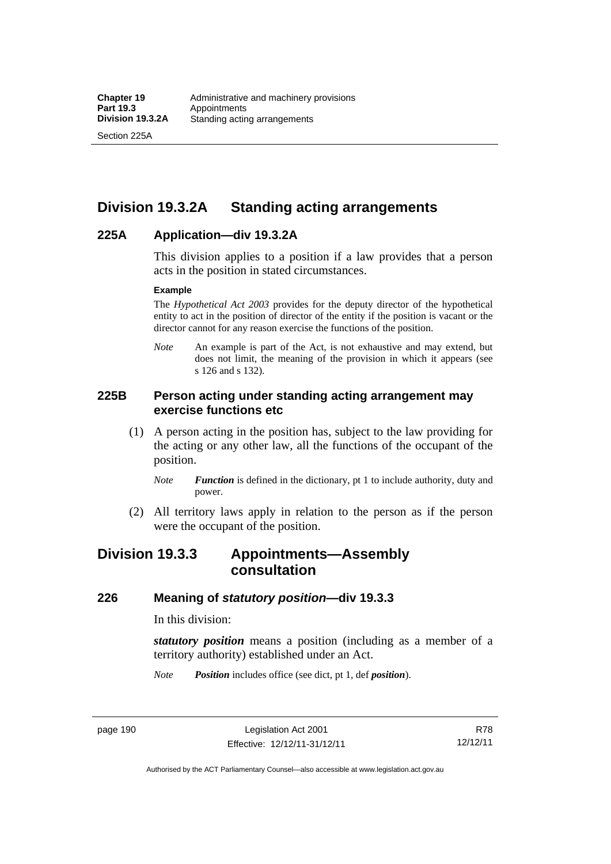Section 225A

# **Division 19.3.2A Standing acting arrangements**

## **225A Application—div 19.3.2A**

This division applies to a position if a law provides that a person acts in the position in stated circumstances.

#### **Example**

The *Hypothetical Act 2003* provides for the deputy director of the hypothetical entity to act in the position of director of the entity if the position is vacant or the director cannot for any reason exercise the functions of the position.

*Note* An example is part of the Act, is not exhaustive and may extend, but does not limit, the meaning of the provision in which it appears (see s 126 and s 132).

## **225B Person acting under standing acting arrangement may exercise functions etc**

- (1) A person acting in the position has, subject to the law providing for the acting or any other law, all the functions of the occupant of the position.
	- *Note Function* is defined in the dictionary, pt 1 to include authority, duty and power.
- (2) All territory laws apply in relation to the person as if the person were the occupant of the position.

# **Division 19.3.3 Appointments—Assembly consultation**

## **226 Meaning of** *statutory position***—div 19.3.3**

In this division:

*statutory position* means a position (including as a member of a territory authority) established under an Act.

*Note Position* includes office (see dict, pt 1, def *position*).

page 190 Legislation Act 2001 Effective: 12/12/11-31/12/11

R78 12/12/11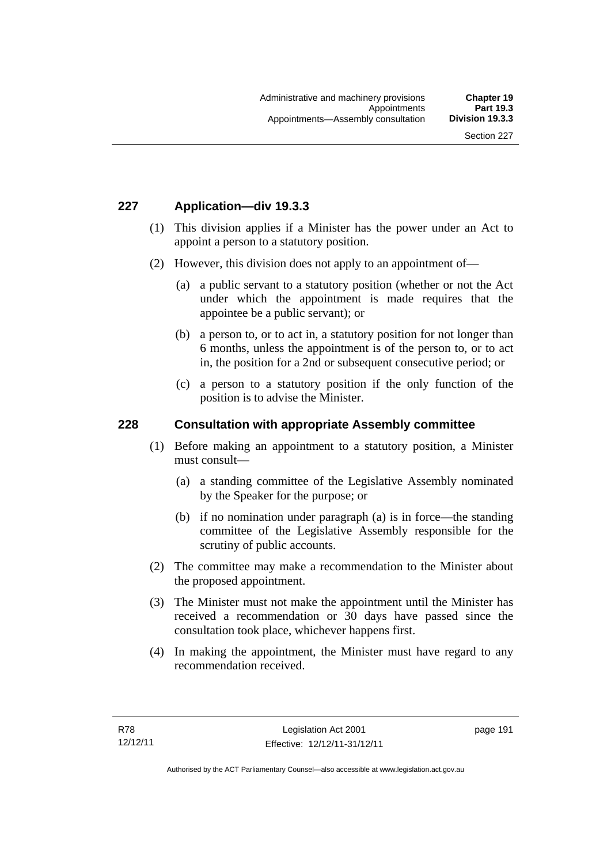## **227 Application—div 19.3.3**

- (1) This division applies if a Minister has the power under an Act to appoint a person to a statutory position.
- (2) However, this division does not apply to an appointment of—
	- (a) a public servant to a statutory position (whether or not the Act under which the appointment is made requires that the appointee be a public servant); or
	- (b) a person to, or to act in, a statutory position for not longer than 6 months, unless the appointment is of the person to, or to act in, the position for a 2nd or subsequent consecutive period; or
	- (c) a person to a statutory position if the only function of the position is to advise the Minister.

### **228 Consultation with appropriate Assembly committee**

- (1) Before making an appointment to a statutory position, a Minister must consult—
	- (a) a standing committee of the Legislative Assembly nominated by the Speaker for the purpose; or
	- (b) if no nomination under paragraph (a) is in force—the standing committee of the Legislative Assembly responsible for the scrutiny of public accounts.
- (2) The committee may make a recommendation to the Minister about the proposed appointment.
- (3) The Minister must not make the appointment until the Minister has received a recommendation or 30 days have passed since the consultation took place, whichever happens first.
- (4) In making the appointment, the Minister must have regard to any recommendation received.

page 191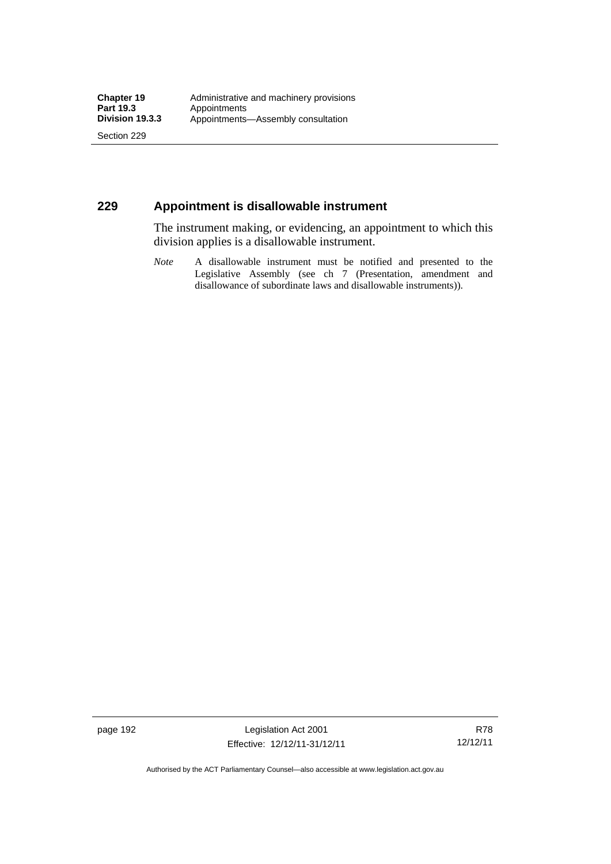Section 229

## **229 Appointment is disallowable instrument**

The instrument making, or evidencing, an appointment to which this division applies is a disallowable instrument.

*Note* A disallowable instrument must be notified and presented to the Legislative Assembly (see ch 7 (Presentation, amendment and disallowance of subordinate laws and disallowable instruments)).

page 192 Legislation Act 2001 Effective: 12/12/11-31/12/11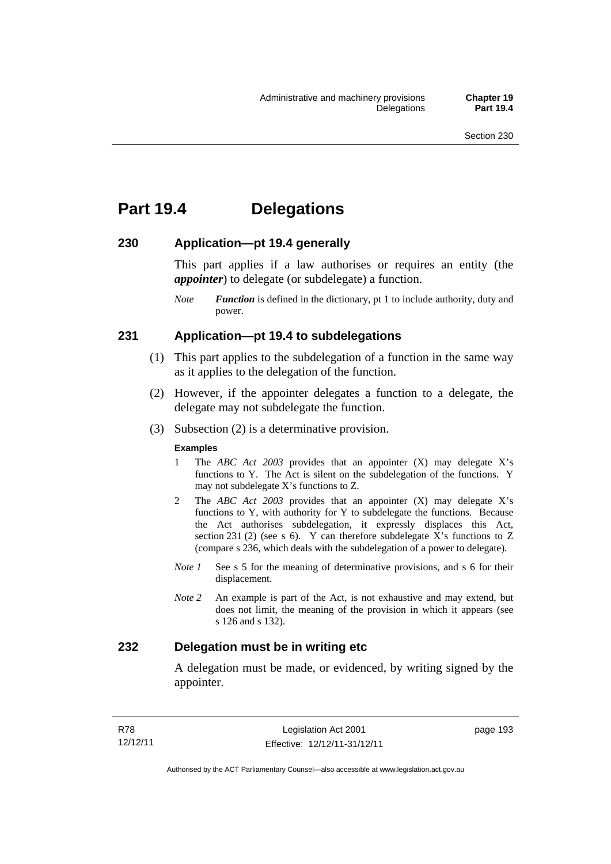# **Part 19.4 Delegations**

## **230 Application—pt 19.4 generally**

This part applies if a law authorises or requires an entity (the *appointer*) to delegate (or subdelegate) a function.

*Note Function* is defined in the dictionary, pt 1 to include authority, duty and power.

## **231 Application—pt 19.4 to subdelegations**

- (1) This part applies to the subdelegation of a function in the same way as it applies to the delegation of the function.
- (2) However, if the appointer delegates a function to a delegate, the delegate may not subdelegate the function.
- (3) Subsection (2) is a determinative provision.

#### **Examples**

- 1 The *ABC Act 2003* provides that an appointer (X) may delegate X's functions to Y. The Act is silent on the subdelegation of the functions. Y may not subdelegate X's functions to Z.
- 2 The *ABC Act 2003* provides that an appointer (X) may delegate X's functions to Y, with authority for Y to subdelegate the functions. Because the Act authorises subdelegation, it expressly displaces this Act, section 231 (2) (see s 6). Y can therefore subdelegate  $\overline{X}$ 's functions to Z (compare s 236, which deals with the subdelegation of a power to delegate)*.*
- *Note 1* See s 5 for the meaning of determinative provisions, and s 6 for their displacement.
- *Note 2* An example is part of the Act, is not exhaustive and may extend, but does not limit, the meaning of the provision in which it appears (see s 126 and s 132).

## **232 Delegation must be in writing etc**

A delegation must be made, or evidenced, by writing signed by the appointer.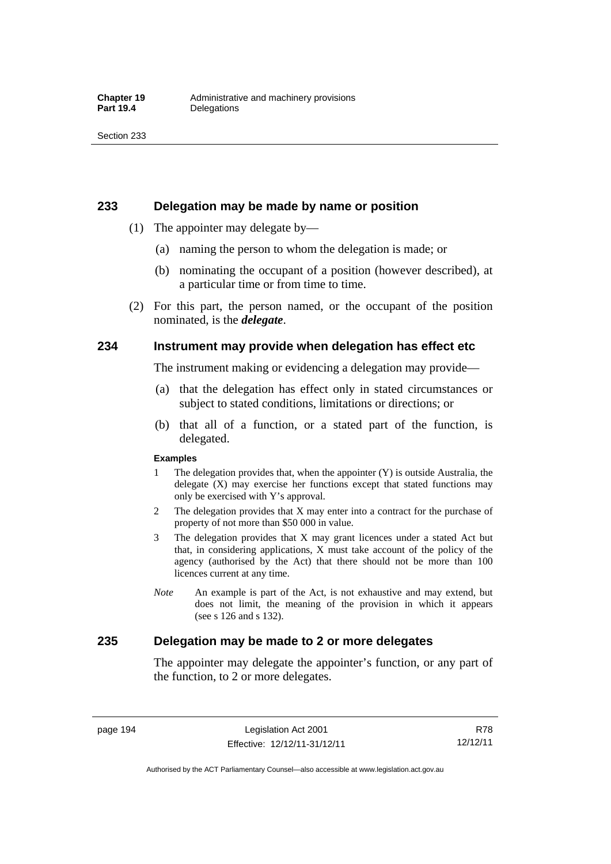### **233 Delegation may be made by name or position**

- (1) The appointer may delegate by—
	- (a) naming the person to whom the delegation is made; or
	- (b) nominating the occupant of a position (however described), at a particular time or from time to time.
- (2) For this part, the person named, or the occupant of the position nominated, is the *delegate*.

## **234 Instrument may provide when delegation has effect etc**

The instrument making or evidencing a delegation may provide—

- (a) that the delegation has effect only in stated circumstances or subject to stated conditions, limitations or directions; or
- (b) that all of a function, or a stated part of the function, is delegated.

#### **Examples**

- 1 The delegation provides that, when the appointer (Y) is outside Australia, the delegate (X) may exercise her functions except that stated functions may only be exercised with Y's approval.
- 2 The delegation provides that X may enter into a contract for the purchase of property of not more than \$50 000 in value.
- 3 The delegation provides that X may grant licences under a stated Act but that, in considering applications, X must take account of the policy of the agency (authorised by the Act) that there should not be more than 100 licences current at any time.
- *Note* An example is part of the Act, is not exhaustive and may extend, but does not limit, the meaning of the provision in which it appears (see s 126 and s 132).

## **235 Delegation may be made to 2 or more delegates**

The appointer may delegate the appointer's function, or any part of the function, to 2 or more delegates.

page 194 Legislation Act 2001 Effective: 12/12/11-31/12/11

R78 12/12/11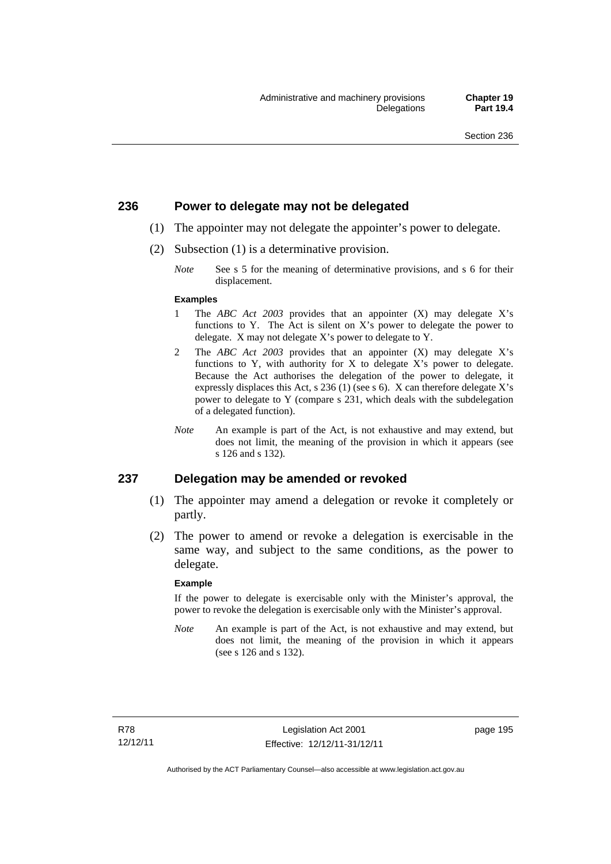### **236 Power to delegate may not be delegated**

- (1) The appointer may not delegate the appointer's power to delegate.
- (2) Subsection (1) is a determinative provision.
	- *Note* See s 5 for the meaning of determinative provisions, and s 6 for their displacement.

#### **Examples**

- 1 The *ABC Act 2003* provides that an appointer (X) may delegate X's functions to Y. The Act is silent on X's power to delegate the power to delegate. X may not delegate X's power to delegate to Y.
- 2 The *ABC Act 2003* provides that an appointer (X) may delegate X's functions to Y, with authority for X to delegate X's power to delegate. Because the Act authorises the delegation of the power to delegate, it expressly displaces this Act, s 236 (1) (see s 6). X can therefore delegate X's power to delegate to Y (compare s 231, which deals with the subdelegation of a delegated function).
- *Note* An example is part of the Act, is not exhaustive and may extend, but does not limit, the meaning of the provision in which it appears (see s 126 and s 132).

### **237 Delegation may be amended or revoked**

- (1) The appointer may amend a delegation or revoke it completely or partly.
- (2) The power to amend or revoke a delegation is exercisable in the same way, and subject to the same conditions, as the power to delegate.

#### **Example**

If the power to delegate is exercisable only with the Minister's approval, the power to revoke the delegation is exercisable only with the Minister's approval.

*Note* An example is part of the Act, is not exhaustive and may extend, but does not limit, the meaning of the provision in which it appears (see s 126 and s 132).

page 195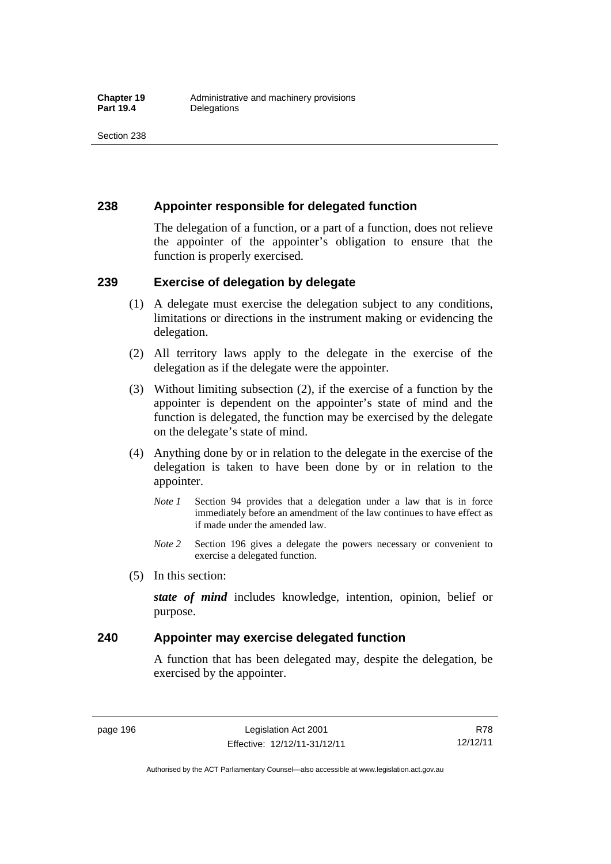## **238 Appointer responsible for delegated function**

The delegation of a function, or a part of a function, does not relieve the appointer of the appointer's obligation to ensure that the function is properly exercised.

## **239 Exercise of delegation by delegate**

- (1) A delegate must exercise the delegation subject to any conditions, limitations or directions in the instrument making or evidencing the delegation.
- (2) All territory laws apply to the delegate in the exercise of the delegation as if the delegate were the appointer.
- (3) Without limiting subsection (2), if the exercise of a function by the appointer is dependent on the appointer's state of mind and the function is delegated, the function may be exercised by the delegate on the delegate's state of mind.
- (4) Anything done by or in relation to the delegate in the exercise of the delegation is taken to have been done by or in relation to the appointer.
	- *Note 1* Section 94 provides that a delegation under a law that is in force immediately before an amendment of the law continues to have effect as if made under the amended law.
	- *Note 2* Section 196 gives a delegate the powers necessary or convenient to exercise a delegated function.
- (5) In this section:

*state of mind* includes knowledge, intention, opinion, belief or purpose.

## **240 Appointer may exercise delegated function**

A function that has been delegated may, despite the delegation, be exercised by the appointer.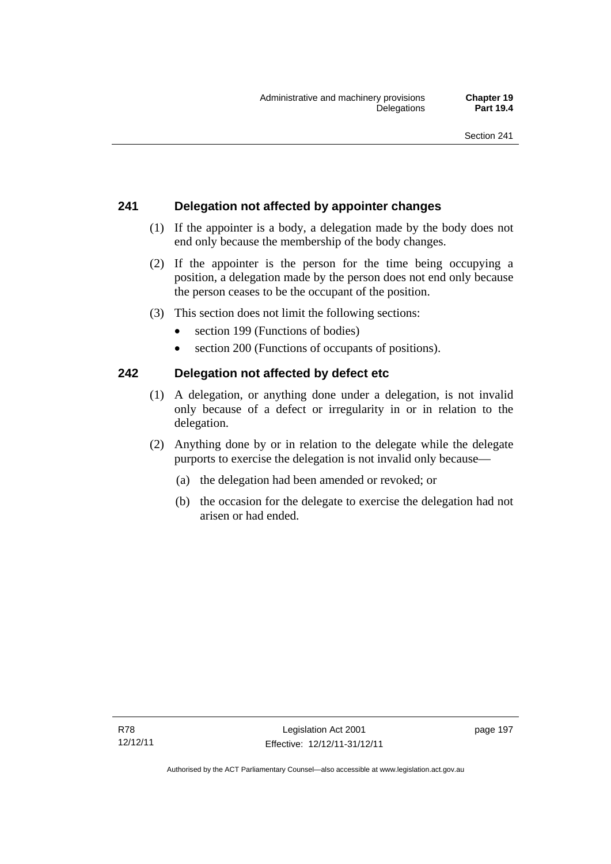## **241 Delegation not affected by appointer changes**

- (1) If the appointer is a body, a delegation made by the body does not end only because the membership of the body changes.
- (2) If the appointer is the person for the time being occupying a position, a delegation made by the person does not end only because the person ceases to be the occupant of the position.
- (3) This section does not limit the following sections:
	- section 199 (Functions of bodies)
	- section 200 (Functions of occupants of positions).

# **242 Delegation not affected by defect etc**

- (1) A delegation, or anything done under a delegation, is not invalid only because of a defect or irregularity in or in relation to the delegation.
- (2) Anything done by or in relation to the delegate while the delegate purports to exercise the delegation is not invalid only because—
	- (a) the delegation had been amended or revoked; or
	- (b) the occasion for the delegate to exercise the delegation had not arisen or had ended.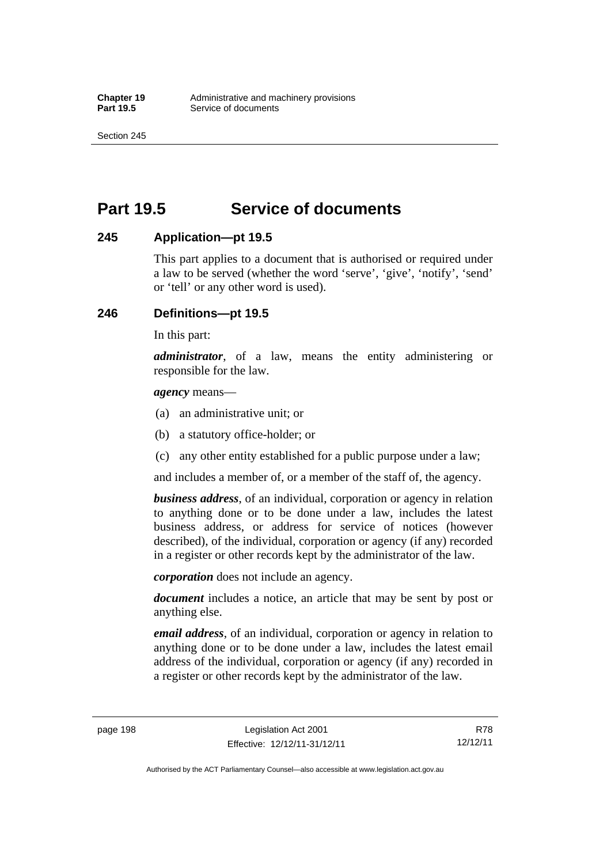Section 245

# **Part 19.5 Service of documents**

## **245 Application—pt 19.5**

This part applies to a document that is authorised or required under a law to be served (whether the word 'serve', 'give', 'notify', 'send' or 'tell' or any other word is used).

## **246 Definitions—pt 19.5**

In this part:

*administrator*, of a law, means the entity administering or responsible for the law.

*agency* means—

- (a) an administrative unit; or
- (b) a statutory office-holder; or
- (c) any other entity established for a public purpose under a law;

and includes a member of, or a member of the staff of, the agency.

*business address*, of an individual, corporation or agency in relation to anything done or to be done under a law, includes the latest business address, or address for service of notices (however described), of the individual, corporation or agency (if any) recorded in a register or other records kept by the administrator of the law.

*corporation* does not include an agency.

*document* includes a notice, an article that may be sent by post or anything else.

*email address*, of an individual, corporation or agency in relation to anything done or to be done under a law, includes the latest email address of the individual, corporation or agency (if any) recorded in a register or other records kept by the administrator of the law.

R78 12/12/11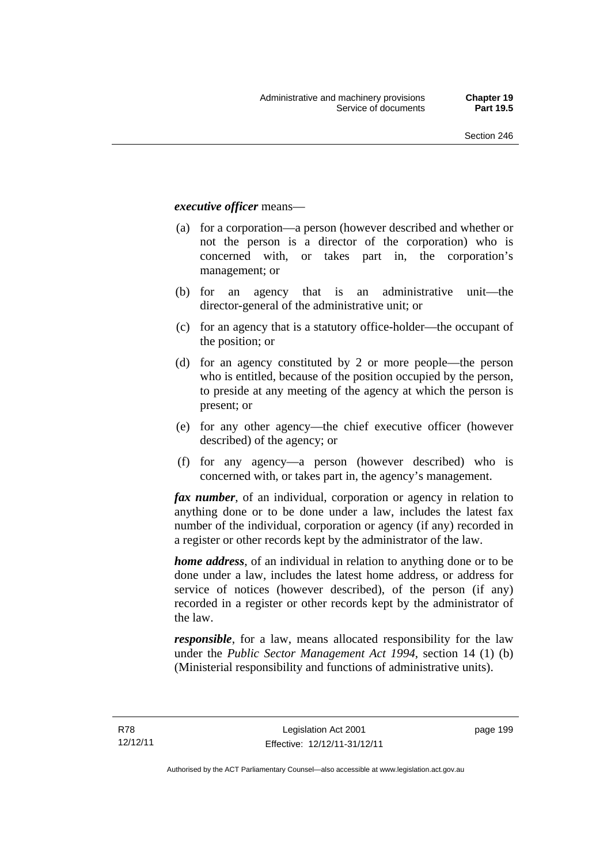### *executive officer* means—

- (a) for a corporation—a person (however described and whether or not the person is a director of the corporation) who is concerned with, or takes part in, the corporation's management; or
- (b) for an agency that is an administrative unit—the director-general of the administrative unit; or
- (c) for an agency that is a statutory office-holder—the occupant of the position; or
- (d) for an agency constituted by 2 or more people—the person who is entitled, because of the position occupied by the person, to preside at any meeting of the agency at which the person is present; or
- (e) for any other agency—the chief executive officer (however described) of the agency; or
- (f) for any agency—a person (however described) who is concerned with, or takes part in, the agency's management.

*fax number*, of an individual, corporation or agency in relation to anything done or to be done under a law, includes the latest fax number of the individual, corporation or agency (if any) recorded in a register or other records kept by the administrator of the law.

*home address*, of an individual in relation to anything done or to be done under a law, includes the latest home address, or address for service of notices (however described), of the person (if any) recorded in a register or other records kept by the administrator of the law.

*responsible*, for a law, means allocated responsibility for the law under the *Public Sector Management Act 1994*, section 14 (1) (b) (Ministerial responsibility and functions of administrative units).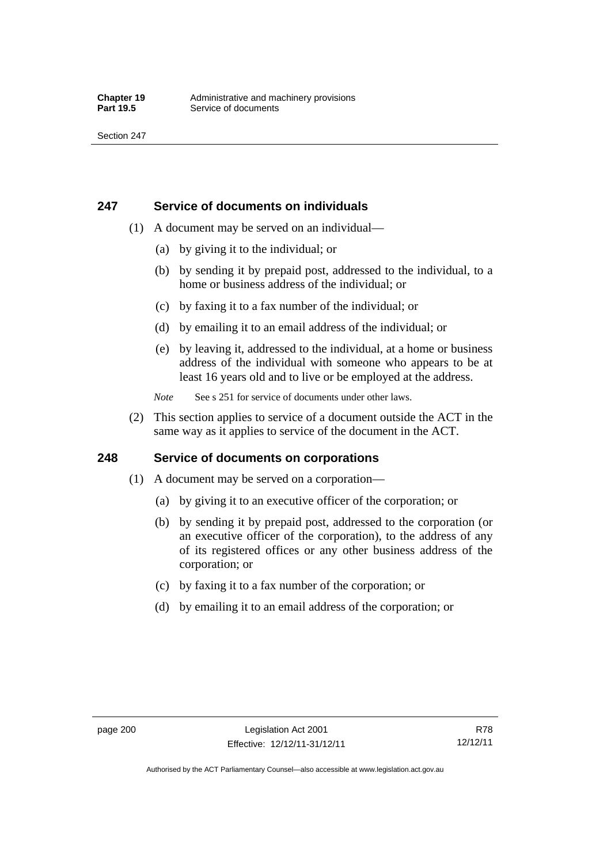## **247 Service of documents on individuals**

- (1) A document may be served on an individual—
	- (a) by giving it to the individual; or
	- (b) by sending it by prepaid post, addressed to the individual, to a home or business address of the individual; or
	- (c) by faxing it to a fax number of the individual; or
	- (d) by emailing it to an email address of the individual; or
	- (e) by leaving it, addressed to the individual, at a home or business address of the individual with someone who appears to be at least 16 years old and to live or be employed at the address.
	- *Note* See s 251 for service of documents under other laws.
- (2) This section applies to service of a document outside the ACT in the same way as it applies to service of the document in the ACT.

## **248 Service of documents on corporations**

- (1) A document may be served on a corporation—
	- (a) by giving it to an executive officer of the corporation; or
	- (b) by sending it by prepaid post, addressed to the corporation (or an executive officer of the corporation), to the address of any of its registered offices or any other business address of the corporation; or
	- (c) by faxing it to a fax number of the corporation; or
	- (d) by emailing it to an email address of the corporation; or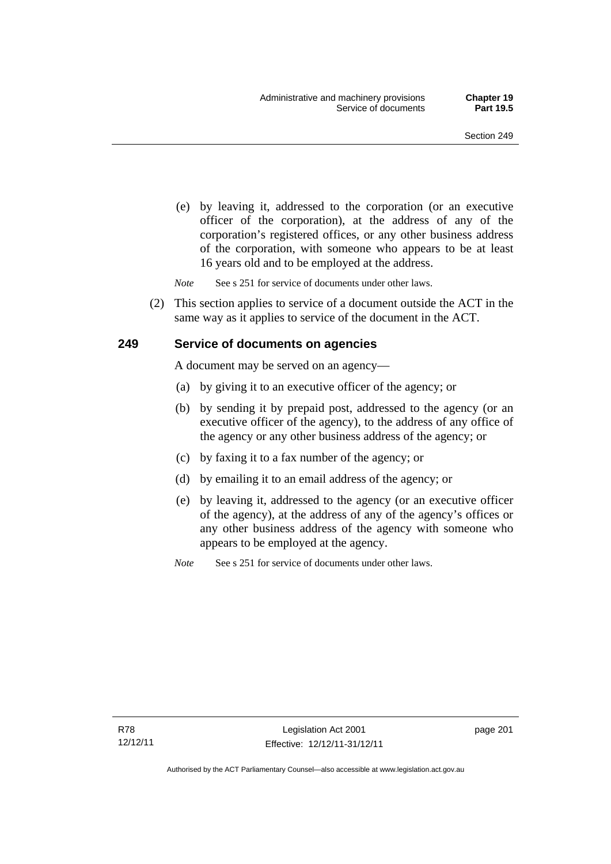(e) by leaving it, addressed to the corporation (or an executive officer of the corporation), at the address of any of the corporation's registered offices, or any other business address of the corporation, with someone who appears to be at least 16 years old and to be employed at the address.

*Note* See s 251 for service of documents under other laws.

 (2) This section applies to service of a document outside the ACT in the same way as it applies to service of the document in the ACT.

### **249 Service of documents on agencies**

A document may be served on an agency—

- (a) by giving it to an executive officer of the agency; or
- (b) by sending it by prepaid post, addressed to the agency (or an executive officer of the agency), to the address of any office of the agency or any other business address of the agency; or
- (c) by faxing it to a fax number of the agency; or
- (d) by emailing it to an email address of the agency; or
- (e) by leaving it, addressed to the agency (or an executive officer of the agency), at the address of any of the agency's offices or any other business address of the agency with someone who appears to be employed at the agency.

*Note* See s 251 for service of documents under other laws.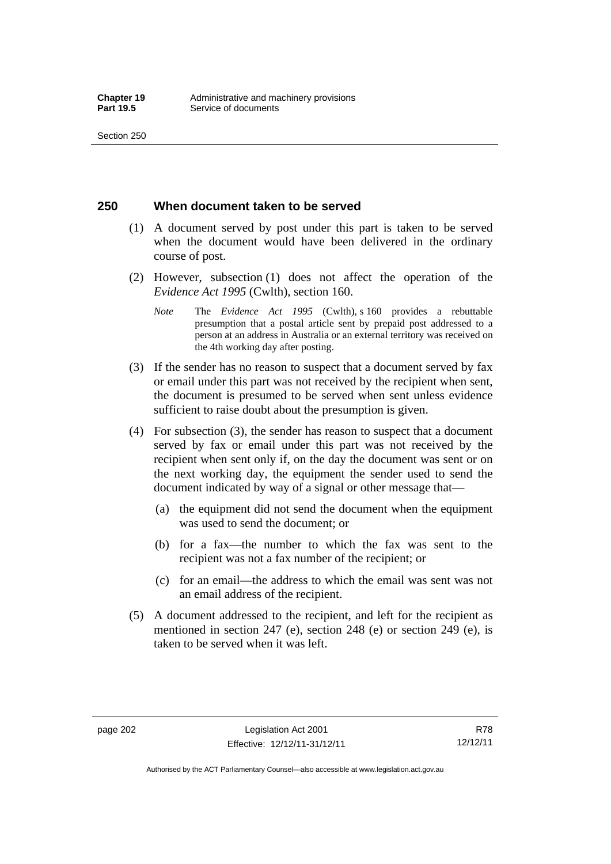### **250 When document taken to be served**

- (1) A document served by post under this part is taken to be served when the document would have been delivered in the ordinary course of post.
- (2) However, subsection (1) does not affect the operation of the *Evidence Act 1995* (Cwlth), section 160.
	- *Note* The *Evidence Act 1995* (Cwlth), s 160 provides a rebuttable presumption that a postal article sent by prepaid post addressed to a person at an address in Australia or an external territory was received on the 4th working day after posting.
- (3) If the sender has no reason to suspect that a document served by fax or email under this part was not received by the recipient when sent, the document is presumed to be served when sent unless evidence sufficient to raise doubt about the presumption is given.
- (4) For subsection (3), the sender has reason to suspect that a document served by fax or email under this part was not received by the recipient when sent only if, on the day the document was sent or on the next working day, the equipment the sender used to send the document indicated by way of a signal or other message that—
	- (a) the equipment did not send the document when the equipment was used to send the document; or
	- (b) for a fax—the number to which the fax was sent to the recipient was not a fax number of the recipient; or
	- (c) for an email—the address to which the email was sent was not an email address of the recipient.
- (5) A document addressed to the recipient, and left for the recipient as mentioned in section 247 (e), section 248 (e) or section 249 (e), is taken to be served when it was left.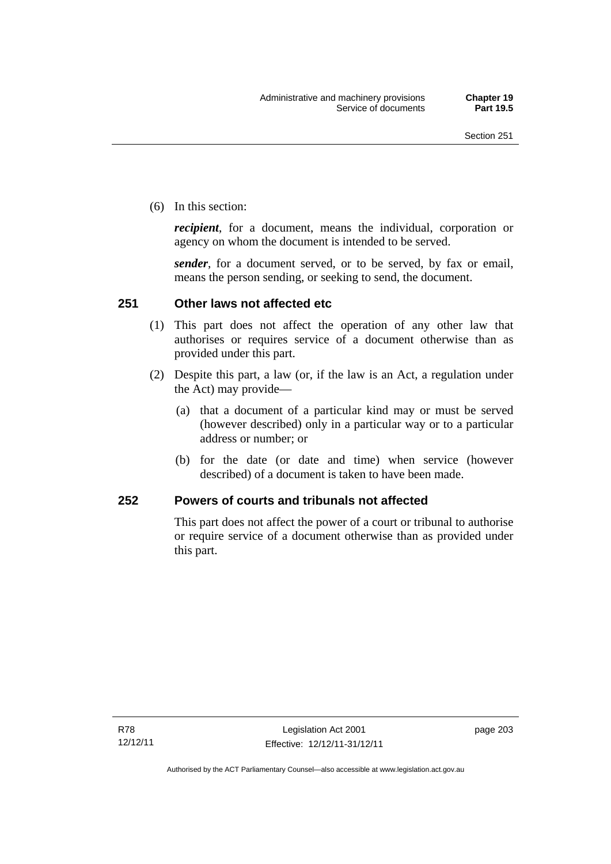(6) In this section:

*recipient*, for a document, means the individual, corporation or agency on whom the document is intended to be served.

*sender*, for a document served, or to be served, by fax or email, means the person sending, or seeking to send, the document.

### **251 Other laws not affected etc**

- (1) This part does not affect the operation of any other law that authorises or requires service of a document otherwise than as provided under this part.
- (2) Despite this part, a law (or, if the law is an Act, a regulation under the Act) may provide—
	- (a) that a document of a particular kind may or must be served (however described) only in a particular way or to a particular address or number; or
	- (b) for the date (or date and time) when service (however described) of a document is taken to have been made.

### **252 Powers of courts and tribunals not affected**

This part does not affect the power of a court or tribunal to authorise or require service of a document otherwise than as provided under this part.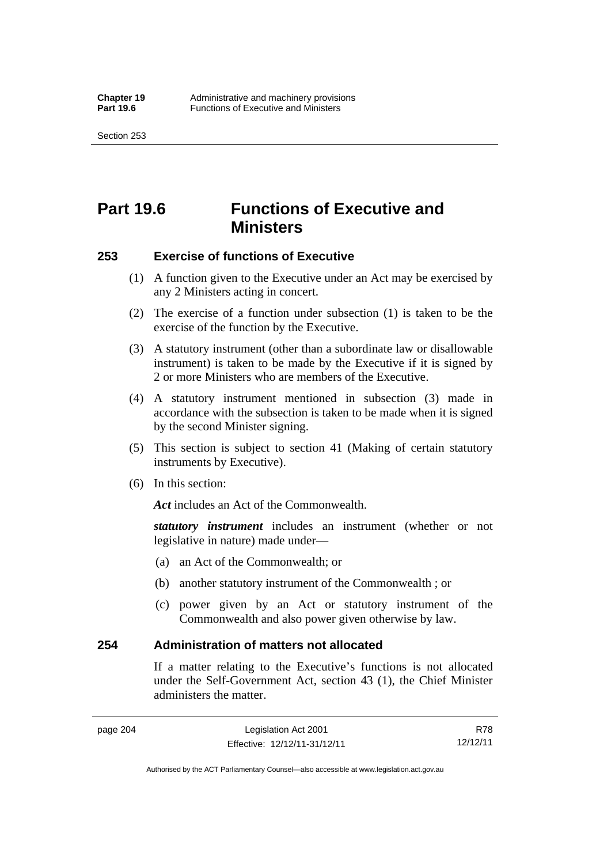Section 253

# **Part 19.6 Functions of Executive and Ministers**

### **253 Exercise of functions of Executive**

- (1) A function given to the Executive under an Act may be exercised by any 2 Ministers acting in concert.
- (2) The exercise of a function under subsection (1) is taken to be the exercise of the function by the Executive.
- (3) A statutory instrument (other than a subordinate law or disallowable instrument) is taken to be made by the Executive if it is signed by 2 or more Ministers who are members of the Executive.
- (4) A statutory instrument mentioned in subsection (3) made in accordance with the subsection is taken to be made when it is signed by the second Minister signing.
- (5) This section is subject to section 41 (Making of certain statutory instruments by Executive).
- (6) In this section:

Act includes an Act of the Commonwealth.

*statutory instrument* includes an instrument (whether or not legislative in nature) made under—

- (a) an Act of the Commonwealth; or
- (b) another statutory instrument of the Commonwealth ; or
- (c) power given by an Act or statutory instrument of the Commonwealth and also power given otherwise by law.

### **254 Administration of matters not allocated**

If a matter relating to the Executive's functions is not allocated under the Self-Government Act, section 43 (1), the Chief Minister administers the matter.

R78 12/12/11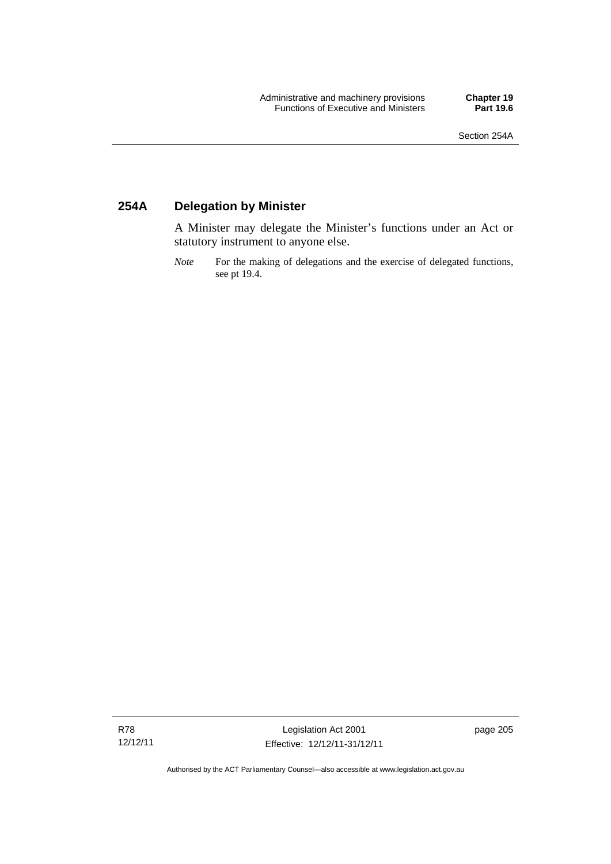## **254A Delegation by Minister**

A Minister may delegate the Minister's functions under an Act or statutory instrument to anyone else.

*Note* For the making of delegations and the exercise of delegated functions, see pt 19.4.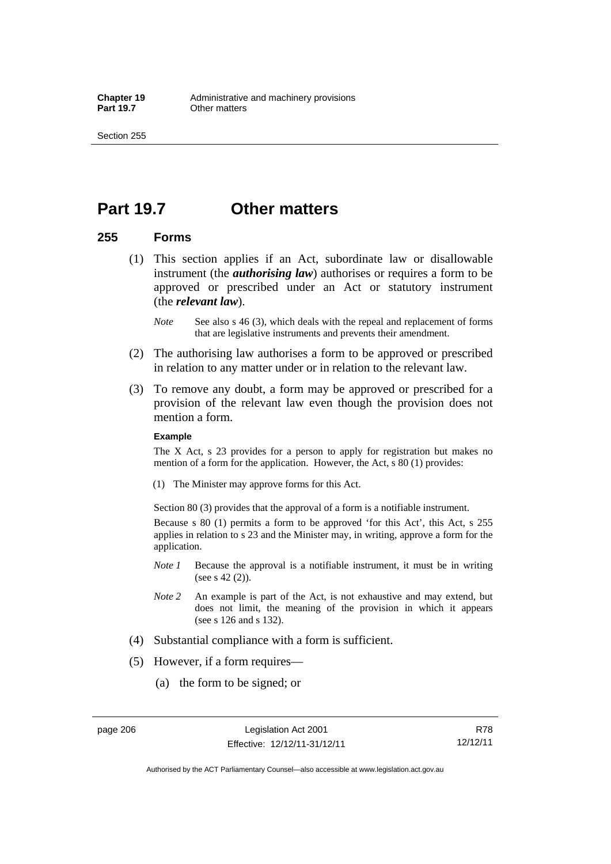Section 255

# **Part 19.7 Other matters**

### **255 Forms**

- (1) This section applies if an Act, subordinate law or disallowable instrument (the *authorising law*) authorises or requires a form to be approved or prescribed under an Act or statutory instrument (the *relevant law*).
	- *Note* See also s 46 (3), which deals with the repeal and replacement of forms that are legislative instruments and prevents their amendment.
- (2) The authorising law authorises a form to be approved or prescribed in relation to any matter under or in relation to the relevant law.
- (3) To remove any doubt, a form may be approved or prescribed for a provision of the relevant law even though the provision does not mention a form.

#### **Example**

The X Act, s 23 provides for a person to apply for registration but makes no mention of a form for the application. However, the Act, s 80 (1) provides:

(1) The Minister may approve forms for this Act.

Section 80 (3) provides that the approval of a form is a notifiable instrument.

Because s 80 (1) permits a form to be approved 'for this Act', this Act, s 255 applies in relation to s 23 and the Minister may, in writing, approve a form for the application.

- *Note 1* Because the approval is a notifiable instrument, it must be in writing (see s 42 (2)).
- *Note 2* An example is part of the Act, is not exhaustive and may extend, but does not limit, the meaning of the provision in which it appears (see s 126 and s 132).
- (4) Substantial compliance with a form is sufficient.
- (5) However, if a form requires—
	- (a) the form to be signed; or

page 206 Legislation Act 2001 Effective: 12/12/11-31/12/11

R78 12/12/11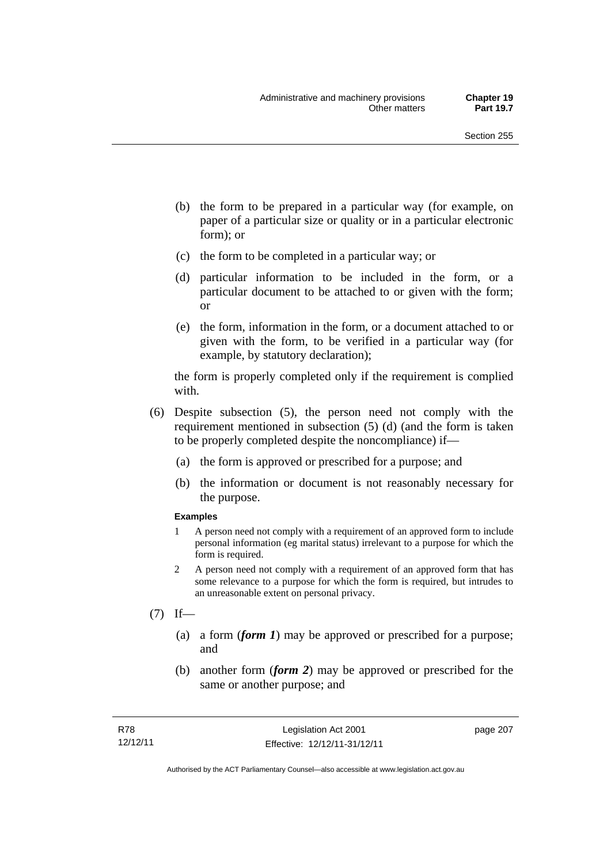- (b) the form to be prepared in a particular way (for example, on paper of a particular size or quality or in a particular electronic form); or
- (c) the form to be completed in a particular way; or
- (d) particular information to be included in the form, or a particular document to be attached to or given with the form; or
- (e) the form, information in the form, or a document attached to or given with the form, to be verified in a particular way (for example, by statutory declaration);

the form is properly completed only if the requirement is complied with.

- (6) Despite subsection (5), the person need not comply with the requirement mentioned in subsection (5) (d) (and the form is taken to be properly completed despite the noncompliance) if—
	- (a) the form is approved or prescribed for a purpose; and
	- (b) the information or document is not reasonably necessary for the purpose.

#### **Examples**

- 1 A person need not comply with a requirement of an approved form to include personal information (eg marital status) irrelevant to a purpose for which the form is required.
- 2 A person need not comply with a requirement of an approved form that has some relevance to a purpose for which the form is required, but intrudes to an unreasonable extent on personal privacy.
- $(7)$  If—
	- (a) a form (*form 1*) may be approved or prescribed for a purpose; and
	- (b) another form (*form 2*) may be approved or prescribed for the same or another purpose; and

page 207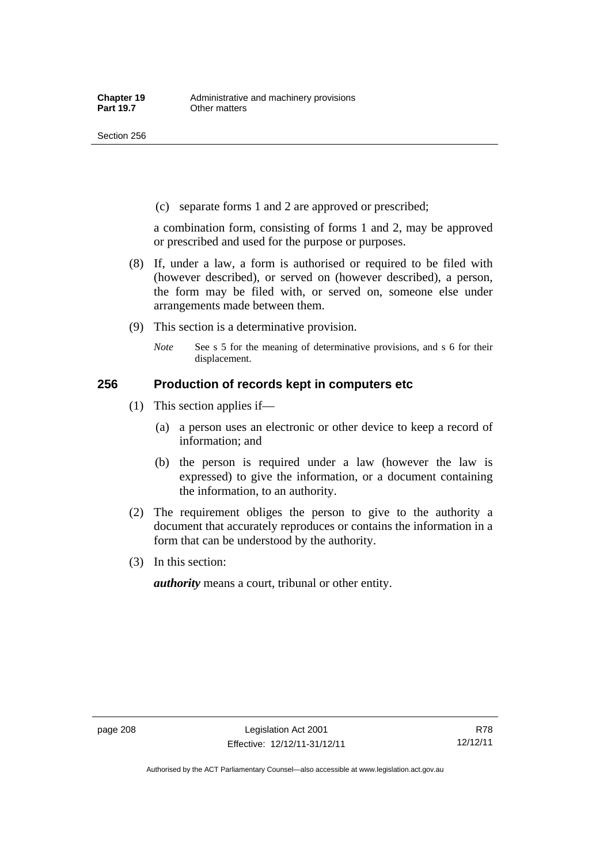(c) separate forms 1 and 2 are approved or prescribed;

a combination form, consisting of forms 1 and 2, may be approved or prescribed and used for the purpose or purposes.

- (8) If, under a law, a form is authorised or required to be filed with (however described), or served on (however described), a person, the form may be filed with, or served on, someone else under arrangements made between them.
- (9) This section is a determinative provision.
	- *Note* See s 5 for the meaning of determinative provisions, and s 6 for their displacement.

### **256 Production of records kept in computers etc**

- (1) This section applies if—
	- (a) a person uses an electronic or other device to keep a record of information; and
	- (b) the person is required under a law (however the law is expressed) to give the information, or a document containing the information, to an authority.
- (2) The requirement obliges the person to give to the authority a document that accurately reproduces or contains the information in a form that can be understood by the authority.
- (3) In this section:

*authority* means a court, tribunal or other entity.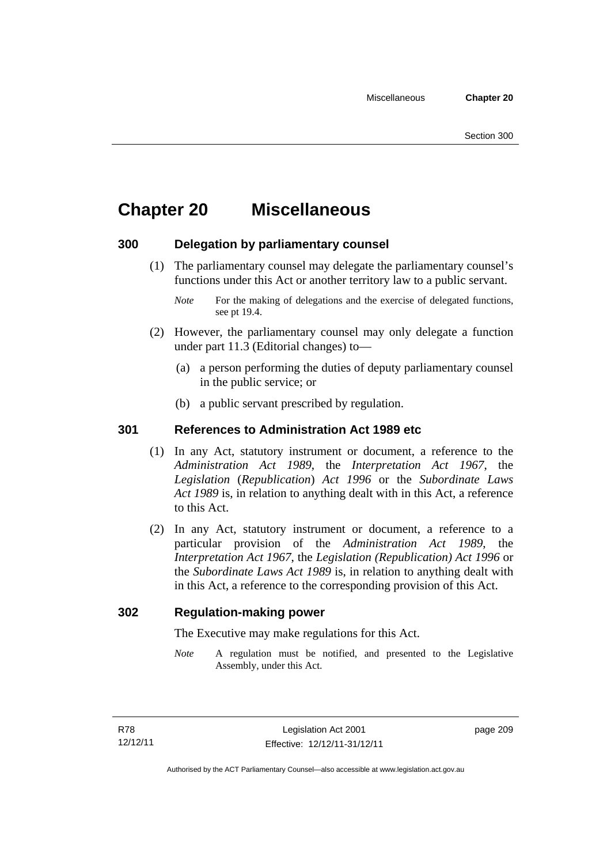# **Chapter 20 Miscellaneous**

### **300 Delegation by parliamentary counsel**

 (1) The parliamentary counsel may delegate the parliamentary counsel's functions under this Act or another territory law to a public servant.

- (2) However, the parliamentary counsel may only delegate a function under part 11.3 (Editorial changes) to—
	- (a) a person performing the duties of deputy parliamentary counsel in the public service; or
	- (b) a public servant prescribed by regulation.

### **301 References to Administration Act 1989 etc**

- (1) In any Act, statutory instrument or document, a reference to the *Administration Act 1989*, the *Interpretation Act 1967*, the *Legislation* (*Republication*) *Act 1996* or the *Subordinate Laws Act 1989* is, in relation to anything dealt with in this Act, a reference to this Act.
- (2) In any Act, statutory instrument or document, a reference to a particular provision of the *Administration Act 1989*, the *Interpretation Act 1967*, the *Legislation (Republication) Act 1996* or the *Subordinate Laws Act 1989* is, in relation to anything dealt with in this Act, a reference to the corresponding provision of this Act.

### **302 Regulation-making power**

The Executive may make regulations for this Act.

*Note* A regulation must be notified, and presented to the Legislative Assembly, under this Act.

page 209

*Note* For the making of delegations and the exercise of delegated functions, see pt 19.4.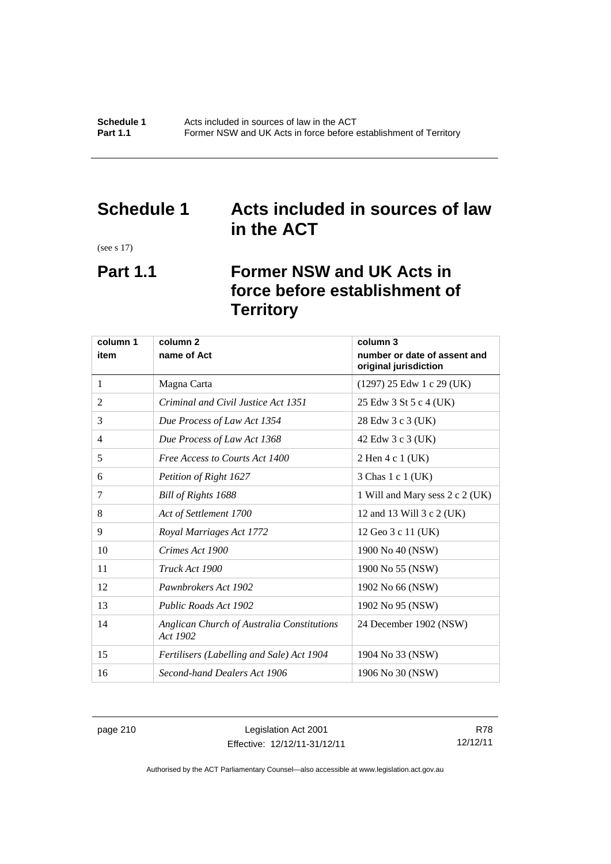# **Schedule 1 Acts included in sources of law in the ACT**

(see s 17)

# **Part 1.1 Former NSW and UK Acts in force before establishment of Territory**

| column 1 | column <sub>2</sub><br>column 3                        |                                                       |
|----------|--------------------------------------------------------|-------------------------------------------------------|
| item     | name of Act                                            | number or date of assent and<br>original jurisdiction |
| 1        | Magna Carta                                            | $(1297)$ 25 Edw 1 c 29 (UK)                           |
| 2        | Criminal and Civil Justice Act 1351                    | 25 Edw 3 St 5 c 4 (UK)                                |
| 3        | Due Process of Law Act 1354                            | 28 Edw 3 c 3 (UK)                                     |
| 4        | Due Process of Law Act 1368                            | 42 Edw 3 c 3 (UK)                                     |
| 5        | Free Access to Courts Act 1400                         | 2 Hen 4 c 1 (UK)                                      |
| 6        | Petition of Right 1627                                 | 3 Chas 1 c 1 (UK)                                     |
| 7        | Bill of Rights 1688                                    | 1 Will and Mary sess 2 c 2 (UK)                       |
| 8        | Act of Settlement 1700                                 | 12 and 13 Will 3 c 2 (UK)                             |
| 9        | Royal Marriages Act 1772                               | 12 Geo 3 c 11 (UK)                                    |
| 10       | Crimes Act 1900                                        | 1900 No 40 (NSW)                                      |
| 11       | Truck Act 1900                                         | 1900 No 55 (NSW)                                      |
| 12       | Pawnbrokers Act 1902                                   | 1902 No 66 (NSW)                                      |
| 13       | Public Roads Act 1902                                  | 1902 No 95 (NSW)                                      |
| 14       | Anglican Church of Australia Constitutions<br>Act 1902 | 24 December 1902 (NSW)                                |
| 15       | Fertilisers (Labelling and Sale) Act 1904              | 1904 No 33 (NSW)                                      |
| 16       | Second-hand Dealers Act 1906                           | 1906 No 30 (NSW)                                      |

page 210 Legislation Act 2001 Effective: 12/12/11-31/12/11

R78 12/12/11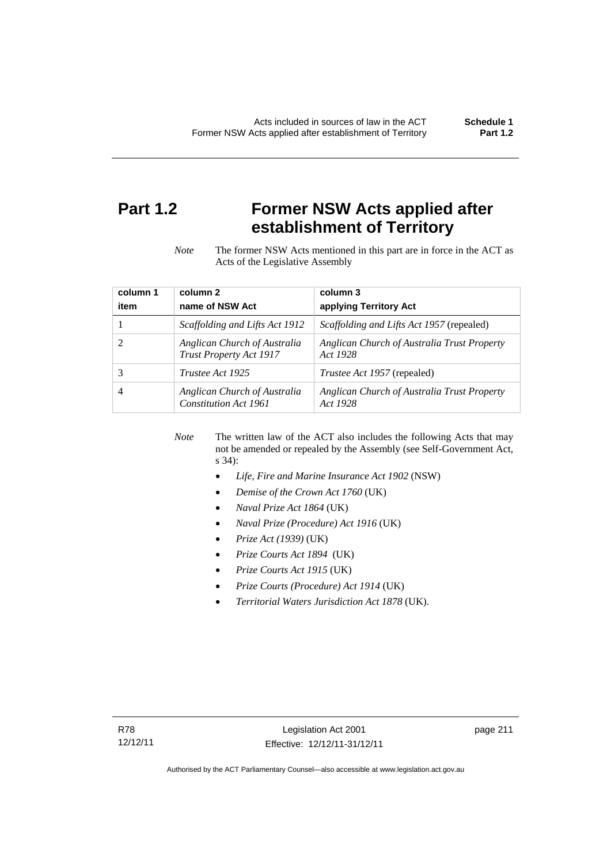# **Part 1.2 Former NSW Acts applied after establishment of Territory**

*Note* The former NSW Acts mentioned in this part are in force in the ACT as Acts of the Legislative Assembly

| column 1 | column <sub>2</sub>                                     | column 3                                                |
|----------|---------------------------------------------------------|---------------------------------------------------------|
| item     | name of NSW Act                                         | applying Territory Act                                  |
|          | Scaffolding and Lifts Act 1912                          | <i>Scaffolding and Lifts Act 1957</i> (repealed)        |
|          | Anglican Church of Australia<br>Trust Property Act 1917 | Anglican Church of Australia Trust Property<br>Act 1928 |
| 3        | Trustee Act 1925                                        | <i>Trustee Act 1957</i> (repealed)                      |
|          | Anglican Church of Australia<br>Constitution Act 1961   | Anglican Church of Australia Trust Property<br>Act 1928 |

*Note* The written law of the ACT also includes the following Acts that may not be amended or repealed by the Assembly (see Self-Government Act, s 34):

- *Life, Fire and Marine Insurance Act 1902* (NSW)
- *Demise of the Crown Act 1760* (UK)
- *Naval Prize Act 1864* (UK)
- *Naval Prize (Procedure) Act 1916* (UK)
- *Prize Act (1939)* (UK)
- *Prize Courts Act 1894* (UK)
- *Prize Courts Act 1915* (UK)
- *Prize Courts (Procedure) Act 1914* (UK)
- *Territorial Waters Jurisdiction Act 1878* (UK).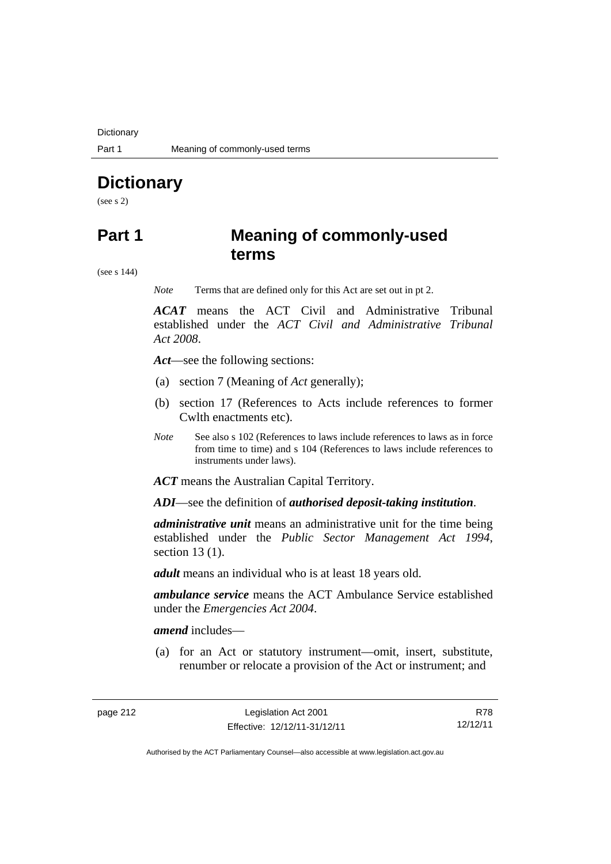**Dictionary** 

# **Dictionary**

(see s 2)

# **Part 1 Meaning of commonly-used terms**

(see s 144)

*Note* Terms that are defined only for this Act are set out in pt 2.

*ACAT* means the ACT Civil and Administrative Tribunal established under the *ACT Civil and Administrative Tribunal Act 2008*.

*Act*—see the following sections:

- (a) section 7 (Meaning of *Act* generally);
- (b) section 17 (References to Acts include references to former Cwlth enactments etc).
- *Note* See also s 102 (References to laws include references to laws as in force from time to time) and s 104 (References to laws include references to instruments under laws).

*ACT* means the Australian Capital Territory.

*ADI*—see the definition of *authorised deposit-taking institution*.

*administrative unit* means an administrative unit for the time being established under the *Public Sector Management Act 1994*, section 13 (1).

*adult* means an individual who is at least 18 years old.

*ambulance service* means the ACT Ambulance Service established under the *Emergencies Act 2004*.

*amend* includes—

 (a) for an Act or statutory instrument—omit, insert, substitute, renumber or relocate a provision of the Act or instrument; and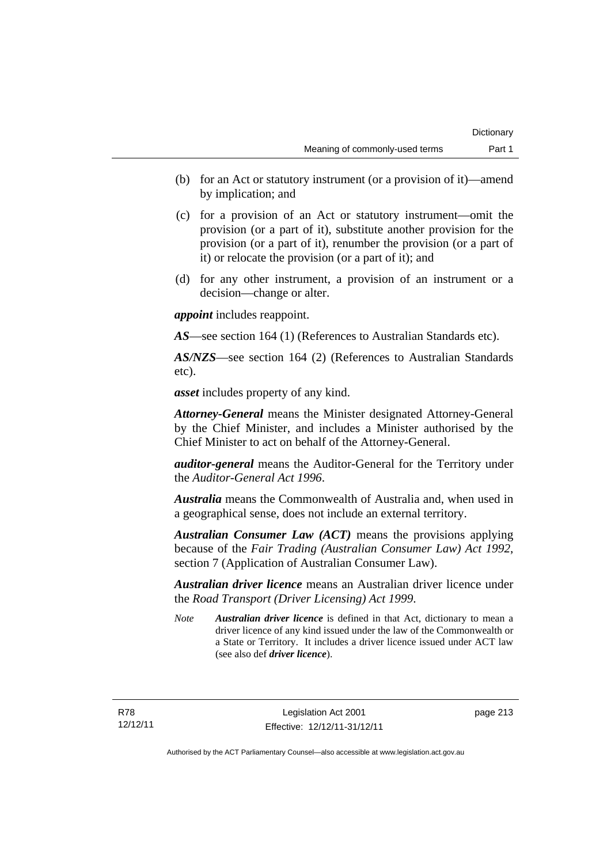- (b) for an Act or statutory instrument (or a provision of it)—amend by implication; and
- (c) for a provision of an Act or statutory instrument—omit the provision (or a part of it), substitute another provision for the provision (or a part of it), renumber the provision (or a part of it) or relocate the provision (or a part of it); and
- (d) for any other instrument, a provision of an instrument or a decision—change or alter.

*appoint* includes reappoint.

*AS*—see section 164 (1) (References to Australian Standards etc).

*AS/NZS*—see section 164 (2) (References to Australian Standards etc).

*asset* includes property of any kind.

*Attorney-General* means the Minister designated Attorney-General by the Chief Minister, and includes a Minister authorised by the Chief Minister to act on behalf of the Attorney-General.

*auditor-general* means the Auditor-General for the Territory under the *Auditor-General Act 1996*.

*Australia* means the Commonwealth of Australia and, when used in a geographical sense, does not include an external territory.

*Australian Consumer Law (ACT)* means the provisions applying because of the *Fair Trading (Australian Consumer Law) Act 1992*, section 7 (Application of Australian Consumer Law).

*Australian driver licence* means an Australian driver licence under the *Road Transport (Driver Licensing) Act 1999*.

*Note Australian driver licence* is defined in that Act, dictionary to mean a driver licence of any kind issued under the law of the Commonwealth or a State or Territory. It includes a driver licence issued under ACT law (see also def *driver licence*).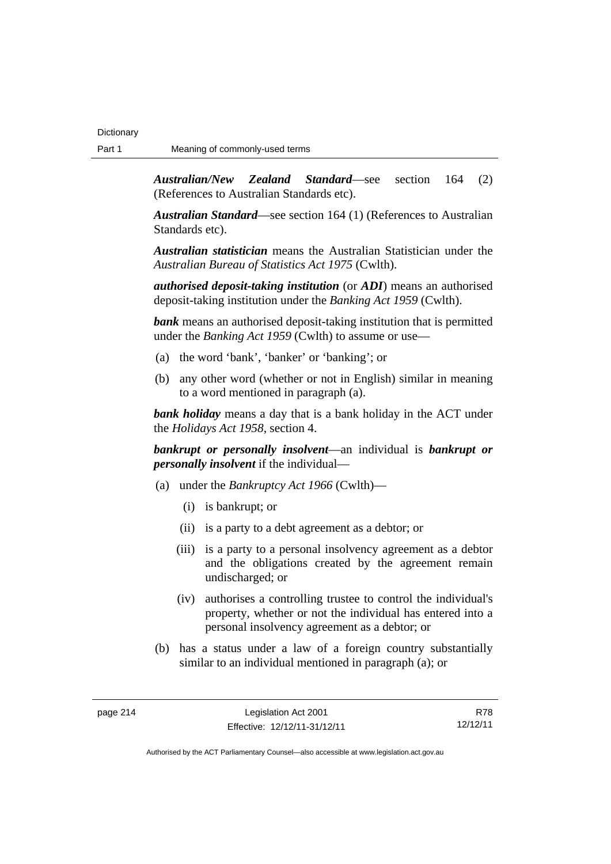*Australian/New Zealand Standard*—see section 164 (2) (References to Australian Standards etc).

*Australian Standard*—see section 164 (1) (References to Australian Standards etc).

*Australian statistician* means the Australian Statistician under the *Australian Bureau of Statistics Act 1975* (Cwlth).

*authorised deposit-taking institution* (or *ADI*) means an authorised deposit-taking institution under the *Banking Act 1959* (Cwlth).

*bank* means an authorised deposit-taking institution that is permitted under the *Banking Act 1959* (Cwlth) to assume or use—

- (a) the word 'bank', 'banker' or 'banking'; or
- (b) any other word (whether or not in English) similar in meaning to a word mentioned in paragraph (a).

*bank holiday* means a day that is a bank holiday in the ACT under the *Holidays Act 1958*, section 4.

*bankrupt or personally insolvent*—an individual is *bankrupt or personally insolvent* if the individual—

- (a) under the *Bankruptcy Act 1966* (Cwlth)—
	- (i) is bankrupt; or
	- (ii) is a party to a debt agreement as a debtor; or
	- (iii) is a party to a personal insolvency agreement as a debtor and the obligations created by the agreement remain undischarged; or
	- (iv) authorises a controlling trustee to control the individual's property, whether or not the individual has entered into a personal insolvency agreement as a debtor; or
- (b) has a status under a law of a foreign country substantially similar to an individual mentioned in paragraph (a); or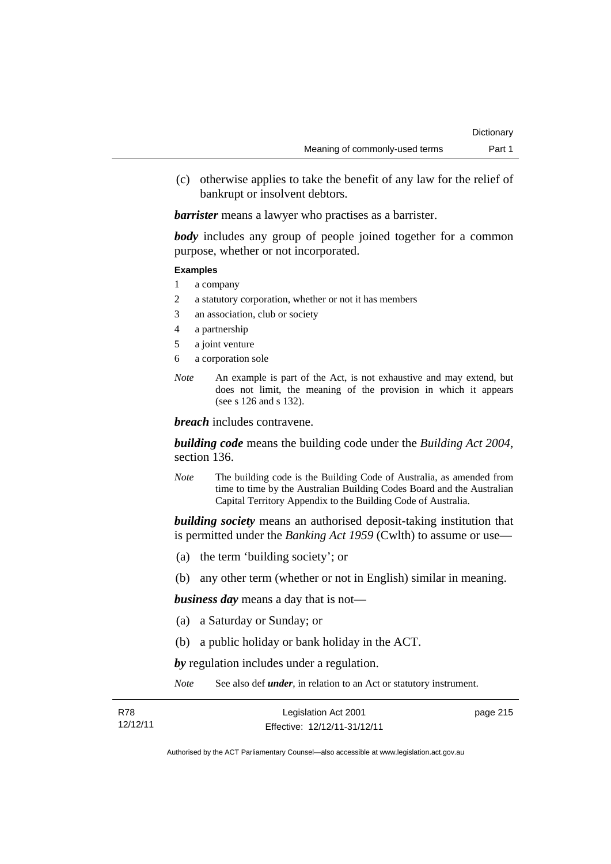(c) otherwise applies to take the benefit of any law for the relief of bankrupt or insolvent debtors.

*barrister* means a lawyer who practises as a barrister.

*body* includes any group of people joined together for a common purpose, whether or not incorporated.

#### **Examples**

- 1 a company
- 2 a statutory corporation, whether or not it has members
- 3 an association, club or society
- 4 a partnership
- 5 a joint venture
- 6 a corporation sole
- *Note* An example is part of the Act, is not exhaustive and may extend, but does not limit, the meaning of the provision in which it appears (see s 126 and s 132).

*breach* includes contravene.

*building code* means the building code under the *Building Act 2004*, section 136.

*Note* The building code is the Building Code of Australia, as amended from time to time by the Australian Building Codes Board and the Australian Capital Territory Appendix to the Building Code of Australia.

*building society* means an authorised deposit-taking institution that is permitted under the *Banking Act 1959* (Cwlth) to assume or use—

- (a) the term 'building society'; or
- (b) any other term (whether or not in English) similar in meaning.

*business day* means a day that is not—

- (a) a Saturday or Sunday; or
- (b) a public holiday or bank holiday in the ACT.

*by* regulation includes under a regulation.

*Note* See also def *under*, in relation to an Act or statutory instrument.

| R78      | Legislation Act 2001         | page 215 |
|----------|------------------------------|----------|
| 12/12/11 | Effective: 12/12/11-31/12/11 |          |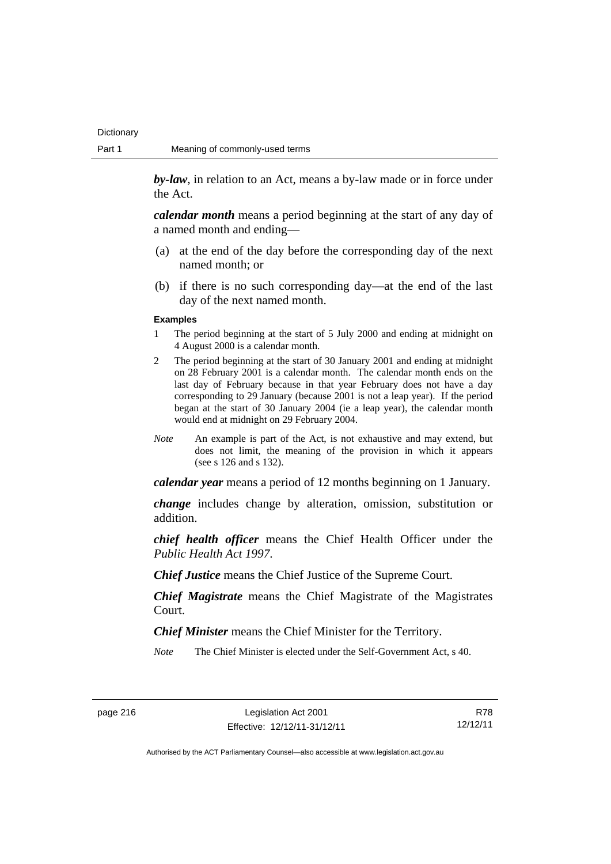**Dictionary** 

*by-law*, in relation to an Act, means a by-law made or in force under the Act.

*calendar month* means a period beginning at the start of any day of a named month and ending—

- (a) at the end of the day before the corresponding day of the next named month; or
- (b) if there is no such corresponding day—at the end of the last day of the next named month.

#### **Examples**

- 1 The period beginning at the start of 5 July 2000 and ending at midnight on 4 August 2000 is a calendar month.
- 2 The period beginning at the start of 30 January 2001 and ending at midnight on 28 February 2001 is a calendar month. The calendar month ends on the last day of February because in that year February does not have a day corresponding to 29 January (because 2001 is not a leap year). If the period began at the start of 30 January 2004 (ie a leap year), the calendar month would end at midnight on 29 February 2004.
- *Note* An example is part of the Act, is not exhaustive and may extend, but does not limit, the meaning of the provision in which it appears (see s 126 and s 132).

*calendar year* means a period of 12 months beginning on 1 January.

*change* includes change by alteration, omission, substitution or addition.

*chief health officer* means the Chief Health Officer under the *Public Health Act 1997*.

*Chief Justice* means the Chief Justice of the Supreme Court.

*Chief Magistrate* means the Chief Magistrate of the Magistrates Court.

*Chief Minister* means the Chief Minister for the Territory.

*Note* The Chief Minister is elected under the Self-Government Act, s 40.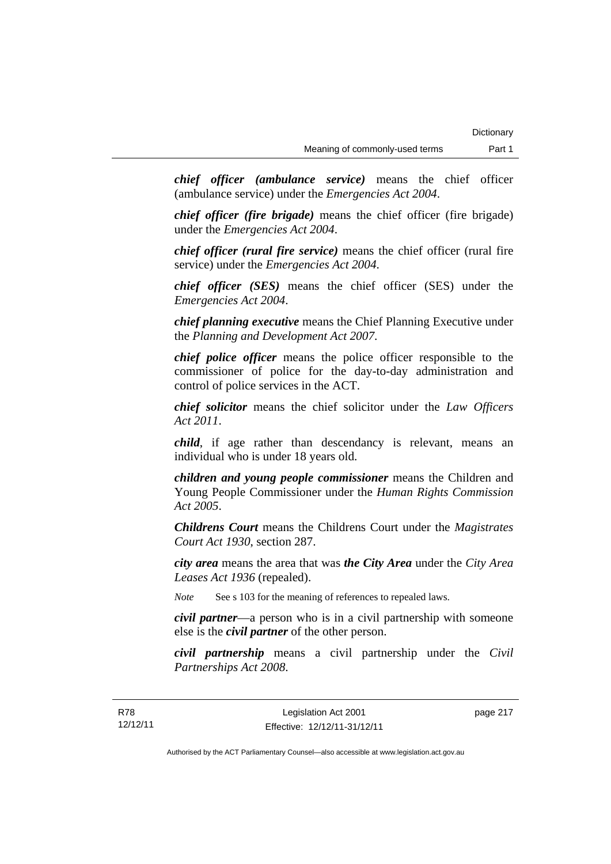*chief officer (ambulance service)* means the chief officer (ambulance service) under the *Emergencies Act 2004*.

*chief officer (fire brigade)* means the chief officer (fire brigade) under the *Emergencies Act 2004*.

*chief officer (rural fire service)* means the chief officer (rural fire service) under the *Emergencies Act 2004*.

*chief officer (SES)* means the chief officer (SES) under the *Emergencies Act 2004*.

*chief planning executive* means the Chief Planning Executive under the *Planning and Development Act 2007*.

*chief police officer* means the police officer responsible to the commissioner of police for the day-to-day administration and control of police services in the ACT.

*chief solicitor* means the chief solicitor under the *Law Officers Act 2011*.

*child*, if age rather than descendancy is relevant, means an individual who is under 18 years old.

*children and young people commissioner* means the Children and Young People Commissioner under the *Human Rights Commission Act 2005*.

*Childrens Court* means the Childrens Court under the *Magistrates Court Act 1930*, section 287.

*city area* means the area that was *the City Area* under the *City Area Leases Act 1936* (repealed).

*Note* See s 103 for the meaning of references to repealed laws.

*civil partner*—a person who is in a civil partnership with someone else is the *civil partner* of the other person.

*civil partnership* means a civil partnership under the *Civil Partnerships Act 2008*.

page 217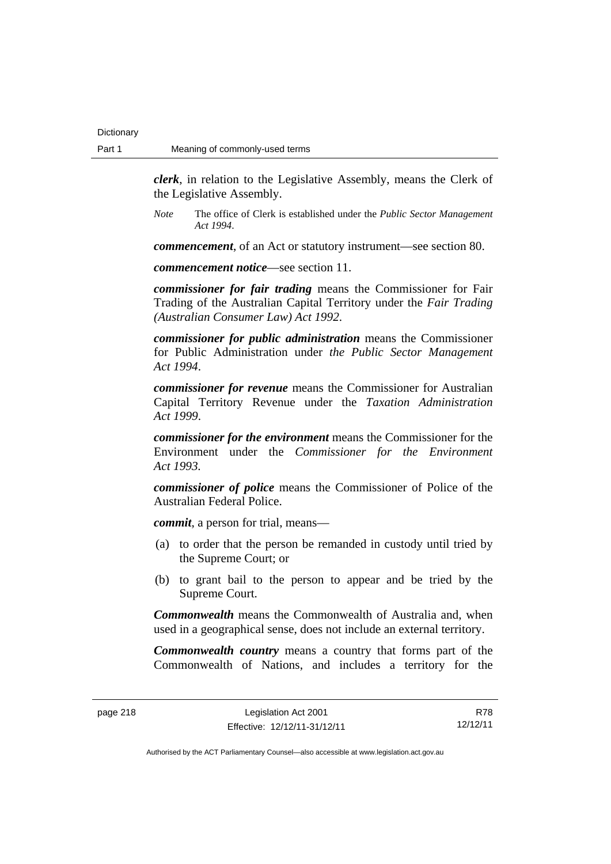*clerk*, in relation to the Legislative Assembly, means the Clerk of the Legislative Assembly.

*Note* The office of Clerk is established under the *Public Sector Management Act 1994*.

*commencement*, of an Act or statutory instrument—see section 80.

*commencement notice*—see section 11.

*commissioner for fair trading* means the Commissioner for Fair Trading of the Australian Capital Territory under the *Fair Trading (Australian Consumer Law) Act 1992*.

*commissioner for public administration* means the Commissioner for Public Administration under *the Public Sector Management Act 1994*.

*commissioner for revenue* means the Commissioner for Australian Capital Territory Revenue under the *Taxation Administration Act 1999*.

*commissioner for the environment* means the Commissioner for the Environment under the *Commissioner for the Environment Act 1993.* 

*commissioner of police* means the Commissioner of Police of the Australian Federal Police.

*commit*, a person for trial, means—

- (a) to order that the person be remanded in custody until tried by the Supreme Court; or
- (b) to grant bail to the person to appear and be tried by the Supreme Court.

*Commonwealth* means the Commonwealth of Australia and, when used in a geographical sense, does not include an external territory.

*Commonwealth country* means a country that forms part of the Commonwealth of Nations, and includes a territory for the

R78 12/12/11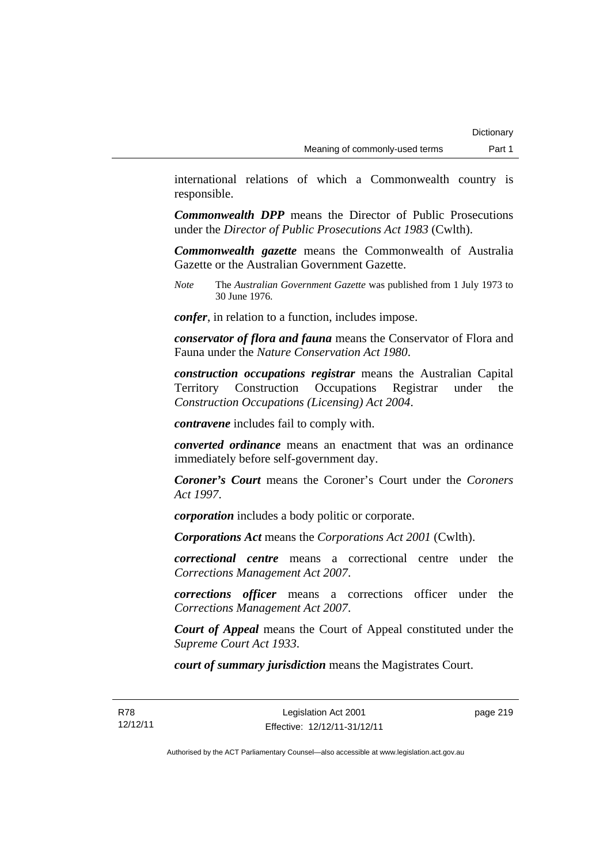international relations of which a Commonwealth country is responsible.

*Commonwealth DPP* means the Director of Public Prosecutions under the *Director of Public Prosecutions Act 1983* (Cwlth).

*Commonwealth gazette* means the Commonwealth of Australia Gazette or the Australian Government Gazette.

*Note* The *Australian Government Gazette* was published from 1 July 1973 to 30 June 1976.

*confer*, in relation to a function, includes impose.

*conservator of flora and fauna* means the Conservator of Flora and Fauna under the *Nature Conservation Act 1980*.

*construction occupations registrar* means the Australian Capital Territory Construction Occupations Registrar under the *Construction Occupations (Licensing) Act 2004*.

*contravene* includes fail to comply with.

*converted ordinance* means an enactment that was an ordinance immediately before self-government day.

*Coroner's Court* means the Coroner's Court under the *Coroners Act 1997*.

*corporation* includes a body politic or corporate.

*Corporations Act* means the *Corporations Act 2001* (Cwlth).

*correctional centre* means a correctional centre under the *Corrections Management Act 2007*.

*corrections officer* means a corrections officer under the *Corrections Management Act 2007*.

*Court of Appeal* means the Court of Appeal constituted under the *Supreme Court Act 1933*.

*court of summary jurisdiction* means the Magistrates Court.

page 219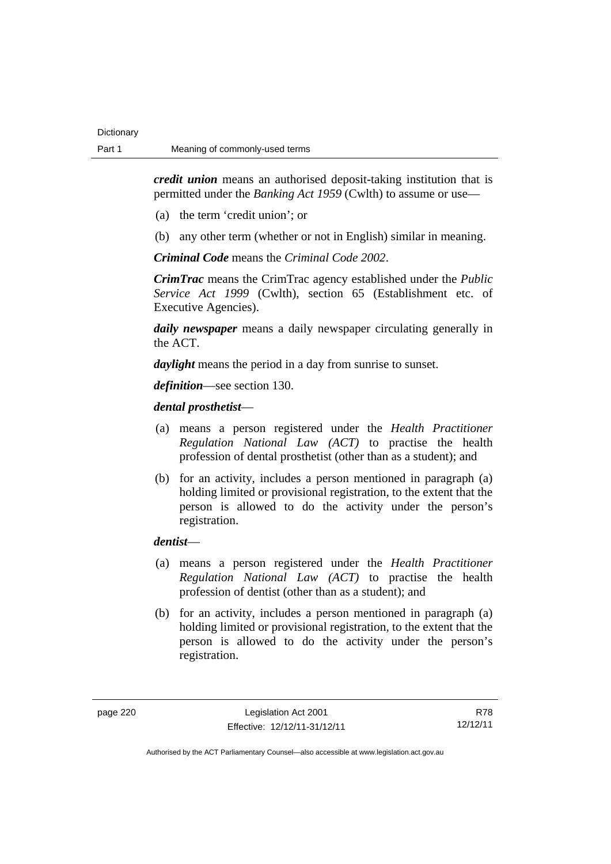*credit union* means an authorised deposit-taking institution that is permitted under the *Banking Act 1959* (Cwlth) to assume or use—

- (a) the term 'credit union'; or
- (b) any other term (whether or not in English) similar in meaning.

*Criminal Code* means the *Criminal Code 2002*.

*CrimTrac* means the CrimTrac agency established under the *Public Service Act 1999* (Cwlth), section 65 (Establishment etc. of Executive Agencies).

*daily newspaper* means a daily newspaper circulating generally in the ACT.

*daylight* means the period in a day from sunrise to sunset.

*definition*—see section 130.

### *dental prosthetist*—

- (a) means a person registered under the *Health Practitioner Regulation National Law (ACT)* to practise the health profession of dental prosthetist (other than as a student); and
- (b) for an activity, includes a person mentioned in paragraph (a) holding limited or provisional registration, to the extent that the person is allowed to do the activity under the person's registration.

### *dentist*—

- (a) means a person registered under the *Health Practitioner Regulation National Law (ACT)* to practise the health profession of dentist (other than as a student); and
- (b) for an activity, includes a person mentioned in paragraph (a) holding limited or provisional registration, to the extent that the person is allowed to do the activity under the person's registration.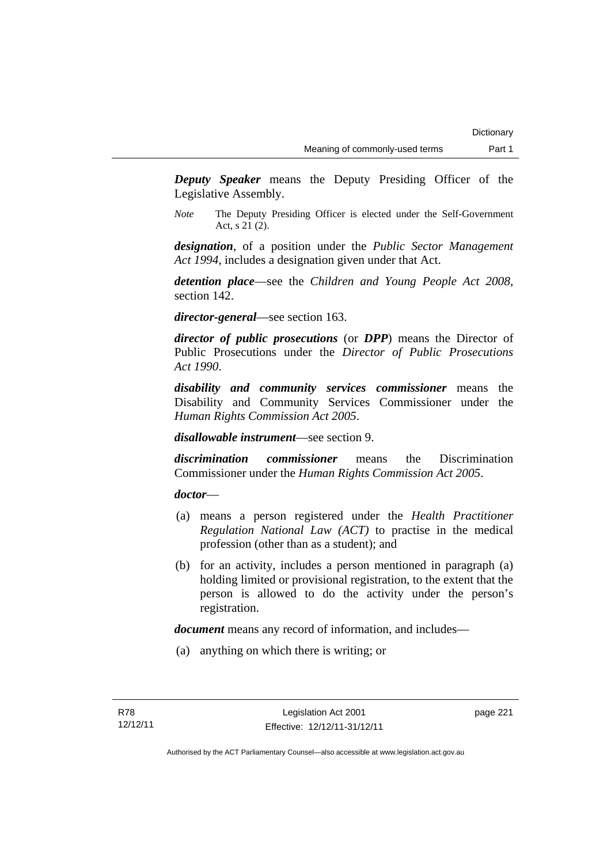*Deputy Speaker* means the Deputy Presiding Officer of the Legislative Assembly.

*Note* The Deputy Presiding Officer is elected under the Self-Government Act, s 21 (2).

*designation*, of a position under the *Public Sector Management Act 1994*, includes a designation given under that Act.

*detention place*—see the *Children and Young People Act 2008*, section 142.

*director-general*—see section 163.

*director of public prosecutions* (or *DPP*) means the Director of Public Prosecutions under the *Director of Public Prosecutions Act 1990*.

*disability and community services commissioner* means the Disability and Community Services Commissioner under the *Human Rights Commission Act 2005*.

*disallowable instrument*—see section 9.

*discrimination commissioner* means the Discrimination Commissioner under the *Human Rights Commission Act 2005*.

*doctor*—

- (a) means a person registered under the *Health Practitioner Regulation National Law (ACT)* to practise in the medical profession (other than as a student); and
- (b) for an activity, includes a person mentioned in paragraph (a) holding limited or provisional registration, to the extent that the person is allowed to do the activity under the person's registration.

*document* means any record of information, and includes—

(a) anything on which there is writing; or

page 221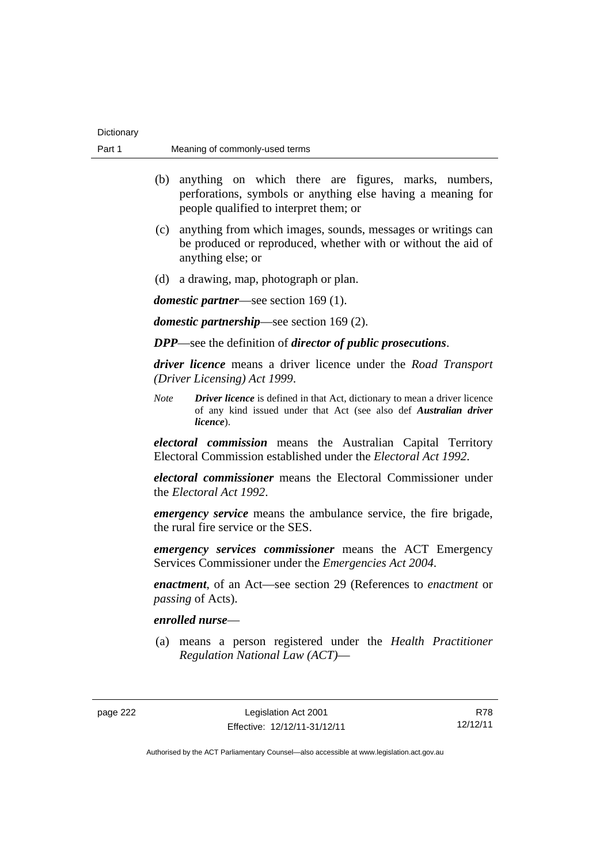| Part 1 | Meaning of commonly-used terms                                                                                                                                                                                                                                                                                                                              |  |
|--------|-------------------------------------------------------------------------------------------------------------------------------------------------------------------------------------------------------------------------------------------------------------------------------------------------------------------------------------------------------------|--|
|        | (b)<br>anything on which there are figures, marks, numbers,<br>perforations, symbols or anything else having a meaning for<br>people qualified to interpret them; or                                                                                                                                                                                        |  |
|        | anything from which images, sounds, messages or writings can<br>(c)<br>be produced or reproduced, whether with or without the aid of<br>anything else; or                                                                                                                                                                                                   |  |
|        | a drawing, map, photograph or plan.<br>(d)                                                                                                                                                                                                                                                                                                                  |  |
|        | <i>domestic partner</i> —see section 169 (1).                                                                                                                                                                                                                                                                                                               |  |
|        | <i>domestic partnership</i> —see section 169 (2).                                                                                                                                                                                                                                                                                                           |  |
|        | <b>DPP</b> —see the definition of <i>director of public prosecutions</i> .                                                                                                                                                                                                                                                                                  |  |
|        | <i>driver licence</i> means a driver licence under the <i>Road Transport</i><br>(Driver Licensing) Act 1999.                                                                                                                                                                                                                                                |  |
|        | <b>Note</b><br><b>Driver licence</b> is defined in that Act, dictionary to mean a driver licence<br>of any kind issued under that Act (see also def Australian driver<br>licence).                                                                                                                                                                          |  |
|        | <i>electoral commission</i> means the Australian Capital Territory<br>Electoral Commission established under the <i>Electoral Act 1992</i> .                                                                                                                                                                                                                |  |
|        | <i>electoral commissioner</i> means the Electoral Commissioner under<br>the <i>Electoral Act 1992</i> .<br><i>emergency service</i> means the ambulance service, the fire brigade,<br>the rural fire service or the SES.<br><i>emergency services commissioner</i> means the ACT Emergency<br>Services Commissioner under the <i>Emergencies Act 2004</i> . |  |
|        |                                                                                                                                                                                                                                                                                                                                                             |  |
|        |                                                                                                                                                                                                                                                                                                                                                             |  |
|        | <i>enactment</i> , of an Act—see section 29 (References to <i>enactment</i> or<br><i>passing</i> of Acts).                                                                                                                                                                                                                                                  |  |
|        | enrolled nurse—                                                                                                                                                                                                                                                                                                                                             |  |
|        | means a person registered under the Health Practitioner<br>(a)<br>Regulation National Law (ACT)-                                                                                                                                                                                                                                                            |  |
|        |                                                                                                                                                                                                                                                                                                                                                             |  |

Dictionary

R78 12/12/11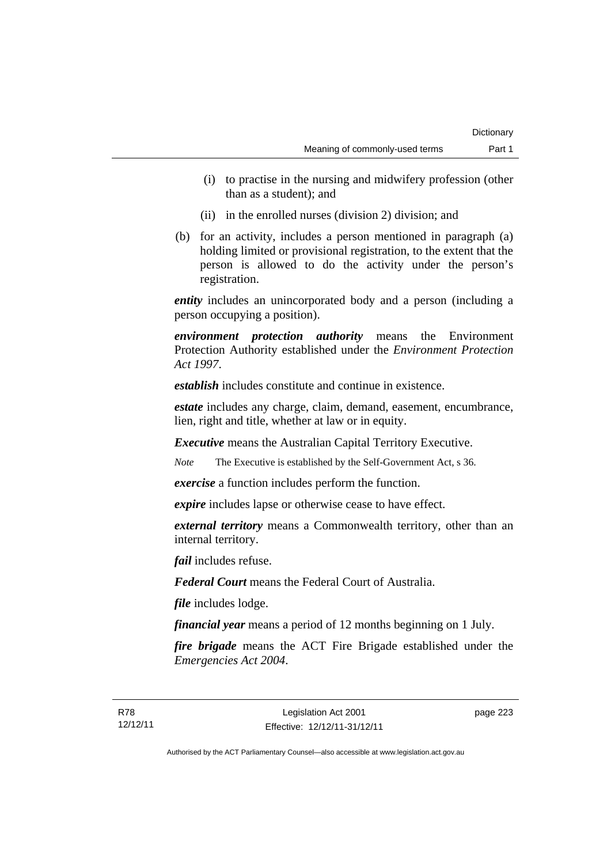- (i) to practise in the nursing and midwifery profession (other than as a student); and
- (ii) in the enrolled nurses (division 2) division; and
- (b) for an activity, includes a person mentioned in paragraph (a) holding limited or provisional registration, to the extent that the person is allowed to do the activity under the person's registration.

*entity* includes an unincorporated body and a person (including a person occupying a position).

*environment protection authority* means the Environment Protection Authority established under the *Environment Protection Act 1997*.

*establish* includes constitute and continue in existence.

*estate* includes any charge, claim, demand, easement, encumbrance, lien, right and title, whether at law or in equity.

*Executive* means the Australian Capital Territory Executive.

*Note* The Executive is established by the Self-Government Act, s 36.

*exercise* a function includes perform the function.

*expire* includes lapse or otherwise cease to have effect.

*external territory* means a Commonwealth territory, other than an internal territory.

*fail* includes refuse.

*Federal Court* means the Federal Court of Australia.

*file* includes lodge.

*financial year* means a period of 12 months beginning on 1 July.

*fire brigade* means the ACT Fire Brigade established under the *Emergencies Act 2004*.

page 223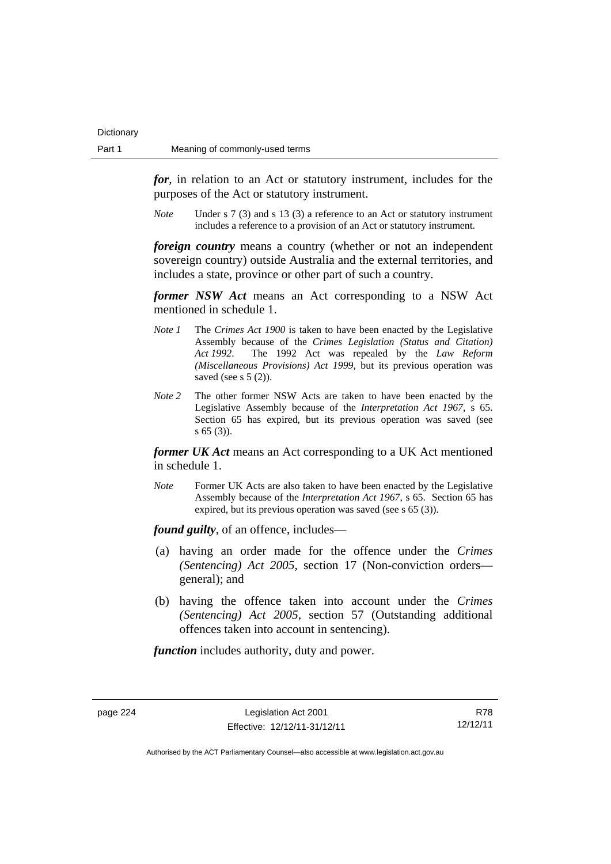*for*, in relation to an Act or statutory instrument, includes for the purposes of the Act or statutory instrument.

*Note* Under s 7 (3) and s 13 (3) a reference to an Act or statutory instrument includes a reference to a provision of an Act or statutory instrument.

*foreign country* means a country (whether or not an independent sovereign country) outside Australia and the external territories, and includes a state, province or other part of such a country.

*former NSW Act* means an Act corresponding to a NSW Act mentioned in schedule 1.

- *Note 1* The *Crimes Act 1900* is taken to have been enacted by the Legislative Assembly because of the *Crimes Legislation (Status and Citation) Act 1992*. The 1992 Act was repealed by the *Law Reform (Miscellaneous Provisions) Act 1999*, but its previous operation was saved (see s  $5(2)$ ).
- *Note 2* The other former NSW Acts are taken to have been enacted by the Legislative Assembly because of the *Interpretation Act 1967*, s 65. Section 65 has expired, but its previous operation was saved (see s 65 (3)).

*former UK Act* means an Act corresponding to a UK Act mentioned in schedule 1.

*Note* Former UK Acts are also taken to have been enacted by the Legislative Assembly because of the *Interpretation Act 1967*, s 65. Section 65 has expired, but its previous operation was saved (see s 65 (3)).

*found guilty*, of an offence, includes—

- (a) having an order made for the offence under the *Crimes (Sentencing) Act 2005*, section 17 (Non-conviction orders general); and
- (b) having the offence taken into account under the *Crimes (Sentencing) Act 2005*, section 57 (Outstanding additional offences taken into account in sentencing).

*function* includes authority, duty and power.

page 224 Legislation Act 2001 Effective: 12/12/11-31/12/11

R78 12/12/11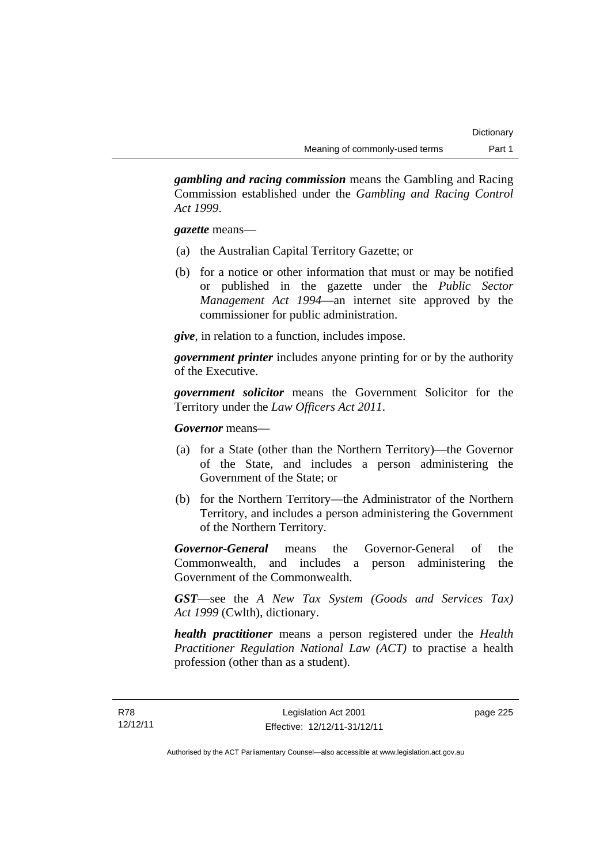*gambling and racing commission* means the Gambling and Racing Commission established under the *Gambling and Racing Control Act 1999*.

*gazette* means—

- (a) the Australian Capital Territory Gazette; or
- (b) for a notice or other information that must or may be notified or published in the gazette under the *Public Sector Management Act 1994*—an internet site approved by the commissioner for public administration.

*give*, in relation to a function, includes impose.

*government printer* includes anyone printing for or by the authority of the Executive.

*government solicitor* means the Government Solicitor for the Territory under the *Law Officers Act 2011*.

*Governor* means—

- (a) for a State (other than the Northern Territory)—the Governor of the State, and includes a person administering the Government of the State; or
- (b) for the Northern Territory—the Administrator of the Northern Territory, and includes a person administering the Government of the Northern Territory.

*Governor-General* means the Governor-General of the Commonwealth, and includes a person administering the Government of the Commonwealth.

*GST*—see the *A New Tax System (Goods and Services Tax) Act 1999* (Cwlth), dictionary.

*health practitioner* means a person registered under the *Health Practitioner Regulation National Law (ACT)* to practise a health profession (other than as a student).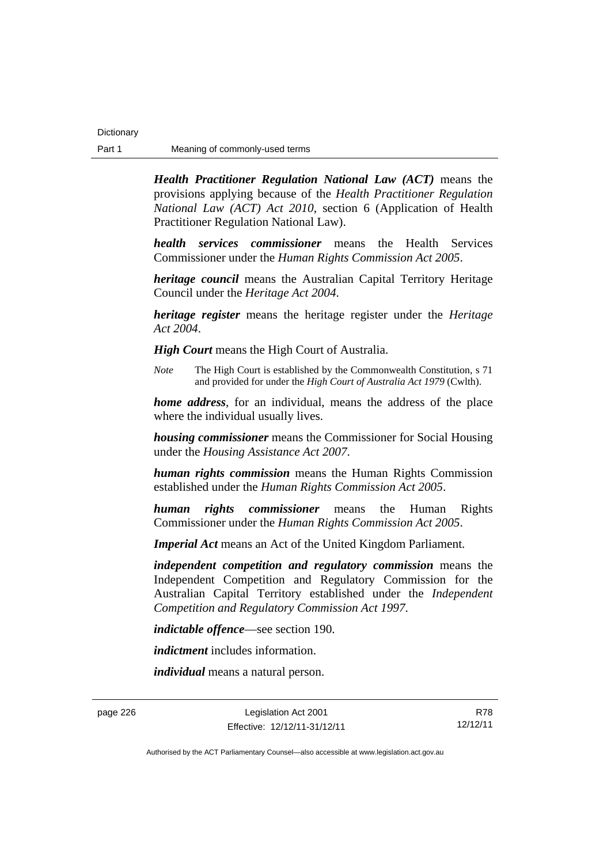*Health Practitioner Regulation National Law (ACT)* means the provisions applying because of the *Health Practitioner Regulation National Law (ACT) Act 2010*, section 6 (Application of Health Practitioner Regulation National Law).

*health services commissioner* means the Health Services Commissioner under the *Human Rights Commission Act 2005*.

*heritage council* means the Australian Capital Territory Heritage Council under the *Heritage Act 2004*.

*heritage register* means the heritage register under the *Heritage Act 2004*.

*High Court* means the High Court of Australia.

*Note* The High Court is established by the Commonwealth Constitution, s 71 and provided for under the *High Court of Australia Act 1979* (Cwlth).

*home address*, for an individual, means the address of the place where the individual usually lives.

*housing commissioner* means the Commissioner for Social Housing under the *Housing Assistance Act 2007*.

*human rights commission* means the Human Rights Commission established under the *Human Rights Commission Act 2005*.

*human rights commissioner* means the Human Rights Commissioner under the *Human Rights Commission Act 2005*.

*Imperial Act* means an Act of the United Kingdom Parliament.

*independent competition and regulatory commission* means the Independent Competition and Regulatory Commission for the Australian Capital Territory established under the *Independent Competition and Regulatory Commission Act 1997*.

*indictable offence*—see section 190.

*indictment* includes information.

*individual* means a natural person.

page 226 Legislation Act 2001 Effective: 12/12/11-31/12/11

R78 12/12/11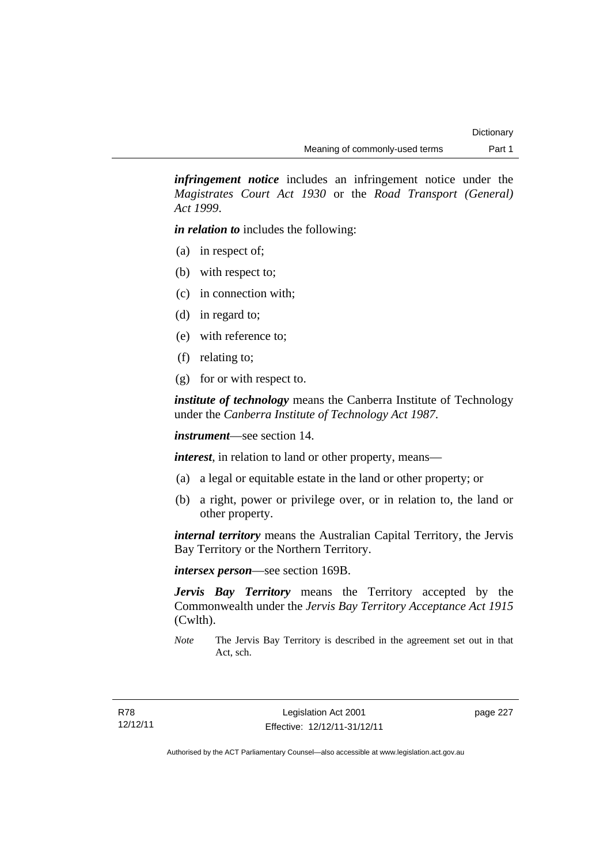*infringement notice* includes an infringement notice under the *Magistrates Court Act 1930* or the *Road Transport (General) Act 1999*.

*in relation to* includes the following:

- (a) in respect of;
- (b) with respect to;
- (c) in connection with;
- (d) in regard to;
- (e) with reference to;
- (f) relating to;
- (g) for or with respect to.

*institute of technology* means the Canberra Institute of Technology under the *Canberra Institute of Technology Act 1987*.

*instrument*—see section 14.

*interest*, in relation to land or other property, means—

- (a) a legal or equitable estate in the land or other property; or
- (b) a right, power or privilege over, or in relation to, the land or other property.

*internal territory* means the Australian Capital Territory, the Jervis Bay Territory or the Northern Territory.

*intersex person*—see section 169B.

*Jervis Bay Territory* means the Territory accepted by the Commonwealth under the *Jervis Bay Territory Acceptance Act 1915* (Cwlth).

*Note* The Jervis Bay Territory is described in the agreement set out in that Act, sch.

page 227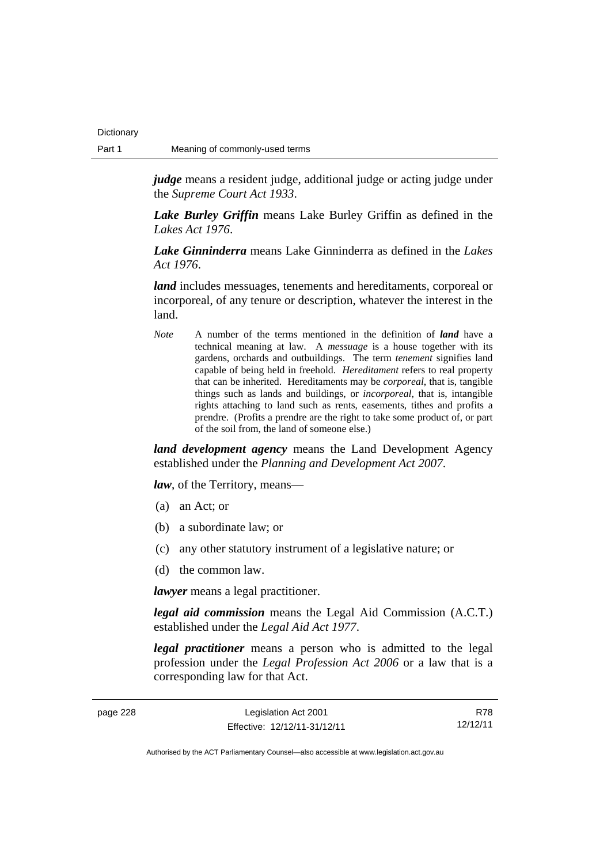**Dictionary** 

*judge* means a resident judge, additional judge or acting judge under the *Supreme Court Act 1933*.

*Lake Burley Griffin* means Lake Burley Griffin as defined in the *Lakes Act 1976*.

*Lake Ginninderra* means Lake Ginninderra as defined in the *Lakes Act 1976*.

*land* includes messuages, tenements and hereditaments, corporeal or incorporeal, of any tenure or description, whatever the interest in the land.

*Note* A number of the terms mentioned in the definition of *land* have a technical meaning at law. A *messuage* is a house together with its gardens, orchards and outbuildings. The term *tenement* signifies land capable of being held in freehold. *Hereditament* refers to real property that can be inherited. Hereditaments may be *corporeal*, that is, tangible things such as lands and buildings, or *incorporeal*, that is, intangible rights attaching to land such as rents, easements, tithes and profits a prendre. (Profits a prendre are the right to take some product of, or part of the soil from, the land of someone else.)

*land development agency* means the Land Development Agency established under the *Planning and Development Act 2007*.

*law*, of the Territory, means—

- (a) an Act; or
- (b) a subordinate law; or
- (c) any other statutory instrument of a legislative nature; or
- (d) the common law.

*lawyer* means a legal practitioner.

*legal aid commission* means the Legal Aid Commission (A.C.T.) established under the *Legal Aid Act 1977*.

*legal practitioner* means a person who is admitted to the legal profession under the *Legal Profession Act 2006* or a law that is a corresponding law for that Act.

| page 228 | Legislation Act 2001         | R78      |
|----------|------------------------------|----------|
|          | Effective: 12/12/11-31/12/11 | 12/12/11 |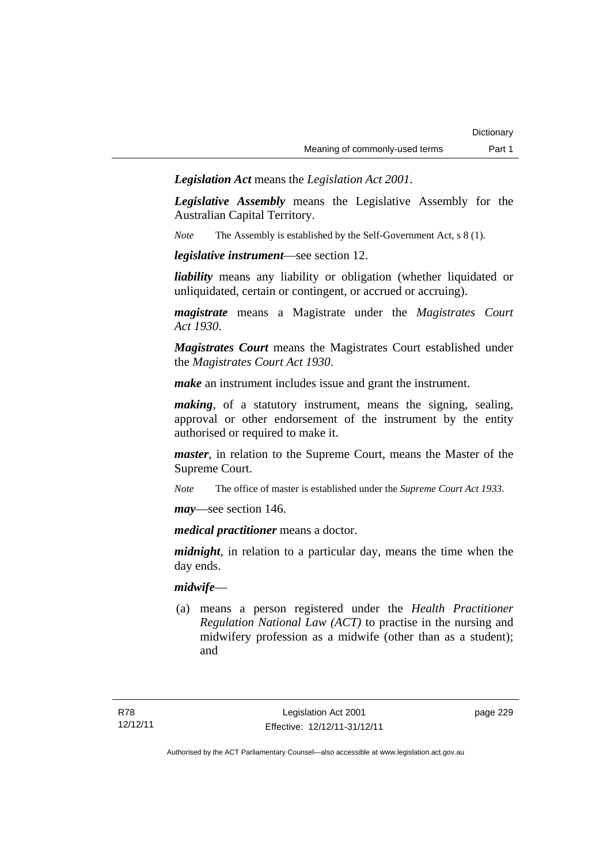*Legislation Act* means the *Legislation Act 2001*.

*Legislative Assembly* means the Legislative Assembly for the Australian Capital Territory.

*Note* The Assembly is established by the Self-Government Act, s 8 (1).

*legislative instrument*—see section 12.

*liability* means any liability or obligation (whether liquidated or unliquidated, certain or contingent, or accrued or accruing).

*magistrate* means a Magistrate under the *Magistrates Court Act 1930*.

*Magistrates Court* means the Magistrates Court established under the *Magistrates Court Act 1930*.

*make* an instrument includes issue and grant the instrument.

*making*, of a statutory instrument, means the signing, sealing, approval or other endorsement of the instrument by the entity authorised or required to make it.

*master*, in relation to the Supreme Court, means the Master of the Supreme Court.

*Note* The office of master is established under the *Supreme Court Act 1933*.

*may*—see section 146.

*medical practitioner* means a doctor.

*midnight*, in relation to a particular day, means the time when the day ends.

### *midwife*—

 (a) means a person registered under the *Health Practitioner Regulation National Law (ACT)* to practise in the nursing and midwifery profession as a midwife (other than as a student); and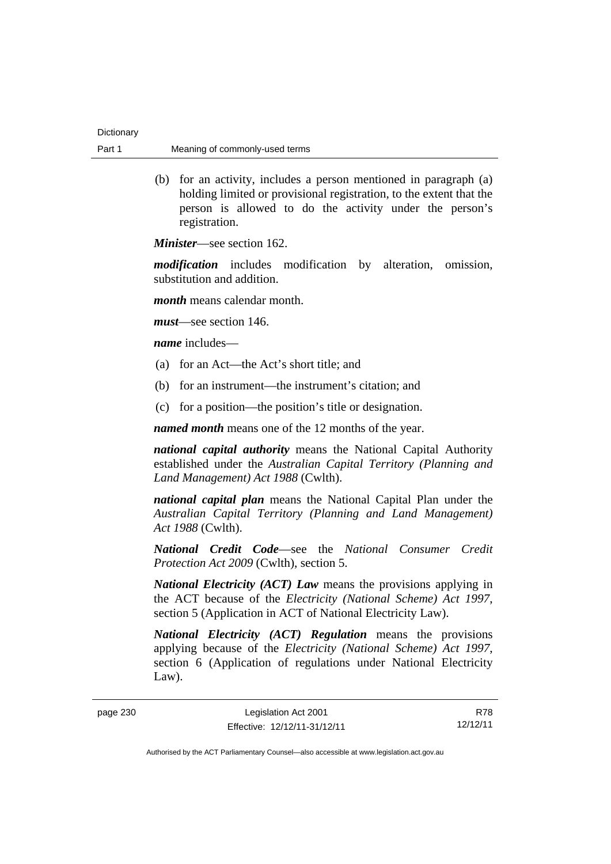| Dictionary |                                |
|------------|--------------------------------|
| Part 1     | Meaning of commonly-used terms |

 (b) for an activity, includes a person mentioned in paragraph (a) holding limited or provisional registration, to the extent that the person is allowed to do the activity under the person's registration.

*Minister*—see section 162.

*modification* includes modification by alteration, omission, substitution and addition.

*month* means calendar month.

*must*—see section 146.

*name* includes—

- (a) for an Act—the Act's short title; and
- (b) for an instrument—the instrument's citation; and
- (c) for a position—the position's title or designation.

*named month* means one of the 12 months of the year.

*national capital authority* means the National Capital Authority established under the *Australian Capital Territory (Planning and Land Management) Act 1988* (Cwlth).

*national capital plan* means the National Capital Plan under the *Australian Capital Territory (Planning and Land Management) Act 1988* (Cwlth).

*National Credit Code*—see the *National Consumer Credit Protection Act 2009* (Cwlth), section 5.

*National Electricity (ACT) Law* means the provisions applying in the ACT because of the *Electricity (National Scheme) Act 1997*, section 5 (Application in ACT of National Electricity Law).

*National Electricity (ACT) Regulation* means the provisions applying because of the *Electricity (National Scheme) Act 1997*, section 6 (Application of regulations under National Electricity Law).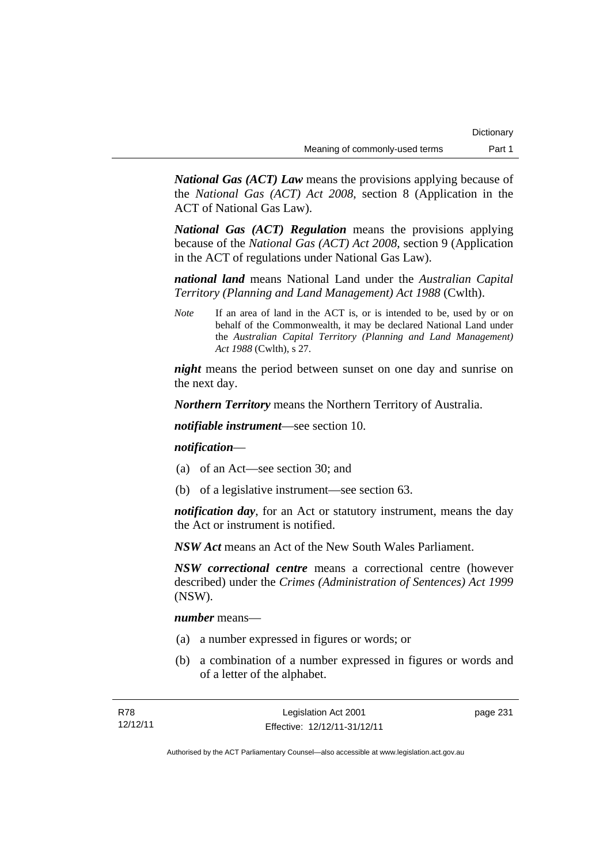*National Gas (ACT) Law* means the provisions applying because of the *National Gas (ACT) Act 2008*, section 8 (Application in the ACT of National Gas Law).

*National Gas (ACT) Regulation* means the provisions applying because of the *National Gas (ACT) Act 2008*, section 9 (Application in the ACT of regulations under National Gas Law).

*national land* means National Land under the *Australian Capital Territory (Planning and Land Management) Act 1988* (Cwlth).

*Note* If an area of land in the ACT is, or is intended to be, used by or on behalf of the Commonwealth, it may be declared National Land under the *Australian Capital Territory (Planning and Land Management) Act 1988* (Cwlth), s 27.

*night* means the period between sunset on one day and sunrise on the next day.

*Northern Territory* means the Northern Territory of Australia.

*notifiable instrument*—see section 10.

### *notification*—

- (a) of an Act—see section 30; and
- (b) of a legislative instrument—see section 63.

*notification day*, for an Act or statutory instrument, means the day the Act or instrument is notified.

*NSW Act* means an Act of the New South Wales Parliament.

*NSW correctional centre* means a correctional centre (however described) under the *Crimes (Administration of Sentences) Act 1999* (NSW).

*number* means—

- (a) a number expressed in figures or words; or
- (b) a combination of a number expressed in figures or words and of a letter of the alphabet.

page 231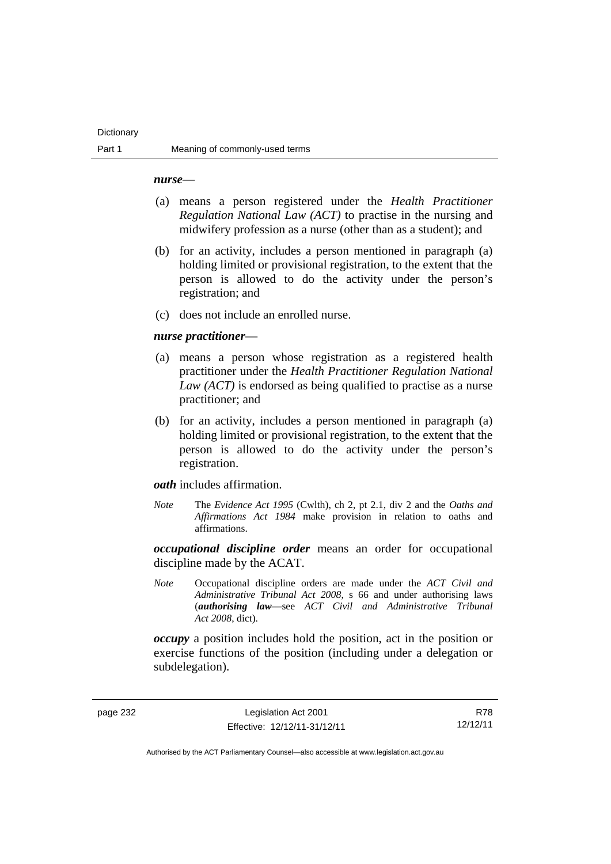#### **Dictionary**

#### *nurse*—

- (a) means a person registered under the *Health Practitioner Regulation National Law (ACT)* to practise in the nursing and midwifery profession as a nurse (other than as a student); and
- (b) for an activity, includes a person mentioned in paragraph (a) holding limited or provisional registration, to the extent that the person is allowed to do the activity under the person's registration; and
- (c) does not include an enrolled nurse.

#### *nurse practitioner*—

- (a) means a person whose registration as a registered health practitioner under the *Health Practitioner Regulation National Law (ACT)* is endorsed as being qualified to practise as a nurse practitioner; and
- (b) for an activity, includes a person mentioned in paragraph (a) holding limited or provisional registration, to the extent that the person is allowed to do the activity under the person's registration.

*oath* includes affirmation.

*Note* The *Evidence Act 1995* (Cwlth), ch 2, pt 2.1, div 2 and the *Oaths and Affirmations Act 1984* make provision in relation to oaths and affirmations.

*occupational discipline order* means an order for occupational discipline made by the ACAT.

*Note* Occupational discipline orders are made under the *ACT Civil and Administrative Tribunal Act 2008*, s 66 and under authorising laws (*authorising law*—see *ACT Civil and Administrative Tribunal Act 2008*, dict).

*occupy* a position includes hold the position, act in the position or exercise functions of the position (including under a delegation or subdelegation).

page 232 Legislation Act 2001 Effective: 12/12/11-31/12/11

R78 12/12/11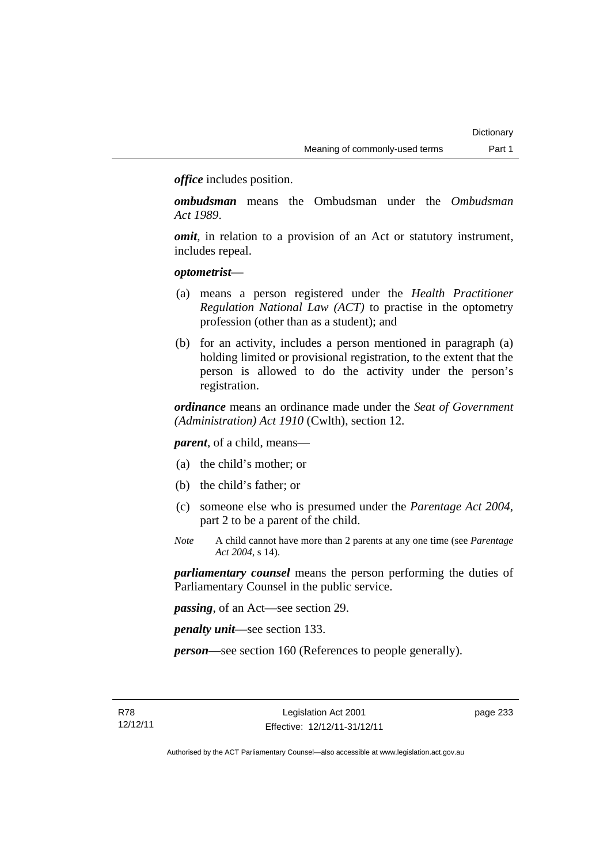*office* includes position.

*ombudsman* means the Ombudsman under the *Ombudsman Act 1989*.

*omit*, in relation to a provision of an Act or statutory instrument, includes repeal.

### *optometrist*—

- (a) means a person registered under the *Health Practitioner Regulation National Law (ACT)* to practise in the optometry profession (other than as a student); and
- (b) for an activity, includes a person mentioned in paragraph (a) holding limited or provisional registration, to the extent that the person is allowed to do the activity under the person's registration.

*ordinance* means an ordinance made under the *Seat of Government (Administration) Act 1910* (Cwlth), section 12.

*parent*, of a child, means—

- (a) the child's mother; or
- (b) the child's father; or
- (c) someone else who is presumed under the *Parentage Act 2004*, part 2 to be a parent of the child.
- *Note* A child cannot have more than 2 parents at any one time (see *Parentage Act 2004*, s 14).

*parliamentary counsel* means the person performing the duties of Parliamentary Counsel in the public service.

*passing*, of an Act—see section 29.

*penalty unit*—see section 133.

*person—*see section 160 (References to people generally).

page 233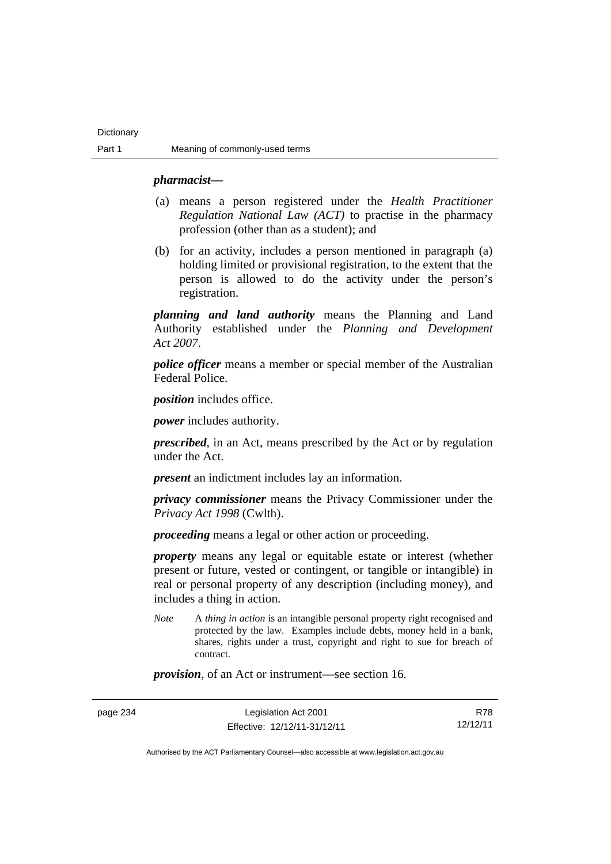#### *pharmacist***—**

- (a) means a person registered under the *Health Practitioner Regulation National Law (ACT)* to practise in the pharmacy profession (other than as a student); and
- (b) for an activity, includes a person mentioned in paragraph (a) holding limited or provisional registration, to the extent that the person is allowed to do the activity under the person's registration.

*planning and land authority* means the Planning and Land Authority established under the *Planning and Development Act 2007*.

*police officer* means a member or special member of the Australian Federal Police.

*position* includes office.

*power* includes authority.

*prescribed*, in an Act, means prescribed by the Act or by regulation under the Act.

*present* an indictment includes lay an information.

*privacy commissioner* means the Privacy Commissioner under the *Privacy Act 1998* (Cwlth).

*proceeding* means a legal or other action or proceeding.

*property* means any legal or equitable estate or interest (whether present or future, vested or contingent, or tangible or intangible) in real or personal property of any description (including money), and includes a thing in action.

*Note* A *thing in action* is an intangible personal property right recognised and protected by the law. Examples include debts, money held in a bank, shares, rights under a trust, copyright and right to sue for breach of contract.

*provision*, of an Act or instrument—see section 16.

page 234 Legislation Act 2001 Effective: 12/12/11-31/12/11

R78 12/12/11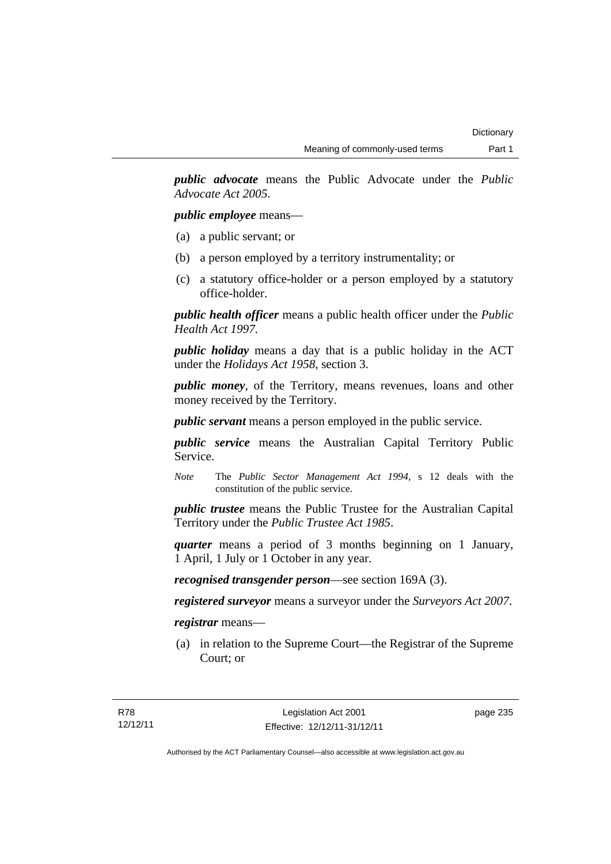*public advocate* means the Public Advocate under the *Public Advocate Act 2005*.

*public employee* means—

- (a) a public servant; or
- (b) a person employed by a territory instrumentality; or
- (c) a statutory office-holder or a person employed by a statutory office-holder.

*public health officer* means a public health officer under the *Public Health Act 1997.*

*public holiday* means a day that is a public holiday in the ACT under the *Holidays Act 1958*, section 3.

*public money*, of the Territory, means revenues, loans and other money received by the Territory.

*public servant* means a person employed in the public service.

*public service* means the Australian Capital Territory Public Service.

*Note* The *Public Sector Management Act 1994*, s 12 deals with the constitution of the public service.

*public trustee* means the Public Trustee for the Australian Capital Territory under the *Public Trustee Act 1985*.

*quarter* means a period of 3 months beginning on 1 January, 1 April, 1 July or 1 October in any year.

*recognised transgender person*—see section 169A (3).

*registered surveyor* means a surveyor under the *Surveyors Act 2007*.

*registrar* means—

 (a) in relation to the Supreme Court—the Registrar of the Supreme Court; or

page 235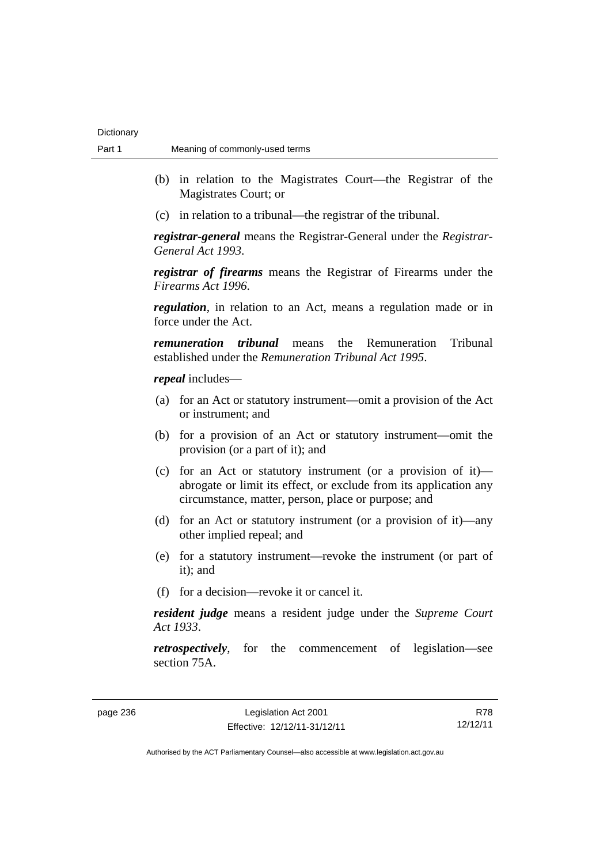- (b) in relation to the Magistrates Court—the Registrar of the Magistrates Court; or
- (c) in relation to a tribunal—the registrar of the tribunal.

*registrar-general* means the Registrar-General under the *Registrar-General Act 1993*.

*registrar of firearms* means the Registrar of Firearms under the *Firearms Act 1996*.

*regulation*, in relation to an Act, means a regulation made or in force under the Act.

*remuneration tribunal* means the Remuneration Tribunal established under the *Remuneration Tribunal Act 1995*.

*repeal* includes—

- (a) for an Act or statutory instrument—omit a provision of the Act or instrument; and
- (b) for a provision of an Act or statutory instrument—omit the provision (or a part of it); and
- (c) for an Act or statutory instrument (or a provision of it) abrogate or limit its effect, or exclude from its application any circumstance, matter, person, place or purpose; and
- (d) for an Act or statutory instrument (or a provision of it)—any other implied repeal; and
- (e) for a statutory instrument—revoke the instrument (or part of it); and
- (f) for a decision—revoke it or cancel it.

*resident judge* means a resident judge under the *Supreme Court Act 1933*.

*retrospectively*, for the commencement of legislation—see section 75A.

page 236 Legislation Act 2001 Effective: 12/12/11-31/12/11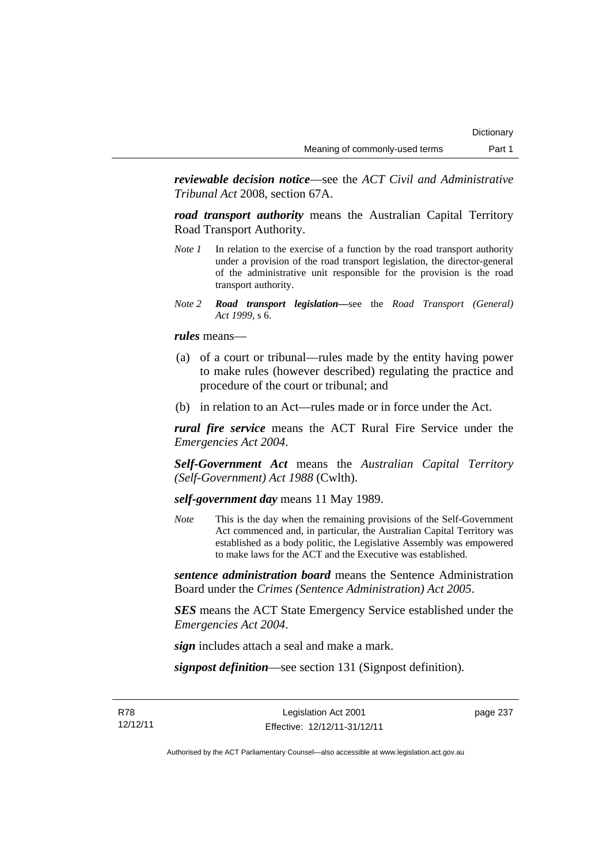*reviewable decision notice*—see the *ACT Civil and Administrative Tribunal Act* 2008, section 67A.

*road transport authority* means the Australian Capital Territory Road Transport Authority.

- *Note 1* In relation to the exercise of a function by the road transport authority under a provision of the road transport legislation, the director-general of the administrative unit responsible for the provision is the road transport authority.
- *Note 2 Road transport legislation––*see the *Road Transport (General) Act 1999*, s 6.

*rules* means—

- (a) of a court or tribunal—rules made by the entity having power to make rules (however described) regulating the practice and procedure of the court or tribunal; and
- (b) in relation to an Act—rules made or in force under the Act.

*rural fire service* means the ACT Rural Fire Service under the *Emergencies Act 2004*.

*Self-Government Act* means the *Australian Capital Territory (Self-Government) Act 1988* (Cwlth).

*self-government day* means 11 May 1989.

*Note* This is the day when the remaining provisions of the Self-Government Act commenced and, in particular, the Australian Capital Territory was established as a body politic, the Legislative Assembly was empowered to make laws for the ACT and the Executive was established.

*sentence administration board* means the Sentence Administration Board under the *Crimes (Sentence Administration) Act 2005*.

*SES* means the ACT State Emergency Service established under the *Emergencies Act 2004*.

*sign* includes attach a seal and make a mark.

*signpost definition*—see section 131 (Signpost definition).

R78 12/12/11

Legislation Act 2001 Effective: 12/12/11-31/12/11 page 237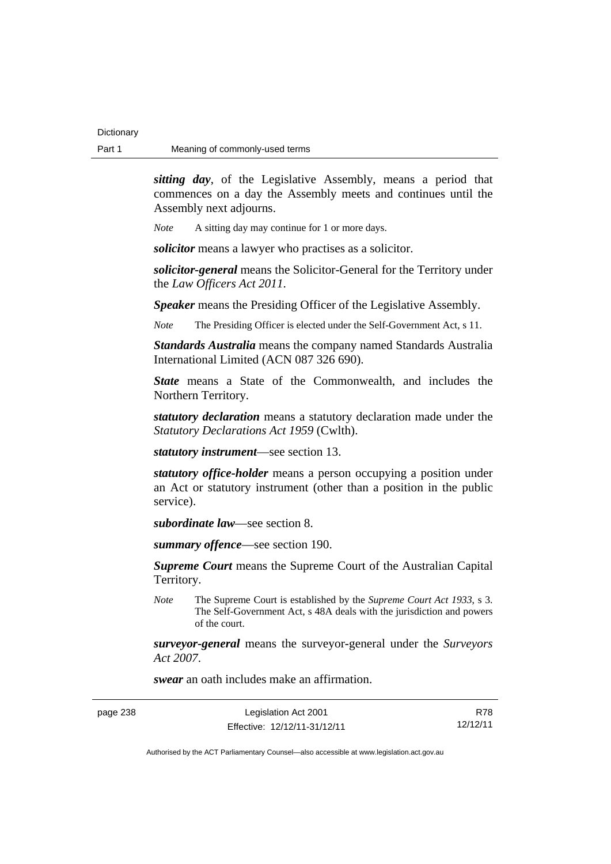*sitting day*, of the Legislative Assembly, means a period that commences on a day the Assembly meets and continues until the Assembly next adjourns.

*Note* A sitting day may continue for 1 or more days.

*solicitor* means a lawyer who practises as a solicitor.

*solicitor-general* means the Solicitor-General for the Territory under the *Law Officers Act 2011*.

*Speaker* means the Presiding Officer of the Legislative Assembly.

*Note* The Presiding Officer is elected under the Self-Government Act, s 11.

*Standards Australia* means the company named Standards Australia International Limited (ACN 087 326 690).

*State* means a State of the Commonwealth, and includes the Northern Territory.

*statutory declaration* means a statutory declaration made under the *Statutory Declarations Act 1959* (Cwlth).

*statutory instrument*—see section 13.

*statutory office-holder* means a person occupying a position under an Act or statutory instrument (other than a position in the public service).

*subordinate law*—see section 8.

*summary offence*—see section 190.

*Supreme Court* means the Supreme Court of the Australian Capital Territory.

*Note* The Supreme Court is established by the *Supreme Court Act 1933*, s 3. The Self-Government Act, s 48A deals with the jurisdiction and powers of the court.

*surveyor-general* means the surveyor-general under the *Surveyors Act 2007*.

*swear* an oath includes make an affirmation.

| page 238 | Legislation Act 2001         | R78      |
|----------|------------------------------|----------|
|          | Effective: 12/12/11-31/12/11 | 12/12/11 |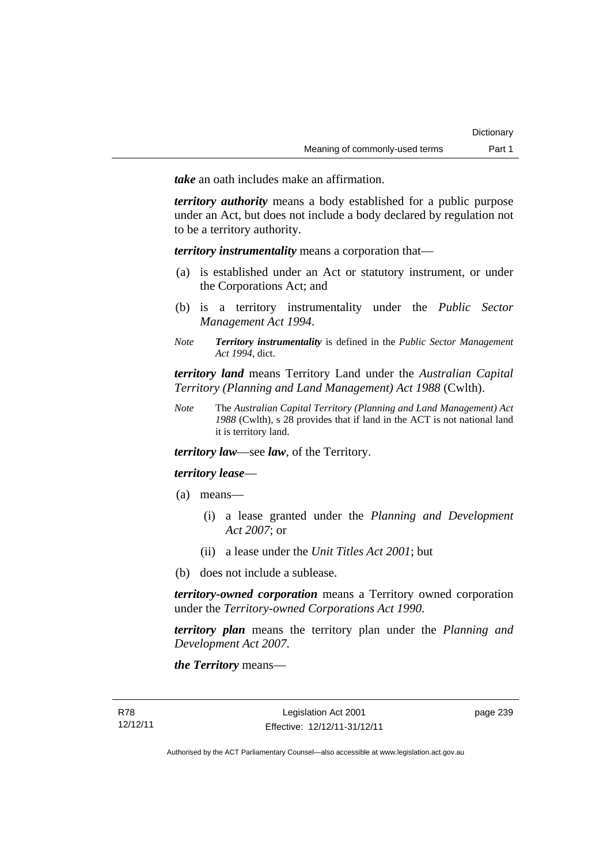*take* an oath includes make an affirmation.

*territory authority* means a body established for a public purpose under an Act, but does not include a body declared by regulation not to be a territory authority.

*territory instrumentality* means a corporation that—

- (a) is established under an Act or statutory instrument, or under the Corporations Act; and
- (b) is a territory instrumentality under the *Public Sector Management Act 1994*.
- *Note Territory instrumentality* is defined in the *Public Sector Management Act 1994*, dict.

*territory land* means Territory Land under the *Australian Capital Territory (Planning and Land Management) Act 1988* (Cwlth).

*Note* The *Australian Capital Territory (Planning and Land Management) Act 1988* (Cwlth), s 28 provides that if land in the ACT is not national land it is territory land.

*territory law*—see *law*, of the Territory.

## *territory lease*—

- (a) means—
	- (i) a lease granted under the *Planning and Development Act 2007*; or
	- (ii) a lease under the *Unit Titles Act 2001*; but
- (b) does not include a sublease.

*territory-owned corporation* means a Territory owned corporation under the *Territory-owned Corporations Act 1990*.

*territory plan* means the territory plan under the *Planning and Development Act 2007*.

*the Territory* means—

page 239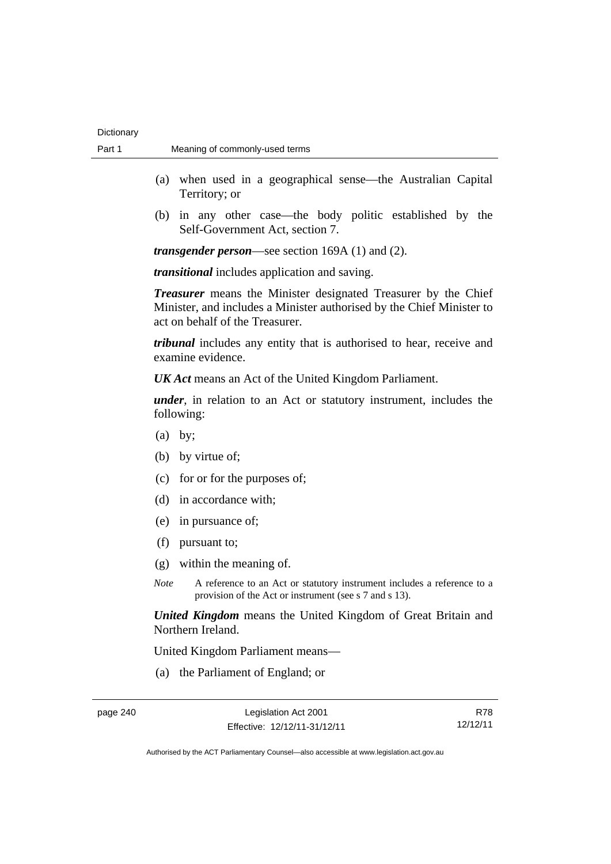- (a) when used in a geographical sense—the Australian Capital Territory; or
- (b) in any other case—the body politic established by the Self-Government Act, section 7.

*transgender person*—see section 169A (1) and (2).

*transitional* includes application and saving.

*Treasurer* means the Minister designated Treasurer by the Chief Minister, and includes a Minister authorised by the Chief Minister to act on behalf of the Treasurer.

*tribunal* includes any entity that is authorised to hear, receive and examine evidence.

*UK Act* means an Act of the United Kingdom Parliament.

*under*, in relation to an Act or statutory instrument, includes the following:

- (a) by;
- (b) by virtue of;
- (c) for or for the purposes of;
- (d) in accordance with;
- (e) in pursuance of;
- (f) pursuant to;
- (g) within the meaning of.
- *Note* A reference to an Act or statutory instrument includes a reference to a provision of the Act or instrument (see s 7 and s 13).

*United Kingdom* means the United Kingdom of Great Britain and Northern Ireland.

United Kingdom Parliament means—

(a) the Parliament of England; or

R78 12/12/11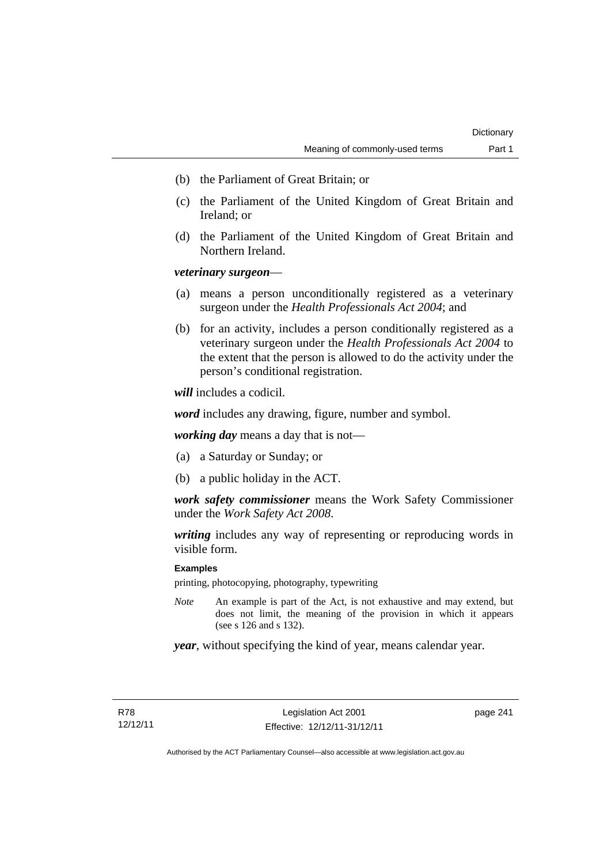- (b) the Parliament of Great Britain; or
- (c) the Parliament of the United Kingdom of Great Britain and Ireland; or
- (d) the Parliament of the United Kingdom of Great Britain and Northern Ireland.

## *veterinary surgeon*—

- (a) means a person unconditionally registered as a veterinary surgeon under the *Health Professionals Act 2004*; and
- (b) for an activity, includes a person conditionally registered as a veterinary surgeon under the *Health Professionals Act 2004* to the extent that the person is allowed to do the activity under the person's conditional registration.

*will* includes a codicil.

*word* includes any drawing, figure, number and symbol.

*working day* means a day that is not—

- (a) a Saturday or Sunday; or
- (b) a public holiday in the ACT.

*work safety commissioner* means the Work Safety Commissioner under the *Work Safety Act 2008*.

*writing* includes any way of representing or reproducing words in visible form.

## **Examples**

printing, photocopying, photography, typewriting

*Note* An example is part of the Act, is not exhaustive and may extend, but does not limit, the meaning of the provision in which it appears (see s 126 and s 132).

*year*, without specifying the kind of year, means calendar year.

page 241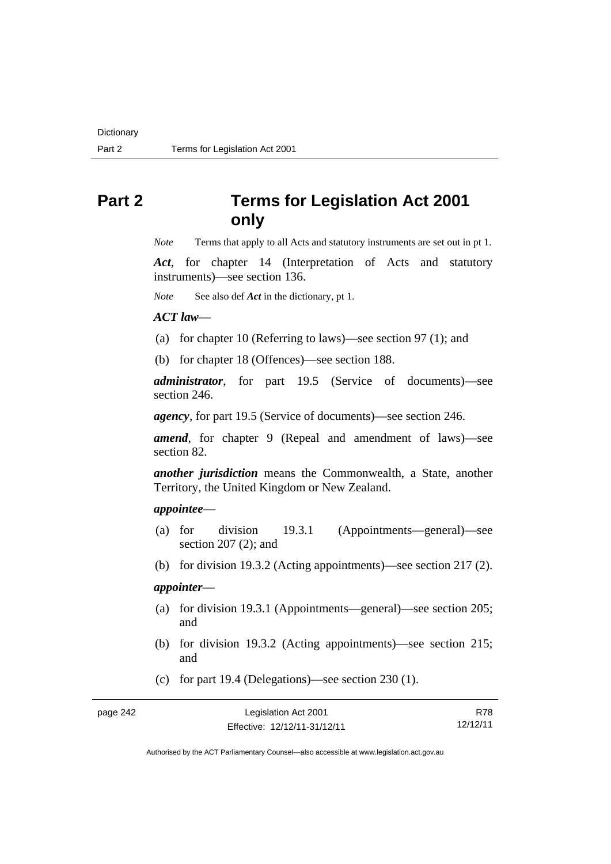# **Part 2 Terms for Legislation Act 2001 only**

*Note* Terms that apply to all Acts and statutory instruments are set out in pt 1.

*Act*, for chapter 14 (Interpretation of Acts and statutory instruments)—see section 136.

*Note* See also def *Act* in the dictionary, pt 1.

#### *ACT law*—

- (a) for chapter 10 (Referring to laws)—see section 97 (1); and
- (b) for chapter 18 (Offences)—see section 188.

*administrator*, for part 19.5 (Service of documents)—see section 246.

*agency*, for part 19.5 (Service of documents)—see section 246.

*amend*, for chapter 9 (Repeal and amendment of laws)—see section 82.

*another jurisdiction* means the Commonwealth, a State, another Territory, the United Kingdom or New Zealand.

## *appointee*—

- (a) for division 19.3.1 (Appointments—general)—see section 207 (2); and
- (b) for division 19.3.2 (Acting appointments)—see section 217 (2).

## *appointer*—

- (a) for division 19.3.1 (Appointments—general)—see section 205; and
- (b) for division 19.3.2 (Acting appointments)—see section 215; and
- (c) for part 19.4 (Delegations)—see section 230 (1).

| Legislation Act 2001         | <b>R78</b> |
|------------------------------|------------|
| Effective: 12/12/11-31/12/11 | 12/12/11   |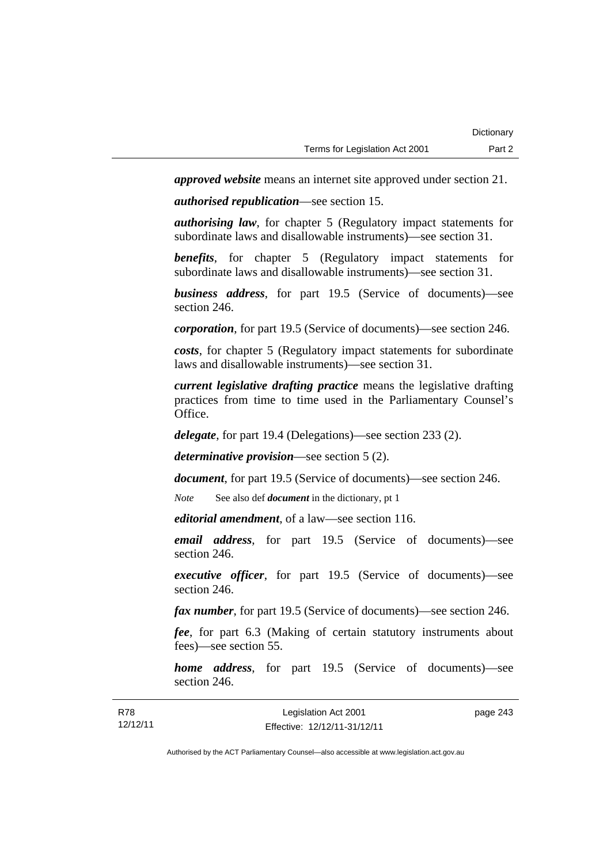*approved website* means an internet site approved under section 21.

*authorised republication*—see section 15.

*authorising law*, for chapter 5 (Regulatory impact statements for subordinate laws and disallowable instruments)—see section 31.

*benefits*, for chapter 5 (Regulatory impact statements for subordinate laws and disallowable instruments)—see section 31.

*business address*, for part 19.5 (Service of documents)—see section 246.

*corporation*, for part 19.5 (Service of documents)—see section 246.

*costs*, for chapter 5 (Regulatory impact statements for subordinate laws and disallowable instruments)—see section 31.

*current legislative drafting practice* means the legislative drafting practices from time to time used in the Parliamentary Counsel's Office.

*delegate*, for part 19.4 (Delegations)—see section 233 (2).

*determinative provision*—see section 5 (2).

*document*, for part 19.5 (Service of documents)—see section 246.

*Note* See also def *document* in the dictionary, pt 1

*editorial amendment*, of a law—see section 116.

*email address*, for part 19.5 (Service of documents)—see section 246.

*executive officer*, for part 19.5 (Service of documents)—see section 246.

*fax number*, for part 19.5 (Service of documents)—see section 246.

*fee*, for part 6.3 (Making of certain statutory instruments about fees)—see section 55.

*home address*, for part 19.5 (Service of documents)—see section 246.

| R78      | Legislation Act 2001         | page 243 |
|----------|------------------------------|----------|
| 12/12/11 | Effective: 12/12/11-31/12/11 |          |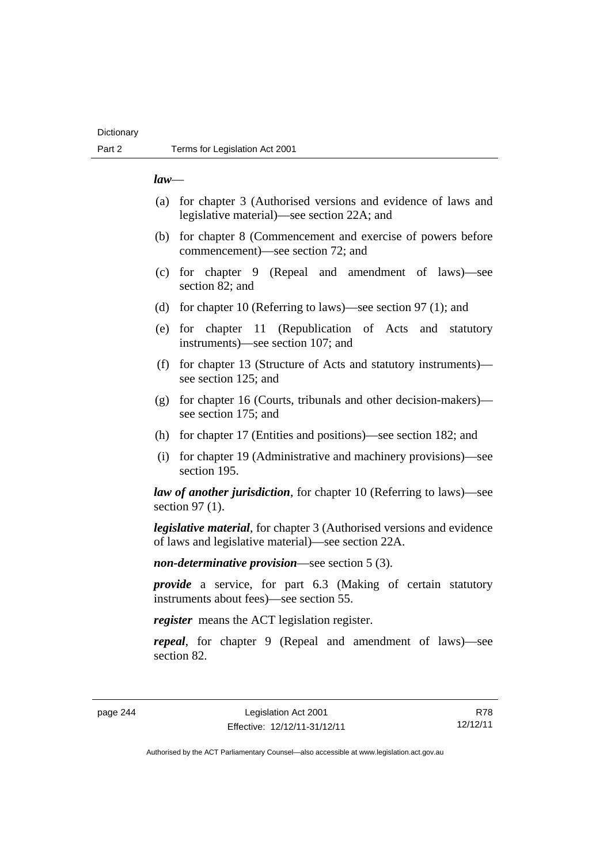## **Dictionary**

## *law*—

- (a) for chapter 3 (Authorised versions and evidence of laws and legislative material)—see section 22A; and
- (b) for chapter 8 (Commencement and exercise of powers before commencement)—see section 72; and
- (c) for chapter 9 (Repeal and amendment of laws)—see section 82; and
- (d) for chapter 10 (Referring to laws)—see section 97 (1); and
- (e) for chapter 11 (Republication of Acts and statutory instruments)—see section 107; and
- (f) for chapter 13 (Structure of Acts and statutory instruments) see section 125; and
- (g) for chapter 16 (Courts, tribunals and other decision-makers) see section 175; and
- (h) for chapter 17 (Entities and positions)—see section 182; and
- (i) for chapter 19 (Administrative and machinery provisions)—see section 195.

*law of another jurisdiction*, for chapter 10 (Referring to laws)—see section 97 (1).

*legislative material*, for chapter 3 (Authorised versions and evidence of laws and legislative material)—see section 22A.

*non-determinative provision*—see section 5 (3).

*provide* a service, for part 6.3 (Making of certain statutory instruments about fees)—see section 55.

*register* means the ACT legislation register.

*repeal*, for chapter 9 (Repeal and amendment of laws)—see section 82.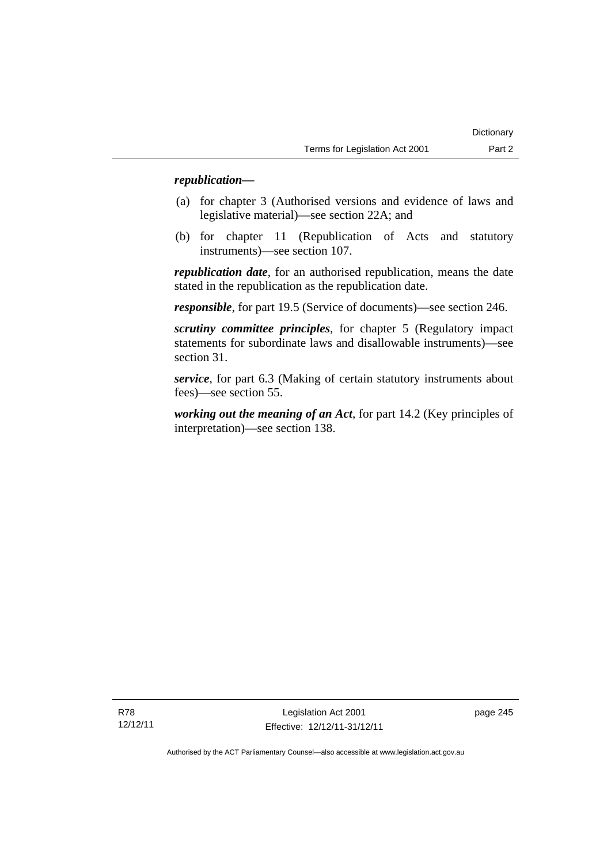## *republication—*

- (a) for chapter 3 (Authorised versions and evidence of laws and legislative material)—see section 22A; and
- (b) for chapter 11 (Republication of Acts and statutory instruments)—see section 107.

*republication date*, for an authorised republication, means the date stated in the republication as the republication date.

*responsible*, for part 19.5 (Service of documents)—see section 246.

*scrutiny committee principles*, for chapter 5 (Regulatory impact statements for subordinate laws and disallowable instruments)—see section 31.

*service*, for part 6.3 (Making of certain statutory instruments about fees)—see section 55.

*working out the meaning of an Act*, for part 14.2 (Key principles of interpretation)—see section 138.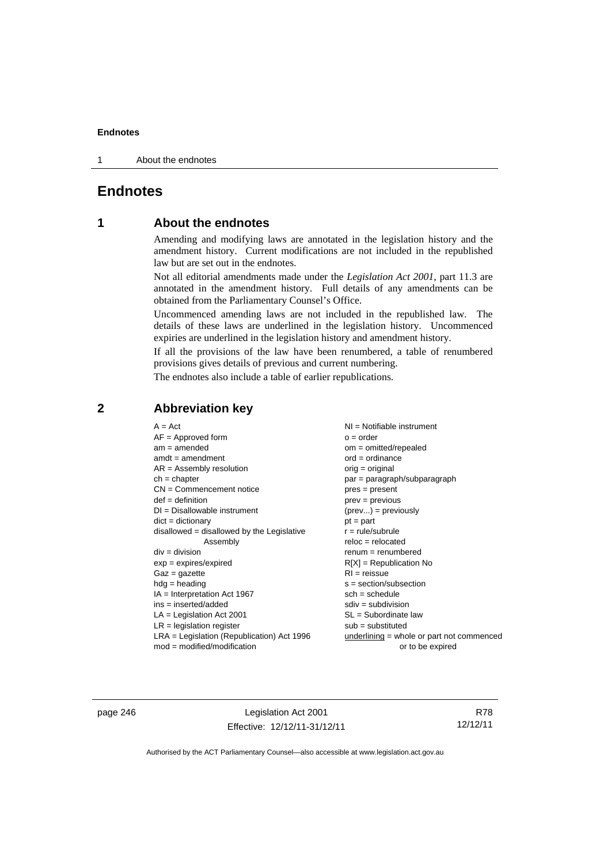1 About the endnotes

## **Endnotes**

## **1 About the endnotes**

Amending and modifying laws are annotated in the legislation history and the amendment history. Current modifications are not included in the republished law but are set out in the endnotes.

Not all editorial amendments made under the *Legislation Act 2001*, part 11.3 are annotated in the amendment history. Full details of any amendments can be obtained from the Parliamentary Counsel's Office.

Uncommenced amending laws are not included in the republished law. The details of these laws are underlined in the legislation history. Uncommenced expiries are underlined in the legislation history and amendment history.

If all the provisions of the law have been renumbered, a table of renumbered provisions gives details of previous and current numbering.

The endnotes also include a table of earlier republications.

| $A = Act$<br>$AF =$ Approved form<br>$am = amended$<br>$amdt = amendment$<br>$AR = Assembly resolution$<br>$ch = chapter$<br>$CN =$ Commencement notice<br>$def = definition$<br>$DI = Disallowable instrument$<br>$dict = dictionary$<br>disallowed = disallowed by the Legislative<br>Assembly<br>$div = division$<br>$exp = expires/expired$<br>$Gaz = gazette$<br>$hdg = heading$<br>$IA = Interpretation Act 1967$<br>$ins = inserted/added$<br>$LA =$ Legislation Act 2001<br>$LR =$ legislation register | $NI =$ Notifiable instrument<br>$o = order$<br>$om = omitted/repealed$<br>$ord = ordinance$<br>orig = original<br>par = paragraph/subparagraph<br>$pres = present$<br>$prev = previous$<br>$(\text{prev}) = \text{previously}$<br>$pt = part$<br>$r = rule/subrule$<br>$reloc = relocated$<br>$remum = renumbered$<br>$R[X]$ = Republication No<br>$RI = reissue$<br>$s = section/subsection$<br>$sch = schedule$<br>$sdiv = subdivision$<br>$SL = Subordinate$ law<br>$sub =$ substituted |
|-----------------------------------------------------------------------------------------------------------------------------------------------------------------------------------------------------------------------------------------------------------------------------------------------------------------------------------------------------------------------------------------------------------------------------------------------------------------------------------------------------------------|--------------------------------------------------------------------------------------------------------------------------------------------------------------------------------------------------------------------------------------------------------------------------------------------------------------------------------------------------------------------------------------------------------------------------------------------------------------------------------------------|
| $LRA =$ Legislation (Republication) Act 1996<br>$mod = modified/modification$                                                                                                                                                                                                                                                                                                                                                                                                                                   | underlining = whole or part not commenced<br>or to be expired                                                                                                                                                                                                                                                                                                                                                                                                                              |
|                                                                                                                                                                                                                                                                                                                                                                                                                                                                                                                 |                                                                                                                                                                                                                                                                                                                                                                                                                                                                                            |

## **2 Abbreviation key**

page 246 Legislation Act 2001 Effective: 12/12/11-31/12/11

R78 12/12/11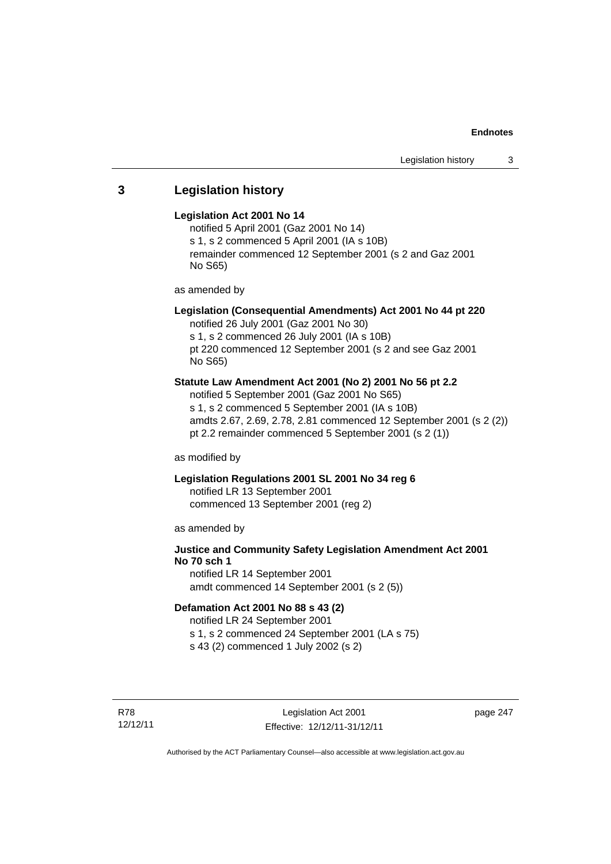## **3 Legislation history**

## **Legislation Act 2001 No 14**

notified 5 April 2001 (Gaz 2001 No 14) s 1, s 2 commenced 5 April 2001 (IA s 10B) remainder commenced 12 September 2001 (s 2 and Gaz 2001 No S65)

as amended by

## **Legislation (Consequential Amendments) Act 2001 No 44 pt 220**

notified 26 July 2001 (Gaz 2001 No 30) s 1, s 2 commenced 26 July 2001 (IA s 10B) pt 220 commenced 12 September 2001 (s 2 and see Gaz 2001 No S65)

## **Statute Law Amendment Act 2001 (No 2) 2001 No 56 pt 2.2**

notified 5 September 2001 (Gaz 2001 No S65) s 1, s 2 commenced 5 September 2001 (IA s 10B) amdts 2.67, 2.69, 2.78, 2.81 commenced 12 September 2001 (s 2 (2)) pt 2.2 remainder commenced 5 September 2001 (s 2 (1))

as modified by

## **Legislation Regulations 2001 SL 2001 No 34 reg 6**

notified LR 13 September 2001 commenced 13 September 2001 (reg 2)

as amended by

## **Justice and Community Safety Legislation Amendment Act 2001 No 70 sch 1**

notified LR 14 September 2001 amdt commenced 14 September 2001 (s 2 (5))

## **Defamation Act 2001 No 88 s 43 (2)**

notified LR 24 September 2001 s 1, s 2 commenced 24 September 2001 (LA s 75) s 43 (2) commenced 1 July 2002 (s 2)

R78 12/12/11

Legislation Act 2001 Effective: 12/12/11-31/12/11 page 247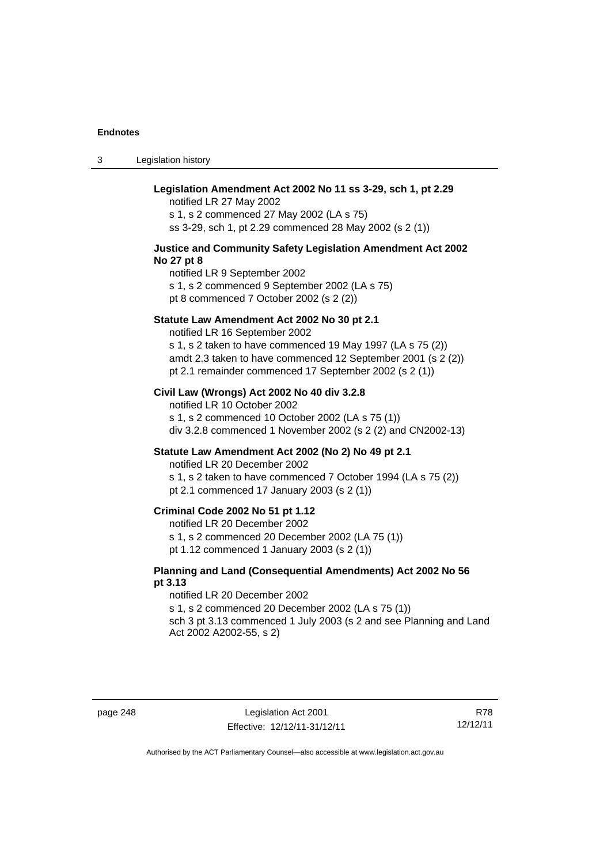3 Legislation history

| Legislation Amendment Act 2002 No 11 ss 3-29, sch 1, pt 2.29<br>notified LR 27 May 2002<br>s 1, s 2 commenced 27 May 2002 (LA s 75)<br>ss 3-29, sch 1, pt 2.29 commenced 28 May 2002 (s 2 (1))                                                                       |
|----------------------------------------------------------------------------------------------------------------------------------------------------------------------------------------------------------------------------------------------------------------------|
| Justice and Community Safety Legislation Amendment Act 2002<br>No 27 pt 8<br>notified LR 9 September 2002<br>s 1, s 2 commenced 9 September 2002 (LA s 75)<br>pt 8 commenced 7 October 2002 (s 2 (2))                                                                |
| Statute Law Amendment Act 2002 No 30 pt 2.1<br>notified LR 16 September 2002<br>s 1, s 2 taken to have commenced 19 May 1997 (LA s 75 (2))<br>amdt 2.3 taken to have commenced 12 September 2001 (s 2 (2))<br>pt 2.1 remainder commenced 17 September 2002 (s 2 (1)) |
| Civil Law (Wrongs) Act 2002 No 40 div 3.2.8<br>notified LR 10 October 2002<br>s 1, s 2 commenced 10 October 2002 (LA s 75 (1))<br>div 3.2.8 commenced 1 November 2002 (s 2 (2) and CN2002-13)                                                                        |
| Statute Law Amendment Act 2002 (No 2) No 49 pt 2.1<br>notified LR 20 December 2002<br>s 1, s 2 taken to have commenced 7 October 1994 (LA s 75 (2))<br>pt 2.1 commenced 17 January 2003 (s 2 (1))                                                                    |
| Criminal Code 2002 No 51 pt 1.12<br>notified LR 20 December 2002<br>s 1, s 2 commenced 20 December 2002 (LA 75 (1))<br>pt 1.12 commenced 1 January 2003 (s 2 (1))                                                                                                    |
| Planning and Land (Consequential Amendments) Act 2002 No 56<br>pt 3.13<br>notified LR 20 December 2002<br>s 1, s 2 commenced 20 December 2002 (LA s 75 (1))<br>sch 3 pt 3.13 commenced 1 July 2003 (s 2 and see Planning and Land<br>Act 2002 A2002-55, s 2)         |

page 248 Legislation Act 2001 Effective: 12/12/11-31/12/11

R78 12/12/11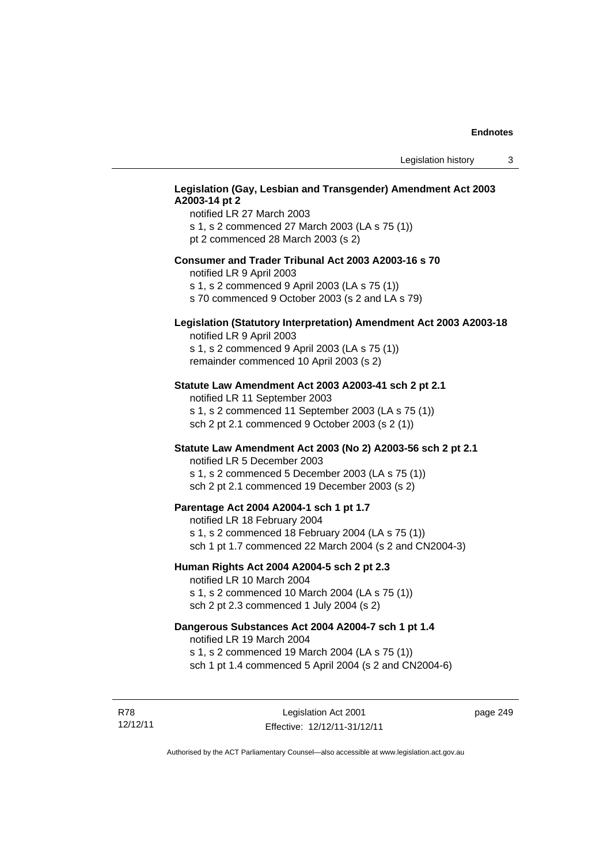## **Legislation (Gay, Lesbian and Transgender) Amendment Act 2003 A2003-14 pt 2**

notified LR 27 March 2003 s 1, s 2 commenced 27 March 2003 (LA s 75 (1)) pt 2 commenced 28 March 2003 (s 2)

### **Consumer and Trader Tribunal Act 2003 A2003-16 s 70**

notified LR 9 April 2003

s 1, s 2 commenced 9 April 2003 (LA s 75 (1))

s 70 commenced 9 October 2003 (s 2 and LA s 79)

## **Legislation (Statutory Interpretation) Amendment Act 2003 A2003-18**

notified LR 9 April 2003 s 1, s 2 commenced 9 April 2003 (LA s 75 (1)) remainder commenced 10 April 2003 (s 2)

#### **Statute Law Amendment Act 2003 A2003-41 sch 2 pt 2.1**

notified LR 11 September 2003 s 1, s 2 commenced 11 September 2003 (LA s 75 (1)) sch 2 pt 2.1 commenced 9 October 2003 (s 2 (1))

### **Statute Law Amendment Act 2003 (No 2) A2003-56 sch 2 pt 2.1**

notified LR 5 December 2003 s 1, s 2 commenced 5 December 2003 (LA s 75 (1)) sch 2 pt 2.1 commenced 19 December 2003 (s 2)

#### **Parentage Act 2004 A2004-1 sch 1 pt 1.7**

notified LR 18 February 2004 s 1, s 2 commenced 18 February 2004 (LA s 75 (1)) sch 1 pt 1.7 commenced 22 March 2004 (s 2 and CN2004-3)

### **Human Rights Act 2004 A2004-5 sch 2 pt 2.3**

notified LR 10 March 2004 s 1, s 2 commenced 10 March 2004 (LA s 75 (1)) sch 2 pt 2.3 commenced 1 July 2004 (s 2)

## **Dangerous Substances Act 2004 A2004-7 sch 1 pt 1.4**

notified LR 19 March 2004 s 1, s 2 commenced 19 March 2004 (LA s 75 (1)) sch 1 pt 1.4 commenced 5 April 2004 (s 2 and CN2004-6)

R78 12/12/11 page 249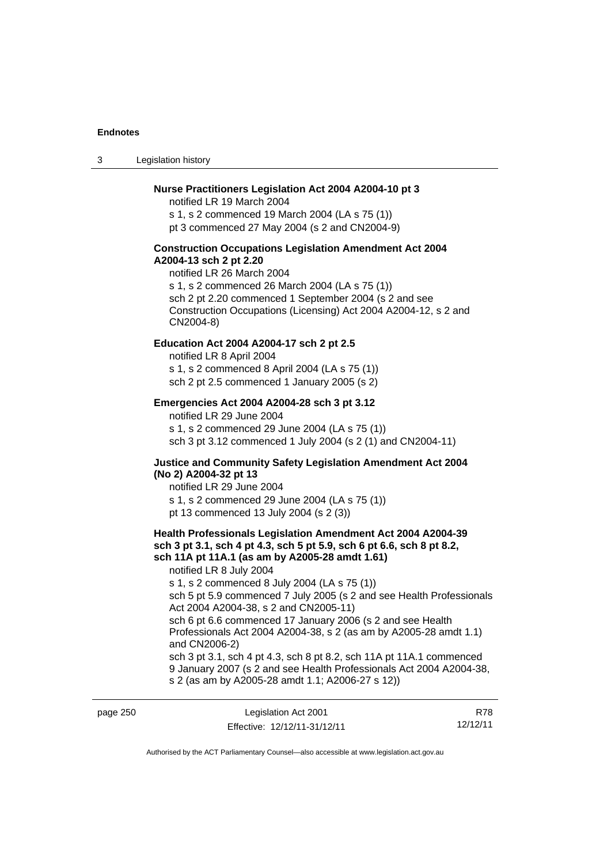3 Legislation history

#### **Nurse Practitioners Legislation Act 2004 A2004-10 pt 3**

notified LR 19 March 2004 s 1, s 2 commenced 19 March 2004 (LA s 75 (1)) pt 3 commenced 27 May 2004 (s 2 and CN2004-9)

#### **Construction Occupations Legislation Amendment Act 2004 A2004-13 sch 2 pt 2.20**

notified LR 26 March 2004 s 1, s 2 commenced 26 March 2004 (LA s 75 (1)) sch 2 pt 2.20 commenced 1 September 2004 (s 2 and see Construction Occupations (Licensing) Act 2004 A2004-12, s 2 and CN2004-8)

## **Education Act 2004 A2004-17 sch 2 pt 2.5**

notified LR 8 April 2004 s 1, s 2 commenced 8 April 2004 (LA s 75 (1)) sch 2 pt 2.5 commenced 1 January 2005 (s 2)

### **Emergencies Act 2004 A2004-28 sch 3 pt 3.12**

notified LR 29 June 2004 s 1, s 2 commenced 29 June 2004 (LA s 75 (1)) sch 3 pt 3.12 commenced 1 July 2004 (s 2 (1) and CN2004-11)

### **Justice and Community Safety Legislation Amendment Act 2004 (No 2) A2004-32 pt 13**

notified LR 29 June 2004 s 1, s 2 commenced 29 June 2004 (LA s 75 (1)) pt 13 commenced 13 July 2004 (s 2 (3))

## **Health Professionals Legislation Amendment Act 2004 A2004-39 sch 3 pt 3.1, sch 4 pt 4.3, sch 5 pt 5.9, sch 6 pt 6.6, sch 8 pt 8.2, sch 11A pt 11A.1 (as am by A2005-28 amdt 1.61)**

notified LR 8 July 2004

s 1, s 2 commenced 8 July 2004 (LA s 75 (1))

sch 5 pt 5.9 commenced 7 July 2005 (s 2 and see Health Professionals Act 2004 A2004-38, s 2 and CN2005-11)

sch 6 pt 6.6 commenced 17 January 2006 (s 2 and see Health Professionals Act 2004 A2004-38, s 2 (as am by A2005-28 amdt 1.1) and CN2006-2)

sch 3 pt 3.1, sch 4 pt 4.3, sch 8 pt 8.2, sch 11A pt 11A.1 commenced 9 January 2007 (s 2 and see Health Professionals Act 2004 A2004-38, s 2 (as am by A2005-28 amdt 1.1; A2006-27 s 12))

| page 250 | Legislation Act 2001         | R78      |
|----------|------------------------------|----------|
|          | Effective: 12/12/11-31/12/11 | 12/12/11 |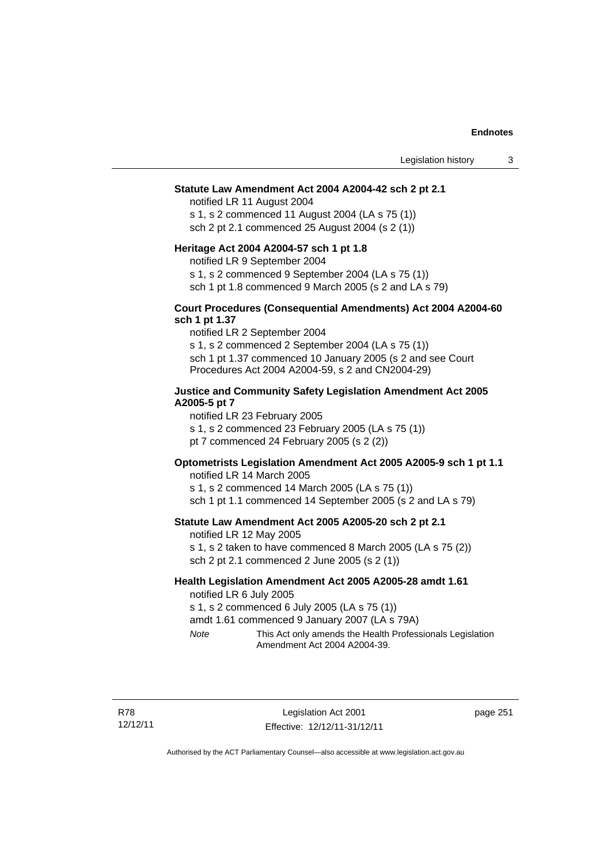#### **Statute Law Amendment Act 2004 A2004-42 sch 2 pt 2.1**

notified LR 11 August 2004 s 1, s 2 commenced 11 August 2004 (LA s 75 (1)) sch 2 pt 2.1 commenced 25 August 2004 (s 2 (1))

#### **Heritage Act 2004 A2004-57 sch 1 pt 1.8**

notified LR 9 September 2004

s 1, s 2 commenced 9 September 2004 (LA s 75 (1))

sch 1 pt 1.8 commenced 9 March 2005 (s 2 and LA s 79)

### **Court Procedures (Consequential Amendments) Act 2004 A2004-60 sch 1 pt 1.37**

notified LR 2 September 2004 s 1, s 2 commenced 2 September 2004 (LA s 75 (1)) sch 1 pt 1.37 commenced 10 January 2005 (s 2 and see Court Procedures Act 2004 A2004-59, s 2 and CN2004-29)

#### **Justice and Community Safety Legislation Amendment Act 2005 A2005-5 pt 7**

notified LR 23 February 2005 s 1, s 2 commenced 23 February 2005 (LA s 75 (1)) pt 7 commenced 24 February 2005 (s 2 (2))

## **Optometrists Legislation Amendment Act 2005 A2005-9 sch 1 pt 1.1**

notified LR 14 March 2005 s 1, s 2 commenced 14 March 2005 (LA s 75 (1)) sch 1 pt 1.1 commenced 14 September 2005 (s 2 and LA s 79)

## **Statute Law Amendment Act 2005 A2005-20 sch 2 pt 2.1**

notified LR 12 May 2005

s 1, s 2 taken to have commenced 8 March 2005 (LA s 75 (2)) sch 2 pt 2.1 commenced 2 June 2005 (s 2 (1))

## **Health Legislation Amendment Act 2005 A2005-28 amdt 1.61**

notified LR 6 July 2005

s 1, s 2 commenced 6 July 2005 (LA s 75 (1))

amdt 1.61 commenced 9 January 2007 (LA s 79A)

*Note* This Act only amends the Health Professionals Legislation Amendment Act 2004 A2004-39.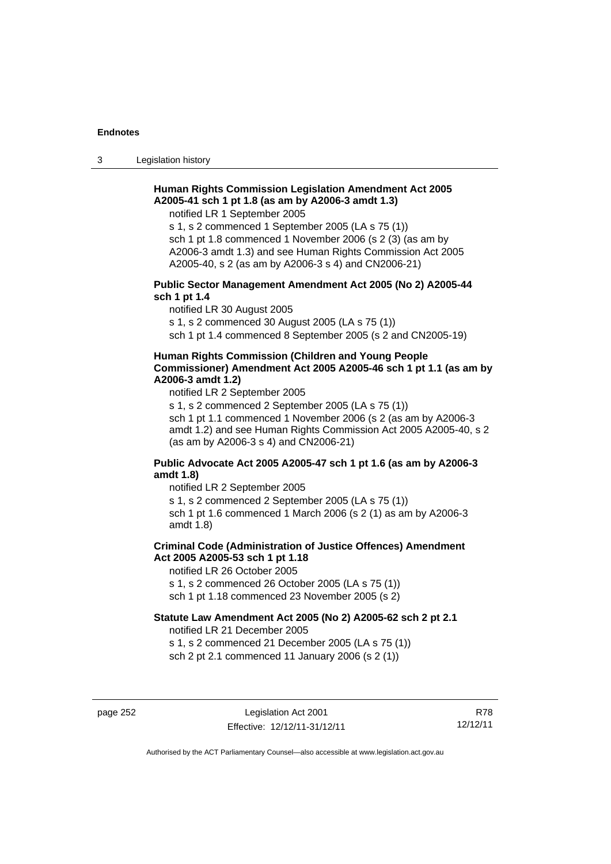3 Legislation history

## **Human Rights Commission Legislation Amendment Act 2005 A2005-41 sch 1 pt 1.8 (as am by A2006-3 amdt 1.3)**

notified LR 1 September 2005

s 1, s 2 commenced 1 September 2005 (LA s 75 (1)) sch 1 pt 1.8 commenced 1 November 2006 (s 2 (3) (as am by A2006-3 amdt 1.3) and see Human Rights Commission Act 2005 A2005-40, s 2 (as am by A2006-3 s 4) and CN2006-21)

## **Public Sector Management Amendment Act 2005 (No 2) A2005-44 sch 1 pt 1.4**

notified LR 30 August 2005

s 1, s 2 commenced 30 August 2005 (LA s 75 (1))

sch 1 pt 1.4 commenced 8 September 2005 (s 2 and CN2005-19)

#### **Human Rights Commission (Children and Young People Commissioner) Amendment Act 2005 A2005-46 sch 1 pt 1.1 (as am by A2006-3 amdt 1.2)**

notified LR 2 September 2005

s 1, s 2 commenced 2 September 2005 (LA s 75 (1)) sch 1 pt 1.1 commenced 1 November 2006 (s 2 (as am by A2006-3 amdt 1.2) and see Human Rights Commission Act 2005 A2005-40, s 2 (as am by A2006-3 s 4) and CN2006-21)

## **Public Advocate Act 2005 A2005-47 sch 1 pt 1.6 (as am by A2006-3 amdt 1.8)**

notified LR 2 September 2005

s 1, s 2 commenced 2 September 2005 (LA s 75 (1))

sch 1 pt 1.6 commenced 1 March 2006 (s 2 (1) as am by A2006-3 amdt 1.8)

## **Criminal Code (Administration of Justice Offences) Amendment Act 2005 A2005-53 sch 1 pt 1.18**

notified LR 26 October 2005

s 1, s 2 commenced 26 October 2005 (LA s 75 (1))

sch 1 pt 1.18 commenced 23 November 2005 (s 2)

## **Statute Law Amendment Act 2005 (No 2) A2005-62 sch 2 pt 2.1**

notified LR 21 December 2005

s 1, s 2 commenced 21 December 2005 (LA s 75 (1)) sch 2 pt 2.1 commenced 11 January 2006 (s 2 (1))

page 252 Legislation Act 2001 Effective: 12/12/11-31/12/11

R78 12/12/11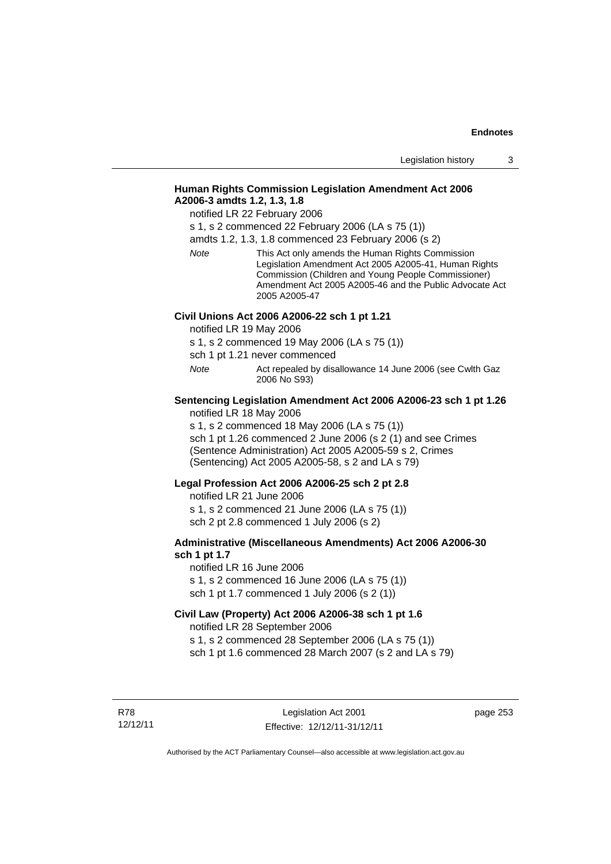## **Human Rights Commission Legislation Amendment Act 2006 A2006-3 amdts 1.2, 1.3, 1.8**

notified LR 22 February 2006

s 1, s 2 commenced 22 February 2006 (LA s 75 (1))

amdts 1.2, 1.3, 1.8 commenced 23 February 2006 (s 2)

*Note* This Act only amends the Human Rights Commission Legislation Amendment Act 2005 A2005-41, Human Rights Commission (Children and Young People Commissioner) Amendment Act 2005 A2005-46 and the Public Advocate Act 2005 A2005-47

#### **Civil Unions Act 2006 A2006-22 sch 1 pt 1.21**

notified LR 19 May 2006

s 1, s 2 commenced 19 May 2006 (LA s 75 (1))

sch 1 pt 1.21 never commenced

*Note* **Act repealed by disallowance 14 June 2006 (see Cwlth Gaz** 2006 No S93)

## **Sentencing Legislation Amendment Act 2006 A2006-23 sch 1 pt 1.26**

notified LR 18 May 2006

s 1, s 2 commenced 18 May 2006 (LA s 75 (1)) sch 1 pt 1.26 commenced 2 June 2006 (s 2 (1) and see Crimes (Sentence Administration) Act 2005 A2005-59 s 2, Crimes

(Sentencing) Act 2005 A2005-58, s 2 and LA s 79)

#### **Legal Profession Act 2006 A2006-25 sch 2 pt 2.8**

notified LR 21 June 2006 s 1, s 2 commenced 21 June 2006 (LA s 75 (1)) sch 2 pt 2.8 commenced 1 July 2006 (s 2)

#### **Administrative (Miscellaneous Amendments) Act 2006 A2006-30 sch 1 pt 1.7**

notified LR 16 June 2006 s 1, s 2 commenced 16 June 2006 (LA s 75 (1)) sch 1 pt 1.7 commenced 1 July 2006 (s 2 (1))

## **Civil Law (Property) Act 2006 A2006-38 sch 1 pt 1.6**

notified LR 28 September 2006

s 1, s 2 commenced 28 September 2006 (LA s 75 (1))

sch 1 pt 1.6 commenced 28 March 2007 (s 2 and LA s 79)

R78 12/12/11 page 253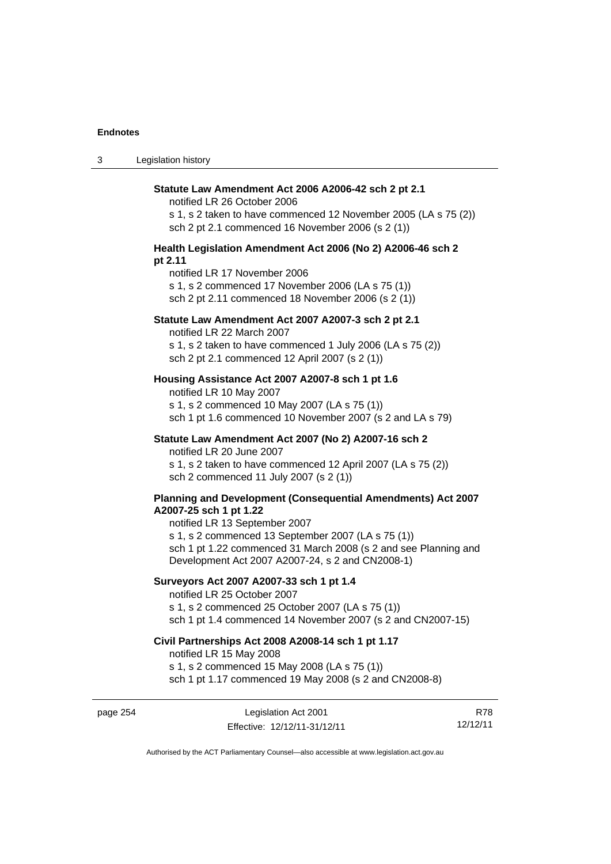| $\sqrt{2}$<br>ు | Legislation history |
|-----------------|---------------------|
|-----------------|---------------------|

| Statute Law Amendment Act 2006 A2006-42 sch 2 pt 2.1<br>notified LR 26 October 2006                                                                                       |
|---------------------------------------------------------------------------------------------------------------------------------------------------------------------------|
| s 1, s 2 taken to have commenced 12 November 2005 (LA s 75 (2))<br>sch 2 pt 2.1 commenced 16 November 2006 (s 2 (1))                                                      |
| Health Legislation Amendment Act 2006 (No 2) A2006-46 sch 2<br>pt 2.11                                                                                                    |
| notified LR 17 November 2006<br>s 1, s 2 commenced 17 November 2006 (LA s 75 (1))<br>sch 2 pt 2.11 commenced 18 November 2006 (s 2 (1))                                   |
| Statute Law Amendment Act 2007 A2007-3 sch 2 pt 2.1<br>notified LR 22 March 2007                                                                                          |
| s 1, s 2 taken to have commenced 1 July 2006 (LA s 75 (2))<br>sch 2 pt 2.1 commenced 12 April 2007 (s 2 (1))                                                              |
| Housing Assistance Act 2007 A2007-8 sch 1 pt 1.6<br>notified LR 10 May 2007                                                                                               |
| s 1, s 2 commenced 10 May 2007 (LA s 75 (1))<br>sch 1 pt 1.6 commenced 10 November 2007 (s 2 and LA s 79)                                                                 |
| Statute Law Amendment Act 2007 (No 2) A2007-16 sch 2<br>notified LR 20 June 2007                                                                                          |
| s 1, s 2 taken to have commenced 12 April 2007 (LA s 75 (2))<br>sch 2 commenced 11 July 2007 (s 2 (1))                                                                    |
| Planning and Development (Consequential Amendments) Act 2007<br>A2007-25 sch 1 pt 1.22<br>notified LR 13 September 2007                                                   |
| s 1, s 2 commenced 13 September 2007 (LA s 75 (1))<br>sch 1 pt 1.22 commenced 31 March 2008 (s 2 and see Planning and<br>Development Act 2007 A2007-24, s 2 and CN2008-1) |
| Surveyors Act 2007 A2007-33 sch 1 pt 1.4<br>notified LR 25 October 2007                                                                                                   |
| s 1, s 2 commenced 25 October 2007 (LA s 75 (1))<br>sch 1 pt 1.4 commenced 14 November 2007 (s 2 and CN2007-15)                                                           |
| Civil Partnerships Act 2008 A2008-14 sch 1 pt 1.17<br>notified LR 15 May 2008                                                                                             |
| s 1, s 2 commenced 15 May 2008 (LA s 75 (1))<br>sch 1 pt 1.17 commenced 19 May 2008 (s 2 and CN2008-8)                                                                    |

page 254 Legislation Act 2001 Effective: 12/12/11-31/12/11

R78 12/12/11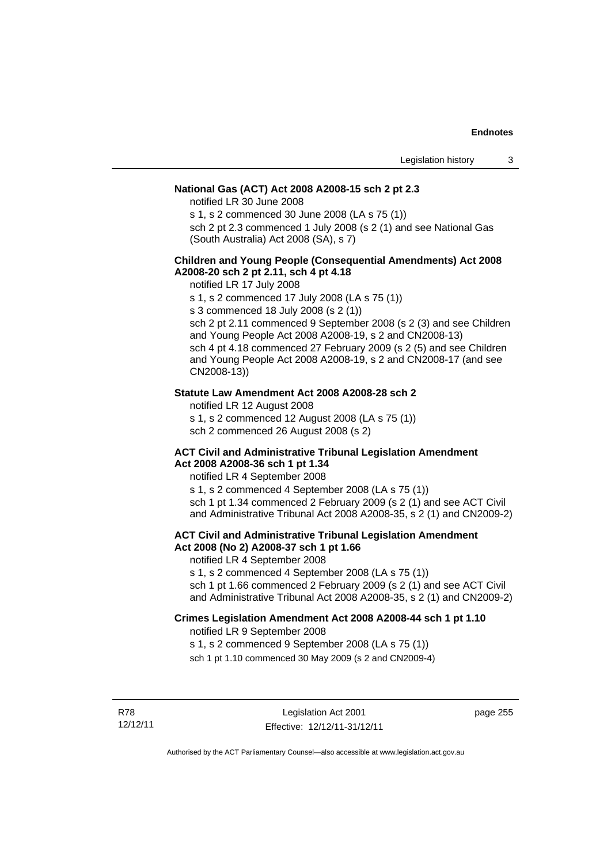## **National Gas (ACT) Act 2008 A2008-15 sch 2 pt 2.3**

notified LR 30 June 2008

s 1, s 2 commenced 30 June 2008 (LA s 75 (1))

sch 2 pt 2.3 commenced 1 July 2008 (s 2 (1) and see National Gas (South Australia) Act 2008 (SA), s 7)

## **Children and Young People (Consequential Amendments) Act 2008 A2008-20 sch 2 pt 2.11, sch 4 pt 4.18**

notified LR 17 July 2008

s 1, s 2 commenced 17 July 2008 (LA s 75 (1))

s 3 commenced 18 July 2008 (s 2 (1))

sch 2 pt 2.11 commenced 9 September 2008 (s 2 (3) and see Children and Young People Act 2008 A2008-19, s 2 and CN2008-13) sch 4 pt 4.18 commenced 27 February 2009 (s 2 (5) and see Children and Young People Act 2008 A2008-19, s 2 and CN2008-17 (and see CN2008-13))

### **Statute Law Amendment Act 2008 A2008-28 sch 2**

notified LR 12 August 2008

s 1, s 2 commenced 12 August 2008 (LA s 75 (1))

sch 2 commenced 26 August 2008 (s 2)

#### **ACT Civil and Administrative Tribunal Legislation Amendment Act 2008 A2008-36 sch 1 pt 1.34**

notified LR 4 September 2008

s 1, s 2 commenced 4 September 2008 (LA s 75 (1)) sch 1 pt 1.34 commenced 2 February 2009 (s 2 (1) and see ACT Civil and Administrative Tribunal Act 2008 A2008-35, s 2 (1) and CN2009-2)

## **ACT Civil and Administrative Tribunal Legislation Amendment Act 2008 (No 2) A2008-37 sch 1 pt 1.66**

notified LR 4 September 2008

s 1, s 2 commenced 4 September 2008 (LA s 75 (1))

sch 1 pt 1.66 commenced 2 February 2009 (s 2 (1) and see ACT Civil and Administrative Tribunal Act 2008 A2008-35, s 2 (1) and CN2009-2)

### **Crimes Legislation Amendment Act 2008 A2008-44 sch 1 pt 1.10**  notified LR 9 September 2008

s 1, s 2 commenced 9 September 2008 (LA s 75 (1))

sch 1 pt 1.10 commenced 30 May 2009 (s 2 and CN2009-4)

R78 12/12/11 page 255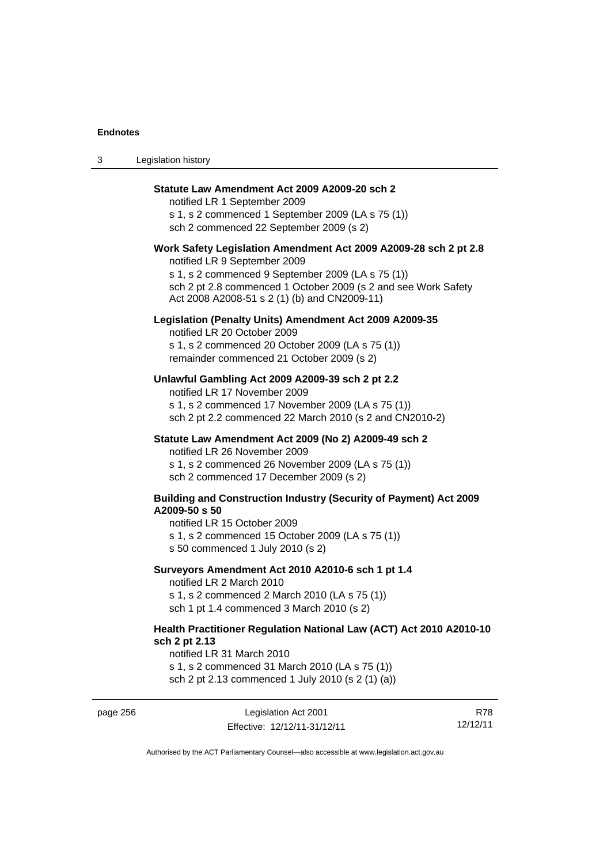3 Legislation history

| Statute Law Amendment Act 2009 A2009-20 sch 2<br>notified LR 1 September 2009<br>s 1, s 2 commenced 1 September 2009 (LA s 75 (1))<br>sch 2 commenced 22 September 2009 (s 2)                                                                                           |
|-------------------------------------------------------------------------------------------------------------------------------------------------------------------------------------------------------------------------------------------------------------------------|
| Work Safety Legislation Amendment Act 2009 A2009-28 sch 2 pt 2.8<br>notified LR 9 September 2009<br>s 1, s 2 commenced 9 September 2009 (LA s 75 (1))<br>sch 2 pt 2.8 commenced 1 October 2009 (s 2 and see Work Safety<br>Act 2008 A2008-51 s 2 (1) (b) and CN2009-11) |
| Legislation (Penalty Units) Amendment Act 2009 A2009-35<br>notified LR 20 October 2009<br>s 1, s 2 commenced 20 October 2009 (LA s 75 (1))<br>remainder commenced 21 October 2009 (s 2)                                                                                 |
| Unlawful Gambling Act 2009 A2009-39 sch 2 pt 2.2<br>notified LR 17 November 2009<br>s 1, s 2 commenced 17 November 2009 (LA s 75 (1))<br>sch 2 pt 2.2 commenced 22 March 2010 (s 2 and CN2010-2)                                                                        |
| Statute Law Amendment Act 2009 (No 2) A2009-49 sch 2<br>notified LR 26 November 2009<br>s 1, s 2 commenced 26 November 2009 (LA s 75 (1))<br>sch 2 commenced 17 December 2009 (s 2)                                                                                     |
| <b>Building and Construction Industry (Security of Payment) Act 2009</b><br>A2009-50 s 50<br>notified LR 15 October 2009<br>s 1, s 2 commenced 15 October 2009 (LA s 75 (1))<br>s 50 commenced 1 July 2010 (s 2)                                                        |
| Surveyors Amendment Act 2010 A2010-6 sch 1 pt 1.4<br>notified LR 2 March 2010<br>s 1, s 2 commenced 2 March 2010 (LA s 75 (1))<br>sch 1 pt 1.4 commenced 3 March 2010 (s 2)                                                                                             |
| Health Practitioner Regulation National Law (ACT) Act 2010 A2010-10<br>sch 2 pt 2.13<br>notified LR 31 March 2010                                                                                                                                                       |

s 1, s 2 commenced 31 March 2010 (LA s 75 (1)) sch 2 pt 2.13 commenced 1 July 2010 (s 2 (1) (a))

page 256 Legislation Act 2001 Effective: 12/12/11-31/12/11

R78 12/12/11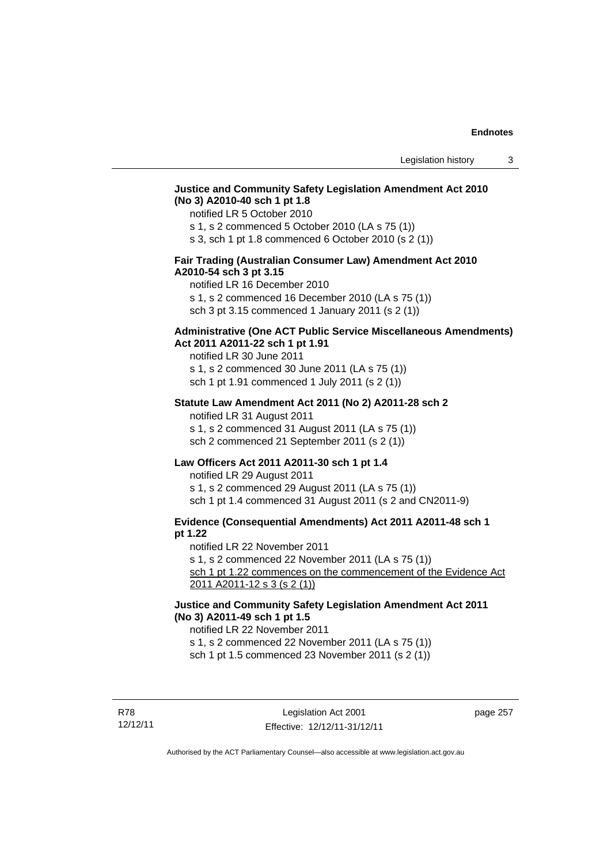## **Justice and Community Safety Legislation Amendment Act 2010 (No 3) A2010-40 sch 1 pt 1.8**

notified LR 5 October 2010

s 1, s 2 commenced 5 October 2010 (LA s 75 (1))

s 3, sch 1 pt 1.8 commenced 6 October 2010 (s 2 (1))

## **Fair Trading (Australian Consumer Law) Amendment Act 2010 A2010-54 sch 3 pt 3.15**

notified LR 16 December 2010

s 1, s 2 commenced 16 December 2010 (LA s 75 (1))

sch 3 pt 3.15 commenced 1 January 2011 (s 2 (1))

## **Administrative (One ACT Public Service Miscellaneous Amendments) Act 2011 A2011-22 sch 1 pt 1.91**

notified LR 30 June 2011 s 1, s 2 commenced 30 June 2011 (LA s 75 (1)) sch 1 pt 1.91 commenced 1 July 2011 (s 2 (1))

#### **Statute Law Amendment Act 2011 (No 2) A2011-28 sch 2**

notified LR 31 August 2011 s 1, s 2 commenced 31 August 2011 (LA s 75 (1)) sch 2 commenced 21 September 2011 (s 2 (1))

## **Law Officers Act 2011 A2011-30 sch 1 pt 1.4**

notified LR 29 August 2011 s 1, s 2 commenced 29 August 2011 (LA s 75 (1)) sch 1 pt 1.4 commenced 31 August 2011 (s 2 and CN2011-9)

## **Evidence (Consequential Amendments) Act 2011 A2011-48 sch 1 pt 1.22**

notified LR 22 November 2011

s 1, s 2 commenced 22 November 2011 (LA s 75 (1))

sch 1 pt 1.22 commences on the commencement of the Evidence Act 2011 A2011-12 s 3 (s 2 (1))

## **Justice and Community Safety Legislation Amendment Act 2011 (No 3) A2011-49 sch 1 pt 1.5**

notified LR 22 November 2011

s 1, s 2 commenced 22 November 2011 (LA s 75 (1))

sch 1 pt 1.5 commenced 23 November 2011 (s 2 (1))

R78 12/12/11 page 257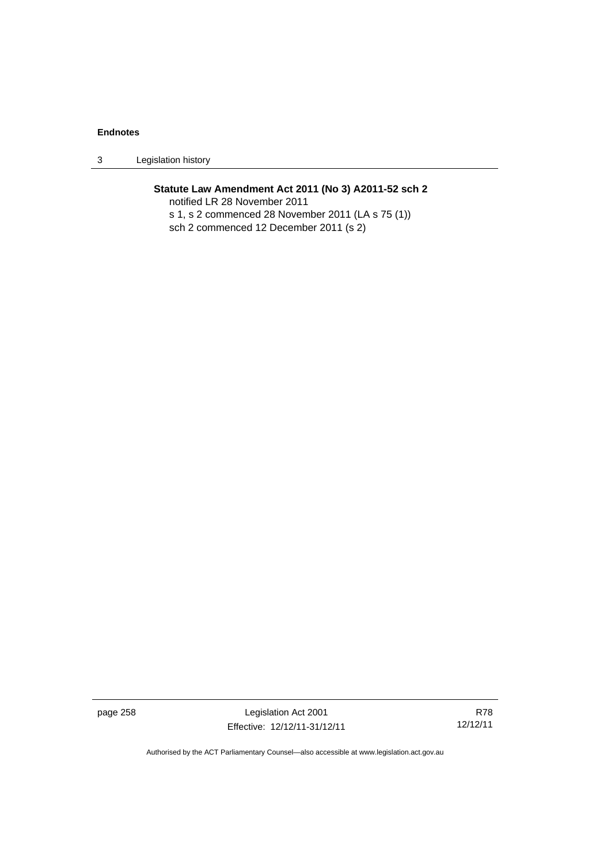3 Legislation history

## **Statute Law Amendment Act 2011 (No 3) A2011-52 sch 2**

notified LR 28 November 2011 s 1, s 2 commenced 28 November 2011 (LA s 75 (1)) sch 2 commenced 12 December 2011 (s 2)

page 258 Legislation Act 2001 Effective: 12/12/11-31/12/11

R78 12/12/11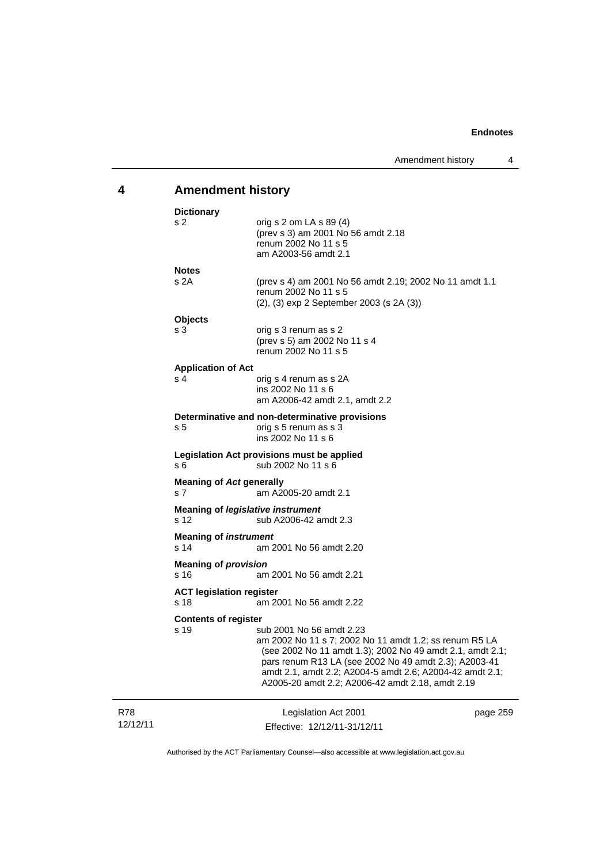# **4 Amendment history**

|                 | <b>Dictionary</b>                                 |                                                                                                                                                                                                                                                                                                                          |          |
|-----------------|---------------------------------------------------|--------------------------------------------------------------------------------------------------------------------------------------------------------------------------------------------------------------------------------------------------------------------------------------------------------------------------|----------|
|                 | s 2                                               | orig s 2 om LA s 89 (4)<br>(prev s 3) am 2001 No 56 amdt 2.18<br>renum 2002 No 11 s 5<br>am A2003-56 amdt 2.1                                                                                                                                                                                                            |          |
|                 | <b>Notes</b>                                      |                                                                                                                                                                                                                                                                                                                          |          |
|                 | s 2A                                              | (prev s 4) am 2001 No 56 amdt 2.19; 2002 No 11 amdt 1.1<br>renum 2002 No 11 s 5<br>(2), (3) exp 2 September 2003 (s 2A (3))                                                                                                                                                                                              |          |
|                 | <b>Objects</b>                                    |                                                                                                                                                                                                                                                                                                                          |          |
|                 | s 3                                               | orig s 3 renum as s 2<br>(prev s 5) am 2002 No 11 s 4<br>renum 2002 No 11 s 5                                                                                                                                                                                                                                            |          |
|                 | <b>Application of Act</b>                         |                                                                                                                                                                                                                                                                                                                          |          |
|                 | s 4                                               | orig s 4 renum as s 2A<br>ins 2002 No 11 s 6<br>am A2006-42 amdt 2.1, amdt 2.2                                                                                                                                                                                                                                           |          |
|                 |                                                   | Determinative and non-determinative provisions                                                                                                                                                                                                                                                                           |          |
|                 | s 5                                               | orig s 5 renum as s 3<br>ins 2002 No 11 s 6                                                                                                                                                                                                                                                                              |          |
|                 | s 6                                               | Legislation Act provisions must be applied<br>sub 2002 No 11 s 6                                                                                                                                                                                                                                                         |          |
|                 | <b>Meaning of Act generally</b><br>s <sub>7</sub> | am A2005-20 amdt 2.1                                                                                                                                                                                                                                                                                                     |          |
|                 | s 12                                              | <b>Meaning of legislative instrument</b><br>sub A2006-42 amdt 2.3                                                                                                                                                                                                                                                        |          |
|                 | <b>Meaning of instrument</b><br>s 14              | am 2001 No 56 amdt 2.20                                                                                                                                                                                                                                                                                                  |          |
|                 | <b>Meaning of provision</b>                       |                                                                                                                                                                                                                                                                                                                          |          |
|                 | s 16                                              | am 2001 No 56 amdt 2.21                                                                                                                                                                                                                                                                                                  |          |
|                 | <b>ACT legislation register</b><br>s 18           | am 2001 No 56 amdt 2.22                                                                                                                                                                                                                                                                                                  |          |
|                 | <b>Contents of register</b>                       |                                                                                                                                                                                                                                                                                                                          |          |
|                 | s 19                                              | sub 2001 No 56 amdt 2.23<br>am 2002 No 11 s 7; 2002 No 11 amdt 1.2; ss renum R5 LA<br>(see 2002 No 11 amdt 1.3); 2002 No 49 amdt 2.1, amdt 2.1;<br>pars renum R13 LA (see 2002 No 49 amdt 2.3); A2003-41<br>amdt 2.1, amdt 2.2; A2004-5 amdt 2.6; A2004-42 amdt 2.1;<br>A2005-20 amdt 2.2; A2006-42 amdt 2.18, amdt 2.19 |          |
| R78<br>12/12/11 |                                                   | Legislation Act 2001<br>Effective: 12/12/11-31/12/11                                                                                                                                                                                                                                                                     | page 259 |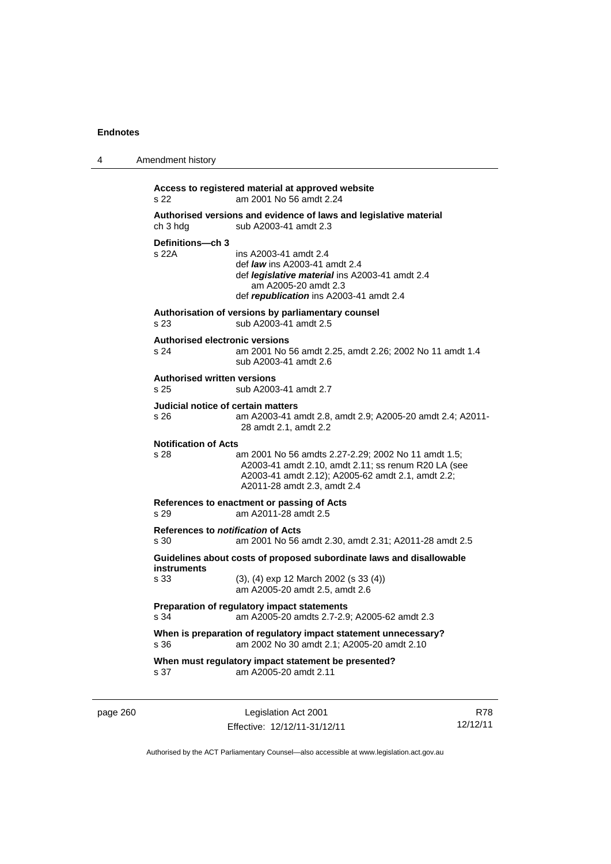| 4 | Amendment history                                                                                                                                                                                                                     |
|---|---------------------------------------------------------------------------------------------------------------------------------------------------------------------------------------------------------------------------------------|
|   | Access to registered material at approved website<br>s 22<br>am 2001 No 56 amdt 2.24                                                                                                                                                  |
|   | Authorised versions and evidence of laws and legislative material<br>sub A2003-41 amdt 2.3<br>ch 3 hdg                                                                                                                                |
|   | Definitions-ch 3<br>s 22A<br>ins A2003-41 amdt 2.4<br>def <i>law</i> ins A2003-41 amdt 2.4<br>def <i>legislative material</i> ins A2003-41 amdt 2.4<br>am A2005-20 amdt 2.3<br>def republication ins A2003-41 amdt 2.4                |
|   | Authorisation of versions by parliamentary counsel<br>sub A2003-41 amdt 2.5<br>s 23                                                                                                                                                   |
|   | <b>Authorised electronic versions</b><br>s 24<br>am 2001 No 56 amdt 2.25, amdt 2.26; 2002 No 11 amdt 1.4<br>sub A2003-41 amdt 2.6                                                                                                     |
|   | <b>Authorised written versions</b><br>s 25<br>sub A2003-41 amdt 2.7                                                                                                                                                                   |
|   | Judicial notice of certain matters<br>s 26<br>am A2003-41 amdt 2.8, amdt 2.9; A2005-20 amdt 2.4; A2011-<br>28 amdt 2.1, amdt 2.2                                                                                                      |
|   | <b>Notification of Acts</b><br>s 28<br>am 2001 No 56 amdts 2.27-2.29; 2002 No 11 amdt 1.5;<br>A2003-41 amdt 2.10, amdt 2.11; ss renum R20 LA (see<br>A2003-41 amdt 2.12); A2005-62 amdt 2.1, amdt 2.2;<br>A2011-28 amdt 2.3, amdt 2.4 |
|   | References to enactment or passing of Acts<br>s 29<br>am A2011-28 amdt 2.5                                                                                                                                                            |
|   | References to <i>notification</i> of Acts<br>s 30<br>am 2001 No 56 amdt 2.30, amdt 2.31; A2011-28 amdt 2.5                                                                                                                            |
|   | Guidelines about costs of proposed subordinate laws and disallowable<br>instruments<br>s 33<br>(3), (4) exp 12 March 2002 (s 33 (4))<br>am A2005-20 amdt 2.5, amdt 2.6                                                                |
|   | Preparation of regulatory impact statements<br>s 34<br>am A2005-20 amdts 2.7-2.9; A2005-62 amdt 2.3                                                                                                                                   |
|   | When is preparation of regulatory impact statement unnecessary?<br>s 36<br>am 2002 No 30 amdt 2.1; A2005-20 amdt 2.10                                                                                                                 |
|   | When must regulatory impact statement be presented?<br>am A2005-20 amdt 2.11<br>s 37                                                                                                                                                  |
|   |                                                                                                                                                                                                                                       |

page 260 Legislation Act 2001 Effective: 12/12/11-31/12/11

R78 12/12/11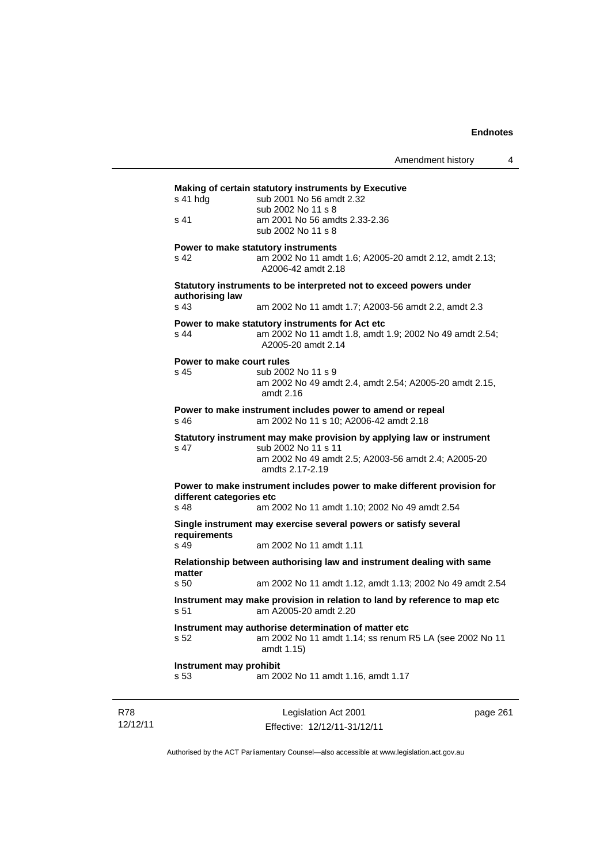|                                             | Making of certain statutory instruments by Executive<br>sub 2001 No 56 amdt 2.32                                                                                                          |
|---------------------------------------------|-------------------------------------------------------------------------------------------------------------------------------------------------------------------------------------------|
| s 41                                        | sub 2002 No 11 s 8<br>am 2001 No 56 amdts 2.33-2.36<br>sub 2002 No 11 s 8                                                                                                                 |
| s 42                                        | Power to make statutory instruments<br>am 2002 No 11 amdt 1.6; A2005-20 amdt 2.12, amdt 2.13;<br>A2006-42 amdt 2.18                                                                       |
| authorising law                             | Statutory instruments to be interpreted not to exceed powers under                                                                                                                        |
| s 43                                        | am 2002 No 11 amdt 1.7; A2003-56 amdt 2.2, amdt 2.3                                                                                                                                       |
| $s$ 44                                      | Power to make statutory instruments for Act etc<br>am 2002 No 11 amdt 1.8, amdt 1.9; 2002 No 49 amdt 2.54;<br>A2005-20 amdt 2.14                                                          |
| Power to make court rules<br>s 45           | sub 2002 No 11 s 9<br>am 2002 No 49 amdt 2.4, amdt 2.54; A2005-20 amdt 2.15,<br>amdt $2.16$                                                                                               |
| s 46                                        | Power to make instrument includes power to amend or repeal<br>am 2002 No 11 s 10; A2006-42 amdt 2.18                                                                                      |
| s 47                                        | Statutory instrument may make provision by applying law or instrument<br>sub 2002 No 11 s 11<br>am 2002 No 49 amdt 2.5; A2003-56 amdt 2.4; A2005-20<br>amdts 2.17-2.19                    |
| different categories etc<br>s <sub>48</sub> | Power to make instrument includes power to make different provision for<br>am 2002 No 11 amdt 1.10; 2002 No 49 amdt 2.54                                                                  |
|                                             |                                                                                                                                                                                           |
|                                             | Single instrument may exercise several powers or satisfy several                                                                                                                          |
|                                             | am 2002 No 11 amdt 1.11                                                                                                                                                                   |
| requirements<br>s <sub>49</sub>             | Relationship between authorising law and instrument dealing with same                                                                                                                     |
| matter<br>s <sub>50</sub>                   |                                                                                                                                                                                           |
| s.51                                        | Instrument may make provision in relation to land by reference to map etc<br>am A2005-20 amdt 2.20                                                                                        |
| s 52                                        | am 2002 No 11 amdt 1.12, amdt 1.13; 2002 No 49 amdt 2.54<br>Instrument may authorise determination of matter etc<br>am 2002 No 11 amdt 1.14; ss renum R5 LA (see 2002 No 11<br>amdt 1.15) |

R78 12/12/11

Legislation Act 2001 Effective: 12/12/11-31/12/11 page 261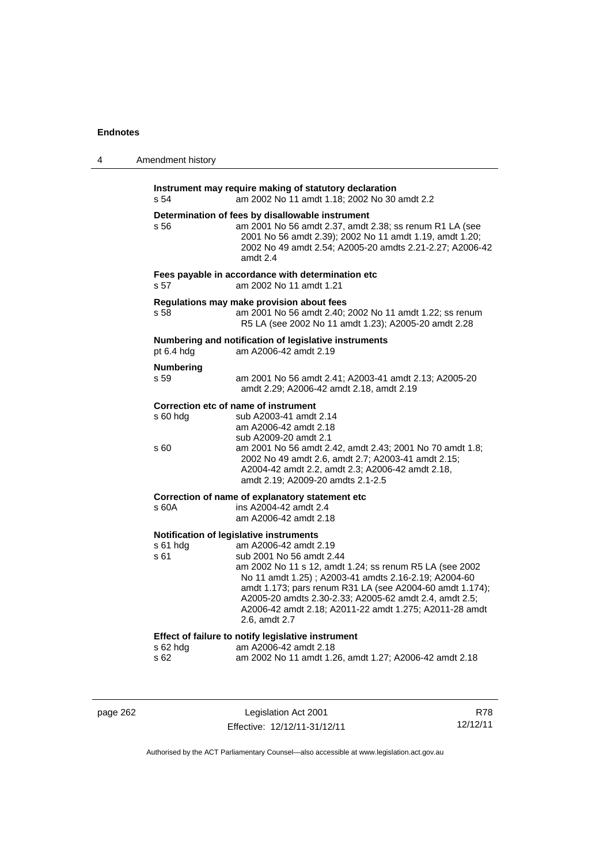| 4 | Amendment history                                                                                                                                                                                                                                                                                                                                                                                                                    |  |
|---|--------------------------------------------------------------------------------------------------------------------------------------------------------------------------------------------------------------------------------------------------------------------------------------------------------------------------------------------------------------------------------------------------------------------------------------|--|
|   | Instrument may require making of statutory declaration<br>s 54<br>am 2002 No 11 amdt 1.18; 2002 No 30 amdt 2.2                                                                                                                                                                                                                                                                                                                       |  |
|   | Determination of fees by disallowable instrument<br>s 56<br>am 2001 No 56 amdt 2.37, amdt 2.38; ss renum R1 LA (see<br>2001 No 56 amdt 2.39); 2002 No 11 amdt 1.19, amdt 1.20;<br>2002 No 49 amdt 2.54; A2005-20 amdts 2.21-2.27; A2006-42<br>amdt 2.4                                                                                                                                                                               |  |
|   | Fees payable in accordance with determination etc<br>s 57<br>am 2002 No 11 amdt 1.21                                                                                                                                                                                                                                                                                                                                                 |  |
|   | Regulations may make provision about fees<br>am 2001 No 56 amdt 2.40; 2002 No 11 amdt 1.22; ss renum<br>s 58<br>R5 LA (see 2002 No 11 amdt 1.23); A2005-20 amdt 2.28                                                                                                                                                                                                                                                                 |  |
|   | Numbering and notification of legislative instruments<br>pt 6.4 hdg<br>am A2006-42 amdt 2.19                                                                                                                                                                                                                                                                                                                                         |  |
|   | <b>Numbering</b><br>s 59<br>am 2001 No 56 amdt 2.41; A2003-41 amdt 2.13; A2005-20<br>amdt 2.29; A2006-42 amdt 2.18, amdt 2.19                                                                                                                                                                                                                                                                                                        |  |
|   | Correction etc of name of instrument<br>s 60 hdg<br>sub A2003-41 amdt 2.14<br>am A2006-42 amdt 2.18<br>sub A2009-20 amdt 2.1                                                                                                                                                                                                                                                                                                         |  |
|   | am 2001 No 56 amdt 2.42, amdt 2.43; 2001 No 70 amdt 1.8;<br>s 60<br>2002 No 49 amdt 2.6, amdt 2.7; A2003-41 amdt 2.15;<br>A2004-42 amdt 2.2, amdt 2.3; A2006-42 amdt 2.18,<br>amdt 2.19; A2009-20 amdts 2.1-2.5                                                                                                                                                                                                                      |  |
|   | Correction of name of explanatory statement etc<br>s 60A<br>ins A2004-42 amdt 2.4<br>am A2006-42 amdt 2.18                                                                                                                                                                                                                                                                                                                           |  |
|   | Notification of legislative instruments<br>s 61 hdg<br>am A2006-42 amdt 2.19<br>s 61<br>sub 2001 No 56 amdt 2.44<br>am 2002 No 11 s 12, amdt 1.24; ss renum R5 LA (see 2002<br>No 11 amdt 1.25); A2003-41 amdts 2.16-2.19; A2004-60<br>amdt 1.173; pars renum R31 LA (see A2004-60 amdt 1.174);<br>A2005-20 amdts 2.30-2.33; A2005-62 amdt 2.4, amdt 2.5;<br>A2006-42 amdt 2.18; A2011-22 amdt 1.275; A2011-28 amdt<br>2.6, amdt 2.7 |  |
|   | Effect of failure to notify legislative instrument<br>s 62 hdg<br>am A2006-42 amdt 2.18<br>s 62<br>am 2002 No 11 amdt 1.26, amdt 1.27; A2006-42 amdt 2.18                                                                                                                                                                                                                                                                            |  |
|   |                                                                                                                                                                                                                                                                                                                                                                                                                                      |  |

|  | page 262 |
|--|----------|
|  |          |

Legislation Act 2001 Effective: 12/12/11-31/12/11

R78 12/12/11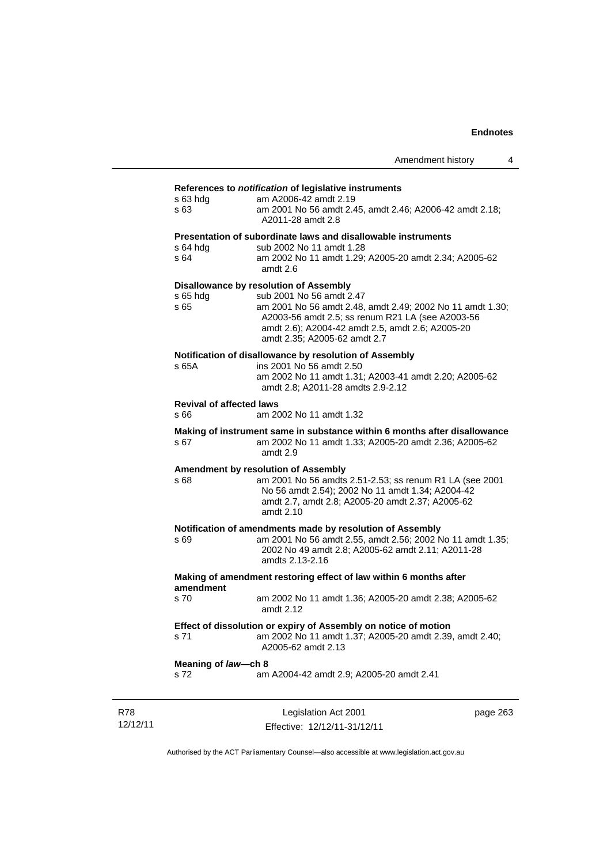## **References to** *notification* **of legislative instruments**

| s 63 hda<br>s 63                        | <u>kelerences to nouncation or legislative instruments</u><br>am A2006-42 amdt 2.19<br>am 2001 No 56 amdt 2.45, amdt 2.46; A2006-42 amdt 2.18;<br>A2011-28 amdt 2.8                                                                                                     |
|-----------------------------------------|-------------------------------------------------------------------------------------------------------------------------------------------------------------------------------------------------------------------------------------------------------------------------|
| s 64 hda<br>s 64                        | Presentation of subordinate laws and disallowable instruments<br>sub 2002 No 11 amdt 1.28<br>am 2002 No 11 amdt 1.29; A2005-20 amdt 2.34; A2005-62<br>amdt 2.6                                                                                                          |
| s 65 hdg<br>s 65                        | Disallowance by resolution of Assembly<br>sub 2001 No 56 amdt 2.47<br>am 2001 No 56 amdt 2.48, amdt 2.49; 2002 No 11 amdt 1.30;<br>A2003-56 amdt 2.5; ss renum R21 LA (see A2003-56<br>amdt 2.6); A2004-42 amdt 2.5, amdt 2.6; A2005-20<br>amdt 2.35; A2005-62 amdt 2.7 |
| s 65A                                   | Notification of disallowance by resolution of Assembly<br>ins 2001 No 56 amdt 2.50<br>am 2002 No 11 amdt 1.31; A2003-41 amdt 2.20; A2005-62<br>amdt 2.8; A2011-28 amdts 2.9-2.12                                                                                        |
| <b>Revival of affected laws</b><br>s 66 | am 2002 No 11 amdt 1.32                                                                                                                                                                                                                                                 |
| s 67                                    | Making of instrument same in substance within 6 months after disallowance<br>am 2002 No 11 amdt 1.33; A2005-20 amdt 2.36; A2005-62<br>amdt 2.9                                                                                                                          |
| s 68                                    | Amendment by resolution of Assembly<br>am 2001 No 56 amdts 2.51-2.53; ss renum R1 LA (see 2001<br>No 56 amdt 2.54); 2002 No 11 amdt 1.34; A2004-42<br>amdt 2.7, amdt 2.8; A2005-20 amdt 2.37; A2005-62<br>amdt 2.10                                                     |
| s 69                                    | Notification of amendments made by resolution of Assembly<br>am 2001 No 56 amdt 2.55, amdt 2.56; 2002 No 11 amdt 1.35;<br>2002 No 49 amdt 2.8; A2005-62 amdt 2.11; A2011-28<br>amdts 2.13-2.16                                                                          |
| amendment                               | Making of amendment restoring effect of law within 6 months after                                                                                                                                                                                                       |
| s 70                                    | am 2002 No 11 amdt 1.36; A2005-20 amdt 2.38; A2005-62<br>amdt 2.12                                                                                                                                                                                                      |
| s 71                                    | Effect of dissolution or expiry of Assembly on notice of motion<br>am 2002 No 11 amdt 1.37; A2005-20 amdt 2.39, amdt 2.40;<br>A2005-62 amdt 2.13                                                                                                                        |
| Meaning of law-ch 8<br>s 72             | am A2004-42 amdt 2.9; A2005-20 amdt 2.41                                                                                                                                                                                                                                |
|                                         |                                                                                                                                                                                                                                                                         |
|                                         |                                                                                                                                                                                                                                                                         |

R78 12/12/11

Legislation Act 2001 Effective: 12/12/11-31/12/11 page 263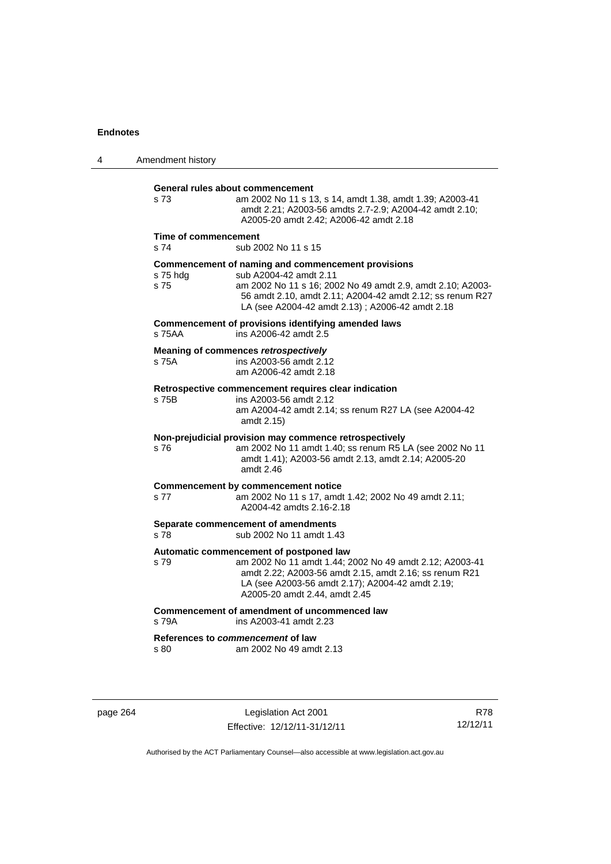| 4 | Amendment history            |                                                                                                                                                                                                                                                            |
|---|------------------------------|------------------------------------------------------------------------------------------------------------------------------------------------------------------------------------------------------------------------------------------------------------|
|   | s <sub>73</sub>              | General rules about commencement<br>am 2002 No 11 s 13, s 14, amdt 1.38, amdt 1.39; A2003-41<br>amdt 2.21; A2003-56 amdts 2.7-2.9; A2004-42 amdt 2.10;<br>A2005-20 amdt 2.42; A2006-42 amdt 2.18                                                           |
|   | Time of commencement<br>s 74 | sub 2002 No 11 s 15                                                                                                                                                                                                                                        |
|   | s 75 hdg<br>s 75             | Commencement of naming and commencement provisions<br>sub A2004-42 amdt 2.11<br>am 2002 No 11 s 16; 2002 No 49 amdt 2.9, amdt 2.10; A2003-<br>56 amdt 2.10, amdt 2.11; A2004-42 amdt 2.12; ss renum R27<br>LA (see A2004-42 amdt 2.13); A2006-42 amdt 2.18 |
|   | s 75AA                       | Commencement of provisions identifying amended laws<br>ins A2006-42 amdt 2.5                                                                                                                                                                               |
|   | s 75A                        | Meaning of commences retrospectively<br>ins A2003-56 amdt 2.12<br>am A2006-42 amdt 2.18                                                                                                                                                                    |
|   | s 75B                        | Retrospective commencement requires clear indication<br>ins A2003-56 amdt 2.12<br>am A2004-42 amdt 2.14; ss renum R27 LA (see A2004-42<br>amdt 2.15)                                                                                                       |
|   | s 76                         | Non-prejudicial provision may commence retrospectively<br>am 2002 No 11 amdt 1.40; ss renum R5 LA (see 2002 No 11<br>amdt 1.41); A2003-56 amdt 2.13, amdt 2.14; A2005-20<br>amdt 2.46                                                                      |
|   | s 77                         | Commencement by commencement notice<br>am 2002 No 11 s 17, amdt 1.42; 2002 No 49 amdt 2.11;<br>A2004-42 amdts 2.16-2.18                                                                                                                                    |
|   | s 78                         | Separate commencement of amendments<br>sub 2002 No 11 amdt 1.43                                                                                                                                                                                            |
|   | s 79                         | Automatic commencement of postponed law<br>am 2002 No 11 amdt 1.44; 2002 No 49 amdt 2.12; A2003-41<br>amdt 2.22; A2003-56 amdt 2.15, amdt 2.16; ss renum R21<br>LA (see A2003-56 amdt 2.17); A2004-42 amdt 2.19;<br>A2005-20 amdt 2.44, amdt 2.45          |
|   | s 79A                        | Commencement of amendment of uncommenced law<br>ins A2003-41 amdt 2.23                                                                                                                                                                                     |
|   | s 80                         | References to commencement of law<br>am 2002 No 49 amdt 2.13                                                                                                                                                                                               |

page 264 Legislation Act 2001 Effective: 12/12/11-31/12/11

R78 12/12/11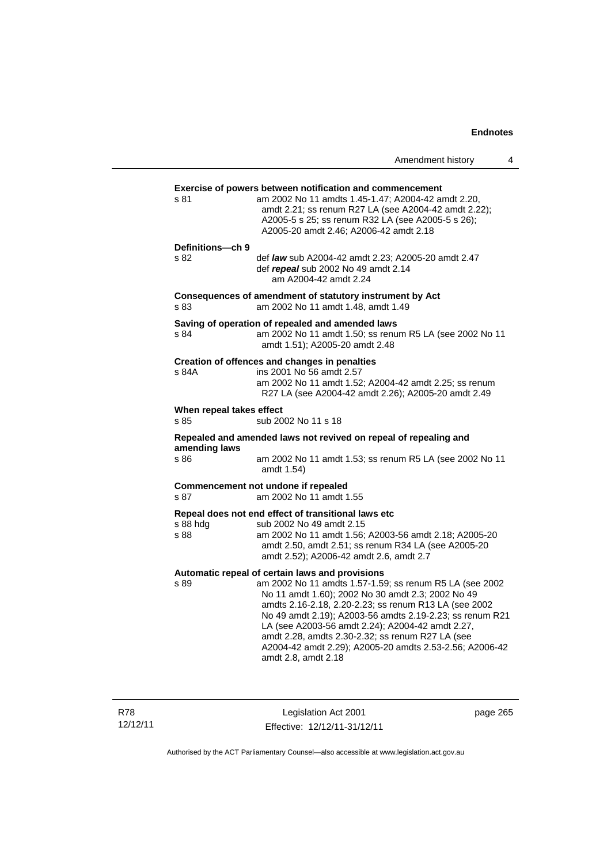|                                  |                                                                                                                                                                                                                                                                                                                                                                                                                                                                                | Amendment history | 4 |
|----------------------------------|--------------------------------------------------------------------------------------------------------------------------------------------------------------------------------------------------------------------------------------------------------------------------------------------------------------------------------------------------------------------------------------------------------------------------------------------------------------------------------|-------------------|---|
| s 81                             | <b>Exercise of powers between notification and commencement</b><br>am 2002 No 11 amdts 1.45-1.47; A2004-42 amdt 2.20,<br>amdt 2.21; ss renum R27 LA (see A2004-42 amdt 2.22);<br>A2005-5 s 25; ss renum R32 LA (see A2005-5 s 26);<br>A2005-20 amdt 2.46; A2006-42 amdt 2.18                                                                                                                                                                                                   |                   |   |
| Definitions-ch 9<br>s 82         | def law sub A2004-42 amdt 2.23; A2005-20 amdt 2.47<br>def repeal sub 2002 No 49 amdt 2.14<br>am A2004-42 amdt 2.24                                                                                                                                                                                                                                                                                                                                                             |                   |   |
| s 83                             | Consequences of amendment of statutory instrument by Act<br>am 2002 No 11 amdt 1.48, amdt 1.49                                                                                                                                                                                                                                                                                                                                                                                 |                   |   |
| s 84                             | Saving of operation of repealed and amended laws<br>am 2002 No 11 amdt 1.50; ss renum R5 LA (see 2002 No 11<br>amdt 1.51); A2005-20 amdt 2.48                                                                                                                                                                                                                                                                                                                                  |                   |   |
| s 84A                            | Creation of offences and changes in penalties<br>ins 2001 No 56 amdt 2.57<br>am 2002 No 11 amdt 1.52; A2004-42 amdt 2.25; ss renum<br>R27 LA (see A2004-42 amdt 2.26); A2005-20 amdt 2.49                                                                                                                                                                                                                                                                                      |                   |   |
| When repeal takes effect<br>s 85 | sub 2002 No 11 s 18                                                                                                                                                                                                                                                                                                                                                                                                                                                            |                   |   |
| amending laws                    | Repealed and amended laws not revived on repeal of repealing and                                                                                                                                                                                                                                                                                                                                                                                                               |                   |   |
| s 86                             | am 2002 No 11 amdt 1.53; ss renum R5 LA (see 2002 No 11<br>amdt 1.54)                                                                                                                                                                                                                                                                                                                                                                                                          |                   |   |
| s 87                             | Commencement not undone if repealed<br>am 2002 No 11 amdt 1.55                                                                                                                                                                                                                                                                                                                                                                                                                 |                   |   |
| s 88 hdg<br>s 88                 | Repeal does not end effect of transitional laws etc<br>sub 2002 No 49 amdt 2.15<br>am 2002 No 11 amdt 1.56; A2003-56 amdt 2.18; A2005-20<br>amdt 2.50, amdt 2.51; ss renum R34 LA (see A2005-20<br>amdt 2.52); A2006-42 amdt 2.6, amdt 2.7                                                                                                                                                                                                                                     |                   |   |
| s 89                             | Automatic repeal of certain laws and provisions<br>am 2002 No 11 amdts 1.57-1.59; ss renum R5 LA (see 2002<br>No 11 amdt 1.60); 2002 No 30 amdt 2.3; 2002 No 49<br>amdts 2.16-2.18, 2.20-2.23; ss renum R13 LA (see 2002<br>No 49 amdt 2.19); A2003-56 amdts 2.19-2.23; ss renum R21<br>LA (see A2003-56 amdt 2.24); A2004-42 amdt 2.27,<br>amdt 2.28, amdts 2.30-2.32; ss renum R27 LA (see<br>A2004-42 amdt 2.29); A2005-20 amdts 2.53-2.56; A2006-42<br>amdt 2.8, amdt 2.18 |                   |   |

R78 12/12/11

Legislation Act 2001 Effective: 12/12/11-31/12/11 page 265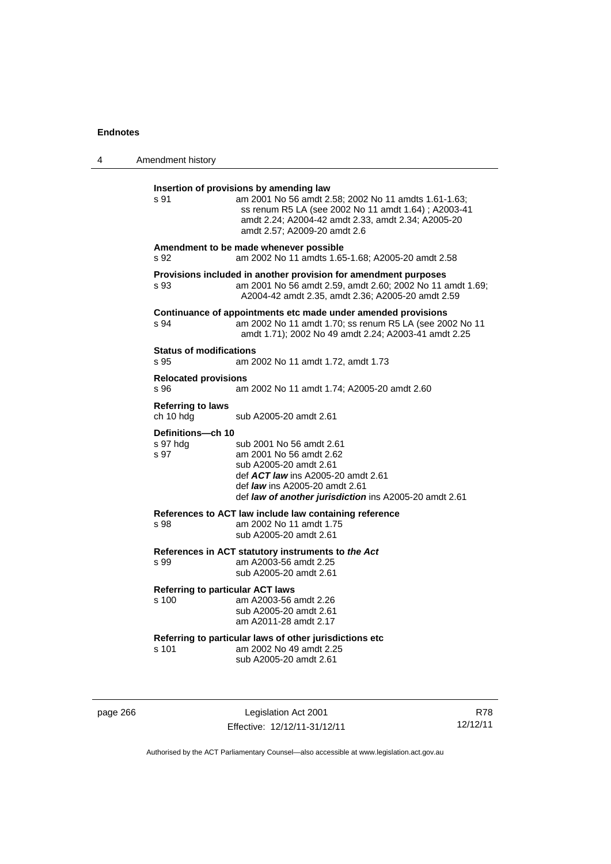| 4 | Amendment history                                                                                                                                                                                                                                               |
|---|-----------------------------------------------------------------------------------------------------------------------------------------------------------------------------------------------------------------------------------------------------------------|
|   | Insertion of provisions by amending law<br>s 91<br>am 2001 No 56 amdt 2.58; 2002 No 11 amdts 1.61-1.63;<br>ss renum R5 LA (see 2002 No 11 amdt 1.64) ; A2003-41<br>amdt 2.24; A2004-42 amdt 2.33, amdt 2.34; A2005-20<br>amdt 2.57; A2009-20 amdt 2.6           |
|   | Amendment to be made whenever possible<br>am 2002 No 11 amdts 1.65-1.68; A2005-20 amdt 2.58<br>s 92                                                                                                                                                             |
|   | Provisions included in another provision for amendment purposes<br>am 2001 No 56 amdt 2.59, amdt 2.60; 2002 No 11 amdt 1.69;<br>s 93<br>A2004-42 amdt 2.35, amdt 2.36; A2005-20 amdt 2.59                                                                       |
|   | Continuance of appointments etc made under amended provisions<br>am 2002 No 11 amdt 1.70; ss renum R5 LA (see 2002 No 11<br>s 94<br>amdt 1.71); 2002 No 49 amdt 2.24; A2003-41 amdt 2.25                                                                        |
|   | <b>Status of modifications</b><br>s 95<br>am 2002 No 11 amdt 1.72, amdt 1.73                                                                                                                                                                                    |
|   | <b>Relocated provisions</b><br>s 96<br>am 2002 No 11 amdt 1.74; A2005-20 amdt 2.60                                                                                                                                                                              |
|   | <b>Referring to laws</b><br>ch 10 hdg<br>sub A2005-20 amdt 2.61                                                                                                                                                                                                 |
|   | Definitions-ch 10<br>s 97 hdg<br>sub 2001 No 56 amdt 2.61<br>s 97<br>am 2001 No 56 amdt 2.62<br>sub A2005-20 amdt 2.61<br>def <b>ACT law</b> ins A2005-20 amdt 2.61<br>def law ins A2005-20 amdt 2.61<br>def law of another jurisdiction ins A2005-20 amdt 2.61 |
|   | References to ACT law include law containing reference<br>am 2002 No 11 amdt 1.75<br>s 98<br>sub A2005-20 amdt 2.61                                                                                                                                             |
|   | References in ACT statutory instruments to the Act<br>am A2003-56 amdt 2.25<br>s 99<br>sub A2005-20 amdt 2.61                                                                                                                                                   |
|   | <b>Referring to particular ACT laws</b><br>am A2003-56 amdt 2.26<br>s 100<br>sub A2005-20 amdt 2.61<br>am A2011-28 amdt 2.17                                                                                                                                    |
|   | Referring to particular laws of other jurisdictions etc<br>am 2002 No 49 amdt 2.25<br>s 101<br>sub A2005-20 amdt 2.61                                                                                                                                           |
|   |                                                                                                                                                                                                                                                                 |

page 266 Legislation Act 2001 Effective: 12/12/11-31/12/11

R78 12/12/11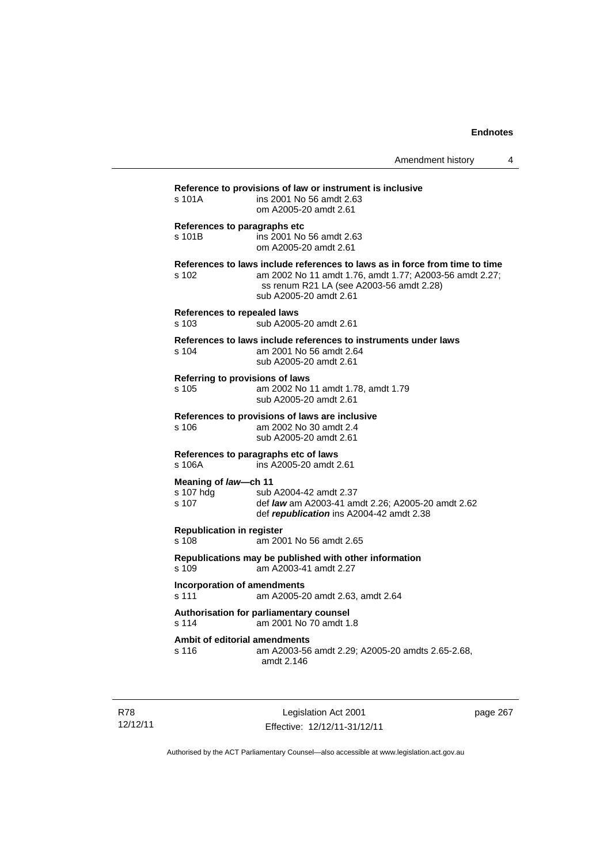| s 101A                                      | Reference to provisions of law or instrument is inclusive<br>ins 2001 No 56 amdt 2.63<br>om A2005-20 amdt 2.61                                                                                               |
|---------------------------------------------|--------------------------------------------------------------------------------------------------------------------------------------------------------------------------------------------------------------|
| s 101B                                      | References to paragraphs etc<br>ins 2001 No 56 amdt 2.63<br>om A2005-20 amdt 2.61                                                                                                                            |
| $s$ 102                                     | References to laws include references to laws as in force from time to time<br>am 2002 No 11 amdt 1.76, amdt 1.77; A2003-56 amdt 2.27;<br>ss renum R21 LA (see A2003-56 amdt 2.28)<br>sub A2005-20 amdt 2.61 |
| <b>References to repealed laws</b><br>s 103 | sub A2005-20 amdt 2.61                                                                                                                                                                                       |
| s 104                                       | References to laws include references to instruments under laws<br>am 2001 No 56 amdt 2.64<br>sub A2005-20 amdt 2.61                                                                                         |
| s 105                                       | Referring to provisions of laws<br>am 2002 No 11 amdt 1.78, amdt 1.79<br>sub A2005-20 amdt 2.61                                                                                                              |
| s 106                                       | References to provisions of laws are inclusive<br>am 2002 No 30 amdt 2.4<br>sub A2005-20 amdt 2.61                                                                                                           |
| s 106A                                      | References to paragraphs etc of laws<br>ins A2005-20 amdt 2.61                                                                                                                                               |
| Meaning of law-ch 11<br>s 107 hdg<br>s 107  | sub A2004-42 amdt 2.37<br>def law am A2003-41 amdt 2.26; A2005-20 amdt 2.62<br>def republication ins A2004-42 amdt 2.38                                                                                      |
| <b>Republication in register</b><br>s 108   | am 2001 No 56 amdt 2.65                                                                                                                                                                                      |
| s.109                                       | Republications may be published with other information<br>am A2003-41 amdt 2.27                                                                                                                              |
| s 111                                       | <b>Incorporation of amendments</b><br>am A2005-20 amdt 2.63, amdt 2.64                                                                                                                                       |
| s 114                                       | Authorisation for parliamentary counsel<br>am 2001 No 70 amdt 1.8                                                                                                                                            |
| s 116                                       | Ambit of editorial amendments<br>am A2003-56 amdt 2.29; A2005-20 amdts 2.65-2.68,<br>amdt 2.146                                                                                                              |

R78 12/12/11

Legislation Act 2001 Effective: 12/12/11-31/12/11 page 267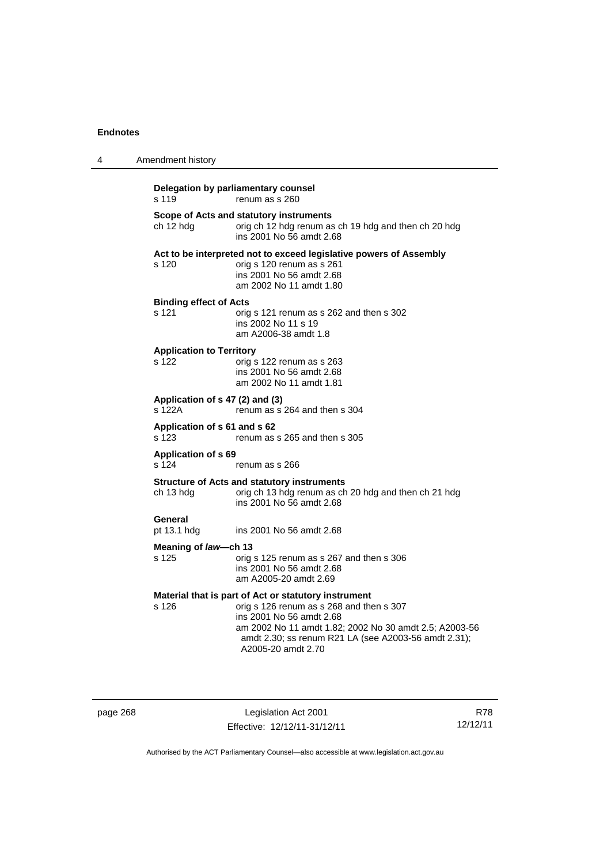| 4 | Amendment history                            |                                                                                                                                                                                                                                                                      |
|---|----------------------------------------------|----------------------------------------------------------------------------------------------------------------------------------------------------------------------------------------------------------------------------------------------------------------------|
|   | Delegation by parliamentary counsel<br>s 119 | renum as s 260                                                                                                                                                                                                                                                       |
|   | ch 12 hdg                                    | Scope of Acts and statutory instruments<br>orig ch 12 hdg renum as ch 19 hdg and then ch 20 hdg<br>ins 2001 No 56 amdt 2.68                                                                                                                                          |
|   | s 120                                        | Act to be interpreted not to exceed legislative powers of Assembly<br>orig s 120 renum as s 261<br>ins 2001 No 56 amdt 2.68<br>am 2002 No 11 amdt 1.80                                                                                                               |
|   | <b>Binding effect of Acts</b><br>s 121       | orig s 121 renum as s 262 and then s 302<br>ins 2002 No 11 s 19<br>am A2006-38 amdt 1.8                                                                                                                                                                              |
|   | <b>Application to Territory</b><br>s 122     | orig s 122 renum as s 263<br>ins 2001 No 56 amdt 2.68<br>am 2002 No 11 amdt 1.81                                                                                                                                                                                     |
|   | Application of s 47 (2) and (3)<br>s 122A    | renum as s 264 and then s 304                                                                                                                                                                                                                                        |
|   | Application of s 61 and s 62<br>s 123        | renum as s 265 and then s 305                                                                                                                                                                                                                                        |
|   | <b>Application of s 69</b><br>s 124          | renum as s 266                                                                                                                                                                                                                                                       |
|   | ch 13 hdg                                    | <b>Structure of Acts and statutory instruments</b><br>orig ch 13 hdg renum as ch 20 hdg and then ch 21 hdg<br>ins 2001 No 56 amdt 2.68                                                                                                                               |
|   | General<br>pt 13.1 hdg                       | ins 2001 No 56 amdt 2.68                                                                                                                                                                                                                                             |
|   | Meaning of law-ch 13<br>s 125                | orig s 125 renum as s 267 and then s 306<br>ins 2001 No 56 amdt 2.68<br>am A2005-20 amdt 2.69                                                                                                                                                                        |
|   | s 126                                        | Material that is part of Act or statutory instrument<br>orig s 126 renum as s 268 and then s 307<br>ins 2001 No 56 amdt 2.68<br>am 2002 No 11 amdt 1.82; 2002 No 30 amdt 2.5; A2003-56<br>amdt 2.30; ss renum R21 LA (see A2003-56 amdt 2.31);<br>A2005-20 amdt 2.70 |

page 268 Legislation Act 2001 Effective: 12/12/11-31/12/11

R78 12/12/11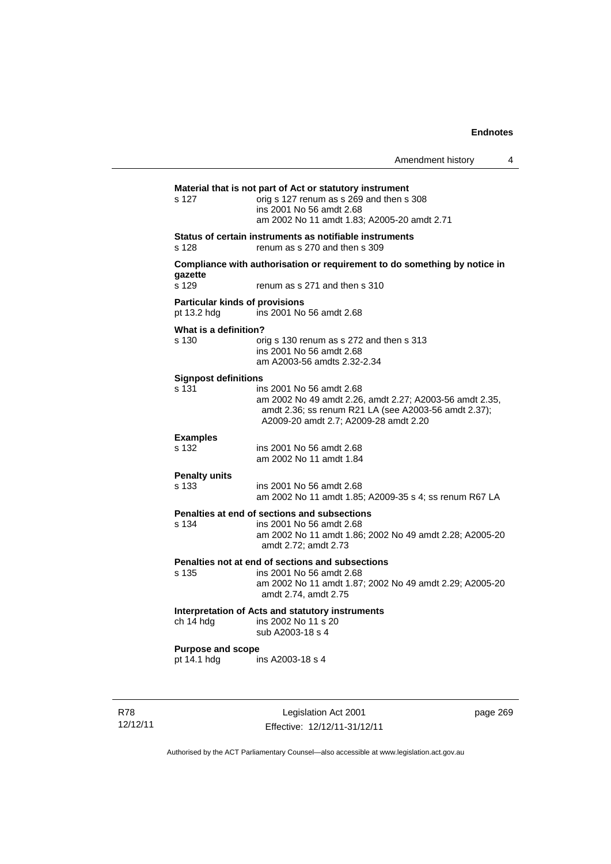|                                                      | Amendment history                                                                                                                                                                    |          | 4 |
|------------------------------------------------------|--------------------------------------------------------------------------------------------------------------------------------------------------------------------------------------|----------|---|
| s 127                                                | Material that is not part of Act or statutory instrument<br>orig s 127 renum as s 269 and then s 308<br>ins 2001 No 56 amdt 2.68<br>am 2002 No 11 amdt 1.83: A2005-20 amdt 2.71      |          |   |
| s 128                                                | Status of certain instruments as notifiable instruments<br>renum as s 270 and then s 309                                                                                             |          |   |
| qazette                                              | Compliance with authorisation or requirement to do something by notice in                                                                                                            |          |   |
| s 129                                                | renum as s 271 and then s 310                                                                                                                                                        |          |   |
| <b>Particular kinds of provisions</b><br>pt 13.2 hdg | ins 2001 No 56 amdt 2.68                                                                                                                                                             |          |   |
| What is a definition?<br>s 130                       | orig s 130 renum as s 272 and then s 313<br>ins 2001 No 56 amdt 2.68<br>am A2003-56 amdts 2.32-2.34                                                                                  |          |   |
| <b>Signpost definitions</b><br>s 131                 | ins 2001 No 56 amdt 2.68<br>am 2002 No 49 amdt 2.26, amdt 2.27; A2003-56 amdt 2.35,<br>amdt 2.36; ss renum R21 LA (see A2003-56 amdt 2.37);<br>A2009-20 amdt 2.7; A2009-28 amdt 2.20 |          |   |
| <b>Examples</b><br>s 132                             | ins 2001 No 56 amdt 2.68<br>am 2002 No 11 amdt 1.84                                                                                                                                  |          |   |
| <b>Penalty units</b><br>s 133                        | ins 2001 No 56 amdt 2.68<br>am 2002 No 11 amdt 1.85; A2009-35 s 4; ss renum R67 LA                                                                                                   |          |   |
| s 134                                                | Penalties at end of sections and subsections<br>ins 2001 No 56 amdt 2.68<br>am 2002 No 11 amdt 1.86; 2002 No 49 amdt 2.28; A2005-20<br>amdt 2.72; amdt 2.73                          |          |   |
| s 135                                                | Penalties not at end of sections and subsections<br>ins 2001 No 56 amdt 2.68<br>am 2002 No 11 amdt 1.87; 2002 No 49 amdt 2.29; A2005-20<br>amdt 2.74, amdt 2.75                      |          |   |
| ch 14 hdg                                            | Interpretation of Acts and statutory instruments<br>ins 2002 No 11 s 20<br>sub A2003-18 s 4                                                                                          |          |   |
| <b>Purpose and scope</b><br>pt 14.1 hdg              | ins A2003-18 s 4                                                                                                                                                                     |          |   |
|                                                      |                                                                                                                                                                                      |          |   |
|                                                      | Legislation Act 2001                                                                                                                                                                 | page 269 |   |

Authorised by the ACT Parliamentary Counsel—also accessible at www.legislation.act.gov.au

Effective: 12/12/11-31/12/11

R78 12/12/11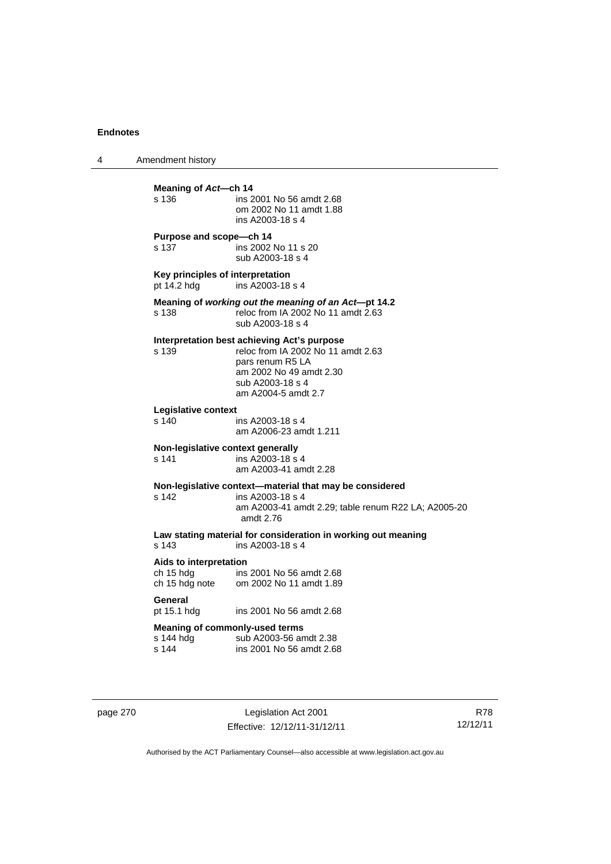4 Amendment history **Meaning of Act—ch 14**<br>s 136 **ins 2** ins 2001 No 56 amdt 2.68 om 2002 No 11 amdt 1.88 ins A2003-18 s 4 **Purpose and scope—ch 14**  s 137 ins 2002 No 11 s 20 sub A2003-18 s 4 **Key principles of interpretation**<br>pt 14.2 hdg ins A2003-18  $ins$   $A2003-18$  s 4 **Meaning of** *working out the meaning of an Act***—pt 14.2**  s 138 reloc from IA 2002 No 11 amdt 2.63 sub A2003-18 s 4 **Interpretation best achieving Act's purpose**  s 139 reloc from IA 2002 No 11 amdt 2.63 pars renum R5 LA am 2002 No 49 amdt 2.30 sub A2003-18 s 4 am A2004-5 amdt 2.7 **Legislative context**  ins A2003-18 s 4 am A2006-23 amdt 1.211 **Non-legislative context generally**  s 141 ins A2003-18 s 4 am A2003-41 amdt 2.28 **Non-legislative context—material that may be considered**  s 142 ins A2003-18 s 4 am A2003-41 amdt 2.29; table renum R22 LA; A2005-20 amdt 2.76 **Law stating material for consideration in working out meaning**  ins A2003-18 s 4 **Aids to interpretation**  ch 15 hdg ins 2001 No 56 amdt 2.68 ch 15 hdg note om 2002 No 11 amdt 1.89 General<br>pt 15.1 hdg ins 2001 No 56 amdt 2.68 **Meaning of commonly-used terms**  s 144 hdg sub A2003-56 amdt 2.38<br>s 144 sins 2001 No 56 amdt 2.68 ins 2001 No 56 amdt 2.68

page 270 Legislation Act 2001 Effective: 12/12/11-31/12/11

R78 12/12/11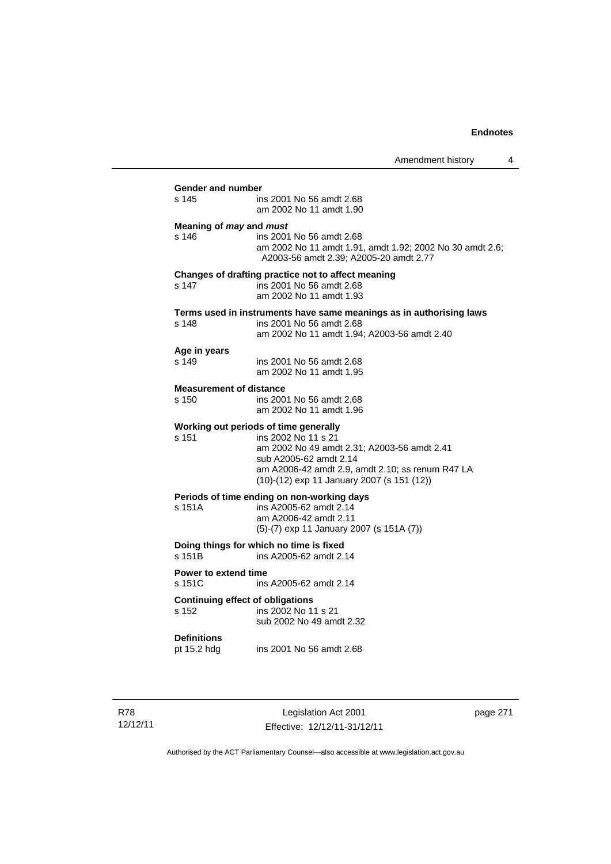Amendment history 4 **Gender and number**  ins 2001 No 56 amdt 2.68 am 2002 No 11 amdt 1.90 **Meaning of** *may* **and** *must* s 146 ins 2001 No 56 amdt 2.68 am 2002 No 11 amdt 1.91, amdt 1.92; 2002 No 30 amdt 2.6; A2003-56 amdt 2.39; A2005-20 amdt 2.77 **Changes of drafting practice not to affect meaning**  s 147 ins 2001 No 56 amdt 2.68 am 2002 No 11 amdt 1.93 **Terms used in instruments have same meanings as in authorising laws** s 148 **ins 2001 No 56 amdt 2.68** ins 2001 No 56 amdt 2.68 am 2002 No 11 amdt 1.94; A2003-56 amdt 2.40 **Age in years**  ins 2001 No 56 amdt 2.68 am 2002 No 11 amdt 1.95 **Measurement of distance**  s 150 ins 2001 No 56 amdt 2.68 am 2002 No 11 amdt 1.96 **Working out periods of time generally**  s 151 ins 2002 No 11 s 21 am 2002 No 49 amdt 2.31; A2003-56 amdt 2.41 sub A2005-62 amdt 2.14 am A2006-42 amdt 2.9, amdt 2.10; ss renum R47 LA (10)-(12) exp 11 January 2007 (s 151 (12)) **Periods of time ending on non-working days**  s 151A ins A2005-62 amdt 2.14 am A2006-42 amdt 2.11 (5)-(7) exp 11 January 2007 (s 151A (7)) **Doing things for which no time is fixed**<br>s 151B ins A2005-62 amdt 2. ins A2005-62 amdt 2.14 **Power to extend time**  s 151C ins A2005-62 amdt 2.14 **Continuing effect of obligations**<br> **s** 152 **ins 2002 No 11** ins 2002 No 11 s 21 sub 2002 No 49 amdt 2.32 **Definitions**  ins 2001 No 56 amdt 2.68

R78 12/12/11

Legislation Act 2001 Effective: 12/12/11-31/12/11 page 271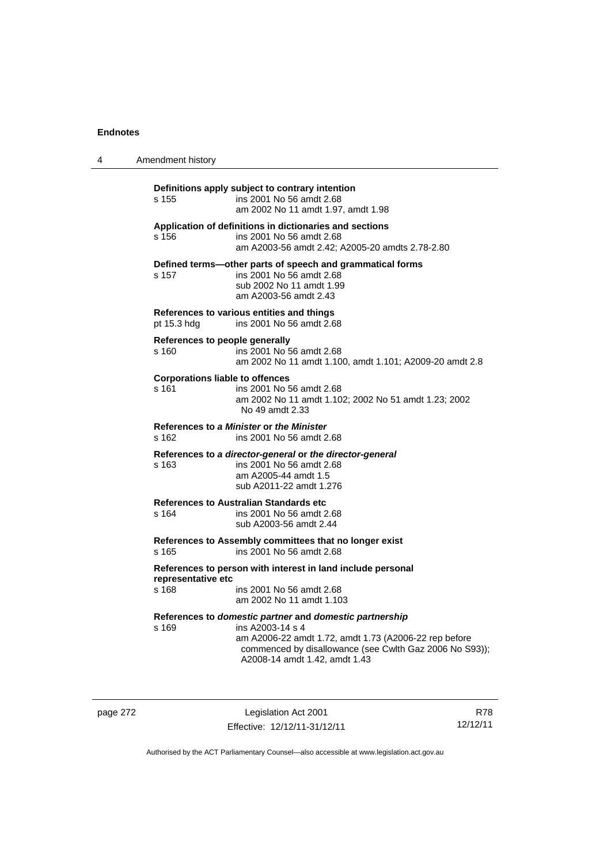| 4 | Amendment history                                                                                                                                                                                                                         |
|---|-------------------------------------------------------------------------------------------------------------------------------------------------------------------------------------------------------------------------------------------|
|   | Definitions apply subject to contrary intention<br>ins 2001 No 56 amdt 2.68<br>s 155<br>am 2002 No 11 amdt 1.97, amdt 1.98                                                                                                                |
|   | Application of definitions in dictionaries and sections<br>ins 2001 No 56 amdt 2.68<br>s 156<br>am A2003-56 amdt 2.42; A2005-20 amdts 2.78-2.80                                                                                           |
|   | Defined terms-other parts of speech and grammatical forms<br>ins 2001 No 56 amdt 2.68<br>s 157<br>sub 2002 No 11 amdt 1.99<br>am A2003-56 amdt 2.43                                                                                       |
|   | References to various entities and things<br>ins 2001 No 56 amdt 2.68<br>pt 15.3 hdg                                                                                                                                                      |
|   | References to people generally<br>ins 2001 No 56 amdt 2.68<br>s 160<br>am 2002 No 11 amdt 1.100, amdt 1.101; A2009-20 amdt 2.8                                                                                                            |
|   | <b>Corporations liable to offences</b><br>ins 2001 No 56 amdt 2.68<br>s 161<br>am 2002 No 11 amdt 1.102; 2002 No 51 amdt 1.23; 2002<br>No 49 amdt 2.33                                                                                    |
|   | References to a Minister or the Minister<br>s 162<br>ins 2001 No 56 amdt 2.68                                                                                                                                                             |
|   | References to a director-general or the director-general<br>ins 2001 No 56 amdt 2.68<br>s 163<br>am A2005-44 amdt 1.5<br>sub A2011-22 amdt 1.276                                                                                          |
|   | <b>References to Australian Standards etc</b><br>ins 2001 No 56 amdt 2.68<br>s 164<br>sub A2003-56 amdt 2.44                                                                                                                              |
|   | References to Assembly committees that no longer exist<br>ins 2001 No 56 amdt 2.68<br>s 165                                                                                                                                               |
|   | References to person with interest in land include personal<br>representative etc<br>s 168<br>ins 2001 No 56 amdt 2.68<br>am 2002 No 11 amdt 1.103                                                                                        |
|   | References to domestic partner and domestic partnership<br>ins A2003-14 s 4<br>s 169<br>am A2006-22 amdt 1.72, amdt 1.73 (A2006-22 rep before<br>commenced by disallowance (see Cwlth Gaz 2006 No S93));<br>A2008-14 amdt 1.42, amdt 1.43 |

page 272 Legislation Act 2001 Effective: 12/12/11-31/12/11

R78 12/12/11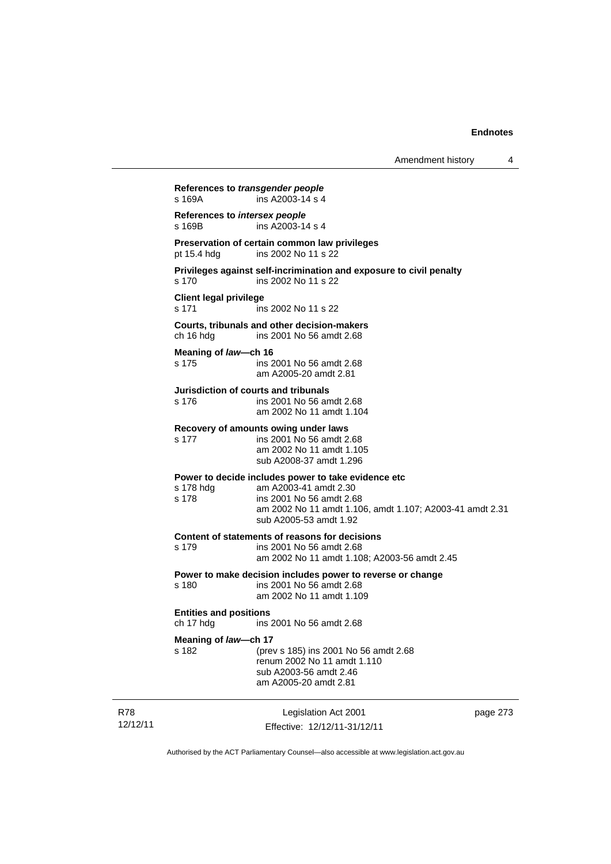Amendment history 4

Legislation Act 2001 page 273 **References to** *transgender people*  s 169A ins A2003-14 s 4 **References to** *intersex people*   $ins A2003-14 s 4$ **Preservation of certain common law privileges**  pt 15.4 hdg ins 2002 No 11 s 22 **Privileges against self-incrimination and exposure to civil penalty**  s 170 ins 2002 No 11 s 22 **Client legal privilege**  s 171 ins 2002 No 11 s 22 **Courts, tribunals and other decision-makers**  ch 16 hdg ins 2001 No 56 amdt 2.68 **Meaning of** *law***—ch 16**  s 175 ins 2001 No 56 amdt 2.68 am A2005-20 amdt 2.81 **Jurisdiction of courts and tribunals**  s 176 ins 2001 No 56 amdt 2.68 am 2002 No 11 amdt 1.104 **Recovery of amounts owing under laws**  s 177 ins 2001 No 56 amdt 2.68 am 2002 No 11 amdt 1.105 sub A2008-37 amdt 1.296 **Power to decide includes power to take evidence etc**  s 178 hdg am A2003-41 amdt 2.30<br>s 178 ins 2001 No 56 amdt 2.6 ins 2001 No 56 amdt 2.68 am 2002 No 11 amdt 1.106, amdt 1.107; A2003-41 amdt 2.31 sub A2005-53 amdt 1.92 **Content of statements of reasons for decisions**  s 179 ins 2001 No 56 amdt 2.68 am 2002 No 11 amdt 1.108; A2003-56 amdt 2.45 **Power to make decision includes power to reverse or change**  s 180 ins 2001 No 56 amdt 2.68 am 2002 No 11 amdt 1.109 **Entities and positions**  ch 17 hdg ins 2001 No 56 amdt 2.68 **Meaning of** *law***—ch 17**  s 182 (prev s 185) ins 2001 No 56 amdt 2.68 renum 2002 No 11 amdt 1.110 sub A2003-56 amdt 2.46 am A2005-20 amdt 2.81

R78 12/12/11

Effective: 12/12/11-31/12/11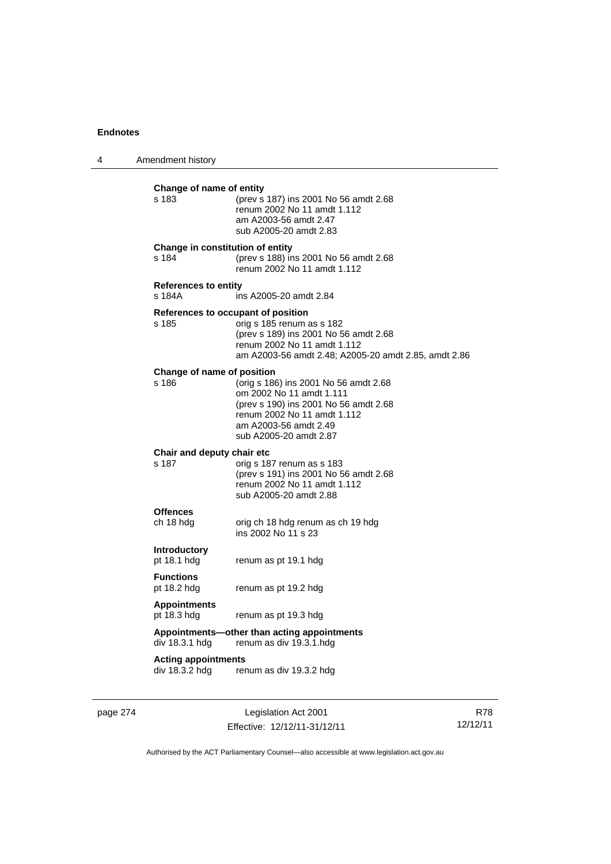| 4 | Amendment history                            |                                                                                                                                                                                                 |
|---|----------------------------------------------|-------------------------------------------------------------------------------------------------------------------------------------------------------------------------------------------------|
|   | Change of name of entity<br>s 183            | (prev s 187) ins 2001 No 56 amdt 2.68<br>renum 2002 No 11 amdt 1.112<br>am A2003-56 amdt 2.47<br>sub A2005-20 amdt 2.83                                                                         |
|   | Change in constitution of entity<br>s 184    | (prev s 188) ins 2001 No 56 amdt 2.68<br>renum 2002 No 11 amdt 1.112                                                                                                                            |
|   | <b>References to entity</b><br>s 184A        | ins A2005-20 amdt 2.84                                                                                                                                                                          |
|   | s 185                                        | References to occupant of position<br>orig s 185 renum as s 182<br>(prev s 189) ins 2001 No 56 amdt 2.68<br>renum 2002 No 11 amdt 1.112<br>am A2003-56 amdt 2.48; A2005-20 amdt 2.85, amdt 2.86 |
|   | Change of name of position<br>s 186          | (orig s 186) ins 2001 No 56 amdt 2.68<br>om 2002 No 11 amdt 1.111<br>(prev s 190) ins 2001 No 56 amdt 2.68<br>renum 2002 No 11 amdt 1.112<br>am A2003-56 amdt 2.49<br>sub A2005-20 amdt 2.87    |
|   | Chair and deputy chair etc<br>s 187          | orig s 187 renum as s 183<br>(prev s 191) ins 2001 No 56 amdt 2.68<br>renum 2002 No 11 amdt 1.112<br>sub A2005-20 amdt 2.88                                                                     |
|   | <b>Offences</b><br>ch 18 hdg                 | orig ch 18 hdg renum as ch 19 hdg<br>ins 2002 No 11 s 23                                                                                                                                        |
|   | <b>Introductory</b><br>pt 18.1 hdg           | renum as pt 19.1 hdg                                                                                                                                                                            |
|   | <b>Functions</b><br>pt 18.2 hdg              | renum as pt 19.2 hdg                                                                                                                                                                            |
|   | <b>Appointments</b><br>pt 18.3 hdg           | renum as pt 19.3 hdg                                                                                                                                                                            |
|   | div 18.3.1 hdg                               | Appointments—other than acting appointments<br>renum as div 19.3.1.hdg                                                                                                                          |
|   | <b>Acting appointments</b><br>div 18.3.2 hdg | renum as div 19.3.2 hdg                                                                                                                                                                         |
|   |                                              |                                                                                                                                                                                                 |

page 274 Legislation Act 2001 Effective: 12/12/11-31/12/11

R78 12/12/11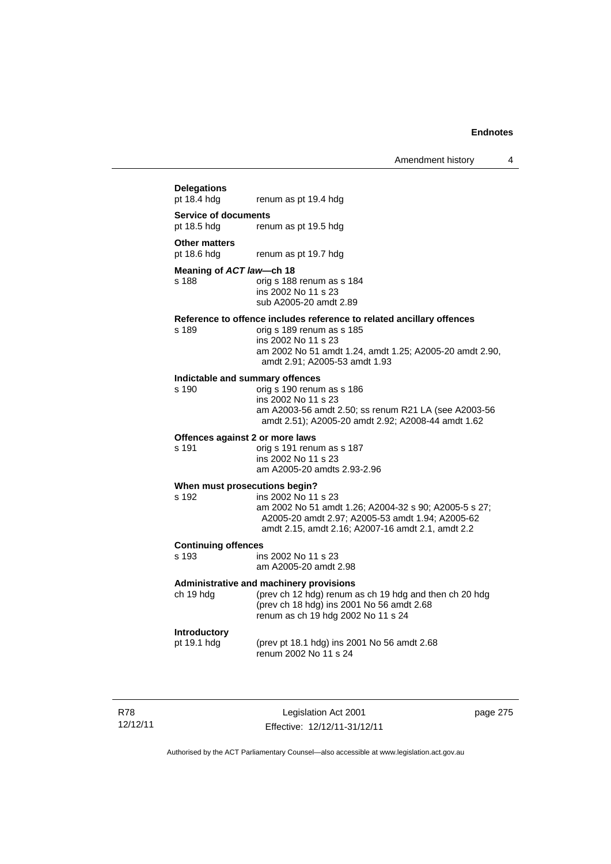# **Delegations**  renum as pt 19.4 hdg **Service of documents**  pt 18.5 hdg renum as pt 19.5 hdg **Other matters**<br>pt 18.6 hdg renum as pt 19.7 hdg **Meaning of** *ACT law***—ch 18**  s 188 orig s 188 renum as s 184 ins 2002 No 11 s 23 sub A2005-20 amdt 2.89 **Reference to offence includes reference to related ancillary offences**  orig s 189 renum as s 185 ins 2002 No 11 s 23 am 2002 No 51 amdt 1.24, amdt 1.25; A2005-20 amdt 2.90, amdt 2.91; A2005-53 amdt 1.93 **Indictable and summary offences**  orig s 190 renum as s 186 ins 2002 No 11 s 23 am A2003-56 amdt 2.50; ss renum R21 LA (see A2003-56 amdt 2.51); A2005-20 amdt 2.92; A2008-44 amdt 1.62 **Offences against 2 or more laws**  s 191 orig s 191 renum as s 187 ins 2002 No 11 s 23 am A2005-20 amdts 2.93-2.96 **When must prosecutions begin?**<br>s 192 **ins 2002** No 11 ins 2002 No 11 s 23 am 2002 No 51 amdt 1.26; A2004-32 s 90; A2005-5 s 27; A2005-20 amdt 2.97; A2005-53 amdt 1.94; A2005-62 amdt 2.15, amdt 2.16; A2007-16 amdt 2.1, amdt 2.2 **Continuing offences**  ins 2002 No 11 s 23 am A2005-20 amdt 2.98 **Administrative and machinery provisions**  ch 19 hdg (prev ch 12 hdg) renum as ch 19 hdg and then ch 20 hdg (prev ch 18 hdg) ins 2001 No 56 amdt 2.68 renum as ch 19 hdg 2002 No 11 s 24 **Introductory**  pt 19.1 hdg (prev pt 18.1 hdg) ins 2001 No 56 amdt 2.68 renum 2002 No 11 s 24

R78 12/12/11

Legislation Act 2001 Effective: 12/12/11-31/12/11 page 275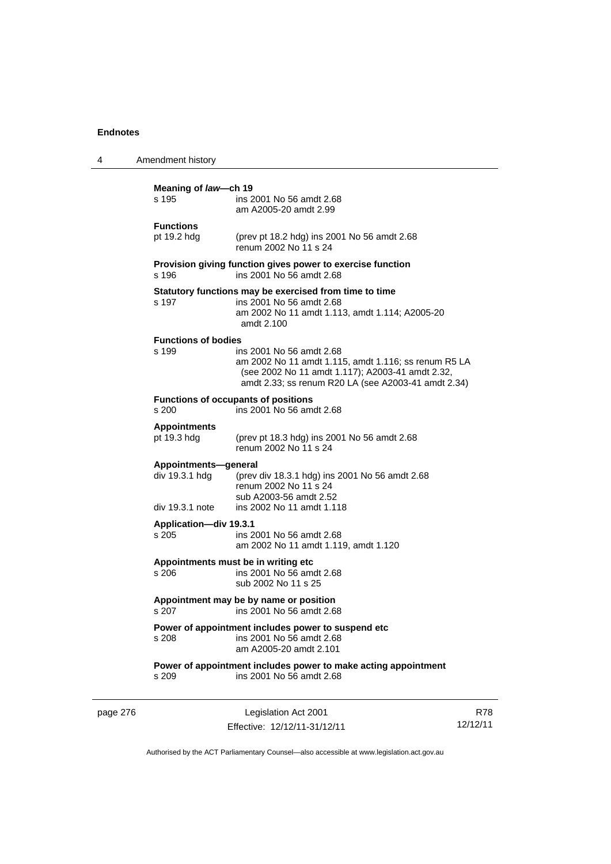| 4        | Amendment history                                         |                                                                                                                                                                                             |                        |
|----------|-----------------------------------------------------------|---------------------------------------------------------------------------------------------------------------------------------------------------------------------------------------------|------------------------|
|          | Meaning of law-ch 19<br>s 195                             | ins 2001 No 56 amdt 2.68<br>am A2005-20 amdt 2.99                                                                                                                                           |                        |
|          | <b>Functions</b><br>pt 19.2 hdg                           | (prev pt 18.2 hdg) ins 2001 No 56 amdt 2.68<br>renum 2002 No 11 s 24                                                                                                                        |                        |
|          | s 196                                                     | Provision giving function gives power to exercise function<br>ins 2001 No 56 amdt 2.68                                                                                                      |                        |
|          | s 197                                                     | Statutory functions may be exercised from time to time<br>ins 2001 No 56 amdt 2.68<br>am 2002 No 11 amdt 1.113, amdt 1.114; A2005-20<br>amdt 2.100                                          |                        |
|          | <b>Functions of bodies</b><br>s 199                       | ins 2001 No 56 amdt 2.68<br>am 2002 No 11 amdt 1.115, amdt 1.116; ss renum R5 LA<br>(see 2002 No 11 amdt 1.117); A2003-41 amdt 2.32,<br>amdt 2.33; ss renum R20 LA (see A2003-41 amdt 2.34) |                        |
|          | s 200                                                     | <b>Functions of occupants of positions</b><br>ins 2001 No 56 amdt 2.68                                                                                                                      |                        |
|          | <b>Appointments</b><br>pt 19.3 hdg                        | (prev pt 18.3 hdg) ins 2001 No 56 amdt 2.68<br>renum 2002 No 11 s 24                                                                                                                        |                        |
|          | Appointments-general<br>div 19.3.1 hdg<br>div 19.3.1 note | (prev div 18.3.1 hdg) ins 2001 No 56 amdt 2.68<br>renum 2002 No 11 s 24<br>sub A2003-56 amdt 2.52<br>ins 2002 No 11 amdt 1.118                                                              |                        |
|          | Application-div 19.3.1<br>s 205                           | ins 2001 No 56 amdt 2.68<br>am 2002 No 11 amdt 1.119, amdt 1.120                                                                                                                            |                        |
|          | s 206                                                     | Appointments must be in writing etc<br>ins 2001 No 56 amdt 2.68<br>sub 2002 No 11 s 25                                                                                                      |                        |
|          | s 207                                                     | Appointment may be by name or position<br>ins 2001 No 56 amdt 2.68                                                                                                                          |                        |
|          | s 208                                                     | Power of appointment includes power to suspend etc<br>ins 2001 No 56 amdt 2.68<br>am A2005-20 amdt 2.101                                                                                    |                        |
|          | s 209                                                     | Power of appointment includes power to make acting appointment<br>ins 2001 No 56 amdt 2.68                                                                                                  |                        |
| page 276 |                                                           | Legislation Act 2001<br>Effective: 12/12/11-31/12/11                                                                                                                                        | <b>R78</b><br>12/12/11 |

Authorised by the ACT Parliamentary Counsel—also accessible at www.legislation.act.gov.au

Effective: 12/12/11-31/12/11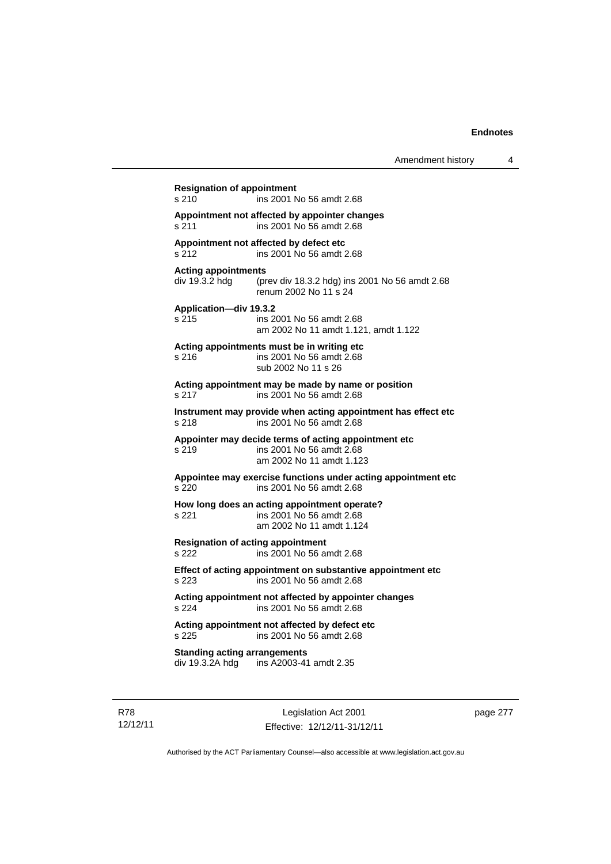**Resignation of appointment**  s 210 ins 2001 No 56 amdt 2.68 **Appointment not affected by appointer changes**  s 211 ins 2001 No 56 amdt 2.68 **Appointment not affected by defect etc**  s 212 ins 2001 No 56 amdt 2.68 **Acting appointments**  div 19.3.2 hdg (prev div 18.3.2 hdg) ins 2001 No 56 amdt 2.68 renum 2002 No 11 s 24 **Application—div 19.3.2**  s 215 ins 2001 No 56 amdt 2.68 am 2002 No 11 amdt 1.121, amdt 1.122 **Acting appointments must be in writing etc**  s 216 ins 2001 No 56 amdt 2.68 sub 2002 No 11 s 26 **Acting appointment may be made by name or position**  s 217 ins 2001 No 56 amdt 2.68 **Instrument may provide when acting appointment has effect etc**  s 218 ins 2001 No 56 amdt 2.68 **Appointer may decide terms of acting appointment etc**  s 219 ins 2001 No 56 amdt 2.68 am 2002 No 11 amdt 1.123 **Appointee may exercise functions under acting appointment etc**  s 220 ins 2001 No 56 amdt 2.68 **How long does an acting appointment operate?**  s 221 ins 2001 No 56 amdt 2.68 am 2002 No 11 amdt 1.124 **Resignation of acting appointment**  s 222 ins 2001 No 56 amdt 2.68 **Effect of acting appointment on substantive appointment etc**  s 223 ins 2001 No 56 amdt 2.68 **Acting appointment not affected by appointer changes**  s 224 ins 2001 No 56 amdt 2.68 **Acting appointment not affected by defect etc**  s 225 ins 2001 No 56 amdt 2.68 **Standing acting arrangements**  div 19.3.2A hdg ins A2003-41 amdt 2.35

R78 12/12/11

Legislation Act 2001 Effective: 12/12/11-31/12/11 page 277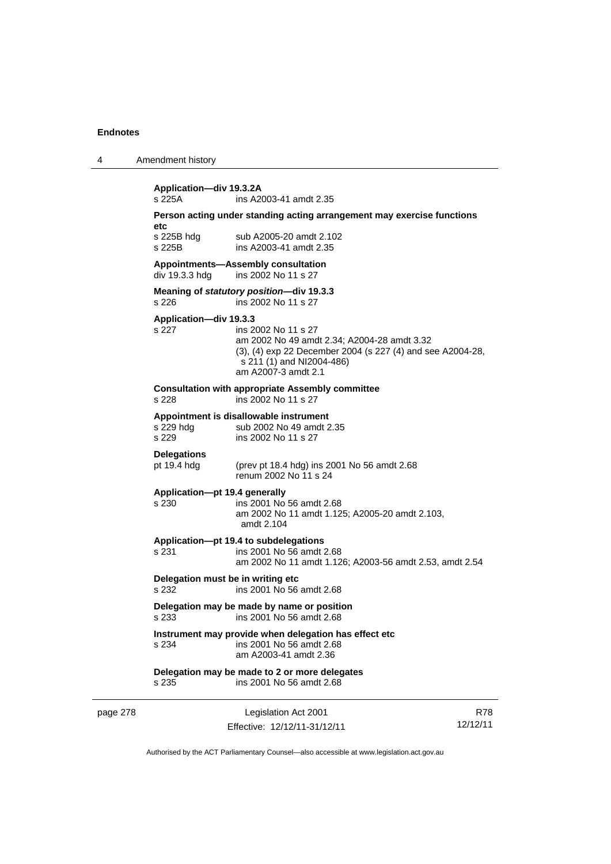page 278

| 4 | Amendment history |  |
|---|-------------------|--|
|---|-------------------|--|

| Application-div 19.3.2A                                                                                             |                                                                                                                                                                                      |                 |  |
|---------------------------------------------------------------------------------------------------------------------|--------------------------------------------------------------------------------------------------------------------------------------------------------------------------------------|-----------------|--|
| s 225A<br>ins A2003-41 amdt 2.35                                                                                    |                                                                                                                                                                                      |                 |  |
| etc                                                                                                                 | Person acting under standing acting arrangement may exercise functions                                                                                                               |                 |  |
| s 225B hdg<br>s 225B                                                                                                | sub A2005-20 amdt 2.102<br>ins A2003-41 amdt 2.35                                                                                                                                    |                 |  |
| div 19.3.3 hdg                                                                                                      | <b>Appointments-Assembly consultation</b><br>ins 2002 No 11 s 27                                                                                                                     |                 |  |
| s 226                                                                                                               | Meaning of statutory position-div 19.3.3<br>ins 2002 No 11 s 27                                                                                                                      |                 |  |
| Application-div 19.3.3<br>s 227                                                                                     | ins 2002 No 11 s 27<br>am 2002 No 49 amdt 2.34; A2004-28 amdt 3.32<br>(3), (4) exp 22 December 2004 (s 227 (4) and see A2004-28,<br>s 211 (1) and NI2004-486)<br>am A2007-3 amdt 2.1 |                 |  |
| s 228                                                                                                               | <b>Consultation with appropriate Assembly committee</b><br>ins 2002 No 11 s 27                                                                                                       |                 |  |
| s 229 hdg<br>s 229                                                                                                  | Appointment is disallowable instrument<br>sub 2002 No 49 amdt 2.35<br>ins 2002 No 11 s 27                                                                                            |                 |  |
| <b>Delegations</b><br>pt 19.4 hdg                                                                                   | (prev pt 18.4 hdg) ins 2001 No 56 amdt 2.68<br>renum 2002 No 11 s 24                                                                                                                 |                 |  |
| Application-pt 19.4 generally<br>s 230                                                                              | ins 2001 No 56 amdt 2.68<br>am 2002 No 11 amdt 1.125; A2005-20 amdt 2.103,<br>amdt 2.104                                                                                             |                 |  |
| s 231                                                                                                               | Application-pt 19.4 to subdelegations<br>ins 2001 No 56 amdt 2.68<br>am 2002 No 11 amdt 1.126; A2003-56 amdt 2.53, amdt 2.54                                                         |                 |  |
| Delegation must be in writing etc<br>s 232                                                                          | ins 2001 No 56 amdt 2.68                                                                                                                                                             |                 |  |
| Delegation may be made by name or position<br>s 233<br>ins 2001 No 56 amdt 2.68                                     |                                                                                                                                                                                      |                 |  |
| Instrument may provide when delegation has effect etc<br>s 234<br>ins 2001 No 56 amdt 2.68<br>am A2003-41 amdt 2.36 |                                                                                                                                                                                      |                 |  |
| s 235                                                                                                               | Delegation may be made to 2 or more delegates<br>ins 2001 No 56 amdt 2.68                                                                                                            |                 |  |
|                                                                                                                     | Legislation Act 2001<br>Effective: 12/12/11-31/12/11                                                                                                                                 | R78<br>12/12/11 |  |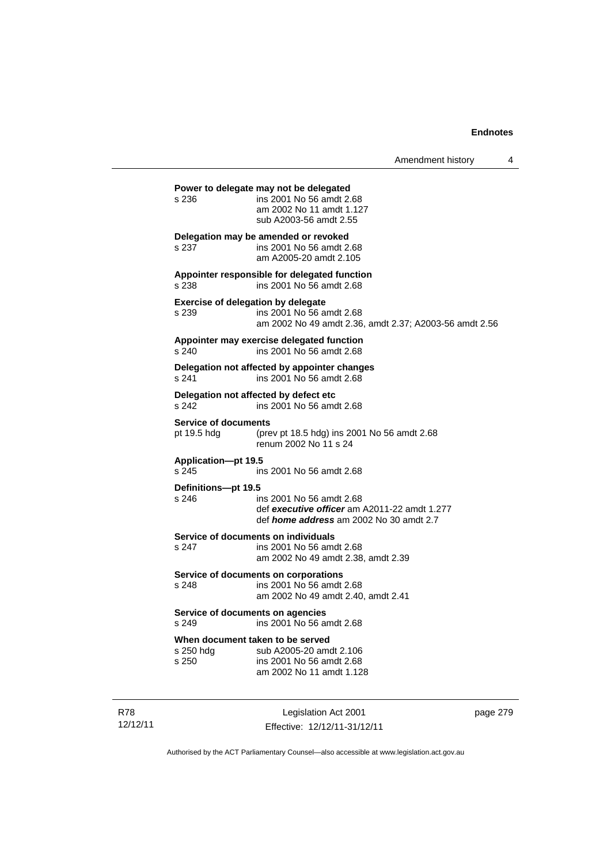|                                                    |                                                                                                                            | Amendment history | 4 |
|----------------------------------------------------|----------------------------------------------------------------------------------------------------------------------------|-------------------|---|
| s 236                                              | Power to delegate may not be delegated<br>ins 2001 No 56 amdt 2.68<br>am 2002 No 11 amdt 1.127<br>sub A2003-56 amdt 2.55   |                   |   |
| s 237                                              | Delegation may be amended or revoked<br>ins 2001 No 56 amdt 2.68<br>am A2005-20 amdt 2.105                                 |                   |   |
| s 238                                              | Appointer responsible for delegated function<br>ins 2001 No 56 amdt 2.68                                                   |                   |   |
| <b>Exercise of delegation by delegate</b><br>s 239 | ins 2001 No 56 amdt 2.68<br>am 2002 No 49 amdt 2.36, amdt 2.37; A2003-56 amdt 2.56                                         |                   |   |
| s 240                                              | Appointer may exercise delegated function<br>ins 2001 No 56 amdt 2.68                                                      |                   |   |
| s 241                                              | Delegation not affected by appointer changes<br>ins 2001 No 56 amdt 2.68                                                   |                   |   |
| s 242                                              | Delegation not affected by defect etc<br>ins 2001 No 56 amdt 2.68                                                          |                   |   |
| <b>Service of documents</b><br>pt 19.5 hdg         | (prev pt 18.5 hdg) ins 2001 No 56 amdt 2.68<br>renum 2002 No 11 s 24                                                       |                   |   |
| Application-pt 19.5<br>s 245                       | ins 2001 No 56 amdt 2.68                                                                                                   |                   |   |
| Definitions-pt 19.5<br>s 246                       | ins 2001 No 56 amdt 2.68<br>def executive officer am A2011-22 amdt 1.277<br>def <i>home address</i> am 2002 No 30 amdt 2.7 |                   |   |
| s 247                                              | Service of documents on individuals<br>ins 2001 No 56 amdt 2.68<br>am 2002 No 49 amdt 2.38, amdt 2.39                      |                   |   |
| s 248                                              | Service of documents on corporations<br>ins 2001 No 56 amdt 2.68<br>am 2002 No 49 amdt 2.40, amdt 2.41                     |                   |   |
| Service of documents on agencies<br>s 249          | ins 2001 No 56 amdt 2.68                                                                                                   |                   |   |
| s 250 hdg<br>s 250                                 | When document taken to be served<br>sub A2005-20 amdt 2.106<br>ins 2001 No 56 amdt 2.68<br>am 2002 No 11 amdt 1.128        |                   |   |
|                                                    |                                                                                                                            |                   |   |

R78 12/12/11

Legislation Act 2001 Effective: 12/12/11-31/12/11 page 279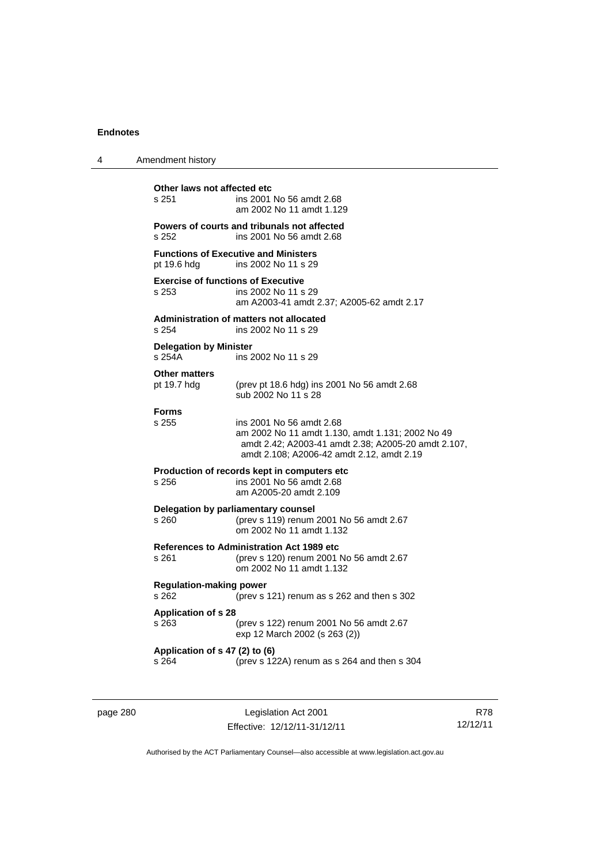| 4 | Amendment history                                  |                                                                                                                                                                                  |
|---|----------------------------------------------------|----------------------------------------------------------------------------------------------------------------------------------------------------------------------------------|
|   | Other laws not affected etc<br>s 251               | ins 2001 No 56 amdt 2.68<br>am 2002 No 11 amdt 1.129                                                                                                                             |
|   | s 252                                              | Powers of courts and tribunals not affected<br>ins 2001 No 56 amdt 2.68                                                                                                          |
|   | pt 19.6 hdg                                        | <b>Functions of Executive and Ministers</b><br>ins 2002 No 11 s 29                                                                                                               |
|   | <b>Exercise of functions of Executive</b><br>s 253 | ins 2002 No 11 s 29<br>am A2003-41 amdt 2.37; A2005-62 amdt 2.17                                                                                                                 |
|   | s.254                                              | Administration of matters not allocated<br>ins 2002 No 11 s 29                                                                                                                   |
|   | <b>Delegation by Minister</b><br>s 254A            | ins 2002 No 11 s 29                                                                                                                                                              |
|   | <b>Other matters</b><br>pt 19.7 hdg                | (prev pt 18.6 hdg) ins 2001 No 56 amdt 2.68<br>sub 2002 No 11 s 28                                                                                                               |
|   | <b>Forms</b><br>s 255                              | ins 2001 No 56 amdt 2.68<br>am 2002 No 11 amdt 1.130, amdt 1.131; 2002 No 49<br>amdt 2.42; A2003-41 amdt 2.38; A2005-20 amdt 2.107,<br>amdt 2.108; A2006-42 amdt 2.12, amdt 2.19 |
|   | s 256                                              | Production of records kept in computers etc<br>ins 2001 No 56 amdt 2.68<br>am A2005-20 amdt 2.109                                                                                |
|   | s 260                                              | Delegation by parliamentary counsel<br>(prev s 119) renum 2001 No 56 amdt 2.67<br>om 2002 No 11 amdt 1.132                                                                       |
|   | s 261                                              | <b>References to Administration Act 1989 etc</b><br>(prev s 120) renum 2001 No 56 amdt 2.67<br>om 2002 No 11 amdt 1.132                                                          |
|   | <b>Regulation-making power</b><br>s 262            | (prev s 121) renum as s 262 and then s 302                                                                                                                                       |
|   | <b>Application of s 28</b><br>s 263                | (prev s 122) renum 2001 No 56 amdt 2.67<br>exp 12 March 2002 (s 263 (2))                                                                                                         |
|   | Application of s 47 (2) to (6)<br>s 264            | (prev s 122A) renum as s 264 and then s 304                                                                                                                                      |

page 280 Legislation Act 2001 Effective: 12/12/11-31/12/11

R78 12/12/11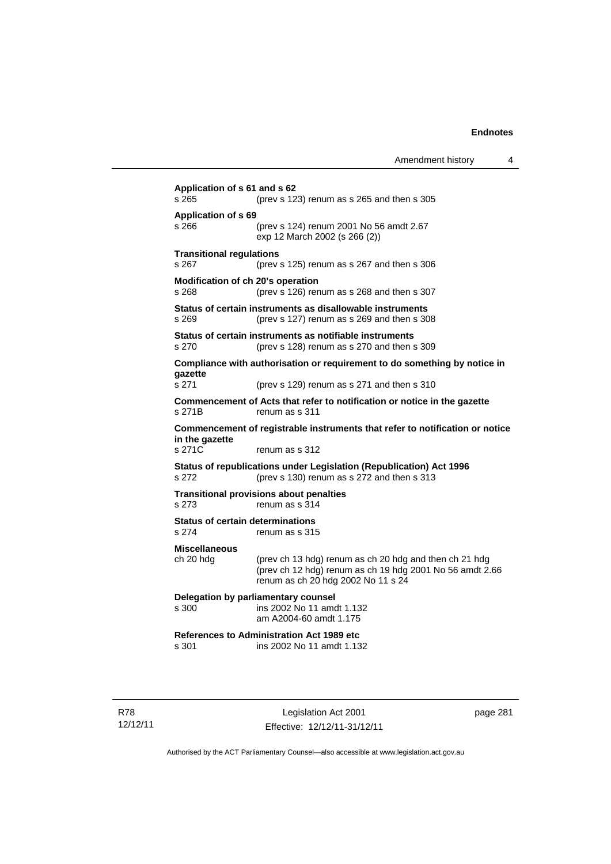| Amendment history |  |
|-------------------|--|
|-------------------|--|

**Application of s 61 and s 62**  s 265 (prev s 123) renum as s 265 and then s 305 **Application of s 69**  s 266 (prev s 124) renum 2001 No 56 amdt 2.67 exp 12 March 2002 (s 266 (2)) **Transitional regulations**  s 267 (prev s 125) renum as s 267 and then s 306 **Modification of ch 20's operation**  s 268 (prev s 126) renum as s 268 and then s 307 **Status of certain instruments as disallowable instruments**  s 269 (prev s 127) renum as s 269 and then s 308 **Status of certain instruments as notifiable instruments**  s 270 (prev s 128) renum as s 270 and then s 309 **Compliance with authorisation or requirement to do something by notice in gazette**  s 271 (prev s 129) renum as s 271 and then s 310 **Commencement of Acts that refer to notification or notice in the gazette**  s 271B renum as s 311 **Commencement of registrable instruments that refer to notification or notice in the gazette**  s 271C renum as s 312 **Status of republications under Legislation (Republication) Act 1996**  s 272 (prev s 130) renum as s 272 and then s 313 **Transitional provisions about penalties** s 273 renum as s 314 **Status of certain determinations**  s 274 renum as s 315 **Miscellaneous**  ch 20 hdg (prev ch 13 hdg) renum as ch 20 hdg and then ch 21 hdg (prev ch 12 hdg) renum as ch 19 hdg 2001 No 56 amdt 2.66 renum as ch 20 hdg 2002 No 11 s 24 **Delegation by parliamentary counsel**  s 300 ins 2002 No 11 amdt 1.132 am A2004-60 amdt 1.175 **References to Administration Act 1989 etc**  ins 2002 No 11 amdt 1.132

R78 12/12/11

Legislation Act 2001 Effective: 12/12/11-31/12/11 page 281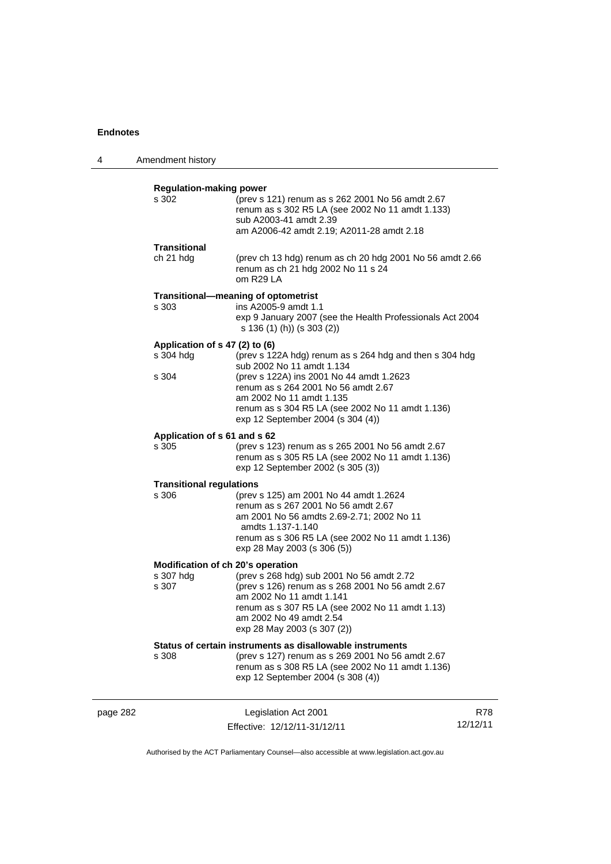| 4        | Amendment history                                       |                                                                                                                                                                                                                                                                                              |                 |
|----------|---------------------------------------------------------|----------------------------------------------------------------------------------------------------------------------------------------------------------------------------------------------------------------------------------------------------------------------------------------------|-----------------|
|          | <b>Regulation-making power</b><br>s 302                 | (prev s 121) renum as s 262 2001 No 56 amdt 2.67<br>renum as s 302 R5 LA (see 2002 No 11 amdt 1.133)<br>sub A2003-41 amdt 2.39<br>am A2006-42 amdt 2.19; A2011-28 amdt 2.18                                                                                                                  |                 |
|          | Transitional<br>ch 21 hdg                               | (prev ch 13 hdg) renum as ch 20 hdg 2001 No 56 amdt 2.66<br>renum as ch 21 hdg 2002 No 11 s 24<br>om R29 LA                                                                                                                                                                                  |                 |
|          | s 303                                                   | Transitional-meaning of optometrist<br>ins A2005-9 amdt 1.1<br>exp 9 January 2007 (see the Health Professionals Act 2004<br>s 136 (1) (h)) (s 303 (2))                                                                                                                                       |                 |
|          | Application of s 47 (2) to (6)<br>s 304 hdg<br>s 304    | (prev s 122A hdg) renum as s 264 hdg and then s 304 hdg<br>sub 2002 No 11 amdt 1.134<br>(prev s 122A) ins 2001 No 44 amdt 1.2623<br>renum as s 264 2001 No 56 amdt 2.67<br>am 2002 No 11 amdt 1.135<br>renum as s 304 R5 LA (see 2002 No 11 amdt 1.136)<br>exp 12 September 2004 (s 304 (4)) |                 |
|          | Application of s 61 and s 62<br>s 305                   | (prev s 123) renum as s 265 2001 No 56 amdt 2.67<br>renum as s 305 R5 LA (see 2002 No 11 amdt 1.136)<br>exp 12 September 2002 (s 305 (3))                                                                                                                                                    |                 |
|          | <b>Transitional regulations</b><br>s 306                | (prev s 125) am 2001 No 44 amdt 1.2624<br>renum as s 267 2001 No 56 amdt 2.67<br>am 2001 No 56 amdts 2.69-2.71; 2002 No 11<br>amdts 1.137-1.140<br>renum as s 306 R5 LA (see 2002 No 11 amdt 1.136)<br>exp 28 May 2003 (s 306 (5))                                                           |                 |
|          | Modification of ch 20's operation<br>s 307 hdg<br>s 307 | (prev s 268 hdg) sub 2001 No 56 amdt 2.72<br>(prev s 126) renum as s 268 2001 No 56 amdt 2.67<br>am 2002 No 11 amdt 1.141<br>renum as s 307 R5 LA (see 2002 No 11 amdt 1.13)<br>am 2002 No 49 amdt 2.54<br>exp 28 May 2003 (s 307 (2))                                                       |                 |
|          | s 308                                                   | Status of certain instruments as disallowable instruments<br>(prev s 127) renum as s 269 2001 No 56 amdt 2.67<br>renum as s 308 R5 LA (see 2002 No 11 amdt 1.136)<br>exp 12 September 2004 (s 308 (4))                                                                                       |                 |
| page 282 |                                                         | Legislation Act 2001<br>Effective: 12/12/11-31/12/11                                                                                                                                                                                                                                         | R78<br>12/12/11 |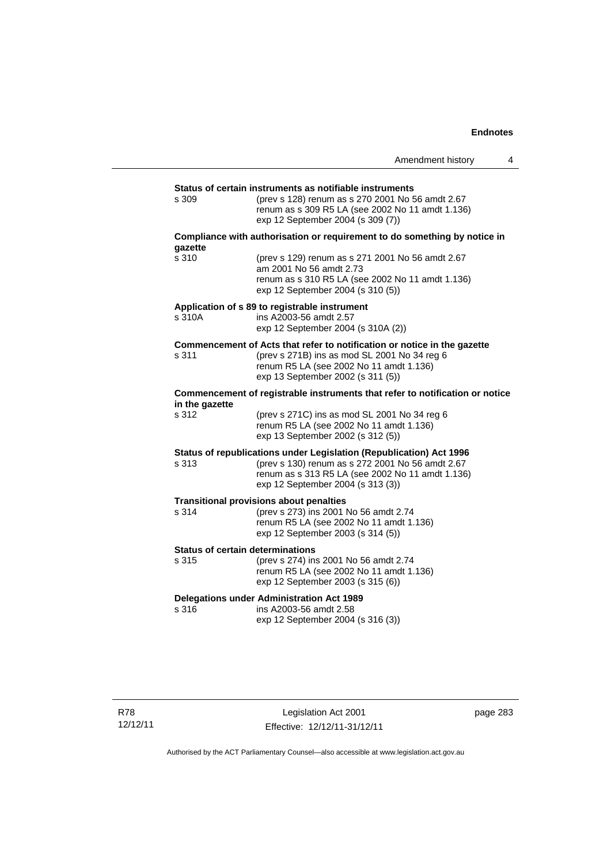|                                                  |                                                                                                                                                                                                                  | Amendment history | 4 |
|--------------------------------------------------|------------------------------------------------------------------------------------------------------------------------------------------------------------------------------------------------------------------|-------------------|---|
|                                                  |                                                                                                                                                                                                                  |                   |   |
| s 309                                            | Status of certain instruments as notifiable instruments<br>(prev s 128) renum as s 270 2001 No 56 amdt 2.67<br>renum as s 309 R5 LA (see 2002 No 11 amdt 1.136)<br>exp 12 September 2004 (s 309 (7))             |                   |   |
| gazette                                          | Compliance with authorisation or requirement to do something by notice in                                                                                                                                        |                   |   |
| s 310                                            | (prev s 129) renum as s 271 2001 No 56 amdt 2.67<br>am 2001 No 56 amdt 2.73<br>renum as s 310 R5 LA (see 2002 No 11 amdt 1.136)<br>exp 12 September 2004 (s 310 (5))                                             |                   |   |
| s 310A                                           | Application of s 89 to registrable instrument<br>ins A2003-56 amdt 2.57<br>exp 12 September 2004 (s 310A (2))                                                                                                    |                   |   |
| s 311                                            | Commencement of Acts that refer to notification or notice in the gazette<br>(prev s 271B) ins as mod SL 2001 No 34 reg 6<br>renum R5 LA (see 2002 No 11 amdt 1.136)<br>exp 13 September 2002 (s 311 (5))         |                   |   |
| in the gazette                                   | Commencement of registrable instruments that refer to notification or notice                                                                                                                                     |                   |   |
| s 312                                            | (prev s 271C) ins as mod SL 2001 No 34 reg 6<br>renum R5 LA (see 2002 No 11 amdt 1.136)<br>exp 13 September 2002 (s 312 (5))                                                                                     |                   |   |
| s 313                                            | Status of republications under Legislation (Republication) Act 1996<br>(prev s 130) renum as s 272 2001 No 56 amdt 2.67<br>renum as s 313 R5 LA (see 2002 No 11 amdt 1.136)<br>exp 12 September 2004 (s 313 (3)) |                   |   |
| s 314                                            | <b>Transitional provisions about penalties</b><br>(prev s 273) ins 2001 No 56 amdt 2.74<br>renum R5 LA (see 2002 No 11 amdt 1.136)<br>exp 12 September 2003 (s 314 (5))                                          |                   |   |
| <b>Status of certain determinations</b><br>s 315 | (prev s 274) ins 2001 No 56 amdt 2.74<br>renum R5 LA (see 2002 No 11 amdt 1.136)<br>exp 12 September 2003 (s 315 (6))                                                                                            |                   |   |
| s 316                                            | <b>Delegations under Administration Act 1989</b><br>ins A2003-56 amdt 2.58<br>exp 12 September 2004 (s 316 (3))                                                                                                  |                   |   |

page 283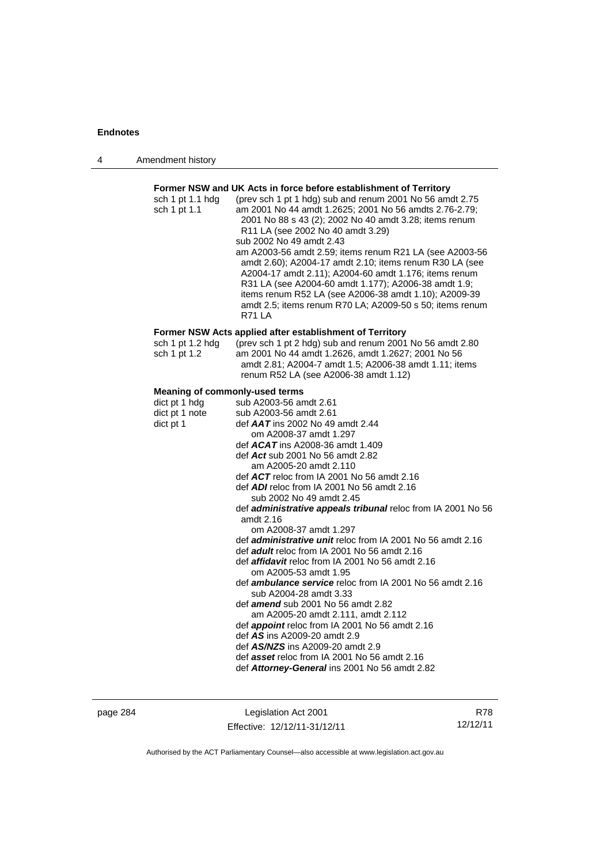| 4 | Amendment history |
|---|-------------------|
|---|-------------------|

| sch 1 pt 1.1 hdg<br>sch 1 pt 1.1      | (prev sch 1 pt 1 hdg) sub and renum 2001 No 56 amdt 2.75<br>am 2001 No 44 amdt 1.2625; 2001 No 56 amdts 2.76-2.79;<br>2001 No 88 s 43 (2); 2002 No 40 amdt 3.28; items renum<br>R11 LA (see 2002 No 40 amdt 3.29)<br>sub 2002 No 49 amdt 2.43<br>am A2003-56 amdt 2.59; items renum R21 LA (see A2003-56<br>amdt 2.60); A2004-17 amdt 2.10; items renum R30 LA (see<br>A2004-17 amdt 2.11); A2004-60 amdt 1.176; items renum<br>R31 LA (see A2004-60 amdt 1.177); A2006-38 amdt 1.9;<br>items renum R52 LA (see A2006-38 amdt 1.10); A2009-39<br>amdt 2.5; items renum R70 LA; A2009-50 s 50; items renum<br><b>R71 LA</b> |
|---------------------------------------|----------------------------------------------------------------------------------------------------------------------------------------------------------------------------------------------------------------------------------------------------------------------------------------------------------------------------------------------------------------------------------------------------------------------------------------------------------------------------------------------------------------------------------------------------------------------------------------------------------------------------|
|                                       | Former NSW Acts applied after establishment of Territory                                                                                                                                                                                                                                                                                                                                                                                                                                                                                                                                                                   |
| sch 1 pt 1.2 $hdg$<br>sch 1 pt 1.2    | (prev sch 1 pt 2 hdg) sub and renum 2001 No 56 amdt 2.80<br>am 2001 No 44 amdt 1.2626, amdt 1.2627; 2001 No 56<br>amdt 2.81; A2004-7 amdt 1.5; A2006-38 amdt 1.11; items<br>renum R52 LA (see A2006-38 amdt 1.12)                                                                                                                                                                                                                                                                                                                                                                                                          |
| <b>Meaning of commonly-used terms</b> |                                                                                                                                                                                                                                                                                                                                                                                                                                                                                                                                                                                                                            |
| dict pt 1 hdg                         | sub A2003-56 amdt 2.61                                                                                                                                                                                                                                                                                                                                                                                                                                                                                                                                                                                                     |
| dict pt 1 note                        | sub A2003-56 amdt 2.61                                                                                                                                                                                                                                                                                                                                                                                                                                                                                                                                                                                                     |
| dict pt 1                             | def AAT ins 2002 No 49 amdt 2.44                                                                                                                                                                                                                                                                                                                                                                                                                                                                                                                                                                                           |
|                                       | om A2008-37 amdt 1.297                                                                                                                                                                                                                                                                                                                                                                                                                                                                                                                                                                                                     |
|                                       | def $ACAT$ ins A2008-36 amdt 1.409                                                                                                                                                                                                                                                                                                                                                                                                                                                                                                                                                                                         |
|                                       | def Act sub 2001 No 56 amdt 2.82                                                                                                                                                                                                                                                                                                                                                                                                                                                                                                                                                                                           |
|                                       | am A2005-20 amdt 2.110<br>def ACT reloc from IA 2001 No 56 amdt 2.16                                                                                                                                                                                                                                                                                                                                                                                                                                                                                                                                                       |
|                                       | def ADI reloc from IA 2001 No 56 amdt 2.16                                                                                                                                                                                                                                                                                                                                                                                                                                                                                                                                                                                 |
|                                       | sub 2002 No 49 amdt 2.45                                                                                                                                                                                                                                                                                                                                                                                                                                                                                                                                                                                                   |
|                                       | def administrative appeals tribunal reloc from IA 2001 No 56                                                                                                                                                                                                                                                                                                                                                                                                                                                                                                                                                               |
|                                       | amdt $2.16$                                                                                                                                                                                                                                                                                                                                                                                                                                                                                                                                                                                                                |
|                                       | om A2008-37 amdt 1.297                                                                                                                                                                                                                                                                                                                                                                                                                                                                                                                                                                                                     |
|                                       | def <i>administrative unit</i> reloc from IA 2001 No 56 amdt 2.16                                                                                                                                                                                                                                                                                                                                                                                                                                                                                                                                                          |
|                                       | def adult reloc from IA 2001 No 56 amdt 2.16                                                                                                                                                                                                                                                                                                                                                                                                                                                                                                                                                                               |
|                                       | def affidavit reloc from IA 2001 No 56 amdt 2.16                                                                                                                                                                                                                                                                                                                                                                                                                                                                                                                                                                           |
|                                       | om A2005-53 amdt 1.95                                                                                                                                                                                                                                                                                                                                                                                                                                                                                                                                                                                                      |
|                                       | def <i>ambulance service</i> reloc from IA 2001 No 56 amdt 2.16                                                                                                                                                                                                                                                                                                                                                                                                                                                                                                                                                            |
|                                       | sub A2004-28 amdt 3.33                                                                                                                                                                                                                                                                                                                                                                                                                                                                                                                                                                                                     |
|                                       | def <b>amend</b> sub 2001 No 56 amdt 2.82                                                                                                                                                                                                                                                                                                                                                                                                                                                                                                                                                                                  |
|                                       | am A2005-20 amdt 2.111, amdt 2.112                                                                                                                                                                                                                                                                                                                                                                                                                                                                                                                                                                                         |
|                                       | def appoint reloc from IA 2001 No 56 amdt 2.16                                                                                                                                                                                                                                                                                                                                                                                                                                                                                                                                                                             |
|                                       | def AS ins A2009-20 amdt 2.9<br>def <b>AS/NZS</b> ins A2009-20 amdt 2.9                                                                                                                                                                                                                                                                                                                                                                                                                                                                                                                                                    |
|                                       | def asset reloc from IA 2001 No 56 amdt 2.16                                                                                                                                                                                                                                                                                                                                                                                                                                                                                                                                                                               |
|                                       | def Attorney-General ins 2001 No 56 amdt 2.82                                                                                                                                                                                                                                                                                                                                                                                                                                                                                                                                                                              |
|                                       |                                                                                                                                                                                                                                                                                                                                                                                                                                                                                                                                                                                                                            |

page 284 Legislation Act 2001 Effective: 12/12/11-31/12/11

R78 12/12/11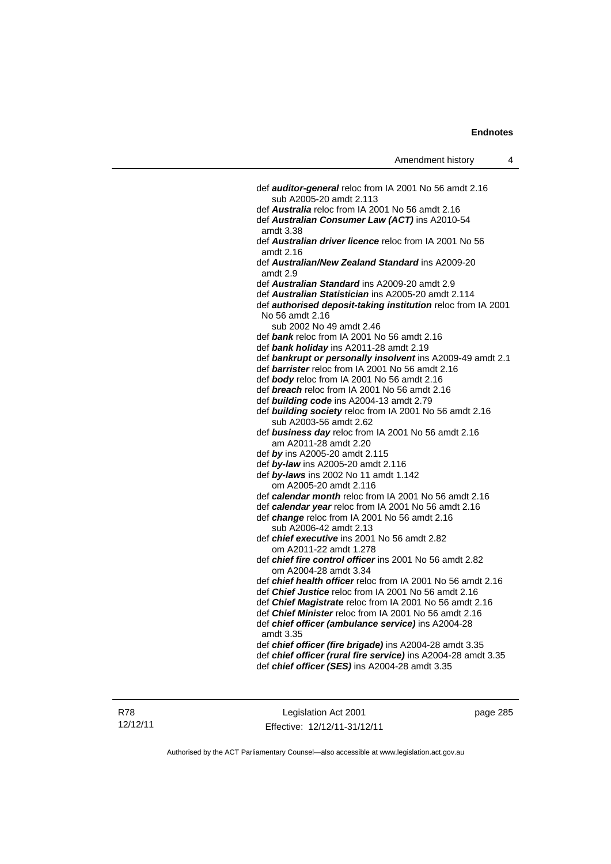def *auditor-general* reloc from IA 2001 No 56 amdt 2.16 sub A2005-20 amdt 2.113 def *Australia* reloc from IA 2001 No 56 amdt 2.16 def *Australian Consumer Law (ACT)* ins A2010-54 amdt 3.38 def *Australian driver licence* reloc from IA 2001 No 56 amdt 2.16 def *Australian/New Zealand Standard* ins A2009-20 amdt 2.9 def *Australian Standard* ins A2009-20 amdt 2.9 def *Australian Statistician* ins A2005-20 amdt 2.114 def *authorised deposit-taking institution* reloc from IA 2001 No 56 amdt 2.16 sub 2002 No 49 amdt 2.46 def *bank* reloc from IA 2001 No 56 amdt 2.16 def *bank holiday* ins A2011-28 amdt 2.19 def *bankrupt or personally insolvent* ins A2009-49 amdt 2.1 def *barrister* reloc from IA 2001 No 56 amdt 2.16 def *body* reloc from IA 2001 No 56 amdt 2.16 def *breach* reloc from IA 2001 No 56 amdt 2.16 def *building code* ins A2004-13 amdt 2.79 def *building society* reloc from IA 2001 No 56 amdt 2.16 sub A2003-56 amdt 2.62 def *business day* reloc from IA 2001 No 56 amdt 2.16 am A2011-28 amdt 2.20 def *by* ins A2005-20 amdt 2.115 def *by-law* ins A2005-20 amdt 2.116 def *by-laws* ins 2002 No 11 amdt 1.142 om A2005-20 amdt 2.116 def *calendar month* reloc from IA 2001 No 56 amdt 2.16 def *calendar year* reloc from IA 2001 No 56 amdt 2.16 def *change* reloc from IA 2001 No 56 amdt 2.16 sub A2006-42 amdt 2.13 def *chief executive* ins 2001 No 56 amdt 2.82 om A2011-22 amdt 1.278 def *chief fire control officer* ins 2001 No 56 amdt 2.82 om A2004-28 amdt 3.34 def *chief health officer* reloc from IA 2001 No 56 amdt 2.16 def *Chief Justice* reloc from IA 2001 No 56 amdt 2.16 def *Chief Magistrate* reloc from IA 2001 No 56 amdt 2.16 def *Chief Minister* reloc from IA 2001 No 56 amdt 2.16 def *chief officer (ambulance service)* ins A2004-28 amdt 3.35 def *chief officer (fire brigade)* ins A2004-28 amdt 3.35 def *chief officer (rural fire service)* ins A2004-28 amdt 3.35 def *chief officer (SES)* ins A2004-28 amdt 3.35

Legislation Act 2001 Effective: 12/12/11-31/12/11 page 285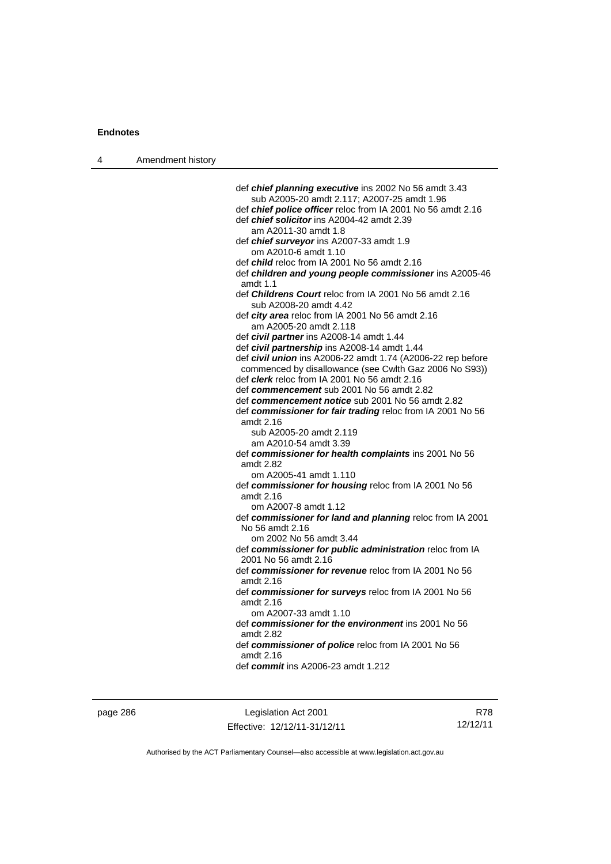| 4 | Amendment history |                                                                                  |
|---|-------------------|----------------------------------------------------------------------------------|
|   |                   |                                                                                  |
|   |                   | def chief planning executive ins 2002 No 56 amdt 3.43                            |
|   |                   | sub A2005-20 amdt 2.117; A2007-25 amdt 1.96                                      |
|   |                   | def chief police officer reloc from IA 2001 No 56 amdt 2.16                      |
|   |                   | def <i>chief solicitor</i> ins A2004-42 amdt 2.39                                |
|   |                   | am A2011-30 amdt 1.8                                                             |
|   |                   | def chief surveyor ins A2007-33 amdt 1.9                                         |
|   |                   | om A2010-6 amdt 1.10                                                             |
|   |                   | def <i>child</i> reloc from IA 2001 No 56 amdt 2.16                              |
|   |                   | def children and young people commissioner ins A2005-46                          |
|   |                   | amdt $1.1$                                                                       |
|   |                   | def Childrens Court reloc from IA 2001 No 56 amdt 2.16<br>sub A2008-20 amdt 4.42 |
|   |                   | def city area reloc from IA 2001 No 56 amdt 2.16                                 |
|   |                   | am A2005-20 amdt 2.118                                                           |
|   |                   | def civil partner ins A2008-14 amdt 1.44                                         |
|   |                   | def civil partnership ins A2008-14 amdt 1.44                                     |
|   |                   | def civil union ins A2006-22 amdt 1.74 (A2006-22 rep before                      |
|   |                   | commenced by disallowance (see Cwlth Gaz 2006 No S93))                           |
|   |                   | def <i>clerk</i> reloc from IA 2001 No 56 amdt 2.16                              |
|   |                   | def commencement sub 2001 No 56 amdt 2.82                                        |
|   |                   | def commencement notice sub 2001 No 56 amdt 2.82                                 |
|   |                   | def commissioner for fair trading reloc from IA 2001 No 56                       |
|   |                   | amdt 2.16                                                                        |
|   |                   | sub A2005-20 amdt 2.119                                                          |
|   |                   | am A2010-54 amdt 3.39                                                            |
|   |                   | def commissioner for health complaints ins 2001 No 56                            |
|   |                   | amdt 2.82                                                                        |
|   |                   | om A2005-41 amdt 1.110                                                           |
|   |                   | def commissioner for housing reloc from IA 2001 No 56                            |
|   |                   | amdt 2.16                                                                        |
|   |                   | om A2007-8 amdt 1.12                                                             |
|   |                   | def commissioner for land and planning reloc from IA 2001<br>No 56 amdt 2.16     |
|   |                   | om 2002 No 56 amdt 3.44                                                          |
|   |                   | def commissioner for public administration reloc from IA<br>2001 No 56 amdt 2.16 |
|   |                   | def commissioner for revenue reloc from IA 2001 No 56                            |
|   |                   | amdt 2.16                                                                        |
|   |                   | def commissioner for surveys reloc from IA 2001 No 56<br>amdt 2.16               |
|   |                   | om A2007-33 amdt 1.10                                                            |
|   |                   | def commissioner for the environment ins 2001 No 56<br>amdt 2.82                 |
|   |                   | def commissioner of police reloc from IA 2001 No 56                              |
|   |                   | amdt 2.16                                                                        |
|   |                   | def <i>commit</i> ins A2006-23 amdt 1.212                                        |

page 286 Legislation Act 2001 Effective: 12/12/11-31/12/11

R78 12/12/11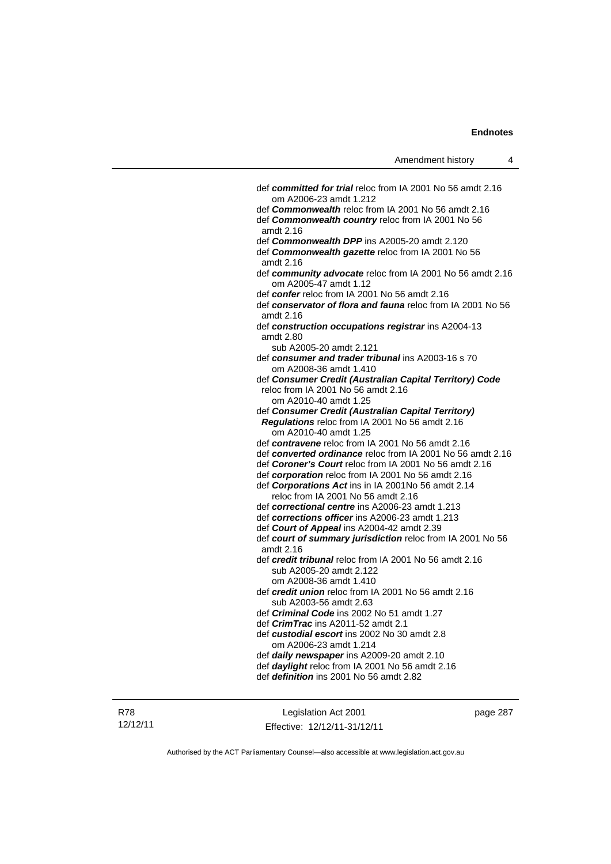| Amendment history |  |
|-------------------|--|
|-------------------|--|

| def committed for trial reloc from IA 2001 No 56 amdt 2.16                                               |
|----------------------------------------------------------------------------------------------------------|
| om A2006-23 amdt 1.212                                                                                   |
| def <b>Commonwealth</b> reloc from IA 2001 No 56 amdt 2.16                                               |
| def Commonwealth country reloc from IA 2001 No 56<br>amdt 2.16                                           |
| def <b>Commonwealth DPP</b> ins A2005-20 amdt 2.120                                                      |
| def Commonwealth gazette reloc from IA 2001 No 56                                                        |
| amdt 2.16                                                                                                |
| def community advocate reloc from IA 2001 No 56 amdt 2.16<br>om A2005-47 amdt 1.12                       |
| def confer reloc from IA 2001 No 56 amdt 2.16                                                            |
| def conservator of flora and fauna reloc from IA 2001 No 56<br>amdt 2.16                                 |
| def construction occupations registrar ins A2004-13<br>amdt 2.80                                         |
| sub A2005-20 amdt 2.121                                                                                  |
| def consumer and trader tribunal ins A2003-16 s 70<br>om A2008-36 amdt 1.410                             |
| def Consumer Credit (Australian Capital Territory) Code                                                  |
| reloc from IA 2001 No 56 amdt 2.16                                                                       |
| om A2010-40 amdt 1.25                                                                                    |
| def Consumer Credit (Australian Capital Territory)                                                       |
| Regulations reloc from IA 2001 No 56 amdt 2.16                                                           |
| om A2010-40 amdt 1.25                                                                                    |
| def contravene reloc from IA 2001 No 56 amdt 2.16                                                        |
| def converted ordinance reloc from IA 2001 No 56 amdt 2.16                                               |
| def Coroner's Court reloc from IA 2001 No 56 amdt 2.16                                                   |
| def corporation reloc from IA 2001 No 56 amdt 2.16<br>def Corporations Act ins in IA 2001No 56 amdt 2.14 |
| reloc from IA 2001 No 56 amdt 2.16                                                                       |
| def correctional centre ins A2006-23 amdt 1.213                                                          |
| def corrections officer ins A2006-23 amdt 1.213                                                          |
| def Court of Appeal ins A2004-42 amdt 2.39                                                               |
| def court of summary jurisdiction reloc from IA 2001 No 56                                               |
| amdt 2.16                                                                                                |
| def credit tribunal reloc from IA 2001 No 56 amdt 2.16                                                   |
| sub A2005-20 amdt 2.122                                                                                  |
| om A2008-36 amdt 1.410                                                                                   |
| def credit union reloc from IA 2001 No 56 amdt 2.16                                                      |
| sub A2003-56 amdt 2.63                                                                                   |
| def Criminal Code ins 2002 No 51 amdt 1.27                                                               |
| def <i>CrimTrac</i> ins A2011-52 amdt 2.1                                                                |
| def custodial escort ins 2002 No 30 amdt 2.8                                                             |
| om A2006-23 amdt 1.214                                                                                   |
| def daily newspaper ins A2009-20 amdt 2.10                                                               |
| def daylight reloc from IA 2001 No 56 amdt 2.16                                                          |
| def <i>definition</i> ins 2001 No 56 amdt 2.82                                                           |
|                                                                                                          |

Legislation Act 2001 Effective: 12/12/11-31/12/11 page 287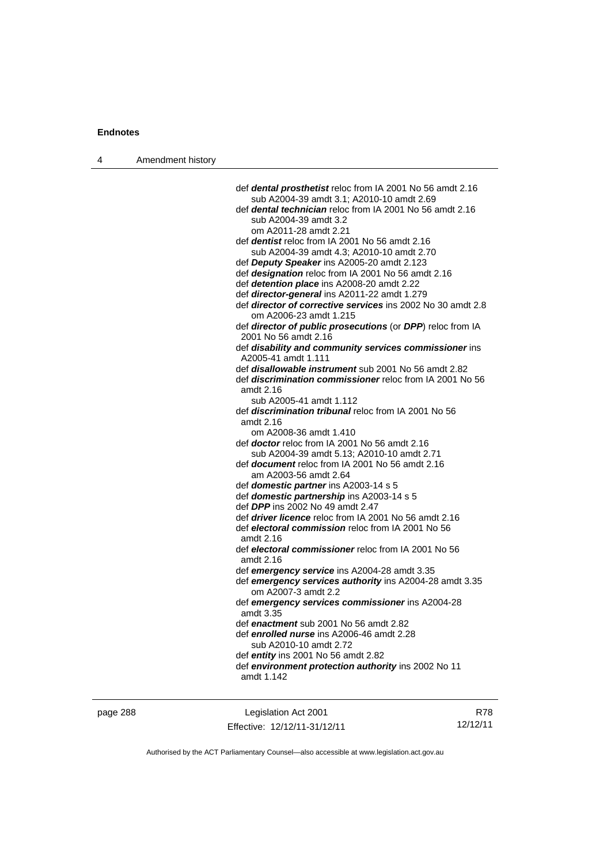| 4 | Amendment history |                                                                                              |
|---|-------------------|----------------------------------------------------------------------------------------------|
|   |                   |                                                                                              |
|   |                   | def dental prosthetist reloc from IA 2001 No 56 amdt 2.16                                    |
|   |                   | sub A2004-39 amdt 3.1; A2010-10 amdt 2.69                                                    |
|   |                   | def dental technician reloc from IA 2001 No 56 amdt 2.16                                     |
|   |                   | sub A2004-39 amdt 3.2                                                                        |
|   |                   | om A2011-28 amdt 2.21                                                                        |
|   |                   | def <i>dentist</i> reloc from IA 2001 No 56 amdt 2.16                                        |
|   |                   | sub A2004-39 amdt 4.3; A2010-10 amdt 2.70                                                    |
|   |                   | def Deputy Speaker ins A2005-20 amdt 2.123                                                   |
|   |                   | def designation reloc from IA 2001 No 56 amdt 2.16                                           |
|   |                   | def detention place ins A2008-20 amdt 2.22                                                   |
|   |                   | def director-general ins A2011-22 amdt 1.279                                                 |
|   |                   | def <i>director of corrective services</i> ins 2002 No 30 amdt 2.8<br>om A2006-23 amdt 1.215 |
|   |                   | def director of public prosecutions (or DPP) reloc from IA                                   |
|   |                   | 2001 No 56 amdt 2.16                                                                         |
|   |                   | def disability and community services commissioner ins                                       |
|   |                   | A2005-41 amdt 1.111                                                                          |
|   |                   | def <i>disallowable instrument</i> sub 2001 No 56 amdt 2.82                                  |
|   |                   | def <i>discrimination commissioner</i> reloc from IA 2001 No 56<br>amdt 2.16                 |
|   |                   | sub A2005-41 amdt 1.112                                                                      |
|   |                   | def <b>discrimination tribunal</b> reloc from IA 2001 No 56                                  |
|   |                   | amdt 2.16                                                                                    |
|   |                   | om A2008-36 amdt 1.410                                                                       |
|   |                   | def <b>doctor</b> reloc from IA 2001 No 56 amdt 2.16                                         |
|   |                   | sub A2004-39 amdt 5.13; A2010-10 amdt 2.71                                                   |
|   |                   | def <b>document</b> reloc from IA 2001 No 56 amdt 2.16                                       |
|   |                   | am A2003-56 amdt 2.64                                                                        |
|   |                   | def domestic partner ins A2003-14 s 5                                                        |
|   |                   | def domestic partnership ins A2003-14 s 5                                                    |
|   |                   | def DPP ins 2002 No 49 amdt 2.47                                                             |
|   |                   | def <i>driver licence</i> reloc from IA 2001 No 56 amdt 2.16                                 |
|   |                   | def electoral commission reloc from IA 2001 No 56                                            |
|   |                   | amdt $2.16$                                                                                  |
|   |                   | def electoral commissioner reloc from IA 2001 No 56<br>amdt 2.16                             |
|   |                   | def emergency service ins A2004-28 amdt 3.35                                                 |
|   |                   | def emergency services authority ins A2004-28 amdt 3.35<br>om A2007-3 amdt 2.2               |
|   |                   | def emergency services commissioner ins A2004-28<br>amdt 3.35                                |
|   |                   | def enactment sub 2001 No 56 amdt 2.82                                                       |
|   |                   | def enrolled nurse ins A2006-46 amdt 2.28                                                    |
|   |                   | sub A2010-10 amdt 2.72                                                                       |
|   |                   | def entity ins 2001 No 56 amdt 2.82                                                          |
|   |                   | def environment protection authority ins 2002 No 11                                          |
|   |                   | amdt 1.142                                                                                   |
|   |                   |                                                                                              |
|   |                   |                                                                                              |

page 288 Legislation Act 2001 Effective: 12/12/11-31/12/11

R78 12/12/11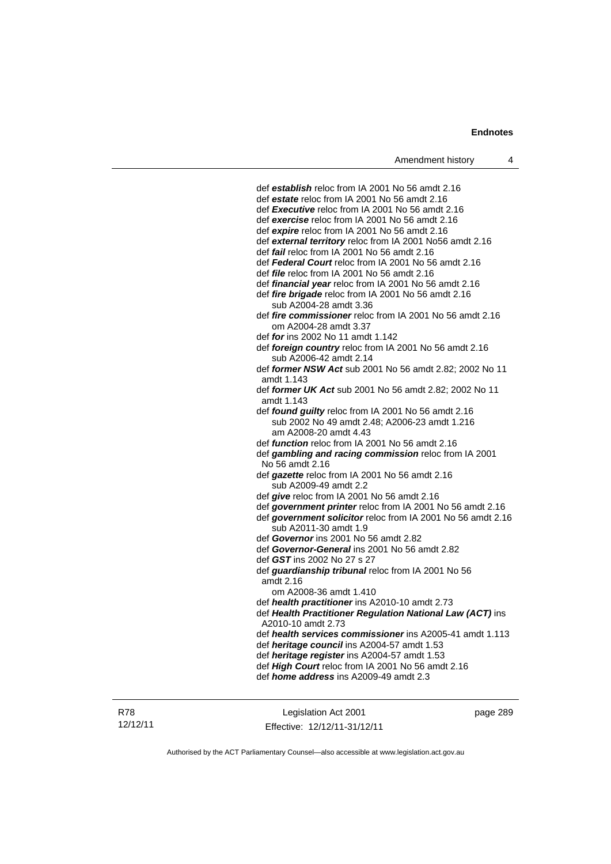def *establish* reloc from IA 2001 No 56 amdt 2.16 def *estate* reloc from IA 2001 No 56 amdt 2.16 def *Executive* reloc from IA 2001 No 56 amdt 2.16 def *exercise* reloc from IA 2001 No 56 amdt 2.16 def *expire* reloc from IA 2001 No 56 amdt 2.16 def *external territory* reloc from IA 2001 No56 amdt 2.16 def *fail* reloc from IA 2001 No 56 amdt 2.16 def *Federal Court* reloc from IA 2001 No 56 amdt 2.16 def *file* reloc from IA 2001 No 56 amdt 2.16 def *financial year* reloc from IA 2001 No 56 amdt 2.16 def *fire brigade* reloc from IA 2001 No 56 amdt 2.16 sub A2004-28 amdt 3.36 def *fire commissioner* reloc from IA 2001 No 56 amdt 2.16 om A2004-28 amdt 3.37 def *for* ins 2002 No 11 amdt 1.142 def *foreign country* reloc from IA 2001 No 56 amdt 2.16 sub A2006-42 amdt 2.14 def *former NSW Act* sub 2001 No 56 amdt 2.82; 2002 No 11 amdt 1.143 def *former UK Act* sub 2001 No 56 amdt 2.82; 2002 No 11 amdt 1.143 def *found guilty* reloc from IA 2001 No 56 amdt 2.16 sub 2002 No 49 amdt 2.48; A2006-23 amdt 1.216 am A2008-20 amdt 4.43 def *function* reloc from IA 2001 No 56 amdt 2.16 def *gambling and racing commission* reloc from IA 2001 No 56 amdt 2.16 def *gazette* reloc from IA 2001 No 56 amdt 2.16 sub A2009-49 amdt 2.2 def *give* reloc from IA 2001 No 56 amdt 2.16 def *government printer* reloc from IA 2001 No 56 amdt 2.16 def *government solicitor* reloc from IA 2001 No 56 amdt 2.16 sub A2011-30 amdt 1.9 def *Governor* ins 2001 No 56 amdt 2.82 def *Governor-General* ins 2001 No 56 amdt 2.82 def *GST* ins 2002 No 27 s 27 def *guardianship tribunal* reloc from IA 2001 No 56 amdt 2.16 om A2008-36 amdt 1.410 def *health practitioner* ins A2010-10 amdt 2.73 def *Health Practitioner Regulation National Law (ACT)* ins A2010-10 amdt 2.73 def *health services commissioner* ins A2005-41 amdt 1.113 def *heritage council* ins A2004-57 amdt 1.53 def *heritage register* ins A2004-57 amdt 1.53 def *High Court* reloc from IA 2001 No 56 amdt 2.16 def *home address* ins A2009-49 amdt 2.3

Legislation Act 2001 Effective: 12/12/11-31/12/11 page 289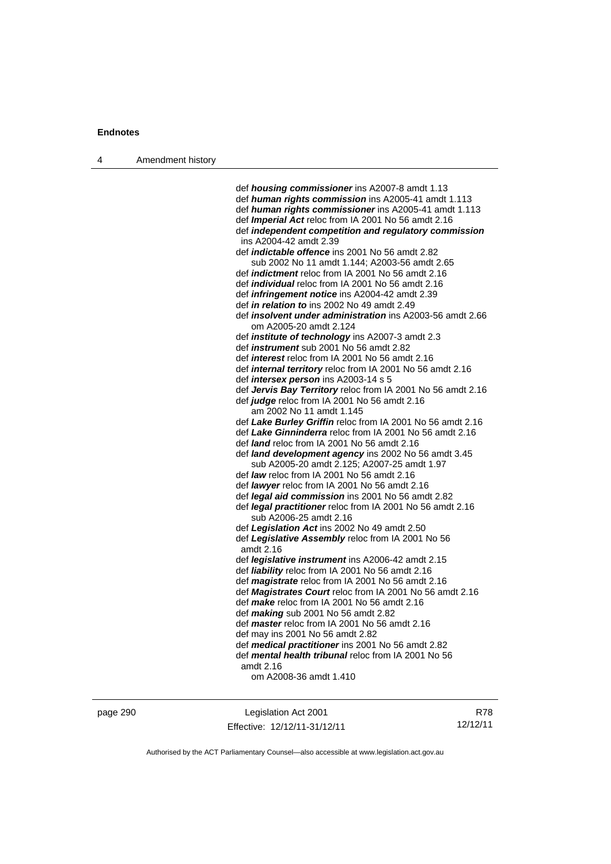| Amendment history |
|-------------------|
|                   |

 def *housing commissioner* ins A2007-8 amdt 1.13 def *human rights commission* ins A2005-41 amdt 1.113 def *human rights commissioner* ins A2005-41 amdt 1.113 def *Imperial Act* reloc from IA 2001 No 56 amdt 2.16 def *independent competition and regulatory commission* ins A2004-42 amdt 2.39 def *indictable offence* ins 2001 No 56 amdt 2.82 sub 2002 No 11 amdt 1.144; A2003-56 amdt 2.65 def *indictment* reloc from IA 2001 No 56 amdt 2.16 def *individual* reloc from IA 2001 No 56 amdt 2.16 def *infringement notice* ins A2004-42 amdt 2.39 def *in relation to* ins 2002 No 49 amdt 2.49 def *insolvent under administration* ins A2003-56 amdt 2.66 om A2005-20 amdt 2.124 def *institute of technology* ins A2007-3 amdt 2.3 def *instrument* sub 2001 No 56 amdt 2.82 def *interest* reloc from IA 2001 No 56 amdt 2.16 def *internal territory* reloc from IA 2001 No 56 amdt 2.16 def *intersex person* ins A2003-14 s 5 def *Jervis Bay Territory* reloc from IA 2001 No 56 amdt 2.16 def *judge* reloc from IA 2001 No 56 amdt 2.16 am 2002 No 11 amdt 1.145 def *Lake Burley Griffin* reloc from IA 2001 No 56 amdt 2.16 def *Lake Ginninderra* reloc from IA 2001 No 56 amdt 2.16 def *land* reloc from IA 2001 No 56 amdt 2.16 def *land development agency* ins 2002 No 56 amdt 3.45 sub A2005-20 amdt 2.125; A2007-25 amdt 1.97 def *law* reloc from IA 2001 No 56 amdt 2.16 def *lawyer* reloc from IA 2001 No 56 amdt 2.16 def *legal aid commission* ins 2001 No 56 amdt 2.82 def *legal practitioner* reloc from IA 2001 No 56 amdt 2.16 sub A2006-25 amdt 2.16 def *Legislation Act* ins 2002 No 49 amdt 2.50 def *Legislative Assembly* reloc from IA 2001 No 56 amdt 2.16 def *legislative instrument* ins A2006-42 amdt 2.15 def *liability* reloc from IA 2001 No 56 amdt 2.16 def *magistrate* reloc from IA 2001 No 56 amdt 2.16 def *Magistrates Court* reloc from IA 2001 No 56 amdt 2.16 def *make* reloc from IA 2001 No 56 amdt 2.16 def *making* sub 2001 No 56 amdt 2.82 def *master* reloc from IA 2001 No 56 amdt 2.16 def may ins 2001 No 56 amdt 2.82 def *medical practitioner* ins 2001 No 56 amdt 2.82 def *mental health tribunal* reloc from IA 2001 No 56 amdt 2.16 om A2008-36 amdt 1.410

page 290 Legislation Act 2001 Effective: 12/12/11-31/12/11

R78 12/12/11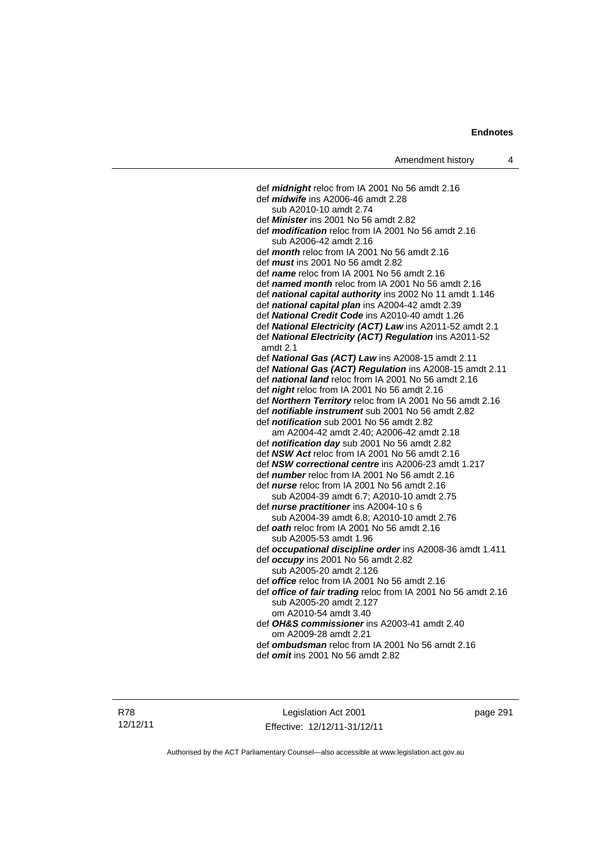def *midnight* reloc from IA 2001 No 56 amdt 2.16 def *midwife* ins A2006-46 amdt 2.28 sub A2010-10 amdt 2.74 def *Minister* ins 2001 No 56 amdt 2.82 def *modification* reloc from IA 2001 No 56 amdt 2.16 sub A2006-42 amdt 2.16 def *month* reloc from IA 2001 No 56 amdt 2.16 def *must* ins 2001 No 56 amdt 2.82 def *name* reloc from IA 2001 No 56 amdt 2.16 def *named month* reloc from IA 2001 No 56 amdt 2.16 def *national capital authority* ins 2002 No 11 amdt 1.146 def *national capital plan* ins A2004-42 amdt 2.39 def *National Credit Code* ins A2010-40 amdt 1.26 def *National Electricity (ACT) Law* ins A2011-52 amdt 2.1 def *National Electricity (ACT) Regulation* ins A2011-52 amdt 2.1 def *National Gas (ACT) Law* ins A2008-15 amdt 2.11 def *National Gas (ACT) Regulation* ins A2008-15 amdt 2.11 def *national land* reloc from IA 2001 No 56 amdt 2.16 def *night* reloc from IA 2001 No 56 amdt 2.16 def *Northern Territory* reloc from IA 2001 No 56 amdt 2.16 def *notifiable instrument* sub 2001 No 56 amdt 2.82 def *notification* sub 2001 No 56 amdt 2.82 am A2004-42 amdt 2.40; A2006-42 amdt 2.18 def *notification day* sub 2001 No 56 amdt 2.82 def *NSW Act* reloc from IA 2001 No 56 amdt 2.16 def *NSW correctional centre* ins A2006-23 amdt 1.217 def *number* reloc from IA 2001 No 56 amdt 2.16 def *nurse* reloc from IA 2001 No 56 amdt 2.16 sub A2004-39 amdt 6.7; A2010-10 amdt 2.75 def *nurse practitioner* ins A2004-10 s 6 sub A2004-39 amdt 6.8; A2010-10 amdt 2.76 def *oath* reloc from IA 2001 No 56 amdt 2.16 sub A2005-53 amdt 1.96 def *occupational discipline order* ins A2008-36 amdt 1.411 def *occupy* ins 2001 No 56 amdt 2.82 sub A2005-20 amdt 2.126 def *office* reloc from IA 2001 No 56 amdt 2.16 def *office of fair trading* reloc from IA 2001 No 56 amdt 2.16 sub A2005-20 amdt 2.127 om A2010-54 amdt 3.40 def *OH&S commissioner* ins A2003-41 amdt 2.40 om A2009-28 amdt 2.21 def *ombudsman* reloc from IA 2001 No 56 amdt 2.16

def *omit* ins 2001 No 56 amdt 2.82

R78 12/12/11

Legislation Act 2001 Effective: 12/12/11-31/12/11 page 291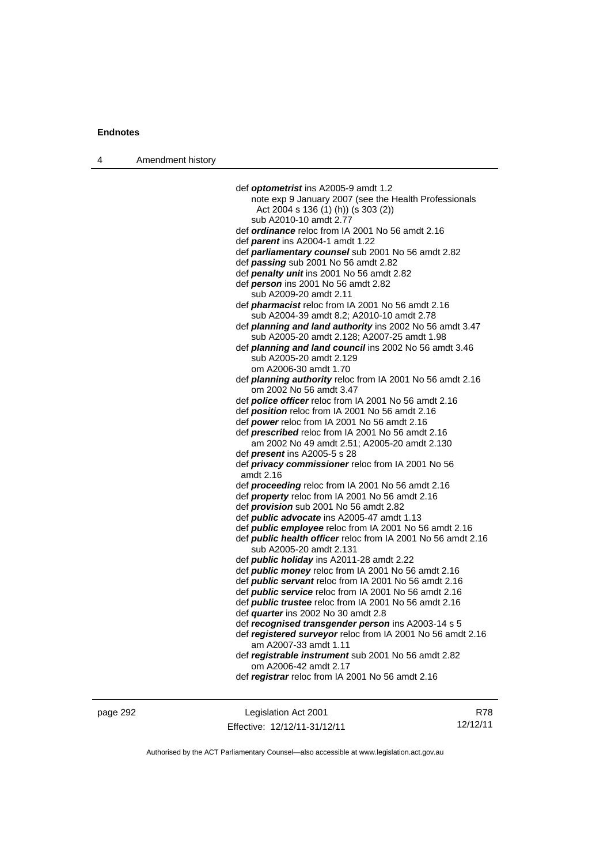| 4 | Amendment history |                                                                     |
|---|-------------------|---------------------------------------------------------------------|
|   |                   |                                                                     |
|   |                   | def optometrist ins A2005-9 amdt 1.2                                |
|   |                   | note exp 9 January 2007 (see the Health Professionals               |
|   |                   | Act 2004 s 136 (1) (h)) (s 303 (2))                                 |
|   |                   | sub A2010-10 amdt 2.77                                              |
|   |                   | def ordinance reloc from IA 2001 No 56 amdt 2.16                    |
|   |                   | def parent ins A2004-1 amdt 1.22                                    |
|   |                   | def parliamentary counsel sub 2001 No 56 amdt 2.82                  |
|   |                   | def passing sub 2001 No 56 amdt 2.82                                |
|   |                   | def penalty unit ins 2001 No 56 amdt 2.82                           |
|   |                   | def person ins 2001 No 56 amdt 2.82                                 |
|   |                   | sub A2009-20 amdt 2.11                                              |
|   |                   | def <i>pharmacist</i> reloc from IA 2001 No 56 amdt 2.16            |
|   |                   | sub A2004-39 amdt 8.2; A2010-10 amdt 2.78                           |
|   |                   | def planning and land authority ins 2002 No 56 amdt 3.47            |
|   |                   | sub A2005-20 amdt 2.128; A2007-25 amdt 1.98                         |
|   |                   | def <i>planning and land council</i> ins 2002 No 56 amdt 3.46       |
|   |                   | sub A2005-20 amdt 2.129                                             |
|   |                   | om A2006-30 amdt 1.70                                               |
|   |                   | def <i>planning authority</i> reloc from IA 2001 No 56 amdt 2.16    |
|   |                   | om 2002 No 56 amdt 3.47                                             |
|   |                   | def police officer reloc from IA 2001 No 56 amdt 2.16               |
|   |                   | def <i>position</i> reloc from IA 2001 No 56 amdt 2.16              |
|   |                   | def power reloc from IA 2001 No 56 amdt 2.16                        |
|   |                   | def <i>prescribed</i> reloc from IA 2001 No 56 amdt 2.16            |
|   |                   | am 2002 No 49 amdt 2.51; A2005-20 amdt 2.130                        |
|   |                   | def <i>present</i> ins A2005-5 s 28                                 |
|   |                   | def privacy commissioner reloc from IA 2001 No 56                   |
|   |                   | amdt 2.16                                                           |
|   |                   | def <i>proceeding</i> reloc from IA 2001 No 56 amdt 2.16            |
|   |                   | def <i>property</i> reloc from IA 2001 No 56 amdt 2.16              |
|   |                   | def <i>provision</i> sub 2001 No 56 amdt 2.82                       |
|   |                   | def <i>public advocate</i> ins A2005-47 amdt 1.13                   |
|   |                   | def <i>public</i> employee reloc from IA 2001 No 56 amdt 2.16       |
|   |                   | def <b>public health officer</b> reloc from IA 2001 No 56 amdt 2.16 |
|   |                   | sub A2005-20 amdt 2.131                                             |
|   |                   | def <i>public holiday</i> ins A2011-28 amdt 2.22                    |
|   |                   | def <i>public money</i> reloc from IA 2001 No 56 amdt 2.16          |
|   |                   | def <i>public servant</i> reloc from IA 2001 No 56 amdt 2.16        |
|   |                   | def <i>public</i> service reloc from IA 2001 No 56 amdt 2.16        |
|   |                   | def <i>public trustee</i> reloc from IA 2001 No 56 amdt 2.16        |
|   |                   | def <i>quarter</i> ins 2002 No 30 amdt 2.8                          |
|   |                   | def recognised transgender person ins A2003-14 s 5                  |
|   |                   | def registered surveyor reloc from IA 2001 No 56 amdt 2.16          |
|   |                   | am A2007-33 amdt 1.11                                               |
|   |                   | def registrable instrument sub 2001 No 56 amdt 2.82                 |
|   |                   | om A2006-42 amdt 2.17                                               |
|   |                   | def registrar reloc from IA 2001 No 56 amdt 2.16                    |
|   |                   |                                                                     |
|   |                   |                                                                     |

page 292 Legislation Act 2001 Effective: 12/12/11-31/12/11

R78 12/12/11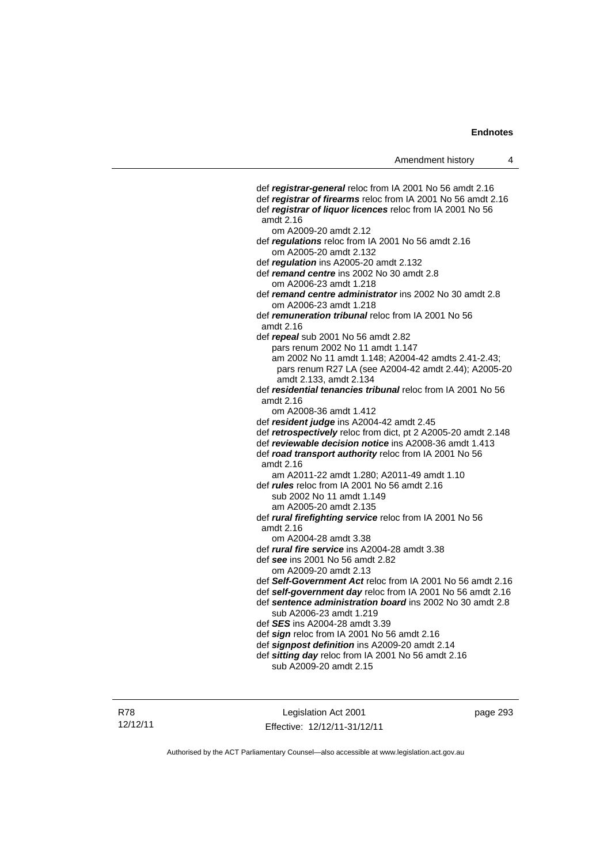def *registrar-general* reloc from IA 2001 No 56 amdt 2.16 def *registrar of firearms* reloc from IA 2001 No 56 amdt 2.16 def *registrar of liquor licences* reloc from IA 2001 No 56 amdt 2.16 om A2009-20 amdt 2.12 def *regulations* reloc from IA 2001 No 56 amdt 2.16 om A2005-20 amdt 2.132 def *regulation* ins A2005-20 amdt 2.132 def *remand centre* ins 2002 No 30 amdt 2.8 om A2006-23 amdt 1.218 def *remand centre administrator* ins 2002 No 30 amdt 2.8 om A2006-23 amdt 1.218 def *remuneration tribunal* reloc from IA 2001 No 56 amdt 2.16 def *repeal* sub 2001 No 56 amdt 2.82 pars renum 2002 No 11 amdt 1.147 am 2002 No 11 amdt 1.148; A2004-42 amdts 2.41-2.43; pars renum R27 LA (see A2004-42 amdt 2.44); A2005-20 amdt 2.133, amdt 2.134 def *residential tenancies tribunal* reloc from IA 2001 No 56 amdt 2.16 om A2008-36 amdt 1.412 def *resident judge* ins A2004-42 amdt 2.45 def *retrospectively* reloc from dict, pt 2 A2005-20 amdt 2.148 def *reviewable decision notice* ins A2008-36 amdt 1.413 def *road transport authority* reloc from IA 2001 No 56 amdt 2.16 am A2011-22 amdt 1.280; A2011-49 amdt 1.10 def *rules* reloc from IA 2001 No 56 amdt 2.16 sub 2002 No 11 amdt 1.149 am A2005-20 amdt 2.135 def *rural firefighting service* reloc from IA 2001 No 56 amdt 2.16 om A2004-28 amdt 3.38 def *rural fire service* ins A2004-28 amdt 3.38 def *see* ins 2001 No 56 amdt 2.82 om A2009-20 amdt 2.13 def *Self-Government Act* reloc from IA 2001 No 56 amdt 2.16 def *self-government day* reloc from IA 2001 No 56 amdt 2.16 def *sentence administration board* ins 2002 No 30 amdt 2.8 sub A2006-23 amdt 1.219 def *SES* ins A2004-28 amdt 3.39 def *sign* reloc from IA 2001 No 56 amdt 2.16 def *signpost definition* ins A2009-20 amdt 2.14 def *sitting day* reloc from IA 2001 No 56 amdt 2.16 sub A2009-20 amdt 2.15

Legislation Act 2001 Effective: 12/12/11-31/12/11 page 293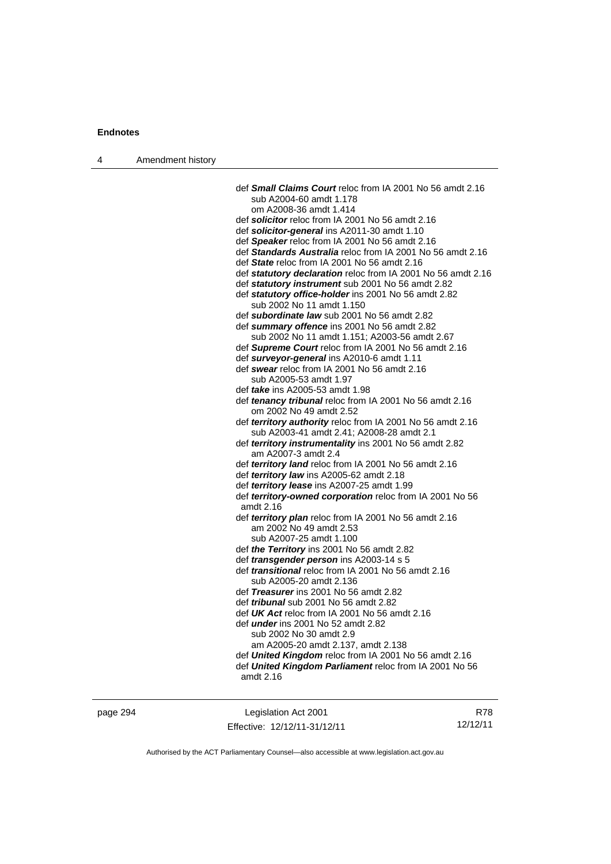| 4 | Amendment history |                                                                                                                 |
|---|-------------------|-----------------------------------------------------------------------------------------------------------------|
|   |                   |                                                                                                                 |
|   |                   | def <b>Small Claims Court</b> reloc from IA 2001 No 56 amdt 2.16                                                |
|   |                   | sub A2004-60 amdt 1.178                                                                                         |
|   |                   | om A2008-36 amdt 1.414                                                                                          |
|   |                   | def solicitor reloc from IA 2001 No 56 amdt 2.16                                                                |
|   |                   | def solicitor-general ins A2011-30 amdt 1.10                                                                    |
|   |                   | def Speaker reloc from IA 2001 No 56 amdt 2.16                                                                  |
|   |                   | def Standards Australia reloc from IA 2001 No 56 amdt 2.16                                                      |
|   |                   | def State reloc from IA 2001 No 56 amdt 2.16                                                                    |
|   |                   | def statutory declaration reloc from IA 2001 No 56 amdt 2.16                                                    |
|   |                   | def statutory instrument sub 2001 No 56 amdt 2.82                                                               |
|   |                   | def statutory office-holder ins 2001 No 56 amdt 2.82                                                            |
|   |                   | sub 2002 No 11 amdt 1.150<br>def subordinate law sub 2001 No 56 amdt 2.82                                       |
|   |                   | def summary offence ins 2001 No 56 amdt 2.82                                                                    |
|   |                   | sub 2002 No 11 amdt 1.151; A2003-56 amdt 2.67                                                                   |
|   |                   | def Supreme Court reloc from IA 2001 No 56 amdt 2.16                                                            |
|   |                   | def surveyor-general ins A2010-6 amdt 1.11                                                                      |
|   |                   | def swear reloc from IA 2001 No 56 amdt 2.16                                                                    |
|   |                   | sub A2005-53 amdt 1.97                                                                                          |
|   |                   | def take ins A2005-53 amdt 1.98                                                                                 |
|   |                   | def tenancy tribunal reloc from IA 2001 No 56 amdt 2.16                                                         |
|   |                   | om 2002 No 49 amdt 2.52                                                                                         |
|   |                   | def territory authority reloc from IA 2001 No 56 amdt 2.16                                                      |
|   |                   | sub A2003-41 amdt 2.41; A2008-28 amdt 2.1                                                                       |
|   |                   | def territory instrumentality ins 2001 No 56 amdt 2.82                                                          |
|   |                   | am A2007-3 amdt 2.4                                                                                             |
|   |                   | def territory land reloc from IA 2001 No 56 amdt 2.16                                                           |
|   |                   | def territory law ins A2005-62 amdt 2.18                                                                        |
|   |                   | def territory lease ins A2007-25 amdt 1.99                                                                      |
|   |                   | def territory-owned corporation reloc from IA 2001 No 56<br>amdt 2.16                                           |
|   |                   | def territory plan reloc from IA 2001 No 56 amdt 2.16                                                           |
|   |                   | am 2002 No 49 amdt 2.53                                                                                         |
|   |                   | sub A2007-25 amdt 1.100                                                                                         |
|   |                   | def the Territory ins 2001 No 56 amdt 2.82                                                                      |
|   |                   | def <i>transgender person</i> ins A2003-14 s 5                                                                  |
|   |                   | def <i>transitional</i> reloc from IA 2001 No 56 amdt 2.16                                                      |
|   |                   | sub A2005-20 amdt 2.136                                                                                         |
|   |                   | def Treasurer ins 2001 No 56 amdt 2.82                                                                          |
|   |                   | def <i>tribunal</i> sub 2001 No 56 amdt 2.82                                                                    |
|   |                   | def <i>UK Act</i> reloc from IA 2001 No 56 amdt 2.16                                                            |
|   |                   | def <i>under</i> ins 2001 No 52 amdt 2.82                                                                       |
|   |                   | sub 2002 No 30 amdt 2.9                                                                                         |
|   |                   | am A2005-20 amdt 2.137, amdt 2.138                                                                              |
|   |                   | def United Kingdom reloc from IA 2001 No 56 amdt 2.16<br>def United Kingdom Parliament reloc from IA 2001 No 56 |
|   |                   | amdt 2.16                                                                                                       |
|   |                   |                                                                                                                 |
|   |                   |                                                                                                                 |

page 294 Legislation Act 2001 Effective: 12/12/11-31/12/11

R78 12/12/11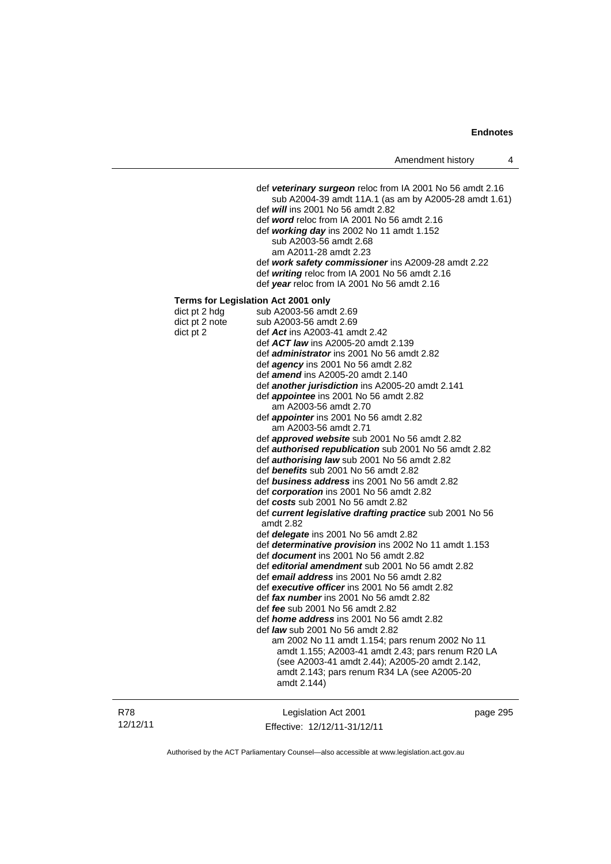|                                              | Amendment history                                                                                                                                                                                                                                                                                                                                                                                                                                                                                                                                                                                                                                                                                                                                                                                                                                                                                                                                                                                                                                                                                                                                                                                                                                                                                                                                                                                                                                                                                                                                                                                                                                         | 4 |
|----------------------------------------------|-----------------------------------------------------------------------------------------------------------------------------------------------------------------------------------------------------------------------------------------------------------------------------------------------------------------------------------------------------------------------------------------------------------------------------------------------------------------------------------------------------------------------------------------------------------------------------------------------------------------------------------------------------------------------------------------------------------------------------------------------------------------------------------------------------------------------------------------------------------------------------------------------------------------------------------------------------------------------------------------------------------------------------------------------------------------------------------------------------------------------------------------------------------------------------------------------------------------------------------------------------------------------------------------------------------------------------------------------------------------------------------------------------------------------------------------------------------------------------------------------------------------------------------------------------------------------------------------------------------------------------------------------------------|---|
|                                              | def veterinary surgeon reloc from IA 2001 No 56 amdt 2.16<br>sub A2004-39 amdt 11A.1 (as am by A2005-28 amdt 1.61)<br>def <i>will</i> ins 2001 No 56 amdt 2.82<br>def word reloc from IA 2001 No 56 amdt 2.16<br>def working day ins 2002 No 11 amdt 1.152<br>sub A2003-56 amdt 2.68<br>am A2011-28 amdt 2.23<br>def work safety commissioner ins A2009-28 amdt 2.22<br>def writing reloc from IA 2001 No 56 amdt 2.16<br>def year reloc from IA 2001 No 56 amdt 2.16                                                                                                                                                                                                                                                                                                                                                                                                                                                                                                                                                                                                                                                                                                                                                                                                                                                                                                                                                                                                                                                                                                                                                                                     |   |
| dict pt 2 hdg<br>dict pt 2 note<br>dict pt 2 | Terms for Legislation Act 2001 only<br>sub A2003-56 amdt 2.69<br>sub A2003-56 amdt 2.69<br>def Act ins A2003-41 amdt 2.42<br>def ACT law ins A2005-20 amdt 2.139<br>def administrator ins 2001 No 56 amdt 2.82<br>def agency ins 2001 No 56 amdt 2.82<br>def <i>amend</i> ins A2005-20 amdt 2.140<br>def another jurisdiction ins A2005-20 amdt 2.141<br>def <i>appointee</i> ins 2001 No 56 amdt 2.82<br>am A2003-56 amdt 2.70<br>def <i>appointer</i> ins 2001 No 56 amdt 2.82<br>am A2003-56 amdt 2.71<br>def approved website sub 2001 No 56 amdt 2.82<br>def <b>authorised republication</b> sub 2001 No 56 amdt 2.82<br>def <b>authorising law</b> sub 2001 No 56 amdt 2.82<br>def benefits sub 2001 No 56 amdt 2.82<br>def business address ins 2001 No 56 amdt 2.82<br>def corporation ins 2001 No 56 amdt 2.82<br>def costs sub 2001 No 56 amdt 2.82<br>def current legislative drafting practice sub 2001 No 56<br>amdt 2.82<br>def <i>delegate</i> ins 2001 No 56 amdt 2.82<br>def determinative provision ins 2002 No 11 amdt 1.153<br>def document ins 2001 No 56 amdt 2.82<br>def <i>editorial amendment</i> sub 2001 No 56 amdt 2.82<br>def email address ins 2001 No 56 amdt 2.82<br>def executive officer ins 2001 No 56 amdt 2.82<br>def fax number ins 2001 No 56 amdt 2.82<br>def fee sub 2001 No 56 amdt 2.82<br>def <i>home address</i> ins 2001 No 56 amdt 2.82<br>def <i>law</i> sub 2001 No 56 amdt 2.82<br>am 2002 No 11 amdt 1.154; pars renum 2002 No 11<br>amdt 1.155; A2003-41 amdt 2.43; pars renum R20 LA<br>(see A2003-41 amdt 2.44); A2005-20 amdt 2.142,<br>amdt 2.143; pars renum R34 LA (see A2005-20<br>amdt 2.144) |   |
|                                              |                                                                                                                                                                                                                                                                                                                                                                                                                                                                                                                                                                                                                                                                                                                                                                                                                                                                                                                                                                                                                                                                                                                                                                                                                                                                                                                                                                                                                                                                                                                                                                                                                                                           |   |

R78 12/12/11

Legislation Act 2001 Effective: 12/12/11-31/12/11 page 295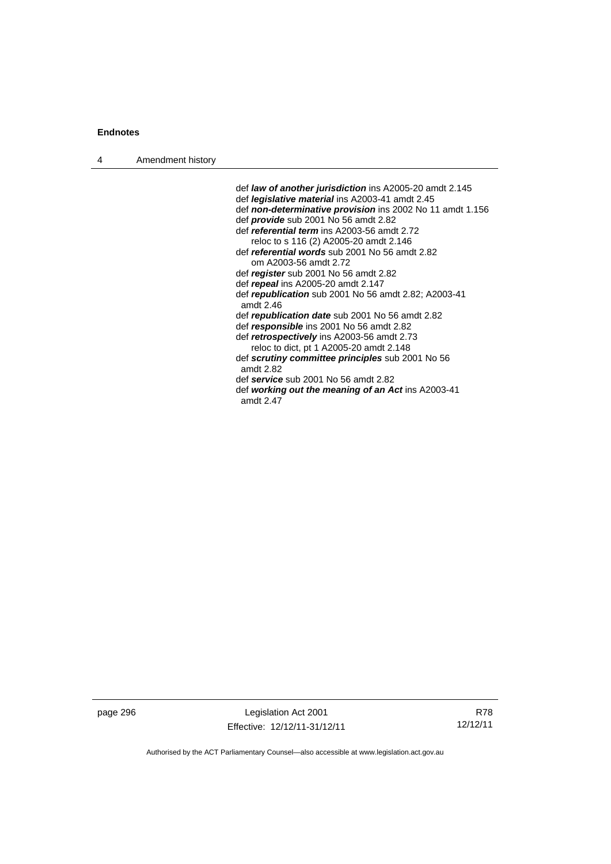| Amendment history<br>$\overline{4}$ |  |
|-------------------------------------|--|
|-------------------------------------|--|

 def *law of another jurisdiction* ins A2005-20 amdt 2.145 def *legislative material* ins A2003-41 amdt 2.45 def *non-determinative provision* ins 2002 No 11 amdt 1.156 def *provide* sub 2001 No 56 amdt 2.82 def *referential term* ins A2003-56 amdt 2.72 reloc to s 116 (2) A2005-20 amdt 2.146 def *referential words* sub 2001 No 56 amdt 2.82 om A2003-56 amdt 2.72 def *register* sub 2001 No 56 amdt 2.82 def *repeal* ins A2005-20 amdt 2.147 def *republication* sub 2001 No 56 amdt 2.82; A2003-41 amdt 2.46 def *republication date* sub 2001 No 56 amdt 2.82 def *responsible* ins 2001 No 56 amdt 2.82 def *retrospectively* ins A2003-56 amdt 2.73 reloc to dict, pt 1 A2005-20 amdt 2.148 def *scrutiny committee principles* sub 2001 No 56 amdt 2.82 def *service* sub 2001 No 56 amdt 2.82 def *working out the meaning of an Act* ins A2003-41 amdt 2.47

page 296 Legislation Act 2001 Effective: 12/12/11-31/12/11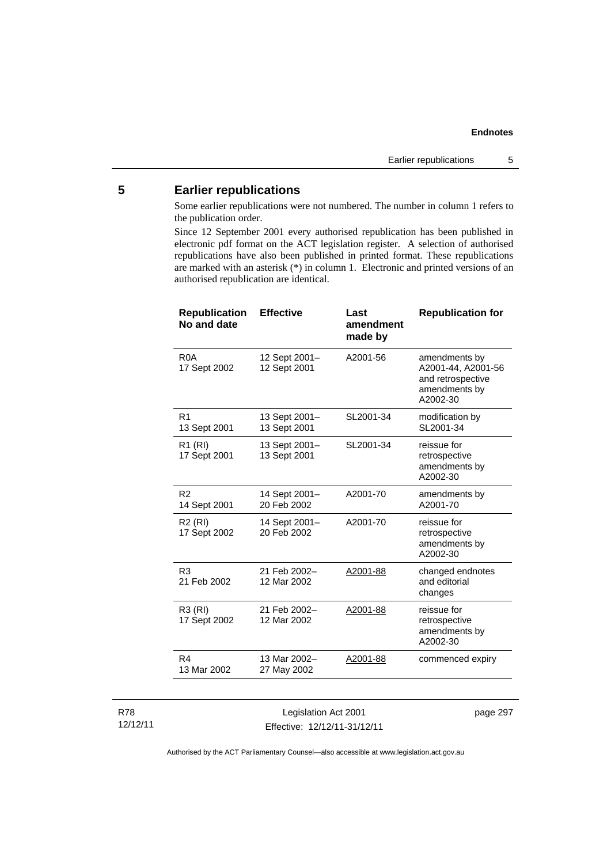# **5 Earlier republications**

Some earlier republications were not numbered. The number in column 1 refers to the publication order.

Since 12 September 2001 every authorised republication has been published in electronic pdf format on the ACT legislation register. A selection of authorised republications have also been published in printed format. These republications are marked with an asterisk (\*) in column 1. Electronic and printed versions of an authorised republication are identical.

| <b>Republication</b><br>No and date | <b>Effective</b>              | Last<br>amendment<br>made by | <b>Republication for</b>                                                              |
|-------------------------------------|-------------------------------|------------------------------|---------------------------------------------------------------------------------------|
| R <sub>0</sub> A<br>17 Sept 2002    | 12 Sept 2001-<br>12 Sept 2001 | A2001-56                     | amendments by<br>A2001-44, A2001-56<br>and retrospective<br>amendments by<br>A2002-30 |
| R <sub>1</sub><br>13 Sept 2001      | 13 Sept 2001-<br>13 Sept 2001 | SL2001-34                    | modification by<br>SL2001-34                                                          |
| R <sub>1</sub> (RI)<br>17 Sept 2001 | 13 Sept 2001-<br>13 Sept 2001 | SL2001-34                    | reissue for<br>retrospective<br>amendments by<br>A2002-30                             |
| R <sub>2</sub><br>14 Sept 2001      | 14 Sept 2001-<br>20 Feb 2002  | A2001-70                     | amendments by<br>A2001-70                                                             |
| R <sub>2</sub> (RI)<br>17 Sept 2002 | 14 Sept 2001-<br>20 Feb 2002  | A2001-70                     | reissue for<br>retrospective<br>amendments by<br>A2002-30                             |
| R <sub>3</sub><br>21 Feb 2002       | 21 Feb 2002-<br>12 Mar 2002   | A2001-88                     | changed endnotes<br>and editorial<br>changes                                          |
| R3 (RI)<br>17 Sept 2002             | 21 Feb 2002-<br>12 Mar 2002   | A2001-88                     | reissue for<br>retrospective<br>amendments by<br>A2002-30                             |
| R4<br>13 Mar 2002                   | 13 Mar 2002-<br>27 May 2002   | A2001-88                     | commenced expiry                                                                      |
|                                     |                               |                              |                                                                                       |

#### R78 12/12/11

Legislation Act 2001 Effective: 12/12/11-31/12/11 page 297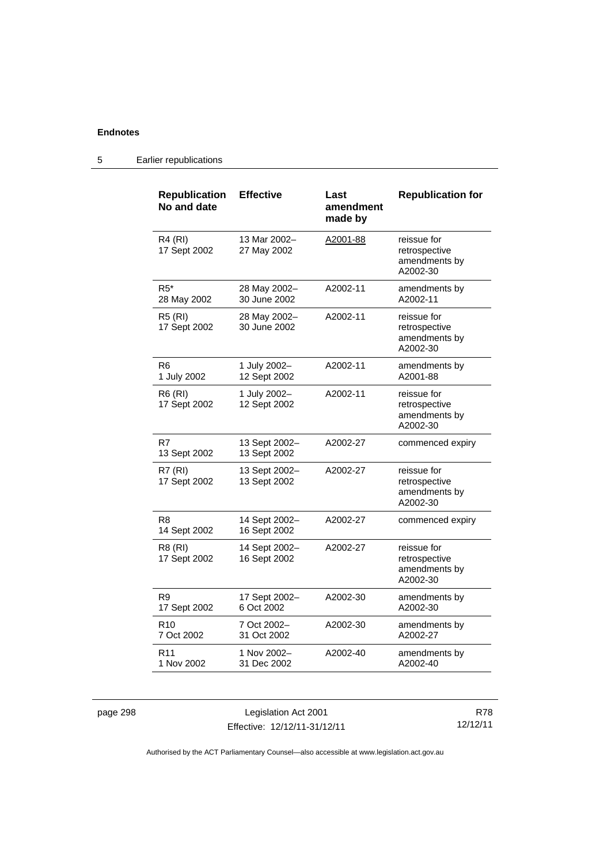| <b>Republication</b><br>No and date | <b>Effective</b>              | Last<br>amendment<br>made by | <b>Republication for</b>                                  |
|-------------------------------------|-------------------------------|------------------------------|-----------------------------------------------------------|
| R4 (RI)<br>17 Sept 2002             | 13 Mar 2002-<br>27 May 2002   | A2001-88                     | reissue for<br>retrospective<br>amendments by<br>A2002-30 |
| R5*<br>28 May 2002                  | 28 May 2002-<br>30 June 2002  | A2002-11                     | amendments by<br>A2002-11                                 |
| <b>R5 (RI)</b><br>17 Sept 2002      | 28 May 2002-<br>30 June 2002  | A2002-11                     | reissue for<br>retrospective<br>amendments by<br>A2002-30 |
| R6<br>1 July 2002                   | 1 July 2002-<br>12 Sept 2002  | A2002-11                     | amendments by<br>A2001-88                                 |
| R6 (RI)<br>17 Sept 2002             | 1 July 2002-<br>12 Sept 2002  | A2002-11                     | reissue for<br>retrospective<br>amendments by<br>A2002-30 |
| R7<br>13 Sept 2002                  | 13 Sept 2002-<br>13 Sept 2002 | A2002-27                     | commenced expiry                                          |
| <b>R7 (RI)</b><br>17 Sept 2002      | 13 Sept 2002-<br>13 Sept 2002 | A2002-27                     | reissue for<br>retrospective<br>amendments by<br>A2002-30 |
| R8<br>14 Sept 2002                  | 14 Sept 2002-<br>16 Sept 2002 | A2002-27                     | commenced expiry                                          |
| R8 (RI)<br>17 Sept 2002             | 14 Sept 2002-<br>16 Sept 2002 | A2002-27                     | reissue for<br>retrospective<br>amendments by<br>A2002-30 |
| R9<br>17 Sept 2002                  | 17 Sept 2002-<br>6 Oct 2002   | A2002-30                     | amendments by<br>A2002-30                                 |
| R <sub>10</sub><br>7 Oct 2002       | 7 Oct 2002-<br>31 Oct 2002    | A2002-30                     | amendments by<br>A2002-27                                 |
| R11<br>1 Nov 2002                   | 1 Nov 2002-<br>31 Dec 2002    | A2002-40                     | amendments by<br>A2002-40                                 |

5 Earlier republications

page 298 Legislation Act 2001 Effective: 12/12/11-31/12/11

R78 12/12/11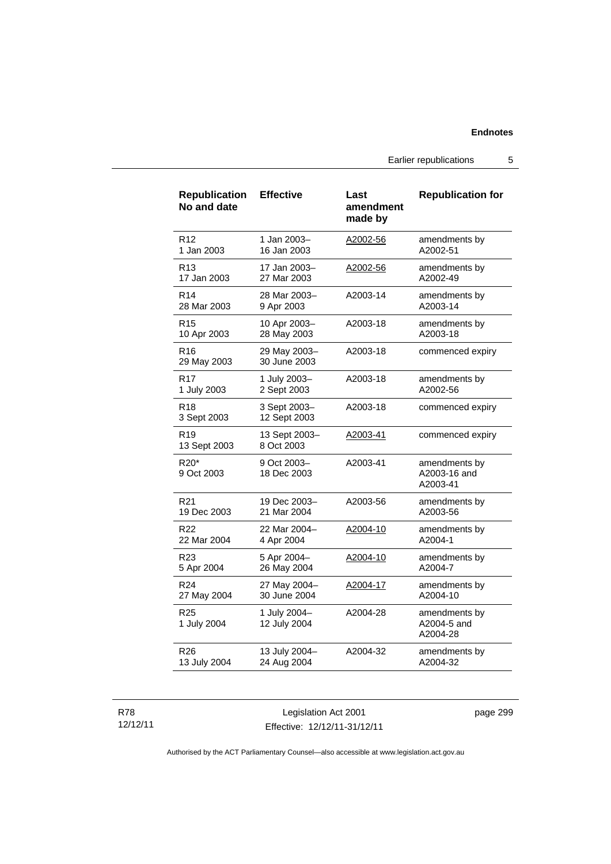Earlier republications 5

| <b>Republication</b><br>No and date | <b>Effective</b>             | Last<br>amendment<br>made by | <b>Republication for</b>                  |
|-------------------------------------|------------------------------|------------------------------|-------------------------------------------|
| R <sub>12</sub>                     | 1 Jan 2003-                  | A2002-56                     | amendments by                             |
| 1 Jan 2003                          | 16 Jan 2003                  |                              | A2002-51                                  |
| R13                                 | 17 Jan 2003–                 | A2002-56                     | amendments by                             |
| 17 Jan 2003                         | 27 Mar 2003                  |                              | A2002-49                                  |
| R <sub>14</sub>                     | 28 Mar 2003-                 | A2003-14                     | amendments by                             |
| 28 Mar 2003                         | 9 Apr 2003                   |                              | A2003-14                                  |
| R <sub>15</sub>                     | 10 Apr 2003-                 | A2003-18                     | amendments by                             |
| 10 Apr 2003                         | 28 May 2003                  |                              | A2003-18                                  |
| R16<br>29 May 2003                  | 29 May 2003-<br>30 June 2003 | A2003-18                     | commenced expiry                          |
| R <sub>17</sub>                     | 1 July 2003-                 | A2003-18                     | amendments by                             |
| 1 July 2003                         | 2 Sept 2003                  |                              | A2002-56                                  |
| R <sub>18</sub><br>3 Sept 2003      | 3 Sept 2003-<br>12 Sept 2003 | A2003-18                     | commenced expiry                          |
| R <sub>19</sub><br>13 Sept 2003     | 13 Sept 2003-<br>8 Oct 2003  | A2003-41                     | commenced expiry                          |
| R20*<br>9 Oct 2003                  | 9 Oct 2003-<br>18 Dec 2003   | A2003-41                     | amendments by<br>A2003-16 and<br>A2003-41 |
| R <sub>21</sub>                     | 19 Dec 2003-                 | A2003-56                     | amendments by                             |
| 19 Dec 2003                         | 21 Mar 2004                  |                              | A2003-56                                  |
| R22                                 | 22 Mar 2004-                 | A2004-10                     | amendments by                             |
| 22 Mar 2004                         | 4 Apr 2004                   |                              | A2004-1                                   |
| R <sub>23</sub>                     | 5 Apr 2004-                  | <u>A2004-10</u>              | amendments by                             |
| 5 Apr 2004                          | 26 May 2004                  |                              | A2004-7                                   |
| R <sub>24</sub>                     | 27 May 2004-                 | A2004-17                     | amendments by                             |
| 27 May 2004                         | 30 June 2004                 |                              | A2004-10                                  |
| R <sub>25</sub><br>1 July 2004      | 1 July 2004-<br>12 July 2004 | A2004-28                     | amendments by<br>A2004-5 and<br>A2004-28  |
| R26                                 | 13 July 2004-                | A2004-32                     | amendments by                             |
| 13 July 2004                        | 24 Aug 2004                  |                              | A2004-32                                  |

#### R78 12/12/11

Legislation Act 2001 Effective: 12/12/11-31/12/11 page 299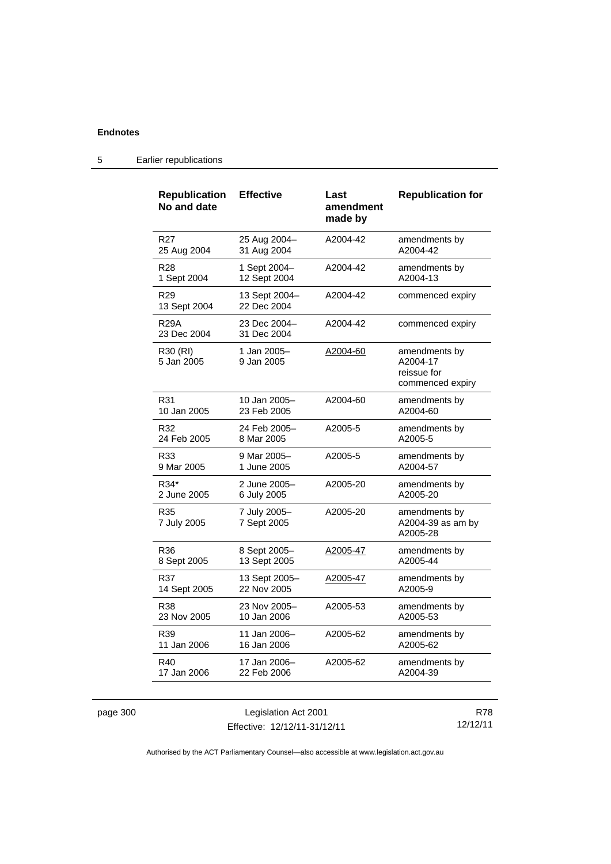| <b>Republication</b><br>No and date | <b>Effective</b>             | Last<br>amendment<br>made by | <b>Republication for</b>                                     |
|-------------------------------------|------------------------------|------------------------------|--------------------------------------------------------------|
| R <sub>27</sub>                     | 25 Aug 2004-                 | A2004-42                     | amendments by                                                |
| 25 Aug 2004                         | 31 Aug 2004                  |                              | A2004-42                                                     |
| R <sub>28</sub>                     | 1 Sept 2004-                 | A2004-42                     | amendments by                                                |
| 1 Sept 2004                         | 12 Sept 2004                 |                              | A2004-13                                                     |
| R <sub>29</sub><br>13 Sept 2004     | 13 Sept 2004-<br>22 Dec 2004 | A2004-42                     | commenced expiry                                             |
| R29A<br>23 Dec 2004                 | 23 Dec 2004–<br>31 Dec 2004  | A2004-42                     | commenced expiry                                             |
| R30 (RI)<br>5 Jan 2005              | 1 Jan 2005-<br>9 Jan 2005    | A2004-60                     | amendments by<br>A2004-17<br>reissue for<br>commenced expiry |
| R31                                 | 10 Jan 2005-                 | A2004-60                     | amendments by                                                |
| 10 Jan 2005                         | 23 Feb 2005                  |                              | A2004-60                                                     |
| R32                                 | 24 Feb 2005-                 | A2005-5                      | amendments by                                                |
| 24 Feb 2005                         | 8 Mar 2005                   |                              | A2005-5                                                      |
| R33                                 | 9 Mar 2005-                  | A2005-5                      | amendments by                                                |
| 9 Mar 2005                          | 1 June 2005                  |                              | A2004-57                                                     |
| R34*                                | 2 June 2005-                 | A2005-20                     | amendments by                                                |
| 2 June 2005                         | 6 July 2005                  |                              | A2005-20                                                     |
| R35<br>7 July 2005                  | 7 July 2005-<br>7 Sept 2005  | A2005-20                     | amendments by<br>A2004-39 as am by<br>A2005-28               |
| R36                                 | 8 Sept 2005-                 | A2005-47                     | amendments by                                                |
| 8 Sept 2005                         | 13 Sept 2005                 |                              | A2005-44                                                     |
| R37                                 | 13 Sept 2005-                | A2005-47                     | amendments by                                                |
| 14 Sept 2005                        | 22 Nov 2005                  |                              | A2005-9                                                      |
| R38                                 | 23 Nov 2005-                 | A2005-53                     | amendments by                                                |
| 23 Nov 2005                         | 10 Jan 2006                  |                              | A2005-53                                                     |
| R39                                 | 11 Jan 2006-                 | A2005-62                     | amendments by                                                |
| 11 Jan 2006                         | 16 Jan 2006                  |                              | A2005-62                                                     |
| R40                                 | 17 Jan 2006-                 | A2005-62                     | amendments by                                                |
| 17 Jan 2006                         | 22 Feb 2006                  |                              | A2004-39                                                     |

# 5 Earlier republications

page 300 Legislation Act 2001 Effective: 12/12/11-31/12/11

R78 12/12/11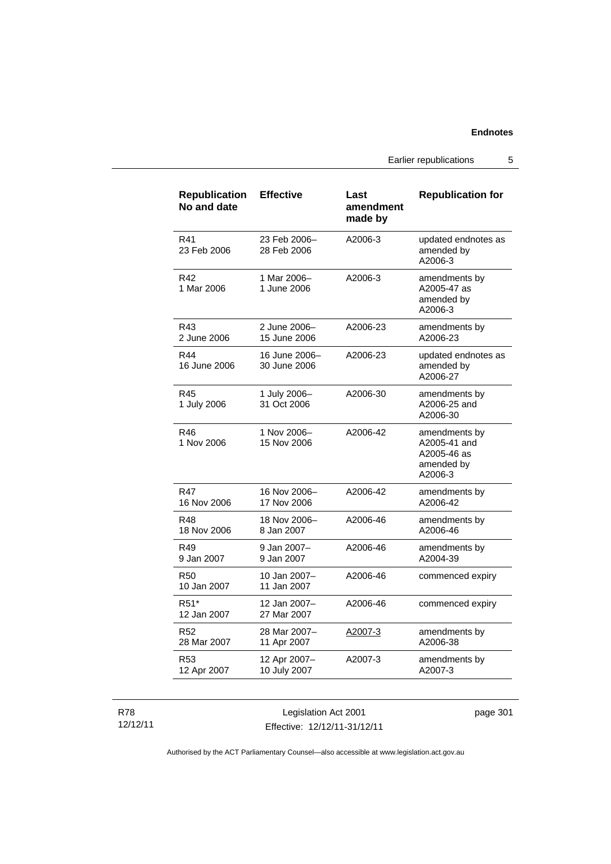Earlier republications 5

| <b>Republication</b><br>No and date | <b>Effective</b>              | Last<br>amendment<br>made by | <b>Republication for</b>                                              |
|-------------------------------------|-------------------------------|------------------------------|-----------------------------------------------------------------------|
| R41<br>23 Feb 2006                  | 23 Feb 2006-<br>28 Feb 2006   | A2006-3                      | updated endnotes as<br>amended by<br>A2006-3                          |
| R42<br>1 Mar 2006                   | 1 Mar 2006-<br>1 June 2006    | A2006-3                      | amendments by<br>A2005-47 as<br>amended by<br>A2006-3                 |
| R43<br>2 June 2006                  | 2 June 2006-<br>15 June 2006  | A2006-23                     | amendments by<br>A2006-23                                             |
| R44<br>16 June 2006                 | 16 June 2006-<br>30 June 2006 | A2006-23                     | updated endnotes as<br>amended by<br>A2006-27                         |
| R45<br>1 July 2006                  | 1 July 2006-<br>31 Oct 2006   | A2006-30                     | amendments by<br>A2006-25 and<br>A2006-30                             |
| R46<br>1 Nov 2006                   | 1 Nov 2006-<br>15 Nov 2006    | A2006-42                     | amendments by<br>A2005-41 and<br>A2005-46 as<br>amended by<br>A2006-3 |
| R47<br>16 Nov 2006                  | 16 Nov 2006-<br>17 Nov 2006   | A2006-42                     | amendments by<br>A2006-42                                             |
| R48<br>18 Nov 2006                  | 18 Nov 2006-<br>8 Jan 2007    | A2006-46                     | amendments by<br>A2006-46                                             |
| R49<br>9 Jan 2007                   | 9 Jan 2007-<br>9 Jan 2007     | A2006-46                     | amendments by<br>A2004-39                                             |
| <b>R50</b><br>10 Jan 2007           | 10 Jan 2007-<br>11 Jan 2007   | A2006-46                     | commenced expiry                                                      |
| R <sub>51</sub> *<br>12 Jan 2007    | 12 Jan 2007-<br>27 Mar 2007   | A2006-46                     | commenced expiry                                                      |
| R <sub>52</sub><br>28 Mar 2007      | 28 Mar 2007-<br>11 Apr 2007   | A2007-3                      | amendments by<br>A2006-38                                             |
| R <sub>53</sub><br>12 Apr 2007      | 12 Apr 2007-<br>10 July 2007  | A2007-3                      | amendments by<br>A2007-3                                              |

R78 12/12/11

Legislation Act 2001 Effective: 12/12/11-31/12/11 page 301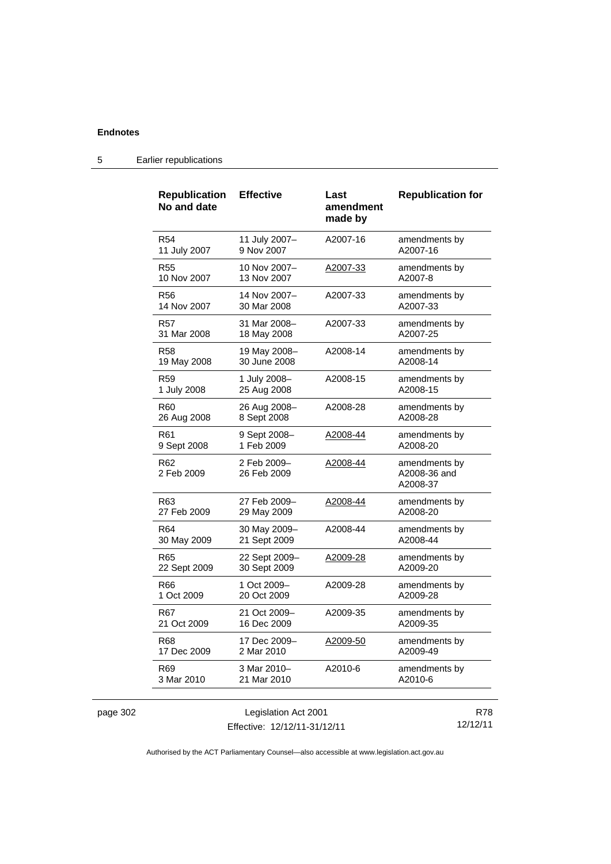|          | <b>Republication</b><br>No and date | <b>Effective</b>              | Last<br>amendment<br>made by | <b>Republication for</b>                  |  |
|----------|-------------------------------------|-------------------------------|------------------------------|-------------------------------------------|--|
|          | <b>R54</b><br>11 July 2007          | 11 July 2007-<br>9 Nov 2007   | A2007-16                     | amendments by<br>A2007-16                 |  |
|          | <b>R55</b><br>10 Nov 2007           | 10 Nov 2007-<br>13 Nov 2007   | A2007-33                     | amendments by<br>A2007-8                  |  |
|          | <b>R56</b><br>14 Nov 2007           | 14 Nov 2007-<br>30 Mar 2008   | A2007-33                     | amendments by<br>A2007-33                 |  |
|          | <b>R57</b><br>31 Mar 2008           | 31 Mar 2008-<br>18 May 2008   | A2007-33                     | amendments by<br>A2007-25                 |  |
|          | <b>R58</b><br>19 May 2008           | 19 May 2008-<br>30 June 2008  | A2008-14                     | amendments by<br>A2008-14                 |  |
|          | R <sub>59</sub><br>1 July 2008      | 1 July 2008-<br>25 Aug 2008   | A2008-15                     | amendments by<br>A2008-15                 |  |
|          | R <sub>60</sub><br>26 Aug 2008      | 26 Aug 2008-<br>8 Sept 2008   | A2008-28                     | amendments by<br>A2008-28                 |  |
|          | R <sub>61</sub><br>9 Sept 2008      | 9 Sept 2008-<br>1 Feb 2009    | A2008-44                     | amendments by<br>A2008-20                 |  |
|          | R <sub>62</sub><br>2 Feb 2009       | 2 Feb 2009-<br>26 Feb 2009    | A2008-44                     | amendments by<br>A2008-36 and<br>A2008-37 |  |
|          | R63<br>27 Feb 2009                  | 27 Feb 2009-<br>29 May 2009   | A2008-44                     | amendments by<br>A2008-20                 |  |
|          | R <sub>64</sub><br>30 May 2009      | 30 May 2009-<br>21 Sept 2009  | A2008-44                     | amendments by<br>A2008-44                 |  |
|          | <b>R65</b><br>22 Sept 2009          | 22 Sept 2009-<br>30 Sept 2009 | A2009-28                     | amendments by<br>A2009-20                 |  |
|          | R <sub>66</sub><br>1 Oct 2009       | 1 Oct 2009-<br>20 Oct 2009    | A2009-28                     | amendments by<br>A2009-28                 |  |
|          | R67<br>21 Oct 2009                  | 21 Oct 2009-<br>16 Dec 2009   | A2009-35                     | amendments by<br>A2009-35                 |  |
|          | R68<br>17 Dec 2009                  | 17 Dec 2009-<br>2 Mar 2010    | A2009-50                     | amendments by<br>A2009-49                 |  |
|          | R <sub>69</sub><br>3 Mar 2010       | 3 Mar 2010-<br>21 Mar 2010    | A2010-6                      | amendments by<br>A2010-6                  |  |
| page 302 | Legislation Act 2001                |                               | <b>R78</b>                   |                                           |  |

5 Earlier republications

Authorised by the ACT Parliamentary Counsel—also accessible at www.legislation.act.gov.au

12/12/11

Effective: 12/12/11-31/12/11